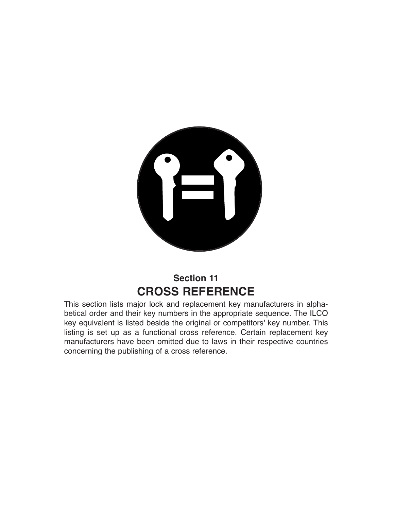

## **Section 11 CROSS REFERENCE**

This section lists major lock and replacement key manufacturers in alphabetical order and their key numbers in the appropriate sequence. The ILCO key equivalent is listed beside the original or competitors' key number. This listing is set up as a functional cross reference. Certain replacement key manufacturers have been omitted due to laws in their respective countries concerning the publishing of a cross reference.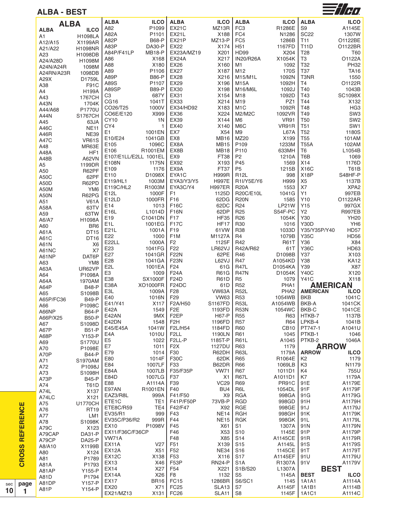| ALBA - BEST     |                                |                                     |                    |                                       |                            |                                |                          |                                | 7   1   1   1                  |
|-----------------|--------------------------------|-------------------------------------|--------------------|---------------------------------------|----------------------------|--------------------------------|--------------------------|--------------------------------|--------------------------------|
| <b>ALBA</b>     |                                | <b>ALBA</b>                         | <b>ILCO</b>        | <b>ALBA</b>                           | <b>ILCO</b>                | <b>ALBA</b>                    | <b>ILCO</b>              | <b>ALBA</b>                    | <b>ILCO</b>                    |
| ALBA            | <b>ILCO</b>                    | A82                                 | P1099              | <b>EX21C</b>                          | MZ13R                      | FC <sub>3</sub>                | R1286E                   | S <sub>9</sub>                 | A1145E                         |
| A1              | <b>H1098LA</b>                 | A82A                                | P1101              | <b>EX21L</b>                          | X188                       | FC4                            | N1286                    | <b>SC22</b>                    | 1307W                          |
| A12/A15         | X1199AR                        | A82P                                | <b>B68-P</b>       | EX21P                                 | <b>MZ13-P</b>              | FC <sub>5</sub>                | 1286B                    | T <sub>11</sub>                | O1122BE                        |
| A21/A22         | H1098NR                        | A83P                                | <b>DA30-P</b>      | EX22                                  | X174                       | H <sub>51</sub>                | 1167FD                   | <b>T11D</b>                    | O1122BR                        |
| A23             | H1098DB                        | A84P/F41LP                          | <b>MB18-P</b>      | EX23A/MZ19                            | X201                       | <b>HD99</b>                    | X204                     | T <sub>28</sub>                | T60                            |
| A24/A28D        | H1098M                         | A86                                 | X168               | <b>EX24A</b>                          | X217                       | <b>IN20/R26A</b>               | X1054K                   | T <sub>3</sub>                 | O1122A                         |
| A24N/A24R       | 1098M                          | A88<br>A89                          | X180<br>P1106      | EX26<br>EX27                          | X160<br>X187               | M1<br>M12                      | 1092<br>170S             | T32<br>T37                     | <b>PH32</b>                    |
| A24RN/A23R      | 1098DB                         | A89P                                | <b>B86-P</b>       | <b>EX28</b>                           | X216                       | M15/M1L                        | 1092N                    | T3NR                           | TA16<br>1550                   |
| A29X            | D1759L                         | A89S                                | P1107              | <b>EX29</b>                           | X196                       | <b>M15A</b>                    | 1092H                    | T <sub>4</sub>                 | O1122R                         |
| A38             | F91C                           | A89SP                               | <b>B89-P</b>       | EX30                                  | X198                       | M16/M6L                        | 1092J                    | T40                            | 1043B                          |
| A4<br>A43       | H199A<br>1767CH                | C3                                  | 687Y               | EX31                                  | X154                       | M18                            | 1092D                    | T43                            | SC1098X                        |
| A43N            | 1704K                          | CG <sub>16</sub>                    | 1041T              | <b>EX33</b>                           | X214                       | M19                            | PZ1                      | T44                            | X132                           |
| A44/A68         | P1770U                         | CO26/T25                            | 1000V              | EX34/HD92                             | X183                       | M <sub>1</sub> C               | 1092R                    | T48                            | HG <sub>3</sub>                |
| A44N            | <b>S1767CH</b>                 | CO6E/E120                           | X999               | <b>EX36</b>                           | X224                       | M2/M2C                         | 1092VR                   | T49                            | SW <sub>3</sub>                |
| A45             | 63JA                           | CY10                                | 1N                 | <b>EX39</b>                           | X144                       | M6                             | <b>VR91</b>              | <b>T50</b>                     | SW <sub>2</sub>                |
| A46C            | <b>NE11</b>                    | CY4                                 | 1                  | <b>EX40</b>                           | X140                       | M <sub>6</sub> C               | VR91R                    | T <sub>51</sub>                | SW <sub>1</sub>                |
| A46R            | <b>NE39</b>                    | E <sub>1</sub>                      | 1001EN             | EX7                                   | X54                        | M <sub>9</sub>                 | L67A                     | T <sub>52</sub>                | 1180S                          |
| A47C            | <b>VR61S</b>                   | E10/E24<br>E105                     | 1041GB<br>1096C    | EX <sub>8</sub><br>EX8A               | <b>MB16</b><br><b>MB15</b> | MZ20<br>P <sub>109</sub>       | X199<br>1233M            | <b>T55</b><br><b>T55A</b>      | 101AM<br>102AM                 |
| A48             | MR63E                          | E106                                | R1001EM            | EX8B                                  | <b>MB18</b>                | P110                           | 633MH                    | T <sub>6</sub>                 | L1054B                         |
| A48A            | HF1                            | E107/E1LL/E2LL 1001EL               |                    | EX <sub>9</sub>                       | FT38                       | P <sub>2</sub>                 | 1210A                    | T6B                            | 1069                           |
| A48B            | A62VN                          | E108N                               | 1175N              | EX92                                  | X193                       | P45                            | 1569                     | X14                            | 1176D                          |
| A5              | 1199DR                         | E109                                | 1176               | EX9A                                  | FT37                       | P <sub>5</sub>                 | 1215B                    | <b>X16C</b>                    | <b>T61B</b>                    |
| A50<br>A50C     | R62PF<br>62PF                  | E110                                | D1098X             | EYA1C                                 | <b>H999R</b>               | <b>R12L</b>                    | 998                      | X <sub>18</sub> P              | S48HF-P                        |
| A50D            | R62PD                          | E119/HL1                            | 1003M              | EYA3/Y3/Y5                            | <b>H997E</b>               | R1I/Y5E/Y6                     | H999                     | X <sub>5</sub>                 | 1137B                          |
| <b>A50M</b>     | YM <sub>6</sub>                | E119C/HL2                           | R1003M             | EYA3C/Y4                              | <b>H997ER</b>              | <b>R20A</b>                    | 1553                     | X7                             | XPA <sub>2</sub>               |
| <b>A50N</b>     | R62PG                          | E12L                                | 1000F              | F <sub>1</sub>                        | 1125D                      | R20C/E10L                      | 1041G                    | Y1                             | 997EB                          |
| A51             | <b>V61A</b>                    | E <sub>12</sub> LD                  | 1000FR             | F16                                   | 62DG                       | <b>R20N</b>                    | 1585                     | Y10                            | O1122AR                        |
| A58A            | 63TV                           | E14                                 | 1013               | F16C                                  | 62DC                       | R <sub>24</sub>                | LP21W                    | Y <sub>15</sub>                | 997GX                          |
| A59             | 63TW                           | E16L                                | L1014D             | <b>F16N</b>                           | 62DP                       | R <sub>25</sub>                | S54F-PC                  | Υ2                             | <b>R997EB</b>                  |
| A6/A7           | H1098A                         | E <sub>19</sub><br>E <sub>1</sub> L | C1041DN<br>1001EG  | F <sub>17</sub><br><b>F17C</b>        | <b>HF35</b><br><b>HF17</b> | R <sub>26</sub><br><b>R30</b>  | 1054K<br>1016            | Y30<br><b>Y30D</b>             | <b>YH20</b><br>YH <sub>6</sub> |
| A60             | BR <sub>6</sub>                | E21L                                | 1001A              | F <sub>19</sub>                       | 61 VW                      | <b>R38</b>                     | 1033D                    | Y35/Y35P/Y40                   | <b>HD57</b>                    |
| A61A            | DT15                           | E22                                 | 1000               | F <sub>1</sub> M                      | M1127A                     | R4                             | 1079B                    | <b>Y35C</b>                    | <b>HD56</b>                    |
| A61C<br>A61N    | DT16<br>X <sub>6</sub>         | E22LL                               | 1000A              | F <sub>2</sub>                        | 1125F                      | R42                            | <b>R61T</b>              | Y36                            | X84                            |
| A61NC           | X7                             | E23                                 | 1041FG             | F <sub>22</sub>                       | LR62VJ                     | R42A/R62                       | 61T                      | <b>Y36C</b>                    | HD63                           |
| A61NP           | DAT6P                          | E27                                 | 1041GR             | <b>F22N</b>                           | 62PE                       | R46                            | D1098B                   | Y37                            | X <sub>103</sub>               |
| A63             | YM8                            | E28                                 | 1041GA             | <b>F23N</b>                           | L62VJ                      | R47                            | A1054KD                  | Y38                            | <b>KA12</b>                    |
| A63A            | UR62VP                         | E <sub>2L</sub>                     | 1001EA             | F <sub>24</sub>                       | 61G                        | <b>R47L</b>                    | D1054KA                  | Y39                            | X87                            |
| A64             | P1098A                         | E <sub>3</sub>                      | 1009               | <b>F24A</b>                           | <b>R61G</b>                | <b>R47N</b>                    | D1054K                   | <b>Y40C</b>                    | X120                           |
| A64A            | 1970AM                         | E38<br><b>E38A</b>                  | <b>SX1000F</b>     | F24D                                  | <b>R61D</b>                | R <sub>5</sub>                 | 1079                     | <b>Y41C</b><br><b>AMERICAN</b> | X118                           |
| A64P            | <b>B48-P</b>                   | E3L                                 | XO1000FR<br>1009A  | F <sub>24</sub> DC<br>F <sub>28</sub> | 61D<br>VW63A               | R <sub>52</sub><br><b>R52L</b> | PHA1<br>PHA <sub>2</sub> | <b>AMERICAN</b>                | <b>ILCO</b>                    |
| A65             | S1098B                         | E40                                 | 1016N              | F <sub>29</sub>                       | <b>VW63</b>                | <b>R53</b>                     | 1054WB                   | <b>BKB</b>                     | 1041C                          |
| A65P/FC36       | <b>B49-P</b>                   | E41/Y41                             | X117               | F2A/H50                               | S1167FD                    | <b>R53L</b>                    | A1054WB                  | BKB-A                          | 1041CK                         |
| A66<br>A66NP    | P1098C<br><b>B64-P</b>         | E42A                                | 1549               | F <sub>2</sub> E                      | 1193FD                     | <b>R53N</b>                    | 1054WC                   | BKB-C                          | 1041CE                         |
| A66P/X25        | <b>B50-P</b>                   | E42AN                               | 9MX                | F <sub>2</sub> EP                     | <b>H67-P</b>               | <b>R55</b>                     | R63                      | HTKB-7                         | 1137B                          |
| A67             | S1098D                         | E42DN                               | 1548               | F <sub>2</sub> H                      | 1196FD                     | <b>R57</b>                     | R64                      | LPKB-4                         | 1041B                          |
| A67P            | <b>B51-P</b>                   | E45/E45A                            | 1041W              | F2L/H54                               | 1184FD                     | <b>R60</b>                     | CB <sub>10</sub>         | PT747-1                        | A1041U                         |
| A68P            | Y153-P                         | E4A                                 | 1010U              | F <sub>2LL</sub>                      | 1190LN                     | R61                            | 1045                     | PTKB-1                         | 1046                           |
| A69             | S1770U                         | E <sub>5</sub>                      | 1022               | F2LL-P                                | 1185T-P                    | <b>R61L</b>                    | A1045                    | PTKB-2                         | 1046A                          |
| A70             | P1098E                         | E7<br>E79                           | 1011<br>1014       | F <sub>2</sub> X<br>F30               | 1127DU<br>R62DH            | R63<br>R63L                    | 1179<br>1179A            | <b>ARROW</b><br><b>ARROW</b>   | <b>ILCO</b>                    |
| A70P            | <b>B44-P</b>                   | E80                                 | 1014F              | <b>F30C</b>                           | 62DK                       | R65                            | R1064E                   | K <sub>2</sub>                 | 1179                           |
| A71             | S1970AM                        | E84                                 | 1007LF             | F33                                   | B62DR                      | <b>R66</b>                     | 1069LB                   | K <sub>3</sub>                 | N1179                          |
| A72             | P1098J<br>S1098H               | E84A                                | 1007LB             | F35/F35P                              | <b>VW71</b>                | R67                            | 1011D1                   | K4                             | 755U                           |
| A73<br>A73P     | <b>B45-P</b>                   | E84D                                | 1007LG             | F37                                   | X1                         | <b>R67L</b>                    | A1011D1                  | K7                             | 1179A                          |
| A74             | <b>T61D</b>                    | E88                                 | A1114A             | F39                                   | <b>VC29</b>                | R69                            | PR91C                    | 91E                            | A1179E                         |
| A74L            | X <sub>137</sub>               | E97AN                               | R1001EN            | F40                                   | BU <sub>4</sub>            | R6L                            | 1054DL                   | 91F                            | A1179F                         |
| A74LC           | X121                           | EAZ3/R8L                            | 999A               | F41/F50                               | X <sub>9</sub>             | <b>RGA</b>                     | 998GA                    | 91G                            | A1179G                         |
| A75             | <b>U1770CH</b>                 | ETE <sub>1</sub> C                  | TE <sub>1</sub>    | F41P/F50P                             | 73VB-P                     | <b>RGD</b>                     | 998GD                    | 91H                            | A1179H                         |
| A76             | <b>RT19</b>                    | ETE8C/R59                           | TE4                | F42/F47                               | X92                        | <b>RGE</b>                     | 998GE                    | 91J                            | A1179J                         |
| A77             | LM1                            | EV35/R1<br>EV35C/P36/R2             | 999<br>999R        | F43<br>F44                            | <b>NE14</b><br><b>NE15</b> | <b>RGH</b><br><b>RGK</b>       | 998GH<br>998GK           | 91K                            | A1179K                         |
| A78             | S1098K                         | EX10                                | P1098V             | F45                                   | X61                        | S <sub>1</sub>                 | 1307A                    | 91L<br>91N                     | A1179L<br>A1179N               |
| A79C            | X123                           | EX11/F36C/F36CP                     |                    | F46                                   | X53                        | S <sub>10</sub>                | 1145E                    | 91P                            | A1179P                         |
| A79CAP<br>A79CP | <b>DA31-P</b><br><b>DA25-P</b> | VW71A                               |                    | F48                                   | X85                        | S <sub>14</sub>                | A1145CE                  | 91 <sub>R</sub>                | A1179R                         |
| A8/A10          | X1199B                         | EX <sub>11</sub> A                  | V27                | F51                                   | X139                       | S <sub>15</sub>                | A1145L                   | 91S                            | A1179S                         |
| A80             | X124                           | EX12A                               | X51                | F <sub>52</sub>                       | <b>NE34</b>                | S <sub>16</sub>                | 1145CE                   | 91T                            | A1179T                         |
| A81             | P1789                          | EX <sub>12</sub> C                  | X138               | F <sub>53</sub>                       | X116                       | S17                            | A1145EF                  | 91U                            | A1179U                         |
| A81A            | P1793                          | EX13                                | X46                | F <sub>5</sub> 3P                     | <b>RN24-P</b>              | S <sub>1</sub> A               | R1307A                   | 91 V                           | A1179V                         |
| A81AP           | Y155-P                         | <b>EX14</b>                         | X27                | F54                                   | X221                       | S1B/S20                        | L1307A                   | <b>BEST</b>                    |                                |
| A81D            | P1794                          | EX14A<br>EX17                       | X26<br><b>BR16</b> | F <sub>8</sub><br>FC <sub>15</sub>    | 1132<br>1286BR             | S5<br>S6/SC1                   | 1145A<br>1145            | <b>BEST</b><br>1A1A1           | <b>ILCO</b><br>A1114A          |
| A81DP           | Y157-P                         | EX20                                | X71                | <b>FC25</b>                           | SLA <sub>13</sub>          | S7                             | A1145F                   | 1A1B1                          | A1114B                         |
| A81P            | Y154-P                         |                                     |                    |                                       |                            |                                |                          |                                |                                |

FC26 SLA11

S8 1145F

1A1C1 A1114C



 $\mathbf{c}$ **R O** <u>ທ</u> <u>ທ</u> **R E F E**

**R E N C E**

**page 1**

EX21/MZ13 X131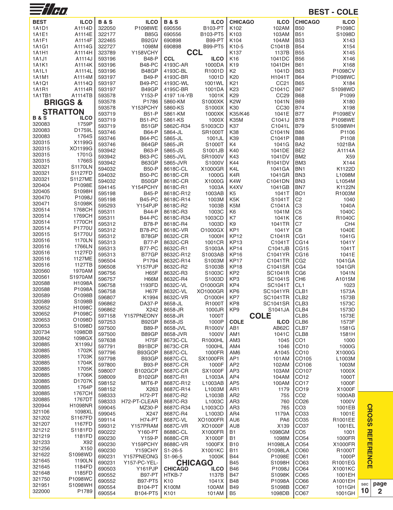| $\equiv$ $\frac{1}{1}$ $\left $ $\sigma$ $\right $ |                          |                  |                               |                       |                                 |                                    |                                    |                                  | <b>BEST - COLE</b> |
|----------------------------------------------------|--------------------------|------------------|-------------------------------|-----------------------|---------------------------------|------------------------------------|------------------------------------|----------------------------------|--------------------|
| <b>BEST</b>                                        | <b>ILCO</b>              | <b>B&amp;S</b>   | <b>ILCO</b>                   | <b>B&amp;S</b>        | <b>ILCO</b>                     | <b>CHICAGO</b>                     | <b>ILCO</b>                        | <b>CHICAGO</b>                   | <b>ILCO</b>        |
| 1A1D1                                              | A1114D                   | 322050           | P1098WE                       | 690556                | B103-PT                         | K102                               | 102AM                              | <b>B50</b>                       | P1098C             |
| 1A1E1                                              | A1114E                   | 322177           | <b>B85G</b>                   | 690556                | B103-PT5                        | K <sub>103</sub>                   | 103AM                              | <b>B51</b>                       | S1098D             |
| 1A1F1<br>1A1G1                                     | A1114F<br>A1114G         | 322465<br>322727 | B92GV<br>1098M                | 690898<br>690898      | <b>B99-PT</b><br><b>B99-PT5</b> | K104<br>K10-5                      | 104AM<br>C1041B                    | <b>B53</b><br><b>B54</b>         | X143<br>X154       |
| 1A1H1                                              | A1114H                   | 323789           | Y158VCHY                      |                       | <b>CCL</b>                      | K137                               | 1137B                              | <b>B55</b>                       | X145               |
| 1A1J1                                              | A1114J                   | 593196           | <b>B48-P</b>                  | <b>CCL</b>            | <b>ILCO</b>                     | K16                                | 1041DC                             | <b>B56</b>                       | X146               |
| <b>1A1K1</b>                                       | A1114K                   | 593196           | <b>B48-PC</b>                 | 4193C-AR              | 1000DA                          | K <sub>19</sub>                    | 1041DH                             | <b>B61</b>                       | X168               |
| 1A1L1                                              | A1114L                   | 593196           | B48GP                         | 4193C-BL              | R1001D                          | K2                                 | 1041D                              | <b>B63</b>                       | P1098CV            |
| 1A1M1                                              | A1114M<br>A1114Q         | 593197<br>593197 | <b>B49-P</b><br><b>B49-PC</b> | 4193C-BR<br>4193C-WL  | 1001D<br>1001WL                 | K <sub>20</sub><br>K <sub>21</sub> | H1041T<br>CC21                     | <b>B64</b><br><b>B65</b>         | P1098WC<br>X184    |
| 1A1Q1<br>1A1R1                                     | A1114R                   | 593197           | B49GP                         | 4195C-BR              | 1001DA                          | K23                                | C1041C                             | <b>B67</b>                       | S1098WD            |
| 1A1TB1                                             | A1114TB                  | 593578           | Y153-P                        | 4197 1/4-YB           | 1001K                           | K <sub>29</sub>                    | CC <sub>29</sub>                   | <b>B68</b>                       | P1099              |
|                                                    | <b>BRIGGS&amp;</b>       | 593578           | P1786                         | 5860-KM               | S1000XK                         | K <sub>2</sub> W                   | 1041N                              | <b>B69</b>                       | X180               |
|                                                    | <b>STRATTON</b>          | 593578           | Y153PCHY                      | 5860-KS               | S1000X                          | K30                                | CC30                               | <b>B74</b>                       | X198               |
| <b>B&amp;S</b>                                     | <b>ILCO</b>              | 593719           | <b>B51-P</b>                  | 5861-KM               | 1000XK                          | K35/K46                            | 1041E                              | <b>B77</b>                       | P1098EV            |
| 320083                                             | 1759P                    | 593719<br>593719 | <b>B51-PC</b><br>B51GP        | 5861-KS<br>5862C-R34  | 1000X<br>S1003CD                | K35M<br>K37                        | C1041J<br>C1041L                   | <b>B78</b><br><b>B79</b>         | P1098WE<br>S1098WH |
| 320083                                             | D1759L                   | 593746           | <b>B64-P</b>                  | 5864-JL               | <b>SR1000T</b>                  | K38                                | C1041N                             | <b>B86</b>                       | P1106              |
| 320083                                             | 1764S                    | 593746           | <b>B64-PC</b>                 | 5865-JL               | 1001JL                          | K39                                | C1041P                             | <b>B88</b>                       | P1108              |
| 320315                                             | X1199G                   | 593746           | B64GP                         | 5865-JR               | S1000T                          | K4                                 | 1041G                              | BA <sub>2</sub>                  | 1021BA             |
| 320315<br>320315                                   | XO1199G<br>1701G         | 593942           | <b>B63-P</b>                  | 5865-JS               | S1001JB                         | K40                                | 1041DE                             | BE <sub>2</sub>                  | A1114A             |
| 320315                                             | 1766S                    | 593942           | <b>B63-PC</b>                 | 5865-JVL              | <b>SR1000V</b>                  | K43                                | 1041DV                             | BM <sub>2</sub>                  | X59                |
| 320321                                             | <b>S1170LN</b>           | 593942<br>594032 | B63GP<br><b>B50-P</b>         | 5865-JVR<br>8618C-CL  | S1000V<br>X1000GR               | K44<br>K4L                         | R1041DV<br>1041GA                  | BM3<br>BN <sub>1</sub>           | X144<br>K1122D     |
| 320321                                             | S1127FD                  | 594032           | <b>B50-PC</b>                 | 8618C-CR              | 1000G                           | K4R                                | 1041GR                             | BN <sub>3</sub>                  | L1098M             |
| 320321                                             | <b>S1127ME</b>           | 594032           | B50GP                         | 8618C-CR              | X1000G                          | K4W                                | C1041DN                            | BN <sub>3</sub>                  | L1054M             |
| 320404                                             | P1098E                   | 594145           | Y154PCHY                      | 8618C-R1              | 1003A                           | K4XV                               | 1041GB                             | BN7                              | K1122N             |
| 320405<br>320470                                   | S1098H<br>P1098J         | 595198           | <b>B45-P</b>                  | 8618C-R12             | 1003AB                          | K5                                 | 1041T                              | BO <sub>1</sub>                  | R1003M             |
| 320471                                             | S1098K                   | 595198           | <b>B45-PC</b>                 | 8618C-R14             | 1003M                           | K <sub>5</sub> K                   | S1041T                             | C <sub>2</sub>                   | 1040               |
| 320514                                             | 1768CH                   | 595293<br>595311 | Y154PJP<br><b>B44-P</b>       | 8618C-R2              | 1003B<br>1003C                  | K <sub>5</sub> M                   | C1041A                             | C <sub>3</sub><br>C <sub>5</sub> | 1040A<br>1040C     |
| 320514                                             | 1769CH                   | 595311           | <b>B44-PC</b>                 | 8618C-R3<br>8618C-R34 | 1003CD                          | K6<br>K7                           | 1041M<br>1041K                     | C6                               | R1040C             |
| 320514                                             | 1770CH                   | 595312           | <b>B78-P</b>                  | 8618C-R4              | 1003D                           | K9                                 | 1041TR                             | C7                               | CH <sub>4</sub>    |
| 320514                                             | P1770U                   | 595312           | <b>B78-PC</b>                 | 8618C-VR              | O1000GX                         | KP <sub>1</sub>                    | 1041Y                              | C8                               | 1040E              |
| 320515<br>320516                                   | S1770U                   | 595312           | B78GP                         | 8632C-CR              | 1000H                           | <b>KP12</b>                        | C1041R                             | CG1                              | 1041G              |
| 320516                                             | 1170LN<br>1766LN         | 595313           | <b>B77-P</b>                  | 8632C-CR              | 1001CR                          | <b>KP13</b>                        | C1041T                             | CG14                             | 1041Y              |
| 320516                                             | 1127FD                   | 595313<br>595313 | B77-PC<br>B77GP               | 8632C-R1<br>8632C-R12 | S1003A<br>S1003AB               | <b>KP14</b><br><b>KP16</b>         | C1041JB<br>C1041YR                 | CG15<br>CG16                     | 1041T<br>1041E     |
| 320516                                             | 1127ME                   | 596504           | P1794                         | 8632C-R14             | S1003M                          | <b>KP17</b>                        | C1041TR                            | CG <sub>2</sub>                  | 1041GA             |
| 320516                                             | 1127TB                   | 596508           | Y157PJP                       | 8632C-R2              | S1003B                          | <b>KP18</b>                        | C1041SR                            | CG4                              | 1041GR             |
| 320560                                             | 1970AM                   | 596756           | <b>H65F</b>                   | 8632C-R3              | S1003C                          | KP <sub>2</sub>                    | <b>SC1041R</b>                     | CG <sub>6</sub>                  | 1041N              |
| 320561<br>320588                                   | S1970AM<br>H1098A        | 596757           | <b>H66M</b>                   | 8632C-R4              | S1003D                          | KP3                                | SC1041S                            | CH <sub>6</sub>                  | A1015M             |
| 320588                                             | P1098A                   | 596758           | 1193FD                        | 8632C-VL              | O1000GR                         | KP4                                | SC1041T                            | CL <sub>1</sub>                  | 1023               |
| 320589                                             | O1098B                   | 596758<br>596807 | H67F<br>K1994                 | 8632C-VL<br>8632C-VR  | XO1000GR<br>O1000H              | KP <sub>6</sub><br>KP7             | <b>SC1041YR</b><br><b>SC1041TR</b> | CLB1<br>CLB <sub>2</sub>         | 1573A<br>1573B     |
| 320589                                             | S1098B                   | 596862           | DA37-P                        | 8658-JL               | R1000T                          | KP8                                | <b>SC1041SR</b>                    | CLB <sub>3</sub>                 | 1573C              |
| 320652                                             | H1098C                   | 596862           | X242                          | 8658-JR               | 1000JR                          | KP <sub>9</sub>                    | S1041JA                            | CLB4                             | 1573D              |
| 320652                                             | P1098C                   | 597158           | Y157PNEONY                    | 8658-JR               | 1000T                           |                                    | <b>COLE</b>                        | CLB5                             | 1573E              |
| 320653<br>320653                                   | O1098D<br>S1098D         | 597253           | B92GP                         | 8658-JS               | 1000P                           | <b>COLE</b>                        | <b>ILCO</b>                        | CLB6                             | 1573F              |
| 320734                                             | 1098DB                   | 597500           | <b>B89-P</b>                  | 8658-JVL<br>8658-JVR  | R1000V                          | AB <sub>1</sub>                    | AB62C                              | CLB7                             | 1581G              |
| 320842                                             | 1098GX                   | 597500<br>597638 | B89GP<br>H75F                 | 8673C-CL              | 1000V<br>R1000HL                | AM1<br>AM <sub>3</sub>             | 1041C<br>1045                      | CLB8<br>CO <sub>1</sub>          | 1581H<br>1000      |
| 320885                                             | X1199J                   | 597791           | B91BCP                        | 8673C-CR              | 1000HL                          | AM4                                | 1046                               | CO10                             | 1000G              |
| 320885                                             | 1702K                    | 597796           | B93GOP                        | 8687C-CL              | 1000FR                          | AM6                                | A1045                              | CO10                             | X1000G             |
| 320885<br>320885                                   | 1703K<br>1704K           | 597798           | B93GP                         | 8687C-CL              | <b>SX1000FR</b>                 | AP <sub>1</sub>                    | 101AM                              | CO105                            | L1003M             |
| 320885                                             | 1705K                    | 597800           | <b>B93-P</b>                  | 8687C-CR              | 1000F                           | AP <sub>2</sub>                    | 102AM                              | CO106                            | 1003M              |
| 320885                                             | 1706K                    | 598007<br>598009 | B102GCP<br><b>B102GP</b>      | 8687C-CR<br>8687C-R1  | <b>SX1000F</b><br>L1003A        | AP3<br>AP4                         | 103AM<br>104AM                     | CO107<br>CO12                    | 1000X<br>1000T     |
| 320885                                             | D1707K                   | 598152           | MIT6-P                        | 8687C-R12             | L1003AB                         | AP <sub>5</sub>                    | 100AM                              | CO17                             | 1000F              |
| 320885                                             | 1764P                    | 598152           | X263                          | 8687C-R14             | L1003M                          | AR <sub>1</sub>                    | 1179                               | CO19                             | X1000F             |
| 320885                                             | 1767CH                   | 598333           | H72-PT                        | 8687C-R2              | L1003B                          | AR <sub>2</sub>                    | 755                                | CO <sub>2</sub>                  | 1000AB             |
| 320885<br>320944                                   | 1767DT<br><b>H1098NR</b> | 598333           | H72-PT-CLEAR                  | 8687C-R3              | L1003C                          | AR <sub>3</sub>                    | 760                                | CO <sub>26</sub>                 | 1000V              |
| 321106                                             | 1098XL                   | 599045           | <b>MZ30-P</b>                 | 8687C-R34             | L1003CD                         | AR <sub>3</sub>                    | 765                                | CO <sub>3</sub>                  | 1001EB             |
| 321202                                             | S1167FD                  | 599045<br>599114 | X247<br>H74-PT                | 8687C-R4<br>8687C-VL  | L1003D<br>XO1000FR              | AR4<br>AU6                         | 1179A<br>PA <sub>6</sub>           | CO33<br>CO35                     | 1001E<br>R1001EE   |
| 321207                                             | 1167FD                   | 599312           | Y157PRAM                      | 8687C-VR              | XO1000F                         | AU8                                | X139                               | CO37                             | 1001EL             |
| 321212                                             | S1181FD                  | 690222           | Y160-PT                       | 8688C-CL              | X1000FR                         | <b>B1</b>                          | 1098GM                             | CO <sub>5</sub>                  | 1001               |
| 321219                                             | 1181FD                   | 690230           | Y159-P                        | 8688C-CR              | X1000F                          | <b>B1</b>                          | 1098M                              | CO54                             | 1000FR             |
| 321233<br>321256                                   | X92<br>X150              | 690230           | Y159PCHY                      | 8688C-VR              | 1000FX                          | <b>B10</b>                         | <b>H1098LA</b>                     | CO <sub>54</sub>                 | X1000FR            |
| 321622                                             | S1098WD                  | 690230           | Y159CHY                       | $S1 - 26 - 5$         | X1001KC                         | <b>B11</b>                         | O1098LA                            | CO60                             | R1000T             |
| 321645                                             | 1190LN                   | 690231<br>690231 | Y157PNEONG<br>Y157-PC-YEL-    | S1-96-5               | 1000K<br><b>CHICAGO</b>         | <b>B44</b><br><b>B45</b>           | P1098E<br>S1098H                   | CO61<br>CO63                     | 1000P<br>R1001EG   |
| 321645                                             | 1184FD                   | 690503           | Y161PJP                       | <b>CHICAGO</b>        | <b>ILCO</b>                     | <b>B46</b>                         | P1098J                             | CO64                             | X1001KC            |
| 321648                                             | 1185FD                   | 690552           | <b>B97-PT</b>                 | HTKB-7                | 1137B                           | <b>B47</b>                         | S1098K                             | CO65                             | 1001EH             |
| 321750                                             | P1098WC                  | 690552           | <b>B97-PT5</b>                | K <sub>10</sub>       | 1041X                           | <b>B48</b>                         | P1098A                             | CO66                             | A1001EH            |
| 321951<br>322000                                   | S1098WH<br>P1789         | 690554           | <b>B104-PT</b>                | K100M                 | 100AM                           | <b>B49</b>                         | S1098B                             | CO67                             | 1011GH             |
|                                                    |                          | 690554           | B104-PT5                      | K <sub>101</sub>      | 101AM                           | B <sub>5</sub>                     | 1098DB                             | CO67                             | 1001GH             |

**10 page 2**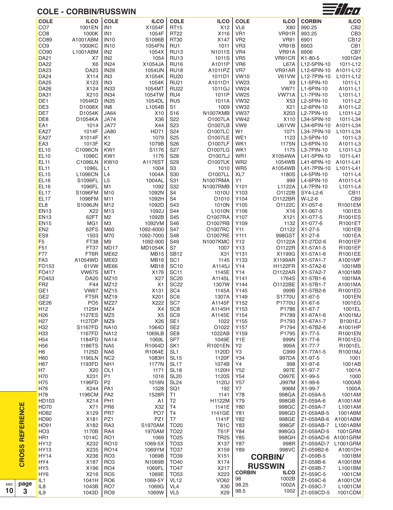### **COLE - CORBIN/RUSSWIN**



|                       | <b>COLE</b>                        | <b>ILCO</b>       | <b>COLE</b>                    | <b>ILCO</b>                | <b>COLE</b>            | <b>ILCO</b>             | <b>COLE</b>           | <b>ILCO</b>       | <b>CORBIN</b>            | <b>ILCO</b>          |
|-----------------------|------------------------------------|-------------------|--------------------------------|----------------------------|------------------------|-------------------------|-----------------------|-------------------|--------------------------|----------------------|
|                       | CO <sub>7</sub>                    | 1001EN            | IN <sub>1</sub>                | X1054F                     | <b>RT15</b>            | X12                     | VL <sub>6</sub>       | X80               | 990.25                   | CB <sub>2</sub>      |
|                       | CO <sub>8</sub>                    | 1000K             | IN <sub>1</sub>                | 1054F                      | <b>RT22</b>            | X116                    | VR <sub>1</sub>       | VR91R             | 993.25                   | CB <sub>3</sub>      |
|                       | CO89                               | A1001ABM          | <b>IN10</b>                    | S1096B                     | <b>RT30</b>            | X147                    | VR <sub>2</sub>       | <b>VR91</b>       | 6901                     | CB <sub>12</sub>     |
|                       | CO <sub>9</sub>                    | 1000KC            | <b>IN10</b>                    | 1054FN                     | RU1                    | 1011                    | VR <sub>3</sub>       | VR91B             | 6903                     | CB1                  |
|                       | CO90                               | L1001ABM          | IN <sub>2</sub>                | 1054X                      | <b>RU13</b>            | N1011S                  | VR4                   | VR91A             | 6906                     | CB7                  |
|                       | <b>DA21</b>                        | X7                | IN <sub>2</sub>                | 1054                       | <b>RU13</b>            | 1011S                   | VR <sub>5</sub>       | VR91CR            | K1-80-5                  | 1001GH               |
|                       | <b>DA22</b>                        | X <sub>6</sub>    | <b>IN24</b>                    | X1054JA                    | <b>RU16</b>            | A1011P                  | VR <sub>6</sub>       | <b>L67A</b>       | L12-5PIN-10              | 1011-L12             |
|                       | <b>DA23</b>                        | <b>DA23</b>       | <b>IN29</b>                    | 1054UN                     | <b>RU18</b>            | A1011PZ                 | VR7                   | VR91AR            | L12-6PIN-10              | A1011-L12            |
|                       | <b>DA24</b>                        | X114              | IN <sub>3</sub>                | X1054K                     | <b>RU20</b>            | 1011D1                  | <b>VW10</b>           | <b>V61VW</b>      | L12-7PIN-10              | L1011-L12            |
|                       | <b>DA25</b>                        | X123              | IN <sub>3</sub>                | 1054K                      | <b>RU21</b>            | A1011D1                 | <b>VW23</b>           | X <sub>9</sub>    | L1-5PIN-10               | 1011-L1              |
|                       | <b>DA26</b>                        | X124              | IN <sub>33</sub>               | 1054MT                     | <b>RU22</b>            | 1011GJ                  | <b>VW24</b>           | <b>VW71</b>       | L1-6PIN-10               | A1011-L1             |
|                       | <b>DA31</b>                        | X210              | <b>IN34</b>                    | 1054TW                     | RU4                    | 1011P                   | <b>VW25</b>           | VW71A             | L1-7PIN-10               | L1011-L1             |
|                       | DE1                                | 1054KD            | <b>IN35</b>                    | 1054DL                     | RU <sub>5</sub>        | 1011A                   | <b>VW32</b>           | X53               | L2-5PIN-10               | 1011-L2              |
|                       | DE3                                | D1098X            | IN <sub>8</sub>                | L1054B                     | S <sub>1</sub>         | 1009                    | <b>VW32</b>           | X21               | L2-6PIN-10               | A1011-L2             |
|                       | DE7                                | D1054K            | <b>JA64</b>                    | X10                        | S <sub>16</sub>        | N1007KMB                | <b>VW37</b>           | X203              | L2-7PIN-10               | L1011-L2             |
|                       | DE8                                | D1054KA           | <b>JA74</b>                    | X36                        | S22                    | O1007LA                 | <b>VW42</b>           | X110              | L34-5PIN-10              | 1011-L34             |
|                       | EA1                                | 1014              | <b>JA77</b>                    | X44                        | S <sub>23</sub>        | O1007LB                 | VW9                   | <b>U61VW</b>      | L34-6PIN-10              | A1011-L34            |
|                       | <b>EA27</b>                        | 1014F             | <b>JA80</b>                    | <b>HD71</b>                | S24                    | O1007LC<br>O1007LE      | W <sub>1</sub>        | 1071              | L34-7PIN-10              | L1011-L34            |
|                       | <b>EA27</b><br>EA <sub>3</sub>     | X1014F<br>1013F   | K1<br>K <sub>2</sub>           | 1079<br>1079B              | S <sub>25</sub><br>S26 | O1007LF                 | WE1<br>WK1            | 1123<br>1175N     | L3-5PIN-10<br>L3-6PIN-10 | 1011-L3<br>A1011-L3  |
|                       | <b>EL10</b>                        | C1096CN           | KW1                            | S1176                      | S <sub>27</sub>        | O1007LG                 | WK1                   | 1175              | L3-7PIN-10               | L1011-L3             |
|                       | <b>EL10</b>                        | 1096C             | KW1                            | 1176                       | <b>S28</b>             | O1007LJ                 | WR1                   | X1054WA           | L41-5PIN-10              | 1011-L41             |
|                       | <b>EL11</b>                        | C1096LN           | <b>KW10</b>                    | A1176ST                    | S29                    | O1007LK                 | WR <sub>2</sub>       | 1054WB            | L41-6PIN-10              | A1011-L41            |
|                       | EL <sub>11</sub>                   | 1096L             | L1                             | 1004                       | S <sub>3</sub>         | 1010                    | WR5                   | A1054WB           | L41-7PIN-10              | L1011-L41            |
|                       | EL <sub>15</sub>                   | L1096CN           | L4                             | 1004A                      | S30                    | O1007LL                 | XL7                   | 1180S             | L4-5PIN-10               | 1011-L4              |
|                       | <b>EL16</b>                        | S1096FL           | L <sub>5</sub>                 | 1004AL                     | S31                    | N1007RMA                | Y1                    | 999               | L4-6PIN-10               | A1011-L4             |
|                       | <b>EL16</b>                        | 1096FL            | M1                             | 1092                       | S32                    | N1007RMB                | Y101                  | L1122A            | L4-7PIN-10               | L1011-L4             |
|                       | EL <sub>17</sub>                   | S1096FM           | M10                            | 1092N                      | S4                     | 1010U                   | Y103                  | O1122B            | SY4-L2-6                 | CB <sub>11</sub>     |
|                       | EL17                               | 1096FM            | M11                            | 1092H                      | S4                     | O1010                   | Y104                  | O1122BR           | W-L2-6                   | CB9                  |
|                       | EL8                                | S1096JN           | M12                            | 1092D                      | S43                    | 1010N                   | Y105                  | O1122C            | X1-057-6                 | R1001EM              |
|                       | <b>EN13</b>                        | X22               | M13                            | 1092J                      | S44                    | L1010N                  | Y106                  | X16               | X1-067-5                 | 1001ES               |
|                       | <b>EN13</b>                        | 62FT              | M <sub>2</sub>                 | 1092B                      | S45                    | O1007RA                 | Y107                  | X121              | X1-077-5                 | R1001ES              |
|                       | <b>EN15</b>                        | MG1               | M <sub>3</sub>                 | 1092VM                     | S46                    | O1007RB                 | Y109                  | 1132              | X1-077-6                 | R1001ET              |
|                       | EN <sub>2</sub>                    | 62FS              | M60                            | 1092-6000                  | S47                    | O1007RC                 | Y11                   | O1122             | X1-27-5                  | 1001EB               |
|                       | ES9                                | 1503              | M70                            | 1092-7000                  | S48                    | O1007RE                 | Y111                  | 998GST            | X1-27-6                  | 1001EA               |
|                       | F <sub>5</sub>                     | FT38              | M <sub>9</sub>                 | 1092-900                   | S49                    | <b>N1007KMC</b>         | Y12                   | O1122A            | X1-27D2-6                | R1001EP              |
|                       | F51<br>F77                         | FT37              | MD17<br><b>ME62</b>            | <b>MD1054K</b>             | S7<br><b>SB12</b>      | 1007                    | Y13                   | O1122R            | X1-57A1-5                | R1001EF              |
|                       | FA <sub>3</sub>                    | FT6R<br>A1054WD   | <b>ME63</b>                    | <b>MB15</b><br><b>MB16</b> | SC <sub>1</sub>        | X <sub>31</sub><br>1145 | Y131<br>Y133          | X1199G<br>X1199AR | X1-57A1-6<br>X1-57A1-7   | R1001EE<br>A1001MF   |
|                       | FO153                              | 61VW              | <b>ME66</b>                    | <b>MB18</b>                | <b>SC10</b>            | A1145J                  | Y14                   | <b>H1122FR</b>    | X1-57A2-6                | 1001MB               |
|                       | FO417                              | <b>VW67S</b>      | MIT <sub>1</sub>               | X176                       | <b>SC11</b>            | 1145E                   | Y14                   | O1122AR           | X1-57A2-7                | A1001MB              |
|                       | FO453                              | <b>DA20</b>       | MZ10                           | X27                        | <b>SC20</b>            | A1145L                  | Y141                  | 1764S             | X1-57B1-6                | 1001MA               |
|                       | FR <sub>2</sub>                    | F44               | MZ12                           | X <sub>1</sub>             | <b>SC22</b>            | 1307W                   | Y144                  | O1122BE           | X1-57B1-7                | A1001MA              |
|                       | GE <sub>1</sub>                    | <b>VW67</b>       | MZ15                           | X131                       | SC <sub>4</sub>        | 1145A                   | Y145                  | 999B              | X1-57B2-6                | R1001ED              |
|                       | GE <sub>2</sub>                    | FT <sub>5</sub> R | MZ19                           | X201                       | SC <sub>6</sub>        | 1307A                   | Y149                  | S1770U            | X1-67-5                  | 1001EN               |
|                       | GE <sub>26</sub>                   | PO <sub>5</sub>   | MZ27                           | X222                       | SC7                    | A1145F                  | Y152                  | P1770U            | X1-67-6                  | 1001EG               |
|                       | H <sub>12</sub>                    | 1125H             | MZ4                            | X4                         | SC <sub>8</sub>        | A1145H                  | Y153                  | P1786             | X1-67-7                  | 1001EL               |
|                       | H <sub>26</sub>                    | 1127ES            | MZ <sub>5</sub>                | X <sub>5</sub>             | SC <sub>9</sub>        | A1145E                  | Y154                  | P1789             | X1-67A1-6                | A1001MJ              |
|                       | H <sub>27</sub>                    | 1127DP            | MZ9                            | X26                        | SE <sub>1</sub>        | 1022                    | Y155                  | P1793             | X1-67A1-7                | B1001EJ              |
|                       | H32                                | S1167FD           | <b>NA10</b>                    | 1064D                      | SE <sub>2</sub>        | O1022                   | Y157                  | P1794             | X1-67B2-6                | A1001HP              |
|                       | H33                                | 1167FD            | <b>NA12</b>                    | 1069LB                     | SE8                    | 1022AB<br>1049E         | Y159                  | P1795             | X1-77-5                  | R1001EN              |
|                       | H <sub>54</sub><br>H <sub>56</sub> | 1184FD<br>1186TS  | <b>NA14</b><br>NA <sub>5</sub> | 1069L<br>R1064D            | SF7<br>SK <sub>1</sub> | R1001EN                 | Y1E<br>Y <sub>2</sub> | 999N<br>999A      | X1-77-6<br>X1-77-7       | R1001EG<br>R1001EL   |
|                       | H <sub>6</sub>                     | 1125D             | NA6                            | R1064E                     | SL <sub>1</sub>        | 1120D                   | Y3                    | C999              | X1-77A1-5                | R1001MJ              |
|                       | H60                                | 1190LN            | NC <sub>2</sub>                | 1083H                      | <b>SL15</b>            | 1120F                   | Y34                   | 997DA             | X1-97-5                  | 1001                 |
|                       | H67                                | 1193FD            | NH <sub>1</sub>                | 1177N                      | SL <sub>17</sub>       | 1074B                   | Y4                    | 998               | X1-97-6                  | 1001AB               |
|                       | H7                                 | X20               | OL <sub>1</sub>                | 1171                       | <b>SL18</b>            | 1120H                   | Y52                   | 997E              | X1-97-7                  | 1001A                |
|                       | H70                                | X231              | P1                             | 1016                       | <b>SL20</b>            | 1120S                   | Y54                   | <b>O997E</b>      | X1-99-5                  | 1000                 |
|                       | H75                                | 1196FD            | P <sub>2</sub>                 | 1016N                      | <b>SL24</b>            | 1120J                   | Y57                   | <b>J997M</b>      | X1-99-6                  | 1000AB               |
|                       | H76                                | X244              | PA <sub>1</sub>                | 1528                       | SQ <sub>1</sub>        | 192                     | Y7                    | 996M              | X1-99-7                  | 1000A                |
|                       | H78                                | 1196CM            | PA <sub>2</sub>                | 1528R                      | T1                     | 1141                    | Y78                   | 998GA             | Z1-059A-5                | 1001AM               |
|                       | HD103                              | X214              | PH <sub>1</sub>                | A1                         | T <sub>2</sub>         | H1122M                  | Y79                   | 998GB             | Z1-059A-6                | A1001AM              |
|                       | <b>HD70</b>                        | X71               | PR <sub>6</sub>                | X32                        | T4                     | 1141E                   | Y80                   | 998GC             | Z1-059A-7                | L1001AM              |
|                       | <b>HD82</b>                        | X129              | PR7                            | PO <sub>7</sub>            | T4                     | 1141GE                  | Y81                   | 998GD             | Z1-059AB-5               | 1001ABM              |
|                       | <b>HD90</b><br><b>HD91</b>         | X181<br>X182      | PZ1<br>RA3                     | PZ1<br>S1970AM             | T7<br><b>TO20</b>      | 1141F<br><b>T61C</b>    | Y82<br>Y83            | 998GE<br>998GF    | Z1-059AB-6<br>Z1-059AB-7 | A1001ABM<br>L1001ABM |
|                       | HO <sub>3</sub>                    | 1170B             | RA4                            | 1970AM                     | <b>TO22</b>            | <b>T61F</b>             | Y84                   | 998GG             | Z1-059AD-5               | 1001GRM              |
| <b>REFERENCE</b>      | HR1                                | 1014C             | RO <sub>1</sub>                | 1069                       | <b>TO25</b>            | <b>TR25</b>             | Y85                   | 998GH             | Z1-059AD-6 A1001GRM      |                      |
|                       | <b>HY12</b>                        | X232              | <b>RO10</b>                    | 1069-5X                    | <b>TO33</b>            | X137                    | Y87                   | 998R              | Z1-059AD-7               | L1001GRM             |
| $\boldsymbol{\omega}$ | <b>HY13</b>                        | X235              | <b>RO14</b>                    | 1069YM                     | <b>TO37</b>            | X159                    | Y89                   | 998VC             | Z1-059B2-6               | A1001DH              |
| <b>CROS</b>           | HY14                               | X236              | RO <sub>3</sub>                | 1069B                      | TO39                   | X151                    |                       | <b>CORBIN/</b>    | Z1-059B-5                | 1001BM               |
|                       | HY4                                | X187              | RO <sub>3</sub>                | N1069B                     | TO40                   | X174                    |                       |                   | Z1-059B-6                | A1001BM              |
|                       | HY <sub>5</sub>                    | X196              | RO <sub>4</sub>                | 1069FL                     | <b>TO47</b>            | X217                    |                       | <b>RUSSWIN</b>    | Z1-059B-7                | L1001BM              |
|                       | HY <sub>6</sub>                    | X216              | RO <sub>5</sub>                | 1069E                      | <b>TO53</b>            | X223                    | <b>CORBIN</b>         | <b>ILCO</b>       | Z1-059C-5                | 1001CM               |
|                       | IL1                                | 1041H             | RO <sub>6</sub>                | 1069-5Y                    | <b>VL12</b>            | <b>VO62</b>             | 98                    | 1002B             | Z1-059C-6                | A1001CM              |
| page                  | IL8                                | 1043B             | RO <sub>7</sub>                | 1069G                      | VL <sub>4</sub>        | X30                     | 98.25                 | 1002A<br>1002     | Z1-059C-7                | L1001CM              |
| 3                     | IL <sub>9</sub>                    | 1043D             | RO <sub>9</sub>                | 1069W                      | VL <sub>5</sub>        | X29                     | 98.5                  |                   | Z1-059CD-5               | 1001CDM              |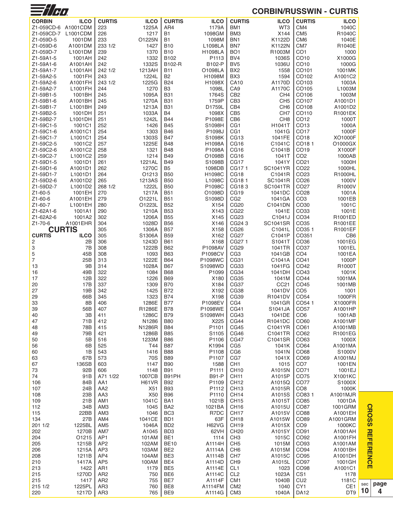| <b>CORBIN/RUSSWIN - CURTIS</b> |  |
|--------------------------------|--|
|--------------------------------|--|

| $\equiv$ /H $\eta$     |                                             |                        |                 |                                    |                           |                                      | <b>CORBIN/RUSSWIN - CURTIS</b> |                                      |                   |
|------------------------|---------------------------------------------|------------------------|-----------------|------------------------------------|---------------------------|--------------------------------------|--------------------------------|--------------------------------------|-------------------|
| <b>CORBIN</b>          | <b>ILCO</b>                                 | <b>CURTIS</b>          | <b>ILCO</b>     | <b>CURTIS</b>                      | <b>ILCO</b>               | <b>CURTIS</b>                        | <b>ILCO</b>                    | <b>CURTIS</b>                        | <b>ILCO</b>       |
| Z1-059CD-6 A1001CDM    |                                             | 223                    | 1225A           | AR4                                | 1179A                     | BM <sub>1</sub>                      | WT3                            | CM <sub>4</sub>                      | 1040C             |
| Z1-059CD-7             | L1001CDM                                    | 226                    | 1217            | <b>B1</b>                          | 1098GM                    | BM <sub>3</sub>                      | X144                           | CM <sub>5</sub>                      | R1040C            |
| Z1-059D-5              | 1001DM                                      | 233                    | O1225N          | <b>B1</b>                          | 1098M                     | BN <sub>1</sub>                      | K1122D                         | CM <sub>6</sub>                      | 1040E             |
| Z1-059D-6<br>Z1-059D-7 | A1001DM<br>L1001DM                          | 233 1/2<br>239         | 1427<br>1370    | <b>B10</b><br><b>B10</b>           | L1098LA<br><b>H1098LA</b> | BN7<br>BO <sub>1</sub>               | K1122N<br>R1003M               | CM <sub>7</sub><br>CO <sub>1</sub>   | R1040E<br>1000    |
| Z1-59A1-5              | 1001AH                                      | 242                    | 1332            | B102                               | P1113                     | BV4                                  | 1036S                          | CO <sub>10</sub>                     | X1000G            |
| Z1-59A1-6              | A1001AH                                     | 242                    | 1332S           | B102-R                             | B102-P                    | BV <sub>5</sub>                      | 1036U                          | CO10                                 | 1000G             |
| Z1-59A1-7              | L1001AH                                     | 242 1/2                | 1213AH          | <b>B11</b>                         | O1098LA                   | BX <sub>2</sub>                      | 1558                           | CO <sub>101</sub>                    | 1001MK            |
| Z1-59A2-5              | 1001FH                                      | 243                    | 1224L           | <b>B2</b>                          | H1098M                    | BX3                                  | 1594                           | CO102                                | A1001C2           |
| Z1-59A2-6              | A1001FH                                     | 243 1/2                | 1225G           | <b>B24</b>                         | H1098X                    | <b>CA10</b>                          | A1170D                         | CO103                                | 1003A             |
| Z1-59A2-7<br>Z1-59B1-5 | L1001FH<br>1001BH                           | 244<br>245             | 1270<br>1095A   | B <sub>3</sub><br><b>B31</b>       | 1098L<br>1764S            | CA <sub>9</sub><br>CB <sub>2</sub>   | A1170C<br>CH <sub>4</sub>      | CO105<br>CO106                       | L1003M<br>1003M   |
| Z1-59B1-6              | A1001BH                                     | 245                    | 1270A           | <b>B31</b>                         | 1759P                     | CB <sub>3</sub>                      | CH <sub>5</sub>                | CO107                                | A1001D1           |
| Z1-59B1-7              | L1001BH                                     | 249                    | 1213A           | <b>B31</b>                         | D1759L                    | CB4                                  | CH <sub>6</sub>                | CO108                                | A1001D2           |
| Z1-59B2-5              | 1001DH                                      | 251                    | 1033A           | <b>B4</b>                          | 1098X                     | CB <sub>5</sub>                      | CH <sub>7</sub>                | CO110                                | R1001EK           |
| Z1-59B2-7              | L1001DH                                     | 251                    | 1242L           | <b>B44</b>                         | P1098E                    | CB <sub>6</sub>                      | CH <sub>8</sub>                | CO12                                 | 1000T             |
| Z1-59C1-5<br>Z1-59C1-6 | 1001C1<br>A1001C1                           | 252<br>254             | 1426<br>1303    | <b>B45</b><br><b>B46</b>           | S1098H<br>P1098J          | CG <sub>1</sub><br>CG <sub>1</sub>   | H1041T<br>1041G                | CO13<br>CO17                         | 1000A<br>1000F    |
| Z1-59C1-7              | L <sub>1001</sub> C <sub>1</sub>            | 254                    | 1303S           | <b>B47</b>                         | S1098K                    | CG <sub>13</sub>                     | 1041FE                         | CO18                                 | XO1000F           |
| Z1-59C2-5              | 1001C2                                      | 257                    | 1225E           | <b>B48</b>                         | H1098A                    | CG <sub>16</sub>                     | C1041C                         | CO <sub>18</sub> 1                   | O1000GX           |
| Z1-59C2-6              | A1001C2                                     | 258                    | 1321            | <b>B48</b>                         | P1098A                    | CG16                                 | C1041B                         | CO <sub>19</sub>                     | X1000F            |
| Z1-59C2-7              | L1001C2                                     | 259                    | 1214            | <b>B49</b>                         | O1098B                    | CG16                                 | 1041T                          | CO <sub>2</sub>                      | 1000AB            |
| Z1-59D1-5              | 1001D1                                      | 261                    | 1221AL          | <b>B49</b>                         | S1098B                    | CG17                                 | 1041Y                          | CO21                                 | 1000H             |
| Z1-59D1-6<br>Z1-59D1-7 | A1001D1<br>L <sub>1001</sub> D <sub>1</sub> | 262<br>264             | 1270C<br>O1213  | B <sub>5</sub><br><b>B50</b>       | 1098DB<br>H1098C          | CG171<br>CG18                        | <b>SC1041YR</b><br>C1041R      | CO <sub>22</sub><br>CO <sub>23</sub> | 1000HL<br>R1000HL |
| Z1-59D2-6              | A1001D2                                     | 265                    | 1213AS          | <b>B50</b>                         | L1098C                    | CG181                                | SC1041R                        | CO <sub>26</sub>                     | 1000V             |
| Z1-59D2-7              | L1001D2                                     | 268 1/2                | 1222L           | <b>B50</b>                         | P1098C                    | CG183                                | <b>SC1041TR</b>                | CO <sub>27</sub>                     | R1000V            |
| $Z1 - 60 - 5$          | 1001EH                                      | 270                    | 1217A           | <b>B51</b>                         | O1098D                    | CG19                                 | 1041DC                         | CO <sub>28</sub>                     | 1001A             |
| Z1-60-6                | A1001EH                                     | 279                    | O1221L          | <b>B51</b>                         | S1098D                    | CG <sub>2</sub>                      | 1041GA                         | CO <sub>3</sub>                      | 1001EB            |
| Z1-60-7                | L1001EH                                     | 280                    | O1223L          | <b>B52</b>                         | X154                      | <b>CG20</b><br><b>CG22</b>           | C1041DN                        | CO30<br>CO33                         | 1001C             |
| Z1-62A1-6<br>Z1-62A2-6 | 1001A1<br>1001A2                            | 290<br>302             | 1210A<br>1206A  | <b>B53</b><br><b>B55</b>           | X143<br>X145              | CG <sub>23</sub>                     | 1041E<br>C1041J                | CO34                                 | 1001E<br>R1001ED  |
| Z1-70-6                | A1001EHR                                    | 304                    | 1028D           | <b>B56</b>                         | X146                      | CG243                                | <b>SC1041SR</b>                | CO <sub>35</sub>                     | R1001EE           |
|                        | <b>CURTIS</b>                               | 305                    | 1306A           | <b>B57</b>                         | X158                      | CG <sub>26</sub>                     | C1041L                         | CO <sub>35</sub> 1                   | R1001EF           |
| <b>CURTIS</b>          | <b>ILCO</b>                                 | 305                    | S1306A          | <b>B59</b>                         | X162                      | CG27                                 | C1041P                         | CO351                                | CB <sub>6</sub>   |
| 2<br>3                 | 2B<br>7B                                    | 306<br>308             | 1243D<br>1222B  | <b>B61</b><br><b>B62</b>           | X168<br>P1098AV           | CG271<br>CG <sub>29</sub>            | S1041T<br>1041TR               | CO <sub>36</sub><br>CO37             | 1001EG<br>1001EL  |
| 5                      | 45B                                         | 308                    | 1093            | <b>B63</b>                         | P1098CV                   | CG <sub>3</sub>                      | 1041GB                         | CO <sub>4</sub>                      | 1001EA            |
| $\overline{7}$         | 25B                                         | 313                    | 1222E           | <b>B64</b>                         | P1098WC                   | CG31                                 | C1041A                         | CO41                                 | 1000P             |
| 13                     | <b>9B</b>                                   | 314                    | 1028A           | <b>B67</b>                         | S1098WD                   | CG33                                 | 1041FG                         | CO42                                 | R1000T            |
| 16                     | 49B                                         | 322                    | 1084            | <b>B68</b>                         | P <sub>1099</sub>         | <b>CG34</b>                          | 1041DH                         | CO43                                 | 1001K             |
| 17<br>20               | 12B<br>17B                                  | 322<br>337             | 1226<br>1309    | <b>B69</b><br><b>B70</b>           | X180<br>X184              | CG35<br>CG37                         | 1041M<br>CC <sub>21</sub>      | CO44<br>CO45                         | 1001MA<br>1001MB  |
| 27                     | 19B                                         | 342                    | 1425            | <b>B72</b>                         | X192                      | CG38                                 | 1041DV                         | CO <sub>5</sub>                      | 1001              |
| 29                     | 66B                                         | 345                    | 1323            | <b>B74</b>                         | X198                      | CG39                                 | R1041DV                        | CO <sub>54</sub>                     | 1000FR            |
| 33                     | 8B                                          | 406                    | 1286E           | <b>B77</b>                         | P1098EV                   | CG4                                  | 1041GR                         | CO54 1                               | X1000FR           |
| 39<br>40               | 56B<br>3B                                   | 407<br>411             | R1286E<br>1286C | <b>B78</b><br><b>B79</b>           | P1098WE<br>S1098WH        | CG41<br><b>CG43</b>                  | S1041JA<br>1041DE              | CO <sub>57</sub><br>CO <sub>6</sub>  | A1001HP<br>1001AB |
| 47                     | 71B                                         | 412                    | N1286           | <b>B80</b>                         | X225                      | CG44                                 | R1041DC                        | CO60                                 | A1001MF           |
| 48                     | 78B                                         | 415                    | N1286R          | <b>B84</b>                         | P1101                     | <b>CG45</b>                          | C1041YR                        | CO61                                 | A1001MB           |
| 49                     | 79B                                         | 421                    | 1286B           | <b>B85</b>                         | S1105                     | CG46                                 | C1041TR                        | CO62                                 | R1001EG           |
| 50                     | 5B                                          | 516                    | 1233M           | <b>B86</b>                         | P1106                     | <b>CG47</b>                          | C1041SR                        | CO63                                 | 1000X             |
| 56                     | 6B<br>1B                                    | 525<br>543             | T44<br>1416     | <b>B87</b><br><b>B88</b>           | K1994<br>P1108            | CG <sub>5</sub><br>CG <sub>6</sub>   | 1041K<br>1041N                 | CO64<br>CO68                         | A1001MA<br>S1000V |
| 60<br>63               | 67B                                         | 573                    | 70S             | <b>B89</b>                         | P1107                     | CG7                                  | 1041X                          | CO69                                 | A1001MJ           |
| 67                     | 136SB                                       | 603                    | 1147            | <b>B90</b>                         | 1588                      | CH <sub>1</sub>                      | 1015                           | CO <sub>7</sub>                      | 1001EN            |
| 73                     | 92B                                         | 606                    | 1148            | <b>B91</b>                         | P1111                     | <b>CH10</b>                          | A1015N                         | CO71                                 | 1001EJ            |
| 74                     | 91B                                         | A71 1/22               | 1007CB          | B91PH                              | <b>B91-P</b>              | CH <sub>11</sub>                     | A1015P                         | CO75                                 | X1001KC           |
| 106                    | 84B                                         | AA1                    | H61VR           | <b>B92</b>                         | P1109                     | <b>CH12</b>                          | A1015Q                         | CO77                                 | S1000X            |
| 107<br>108             | 24B<br>23B                                  | AA <sub>2</sub><br>AA3 | X51<br>X50      | <b>B93</b><br><b>B96</b>           | P1112<br>P1110            | CH <sub>13</sub><br>CH <sub>14</sub> | A1015R<br>A1015S               | CO <sub>8</sub><br>CO83 1            | 1000K<br>A1001MJR |
| 109                    | 21B                                         | AM1                    | 1041C           | BA1                                | 1021B                     | CH <sub>15</sub>                     | A1015T                         | CO85                                 | 1001DA            |
| 112                    | 34B                                         | AM <sub>3</sub>        | 1045            | BA <sub>2</sub>                    | 1021BA                    | CH <sub>16</sub>                     | A1015U                         | CO87                                 | 1001GRM           |
| 115                    | 22BB                                        | AM <sub>3</sub>        | 1046            | BC <sub>3</sub>                    | R7DC                      | CH <sub>17</sub>                     | A1015V                         | CO88                                 | A1001EH           |
| 134                    | 27B                                         | AM4                    | 1041CE          | BD1                                | 63F                       | CH <sub>18</sub>                     | A1015W                         | CO89                                 | A1001GRM          |
| 201 1/2<br>202         | 1225BL<br>1270B                             | AM <sub>5</sub><br>AM7 | 1046A<br>A1045  | BD <sub>2</sub><br>BD <sub>3</sub> | <b>H62VG</b><br>62VH      | <b>CH19</b><br><b>CH20</b>           | A1015X<br>A1015Y               | CO <sub>9</sub><br>CO91              | 1000KC<br>A1001AH |
| 204                    | O1215                                       | AP <sub>1</sub>        | 101AM           | BE <sub>1</sub>                    | 1114                      | CH <sub>3</sub>                      | 1015C                          | CO92                                 | A1001FH           |
| 205                    | 1215B                                       | AP <sub>2</sub>        | 102AM           | <b>BE10</b>                        | A1114H                    | CH <sub>5</sub>                      | 1015M                          | CO93                                 | A1001AM           |
| 206                    | 1215A                                       | AP3                    | 103AM           | BE <sub>2</sub>                    | A1114A                    | CH <sub>6</sub>                      | A1015M                         | CO94                                 | A1001BH           |
| 208                    | 1211B                                       | AP4                    | 104AM           | BE <sub>3</sub>                    | A1114B                    | CH <sub>7</sub>                      | A1015C                         | CO95                                 | A1001DH           |
| 210<br>213             | 1417A<br>1422                               | AP <sub>5</sub><br>AR1 | 100AM<br>1179   | BE4<br>BE <sub>5</sub>             | A1114D<br>A1114E          | CH <sub>9</sub><br>CL <sub>1</sub>   | A1015L<br>1023                 | CO97<br>CO98                         | 1001GH<br>A1001C1 |
| 215                    | 1270D                                       | AR <sub>2</sub>        | 750             | BE <sub>6</sub>                    | A1114C                    | CL <sub>2</sub>                      | 1023A                          | CS1                                  | 1178              |
| 215                    | 1417                                        | AR <sub>2</sub>        | 755             | BE7                                | A1114F                    | CM <sub>1</sub>                      | 1040B                          | CU <sub>2</sub>                      | 1181C             |
| 215 1/2                | 1225PL                                      | AR <sub>3</sub>        | 760             | BE8                                | A1114FM                   | CM <sub>2</sub>                      | 1040                           | CY <sub>1</sub>                      | CE1               |
| 220                    | 1217D                                       | AR <sub>3</sub>        | 765             | BE <sub>9</sub>                    | A1114G                    | CM <sub>3</sub>                      | 1040A                          | <b>DA12</b>                          | DT9               |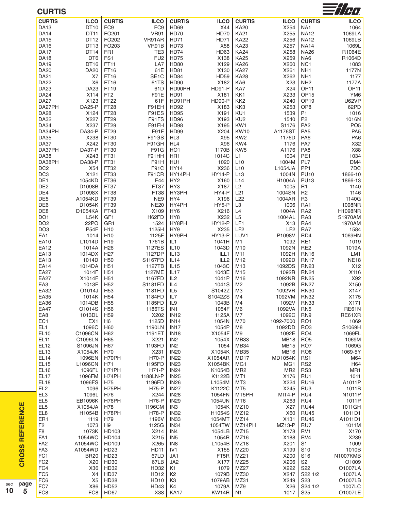| <b>CURTIS</b>                   |                          |                                    |                          |                                  |                           |                            |                       |                            | — 1777.            |
|---------------------------------|--------------------------|------------------------------------|--------------------------|----------------------------------|---------------------------|----------------------------|-----------------------|----------------------------|--------------------|
| <b>CURTIS</b>                   | <b>ILCO</b>              | <b>CURTIS</b>                      | <b>ILCO</b>              | <b>CURTIS</b>                    | <b>ILCO</b>               | <b>CURTIS</b>              | <b>ILCO</b>           | <b>CURTIS</b>              | <b>ILCO</b>        |
| <b>DA13</b>                     | DT10                     | FC <sub>9</sub>                    | FC <sub>9</sub>          | HD69                             | X44                       | <b>KA20</b>                | X254                  | NA1                        | 1064               |
| <b>DA14</b>                     | DT11                     | FO201                              | <b>VR91</b>              | <b>HD70</b>                      | <b>HD70</b>               | <b>KA21</b>                | X255                  | <b>NA12</b>                | 1069LA             |
| <b>DA15</b>                     | DT12<br>DT <sub>13</sub> | FO202                              | VR91AR                   | HD71                             | HD71                      | <b>KA22</b>                | X256                  | <b>NA12</b>                | 1069LB             |
| <b>DA16</b><br><b>DA17</b>      | DT <sub>14</sub>         | FO203<br>FR <sub>1</sub>           | VR91B<br>TE <sub>3</sub> | HD73<br>HD74                     | X58<br>HD63               | <b>KA23</b><br><b>KA24</b> | X257<br>X258          | <b>NA14</b><br><b>NA26</b> | 1069L<br>R1064E    |
| <b>DA18</b>                     | DT6                      | FS1                                | FU <sub>2</sub>          | <b>HD75</b>                      | X138                      | <b>KA25</b>                | X259                  | NA6                        | R1064D             |
| <b>DA19</b>                     | DT16                     | FT11                               | LA7                      | <b>HD80</b>                      | X129                      | <b>KA26</b>                | X260                  | NC <sub>1</sub>            | 1083               |
| <b>DA20</b>                     | <b>DA20</b>              | FT16                               | 61E                      | <b>HD81</b>                      | X130                      | <b>KA27</b>                | X261                  | NH1                        | 1177N              |
| <b>DA21</b>                     | X7                       | FT16                               | SE <sub>1</sub> C        | HD84                             | <b>HD59</b>               | <b>KA28</b>                | X262                  | NH1                        | 1177               |
| <b>DA22</b>                     | X <sub>6</sub>           | FT16                               | 61TS                     | HD90                             | X182                      | KA6                        | X23                   | NH <sub>2</sub>            | 1177A              |
| <b>DA23</b>                     | DA <sub>23</sub>         | FT19                               | 61D                      | HD90PH                           | <b>HD91-P</b>             | KA7                        | X24                   | OP <sub>11</sub>           | OP <sub>11</sub>   |
| <b>DA24</b>                     | X114                     | FT <sub>2</sub>                    | F91E                     | HD91                             | X181                      | KK1                        | X233                  | OP <sub>15</sub>           | YM <sub>6</sub>    |
| DA <sub>27</sub>                | X123                     | FT22                               | 61F                      | HD91PH                           | HD90-P                    | KK <sub>2</sub>            | X240                  | OP <sub>19</sub>           | <b>U62VP</b>       |
| DA27PH                          | <b>DA25-P</b>            | <b>FT28</b>                        | F91EH                    | <b>HD92</b>                      | X183                      | KK3                        | X253                  | OP <sub>8</sub>            | 62PD               |
| <b>DA28</b>                     | X124                     | <b>FT28</b>                        | F91ES                    | <b>HD95</b>                      | X191                      | KU1                        | 1539                  | <b>P1</b>                  | 1016               |
| <b>DA32</b>                     | X227                     | FT29                               | F91FS                    | HD96                             | X193                      | KU2                        | 1540                  | P <sub>2</sub>             | 1016N              |
| <b>DA34</b>                     | X237                     | FT29                               | F91FH                    | HD98                             | X195                      | KW1                        | S1176                 | PA <sub>2</sub>            | PO <sub>5</sub>    |
| DA34PH                          | DA34-P                   | FT <sub>29</sub>                   | F91F                     | HD99                             | X204                      | <b>KW10</b>                | A1176ST               | PA <sub>5</sub>            | PA <sub>5</sub>    |
| <b>DA35</b>                     | X238                     | FT30                               | F91GS                    | HL3                              | X95                       | KW <sub>2</sub>            | 1176D                 | PA <sub>6</sub>            | PA <sub>6</sub>    |
| <b>DA37</b>                     | X242                     | FT30                               | F91GH                    | HL4                              | X96                       | KW4                        | 1176                  | PA7                        | X32                |
| DA37PH                          | DA37-P                   | FT30                               | F91G                     | HO <sub>1</sub>                  | 1170B                     | KW <sub>5</sub>            | A1176                 | PA <sub>8</sub>            | X88                |
| <b>DA38</b><br>DA38PH           | X243<br>DA38-P           | FT31<br>FT31                       | F91HH<br>F91H            | HR1<br>HU1                       | 1014C<br>1020             | L1<br>L <sub>10</sub>      | 1004<br>1004M         | PE <sub>1</sub><br>PL7     | 1034<br>DM4        |
| DC <sub>2</sub>                 |                          | FT32                               | <b>F91C</b>              | HY14                             | X236                      | L10                        | L1054JA               | PP <sub>1</sub>            | 7DC                |
| DC3                             | X54<br>X121              | FT33                               | F91CR                    | HY14PH                           | <b>HY14-P</b>             | L13                        | 1004N                 | <b>PU10</b>                | 1866-10            |
| DE1                             | 1054KD                   | FT36                               | F44                      | HY <sub>2</sub>                  | X160                      | L14                        | H1004A                | <b>PU13</b>                | 1866-13            |
| DE <sub>2</sub>                 | D1098B                   | FT37                               | FT37                     | HY3                              | X187                      | L2                         | 1005                  | R1                         | 1140               |
| DE4                             | D1098X                   | FT38                               | FT38                     | HY3PH                            | HY4-P                     | L21                        | 1004SN                | R <sub>2</sub>             | 1146               |
| DE <sub>5</sub>                 | A1054KD                  | FT39                               | NE9                      | HY4                              | X196                      | L <sub>22</sub>            | 1004AR                | R <sub>3</sub>             | 1140G              |
| DE6                             | D1054K                   | FT39                               | <b>NE20</b>              | HY4PH                            | HY5-P                     | L <sub>3</sub>             | 1006                  | RA1                        | 1098NR             |
| DE8                             | D1054KA                  | FT43                               | X109                     | HY <sub>6</sub>                  | X216                      | L4                         | 1004A                 | RA <sub>2</sub>            | <b>H1098NR</b>     |
| DO <sub>1</sub>                 | L54K                     | GF1                                | H62FD                    | HY8                              | X232                      | L <sub>5</sub>             | 1004AL                | RA3                        | S1970AM            |
| DO <sub>2</sub>                 | 22PO                     | GR1                                | 1524                     | HY8PH                            | <b>HY12-P</b>             | LF1                        | X13                   | RA4                        | 1970AM             |
| DO <sub>3</sub>                 | <b>P54F</b>              | H10                                | 1125H                    | HY9                              | X235                      | LF <sub>2</sub>            | LF <sub>2</sub>       | RA7                        | 1584               |
| EA1                             | 1014                     | H <sub>10</sub>                    | 1125F                    | HY9PH                            | <b>HY13-P</b>             | LUV1                       | P1098V                | RD4                        | 1069HN             |
| EA10                            | L1014D                   | H19                                | 1761B                    | IL1                              | 1041H                     | M1                         | 1092                  | RE1                        | 1019               |
| <b>EA12</b>                     | 1014A                    | H <sub>26</sub>                    | <b>1127ES</b>            | IL10                             | 1043D                     | M10                        | 1092N                 | RE <sub>2</sub>            | 1019A              |
| EA13                            | 1014DX                   | H <sub>27</sub>                    | 1127DP                   | IL13                             | ILL1                      | M11                        | 1092H                 | <b>RN16</b>                | LM1                |
| EA13<br><b>EA14</b>             | 1014D<br>1014DA          | H <sub>50</sub><br>H <sub>51</sub> | S1167FD<br>1127TB        | IL14<br>IL15                     | ILL <sub>2</sub><br>1043C | M12<br>M13                 | 1092D<br>1092DS       | <b>RN17</b><br><b>RN23</b> | <b>NE18</b><br>X12 |
| <b>EA27</b>                     | 1014F                    | H <sub>51</sub>                    | 1127ME                   | IL17                             | 1043E                     | M15                        | 1092R                 | <b>RN24</b>                | X116               |
| <b>EA27</b>                     | X1014F                   | H <sub>51</sub>                    | 1167FD                   | IL2                              | 1041P                     | M16                        | 1092NR                | <b>RN25</b>                | X92                |
| EA3                             | 1013F                    | H <sub>52</sub>                    | S1181FD                  | IL4                              | 1041S                     | M2                         | 1092B                 | <b>RN27</b>                | X150               |
| EA32                            | O1014J                   | H <sub>53</sub>                    | 1181FD                   | IL <sub>5</sub>                  | S1042Z                    | M <sub>3</sub>             | 1092VR                | <b>RN30</b>                | X147               |
| EA35                            | 1014K                    | H <sub>54</sub>                    | 1184FD                   | IL7                              | S1042ZS                   | M4                         | 1092VM                | <b>RN32</b>                | X175               |
| EA36                            | 1014DB                   | H <sub>55</sub>                    | 1185FD   IL9             |                                  | 1043B   M4                |                            | 1092V                 | <b>RN33</b>                | X171               |
| <b>EA47</b>                     | O1014S                   | H <sub>56</sub>                    | 1186TS                   | IN <sub>1</sub>                  | 1054F                     | M <sub>6</sub>             | 1092VA                | RN <sub>5</sub>            | <b>RE61N</b>       |
| EA8                             | 1013DL                   | H <sub>59</sub>                    | X202                     | <b>IN12</b>                      | 1125A                     | M7                         | 1092C                 | RN <sub>9</sub>            | RE61XR             |
| EC <sub>1</sub>                 | EX <sub>1</sub>          | H <sub>6</sub>                     | 1125D                    | <b>IN14</b>                      | 1054N                     | M70                        | 1092-7000             | RO <sub>1</sub>            | 1069               |
| EL <sub>1</sub>                 | 1096C                    | H <sub>60</sub>                    | 1190LN                   | IN <sub>17</sub>                 | 1054P                     | M8                         | 1092DD                | RO <sub>3</sub>            | S1069H             |
| <b>EL10</b>                     | C1096CN                  | H62                                | 1191ET                   | <b>IN18</b>                      | X1054F                    | M9                         | 1092E                 | RO <sub>4</sub>            | 1069FL             |
| <b>EL11</b>                     | C1096LN                  | H65                                | X221                     | IN <sub>2</sub>                  | 1054X                     | <b>MB33</b>                | <b>MB18</b>           | RO <sub>5</sub>            | 1069M              |
| <b>EL12</b>                     | S1096JN                  | H67                                | 1193FD                   | IN <sub>2</sub>                  | 1054                      | <b>MB34</b>                | MB15                  | RO <sub>7</sub>            | 1069G              |
| <b>EL13</b>                     | X1054JK                  | H70                                | X231                     | <b>IN20</b>                      | X1054K                    | <b>MB35</b>                | <b>MB16</b>           | RO <sub>8</sub>            | 1069-5Y            |
| EL <sub>14</sub><br><b>EL15</b> | 1096EN<br>L1096CN        | H70PH<br>H71                       | <b>H70-P</b><br>1195FD   | <b>IN22</b><br><b>IN23</b>       | X1054AR<br>X1054BK        | MD17<br>MG1                | <b>MD1054K</b><br>MG1 | RS1<br>RS <sub>2</sub>     | M64<br>H64         |
| <b>EL16</b>                     | 1096FL                   | H71PH                              | <b>H71-P</b>             | <b>IN24</b>                      | K1054B                    | MR <sub>2</sub>            | MR <sub>2</sub>       | RS3                        | MR1                |
| <b>EL17</b>                     | 1096FM                   | H74PH                              | 1188LN-P                 | <b>IN25</b>                      | K1122B                    | MT1                        | X176                  | RU1                        | 1011               |
| <b>EL18</b>                     | 1096FS                   | H75                                | 1196FD                   | <b>IN26</b>                      | L1054M                    | MT3                        | X224                  | <b>RU16</b>                | A1011P             |
| EL <sub>2</sub>                 | 1096                     | H75PH                              | H75-P                    | <b>IN27</b>                      | K1122C                    | MT5                        | X245                  | RU <sub>3</sub>            | 1011B              |
| EL <sub>3</sub>                 | 1096L                    | H76                                | X244                     | <b>IN28</b>                      | 1054FN                    | MT5PH                      | MIT4-P                | RU4                        | N1011P             |
| EL <sub>5</sub>                 | EB1096K                  | H76PH                              | <b>H76-P</b>             | <b>IN29</b>                      | 1054UN                    | MT6                        | X263                  | RU4                        | 1011P              |
| EL <sub>5</sub>                 | X1054JA                  | H78                                | 1196CM                   | IN <sub>3</sub>                  | 1054K                     | MZ10                       | X27                   | <b>RU44</b>                | 1011GH             |
| EL8                             | H1054B                   | H78PH                              | <b>H78-P</b>             | <b>IN32</b>                      | H1054S                    | MZ12                       | X60                   | <b>RU45</b>                | 1011D1             |
| ER1                             | 1119                     | H79                                | 1196V                    | IN <sub>33</sub>                 | 1054MT                    | MZ <sub>14</sub>           | X131                  | <b>RU46</b>                | A1011D1            |
| F <sub>2</sub>                  | 1073                     | H <sub>9</sub>                     | 1125G                    | <b>IN34</b>                      | 1054TW                    | MZ14PH                     | MZ13-P                | RU7                        | 1011M              |
| F <sub>8</sub>                  | 1073K                    | HD103                              | X214                     | IN4                              | 1054LB                    | MZ15                       | X178                  | RV <sub>1</sub>            | X170               |
| FA <sub>1</sub>                 | 1054WC                   | HD104                              | X215                     | IN <sub>5</sub>                  | 1054R                     | MZ16                       | X188                  | RV4                        | X239               |
| FA <sub>2</sub>                 | A1054WC                  | HD109                              | X265                     | IN8                              | L1054B                    | MZ18                       | X201                  | S1                         | 1009               |
| FA <sub>3</sub>                 | A1054WD                  | HD23                               | <b>HD11</b>              | IV <sub>1</sub>                  | X155                      | MZ20                       | X199                  | S <sub>10</sub>            | 1010B              |
| FC1                             | <b>BR20</b>              | HD23                               | 67LD                     | JA1                              | FT5R                      | MZ21                       | X200                  | S16                        | N1007KMB           |
| FC <sub>2</sub>                 | X20                      | HD30                               | 67LB                     | JA2                              | X177                      | MZ25                       | X206                  | S2                         | O1009              |
| FC4<br>FC <sub>5</sub>          | X36<br>X4                | HD32<br>HD37                       | HD32<br><b>HD12</b>      | K <sub>1</sub><br>K <sub>2</sub> | 1079<br>1079B             | MZ27<br>MZ30               | X222<br>X247          | S22<br>S22 1/2             | O1007LA<br>1007LA  |
| FC6                             | X <sub>5</sub>           | <b>HD38</b>                        | HD <sub>10</sub>         | K3                               | 1079AB                    | MZ31                       | X249                  | S <sub>23</sub>            | O1007LB            |
| FC7                             | X86                      | <b>HD52</b>                        | HD43                     | K4                               | 1079A                     | MZ9                        | X26                   | S24 1/2                    | 1007LC             |
| FC <sub>8</sub>                 |                          | FC8   HD67                         |                          | X38   KA17                       | KW14R   N1                |                            | 1017 S25              |                            | O1007LE            |
|                                 |                          |                                    |                          |                                  |                           |                            |                       |                            |                    |

#### **C U R T I S**

**CROSS REFERENCE** 

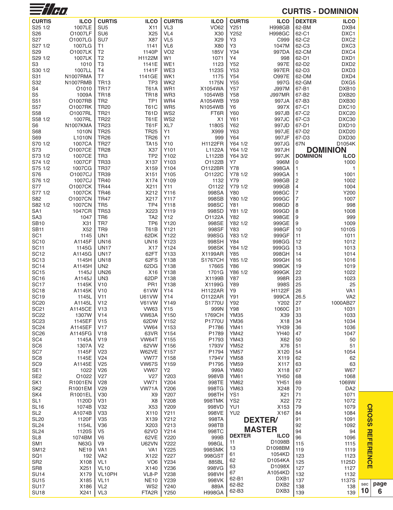| $\equiv$ //H $\alpha$              |                     |                                    |                             |                        |                          |                            |                          |                     | <b>CURTIS - DOMINION</b>  |     |
|------------------------------------|---------------------|------------------------------------|-----------------------------|------------------------|--------------------------|----------------------------|--------------------------|---------------------|---------------------------|-----|
| <b>CURTIS</b>                      | <b>ILCO</b>         | <b>CURTIS</b>                      | <b>ILCO</b>                 | <b>CURTIS</b>          | <b>ILCO</b>              | <b>CURTIS</b>              | <b>ILCO</b>              | <b>DEXTER</b>       | <b>ILCO</b>               |     |
| S25 1/2                            | 1007LE              | SU <sub>5</sub>                    | X11                         | VL <sub>3</sub>        | <b>VO62</b>              | Y251                       | <b>H998GB</b>            | 62-BM               | DXB4                      |     |
| S26                                | O1007LF             | SU <sub>6</sub>                    | X25                         | VL <sub>4</sub>        | X30                      | Y252                       | <b>H998GC</b>            | 62-C1               | DXC1                      |     |
| S27                                | O1007LG             | SU7                                | X87                         | VL <sub>5</sub>        | X29                      | Y3                         | C999                     | 62-C2               | DXC <sub>2</sub>          |     |
| S27 1/2                            | 1007LG              | T1                                 | 1141                        | VL6                    | X80                      | Y3                         | 1047M                    | 62-C3               | DXC3                      |     |
| S29                                | O1007LK             | T <sub>2</sub>                     | 1140P                       | VO <sub>2</sub>        | 185V                     | Y34                        | 997DA                    | 62-CM               | DXC4                      |     |
| S29 1/2<br>S3                      | 1007LK<br>1010      | T <sub>2</sub><br>T <sub>3</sub>   | H1122M<br>1141E             | W1<br>WE1              | 1071<br>1123             | Y4<br>Y52                  | 998<br>997E              | 62-D1<br>62-D2      | DXD1<br>DXD <sub>2</sub>  |     |
| S30 1/2                            | 1007LL              | T <sub>4</sub>                     | 1141F                       | WE3                    | 1123S                    | Y53                        | 997ER                    | 62-D3               | DXD <sub>3</sub>          |     |
| S31                                | <b>N1007RMA</b>     | T7                                 | 1141GE                      | WK1                    | 1175                     | Y54                        | 0997E                    | 62-DM               | DXD4                      |     |
| S32                                | N1007RMB            | <b>TR13</b>                        | TP <sub>3</sub>             | WK <sub>2</sub>        | 1175N                    | Y55                        | 997G                     | 62-GM               | DXG5                      |     |
| S4                                 | O <sub>1010</sub>   | <b>TR17</b>                        | T61A                        | WR1                    | X1054WA                  | Y57                        | <b>J997M</b>             | 67-B1               | DXB <sub>10</sub>         |     |
| S <sub>5</sub>                     | 1009A               | <b>TR18</b>                        | <b>TR18</b>                 | WR3                    | 1054WB                   | Y58                        | <b>J997MR</b>            | 67-B2               | DXB <sub>20</sub>         |     |
| S51<br>S57                         | O1007RB<br>01007RK  | TR <sub>2</sub><br><b>TR20</b>     | TP <sub>1</sub><br>T61C     | WR4<br>WR <sub>5</sub> | A1054WB<br>N1054WB       | Y59<br>Y <sub>6</sub>      | 997JA<br>997X            | 67-B3<br>67-C1      | DXB30<br>DXC10            |     |
| S58                                | O1007RL             | <b>TR21</b>                        | <b>T61D</b>                 | WS <sub>2</sub>        | FT6R                     | Y60                        | 997JB                    | 67-C2               | DXC <sub>20</sub>         |     |
| S58 1/2                            | 1007RL              | <b>TR22</b>                        | <b>T61E</b>                 | WS <sub>2</sub>        | X1                       | Y61                        | 997JC                    | 67-C3               | DXC30                     |     |
| S <sub>6</sub>                     | N1007KMA            | <b>TR23</b>                        | <b>T61F</b>                 | XL7                    | 1180S                    | Y62                        | 997JD                    | 67-D1               | DXD <sub>10</sub>         |     |
| S68                                | 1010N               | <b>TR25</b>                        | <b>TR25</b>                 | Υ1                     | X999                     | Y63                        | 997JE                    | 67-D2               | DXD <sub>20</sub>         |     |
| S69                                | L <sub>1010</sub> N | <b>TR26</b>                        | <b>TR26</b>                 | Υ1                     | 999                      | Y64                        | 997JF                    | 67-D3               | DXD30                     |     |
| S70 1/2<br>S73                     | 1007CA<br>O1007CE   | <b>TR27</b><br><b>TR28</b>         | <b>TA15</b><br>X37          | Y10<br>Y101            | <b>H1122FR</b><br>L1122A | Y64 1/2<br>Y64 1/2         | 997JG<br>997JH           | 67N                 | D1054K<br><b>DOMINION</b> |     |
| S73 1/2                            | 1007CE              | TR <sub>3</sub>                    | TP <sub>2</sub>             | Y102                   | L1122B                   | Y64 3/2                    | 997JK                    | <b>DOMINION</b>     | <b>ILCO</b>               |     |
| S74 1/2                            | 1007CF              | <b>TR33</b>                        | X137                        | Y103                   | O1122B                   | Υ7                         | 996M                     | 0                   | 1000                      |     |
| S75 1/2                            | 1007CG              | <b>TR37</b>                        | X159                        | Y104                   | O1122BR                  | Y78                        | 998GA                    | 1                   | 1                         |     |
| S76                                | O1007CJ             | <b>TR39</b>                        | X <sub>151</sub>            | Y105                   | O1122C                   | Y78 1/2                    | 999GA                    | 1                   | 1001                      |     |
| S76 1/2                            | 1007CJ              | <b>TR40</b>                        | X174                        | Y <sub>109</sub>       | 1132                     | Y79                        | 998GB                    | $\overline{c}$      | 1002                      |     |
| S77                                | 01007CK             | <b>TR44</b>                        | X211                        | Y11                    | O1122                    | Y79 1/2                    | 999GB                    | 4                   | 1004                      |     |
| S77 1/2<br>S82                     | 1007CK<br>O1007CN   | <b>TR46</b><br><b>TR47</b>         | X212<br>X217                | Y116<br>Y117           | 998SA<br>998SB           | Y80<br>Y80 1/2             | 998GC<br>999GC           | $\overline{7}$<br>7 | Y200<br>1007              |     |
| S82 1/2                            | 1007CN              | TR <sub>5</sub>                    | TP4                         | Y118                   | 998SC                    | Y81                        | 998GD                    | 8                   | 998                       |     |
| SA <sub>1</sub>                    | 1047CR              | <b>TR53</b>                        | X223                        | Y119                   | 998SD                    | Y81 1/2                    | 999GD                    | 8                   | 1008                      |     |
| SA <sub>3</sub>                    | 1047                | TR <sub>6</sub>                    | TA <sub>2</sub>             | Y12                    | O1122A                   | Y82                        | 998GE                    | 9                   | 999                       |     |
| <b>SB10</b>                        | X31                 | TR7                                | TP <sub>6</sub>             | Y120                   | 998SE                    | Y82 1/2                    | 999GE                    | 9                   | 1009                      |     |
| <b>SB11</b>                        | X <sub>52</sub>     | TR9                                | T61B                        | Y121                   | 998SF                    | Y83                        | 998GF                    | 10                  | 1010S                     |     |
| SC <sub>1</sub><br><b>SC10</b>     | 1145<br>A1145F      | UN <sub>1</sub><br><b>UN16</b>     | 62DK<br><b>UN16</b>         | Y122<br>Y123           | 998SG<br>998SH           | Y83 1/2<br>Y84             | 999GF<br>998GG           | 11<br>12            | 1011<br>1012              |     |
| SC <sub>11</sub>                   | 1145G               | <b>UN17</b>                        | X17                         | Y124                   | 998SK                    | Y84 1/2                    | 999GG                    | 13                  | 1013                      |     |
| <b>SC12</b>                        | A1145G              | <b>UN17</b>                        | 62FT                        | Y133                   | X1199AR                  | Y85                        | 998GH                    | 14                  | 1014                      |     |
| <b>SC13</b>                        | 1145H               | <b>UN18</b>                        | 62FS                        | Y138                   | <b>S1767CH</b>           | Y85 1/2                    | 999GH                    | 16                  | 1016                      |     |
| <b>SC14</b>                        | A1145H              | UN <sub>2</sub>                    | 62DG                        | Y138                   | 1766S                    | Y86                        | 998GK                    | 19                  | 1019                      |     |
| <b>SC15</b>                        | 1145J<br>A1145J     | <b>UN26</b>                        | X <sub>16</sub>             | Y138                   | 1701G                    | Y86 1/2                    | 999GK                    | 22<br>23            | 1022                      |     |
| <b>SC16</b><br><b>SC17</b>         | 1145K               | UN <sub>3</sub><br>V10             | 62DP<br>PR <sub>1</sub>     | Y138<br>Y138           | X1199B<br>X1199G         | Y87<br>Y89                 | 998R<br>998S             | 25                  | 1023<br>25                |     |
| <b>SC18</b>                        | A1145K              | V10                                | 61 VW                       | Y14                    | <b>H1122AR</b>           | Y9                         | H1122F                   | 26                  | VA <sub>1</sub>           |     |
| <b>SC19</b>                        | 1145L               | V11                                | <b>U61VW</b>                | Y14                    | 01122AR                  | Y91                        | 999CA                    | 26.5                | VA2                       |     |
| <b>SC20</b>                        | A1145L              | V12                                | V61VW                       | Y149                   | S1770U                   | Y92                        | Y202                     | 27                  | 1000AB27                  |     |
| <b>SC21</b>                        | A1145CE             | V13                                | <b>VW63</b>                 | Y15                    | 999N                     | Y98                        | 1060C                    | 31                  | 1031                      |     |
| <b>SC22</b>                        | 1307W               | V <sub>14</sub>                    | VW63A                       | Y150                   | 1769CH                   | <b>YM35</b>                | X39                      | 33                  | 1033                      |     |
| <b>SC23</b><br><b>SC24</b>         | 1145EF<br>A1145EF   | V <sub>15</sub><br>V <sub>17</sub> | 62DW<br><b>VW64</b>         | Y152<br>Y153           | P1770U<br>P1786          | <b>YM36</b><br><b>YM41</b> | X18<br><b>YH39</b>       | 34<br>36            | 1034<br>1036              |     |
| <b>SC26</b>                        | A1145FG             | V18                                | 63VR                        | Y154                   | P1789                    | <b>YM42</b>                | <b>YH40</b>              | 47                  | 1047                      |     |
| SC <sub>4</sub>                    | 1145A               | V19                                | VW64T                       | Y155                   | P1793                    | <b>YM43</b>                | X62                      | 50                  | 50                        |     |
| SC <sub>6</sub>                    | 1307A               | V <sub>2</sub>                     | 62VW                        | Y156                   | 1793V                    | <b>YM52</b>                | X76                      | 51                  | 51                        |     |
| SC7                                | 1145F               | V23                                | W62VE                       | Y157                   | P1794                    | <b>YM57</b>                | X120                     | 54                  | 1054                      |     |
| SC <sub>8</sub>                    | 1145E               | V24                                | <b>VW77</b>                 | Y158                   | 1794V                    | <b>YM58</b>                | X119                     | 62                  | 62                        |     |
| SC <sub>9</sub><br>SE <sub>1</sub> | A1145E<br>1022      | V <sub>25</sub><br>V <sub>26</sub> | <b>VW67S</b><br><b>VW67</b> | Y <sub>159</sub><br>Y2 | P1795<br>999A            | <b>YM59</b><br><b>YM60</b> | X117<br>X118             | 63<br>67            | 63<br>W67                 |     |
| SE <sub>2</sub>                    | O1022               | V27                                | V27                         | Y203                   | 998VB                    | <b>YM61</b>                | <b>YH50</b>              | 68                  | 1068                      |     |
| SK <sub>1</sub>                    | R1001EN             | V <sub>28</sub>                    | <b>VW71</b>                 | Y204                   | 998TE                    | <b>YM62</b>                | <b>YH51</b>              | 69                  | 1069W                     |     |
| SK <sub>2</sub>                    | R1001EM             | V29                                | VW71A                       | Y206                   | 998TG                    | <b>YM63</b>                | X248                     | 70                  | DA <sub>2</sub>           |     |
| SK4                                | R1001EL             | V30                                | X <sub>9</sub>              | Y207                   | 998TH                    | YS1                        | X21                      | 71                  | 1071                      |     |
| SL <sub>1</sub>                    | 1120D               | V31                                | X <sub>8</sub>              | Y208                   | 998TMK                   | YS <sub>2</sub>            | X22                      | 72                  | 1072                      |     |
| <b>SL16</b><br>SL <sub>2</sub>     | 1074B<br>A1074B     | V32<br>V <sub>33</sub>             | X53<br>X110                 | Y209<br>Y211           | 998VD<br>998VE           | YU1<br>YU <sub>2</sub>     | X153<br>X167             | 79<br>84            | 1079<br>1084              |     |
| <b>SL20</b>                        | 1120F               | V35                                | X139                        | Y212                   | 998TA                    |                            | <b>DEXTER/</b>           | 91                  | 1091                      |     |
| <b>SL24</b>                        | 1154L               | V36                                | X203                        | Y213                   | 998TB                    |                            |                          | 92                  | 1092                      |     |
| <b>SL24</b>                        | 1120S               | V <sub>5</sub>                     | 62VO                        | Y214                   | 998TC                    |                            | <b>MASTER</b>            | 94                  | 94                        |     |
| SL <sub>8</sub>                    | 1074BM              | V <sub>6</sub>                     | 62VE                        | Y220                   | 999B                     | <b>DEXTER</b><br>11        | <b>ILCO</b><br>D1098B    | 96                  | 1096                      |     |
| SM <sub>1</sub>                    | <b>N63G</b>         | V9                                 | <b>U62VN</b>                | Y222                   | 998GL                    | 13                         | D1098BM                  | 115                 | 1115                      |     |
| SM12<br>SQ <sub>1</sub>            | <b>NE19</b><br>192  | VA <sub>1</sub><br>VA <sub>2</sub> | VA <sub>1</sub><br>X122     | Y225<br>Y227           | 998SMK<br>998GST         | 61                         | 1054KD                   | 119<br>123          | 1119<br>1123              |     |
| SR <sub>2</sub>                    | X108                | VL <sub>1</sub>                    | VO <sub>6</sub>             | Y234                   | 885BL                    | 62                         | D1054KA                  | 125                 | 1125D                     |     |
| SR <sub>8</sub>                    | X251                | <b>VL10</b>                        | X140                        | Y236                   | 998VG                    | 63                         | D1098X                   | 127                 | 1127                      |     |
| <b>SU14</b>                        | X179                | VL10PH                             | VL8-P                       | Y238                   | 998VH                    | 67                         | A1054KD                  | 132                 | 1132                      |     |
| <b>SU15</b>                        | X185                | <b>VL11</b>                        | <b>NE10</b>                 | Y239                   | 998VK                    | 62-B1<br>62-B2             | DXB1<br>DXB <sub>2</sub> | 137                 | 1137S                     | sec |
| <b>SU17</b>                        | X186                | VL <sub>2</sub>                    | WS <sub>2</sub>             | Y240                   | 889A                     | 62-B3                      | DXB <sub>3</sub>         | 138                 | 138<br>139                | 10  |
| <b>SU18</b>                        | X241                | VL <sub>3</sub>                    | FTA <sub>2</sub> R          | Y250                   | <b>H998GA</b>            |                            |                          | 139                 |                           |     |

**C R O S S R** 

> **page 6**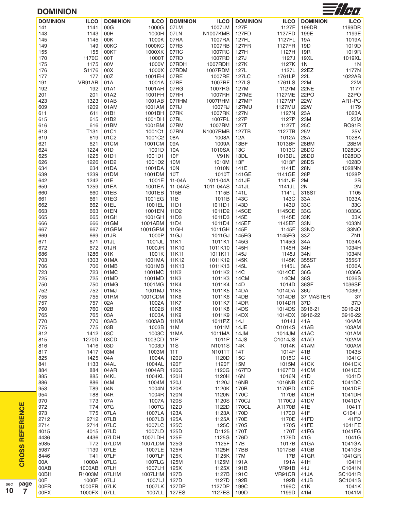

### **DOMINION**

| <b>DOMINION</b> | <b>ILCO</b> | <b>DOMINION</b>  | <b>ILCO</b> | <b>DOMINION</b>  | <b>ILCO</b>     | <b>DOMINION</b> | <b>ILCO</b> | <b>DOMINION</b> | <b>ILCO</b>     |
|-----------------|-------------|------------------|-------------|------------------|-----------------|-----------------|-------------|-----------------|-----------------|
| 141             | 1141        | 00G              | 1000G       | 07LM             | 1007LM          | 127F            | 1127F       | 199DR           | 1199DR          |
| 143             | 1143        | 00H              | 1000H       | 07LN             | <b>N1007KMB</b> | 127FD           | 1127FD      | 199E            | 1199E           |
| 145             | 1145        | 00K              | 1000K       | 07RA             | 1007RA          | <b>127FL</b>    | 1127FL      | 19A             | 1019A           |
| 149             | 149         | 00KC             | 1000KC      | 07RB             | 1007RB          | <b>127FR</b>    | 1127FR      | 19D             | 1019D           |
| 155             | 155         | 00KT             | 1000XK      | 07RC             | 1007RC          | 127H            | 1127H       | 19R             | 1019R           |
| 170             | 1170C       | 00T              | 1000T       | 07RD             | 1007RD          | 127J            | 1127J       | 19XL            | 1019XL          |
| 175             | 1175        | 00V              | 1000V       | 07RDH            | 1007RDH         | 127K            | 1127K       | 1N              | 1 <sub>N</sub>  |
| 176             | S1176       | 00X              | 1000X       | 07RDM            | 1007RDM         | 127L            | 1127L       | 22EZ            | 1177N           |
| 177             | 177         | 00Z              | 1001EH      | 07RE             | 1007RE          | <b>127LC</b>    | 1761LP      | <b>22L</b>      | 1022AB          |
| 191             | VR91AR      | 01A              | 1001A       | 07RF             | 1007RF          | <b>127LS</b>    | 1761LS      | 22M             | 22M             |
| 192             | 192         | 01A1             | 1001AH      | 07RG             | 1007RG          | 127M            | 1127M       | 22NE            | 1177            |
| 201             | 201         | 01A2             | 1001FH      | 07RH             | 1007RH          | 127ME           | 1127ME      | 22PO            | 22PO            |
| 423             | 1323        | 01AB             | 1001AB      | 07RHM            | 1007RHM         | 127MP           | 1127MP      | <b>22W</b>      | AR1-PC          |
| 609             | 1209        | 01AM             | 1001AM      | 07RJ             | 1007RJ          | <b>127MU</b>    | 1127MU      | <b>22W</b>      | 1179            |
| 611             | 611         | 01B1             | 1001BH      | 07RK             | 1007RK          | 127N            | 1127N       | 23A             | 1023A           |
| 615             | 615         | 01B2             | 1001DH      | 07RL             | 1007RL          | 127P            | 1127P       | 23M             | 23M             |
| 616             | 616         | 01BM             | 1001BM      | 07RM             | 1007RM          | 127T            | 1127T       | 25C             | <b>RO91R</b>    |
| 618             | T131        | 01C1             | 1001C1      | 07RN             | N1007RMB        | 127TB           | 1127TB      | <b>25V</b>      | <b>25V</b>      |
| 619             | 619         | 01C2             | 1001C2      | 08A              | 1008A           | 12A             | 1012A       | 28A             | 1028A           |
| 621             | 621         | 01CM             | 1001CM      | 09A              | 1009A           | 13BF            | 1013BF      | 28BM            | 28BM            |
| 624             | 1224        | 01D              | 1001D       | 10A              | 1010SA          | <b>13C</b>      | 1013C       | 28DC            | 1028DC          |
| 625             | 1225        | 01D1             | 1001D1      | 10F              | <b>V91N</b>     | 13DL            | 1013DL      | 28DD            | 1028DD          |
| 626             | 1226        | 01D <sub>2</sub> | 1001D2      | 10M              | 1010M           | 13F             | 1013F       | 28DS            | 1028D           |
| 634             | 634         | 01DA             | 1001DA      | 10N              | 1010N           | 141E            | 1141E       | 28N             | 1028NN          |
| 639             | 1239        | 01DM             | 1001DM      | 10T              | 1010T           | 141GE           | 1141GE      | 28P             | 1028P           |
| 642             | 1242        | 01E              | 1001E       | $11-04A$         | 1011-04A        | 141JE           | 1141JE      | 2M              | 2B              |
| 659             | 1259        | 01EA             | 1001EA      | 11-04AS          | 1011-04AS       | 141JL           | 1141JL      | 2N              | 2N              |
| 660             | 660         | 01EB             | 1001EB      | 115B             | 1115B           | 141L            | 1141L       | 318ST           | T105            |
| 661             | 661         | 01EG             | 1001EG      | 11B              | 1011B           | 143C            | 143C        | 33A             | 1033A           |
| 662             | 662         | 01EL             | 1001EL      | 11D1             | 1011D1          | 143D            | 143D        | 33C             | 33C             |
| 663             | 663         | 01EN             | 1001EN      | 11D <sub>2</sub> | 1011D2          | 145CE           | 1145CE      | 33G             | 1033G           |
| 665             | 665         | 01GH             | 1001GH      | 11D3             | 1011D3          | 145E            | 1145E       | 33K             | 33K             |
| 666             | 666         | 01GM             | 1001ABM     | 11D4             | 1011D4          | 145EF           | 1145EF      | 33N             | 1033N           |
| 667             | 667         | 01GRM            | 1001GRM     | 11GH             | 1011GH          | 145F            | 1145F       | 33NO            | 33NO            |
| 669             | 669         | 01JB             | 1000P       | 11GJ             | 1011GJ          | 145FG           | 1145FG      | 33Z             | ZN <sub>1</sub> |
| 671             | 671         | 01JL             | 1001JL      | 11K1             | 1011K1          | 145G            | 1145G       | 34A             | 1034A           |
| 672             | 672         | 01JR             | 1000JR      | 11K10            | 1011K10         | 145H            | 1145H       | 34H             | 1034H           |
| 686             | 1286        | 01K              | 1001K       | 11K11            | 1011K11         | 145J            | 1145J       | 34N             | 1034N           |
| 703             | 1303        | 01MA             | 1001MA      | 11K12            | 1011K12         | 145K            | 1145K       | 355ST           | 355ST           |
| 706             | 706         | 01MB             | 1001MB      | 11K13            | 1011K13         | 145L            | 1145L       | 36A             | 1036A           |
| 723             | 723         | 01MC             | 1001MC      | 11K2             | 1011K2          | 14C             | 1014CE      | 36G             | 1036G           |
| 725             | 725         | 01MD             | 1001MD      | 11K3             | 1011K3          | 14CM            | 14CM        | 36S             | 1036S           |
| 750             | 750         | 01MG             | 1001MG      | 11K4             | 1011K4          | 14D             | 1014D       | 36SF            | 1036SF          |
| 752             | 752         | 01MJ             | 1001MJ      | 11K5             | 1011K5          | 14DA            | 1014DA      | 36U             | 1036U           |
| 755             | 755         | 01RM             | 1001CDM     | 11K6             | 1011K6          | 14DB            | 1014DB      | 37 MASTER       | 37              |
| 757             | 757         | 02A              | 1002A       | 11K7             | 1011K7          | 14DR            | 1014DR      | 37D             | 37D             |
| 760             | 760         | 02B              | 1002B       | 11K8             | 1011K8          | 14DS            | 1014DS      | 3916-21         | 3916-21         |
| 765             | 765         | 03A              | 1003A       | 11K9             | 1011K9          | 14DX            | 1014DX      | 3916-22         | 3916-22         |
| 770             | 770         | 03AB             | 1003AB      | 11KM             | 1011PZ          | 14J             | 1014J       | 41A             | 104AM           |
| 775             | 775         | 03B              | 1003B       | 11M              | 1011M           | 14JE            | O1014S      | 41AB            | 103AM           |
| 812             | 1412        | 03C              | 1003C       | 11MA             | 1011MA          | 14JM            | 1014JM      | 41AC            | 101AM           |
| 815             | 1270D       | 03CD             | 1003CD      | 11P              | 1011P           | 14JS            | O1014JS     | 41AD            | 102AM           |
| 816             | 1416        | 03D              | 1003D       | <b>11S</b>       | N1011S          | 14K             | 1014K       | 41AM            | 100AM           |
| 817             | 1417        | 03M              | 1003M       | 11 T             | N1011T          | 14T             | 1014F       | 41B             | 1043B           |
| 825             | 1425        | 04A              | 1004A       | 120D             | 1120D           | 15C             | 1015C       | 41C             | 1041C           |
| 841             | 1133        | 04AL             | 1004AL      | 120F             | 1120F           | 15M             | 1015M       | 41CK            | 1041CK          |
| 884             | 884         | 04AR             | 1004AR      | 120G             | 1120G           | 167FD           | 1167FD      | 41CM            | 1041CE          |
| 885             | 885         | 04KL             | 1004KL      | 120H             | 1120H           | 16N             | 1016N       | 41D             | 1041D           |
| 886             | 886         | 04M              | 1004M       | 120J             | 1120J           | 16NB            | 1016NB      | 41DC            | 1041DC          |
| 953             | T89         | 04N              | 1004N       | 120K             | 1120K           | 170B            | 1170BD      | 41DE            | 1041DE          |
| 954             | <b>T88</b>  | 04R              | 1004R       | 120N             | 1120N           | 170C            | 1170B       | 41DH            | 1041DH          |
| 970             | T73         | 07A              | 1007A       | 120S             | 1120S           | 170CJ           | 1170CJ      | 41DV            | 1041DV          |
| 972             | T74         | 07G              | 1007G       | 122D             | 1122D           | 170CL           | A1170B      | 41E             | 1041T           |
| 973             | <b>T75</b>  | 07LA             | 1007LA      | 123A             | 1123A           | 170D            | 1170D       | 41F             | C1041J          |
| 2712            | 2712        | 07LB             | 1007LB      | 125A             | 1125A           | 170E            | 1170E       | 41FD            | 41FD            |
| 2714            | 2714        | 07LC             | 1007LC      | 125C             | 125C            | 170S            | 170S        | 41FE            | 1041FE          |
| 4015            | 4015        | 07LD             | 1007LD      | 125D             | D1125           | 170T            | 170T        | 41FG            | 1041FG          |
| 4436            | 4436        | 07LDH            | 1007LDH     | 125E             | 1125G           | 176D            | 1176D       | 41G             | 1041G           |
| 5985            | T72         | 07LDM            | 1007LDM     | 125G             | 1125F           | 17B             | 1017B       | 41GA            | 1041GA          |
| 5987            | T139        | 07LE             | 1007LE      | 125H             | 1125H           | 17BB            | 1017BB      | 41GB            | 1041GB          |
| 8446            | T41         | 07LF             | 1007LF      | 125K             | 1125K           | 17M             | 17B         | 41GR            | 1041GR          |
| 00A             | 1000A       | 07LG             | 1007LG      | 125M             | 1125M           | 191A            | 191A        | 41H             | 1041H           |
| 00AB            | 1000AB      | 07LH             | 1007LH      | 125X             | 1125X           | 191B            | VR91B       | 41J             | C1041N          |
| 00BH            | R1003M      | 07LHM            | 1007LHM     | 127B             | 1127B           | 191C            | VR91CR      | 41JA            | SC1041R         |
| 00F             | 1000F       | 07LJ             | 1007LJ      | 127D             | 1127D           | 192B            | 192B        | 41JB            | SC1041S         |
| 00FR            | 1000FR      | 07LK             | 1007LK      | 127DP            | 1127DP          | 199C            | 1199C       | 41K             | 1041K           |
| 00FX            | 1000FX      | 07LL             | 1007LL      | 127ES            | 1127ES   199D   |                 | 1199D       | 41M             | 1041M           |
|                 |             |                  |             |                  |                 |                 |             |                 |                 |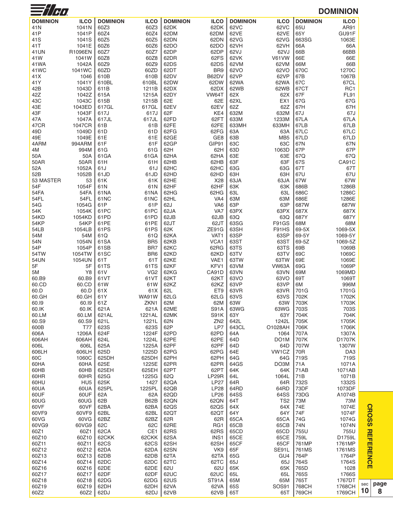| $\equiv$ // $\sim$ |                     |                 |                  |                 |                         |                 |                        |                 | <b>DOMINION</b>    |
|--------------------|---------------------|-----------------|------------------|-----------------|-------------------------|-----------------|------------------------|-----------------|--------------------|
| <b>DOMINION</b>    | <b>ILCO</b>         | <b>DOMINION</b> | <b>ILCO</b>      | <b>DOMINION</b> | <b>ILCO</b>             | <b>DOMINION</b> | <b>ILCO</b>            | <b>DOMINION</b> | <b>ILCO</b>        |
| 41N                | 1041N               | 60Z3            | 60Z3             | 62DK            | 62DK                    | 62VC            | 62VC                   | 65U             | AR91               |
| 41P                | 1041P               | 60Z4            | 60Z4             | 62DM            | 62DM                    | 62VE            | 62VE                   | 65Y             | GU91F              |
| 41 <sub>S</sub>    | 1041S               | 60Z5            | 60Z5             | 62DN            | 62DN                    | 62VG            | 62VG                   | 663SG           | 1063E              |
| 41T                | 1041E               | 60Z6            | 60Z6             | 62DO            | 62DO                    | 62VH            | 62VH                   | 66A             | 66A                |
| 41UN<br>41W        | R1096EN<br>1041W    | 60Z7<br>60Z8    | 60Z7<br>60Z8     | 62DP<br>62DR    | 62DP<br>62FS            | 62VJ<br>62VK    | 62VJ<br>V61VW          | 66B<br>66E      | 66BB<br>66E        |
| 41WA               | 1042A               | 60Z9            | 60Z9             | 62DS            | 62DS                    | 62VM            | 62VM                   | 66M             | 66B                |
| 41WC               | 1041WC              | 60ZD            | 60ZD             | 62DT            | BR <sub>9</sub>         | 62VO            | 62VO                   | 670C            | 1270C              |
| 41X                | 1046                | 610B            | 610B             | 62DV            | B62DV                   | 62VP            | 62VP                   | 67B             | 1067B              |
| 41Y                | 1041Y               | 610BL           | 610BL            | 62DW            | 62DW                    | 62WA            | 62WA                   | 67C             | 67CL               |
| 42B                | 1043D               | 611B            | 1211B            | 62DX            | 62DX                    | 62WB            | 62WB                   | 67CT            | RC <sub>1</sub>    |
| 42Z<br>43C         | 1042Z<br>1043C      | 615A<br>615B    | 1215A<br>1215B   | 62DY<br>62E     | VW64T<br>62E            | 62X<br>62XL     | 62X<br>EX <sub>1</sub> | 67F<br>67G      | <b>FL91</b><br>67G |
| 43E                | 1043ED              | 617GL           | 617GL            | 62EV            | 62EV                    | 62Z             | 62Z                    | 67H             | 67H                |
| 43F                | 1043F               | 617J            | 617J             | 62F             | KE4                     | 632M            | 632M                   | 67J             | 67J                |
| 47A                | 1047A               | 617JL           | 617JL            | 62FD            | 62FT                    | 633M            | 1233M                  | <b>67LA</b>     | 67LA               |
| 47CR               | 1047CR              | 61B             | 61B              | 62FE            | 62FE                    | 633MH           | 633MH                  | 67LB            | 67LB               |
| 49 <sub>D</sub>    | 1049D               | 61D             | 61D              | 62FG            | 62FG<br>GE8             | 63A             | 63A                    | 67LC            | 67LC               |
| 49E<br>4ARM        | 1049E<br>994ARM     | 61E<br>61F      | 61E<br>61F       | 62GE<br>62GP    | GIP91                   | 63B<br>63C      | MB <sub>5</sub><br>63C | 67LD<br>67N     | 67LD<br>67N        |
| 4M                 | 994M                | 61G             | 61G              | 62H             | 62H                     | 63D             | 1063D                  | 67P             | 67P                |
| 50A                | 50A                 | 61GA            | 61 GA            | 62HA            | 62HA                    | 63E             | 63E                    | 67Q             | 67Q                |
| 50AR               | 50AR                | 61H             | 61H              | 62HB            | 62HB                    | 63F             | 63F                    | 67S             | CA91C              |
| 52A                | 1052A               | 61J             | 61J              | 62HC            | 62HC                    | 63G             | 63G                    | 67T             | 67T                |
| 52B                | 1052B               | 61JD            | 61JD             | 62HD            | 62HD                    | 63H             | 63H                    | 67U             | 67U                |
| 53 MASTER<br>54F   | 53<br>1054F         | 61K<br>61N      | 61K<br>61N       | 62HE<br>62HF    | X28<br>62HF             | 63JA<br>63K     | 63JA<br>63K            | 67W<br>686B     | 67W<br>1286B       |
| 54FA               | 54FA                | 61NA            | 61NA             | 62HG            | 62HG                    | 63L             | 63L                    | 686C            | 1286C              |
| 54FL               | 54FL                | 61NC            | 61 <sub>NC</sub> | 62HL            | VA4                     | 63M             | 63M                    | 686E            | 1286E              |
| 54G                | 1054G               | 61P             | 61P              | 62J             | VA <sub>6</sub>         | 63P             | 63P                    | 687W            | 687W               |
| 54K                | 1054K               | 61PC            | 61PC             | 62JA            | VA7                     | 63PX            | 63PX                   | 687X            | 687X               |
| 54KD               | 1054KD              | 61PD            | 61PD<br>61PE     | 62JB            | 62JB                    | 63Q             | 63Q                    | 687Y<br>68M     | 687Y               |
| 54KP<br>54LB       | 54KP<br>1054LB      | 61PE<br>61PS    | 61PS             | 62JT<br>62K     | 62JT<br>ZE91G           | 63SG<br>63SH    | F91GS<br>F91HS         | 69-5X           | 68M<br>1069-5X     |
| 54M                | 54M                 | 61Q             | 61Q              | 62KA            | VAT <sub>1</sub>        | 63SP            | 63SP                   | 69-5Y           | 1069-5Y            |
| 54N                | 1054N               | 61SA            | BR <sub>5</sub>  | 62KB            | VCA1                    | 63ST            | 63ST                   | 69-5Z           | 1069-5Z            |
| 54P                | 1054P               | 61SB            | BR7              | 62KC            | 62RG                    | 63TS            | 63TS                   | 69B             | 1069B              |
| 54TW               | 1054TW              | 61SC            | BR <sub>6</sub>  | 62KD            | 62KD                    | 63TV            | 63TV                   | 69C             | 1069C              |
| 54UN<br>5F         | 1054UN<br>5F        | 61T<br>61TS     | 61T<br>61TS      | 62KE<br>62KF    | VAE1<br>KFV1            | 63TW<br>63VM    | 63TW<br>VW63A          | 69E<br>69G      | 1069E<br>1069P     |
| 5M                 | Y8                  | 61V             | VG <sub>2</sub>  | 62KG            | CA91D                   | 63VN            | 63VN                   | 69M             | 1069MD             |
| 60.B9              | 60.B9               | 61VT            | 61VT             | 62KT            | 62KT                    | 63VO            | 63VO                   | 69T             | 1069T              |
| 60.CD              | 60.CD               | 61W             | 61W              | 62KZ            | 62KZ                    | 63VP            | 63VP                   | 6M              | 996M               |
| 60.D<br>60.GH      | 60.D<br>60.GH       | 61X<br>61Y      | 61X<br>WA91W     | 62L<br>62LG     | ET <sub>9</sub><br>62LG | 63VR<br>63VS    | 63VR<br>63VS           | 701G<br>702K    | 1701G<br>1702K     |
| 60.I9              | 60.19               | 61Z             | ZKN1             | 62M             | 62M                     | 63W             | 63W                    | 703K            | 1703K              |
| 60.IK              | 60.IK               | 621A            | 621A             | 62ME            | <b>S91A</b>             | 63WG            | 63WG                   | 703S            | 703S               |
| 60.LM              | 60.LM               | 621AL           | 1221AL           | 62MK            | <b>S91K</b>             | 63Y             | 63Y                    | 704K            | 704K               |
| 60.S9              | 60.S9               | 621L            | 1221L            | 62N             | ZN <sub>2</sub>         | 642L            | 1242L                  | 705K            | 1705K              |
| 600B<br>606A       | <b>T77</b><br>1206A | 623S<br>624F    | 623S<br>1224F    | 62P<br>62PD     | LP7<br>62PD             | 643CL           | O1028AH<br>1064        | 706K<br>707A    | 1706K<br>1307A     |
| 606AH              | 606AH               | 624L            | 1224L            | 62PE            | 62PE                    | 64A<br>64D      | DO <sub>1</sub> M      | 707K            | D1707K             |
| 606L               | 606L                | 625A            | 1225A            | 62PF            | 62PF                    | 64D             | 64D                    | 707W            | 1307W              |
| 606LH              | 606LH               | 625D            | 1225D            | 62PG            | 62PG                    | 64E             | VW1CZ                  | 70 <sub>R</sub> | DA <sub>3</sub>    |
| 60C                | 1060C               | 625DH           | 625DH            | 62PH            | 62PH                    | 64G             | 64G                    | 719S            | 719S               |
| 60HA               | 60HA                | 625E            | 1225E            | 62PR            | 62PR                    | 64GS            | DO3M                   | 71A             | 1071A              |
| 60HB<br>60HR       | 60HB<br>60HR        | 625EH<br>625G   | 625EH<br>1225G   | 62PT<br>62Q     | 62PT<br>LP29R           | 64K<br>64L      | 64K<br>1064L           | 71AB<br>71B     | 1071AB<br>1071B    |
| 60HU               | HU <sub>5</sub>     | 625K            | 1427             | 62QA            | <b>LP27</b>             | 64R             | 64R                    | 732S            | 1332S              |
| 60UA               | 60UA                | 625PL           | 1225PL           | 62QB            | <b>LP28</b>             | 64RD            | 64RD                   | 73DF            | 1073DF             |
| 60UF               | 60UF                | 62A             | 62A              | 62QD            | <b>LP26</b>             | 64SS            | 64SS                   | 73DG            | A1074B             |
| 60UG               | 60UG                | 62B             | B62B             | 62QN            | 62QN                    | 64T             | TS <sub>2</sub>        | <b>73M</b>      | <b>73M</b>         |
| 60VF<br>60VF9      | 60VF<br>60VF9       | 62BA<br>62BL    | 62BA<br>62BL     | 62QS<br>62QT    | 62QS<br>62QT            | 64X<br>64Y      | 64X<br>64Y             | 74E<br>74F      | 1074E<br>1074F     |
| 60VG               | 60VG                | 62BZ            | 62BZ             | 62R             | 62R                     | 65CA            | 65CA                   | 74G             | 1074G              |
| 60VG9              | 60VG9               | 62C             | 62C              | 62RE            | RG1                     | 65CB            | 65CB                   | 74N             | 1074N              |
| 60Z1               | 60Z1                | 62CA            | CE1              | 62RS            | 62RS                    | 65CD            | 65CD                   | 755U            | 755U               |
| 60Z10              | 60Z10               | 62CKK           | 62CKK            | 62SA            | INS1                    | 65CE            | 65CE                   | 759L            | D1759L             |
| 60Z11              | 60Z11               | 62CS            | 62CS             | 62SH            | 62SH                    | 65CF            | 65CF                   | 761MP           | 1761MP             |
| 60Z12<br>60Z13     | 60Z12<br>60Z13      | 62DA<br>62DB    | 62DA<br>62DB     | 62SN<br>62TA    | VK9<br>62TA             | 65F<br>65G      | SE91L<br>GU4           | 761MS<br>764P   | 1761MS<br>1764P    |
| 60Z14              | 60Z14               | 62DC            | 62DC             | 62TC            | 62TC                    | 65J             | 65J                    | 764S            | 1764S              |
| 60Z16              | 60Z16               | 62DE            | 62DE             | 62U             | 62U                     | 65K             | 65K                    | 765D            | 1028               |
| 60Z17              | 60Z17               | 62DF            | 62DF             | 62UC            | 62UC                    | 65L             | 65L                    | 765S            | 1766S              |
| 60Z18              | 60Z18               | 62DG            | 62DG             | 62US            | ST91A                   | 65M             | 65M                    | 765T            | 1767DT             |
| 60Z19<br>60Z2      | 60Z19<br>60Z2       | 62DH<br>62DJ    | 62DH<br>62DJ     | 62VA<br>62VB    | 62VA<br>62VB            | 65S<br>65T      | <b>SOS91</b><br>65T    | 768CH<br>769CH  | 1768CH<br>1769CH   |
|                    |                     |                 |                  |                 |                         |                 |                        |                 |                    |

**10 page 8**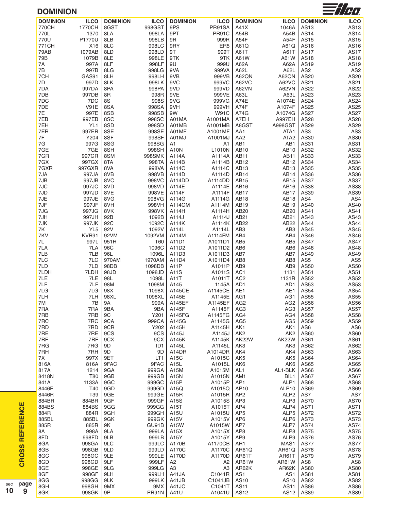| <b>DOMINION</b>      |                 |                 |                 |                         |                   |                                    |                                    |                     | $\equiv$ / $\gamma$ |
|----------------------|-----------------|-----------------|-----------------|-------------------------|-------------------|------------------------------------|------------------------------------|---------------------|---------------------|
| <b>DOMINION</b>      | <b>ILCO</b>     | <b>DOMINION</b> | <b>ILCO</b>     | <b>DOMINION</b>         | <b>ILCO</b>       | <b>DOMINION</b>                    | <b>ILCO</b>                        | <b>DOMINION</b>     | <b>ILCO</b>         |
| 770CH                | 1770CH          | 8GST            | 998GST          | 9PS                     | PR91SA            | A41X                               | 1046A                              | AS13                | AS13                |
| 770L<br>770U         | 1370            | 8LA             | 998LA<br>998LB  | 9PT<br>9R               | PR91C<br>999R     | A54B<br>A54F                       | A54B<br>A54F                       | <b>AS14</b>         | <b>AS14</b>         |
| 771CH                | P1770U<br>X16   | 8LB<br>8LC      | 998LC           | 9RY                     | ER <sub>5</sub>   | A61Q                               | A61Q                               | <b>AS15</b><br>AS16 | AS15<br>AS16        |
| 79AB                 | 1079AB          | 8LD             | 998LD           | 9T                      | 999T              | A61T                               | A61T                               | <b>AS17</b>         | <b>AS17</b>         |
| 79B                  | 1079B           | 8LE             | 998LE           | 9TK                     | 9TK               | A61W                               | A61W                               | AS18                | <b>AS18</b>         |
| 7A                   | 997A            | 8LF             | 998LF           | 9U                      | 999U              | A62A                               | A62A                               | AS19                | AS19                |
| $7\mathsf{B}$        | 997B            | 8LG             | 998LG           | 9VA                     | 999VA             | A62L                               | A62L                               | AS <sub>2</sub>     | AS <sub>2</sub>     |
| 7CH                  | GAS91           | 8LH             | 998LH           | 9VB                     | 999VB             | A62QN                              | A62QN                              | AS20                | AS20                |
| 7D                   | 997D            | 8LK             | 998LK           | 9VC                     | 999VC             | A62VC                              | A62VC                              | AS21                | AS21                |
| 7DA                  | 997DA           | 8PA             | 998PA           | 9VD                     | 999VD             | A62VN                              | A62VN                              | AS22                | AS22                |
| 7DB                  | 997DB           | 8R              | 998R            | 9VE                     | 999VE             | A63L                               | A63L                               | AS23                | AS23                |
| 7DC                  | 7DC             | 8S              | 998S            | 9VG                     | 999VG             | A74E                               | A1074E                             | AS24                | AS24                |
| 7DE                  | <b>V91E</b>     | 8SA             | 998SA           | 9VH                     | 999VH             | A74F                               | A1074F                             | AS25                | AS25                |
| 7E                   | 997E            | 8SB             | 998SB           | 9W                      | <b>W91C</b>       | A74G                               | A1074G                             | <b>AS27</b>         | <b>AS27</b>         |
| 7EB                  | 997EB           | 8SC             | 998SC           | A01MA                   | A1001MA           | A7EH                               | A997EH                             | AS28                | <b>AS28</b>         |
| 7EH                  | YL <sub>1</sub> | 8SD             | 998SD           | A01MB                   | A1001MB           | A8GST                              | A998GST                            | AS29                | AS29                |
| 7ER                  | 997ER           | 8SE             | 998SE           | A01MF                   | A1001MF           | AA1                                | ATA1                               | AS3                 | AS3                 |
| $7\mathsf{F}$        | Y204            | 8SF             | 998SF<br>998SG  | A01MJ                   | A1001MJ           | AA <sub>2</sub>                    | ATA <sub>2</sub>                   | AS30                | AS30<br>AS31        |
| 7G<br>7GE            | 997G            | 8SG             |                 | A1                      | A1                | AB1<br>AB10                        | AB1                                | AS31                |                     |
| 7GR                  | 7GE<br>997GR    | 8SH<br>8SM      | 998SH<br>998SMK | A10N<br>A114A           | L1010N<br>A1114A  | <b>AB11</b>                        | AB10<br>AB11                       | AS32<br>AS33        | AS32<br>AS33        |
| 7GX                  | 997GX           | 8TA             | 998TA           | A114B                   | A1114B            | AB12                               | AB12                               | AS34                | AS34                |
| 7GXR                 | 997GXR          | 8VA             | 998VA           | A114C                   | A1114C            | AB <sub>13</sub>                   | AB13                               | AS35                | AS35                |
| 7JA                  | 997JA           | 8VB             | 998VB           | A114D                   | A1114D            | AB14                               | AB14                               | AS36                | AS36                |
| 7JB                  | 997JB           | 8VC             | 998VC           | A114DD                  | A1114DD           | AB15                               | AB15                               | AS37                | <b>AS37</b>         |
| 7JC                  | 997JC           | 8VD             | 998VD           | A114E                   | A1114E            | AB16                               | AB16                               | AS38                | AS38                |
| 7JD                  | 997JD           | 8VE             | 998VE           | A114F                   | A1114F            | AB17                               | AB17                               | AS39                | AS39                |
| 7JE                  | 997JE           | 8VG             | 998VG           | A114G                   | A1114G            | AB <sub>18</sub>                   | AB18                               | AS4                 | AS4                 |
| 7JF                  | 997JF           | 8VH             | 998VH           | A114GM                  | A1114M            | AB19                               | AB19                               | AS40                | AS40                |
| 7JG                  | 997JG           | 8VK             | 998VK           | A114H                   | A1114H            | AB20                               | AB20                               | AS41                | AS41                |
| 7JH                  | 997JH           | 92B             | 1092B           | A114J                   | A1114J            | AB21                               | AB21                               | AS43                | AS43                |
| 7JK                  | 997JK           | 92C             | 1092C           | A114K                   | A1114K            | AB22                               | AB22                               | <b>AS44</b>         | AS44                |
| 7K                   | YL <sub>5</sub> | 92V             | 1092V           | A114L                   | A1114L            | AB <sub>3</sub>                    | AB <sub>3</sub>                    | AS45                | AS45                |
| 7KV                  | KVR91           | 92VM            | 1092VM          | A114M                   | A1114FM           | AB4                                | AB4                                | AS46                | AS46                |
| $7 \mathsf{L}$       | 997L            | 951R            | T60             | A11D1                   | A1011D1           | AB <sub>5</sub>                    | AB <sub>5</sub>                    | AS47                | <b>AS47</b>         |
| 7LA                  | 7LA             | 96C             | 1096C           | A11D2                   | A1011D2           | AB <sub>6</sub>                    | AB <sub>6</sub>                    | AS48                | AS48                |
| 7LB                  | 7LB             | 96L             | 1096L           | A11D3                   | A1011D3           | AB7                                | AB7                                | AS49                | AS49                |
| 7LC                  | 7LC             | 970AM           | 1970AM          | A11D4                   | A1011D4           | AB <sub>8</sub>                    | AB8                                | AS <sub>5</sub>     | AS <sub>5</sub>     |
| 7LD                  | 7LD             | 98DB            | 1098DB          | A <sub>11</sub> P       | A1011P            | AB9                                | AB9                                | AS50                | AS50                |
| 7LDH                 | 7LDH            | 98JD            | 1098JD          | A11S                    | A1011S            | AC <sub>1</sub>                    | 1131                               | AS51                | AS51                |
| 7LE                  | 7LE             | 98L             | 1098L           | A11T                    | A1011T            | AC <sub>2</sub>                    | 1131R                              | AS52                | AS52                |
| 7LF                  | 7LF             | 98M             | 1098M           | A145                    | 1145A             | AD1                                | AD1                                | AS53                | AS53                |
| 7LG                  | 7LG             | 98X             | 1098X           | A145CE                  | A1145CE           | AE1                                | AE1                                | AS54                | AS54                |
| 7LH                  | 7LH             | 98XL            | 1098XL          | A145E                   | A1145E            | AG1                                | AG1                                | AS55                | AS55                |
| $7\mathsf{M}$<br>7RA | 7B<br>7RA       | 9A<br>9BA       | 999A<br>9BA     | A145EF<br>A145F         | A1145EF<br>A1145F | AG <sub>2</sub><br>AG <sub>3</sub> | AG <sub>2</sub><br>AG <sub>3</sub> | AS56<br><b>AS57</b> | AS56<br><b>AS57</b> |
| 7RB                  | 7RB             | 9C              | Y201            | A145FG                  | A1145FG           | AG4                                | AG4                                | AS58                | AS58                |
| 7RC                  | 7RC             | 9CA             | 999CA           | A145G                   | A1145G            | AG <sub>5</sub>                    | AG <sub>5</sub>                    | AS59                | AS59                |
| 7RD                  | 7RD             | 9CR             | Y202            | A145H                   | A1145H            | AK1                                | AK1                                | AS <sub>6</sub>     | AS <sub>6</sub>     |
| 7RE                  | 7RE             | 9CS             | 9CS             | A145J                   | A1145J            | AK <sub>2</sub>                    | AK <sub>2</sub>                    | AS60                | AS60                |
| 7RF                  | 7RF             | 9CX             | 9CX             | A145K                   | A1145K            | AK22W                              | AK22W                              | AS61                | AS61                |
| 7RG                  | 7RG             | 9D              | ID <sub>1</sub> | A145L                   | A1145L            | AK3                                | AK3                                | AS62                | AS62                |
| 7RH                  | 7RH             | 9D              | 9D              | A14DR                   | A1014DR           | AK4                                | AK4                                | AS63                | AS63                |
| 7X                   | 997X            | 9ET             | LT <sub>1</sub> | A15C                    | A1015C            | AK <sub>5</sub>                    | AK <sub>5</sub>                    | AS64                | AS64                |
| 816A                 | 816A            | 9FAC            | 9FAC            | A <sub>15</sub> L       | A1015L            | AK <sub>6</sub>                    | AK6                                | AS65                | AS65                |
| 817A                 | 1214            | 9GA             | 999GA           | A15M                    | A1015M            | AL <sub>1</sub>                    | AL1-BLK                            | AS66                | AS66                |
| 8418N                | T80             | 9GB             | 999GB           | A15N                    | A1015N            | AM1                                | BIL1                               | AS67                | <b>AS67</b>         |
| 841A                 | 1133A           | 9GC             | 999GC           | A <sub>15</sub> P       | A1015P            | AP1                                | ALP1                               | AS68                | AS68                |
| 8446F                | T40             | 9GD             | 999GD           | A15Q                    | A1015Q            | AP10                               | ALP10                              | AS69                | AS69                |
| 8446R                | T39             | 9GE             | 999GE           | A <sub>15</sub> R       | A1015R            | AP <sub>2</sub>                    | ALP <sub>2</sub>                   | AS7                 | AS7                 |
| 884BR                | 884BR           | 9GF             | 999GF           | A15S                    | A1015S            | AP3                                | ALP3                               | <b>AS70</b>         | <b>AS70</b>         |
| 884BS                | 884BS           | 9GG             | 999GG           | A15T                    | A1015T            | AP4                                | ALP4                               | AS71                | AS71                |
| 884R                 | 884R            | 9GH             | 999GH           | A15U                    | A1015U            | AP <sub>5</sub>                    | ALP5                               | <b>AS72</b>         | <b>AS72</b>         |
| 885BL                | 885BL           | 9GK             | 999GK           | A15V                    | A1015V            | AP <sub>6</sub>                    | ALP6                               | AS73                | <b>AS73</b>         |
| 885R                 | 885R            | 9K              | GU91B           | A15W                    | A1015W            | AP7                                | ALP7                               | <b>AS74</b>         | <b>AS74</b>         |
| 8A                   | 998A            | 9LA             | 999LA           | A15X                    | A1015X            | AP <sub>8</sub>                    | ALP8                               | <b>AS75</b>         | <b>AS75</b>         |
| 8FD                  | 998FD           | 9LB             | 999LB           | A15Y                    | A1015Y            | AP <sub>9</sub>                    | ALP9                               | AS76                | <b>AS76</b>         |
| 8GA                  | 998GA           | 9LC             | 999LC           | A170B                   | A1170CB           | AR <sub>1</sub>                    | MAS1                               | <b>AS77</b>         | <b>AS77</b>         |
| 8GB                  | 998GB           | 9LD             | 999LD           | A170C                   | A1170C            | AR61Q                              | AR61Q                              | <b>AS78</b>         | <b>AS78</b>         |
| 8GC                  | 998GC           | 9LE             | 999LE           | A170D                   | A1170D            | AR61T                              | AR61T                              | AS79                | <b>AS79</b>         |
| 8GD                  | 998GD           | 9LF             | 999LF           | A2                      | A2                | AR61W                              | AR61W                              | AS <sub>8</sub>     | AS8                 |
| 8GE<br>8GF           | 998GE<br>998GF  | 9LG<br>9LH      | 999LG<br>999LH  | A <sub>3</sub><br>A41JA | A3<br>C1041R      | AR62K<br>AS <sub>1</sub>           | AR62K                              | AS80<br>AS81        | AS80                |
| 8GG                  | 998GG           | 9LK             | 999LK           | A41JB                   | C1041JB           | AS10                               | AS1<br>AS10                        | AS82                | AS81<br>AS82        |
|                      |                 |                 |                 |                         |                   | <b>AS11</b>                        | <b>AS11</b>                        | AS86                | AS86                |
| 8GH                  | 998GH           | 9MX             | 9MX             | A41JC                   | C1041T            |                                    |                                    |                     |                     |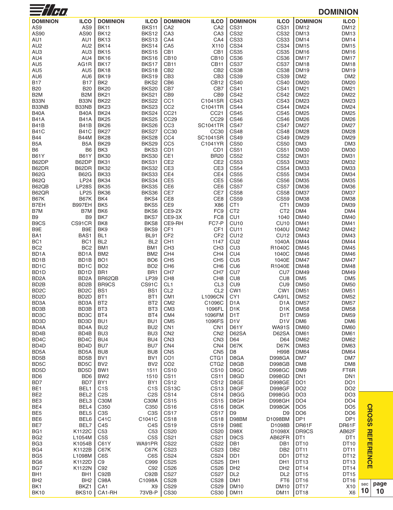| $\frac{1}{\sqrt{2}}$               |                                      |                                    |                                    |                                    |                            |                                      |                                    |                                 | <b>DOMINION</b>                    |           |
|------------------------------------|--------------------------------------|------------------------------------|------------------------------------|------------------------------------|----------------------------|--------------------------------------|------------------------------------|---------------------------------|------------------------------------|-----------|
| <b>DOMINION</b>                    | <b>ILCO</b>                          | <b>DOMINION</b>                    | <b>ILCO</b>                        | <b>DOMINION</b>                    | <b>ILCO</b>                | <b>DOMINION</b>                      | <b>ILCO</b>                        | <b>DOMINION</b>                 | <b>ILCO</b>                        |           |
| AS9                                | AS9                                  | <b>BK11</b>                        | BKS11                              | CA <sub>2</sub>                    | CA <sub>2</sub>            | <b>CS31</b>                          | <b>CS31</b>                        | <b>DM12</b>                     | <b>DM12</b>                        |           |
| AS90                               | AS90                                 | <b>BK12</b>                        | BKS12                              | CA <sub>3</sub>                    | CA <sub>3</sub>            | <b>CS32</b>                          | <b>CS32</b>                        | <b>DM13</b>                     | DM13                               |           |
| AU1                                | AU1                                  | <b>BK13</b>                        | BKS13                              | CA4                                | CA4                        | <b>CS33</b>                          | <b>CS33</b>                        | <b>DM14</b>                     | <b>DM14</b>                        |           |
| AU <sub>2</sub>                    | AU2                                  | <b>BK14</b>                        | BKS14                              | CA <sub>5</sub>                    | X110                       | <b>CS34</b>                          | <b>CS34</b>                        | <b>DM15</b>                     | <b>DM15</b>                        |           |
| AU <sub>3</sub>                    | AU3                                  | <b>BK15</b>                        | BKS15                              | CB1                                | CB1                        | <b>CS35</b>                          | <b>CS35</b>                        | <b>DM16</b>                     | <b>DM16</b>                        |           |
| AU4                                | AU4                                  | <b>BK16</b>                        | BKS16                              | <b>CB10</b>                        | CB <sub>10</sub>           | <b>CS36</b>                          | <b>CS36</b>                        | <b>DM17</b>                     | <b>DM17</b>                        |           |
| AU <sub>5</sub>                    | AG1R                                 | <b>BK17</b>                        | BKS17                              | <b>CB11</b>                        | CB <sub>11</sub>           | <b>CS37</b>                          | <b>CS37</b>                        | <b>DM18</b>                     | <b>DM18</b>                        |           |
| AU <sub>5</sub>                    | AU <sub>5</sub>                      | <b>BK18</b>                        | BKS18                              | CB <sub>2</sub>                    | CB <sub>2</sub>            | <b>CS38</b>                          | <b>CS38</b>                        | <b>DM19</b>                     | <b>DM19</b>                        |           |
| AU6                                | AU6                                  | <b>BK19</b>                        | BKS <sub>19</sub>                  | CB <sub>3</sub>                    | CB <sub>3</sub>            | <b>CS39</b>                          | <b>CS39</b>                        | DM <sub>2</sub>                 | DM <sub>2</sub>                    |           |
| <b>B17</b><br><b>B20</b>           | <b>B17</b><br><b>B20</b>             | BK <sub>2</sub><br><b>BK20</b>     | BKS2<br><b>BKS20</b>               | CB <sub>6</sub><br>CB7             | <b>CB12</b><br>CB7         | <b>CS40</b><br><b>CS41</b>           | <b>CS40</b><br><b>CS41</b>         | <b>DM20</b><br><b>DM21</b>      | <b>DM20</b><br><b>DM21</b>         |           |
| B <sub>2</sub> M                   | B <sub>2</sub> M                     | <b>BK21</b>                        | BKS21                              | CB <sub>9</sub>                    | CB <sub>9</sub>            | <b>CS42</b>                          | <b>CS42</b>                        | <b>DM22</b>                     | <b>DM22</b>                        |           |
| B33N                               | <b>B33N</b>                          | <b>BK22</b>                        | BKS22                              | CC <sub>1</sub>                    | C1041SR                    | <b>CS43</b>                          | <b>CS43</b>                        | <b>DM23</b>                     | <b>DM23</b>                        |           |
| B33NB                              | B33NB                                | BK <sub>23</sub>                   | BKS23                              | CC <sub>2</sub>                    | C1041TR                    | <b>CS44</b>                          | <b>CS44</b>                        | <b>DM24</b>                     | <b>DM24</b>                        |           |
| <b>B40A</b>                        | <b>B40A</b>                          | <b>BK24</b>                        | BKS24                              | CC <sub>21</sub>                   | CC <sub>21</sub>           | <b>CS45</b>                          | <b>CS45</b>                        | <b>DM25</b>                     | <b>DM25</b>                        |           |
| <b>B41A</b>                        | <b>B41A</b>                          | <b>BK25</b>                        | <b>BKS25</b>                       | CC <sub>29</sub>                   | CC <sub>29</sub>           | <b>CS46</b>                          | <b>CS46</b>                        | <b>DM26</b>                     | DM26                               |           |
| B41B                               | <b>B41B</b>                          | <b>BK26</b>                        | BKS26                              | CC <sub>3</sub>                    | <b>SC1041TR</b>            | <b>CS47</b>                          | <b>CS47</b>                        | <b>DM27</b>                     | DM27                               |           |
| B41C                               | <b>B41C</b>                          | <b>BK27</b>                        | BKS27                              | CC30                               | CC30                       | <b>CS48</b>                          | <b>CS48</b>                        | <b>DM28</b>                     | <b>DM28</b>                        |           |
| <b>B44</b>                         | <b>B44M</b>                          | <b>BK28</b>                        | BKS28                              | CC4                                | <b>SC1041SR</b>            | <b>CS49</b>                          | <b>CS49</b>                        | <b>DM29</b>                     | <b>DM29</b>                        |           |
| B <sub>5</sub> A                   | B <sub>5</sub> A                     | <b>BK29</b>                        | BKS29                              | CC <sub>5</sub>                    | C1041YR                    | <b>CS50</b>                          | <b>CS50</b>                        | DM3                             | DM <sub>3</sub>                    |           |
| B <sub>6</sub>                     | B <sub>6</sub>                       | BK3                                | BKS3                               | CD <sub>1</sub>                    | CD <sub>1</sub>            | <b>CS51</b>                          | CS51                               | <b>DM30</b>                     | <b>DM30</b>                        |           |
| <b>B61Y</b>                        | <b>B61Y</b>                          | <b>BK30</b>                        | BKS30                              | CE1                                | <b>BR20</b>                | <b>CS52</b>                          | <b>CS52</b>                        | <b>DM31</b>                     | <b>DM31</b>                        |           |
| B62DP                              | B62DP                                | <b>BK31</b>                        | BKS31                              | CE <sub>2</sub>                    | CE <sub>2</sub>            | <b>CS53</b>                          | <b>CS53</b>                        | <b>DM32</b>                     | DM32                               |           |
| B62DR<br><b>B62G</b>               | B62DR<br><b>B62G</b>                 | <b>BK32</b><br><b>BK33</b>         | <b>BKS32</b><br>BKS33              | CE3<br>CE4                         | CE3<br>CE4                 | <b>CS54</b><br><b>CS55</b>           | <b>CS54</b><br><b>CS55</b>         | <b>DM33</b><br><b>DM34</b>      | <b>DM33</b><br><b>DM34</b>         |           |
| <b>B62Q</b>                        | <b>LP24</b>                          | <b>BK34</b>                        | BKS34                              | CE <sub>5</sub>                    | CE <sub>5</sub>            | <b>CS56</b>                          | <b>CS56</b>                        | <b>DM35</b>                     | <b>DM35</b>                        |           |
| B62QB                              | <b>LP28S</b>                         | <b>BK35</b>                        | BKS35                              | CE <sub>6</sub>                    | CE6                        | <b>CS57</b>                          | <b>CS57</b>                        | <b>DM36</b>                     | <b>DM36</b>                        |           |
| B62QR                              | <b>LP25</b>                          | <b>BK36</b>                        | BKS36                              | CE7                                | CE7                        | <b>CS58</b>                          | <b>CS58</b>                        | <b>DM37</b>                     | <b>DM37</b>                        |           |
| <b>B67K</b>                        | <b>B67K</b>                          | BK4                                | BKS4                               | CE8                                | CE8                        | <b>CS59</b>                          | <b>CS59</b>                        | <b>DM38</b>                     | <b>DM38</b>                        |           |
| B7EH                               | <b>B997EH</b>                        | BK <sub>5</sub>                    | BKS5                               | CE9                                | X86                        | CT <sub>1</sub>                      | CT <sub>1</sub>                    | <b>DM39</b>                     | <b>DM39</b>                        |           |
| B7M                                | B7M                                  | BK <sub>6</sub>                    | BKS6                               | <b>CE9-2X</b>                      | FC <sub>9</sub>            | CT <sub>2</sub>                      | CT <sub>2</sub>                    | DM4                             | DM4                                |           |
| B9                                 | B <sub>9</sub>                       | BK7                                | BKS7                               | CE9-3X                             | FC <sub>8</sub>            | CU <sub>1</sub>                      | 1040                               | <b>DM40</b>                     | DM40                               |           |
| B <sub>9</sub> CS                  | CS91CR                               | BK <sub>8</sub>                    | BKS8                               | CE9-RH                             | FC7-P                      | CU <sub>10</sub>                     | CU <sub>10</sub>                   | <b>DM41</b>                     | <b>DM41</b>                        |           |
| B9E                                | B9E                                  | BK <sub>9</sub>                    | BKS9                               | CF <sub>1</sub>                    | CF <sub>1</sub>            | CU11                                 | 1040U                              | <b>DM42</b>                     | <b>DM42</b>                        |           |
| BA <sub>1</sub>                    | BAS1                                 | BL <sub>1</sub>                    | <b>BL91</b>                        | CF <sub>2</sub>                    | CF <sub>2</sub>            | <b>CU12</b>                          | CU <sub>12</sub>                   | <b>DM43</b>                     | <b>DM43</b>                        |           |
| BC <sub>1</sub><br>BC <sub>2</sub> | BC <sub>1</sub><br>BC <sub>2</sub>   | BL <sub>2</sub><br>BM1             | BL <sub>2</sub><br>BM1             | CH <sub>1</sub><br>CH <sub>3</sub> | 1147<br>CH <sub>3</sub>    | CU <sub>2</sub><br>CU <sub>3</sub>   | 1040A<br>R1040C                    | <b>DM44</b><br><b>DM45</b>      | <b>DM44</b><br><b>DM45</b>         |           |
| BD <sub>1</sub> A                  | BD1A                                 | BM <sub>2</sub>                    | BM <sub>2</sub>                    | CH <sub>4</sub>                    | CH <sub>4</sub>            | CU4                                  | 1040C                              | <b>DM46</b>                     | <b>DM46</b>                        |           |
| BD <sub>1</sub> B                  | BD1B                                 | BO <sub>1</sub>                    | BO <sub>6</sub>                    | CH <sub>5</sub>                    | CH <sub>5</sub>            | CU <sub>5</sub>                      | 1040E                              | <b>DM47</b>                     | DM47                               |           |
| BD <sub>1</sub> C                  | BD <sub>1</sub> C                    | BO <sub>2</sub>                    | BO <sub>2</sub>                    | CH <sub>6</sub>                    | CH <sub>6</sub>            | CU <sub>6</sub>                      | R1040E                             | <b>DM48</b>                     | <b>DM48</b>                        |           |
| BD <sub>1</sub> D                  | BD <sub>1</sub> D                    | BR <sub>1</sub>                    | BR <sub>1</sub>                    | CH <sub>7</sub>                    | CH <sub>7</sub>            | CU7                                  | CU <sub>7</sub>                    | <b>DM49</b>                     | <b>DM49</b>                        |           |
| BD <sub>2</sub> A                  | BD <sub>2</sub> A                    | BR62QB                             | LP39                               | CH <sub>8</sub>                    | CH <sub>8</sub>            | CU <sub>8</sub>                      | CU <sub>8</sub>                    | DM <sub>5</sub>                 | DM <sub>5</sub>                    |           |
| BD <sub>2</sub> B                  | BD <sub>2</sub> B                    | BR9CS                              | CS91C                              | CL <sub>1</sub>                    | CL <sub>3</sub>            | CU <sub>9</sub>                      | CU <sub>9</sub>                    | <b>DM50</b>                     | <b>DM50</b>                        |           |
| BD <sub>2</sub> C                  | BD <sub>2</sub> C                    | BS <sub>1</sub>                    | BS <sub>1</sub>                    | CL <sub>2</sub>                    | CL <sub>2</sub>            | CW <sub>1</sub>                      | CW <sub>1</sub>                    | <b>DM51</b>                     | <b>DM51</b>                        |           |
| BD <sub>2</sub> D                  | BD <sub>2</sub> D                    | BT <sub>1</sub>                    | BT <sub>1</sub>                    | CM <sub>1</sub>                    | L1096CN                    | CY <sub>1</sub>                      | CA91L                              | <b>DM52</b>                     | <b>DM52</b>                        |           |
| BD <sub>3</sub> A<br>BD3B          | BD3A<br>BD3B                         | BT <sub>2</sub><br>BT <sub>3</sub> | BT <sub>2</sub><br>BT <sub>3</sub> | CM <sub>2</sub><br>CM <sub>3</sub> | C1096C<br>1096FL           | D <sub>1</sub> A<br>D <sub>1</sub> K | D <sub>1</sub> A<br>D1K            | <b>DM57</b><br><b>DM58</b>      | <b>DM57</b>                        |           |
| BD <sub>3</sub> C                  | BD <sub>3</sub> C                    | BT4                                | BT4                                | CM4                                | 1096FM                     | D <sub>1</sub> T                     | D1T                                | <b>DM59</b>                     | <b>DM58</b><br><b>DM59</b>         |           |
| BD <sub>3</sub> D                  | BD <sub>3</sub> D                    | BU <sub>1</sub>                    | BU <sub>1</sub>                    | CM <sub>5</sub>                    | 1096FS                     | D <sub>1</sub> V                     | D <sub>1</sub> V                   | DM6                             | DM <sub>6</sub>                    |           |
| BD <sub>4</sub> A                  | BD4A                                 | BU <sub>2</sub>                    | BU <sub>2</sub>                    | CN <sub>1</sub>                    | CN <sub>1</sub>            | <b>D61Y</b>                          | <b>WA91S</b>                       | <b>DM60</b>                     | <b>DM60</b>                        |           |
| BD4B                               | BD4B                                 | BU <sub>3</sub>                    | BU <sub>3</sub>                    | CN <sub>2</sub>                    | CN <sub>2</sub>            | D62SA                                | D62SA                              | <b>DM61</b>                     | <b>DM61</b>                        |           |
| BD <sub>4</sub> C                  | BD4C                                 | BU4                                | BU4                                | CN <sub>3</sub>                    | CN <sub>3</sub>            | D64                                  | D64                                | <b>DM62</b>                     | <b>DM62</b>                        |           |
| BD <sub>4</sub> D                  | BD <sub>4</sub> D                    | BU7                                | BU7                                | CN4                                | CN <sub>4</sub>            | D67K                                 | D67K                               | <b>DM63</b>                     | <b>DM63</b>                        |           |
| BD <sub>5</sub> A                  | BD <sub>5</sub> A                    | BU <sub>8</sub>                    | BU <sub>8</sub>                    | CN <sub>5</sub>                    | CN <sub>5</sub>            | D <sub>8</sub>                       | H998                               | <b>DM64</b>                     | DM64                               |           |
| BD <sub>5</sub> B                  | BD <sub>5</sub> B                    | BV <sub>1</sub>                    | BV <sub>1</sub>                    | CO <sub>1</sub>                    | CTG1                       | D8GA                                 | <b>D998GA</b>                      | DM7                             | DM7                                |           |
| BD <sub>5</sub> C                  | BD <sub>5</sub> C                    | BV <sub>2</sub>                    | BV <sub>2</sub>                    | CO <sub>2</sub>                    | CTG <sub>2</sub>           | D8GB                                 | <b>D998GB</b>                      | DM8                             | DM8                                |           |
| BD <sub>5</sub> D                  | BD <sub>5</sub> D<br>BD <sub>6</sub> | BW1<br>BW <sub>2</sub>             | 1511                               | <b>CS10</b>                        | <b>CS10</b>                | D8GC                                 | <b>D998GC</b>                      | DM9<br>DN <sub>1</sub>          | FT6R                               |           |
| BD <sub>6</sub><br>BD7             | BD7                                  | BY <sub>1</sub>                    | 1510<br>BY <sub>1</sub>            | <b>CS11</b><br><b>CS12</b>         | <b>CS11</b><br><b>CS12</b> | D8GD<br>D8GE                         | D998GD<br><b>D998GE</b>            | DO <sub>1</sub>                 | DN <sub>1</sub><br>DO <sub>1</sub> |           |
| BE1                                | BEL1                                 | C <sub>1</sub> S                   | C <sub>1</sub> S                   | CS <sub>13</sub> C                 | <b>CS13</b>                | D8GF                                 | <b>D998GF</b>                      | DO <sub>2</sub>                 | DO <sub>2</sub>                    |           |
| BE <sub>2</sub>                    | BEL <sub>2</sub>                     | C <sub>2</sub> S                   | C <sub>2</sub> S                   | <b>CS14</b>                        | <b>CS14</b>                | D8GG                                 | <b>D998GG</b>                      | DO <sub>3</sub>                 | DO <sub>3</sub>                    |           |
| BE3                                | BEL3                                 | C30M                               | C30M                               | <b>CS15</b>                        | <b>CS15</b>                | D8GH                                 | D998GH                             | DO <sub>4</sub>                 | DO <sub>4</sub>                    |           |
| BE4                                | BEL4                                 | C <sub>350</sub>                   | C350                               | <b>CS16</b>                        | <b>CS16</b>                | D8GK                                 | <b>D998GK</b>                      | DO <sub>5</sub>                 | DO <sub>5</sub>                    |           |
| BE <sub>5</sub>                    | BEL <sub>5</sub>                     | C <sub>3</sub> S                   | C <sub>3</sub> S                   | <b>CS17</b>                        | CS <sub>17</sub>           | D <sub>9</sub>                       | D9                                 | DO <sub>6</sub>                 | DO <sub>6</sub>                    |           |
| BE <sub>6</sub>                    | BEL6                                 | C41C                               | C1041C                             | <b>CS18</b>                        | <b>CS18</b>                | D98BM                                | D1098BM                            | DP1                             | DP1                                |           |
| BE7                                | BEL7                                 | C <sub>4</sub> S                   | C <sub>4</sub> S                   | <b>CS19</b>                        | <b>CS19</b>                | D98E                                 | D1098B                             | DR61F                           | DR61F                              |           |
| BG1                                | K1122C                               | C53                                | C <sub>53</sub>                    | <b>CS20</b>                        | <b>CS20</b>                | D98X                                 | D1098X                             | DR9CS                           | AB62F                              |           |
| BG <sub>2</sub>                    | L1054M                               | C <sub>5</sub> S                   | C <sub>5</sub> S                   | <b>CS21</b>                        | <b>CS21</b>                | D9CS                                 | AB62FR                             | DT <sub>1</sub>                 | DT <sub>1</sub>                    |           |
| BG <sub>3</sub>                    | K1054B                               | C61Y                               | WA91PR                             | <b>CS22</b>                        | <b>CS22</b>                | DB1                                  | DB1                                | DT <sub>10</sub>                | DT10                               |           |
| BG4<br>BG <sub>5</sub>             | K1122B<br>L1098M                     | C67K<br>C6S                        | C67K<br>C6S                        | <b>CS23</b><br><b>CS24</b>         | <b>CS23</b><br><b>CS24</b> | DB <sub>2</sub><br>DD <sub>1</sub>   | DB <sub>2</sub><br>DD <sub>1</sub> | <b>DT11</b><br>DT <sub>12</sub> | DT11<br>DT12                       |           |
| BG <sub>6</sub>                    | K1122D                               | C9                                 | C999                               | <b>CS25</b>                        | <b>CS25</b>                | DH <sub>1</sub>                      | DH <sub>1</sub>                    | DT13                            | DT <sub>13</sub>                   |           |
| BG7                                | K1122N                               | C92                                | C92                                | <b>CS26</b>                        | <b>CS26</b>                | DH <sub>2</sub>                      | DH <sub>2</sub>                    | DT14                            | DT14                               |           |
| BH <sub>1</sub>                    | BH1                                  | C92B                               | C92B                               | <b>CS27</b>                        | <b>CS27</b>                | DL <sub>2</sub>                      | DL <sub>2</sub>                    | <b>DT15</b>                     | <b>DT15</b>                        |           |
| BH <sub>2</sub>                    | BH <sub>2</sub>                      | C98A                               | C1098A                             | <b>CS28</b>                        | <b>CS28</b>                | DM1                                  | FT6                                | DT16                            | DT <sub>16</sub>                   |           |
| BK1                                | BKZ1                                 | CA <sub>1</sub>                    | X <sub>9</sub>                     | <b>CS29</b>                        | <b>CS29</b>                | <b>DM10</b>                          | DM <sub>10</sub>                   | DT <sub>17</sub>                | X10                                | sec<br>10 |
| <b>BK10</b>                        | BKS10                                | CA1-RH                             | 73VB-P                             | <b>CS30</b>                        | <b>CS30</b>                | <b>DM11</b>                          | DM11                               | <b>DT18</b>                     | X <sub>6</sub>                     |           |

**10 page 10**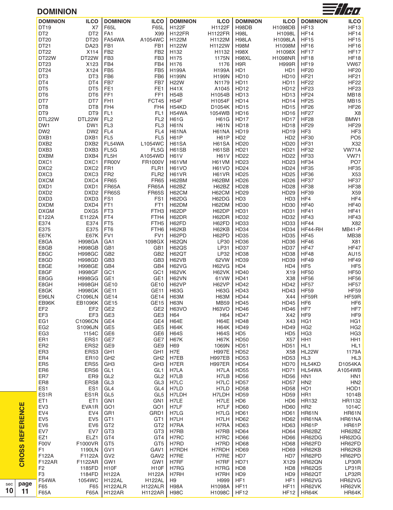#### **DOMINION**



| uvit                   |                   |                          |                    |                            |                  |                             |                             |                  |                  |
|------------------------|-------------------|--------------------------|--------------------|----------------------------|------------------|-----------------------------|-----------------------------|------------------|------------------|
| <b>DOMINION</b>        | <b>ILCO</b>       | <b>DOMINION</b>          | <b>ILCO</b>        | <b>DOMINION</b>            | <b>ILCO</b>      | <b>DOMINION</b>             | <b>ILCO</b>                 | <b>DOMINION</b>  | <b>ILCO</b>      |
| DT <sub>19</sub>       | <b>X7</b>         | F65L                     | F65L               | H122F                      | H1122F           | H98DB                       | H1098DB                     | <b>HF13</b>      | <b>HF13</b>      |
| DT <sub>2</sub>        | DT <sub>2</sub>   | FA <sub>1</sub>          | X99                | <b>H122FR</b>              | <b>H1122FR</b>   | <b>H98L</b>                 | H1098L                      | <b>HF14</b>      | <b>HF14</b>      |
|                        |                   |                          |                    |                            |                  |                             |                             |                  |                  |
| DT20                   | DT20              | FA54WA                   | A1054WC            | H122M                      | H1122M           | H98LA                       | <b>H1098LA</b>              | <b>HF15</b>      | <b>HF15</b>      |
| DT <sub>21</sub>       | <b>DA23</b>       | FB1                      | FB1                | H122W                      | H1122W           | H98M                        | H1098M                      | <b>HF16</b>      | <b>HF16</b>      |
| DT <sub>22</sub>       | X114              | FB <sub>2</sub>          | FB <sub>2</sub>    | H132                       | H1132            | <b>H98X</b>                 | H1098X                      | <b>HF17</b>      | HF17             |
| DT22W                  | DT22W             | FB <sub>3</sub>          | FB <sub>3</sub>    | H175                       | 1175N            | H98XL                       | <b>H1098NR</b>              | <b>HF18</b>      | <b>HF18</b>      |
| DT <sub>23</sub>       | X123              | FB4                      | FB4                | H176                       | 1176             | H9R                         | <b>H999R</b>                | <b>HF19</b>      | <b>VW67</b>      |
| DT <sub>24</sub>       | X124              | FB <sub>5</sub>          | FB <sub>5</sub>    | <b>H199A</b>               | H199A            | HD1                         | HD1                         | <b>HF20</b>      | <b>HF20</b>      |
| DT3                    | DT <sub>3</sub>   |                          |                    |                            |                  |                             |                             |                  |                  |
|                        |                   | FB <sub>6</sub>          | FB <sub>6</sub>    | H199N                      | <b>H199N</b>     | <b>HD10</b>                 | <b>HD10</b>                 | <b>HF21</b>      | <b>HF21</b>      |
| DT4                    | DT4               | FB7                      | FB7                | <b>H22W</b>                | N1179            | <b>HD11</b>                 | <b>HD11</b>                 | <b>HF22</b>      | <b>HF22</b>      |
| DT <sub>5</sub>        | DT <sub>5</sub>   | FE <sub>1</sub>          | FE <sub>1</sub>    | <b>H41X</b>                | A1045            | <b>HD12</b>                 | <b>HD12</b>                 | <b>HF23</b>      | HF <sub>23</sub> |
| DT6                    | DT6               | FF1                      | FF <sub>1</sub>    | <b>H54B</b>                | H1054B           | HD13                        | <b>HD13</b>                 | HF <sub>24</sub> | <b>MB18</b>      |
| DT7                    | DT7               | FH <sub>1</sub>          | FCT45              | H54F                       | H1054F           | <b>HD14</b>                 | <b>HD14</b>                 | <b>HF25</b>      | <b>MB15</b>      |
| DT8                    | DT8               | FH4                      | FH4                | H54KD                      | D1054K           | <b>HD15</b>                 | <b>HD15</b>                 | <b>HF26</b>      | <b>HF26</b>      |
| DT9                    | DT <sub>9</sub>   | FL <sub>1</sub>          | FL <sub>1</sub>    | H54WA                      | 1054WB           | <b>HD16</b>                 | <b>HD16</b>                 | <b>HF27</b>      | X8               |
| DTL22W                 | DTL22W            | FL <sub>2</sub>          | FL <sub>2</sub>    | <b>H61G</b>                | <b>H61G</b>      | <b>HD17</b>                 | <b>HD17</b>                 | <b>HF28</b>      | BMW1             |
|                        |                   |                          |                    |                            |                  |                             |                             |                  |                  |
| DW1                    | DW1               | FL <sub>3</sub>          | FL <sub>3</sub>    | <b>H61N</b>                | <b>H61N</b>      | <b>HD18</b>                 | <b>HD18</b>                 | <b>HF29</b>      | <b>HF29</b>      |
| DW <sub>2</sub>        | DW <sub>2</sub>   | FL <sub>4</sub>          | FL <sub>4</sub>    | H61NA                      | H61NA            | <b>HD19</b>                 | <b>HD19</b>                 | HF3              | HF3              |
| DXB1                   | DXB1              | FL <sub>5</sub>          | FL <sub>5</sub>    | H61P                       | <b>H61P</b>      | HD <sub>2</sub>             | HD <sub>2</sub>             | <b>HF30</b>      | PO <sub>5</sub>  |
| DXB <sub>2</sub>       | DXB <sub>2</sub>  | FL54WA                   | L1054WC            | H61SA                      | H61SA            | HD20                        | HD20                        | <b>HF31</b>      | X32              |
| DXB3                   | DXB3              | FL5G                     | FL5G               | H61SB                      | H61SB            | HD21                        | HD21                        | <b>HF32</b>      | VW71A            |
| <b>DXBM</b>            | DXB4              | FL5H                     | A1054WD            | <b>H61V</b>                | <b>H61V</b>      | <b>HD22</b>                 | <b>HD22</b>                 | <b>HF33</b>      | <b>VW71</b>      |
|                        | DXC1              | FR00V                    | FR1000V            |                            |                  |                             |                             | <b>HF34</b>      | PO <sub>7</sub>  |
| DXC1                   |                   |                          |                    | H61VM                      | H61VM            | HD23                        | HD23                        |                  |                  |
| DXC <sub>2</sub>       | DXC <sub>2</sub>  | FR <sub>1</sub>          | FLR1               | <b>H61VO</b>               | <b>H61VO</b>     | HD24                        | <b>HD24</b>                 | <b>HF35</b>      | <b>HF35</b>      |
| DXC3                   | DXC3              | FR <sub>2</sub>          | FLR <sub>2</sub>   | H61VR                      | H61VR            | <b>HD25</b>                 | <b>HD25</b>                 | <b>HF36</b>      | X53              |
| <b>DXCM</b>            | DXC4              | <b>FR65</b>              | <b>FR65</b>        | H62BM                      | H62BM            | <b>HD26</b>                 | <b>HD26</b>                 | <b>HF37</b>      | HF37             |
| DXD1                   | DXD1              | FR65A                    | <b>FR65A</b>       | H62BZ                      | H62BZ            | <b>HD28</b>                 | <b>HD28</b>                 | <b>HF38</b>      | <b>HF38</b>      |
| DXD <sub>2</sub>       | DXD <sub>2</sub>  | <b>FR65S</b>             | <b>FR65S</b>       | H62CM                      | H62CM            | HD29                        | HD29                        | <b>HF39</b>      | X59              |
| DXD3                   | DXD3              | FS1                      | FS <sub>1</sub>    | H62DG                      | H62DG            | HD <sub>3</sub>             | HD <sub>3</sub>             | HF4              | HF4              |
|                        | DXD4              |                          |                    |                            |                  |                             |                             |                  |                  |
| <b>DXDM</b>            |                   | FT <sub>1</sub>          | FT <sub>1</sub>    | H62DM                      | H62DM            | HD30                        | HD30                        | <b>HF40</b>      | <b>HF40</b>      |
| <b>DXGM</b>            | DXG5              | FT <sub>3</sub>          | FTH <sub>3</sub>   | H62DP                      | H62DP            | HD31                        | HD31                        | <b>HF41</b>      | <b>HF41</b>      |
| E122A                  | E1122A            | FT4                      | FTH4               | H62DR                      | H62DR            | <b>HD32</b>                 | HD32                        | <b>HF43</b>      | <b>HF43</b>      |
| E374                   | E374              | FT <sub>5</sub>          | FTH <sub>5</sub>   | H62FD                      | H62FD            | HD33                        | HD33                        | <b>HF44</b>      | X82              |
| E375                   | E375              | FT6                      | FTH <sub>6</sub>   | H62KB                      | H62KB            | HD34                        | <b>HD34</b>                 | HF44-RH          | <b>MB41-P</b>    |
| E67K                   | <b>E67K</b>       | FV1                      | FV1                | H62PD                      | H62PD            | HD35                        | HD35                        | <b>HF45</b>      | <b>MB38</b>      |
| E8GA                   | <b>H998GA</b>     | GA <sub>1</sub>          | 1098GX             | H62QN                      | <b>LP30</b>      | HD36                        | HD36                        | <b>HF46</b>      | X81              |
|                        |                   |                          |                    |                            |                  |                             |                             |                  |                  |
| E8GB                   | <b>H998GB</b>     | GB1                      | GB1                | <b>H62QS</b>               | LP31             | HD37                        | HD37                        | <b>HF47</b>      | HF47             |
| E8GC                   | <b>H998GC</b>     | GB <sub>2</sub>          | GB <sub>2</sub>    | H62QT                      | LP32             | HD38                        | <b>HD38</b>                 | <b>HF48</b>      | AU15             |
| E8GD                   | <b>H998GD</b>     | GB <sub>3</sub>          | GB <sub>3</sub>    | H62VB                      | 62VW             | <b>HD39</b>                 | HD39                        | <b>HF49</b>      | <b>HF49</b>      |
| E8GE                   | <b>H998GE</b>     | GB4                      | GB4                | H62VG                      | <b>H62VG</b>     | HD4                         | H <sub>D</sub> 4            | HF <sub>5</sub>  | HF <sub>5</sub>  |
| E8GF                   | <b>H998GF</b>     | GC1                      | GC1                | H62VK                      | H62VK            | <b>HD40</b>                 | X19                         | <b>HF50</b>      | <b>HF50</b>      |
| E8GG                   | <b>H998GG</b>     | GE1                      | GE1                | H62VN                      | 61VW             | <b>HD41</b>                 | X38                         | <b>HF56</b>      | <b>HF56</b>      |
| E8GH                   |                   |                          |                    | H62VP                      | H62VP            |                             |                             |                  |                  |
|                        | <b>H998GH</b>     | <b>GE10</b>              | <b>GE10</b>        |                            |                  | <b>HD42</b>                 | <b>HD42</b>                 | <b>HF57</b>      | <b>HF57</b>      |
| E8GK                   | <b>H998GK</b>     | GE <sub>11</sub>         | GE <sub>11</sub>   | H63G                       | <b>H63G</b>      | HD43                        | HD43                        | <b>HF59</b>      | <b>HF59</b>      |
| E96LN                  | C1096LN           | GE <sub>14</sub>         | GE14               | H63M                       | <b>H63M</b>      | <b>HD44</b>                 | X44                         | HF59R            | HF59R            |
| EB96K                  | <b>EB1096K</b>    | GE <sub>15</sub>         | GE <sub>15</sub>   | <b>H63N</b>                | <b>MB59</b>      | <b>HD45</b>                 | <b>HD45</b>                 | HF <sub>6</sub>  | HF <sub>6</sub>  |
| EF <sub>2</sub>        | EF <sub>2</sub>   | GE <sub>2</sub>          | GE <sub>2</sub>    | <b>H63VO</b>               | <b>H63VO</b>     | <b>HD46</b>                 | HD46                        | HF7              | HF7              |
| EF3                    | EF3               | GE <sub>3</sub>          | GE3                | H64                        |                  |                             |                             |                  |                  |
| EG1                    |                   |                          |                    |                            |                  | <b>HD47</b>                 |                             |                  |                  |
|                        |                   |                          |                    |                            | H64              |                             | X42                         | HF <sub>9</sub>  | HF9              |
|                        | C1096CN           | GE4                      | GE4                | H64E                       | H64E             | <b>HD48</b>                 | X43                         | HG <sub>1</sub>  | HG1              |
| EG <sub>2</sub>        | S1096JN           | GE <sub>5</sub>          | GE <sub>5</sub>    | H64K                       | <b>H64K</b>      | HD49                        | <b>HD49</b>                 | HG <sub>2</sub>  | HG <sub>2</sub>  |
| EG <sub>3</sub>        | 1154C             | GE <sub>6</sub>          | GE <sub>6</sub>    | <b>H64S</b>                | <b>H64S</b>      | HD <sub>5</sub>             | HD <sub>5</sub>             | HG <sub>3</sub>  | HG <sub>3</sub>  |
| ER1                    | ERS1              | GE7                      | GE7                | <b>H67K</b>                | <b>H67K</b>      | <b>HD50</b>                 | X57                         | HH <sub>1</sub>  | HH1              |
| ER <sub>2</sub>        | ERS <sub>2</sub>  | GE9                      | GE9                | H69                        | 1069N            | <b>HD51</b>                 | HD51                        | HL <sub>1</sub>  | HL <sub>1</sub>  |
|                        |                   |                          |                    |                            | <b>H997E</b>     | <b>HD52</b>                 |                             |                  |                  |
| ER <sub>3</sub>        | ERS3              | GH <sub>1</sub>          | GH <sub>1</sub>    | H7E                        |                  |                             | X58                         | HL22W            | 1179A            |
| ER4                    | <b>ER10</b>       | GH <sub>2</sub>          | GH <sub>2</sub>    | H7EB                       | <b>H997EB</b>    | <b>HD53</b>                 | <b>HD53</b>                 | HL3              | HL3              |
| ER <sub>5</sub>        | ERS5              | GH <sub>3</sub>          | GH <sub>3</sub>    | H7ER                       | <b>H997ER</b>    | <b>HD54</b>                 | <b>HD70</b>                 | HL54KD           | D1054KA          |
| ER6                    | ERS6              | GL <sub>1</sub>          | GL <sub>1</sub>    | H7LA                       | H7LA             | <b>HD55</b>                 | <b>HD71</b>                 | HL54WA           | A1054WB          |
| ER7                    | ER9               | GL <sub>2</sub>          | GL <sub>2</sub>    | H7LB                       | H7LB             | <b>HD56</b>                 | <b>HD56</b>                 | HN <sub>1</sub>  | HN <sub>1</sub>  |
| ER <sub>8</sub>        | ERS8              | GL <sub>3</sub>          | GL <sub>3</sub>    | H7LC                       | H7LC             | <b>HD57</b>                 | <b>HD57</b>                 | HN <sub>2</sub>  | HN <sub>2</sub>  |
|                        |                   |                          |                    |                            |                  |                             |                             |                  |                  |
| ES1                    | ES1               | GL <sub>4</sub>          | GL4                | H7LD                       | H7LD             | <b>HD58</b>                 | <b>HD58</b>                 | HO <sub>1</sub>  | HOD1             |
| ES <sub>1</sub> R      | ES <sub>1</sub> R | GL <sub>5</sub>          | GL <sub>5</sub>    | H7LDH                      | H7LDH            | <b>HD59</b>                 | <b>HD59</b>                 | HR <sub>1</sub>  | 1014B            |
| ET <sub>1</sub>        | ET <sub>1</sub>   | GN <sub>1</sub>          | GN <sub>1</sub>    | H7LE                       | H7LE             | HD <sub>6</sub>             | H <sub>D</sub> <sub>6</sub> | HR132            | HR1132           |
| EV <sub>3</sub>        | EVA1R             | GO <sub>1</sub>          | GO <sub>1</sub>    | H7LF                       | H7LF             | <b>HD60</b>                 | <b>HD60</b>                 | HR <sub>2</sub>  | 1014C            |
|                        | EV4               | GR <sub>1</sub>          | GRD1               | H7LG                       | H7LG             | <b>HD61</b>                 | <b>HD61</b>                 | HR61N            | <b>HR61N</b>     |
| EV4<br>EV <sub>5</sub> | EV <sub>5</sub>   | GT <sub>1</sub>          | GT <sub>1</sub>    | H7LH                       | H7LH             | <b>HD62</b>                 | <b>HD62</b>                 | HR61NA           | HR61NA           |
|                        |                   |                          |                    |                            |                  |                             |                             |                  |                  |
| EV <sub>6</sub>        | EV6               | GT <sub>2</sub>          | GT <sub>2</sub>    | H7RA                       | H7RA             | HD63                        | HD63                        | HR61P            | HR61P            |
| EV7                    | EV7               | GT <sub>3</sub>          | GT <sub>3</sub>    | H7RB                       | H7RB             | <b>HD64</b>                 | <b>HD64</b>                 | HR62BZ           | HR62BZ           |
| EZ1                    | ELZ1              | GT4                      | GT4                | H7RC                       | H7RC             | <b>HD66</b>                 | HD66                        | HR62DG           | HR62DG           |
| F00V                   | F1000VR           | GT <sub>5</sub>          | GT <sub>5</sub>    | H7RD                       | H7RD             | HD68                        | HD68                        | HR62FD           | HR62FD           |
| F1                     | 1190LN            | GV <sub>1</sub>          | GAV1               | H7RDH                      | H7RDH            | <b>HD69</b>                 | <b>HD69</b>                 | HR62KB           | HR62KB           |
| F122A                  | F1122A            | GV <sub>2</sub>          | GAV <sub>2</sub>   |                            | H7RE             | HD7                         | HD7                         | HR62PD           |                  |
|                        |                   |                          |                    | H7RE                       |                  |                             |                             |                  | HR62PD           |
| <b>F122AR</b>          | F1122AR           | GW1                      | GW1                | H7RF                       | H7RF             | <b>HD71</b>                 | X129                        | HR62QN           | LP30R            |
| F <sub>2</sub>         | 1185FD            | H <sub>10</sub> F        | H <sub>10</sub> F  | H7RG                       | H7RG             | HD <sub>8</sub>             | HD <sub>8</sub>             | HR62QS           | LP31R            |
| F <sub>3</sub>         | 1184FD            | H122A                    | H122A              | H7RH                       | H7RH             | H <sub>D</sub> <sub>9</sub> | HD <sub>9</sub>             | HR62QT           | LP32R            |
| <b>F54WA</b>           | 1054WC            | <b>H122AL</b>            | <b>H122AL</b>      | H <sub>9</sub>             | H999             | HF1                         | HF1                         | HR62VG           | HR62VG           |
| F65<br>F65A            | F65<br>F65A       | H122ALR<br><b>H122AR</b> | H122ALR<br>H1122AR | <b>H98A</b><br><b>H98C</b> | H1098A<br>H1098C | <b>HF11</b><br><b>HF12</b>  | <b>HF11</b>                 | HR62VK<br>HR64K  | HR62VK<br>HR64K  |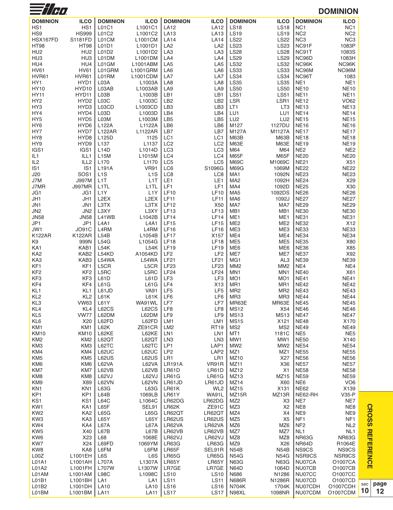| $\equiv$ // $\epsilon$         |                                |                                       |                                       |                                    |                                    |                                    |                                    |                                    | <b>DOMINION</b>                    |
|--------------------------------|--------------------------------|---------------------------------------|---------------------------------------|------------------------------------|------------------------------------|------------------------------------|------------------------------------|------------------------------------|------------------------------------|
| <b>DOMINION</b>                | <b>ILCO</b>                    | <b>DOMINION</b>                       | <b>ILCO</b>                           | <b>DOMINION</b>                    | <b>ILCO</b>                        | <b>DOMINION</b>                    | <b>ILCO</b>                        | <b>DOMINION</b>                    | <b>ILCO</b>                        |
| HS <sub>1</sub>                | HS1                            | L01C1                                 | L1001C1                               | <b>LA12</b>                        | <b>LA12</b>                        | <b>LS18</b>                        | <b>LS18</b>                        | NC <sub>1</sub>                    | NC <sub>1</sub>                    |
| HS9<br>HSX167FD                | <b>HS999</b><br>S1181FD        | L01C2<br>L01CM                        | L1001C2<br>L1001CM                    | LA13<br><b>LA14</b>                | <b>LA13</b><br><b>LA14</b>         | <b>LS19</b><br><b>LS22</b>         | <b>LS19</b><br><b>LS22</b>         | NC <sub>2</sub><br>NC <sub>3</sub> | NC <sub>2</sub><br>NC <sub>3</sub> |
| <b>HT98</b>                    | <b>HT98</b>                    | L01D1                                 | L1001D1                               | LA <sub>2</sub>                    | LA <sub>2</sub>                    | <b>LS23</b>                        | <b>LS23</b>                        | NC91F                              | 1083P                              |
| HU <sub>2</sub>                | HU <sub>2</sub>                | L01D2                                 | L1001D2                               | LA <sub>3</sub>                    | LA3                                | <b>LS28</b>                        | <b>LS28</b>                        | NC91T                              | 1083S                              |
| HU <sub>3</sub>                | HU <sub>3</sub>                | L01DM                                 | L1001DM                               | LA4                                | LA4                                | <b>LS29</b>                        | <b>LS29</b>                        | NC96D                              | 1083H                              |
| HU4                            | HU4                            | L01GM                                 | L1001ABM                              | LA <sub>5</sub>                    | LA <sub>5</sub>                    | <b>LS32</b>                        | <b>LS32</b>                        | NC96K                              | NC96K                              |
| <b>HV61</b><br>HVR61           | <b>HV61</b><br>HVR61           | L01GRM<br>L01RM                       | L1001GRM<br>L1001CDM                  | LA6<br>LA7                         | LA6<br>LA7                         | <b>LS33</b><br><b>LS34</b>         | <b>LS33</b><br><b>LS34</b>         | NC96M<br>NC96T                     | NC96M<br>1083                      |
| HY1                            | HYD1                           | L03A                                  | L1003A                                | LA <sub>8</sub>                    | LA8                                | <b>LS35</b>                        | <b>LS35</b>                        | NE <sub>1</sub>                    | NE <sub>1</sub>                    |
| <b>HY10</b>                    | HYD10                          | L03AB                                 | L1003AB                               | LA <sub>9</sub>                    | LA <sub>9</sub>                    | <b>LS50</b>                        | <b>LS50</b>                        | <b>NE10</b>                        | <b>NE10</b>                        |
| <b>HY11</b>                    | HYD11                          | L03B                                  | L1003B                                | LB1                                | LB1                                | <b>LS51</b>                        | <b>LS51</b>                        | <b>NE11</b>                        | <b>NE11</b>                        |
| HY <sub>2</sub>                | HYD <sub>2</sub>               | L03C                                  | L1003C                                | LB <sub>2</sub>                    | LB <sub>2</sub>                    | <b>LSR</b>                         | LSR1                               | <b>NE12</b>                        | <b>VO62</b>                        |
| HY3<br>HY4                     | HYD3<br>HYD4                   | L03CD<br>L03D                         | L1003CD<br>L1003D                     | LB <sub>3</sub><br>LB4             | LB <sub>3</sub><br>LB4             | LT <sub>1</sub><br>LU1             | LT <sub>3</sub><br>LU1             | <b>NE13</b><br><b>NE14</b>         | <b>NE13</b><br><b>NE14</b>         |
| HY <sub>5</sub>                | HYD <sub>5</sub>               | L03M                                  | L1003M                                | LB <sub>5</sub>                    | LB <sub>5</sub>                    | LU <sub>2</sub>                    | LU <sub>2</sub>                    | <b>NE15</b>                        | <b>NE15</b>                        |
| HY <sub>6</sub>                | HYD <sub>6</sub>               | L122A                                 | L1122A                                | LB6                                | LB6                                | M127                               | 1127DU                             | <b>NE16</b>                        | <b>NE16</b>                        |
| HY7                            | HYD7                           | <b>L122AR</b>                         | L1122AR                               | LB7                                | LB7                                | M127A                              | M1127A                             | <b>NE17</b>                        | <b>NE17</b>                        |
| HY8                            | HYD <sub>8</sub>               | L125D                                 | 1125                                  | LC1                                | LC1                                | <b>M63B</b>                        | <b>M63B</b>                        | <b>NE18</b>                        | <b>NE18</b>                        |
| HY9<br>IGS1                    | HYD9<br>IGS1                   | L137<br><b>L14D</b>                   | L1137<br>L1014D                       | LC <sub>2</sub><br>LC <sub>3</sub> | LC <sub>2</sub><br>LC <sub>3</sub> | M63E<br>M64                        | <b>M63E</b><br>M64                 | <b>NE19</b><br>NE <sub>2</sub>     | <b>NE19</b><br>NE <sub>2</sub>     |
| IL <sub>1</sub>                | ILL1                           | <b>L15M</b>                           | L1015M                                | LC4                                | LC4                                | M65F                               | M65F                               | <b>NE20</b>                        | <b>NE20</b>                        |
| IL <sub>2</sub>                | ILL <sub>2</sub>               | L170                                  | L <sub>1170</sub>                     | LC <sub>5</sub>                    | LC <sub>5</sub>                    | <b>M69C</b>                        | M1069C                             | <b>NE21</b>                        | X51                                |
| IS <sub>1</sub>                | IS <sub>1</sub>                | L191A                                 | <b>VR91</b>                           | LC6                                | S1096G                             | <b>M69G</b>                        | 1069M                              | <b>NE22</b>                        | <b>NE22</b>                        |
| J20                            | SOS <sub>1</sub>               | L <sub>1</sub> S                      | L <sub>1</sub> S                      | LC8                                | LC <sub>8</sub>                    | MA <sub>1</sub>                    | 1092N                              | <b>NE23</b>                        | <b>NE23</b>                        |
| J7M<br>J7MR                    | <b>J997M</b><br><b>J997MR</b>  | L <sub>1</sub> T<br>L <sub>1</sub> TL | L <sub>1</sub> T<br>L <sub>1</sub> TL | LE1<br>LF1                         | LE1<br>LF1                         | MA <sub>2</sub><br>MA4             | 1092H<br>1092D                     | <b>NE24</b><br><b>NE25</b>         | X29<br>X30                         |
| JG1                            | JG1                            | L <sub>1</sub> Y                      | L <sub>1</sub> Y                      | <b>LF10</b>                        | <b>LF10</b>                        | MA <sub>5</sub>                    | 1092DS                             | <b>NE26</b>                        | <b>NE26</b>                        |
| JH1                            | JH1                            | L <sub>2</sub> EX                     | L <sub>2</sub> EX                     | <b>LF11</b>                        | <b>LF11</b>                        | MA <sub>6</sub>                    | 1092J                              | <b>NE27</b>                        | <b>NE27</b>                        |
| JN <sub>1</sub>                | JN1                            | L3TX                                  | L3TX                                  | LF12                               | X50                                | MA7                                | MA7                                | <b>NE29</b>                        | <b>NE29</b>                        |
| JN <sub>2</sub>                | JN <sub>2</sub>                | L3XY                                  | L3XY                                  | <b>LF13</b>                        | <b>LF13</b>                        | MB1                                | MB1                                | <b>NE30</b>                        | <b>NE30</b>                        |
| <b>JN58</b>                    | <b>JN58</b>                    | L41WB<br><b>L4A1</b>                  | L1042B                                | LF14                               | <b>LF14</b>                        | ME1                                | ME1                                | <b>NE31</b>                        | <b>NE31</b>                        |
| JP1<br>JW1                     | JP1<br><b>JO91C</b>            | L4RM                                  | <b>L4A1</b><br>L4RM                   | LF15<br><b>LF16</b>                | <b>LF15</b><br><b>LF16</b>         | ME <sub>2</sub><br>ME3             | ME <sub>2</sub><br>ME3             | <b>NE32</b><br><b>NE33</b>         | X12<br><b>NE33</b>                 |
| <b>K122AR</b>                  | <b>K122AR</b>                  | L54B                                  | L1054B                                | <b>LF17</b>                        | X157                               | ME4                                | ME4                                | <b>NE34</b>                        | <b>NE34</b>                        |
| K <sub>9</sub>                 | 999N                           | L54G                                  | L1054G                                | <b>LF18</b>                        | <b>LF18</b>                        | ME <sub>5</sub>                    | ME <sub>5</sub>                    | <b>NE35</b>                        | X80                                |
| KA1                            | KAB1                           | L54K                                  | L54K                                  | <b>LF19</b>                        | <b>LF19</b>                        | ME <sub>6</sub>                    | ME <sub>6</sub>                    | <b>NE36</b>                        | X85                                |
| KA <sub>2</sub>                | KAB <sub>2</sub>               | L54KD                                 | A1054KD                               | LF <sub>2</sub>                    | LF <sub>2</sub>                    | ME7                                | ME7                                | <b>NE37</b>                        | X92                                |
| KA3<br>KF1                     | KAB3<br>KF <sub>1</sub>        | L54WA<br>L5CR                         | L54WA<br>L5CR                         | <b>LF21</b><br><b>LF23</b>         | <b>LF21</b><br><b>LF23</b>         | MG <sub>1</sub><br>MM <sub>2</sub> | AL <sub>3</sub><br>MM <sub>2</sub> | <b>NE39</b><br>NE4                 | <b>NE39</b><br>NE4                 |
| KF <sub>2</sub>                | KF <sub>2</sub>                | L5RC                                  | L5RC                                  | LF24                               | LF24                               | MN <sub>1</sub>                    | MN <sub>1</sub>                    | <b>NE40</b>                        | X61                                |
| KF3                            | KF3                            | L61D                                  | L61D                                  | LF3                                | LF3                                | MO <sub>1</sub>                    | MO <sub>1</sub>                    | <b>NE41</b>                        | <b>NE41</b>                        |
| KF4                            | KF4                            | L61G                                  | L61G                                  | LF4                                | X13                                | MR1                                | MR1                                | <b>NE42</b>                        | <b>NE42</b>                        |
| KL1                            | KL1                            | L61JD                                 | <b>VA91</b>                           | LF <sub>5</sub>                    | LF <sub>5</sub>                    | MR <sub>2</sub>                    | MR <sub>2</sub>                    | <b>NE43</b>                        | <b>NE43</b>                        |
| KL <sub>2</sub><br>KL3         | KL <sub>2</sub><br><b>VW63</b> | L61K<br>L61Y                          | L61K<br>WA91WL                        | LF6<br>LF7                         | LF6<br>LF7                         | MR <sub>3</sub><br>MR63E           | MR <sub>3</sub><br>MR63E           | <b>NE44</b><br><b>NE45</b>         | <b>NE44</b><br><b>NE45</b>         |
| KL <sub>4</sub>                | KL <sub>4</sub>                | L62CS                                 | <b>L62CS</b>                          | LF8                                | LF8                                | <b>MS12</b>                        | X54                                | <b>NE46</b>                        | <b>NE46</b>                        |
| KL <sub>5</sub>                | <b>VW77</b>                    | L62DM                                 | L62DM                                 | LF9                                | LF9                                | <b>MS13</b>                        | <b>MS13</b>                        | <b>NE47</b>                        | <b>NE47</b>                        |
| KL <sub>6</sub>                | X20                            | L62FD                                 | L62FD                                 | LM1                                | LM1                                | <b>MS15</b>                        | X121                               | <b>NE48</b>                        | X170                               |
| KM1                            | KM1                            | L62K                                  | ZE91CR                                | LM <sub>2</sub>                    | <b>RT19</b>                        | MS <sub>2</sub>                    | MS <sub>2</sub>                    | <b>NE49</b>                        | <b>NE49</b>                        |
| <b>KM10</b><br>KM <sub>2</sub> | <b>KM10</b><br>KM <sub>2</sub> | L62KE<br>L62QT                        | L62KE<br>L62QT                        | LN <sub>1</sub><br>LN <sub>3</sub> | LN <sub>1</sub><br>LN <sub>3</sub> | MT <sub>1</sub><br>MW1             | 1181C<br>MW1                       | NE <sub>5</sub><br><b>NE50</b>     | NE <sub>5</sub><br>X140            |
| KM3                            | KM3                            | L62TC                                 | L62TC                                 | LP1                                | LAP1                               | MW <sub>2</sub>                    | MW <sub>2</sub>                    | <b>NE54</b>                        | <b>NE54</b>                        |
| KM4                            | KM4                            | L62UC                                 | L62UC                                 | LP <sub>2</sub>                    | LAP <sub>2</sub>                   | MZ1                                | MZ1                                | <b>NE55</b>                        | <b>NE55</b>                        |
| KM <sub>5</sub>                | KM <sub>5</sub>                | L62US                                 | L62US                                 | LR1                                | LR1                                | MZ10                               | X27                                | <b>NE56</b>                        | <b>NE56</b>                        |
| KM <sub>6</sub>                | KM <sub>6</sub>                | L62VA                                 | L62VA                                 | <b>LR191A</b>                      | VR91R                              | MZ <sub>11</sub>                   | X36                                | <b>NE57</b>                        | <b>NE57</b>                        |
| KM7<br>KM8                     | KM7<br>KM8                     | L62VB<br>L62VJ                        | L62VB<br>L62VJ                        | LR61D<br><b>LR61G</b>              | LR61D<br><b>LR61G</b>              | MZ12<br>MZ <sub>13</sub>           | X1<br>MZ15                         | <b>NE58</b><br><b>NE59</b>         | <b>NE58</b><br><b>NE59</b>         |
| KM9                            | X89                            | <b>L62VN</b>                          | <b>L62VN</b>                          | LR61JD                             | LR61JD                             | MZ <sub>14</sub>                   | X60                                | NE <sub>6</sub>                    | VO <sub>6</sub>                    |
| KN <sub>1</sub>                | KN <sub>1</sub>                | L63G                                  | L63G                                  | LR61K                              | WL <sub>2</sub>                    | MZ15                               | X131                               | <b>NE62</b>                        | X139                               |
| KP1                            | KP1                            | L64B                                  | 1069LB                                | LR61Y                              | WA91L                              | MZ15R                              | MZ13R                              | NE62-RH                            | $V35-P$                            |
| KS1                            | KS1                            | L64C                                  | L1064C                                | LR62DG                             | LR62DG                             | MZ <sub>2</sub>                    | X3                                 | NE7                                | NE7                                |
| KW1<br>KW <sub>2</sub>         | KA1<br>KA <sub>2</sub>         | L65F<br>L65G                          | SEL91<br>L65G                         | LR62K<br>LR62QT                    | ZE91C<br>LR62QT                    | MZ3<br>MZ4                         | X <sub>2</sub><br>X4               | NE8<br>NE9                         | NE8<br>NE9                         |
| KW <sub>3</sub>                | KA3                            | <b>L65Y</b>                           | <b>L65Y</b>                           | LR62US                             | LR62US                             | MZ <sub>5</sub>                    | X <sub>5</sub>                     | NF <sub>1</sub>                    | NF <sub>1</sub>                    |
| KW4                            | KA4                            | L67A                                  | L67A                                  | LR62VA                             | LR62VA                             | MZ6                                | MZ6                                | NF <sub>2</sub>                    | NL <sub>2</sub>                    |
| KW <sub>5</sub>                | X40                            | L67B                                  | L67B                                  | LR62VB                             | LR62VB                             | MZ7                                | MZ7                                | NL <sub>1</sub>                    | NL <sub>1</sub>                    |
| KW6                            | X23                            | L68                                   | 1068E                                 | LR62VJ                             | LR62VJ                             | MZ8                                | MZ8                                | NR63G                              | <b>NR63G</b>                       |
| KW7<br>KW8                     | X24<br>KA8                     | L69FD<br>L6FM                         | 1069YM<br>L6FM                        | <b>LR63G</b><br>LR65F              | <b>LR63G</b><br>SEL91R             | MZ9<br><b>N54B</b>                 | X26<br><b>N54B</b>                 | NR64D<br>NS9CS                     | R1064E<br>NS9CS                    |
| L00Z                           | L1001EH                        | L6S                                   | L6S                                   | <b>LR65G</b>                       | <b>LR65G</b>                       | <b>N54G</b>                        | <b>N54G</b>                        | NSR9CS                             | NSR9CS                             |
| L01A1                          | L1001AH                        | <b>L707A</b>                          | L1307A                                | LR65Y                              | LR65Y                              | <b>N63G</b>                        | <b>N63G</b>                        | NU07CA                             | O1007CA                            |
| L01A2                          | L1001FH                        | L707W                                 | L1307W                                | LR7GE                              | LR7GE                              | N64D                               | 1064D                              | NU07CB                             | O1007CB                            |
| L01AM                          | L1001AM                        | <b>L98C</b>                           | L1098C                                | <b>LS10</b>                        | <b>LS10</b>                        | N686                               | N1286                              | NU07CC                             | O1007CC                            |
| L01B1<br>L01B2                 | L1001BH<br>L1001DH             | LA1<br><b>LA10</b>                    | LA1<br><b>LA10</b>                    | <b>LS11</b><br><b>LS16</b>         | <b>LS11</b><br><b>LS16</b>         | <b>N686R</b><br>N704K              | N1286R<br>1704K                    | NU07CD<br>NU07CDH                  | O1007CD<br>01007CDH                |
| L01BM                          | L1001BM                        | <b>LA11</b>                           | LA <sub>11</sub>                      | <b>LS17</b>                        | <b>LS17</b>                        | N98XL                              | 1098NR                             | NU07CDM                            | 01007CDM                           |
|                                |                                |                                       |                                       |                                    |                                    |                                    |                                    |                                    |                                    |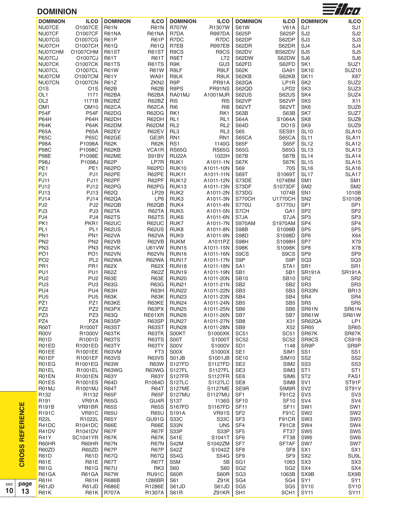| <b>DOMINION</b>        |                         |                              |                              |                          |                      |                  |                         |                                    | $\equiv$ / $\gamma$                |
|------------------------|-------------------------|------------------------------|------------------------------|--------------------------|----------------------|------------------|-------------------------|------------------------------------|------------------------------------|
| <b>DOMINION</b>        | <b>ILCO</b>             | <b>DOMINION</b>              | <b>ILCO</b>                  | <b>DOMINION</b>          | <b>ILCO</b>          | <b>DOMINION</b>  | <b>ILCO</b>             | <b>DOMINION</b>                    | <b>ILCO</b>                        |
| NU07CE                 | O1007CE                 | <b>R61N</b>                  | <b>R61N</b>                  | <b>R707W</b>             | R1307W               | <b>S61W</b>      | <b>V61A</b>             | SJ <sub>1</sub>                    | SJ <sub>1</sub>                    |
| NU07CF                 | O1007CF                 | R61NA                        | R61NA                        | R7DA                     | <b>R997DA</b>        | S625P            | S625P                   | SJ <sub>2</sub>                    | SJ <sub>2</sub>                    |
| NU07CG                 | O1007CG                 | <b>R61P</b>                  | <b>R61P</b>                  | R7DC                     | R7DC                 | S62DP            | S62DP                   | SJ <sub>3</sub>                    | SJ <sub>3</sub>                    |
| NU07CH                 | O1007CH                 | <b>R61Q</b>                  | <b>R61Q</b>                  | R7EB                     | <b>R997EB</b>        | S62DR            | S62DR                   | SJ4                                | SJ4                                |
| NU07CHM                | O1007CHM                | <b>R61ST</b>                 | <b>R61ST</b>                 | R9CS                     | R9CS                 | S62DV            | BS62DV                  | SJ <sub>5</sub>                    | SJ <sub>5</sub>                    |
| NU07CJ                 | O1007CJ                 | <b>R61T</b>                  | <b>R61T</b>                  | R9ET                     | LT <sub>2</sub>      | S62DW            | S62DW                   | SJ <sub>6</sub>                    | SJ <sub>6</sub>                    |
| NU07CK                 | 01007CK                 | <b>R61TS</b>                 | <b>R61TS</b>                 | R9K                      | GU <sub>3</sub>      | S62FD            | S62FD                   | SK <sub>1</sub>                    | SUZ1                               |
| NU07CL                 | O1007CL                 | <b>R61W</b>                  | <b>R61W</b>                  | R9LF                     | R9LF                 | S62K             | GA91                    | <b>SK10</b>                        | SUZ <sub>10</sub>                  |
| NU07CM                 | O1007CM                 | <b>R61Y</b>                  | <b>WA91</b>                  | R9LK                     | R9LK                 | S62KB            | S62KB                   | <b>SK11</b>                        | X87                                |
| NU07CN                 | O1007CN                 | R61Z                         | ZKN <sub>2</sub>             | R <sub>9</sub> P         | PR91A                | S62QA            | LP1R                    | SK <sub>2</sub>                    | SUZ <sub>2</sub>                   |
| O <sub>1</sub> S       | O <sub>1</sub> S        | R62B                         | <b>R62B</b>                  | R9PS                     | PR91NS               | S62QD            | LPD <sub>2</sub>        | SK <sub>3</sub>                    | SUZ3                               |
| OL <sub>1</sub>        | 1171                    | R62BA                        | R62BA                        | RA01MJ                   | A1001MJR             | S62US            | <b>S62US</b>            | SK4                                | SUZ4                               |
| OL <sub>2</sub>        | 1171B                   | R62BZ                        | R62BZ                        | RI <sub>5</sub>          | R <sub>I5</sub>      | S62VP            | S62VP                   | SK <sub>5</sub>                    | <b>X11</b>                         |
| OM <sub>1</sub>        | OM <sub>10</sub>        | R62CA                        | R62CA                        | RI <sub>6</sub>          | RI <sub>6</sub>      | S62VT            | <b>S62VT</b>            | SK <sub>6</sub>                    | SUZ6                               |
| P54F                   | <b>P54F</b>             | R62DG                        | R62DG                        | RK1                      | RK1                  | S63B             | S63B                    | SK7                                | SUZ7                               |
| <b>P64H</b>            | <b>P64H</b>             | R62DH                        | R62DH                        | RL <sub>1</sub>          | RL <sub>1</sub>      | <b>S64A</b>      | S1064A                  | SK <sub>8</sub>                    | SUZ8                               |
| <b>P64K</b>            | <b>P64K</b>             | R62DM                        | R62DM                        | RL <sub>2</sub>          | RL <sub>2</sub>      | <b>S64D</b>      | DO <sub>1</sub> S       | SK9                                | SUZ9                               |
| <b>P65A</b>            | <b>P65A</b>             | R62EV                        | R62EV                        | RL3                      | RL3                  | S65              | SES91                   | <b>SL10</b>                        | <b>SLA10</b>                       |
| <b>P65C</b>            | <b>P65C</b>             | R62GE                        | GE3R                         | RN <sub>1</sub>          | RN1                  | S65CA            | S65CA                   | <b>SL11</b>                        | SLA11                              |
| <b>P98A</b>            | P1098A                  | <b>R62K</b>                  | <b>R62K</b>                  | RS1                      | 1140G                | S65F             | S65F                    | <b>SL12</b>                        | SLA12                              |
| <b>P98C</b>            | P1098C                  | R62KB                        | VCA1R                        | <b>RS65G</b>             | <b>RS65G</b>         | <b>S65G</b>      | S65G                    | <b>SL13</b>                        | SLA13                              |
| <b>P98E</b>            | P1098E                  | R62ME                        | S91BV                        | RU22A                    | 1022H                | S67B             | S67B                    | <b>SL14</b>                        | SLA14                              |
| <b>P98J</b>            | P1098J                  | R62P                         | LP7R                         | RUK1                     | A1011-1N             | S67K             | S67K                    | <b>SL15</b>                        | SLA15                              |
| PE <sub>1</sub>        | PE <sub>1</sub>         | R62PD                        | R62PD                        | <b>RUK10</b>             | A1011-10N            | S69              | <b>70S</b>              | <b>SL16</b>                        | SLA16                              |
| PJ1                    | PJ1                     | R62PE                        | R62PE                        | RUK11                    | A1011-11N            | S69T             | S1069T                  | <b>SL17</b>                        | SLA17                              |
| <b>PJ11</b>            | <b>PJ11</b>             | R62PF                        | R62PF                        | <b>RUK12</b>             | A1011-12N            | S73DE            | 1074BM                  | SM <sub>1</sub>                    | SM <sub>1</sub>                    |
| <b>PJ12</b>            | <b>PJ12</b>             | R62PG                        | R62PG                        | RUK13                    | A1011-13N            | S73DF            | S1073DF                 | SM <sub>2</sub>                    | SM <sub>2</sub>                    |
| <b>PJ13</b>            | <b>PJ13</b>             | <b>R62Q</b>                  | <b>LP29</b>                  | RUK <sub>2</sub>         | A1011-2N             | S73DG            | 1074B                   | SN <sub>1</sub>                    | 1010B                              |
| <b>PJ14</b>            | <b>PJ14</b>             | R62QA                        | LP6                          | RUK3                     | A1011-3N             | <b>S770CH</b>    | <b>U1770CH</b>          | SN <sub>2</sub>                    | S1010B                             |
| PJ <sub>2</sub><br>PJ3 | PJ <sub>2</sub>         | R62QB                        | R62QB                        | RUK4                     | A1011-4N             | S770U            | S1770U                  | SP <sub>1</sub>                    | SP <sub>1</sub>                    |
| PJ4                    | PJ3                     | R62TA                        | R62TA                        | RUK <sub>5</sub>         | A1011-5N             | S7CH<br>S7JA     | GA <sub>1</sub><br>S7JA | SP <sub>2</sub><br>SP <sub>3</sub> | SP <sub>2</sub><br>SP <sub>3</sub> |
| PK1                    | PJ4<br>PKR <sub>1</sub> | <b>R62TS</b><br><b>R62UC</b> | <b>R62TS</b><br><b>R62UC</b> | RUK <sub>6</sub><br>RUK7 | A1011-6N<br>A1011-7N | <b>S970AM</b>    | S1970AM                 | SP <sub>4</sub>                    | SP <sub>4</sub>                    |
| PL <sub>1</sub>        | PL <sub>1</sub>         | <b>R62US</b>                 | <b>R62US</b>                 | RUK8                     | A1011-8N             | <b>S98B</b>      | S1098B                  | SP <sub>5</sub>                    | SP <sub>5</sub>                    |
| PN <sub>1</sub>        | PN <sub>1</sub>         | R62VA                        | R62VA                        | RUK9                     | A1011-9N             | S98D             | S1098D                  | SP <sub>6</sub>                    | X64                                |
| PN <sub>2</sub>        | PN <sub>2</sub>         | R62VB                        | R62VB                        | <b>RUKM</b>              | A1011PZ              | S98H             | S1098H                  | SP7                                | X79                                |
| PN <sub>3</sub>        | PN <sub>3</sub>         | <b>R62VK</b>                 | <b>U61VW</b>                 | <b>RUN15</b>             | A1011-15N            | S98K             | S1098K                  | SP <sub>8</sub>                    | X78                                |
| PO <sub>1</sub>        | PO <sub>1</sub>         | <b>R62VN</b>                 | <b>R62VN</b>                 | RUN16                    | A1011-16N            | S9CS             | S9CS                    | SP <sub>9</sub>                    | SP <sub>9</sub>                    |
| PO <sub>2</sub>        | PL <sub>2</sub>         | <b>R62WA</b>                 | <b>R62WA</b>                 | RUN17                    | A1011-17N            | S <sub>9</sub> P | S9P                     | SQ3                                | SQ <sub>3</sub>                    |
| PR <sub>1</sub>        | PR <sub>1</sub>         | <b>R62X</b>                  | <b>R62X</b>                  | <b>RUN18</b>             | A1011-18N            | SA <sub>1</sub>  | STA1                    | SR1                                | SR <sub>1</sub>                    |
| PU <sub>1</sub>        | PU <sub>1</sub>         | <b>R62Z</b>                  | R62Z                         | <b>RUN19</b>             | A1011-19N            | SB <sub>1</sub>  | SB <sub>1</sub>         | <b>SR191A</b>                      | <b>SR191A</b>                      |
| PU <sub>2</sub>        | PU <sub>2</sub>         | R63E                         | R63E                         | <b>RUN20</b>             | A1011-20N            | <b>SB10</b>      | <b>SB10</b>             | SR <sub>2</sub>                    | SR <sub>2</sub>                    |
| PU <sub>3</sub>        | PU <sub>3</sub>         | <b>R63G</b>                  | <b>R63G</b>                  | <b>RUN21</b>             | A1011-21N            | SB <sub>2</sub>  | SB <sub>2</sub>         | SR <sub>3</sub>                    | SR <sub>3</sub>                    |
| PU <sub>4</sub>        | PU <sub>4</sub>         | R63H                         | R63H                         | <b>RUN22</b>             | A1011-22N            | SB <sub>3</sub>  | SB <sub>3</sub>         | SR33N                              | <b>BR13</b>                        |
| PU <sub>5</sub>        | PU <sub>5</sub>         | R63K                         | <b>R63K</b>                  | <b>RUN23</b>             | A1011-23N            | SB4              | SB4                     | SR4                                | SR4                                |
| PZ1                    | PZ1                     | R63KE                        | R63KE                        | <b>RUN24</b>             | A1011-24N            | SB <sub>5</sub>  | SB <sub>5</sub>         | SR <sub>5</sub>                    | SR <sub>5</sub>                    |
| PZ <sub>2</sub>        | PZ <sub>2</sub>         | R63PX                        | R63PX                        | <b>RUN25</b>             | A1011-25N            | SB <sub>6</sub>  | SB <sub>6</sub>         | SR61N                              | SR61N                              |
| PZ3                    | PZ3                     | <b>R63Q</b>                  | RE61XR                       | <b>RUN26</b>             | A1011-26N            | SB7              | SB7                     | SR61W                              | SR61W                              |
| PZ4                    | PZ4                     | R63SP                        | R63SP                        | <b>RUN27</b>             | A1011-27N            | SB <sub>8</sub>  | X31                     | SR62QA                             | LP1                                |
| R00T                   | R1000T                  | <b>R63ST</b>                 | <b>R63ST</b>                 | <b>RUN28</b>             | A1011-28N            | SB <sub>9</sub>  | X52                     | <b>SR65</b>                        | <b>SR65</b>                        |
| <b>R00V</b>            | R1000V                  | R63TK                        | R63TK                        | S00KT                    | S1000XK              | SC <sub>51</sub> | <b>SC51</b>             | SR67K                              | SR67K                              |
| <b>R01D</b>            | R1001D                  | R63TS                        | R63TS                        | S00T                     | S1000T               | <b>SC52</b>      | SC <sub>52</sub>        | SR9CS                              | CS91B                              |
| R01ED                  | R1001ED                 | R63TY                        | R63TY                        | S00V                     | S1000V               | SD <sub>1</sub>  | 1148                    | SR9P                               | SR9P                               |
| R01EE                  | R1001EE                 | R63VM                        | FT <sub>3</sub>              | S00X                     | S1000X               | SE <sub>1</sub>  | SIM1                    | SS <sub>1</sub>                    | SS <sub>1</sub>                    |
| R01EF                  | R1001EF                 | <b>R63VS</b>                 | <b>R63VS</b>                 | S01JB                    | S1001JB              | <b>SE10</b>      | <b>SIM10</b>            | SS <sub>2</sub>                    | SS <sub>2</sub>                    |
| R01EG                  | R1001EG                 | <b>R63W</b>                  | <b>R63W</b>                  | S127FD                   | S1127FD              | SE <sub>2</sub>  | SIM <sub>2</sub>        | SS <sub>3</sub>                    | SS <sub>3</sub>                    |
| R01EL                  | R1001EL                 | <b>R63WG</b>                 | <b>R63WG</b>                 | S127FL                   | S1127FL              | SE3              | SIM <sub>3</sub>        | ST <sub>1</sub>                    | ST <sub>1</sub>                    |
| R01EN                  | R1001EN                 | <b>R63Y</b>                  | <b>R63Y</b>                  | <b>S127FR</b>            | <b>S1127FR</b>       | SE <sub>6</sub>  | SIM <sub>6</sub>        | ST <sub>2</sub>                    | FAS1                               |
| R01ES                  | R1001ES                 | R64D                         | R1064D                       | <b>S127LC</b>            | S1127LC              | SE8              | SIM <sub>8</sub>        | SV <sub>1</sub>                    | ST91F                              |
| R01MJ                  | R1001MJ                 | <b>R64T</b>                  | <b>R64T</b>                  | <b>S127ME</b>            | <b>S1127ME</b>       | SE9R             | SIM9R                   | SV <sub>2</sub>                    | ST91V                              |
| R <sub>132</sub>       | R1132                   | R65F                         | R65F                         | <b>S127MU</b>            | S1127MU              | SF <sub>1</sub>  | F91C2                   | SV <sub>3</sub>                    | SV <sub>3</sub>                    |
| R <sub>191</sub>       | VR91A                   | <b>R65G</b>                  | GU4R                         | S137                     | 1136S                | <b>SF10</b>      | <b>SF10</b>             | SV <sub>4</sub>                    | SV4                                |
| R191B                  | VR91BR                  | <b>R65S</b>                  | <b>R65S</b>                  | <b>S167FD</b>            | S1167FD              | <b>SF11</b>      | <b>SF11</b>             | SW <sub>1</sub>                    | SW1                                |
| R191C                  | <b>VR91C</b>            | <b>R65U</b>                  | <b>R65U</b>                  | S191A                    | <b>VR91S</b>         | SF <sub>2</sub>  | F91C                    | SW <sub>2</sub>                    | SW <sub>2</sub>                    |
| <b>R22L</b>            | R1022L                  | <b>R65Y</b>                  | GU91G                        | S33C                     | S33C                 | SF <sub>3</sub>  | F91CR                   | SW <sub>3</sub>                    | SW <sub>3</sub>                    |
| R41DC                  | R1041DC                 | R66E                         | <b>R66E</b>                  | S33N                     | UN <sub>5</sub>      | SF <sub>4</sub>  | F91C8                   | SW4                                | SW4                                |
| R41DV                  | R1041DV                 | R67F                         | R67F                         | S33P                     | S33P                 | SF <sub>5</sub>  | FT37                    | SW <sub>5</sub>                    | SW <sub>5</sub>                    |
| <b>R41Y</b>            | <b>SC1041YR</b>         | <b>R67K</b>                  | <b>R67K</b>                  | <b>S41E</b>              | S1041T               | SF <sub>6</sub>  | FT38                    | SW6                                | SW6                                |
| R60HR                  | R60HR                   | <b>R67N</b>                  | <b>R67N</b>                  | S42M                     | S1042ZM              | SF7              | SF7AF                   | SW7                                | SW7                                |
| R60ZD                  | R60ZD                   | <b>R67P</b>                  | <b>R67P</b>                  | S42Z                     | S1042Z               | SF <sub>8</sub>  | SF <sub>8</sub>         | SX <sub>1</sub>                    | SX <sub>1</sub>                    |
| <b>R61D</b>            | <b>R61D</b>             | <b>R67Q</b>                  | <b>R67Q</b>                  | <b>S54G</b>              | S54G                 | SF <sub>9</sub>  | SF9                     | SX <sub>2</sub>                    | SU9L                               |
| <b>R61E</b>            | <b>R61E</b>             | <b>R67T</b>                  | <b>R67T</b>                  | S5M                      | 5B                   | SG <sub>1</sub>  | 1063                    | SX <sub>3</sub>                    | SX <sub>3</sub>                    |
| <b>R61G</b>            | <b>R61G</b>             | <b>R67U</b>                  | RK <sub>3</sub>              | <b>S60</b>               | <b>S60</b>           | SG <sub>2</sub>  | SG <sub>2</sub>         | SX4                                | SX4                                |
| R61GA                  | R61GA                   | <b>R67W</b>                  | <b>RU91C</b>                 | S60R                     | S60R                 | SG <sub>3</sub>  | 1063B                   | SX9B                               | SX9B                               |
| <b>R61H</b>            | <b>R61H</b>             | <b>R686B</b>                 | 1286BR                       | S61                      | Z91K                 | SG4              | SG4                     | SY <sub>1</sub>                    | SY <sub>1</sub>                    |
| R61JD                  | R61JD                   | <b>R686E</b>                 | R1286E                       | S61JD                    | S61JD                | SG <sub>5</sub>  | SG <sub>5</sub>         | <b>SY10</b>                        | <b>SY10</b>                        |
| <b>R61K</b>            | <b>R61K</b>             | <b>R707A</b>                 | R1307A                       | <b>S61R</b>              | Z91KR                | SH <sub>1</sub>  | SCH <sub>1</sub>        | <b>SY11</b>                        | <b>SY11</b>                        |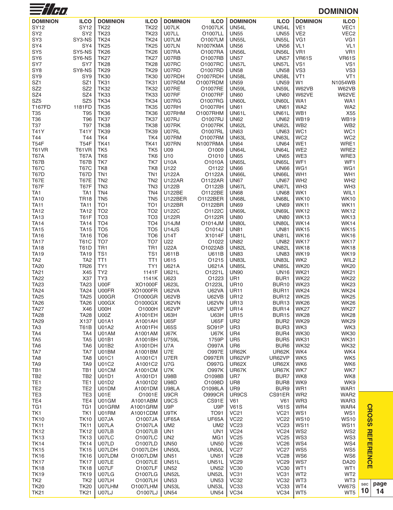| $\equiv$ //H $\bm{\theta}$       |                                |                                    |                            |                             |                             |                             |                            |                        | <b>DOMINION</b>            |     |
|----------------------------------|--------------------------------|------------------------------------|----------------------------|-----------------------------|-----------------------------|-----------------------------|----------------------------|------------------------|----------------------------|-----|
| <b>DOMINION</b>                  | <b>ILCO</b>                    | <b>DOMINION</b>                    | <b>ILCO</b>                | <b>DOMINION</b>             | <b>ILCO</b>                 | <b>DOMINION</b>             | <b>ILCO</b>                | <b>DOMINION</b>        | <b>ILCO</b>                |     |
| SY12                             | SY12                           | <b>TK22</b>                        | <b>TK22</b>                | U07LK                       | O1007LK                     | <b>UN54L</b>                | <b>UN54L</b>               | VE <sub>1</sub>        | VEC1                       |     |
| SY <sub>2</sub>                  | SY <sub>2</sub>                | <b>TK23</b>                        | <b>TK23</b>                | U07LL                       | O1007LL                     | <b>UN55</b>                 | <b>UN55</b>                | VE <sub>2</sub>        | VEC <sub>2</sub>           |     |
| SY <sub>3</sub>                  | SY3-NS                         | <b>TK24</b>                        | <b>TK24</b>                | U07LM                       | O1007LM                     | <b>UN55L</b>                | <b>UN55L</b>               | VG1                    | VG1                        |     |
| SY4                              | SY4                            | <b>TK25</b>                        | <b>TK25</b>                | U07LN                       | N1007KMA                    | <b>UN56</b>                 | <b>UN56</b>                | VL <sub>1</sub>        | VL <sub>1</sub>            |     |
| SY <sub>5</sub>                  | SY5-NS                         | <b>TK26</b>                        | <b>TK26</b>                | U07RA                       | O1007RA                     | <b>UN56L</b>                | <b>UN56L</b>               | VR <sub>1</sub>        | VR1                        |     |
| SY <sub>6</sub>                  | SY6-NS                         | <b>TK27</b>                        | <b>TK27</b>                | U07RB                       | O1007RB                     | <b>UN57</b>                 | <b>UN57</b>                | <b>VR61S</b>           | <b>VR61S</b>               |     |
| SY7                              | SY7                            | <b>TK28</b>                        | <b>TK28</b>                | U07RC                       | O1007RC                     | <b>UN57L</b>                | <b>UN57L</b>               | VS1                    | VS <sub>1</sub>            |     |
| SY <sub>8</sub>                  | SY8-NS                         | <b>TK29</b>                        | <b>TK29</b>                | U07RD                       | O1007RD                     | <b>UN58</b>                 | <b>UN58</b>                | VS <sub>3</sub>        | VS <sub>3</sub>            |     |
| SY9                              | SY <sub>9</sub>                | <b>TK30</b>                        | <b>TK30</b>                | U07RDH                      | O1007RDH                    | <b>UN58L</b>                | <b>UN58L</b>               | VT1                    | VT <sub>1</sub>            |     |
| SZ <sub>1</sub>                  | SZ <sub>1</sub>                | <b>TK31</b>                        | <b>TK31</b>                | U07RDM                      | O1007RDM                    | <b>UN59</b>                 | <b>UN59</b>                | W <sub>1</sub>         | N1054WB                    |     |
| SZ <sub>2</sub>                  | SZ <sub>2</sub>                | <b>TK32</b>                        | <b>TK32</b>                | U07RE                       | O1007RE                     | <b>UN59L</b>                | <b>UN59L</b>               | W62VB                  | W62VB                      |     |
| SZ4                              | SZ4                            | <b>TK33</b>                        | <b>TK33</b>                | U07RF                       | O1007RF                     | <b>UN60</b>                 | <b>UN60</b>                | W62VE                  | W62VE                      |     |
| SZ <sub>5</sub><br><b>T167FD</b> | SZ <sub>5</sub><br>1181FD      | <b>TK34</b><br><b>TK35</b>         | <b>TK34</b><br><b>TK35</b> | U07RG<br>U07RH              | O1007RG<br>O1007RH          | UN60L<br><b>UN61</b>        | UN60L<br><b>UN61</b>       | WA1<br>WA2             | WA1<br>WA <sub>2</sub>     |     |
| T35                              | T95                            | <b>TK36</b>                        | <b>TK36</b>                | U07RHM                      | O1007RHM                    | UN61L                       | UN61L                      | WB1                    | X55                        |     |
| T36                              | T96                            | <b>TK37</b>                        | <b>TK37</b>                | U07RJ                       | O1007RJ                     | <b>UN62</b>                 | <b>UN62</b>                | <b>WB19</b>            | <b>WB19</b>                |     |
| T37                              | T97                            | <b>TK38</b>                        | <b>TK38</b>                | U07RK                       | 01007RK                     | <b>UN62L</b>                | <b>UN62L</b>               | WB <sub>2</sub>        | WB <sub>2</sub>            |     |
| T41Y                             | T41Y                           | <b>TK39</b>                        | <b>TK39</b>                | U07RL                       | O1007RL                     | <b>UN63</b>                 | <b>UN63</b>                | WC1                    | WC1                        |     |
| T44                              | T44                            | TK4                                | TK4                        | U07RM                       | O1007RM                     | UN63L                       | UN63L                      | WC <sub>2</sub>        | WC <sub>2</sub>            |     |
| <b>T54F</b>                      | <b>T54F</b>                    | <b>TK41</b>                        | <b>TK41</b>                | U07RN                       | <b>N1007RMA</b>             | <b>UN64</b>                 | <b>UN64</b>                | WE1                    | WRE1                       |     |
| T61VR                            | <b>T61VR</b>                   | TK <sub>5</sub>                    | TK <sub>5</sub>            | U09                         | O1009                       | <b>UN64L</b>                | UN64L                      | WE <sub>2</sub>        | WRE2                       |     |
| <b>T67A</b>                      | <b>T67A</b>                    | TK6                                | TK6                        | U10                         | O1010                       | <b>UN65</b>                 | <b>UN65</b>                | WE3                    | WRE3                       |     |
| T67B                             | T67B                           | TK7                                | TK7                        | <b>U10A</b>                 | O1010A                      | <b>UN65L</b>                | <b>UN65L</b>               | WF1                    | WF1                        |     |
| <b>T67C</b>                      | <b>T67C</b>                    | TK8                                | TK8                        | U122                        | O1122                       | <b>UN66</b>                 | <b>UN66</b>                | WG1                    | WG1                        |     |
| T67D                             | <b>T67D</b>                    | TN <sub>1</sub>                    | TN1                        | U122A                       | O1122A                      | UN66L                       | UN66L                      | WH1                    | WH1                        |     |
| <b>T67E</b>                      | <b>T67E</b>                    | TN <sub>2</sub>                    | TN <sub>2</sub>            | <b>U122AR</b>               | O1122AR                     | <b>UN67</b>                 | <b>UN67</b>                | WH <sub>2</sub>        | WH <sub>2</sub>            |     |
| <b>T67F</b>                      | T67F<br>TA <sub>1</sub>        | TN <sub>3</sub><br>TN <sub>4</sub> | TN <sub>3</sub>            | U122B<br><b>U122BE</b>      | O1122B                      | UN67L                       | UN67L<br><b>UN68</b>       | WH <sub>3</sub><br>WK1 | WH <sub>3</sub>            |     |
| TA <sub>1</sub><br><b>TA10</b>   | <b>TR18</b>                    | TN <sub>5</sub>                    | TN4<br>TN <sub>5</sub>     | <b>U122BER</b>              | O1122BE<br>O1122BER         | <b>UN68</b><br><b>UN68L</b> | <b>UN68L</b>               | WK10                   | WIL1<br><b>WK10</b>        |     |
| <b>TA11</b>                      | <b>TA11</b>                    | TO <sub>1</sub>                    | TO <sub>1</sub>            | <b>U122BR</b>               | O1122BR                     | <b>UN69</b>                 | <b>UN69</b>                | <b>WK11</b>            | <b>WK11</b>                |     |
| <b>TA12</b>                      | TA12                           | TO <sub>2</sub>                    | TO <sub>2</sub>            | U122C                       | O1122C                      | UN69L                       | UN69L                      | <b>WK12</b>            | <b>WK12</b>                |     |
| <b>TA13</b>                      | <b>T61F</b>                    | TO <sub>3</sub>                    | TO <sub>3</sub>            | U122R                       | O1122R                      | <b>UN80</b>                 | <b>UN80</b>                | <b>WK13</b>            | <b>WK13</b>                |     |
| <b>TA14</b>                      | <b>TA14</b>                    | TO <sub>4</sub>                    | TO <sub>4</sub>            | <b>U14JM</b>                | O1014JM                     | UN80L                       | <b>UN80L</b>               | <b>WK14</b>            | <b>WK14</b>                |     |
| <b>TA15</b>                      | <b>TA15</b>                    | TO <sub>5</sub>                    | TO <sub>5</sub>            | <b>U14JS</b>                | O1014J                      | <b>UN81</b>                 | <b>UN81</b>                | <b>WK15</b>            | <b>WK15</b>                |     |
| <b>TA16</b>                      | <b>TA16</b>                    | TO <sub>6</sub>                    | TO <sub>6</sub>            | U14T                        | X1014F                      | UN81L                       | <b>UN81L</b>               | <b>WK16</b>            | <b>WK16</b>                |     |
| <b>TA17</b>                      | <b>T61C</b>                    | TO <sub>7</sub>                    | TO <sub>7</sub>            | U22                         | O1022                       | <b>UN82</b>                 | <b>UN82</b>                | <b>WK17</b>            | <b>WK17</b>                |     |
| <b>TA18</b>                      | <b>T61D</b>                    | TR <sub>1</sub>                    | TR <sub>1</sub>            | <b>U22A</b>                 | O1022AB                     | <b>UN82L</b>                | <b>UN82L</b>               | <b>WK18</b>            | <b>WK18</b>                |     |
| <b>TA19</b>                      | <b>TA19</b>                    | TS <sub>1</sub>                    | TS1                        | <b>U611B</b>                | <b>U611B</b>                | <b>UN83</b>                 | <b>UN83</b>                | <b>WK19</b>            | <b>WK19</b>                |     |
| TA <sub>2</sub>                  | TA <sub>2</sub>                | TT <sub>1</sub>                    | TT <sub>1</sub>            | U615                        | 01215                       | <b>UN83L</b>                | <b>UN83L</b>               | WK <sub>2</sub>        | WIL2                       |     |
| <b>TA20</b>                      | <b>TR26</b>                    | TY1                                | TY1                        | U621A                       | U621A                       | <b>UN85L</b>                | <b>UN85L</b>               | <b>WK20</b>            | <b>WK20</b>                |     |
| <b>TA21</b>                      | X45                            | TY <sub>2</sub>                    | 1141F                      | U621L                       | O1221L                      | <b>UN90</b>                 | <b>UN16</b>                | <b>WK21</b>            | <b>WK21</b>                |     |
| <b>TA22</b>                      | X37                            | TY3                                | 1141K                      | U623                        | O1223                       | UR1                         | BUR1                       | <b>WK22</b>            | <b>WK22</b>                |     |
| <b>TA23</b>                      | TA23                           | U00F<br>U00FR                      | XO1000F                    | U623L                       | O1223L                      | <b>UR10</b>                 | <b>BUR10</b>               | <b>WK23</b>            | <b>WK23</b>                |     |
| <b>TA24</b><br><b>TA25</b>       | TA24<br><b>TA25</b>            | U00GR                              | XO1000FR<br>O1000GR        | <b>U62VA</b><br>U62VB       | <b>U62VA</b><br>U62VB       | <b>UR11</b><br><b>UR12</b>  | <b>BUR11</b><br>BUR12      | WK24<br><b>WK25</b>    | <b>WK24</b><br><b>WK25</b> |     |
| <b>TA26</b>                      | <b>TA26</b>                    | U00GX                              | O1000GX                    | <b>U62VN</b>                | <b>U62VN</b>                | <b>UR13</b>                 | BUR <sub>13</sub>          | <b>WK26</b>            | <b>WK26</b>                |     |
| <b>TA27</b>                      | X46                            | U00H                               | O1000H                     | <b>U62VP</b>                | <b>U62VP</b>                | <b>UR14</b>                 | <b>BUR14</b>               | <b>WK27</b>            | <b>WK27</b>                |     |
| <b>TA28</b>                      | <b>TA28</b>                    | U00Z                               | A1001EH                    | <b>U63H</b>                 | U63H                        | <b>UR15</b>                 | <b>BUR15</b>               | <b>WK28</b>            | <b>WK28</b>                |     |
| <b>TA29</b>                      | X137                           | <b>U01A1</b>                       | A1001AH                    | U65F                        | <b>U65F</b>                 | UR <sub>2</sub>             | BUR <sub>2</sub>           | <b>WK29</b>            | <b>WK29</b>                |     |
| TA <sub>3</sub>                  | <b>T61B</b>                    | U01A2                              | A1001FH                    | <b>U65S</b>                 | SO91P                       | UR <sub>3</sub>             | BUR3                       | WK3                    | WK3                        |     |
| TA4                              | TA4                            | U01AM                              | A1001AM                    | <b>U67K</b>                 | <b>U67K</b>                 | UR4                         | BUR4                       | <b>WK30</b>            | <b>WK30</b>                |     |
| TA <sub>5</sub>                  | TA <sub>5</sub>                | <b>U01B1</b>                       | A1001BH                    | U759L                       | 1759P                       | UR <sub>5</sub>             | BUR <sub>5</sub>           | <b>WK31</b>            | <b>WK31</b>                |     |
| TA <sub>6</sub>                  | TA6                            | U01B2                              | A1001DH                    | U7A                         | O997A                       | UR6                         | BUR <sub>6</sub>           | <b>WK32</b>            | <b>WK32</b>                |     |
| TA7                              | TA7                            | U01BM                              | A1001BM                    | U7E                         | <b>O997E</b>                | UR62K                       | UR62K                      | WK4                    | WK4                        |     |
| TA <sub>8</sub>                  | TA <sub>8</sub>                | U01C1                              | A1001C1                    | U7ER                        | <b>O997ER</b>               | UR62VP                      | UR62VP                     | WK5                    | WK <sub>5</sub>            |     |
| TA <sub>9</sub>                  | TA <sub>9</sub>                | U01C2                              | A1001C2                    | U7G                         | O997G                       | <b>UR62X</b>                | <b>UR62X</b>               | WK6                    | WK6                        |     |
| TB1                              | TB1                            | U01CM                              | A1001CM                    | U7K                         | <b>O997K</b>                | UR67K                       | UR67K                      | WK7                    | WK7                        |     |
| TB <sub>2</sub><br>TE1           | TB <sub>2</sub><br>TE1         | U01D1<br>U01D2                     | A1001D1<br>A1001D2         | <b>U98B</b><br><b>U98D</b>  | O1098B<br>O1098D            | UR7<br>UR <sub>8</sub>      | BUR7<br>BUR <sub>8</sub>   | WK8<br>WK9             | WK8<br>WK9                 |     |
| TE <sub>2</sub>                  | TE <sub>2</sub>                | U01DM                              | A1001DM                    | U98LA                       | O1098LA                     | UR9                         | BUR9                       | WR1                    | WAR1                       |     |
| TE <sub>3</sub>                  | TE3                            | <b>U01E</b>                        | O1001E                     | U9CR                        | <b>O999CR</b>               | UR9CS                       | CS91ER                     | WR <sub>2</sub>        | WAR2                       |     |
| TE4                              | TE4                            | U01GM                              | A1001ABM                   | U9CS                        | CS91E                       | V61                         | V61                        | WR3                    | WAR3                       |     |
| TG1                              | TG1                            | U01GRM                             | A1001GRM                   | U9P                         | U9P                         | <b>V61S</b>                 | <b>V61S</b>                | WR4                    | WAR4                       |     |
| TK1                              | TK1                            | U01RM                              | A1001CDM                   | U9TK                        | <b>TO91</b>                 | <b>VC21</b>                 | <b>VC21</b>                | WS1                    | WS1                        |     |
| <b>TK10</b>                      | <b>TK10</b>                    | U07JA                              | O1007JA                    | UF65A                       | UF65A                       | <b>VC22</b>                 | <b>VC22</b>                | <b>WS10</b>            | <b>WS10</b>                |     |
| <b>TK11</b>                      | <b>TK11</b>                    | U07LA                              | O1007LA                    | UM <sub>2</sub>             | UM <sub>2</sub>             | <b>VC23</b>                 | <b>VC23</b>                | <b>WS11</b>            | <b>WS11</b>                |     |
| <b>TK12</b>                      | <b>TK12</b>                    | U07LB                              | O1007LB                    | UN1                         | UN <sub>1</sub>             | <b>VC24</b>                 | <b>VC24</b>                | WS <sub>2</sub>        | WS <sub>2</sub>            |     |
| <b>TK13</b>                      | <b>TK13</b>                    | U07LC                              | O1007LC                    | UN <sub>2</sub>             | MG1                         | <b>VC25</b>                 | <b>VC25</b>                | WS3                    | WS3                        |     |
| <b>TK14</b>                      | <b>TK14</b>                    | U07LD                              | O1007LD                    | <b>UN50</b>                 | <b>UN50</b>                 | <b>VC26</b>                 | <b>VC26</b>                | WS4                    | WS4                        |     |
| <b>TK15</b>                      | <b>TK15</b>                    | U07LDH                             | O1007LDH                   | <b>UN50L</b>                | <b>UN50L</b>                | <b>VC27</b>                 | <b>VC27</b>                | WS5                    | WS5                        |     |
| <b>TK16</b>                      | <b>TK16</b>                    | U07LDM                             | O1007LDM                   | <b>UN51</b>                 | <b>UN51</b>                 | <b>VC28</b>                 | <b>VC28</b>                | WS6                    | WS6                        |     |
| <b>TK17</b>                      | <b>TK17</b>                    | U07LE                              | O1007LE                    | <b>UN51L</b>                | <b>UN51L</b>                | <b>VC29</b>                 | <b>VC29</b>                | WS7                    | <b>DA20</b>                |     |
| <b>TK18</b>                      | <b>TK18</b>                    | U07LF                              | O1007LF                    | <b>UN52</b>                 | <b>UN52</b>                 | <b>VC30</b><br>VC31         | <b>VC30</b>                | WT1                    | WT1                        |     |
| <b>TK19</b><br>TK <sub>2</sub>   | <b>TK19</b><br>TK <sub>2</sub> | U07LG<br>U07LH                     | O1007LG<br>O1007LH         | <b>UN52L</b><br><b>UN53</b> | <b>UN52L</b><br><b>UN53</b> | <b>VC32</b>                 | <b>VC31</b><br><b>VC32</b> | WT2<br>WT3             | WT <sub>2</sub><br>WT3     |     |
| <b>TK20</b>                      | <b>TK20</b>                    | U07LHM                             | O1007LHM                   | <b>UN53L</b>                | <b>UN53L</b>                | VC33                        | VC33                       | WT4                    | <b>VW67S</b>               | sec |
| <b>TK21</b>                      | <b>TK21</b>                    | U07LJ                              | O1007LJ                    | <b>UN54</b>                 | <b>UN54</b>                 | <b>VC34</b>                 | VC34                       | WT5                    | WT5                        | 10  |
|                                  |                                |                                    |                            |                             |                             |                             |                            |                        |                            |     |

**page**

**14**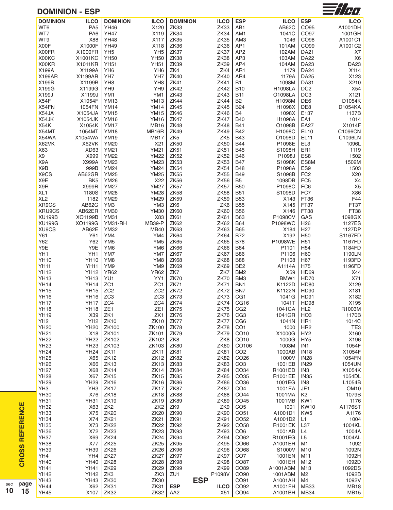#### **DOMINION - ESP**



| <b>DOMINION</b> | <b>ILCO</b>     | <b>DOMINION</b>  | <b>ILCO</b>      | <b>DOMINION</b> | <b>ILCO</b>     | <b>ESP</b>       | <b>ILCO</b>    | <b>ESP</b>      | <b>ILCO</b>      |
|-----------------|-----------------|------------------|------------------|-----------------|-----------------|------------------|----------------|-----------------|------------------|
| WT6             | PA <sub>5</sub> | <b>YH46</b>      | X120             | <b>ZK33</b>     | ZK33            | AB1              | AB62C          | CO95            | A1001DH          |
| WT7             | PA <sub>6</sub> | <b>YH47</b>      | X119             | <b>ZK34</b>     | ZK34            | AM1              | 1041C          | CO97            | 1001GH           |
|                 |                 |                  |                  |                 |                 |                  |                |                 |                  |
| WT9             | X88             | <b>YH48</b>      | X117             | ZK35            | <b>ZK35</b>     | AM <sub>3</sub>  | 1046           | CO98            | A1001C1          |
| X00F            | X1000F          | <b>YH49</b>      | X118             | ZK36            | <b>ZK36</b>     | AP1              | 101AM          | CO99            | A1001C2          |
| X00FR           | X1000FR         | YH <sub>5</sub>  | YH <sub>5</sub>  | ZK37            | ZK37            | AP <sub>2</sub>  | 102AM          | <b>DA21</b>     | X7               |
|                 |                 |                  |                  |                 |                 |                  |                |                 |                  |
| X00KC           | X1001KC         | <b>YH50</b>      | <b>YH50</b>      | ZK38            | ZK38            | AP3              | 103AM          | <b>DA22</b>     | X <sub>6</sub>   |
| X00KR           | X1011KR         | <b>YH51</b>      | <b>YH51</b>      | <b>ZK39</b>     | <b>ZK39</b>     | AP4              | 104AM          | <b>DA23</b>     | DA23             |
|                 |                 |                  |                  |                 |                 |                  |                |                 |                  |
| X199A           | X1199A          | YH <sub>6</sub>  | YH <sub>6</sub>  | ZK4             | ZK4             | AR <sub>1</sub>  | 1179           | <b>DA24</b>     | X114             |
| X199AR          | X1199AR         | YH7              | YH7              | <b>ZK40</b>     | <b>ZK40</b>     | AR4              | 1179A          | <b>DA25</b>     | X123             |
|                 |                 |                  |                  |                 |                 |                  |                |                 |                  |
| X199B           | X1199B          | YH <sub>8</sub>  | YH <sub>8</sub>  | <b>ZK41</b>     | <b>ZK41</b>     | <b>B1</b>        | 1098M          | <b>DA31</b>     | X210             |
| X199G           | X1199G          | YH9              | YH9              | <b>ZK42</b>     | <b>ZK42</b>     | <b>B10</b>       | <b>H1098LA</b> | DC <sub>2</sub> | X54              |
| X199J           |                 | YM1              |                  | <b>ZK43</b>     |                 |                  |                | DC <sub>3</sub> | X121             |
|                 | X1199J          |                  | YM1              |                 | <b>ZK43</b>     | <b>B11</b>       | O1098LA        |                 |                  |
| X54F            | X1054F          | <b>YM13</b>      | <b>YM13</b>      | <b>ZK44</b>     | <b>ZK44</b>     | <b>B2</b>        | H1098M         | DE6             | D1054K           |
| X54FN           | 1054FN          | <b>YM14</b>      | <b>YM14</b>      | <b>ZK45</b>     | <b>ZK45</b>     | <b>B24</b>       | H1098X         | DE8             | D1054KA          |
|                 |                 |                  |                  |                 |                 |                  |                |                 |                  |
| X54JA           | X1054JA         | <b>YM15</b>      | <b>YM15</b>      | <b>ZK46</b>     | <b>ZK46</b>     | <b>B4</b>        | 1098X          | E137            | 1137B            |
| X54JK           | X1054JK         | <b>YM16</b>      | <b>YM16</b>      | <b>ZK47</b>     | <b>ZK47</b>     | <b>B40</b>       | H1098A         | EA1             | 1014             |
| X54K            | X1054K          | <b>YM17</b>      | <b>MB16</b>      | <b>ZK48</b>     | <b>ZK48</b>     | <b>B41</b>       | O1098B         | <b>EA27</b>     | X1014F           |
|                 |                 |                  |                  |                 |                 |                  |                |                 |                  |
| X54MT           | 1054MT          | <b>YM18</b>      | MB16R            | <b>ZK49</b>     | <b>ZK49</b>     | <b>B42</b>       | H1098C         | <b>EL10</b>     | C1096CN          |
| X54WA           | X1054WA         | <b>YM19</b>      | <b>MB17</b>      | ZK <sub>5</sub> | ZK <sub>5</sub> | <b>B43</b>       | O1098D         | <b>EL11</b>     | C1096LN          |
|                 |                 |                  |                  |                 |                 |                  |                |                 |                  |
| X62VK           | X62VK           | <b>YM20</b>      | X21              | <b>ZK50</b>     | <b>ZK50</b>     | <b>B44</b>       | P1098E         | EL <sub>3</sub> | 1096L            |
| X63             | XD63            | <b>YM21</b>      | <b>YM21</b>      | ZK51            | <b>ZK51</b>     | <b>B45</b>       | S1098H         | ER1             | 1119             |
|                 |                 |                  |                  |                 |                 |                  |                |                 |                  |
| X9              | X999            | <b>YM22</b>      | <b>YM22</b>      | <b>ZK52</b>     | <b>ZK52</b>     | <b>B46</b>       | P1098J         | ES8             | 1502             |
| X9A             | X999A           | <b>YM23</b>      | <b>YM23</b>      | <b>ZK53</b>     | <b>ZK53</b>     | <b>B47</b>       | S1098K         | ES8M            | 1502M            |
| X9B             | 999B            | <b>YM24</b>      | <b>YM24</b>      | <b>ZK54</b>     | <b>ZK54</b>     | <b>B48</b>       | P1098A         | ES9             | 1503             |
|                 |                 |                  |                  |                 |                 |                  |                |                 |                  |
| X9CS            | AB62GR          | <b>YM25</b>      | <b>YM25</b>      | ZK55            | <b>ZK55</b>     | <b>B49</b>       | S1098B         | FC <sub>2</sub> | X20              |
| X9E             | BK <sub>5</sub> | <b>YM26</b>      | X22              | ZK56            | <b>ZK56</b>     | B <sub>5</sub>   | 1098DB         | FC <sub>5</sub> | X4               |
| X9R             |                 | <b>YM27</b>      |                  | ZK57            |                 |                  |                | FC6             | X <sub>5</sub>   |
|                 | X999R           |                  | <b>YM27</b>      |                 | ZK57            | <b>B50</b>       | P1098C         |                 |                  |
| XL <sub>1</sub> | 1180S           | <b>YM28</b>      | <b>YM28</b>      | ZK58            | <b>ZK58</b>     | <b>B51</b>       | S1098D         | FC7             | X86              |
| XL <sub>2</sub> | 1182            | <b>YM29</b>      | <b>YM29</b>      | <b>ZK59</b>     | <b>ZK59</b>     | <b>B53</b>       | X143           | FT36            | F44              |
|                 |                 |                  |                  |                 |                 |                  |                |                 |                  |
| XR9CS           | AB62G           | YM3              | YM3              | ZK6             | ZK6             | <b>B55</b>       | X145           | FT37            | FT37             |
| XRU9CS          | AB62ER          | <b>YM30</b>      | <b>YM30</b>      | <b>ZK60</b>     | <b>ZK60</b>     | <b>B56</b>       | X146           | <b>FT38</b>     | FT38             |
|                 |                 |                  |                  |                 |                 |                  |                |                 |                  |
| <b>XU199B</b>   | XO1199B         | <b>YM31</b>      | X83              | <b>ZK61</b>     | <b>ZK61</b>     | <b>B63</b>       | P1098CV        | GAS             | 1098GX           |
| <b>XU199G</b>   | XO1199G         | YM31-RH          | <b>MB39-P</b>    | <b>ZK62</b>     | <b>ZK62</b>     | <b>B64</b>       | P1098WC        | H <sub>26</sub> | 1127ES           |
|                 |                 |                  |                  |                 |                 |                  |                |                 |                  |
| XU9CS           | AB62E           | <b>YM32</b>      | <b>MB40</b>      | ZK63            | <b>ZK63</b>     | <b>B65</b>       | X184           | H <sub>27</sub> | 1127DP           |
| Y61             | Y61             | YM4              | YM4              | ZK64            | <b>ZK64</b>     | <b>B72</b>       | X192           | H <sub>50</sub> | S1167FD          |
| Y62             | Y62             | YM <sub>5</sub>  | YM <sub>5</sub>  | ZK65            | <b>ZK65</b>     | <b>B78</b>       | P1098WE        | H <sub>51</sub> | 1167FD           |
|                 |                 |                  |                  |                 |                 |                  |                |                 |                  |
| Y9E             | Y9E             | YM <sub>6</sub>  | YM <sub>6</sub>  | ZK66            | <b>ZK66</b>     | <b>B84</b>       | P1101          | H <sub>54</sub> | 1184FD           |
| YH1             | YH1             | YM7              | YM7              | ZK67            | ZK67            | <b>B86</b>       | P1106          | H60             | 1190LN           |
|                 |                 |                  |                  |                 |                 |                  |                |                 |                  |
| <b>YH10</b>     | <b>YH10</b>     | YM <sub>8</sub>  | YM8              | ZK68            | <b>ZK68</b>     | <b>B88</b>       | P1108          | H67             | 1193FD           |
| <b>YH11</b>     | <b>YH11</b>     | YM9              | YM9              | ZK69            | ZK69            | BE <sub>2</sub>  | A1114A         | H75             | 1196FD           |
|                 |                 |                  |                  |                 |                 |                  |                |                 |                  |
| <b>YH12</b>     | <b>YH12</b>     | <b>YR62</b>      | <b>YR62</b>      | ZK7             | ZK7             | BM <sub>2</sub>  | X59            | <b>HD69</b>     | X44              |
| <b>YH13</b>     | <b>YH13</b>     | YU1              | YY1              | <b>ZK70</b>     | <b>ZK70</b>     | BM3              | BMW1           | <b>HD70</b>     | X71              |
| <b>YH14</b>     | <b>YH14</b>     | ZC <sub>1</sub>  | ZC <sub>1</sub>  | <b>ZK71</b>     |                 |                  |                | <b>HD80</b>     | X129             |
|                 |                 |                  |                  |                 | <b>ZK71</b>     | BN <sub>1</sub>  | K1122D         |                 |                  |
| <b>YH15</b>     | <b>YH15</b>     | ZC <sub>2</sub>  | ZC <sub>2</sub>  | ZK72            | <b>ZK72</b>     | BN7              | K1122N         | <b>HD90</b>     | X181             |
| <b>YH16</b>     | <b>YH16</b>     | ZC <sub>3</sub>  | ZC <sub>3</sub>  | ZK73            | ZK73            | CG1              | 1041G          | HD91            | X182             |
|                 |                 |                  |                  |                 |                 |                  |                |                 |                  |
| <b>YH17</b>     | YH17 ZC4        |                  | ZC4              | ZK74            | <b>ZK74</b>     | CG16             | 1041T          | <b>HD98</b>     | X195             |
| <b>YH18</b>     | <b>YH18</b>     | ZE <sub>1</sub>  | ZE1              | <b>ZK75</b>     | <b>ZK75</b>     | CG <sub>2</sub>  | 1041GA         | HL <sub>2</sub> | R1003M           |
|                 |                 |                  |                  |                 |                 |                  |                |                 |                  |
| <b>YH19</b>     | X39             | ZK1              | ZK1              | <b>ZK76</b>     | <b>ZK76</b>     | CG <sub>3</sub>  | 1041GR         | HO <sub>3</sub> | 1170B            |
| YH <sub>2</sub> | YH <sub>2</sub> | <b>ZK10</b>      | <b>ZK10</b>      | ZK77            | ZK77            | CG <sub>6</sub>  | 1041N          | HR <sub>1</sub> | 1014C            |
|                 |                 |                  |                  |                 |                 |                  |                |                 |                  |
| <b>YH20</b>     | <b>YH20</b>     | ZK100            | ZK100            | <b>ZK78</b>     | ZK78            | CO <sub>1</sub>  | 1000           | HR <sub>2</sub> | TE <sub>3</sub>  |
| <b>YH21</b>     | X18             | ZK101            | ZK101            | ZK79            | <b>ZK79</b>     | CO <sub>10</sub> | X1000G         | HY <sub>2</sub> | X160             |
| <b>YH22</b>     | <b>YH22</b>     | ZK102            | ZK102            | ZK8             | ZK8             | CO10             | 1000G          | HY <sub>5</sub> | X196             |
|                 |                 |                  |                  |                 |                 |                  |                |                 |                  |
| <b>YH23</b>     | YH23            | ZK103            | ZK103            | <b>ZK80</b>     | <b>ZK80</b>     | CO106            | 1003M          | IN <sub>1</sub> | 1054F            |
| <b>YH24</b>     | <b>YH24</b>     | <b>ZK11</b>      | <b>ZK11</b>      | <b>ZK81</b>     | <b>ZK81</b>     | CO <sub>2</sub>  | 1000AB         | <b>IN18</b>     | X1054F           |
|                 |                 |                  |                  |                 |                 |                  |                |                 |                  |
| <b>YH25</b>     | X65             | <b>ZK12</b>      | <b>ZK12</b>      | <b>ZK82</b>     | <b>ZK82</b>     | CO <sub>26</sub> | 1000V          | <b>IN28</b>     | 1054FN           |
| <b>YH26</b>     | X66             | <b>ZK13</b>      | ZK <sub>13</sub> | ZK83            | ZK83            | CO <sub>3</sub>  | 1001EB         | <b>IN29</b>     | 1054UN           |
|                 |                 |                  |                  |                 |                 |                  | R1001ED        |                 |                  |
| <b>YH27</b>     | X68             | <b>ZK14</b>      | <b>ZK14</b>      | <b>ZK84</b>     | <b>ZK84</b>     | CO34             |                | IN <sub>3</sub> | X1054K           |
| <b>YH28</b>     | X67             | <b>ZK15</b>      | ZK15             | ZK85            | <b>ZK85</b>     | CO <sub>35</sub> | R1001EE        | <b>IN35</b>     | 1054DL           |
| <b>YH29</b>     | <b>YH29</b>     | <b>ZK16</b>      | <b>ZK16</b>      | <b>ZK86</b>     | ZK86            | CO <sub>36</sub> | 1001EG         | IN <sub>8</sub> | L1054B           |
|                 |                 |                  |                  |                 |                 |                  |                |                 |                  |
| YH <sub>3</sub> | YH <sub>3</sub> | ZK17             | ZK17             | ZK87            | ZK87            | CO <sub>4</sub>  | 1001EA         | JE1             | OM <sub>10</sub> |
| <b>YH30</b>     | X76             | <b>ZK18</b>      | <b>ZK18</b>      | ZK88            | ZK88            | CO44             | 1001MA         | K <sub>2</sub>  | 1079B            |
|                 |                 |                  |                  |                 |                 |                  |                |                 |                  |
| <b>YH31</b>     | <b>YH31</b>     | <b>ZK19</b>      | <b>ZK19</b>      | <b>ZK89</b>     | <b>ZK89</b>     | CO45             | 1001MB         | KW1             | 1176             |
| <b>YH32</b>     | X63             | ZK <sub>2</sub>  | ZK <sub>2</sub>  | ZK9             | ZK9             | CO <sub>5</sub>  | 1001           | <b>KW10</b>     | A1176ST          |
|                 |                 |                  |                  |                 |                 |                  |                |                 |                  |
| <b>YH33</b>     | X75             | <b>ZK20</b>      | <b>ZK20</b>      | <b>ZK90</b>     | <b>ZK90</b>     | CO <sub>51</sub> | A1001D1        | KW <sub>5</sub> | A1176            |
| <b>YH34</b>     | X74             | <b>ZK21</b>      | <b>ZK21</b>      | <b>ZK91</b>     | ZK91            | CO <sub>52</sub> | A1001D2        | L1              | 1004             |
| <b>YH35</b>     | X73             | <b>ZK22</b>      | <b>ZK22</b>      | <b>ZK92</b>     | <b>ZK92</b>     | CO <sub>58</sub> | R1001EK        | L37             | 1004KL           |
|                 |                 |                  |                  |                 |                 |                  |                |                 |                  |
| <b>YH36</b>     | X72             | ZK <sub>23</sub> | ZK <sub>23</sub> | <b>ZK93</b>     | ZK93            | CO <sub>6</sub>  | 1001AB         | L4              | 1004A            |
| YH37            | X69             | <b>ZK24</b>      | <b>ZK24</b>      | <b>ZK94</b>     | ZK94            | CO62             | R1001EG        | L <sub>5</sub>  | 1004AL           |
|                 |                 |                  |                  |                 |                 |                  |                |                 |                  |
| YH38            | X77             | <b>ZK25</b>      | ZK <sub>25</sub> | <b>ZK95</b>     | <b>ZK95</b>     | CO66             | A1001EH        | M1              | 1092             |
| <b>YH39</b>     | <b>YH39</b>     | <b>ZK26</b>      | <b>ZK26</b>      | <b>ZK96</b>     | ZK96            | CO68             | S1000V         | M10             | 1092N            |
|                 |                 |                  |                  |                 |                 |                  |                |                 |                  |
| YH4             | YH4             | ZK <sub>27</sub> | <b>ZK27</b>      | ZK97            | ZK97            | CO <sub>7</sub>  | 1001EN         | M11             | 1092H            |
| <b>YH40</b>     | <b>YH40</b>     | <b>ZK28</b>      | <b>ZK28</b>      | ZK98            | ZK98            | CO87             | 1001EH         | M12             | 1092D            |
| <b>YH41</b>     | <b>YH41</b>     | <b>ZK29</b>      | <b>ZK29</b>      | ZK99            | <b>ZK99</b>     | CO89             | A1001ABM       |                 | 1092DS           |
|                 |                 |                  |                  |                 |                 |                  |                | M13             |                  |
| <b>YH42</b>     | <b>YH42</b>     | ZK3              | ZK3              | ZU1             | P1098V          | CO90             | 1001ABM        | M <sub>2</sub>  | 1092B            |
| <b>YH43</b>     | <b>YH43</b>     | <b>ZK30</b>      | <b>ZK30</b>      |                 | <b>ESP</b>      | CO91             | A1001AH        | M4              | 1092V            |
|                 |                 |                  |                  |                 |                 |                  |                |                 |                  |
| <b>YH44</b>     | X62             | <b>ZK31</b>      | <b>ZK31</b>      | <b>ESP</b>      | <b>ILCO</b>     | CO92             | A1001FH        | <b>MB33</b>     | <b>MB18</b>      |
| <b>YH45</b>     | X107            | <b>ZK32</b>      | ZK32             | AA <sub>2</sub> | X51             | CO94             | A1001BH        | MB34            | <b>MB15</b>      |
|                 |                 |                  |                  |                 |                 |                  |                |                 |                  |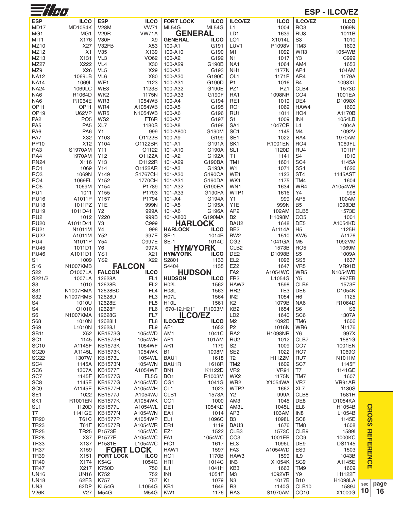| $\equiv$ //H $\alpha$              |                                    |                                  |                                    |                                        |                 |                                     |                     |                                   | <b>ESP - ILCO/EZ</b> |
|------------------------------------|------------------------------------|----------------------------------|------------------------------------|----------------------------------------|-----------------|-------------------------------------|---------------------|-----------------------------------|----------------------|
| <b>ESP</b>                         | <b>ILCO</b>                        | <b>ESP</b>                       | <b>ILCO</b>                        | <b>FORT LOCK</b>                       | <b>ILCO</b>     | <b>ILCO/EZ</b>                      | <b>ILCO</b>         | ILCO/EZ                           | <b>ILCO</b>          |
| MD17                               | <b>MD1054K</b>                     | <b>V28M</b>                      | <b>VW71</b>                        | ML54G                                  | ML54G           | L1                                  | 1004                | RO <sub>3</sub>                   | 1069N                |
| MG <sub>1</sub>                    | MG <sub>1</sub>                    | <b>V29R</b>                      | VW71A                              | <b>GENERAL</b>                         |                 | LD1                                 | 1639                | RU <sub>3</sub>                   | 1011B                |
| MIT <sub>1</sub>                   | X176                               | <b>V30F</b>                      | X <sub>9</sub>                     | <b>GENERAL</b>                         | <b>ILCO</b>     | LO <sub>1</sub>                     | X1014L              | S <sub>3</sub>                    | 1010                 |
| MZ10<br>MZ12                       | X27<br>X <sub>1</sub>              | V32FB<br>V35                     | X53<br>X139                        | 100-A1<br>100-A10                      | G191<br>G190    | LUV <sub>1</sub><br>M1              | P1098V<br>1092      | TM <sub>3</sub><br>WR3            | 1603<br>1054WB       |
| MZ13                               | X131                               | VL3                              | VO62                               | 100-A2                                 | G192            | N <sub>1</sub>                      | 1017                | Y3                                | C999                 |
| MZ27                               | X222                               | VL <sub>4</sub>                  | X30                                | 100-A29                                | G190B           | NA <sub>1</sub>                     | 1064                | AM4                               | 1653                 |
| MZ9                                | X26                                | VL <sub>5</sub>                  | X29                                | 100-A3                                 | G193            | NH <sub>1</sub>                     | 1177N               | AP4                               | 104AM                |
| <b>NA12</b>                        | 1069LB                             | VL6                              | X80                                | 100-A30                                | G190C           | OL <sub>1</sub>                     | 1171P               | AR4                               | 1179A                |
| <b>NA14</b>                        | 1069L                              | WE1                              | 1123                               | 100-A31                                | G190D           | P <sub>1</sub>                      | 1016                | <b>B4</b>                         | 1098XL               |
| <b>NA24</b><br>NA <sub>6</sub>     | 1069LC<br>R1064D                   | WE3<br>WK <sub>2</sub>           | 1123S<br>1175N                     | 100-A32<br>100-A33                     | G190E<br>G190F  | PZ1<br>RA <sub>1</sub>              | PZ1<br>1098NR       | CLB4<br>CO <sub>4</sub>           | 1573D<br>1001EA      |
| NA6                                | R1064E                             | WR3                              | 1054WB                             | 100-A4                                 | G194            | RE1                                 | 1019                | DE4                               | D1098X               |
| <b>OP11</b>                        | OP <sub>11</sub>                   | WR4                              | A1054WB                            | 100-A5                                 | G195            | RO <sub>1</sub>                     | 1069                | HAW4                              | 1600                 |
| OP <sub>19</sub>                   | <b>U62VP</b>                       | WR <sub>5</sub>                  | N1054WB                            | 100-A6                                 | G196            | RU1                                 | 1011                | HO <sub>4</sub>                   | A1170B               |
| PA <sub>2</sub>                    | PO <sub>5</sub>                    | WS <sub>2</sub>                  | FT6R                               | 100-A7                                 | G197            | S <sub>1</sub>                      | 1009                | IN4                               | 1054LB               |
| PA <sub>5</sub><br>PA <sub>6</sub> | PA <sub>5</sub><br>PA <sub>6</sub> | XL7<br>Y1                        | 1180S<br>999                       | 100-A8<br>100-A800                     | G198<br>G190M   | SA <sub>1</sub><br>SC <sub>1</sub>  | 1047CR<br>1145      | L4<br>M4                          | 1004A<br>1092V       |
| PA7                                | X32                                | Y103                             | O1122B                             | 100-A9                                 | G199            | SE <sub>1</sub>                     | 1022                | RA4                               | 1970AM               |
| <b>PP10</b>                        | X12                                | Y104                             | O1122BR                            | $101 - A1$                             | G191A           | SK <sub>1</sub>                     | R1001EN             | RO <sub>4</sub>                   | 1069FL               |
| RA3                                | S1970AM                            | Y11                              | O1122                              | 101-A10                                | G190A           | SL <sub>1</sub>                     | 1120D               | RU4                               | 1011P                |
| RA4<br><b>RN24</b>                 | 1970AM<br>X116                     | Y12<br>Y13                       | O1122A<br>O1122R                   | $101 - A2$<br>101-A29                  | G192A<br>G190BA | T1<br>TM1                           | 1141<br>1601        | S <sub>4</sub><br>SC <sub>4</sub> | 1010<br>1145A        |
| RO <sub>1</sub>                    | 1069                               | Y14                              | O1122AR                            | $101 - A3$                             | G193A           | W1                                  | 1071                | SS <sub>4</sub>                   | 1626                 |
| RO <sub>3</sub>                    | 1069N                              | Y149                             | <b>S1767CH</b>                     | 101-A30                                | G190CA          | WE1                                 | 1123                | ST <sub>4</sub>                   | 1145AST              |
| RO <sub>4</sub>                    | 1069FL                             | Y152                             | 1770CH                             | 101-A31                                | G190DA          | WK1                                 | 1175                | TM4                               | 1604                 |
| RO <sub>5</sub>                    | 1069M                              | Y154                             | P1789                              | 101-A32                                | G190EA          | WN <sub>1</sub>                     | 1634                | WR4                               | A1054WB              |
| RU1                                | 1011                               | Y155                             | P1793                              | 101-A33                                | G190FA          | WTP1                                | 1616                | Y4                                | 998                  |
| <b>RU16</b><br><b>RU18</b>         | A1011P<br>1011PZ                   | Y157<br>Y1E                      | P1794<br>999N                      | $101 - A4$<br>101-A5                   | G194A<br>G195A  | Y1<br>Y1E                           | 999<br>999N         | AP <sub>5</sub><br>B <sub>5</sub> | 100AM<br>1098DB      |
| <b>RU19</b>                        | 1011D41                            | Y2                               | 999A                               | 101-A6                                 | G196A           | AP <sub>2</sub>                     | 102AM               | CLB5                              | 1573E                |
| RU <sub>2</sub>                    | 1012                               | Y220                             | 999B                               | 101-A800                               | G190MA          | B <sub>2</sub>                      | H1098M              | CO <sub>5</sub>                   | 1001                 |
| <b>RU20</b>                        | A1011D41                           | Y3                               | C999                               | <b>HARLOCK</b>                         |                 | BAU2                                | 1648                | DE <sub>5</sub>                   | A1054KD              |
| <b>RU21</b>                        | N1011M                             | Υ4<br>Y52                        | 998                                | <b>HARLOCK</b><br><b>SE-1</b>          | <b>ILCO</b>     | BE <sub>2</sub>                     | A1114A              | H <sub>5</sub>                    | 1125H                |
| <b>RU22</b><br>RU4                 | A1011M<br>N <sub>1011</sub> P      | Y54                              | 997E<br><b>O997E</b>               | <b>SE-1</b>                            | 1014B<br>1014C  | BW <sub>2</sub><br>CG <sub>2</sub>  | 1510<br>1041GA      | KW <sub>5</sub><br>M <sub>5</sub> | A1176<br>1092VM      |
| <b>RU45</b>                        | 1011D1                             | Y6                               | 997X                               | <b>HYM/YORK</b>                        |                 | CLB <sub>2</sub>                    | 1573B               | RO <sub>5</sub>                   | 1069M                |
| <b>RU46</b>                        | A1011D1                            | YS1                              | X <sub>21</sub>                    | <b>HYM/YORK</b>                        | <b>ILCO</b>     | DE <sub>2</sub>                     | D1098B              | S <sub>5</sub>                    | 1009A                |
| S <sub>1</sub>                     | 1009                               | YS2                              | X22                                | S2801                                  | 1133            | EL <sub>2</sub>                     | 1096                | SS <sub>5</sub>                   | 1637                 |
| S <sub>16</sub><br>S22             | <b>N1007KMB</b><br>O1007LA         | <b>FALCON</b><br><b>FALCON</b>   | <b>ILCO</b>                        | S4404<br><b>HUDSON</b>                 | 1135            | EZ <sub>2</sub><br>FA <sub>2</sub>  | 1647<br>A1054WC     | VR <sub>5</sub><br>WR5            | VR91B<br>N1054WB     |
| S221/2                             | 1007LA                             | 12628A                           | FL <sub>1</sub>                    | <b>HUDSON</b>                          | <b>ILCO</b>     | FR <sub>2</sub>                     | L1054G              | Y <sub>5</sub>                    | 997EB                |
| S3                                 | 1010                               | 12628B                           | FL <sub>2</sub>                    | H <sub>02</sub> L                      | 1562            | HAW <sub>2</sub>                    | 1598                | CLB6                              | 1573F                |
| S31                                | N1007RMA                           | 12628BD                          | FL4                                | H <sub>03</sub> L                      | 1563            | HR <sub>2</sub>                     | TE <sub>3</sub>     | DE <sub>6</sub>                   | D1054K               |
| S32<br>S <sub>4</sub>              | N1007RMB<br>1010U                  | 12628D<br>12628E                 | FL <sub>3</sub><br>FL <sub>5</sub> | H <sub>07</sub> L<br>H <sub>10</sub> L | 1564<br>1561    | IN <sub>2</sub><br>K <sub>2</sub>   | 1054<br>1079B       | H <sub>6</sub><br>NA6             | 1125<br>R1064D       |
| S <sub>4</sub>                     | O1010                              | 12628F                           | FL <sub>6</sub>                    | "670-12, H21"                          | R1003M          | KB <sub>2</sub>                     | 1654                | S <sub>6</sub>                    | S <sub>6</sub>       |
| S <sub>6</sub>                     | N1007KMA                           | 12628G                           | FL7                                | <b>ILCO/EZ</b>                         |                 | LD <sub>2</sub>                     | 1640                | SC <sub>6</sub>                   | 1307A                |
| S68                                | 1010N                              | 12628H                           | FL <sub>8</sub>                    | <b>ILCO/EZ</b>                         | <b>ILCO</b>     | M <sub>2</sub>                      | 1092B               | TM <sub>6</sub>                   | 1606                 |
| S69                                | L1010N                             | 12628J                           | FL <sub>9</sub>                    | AF <sub>1</sub>                        | 1652            | P <sub>2</sub>                      | 1016N               | WR6                               | N1176                |
| <b>SB11</b><br>SC <sub>1</sub>     | X52<br>1145                        | <b>KB1573G</b><br><b>KB1573H</b> | 1054WD<br>1054WH                   | AM1<br>AP <sub>1</sub>                 | 1041C<br>101AM  | RA <sub>2</sub><br>RU <sub>2</sub>  | H1098NR<br>1012     | Y6<br>CLB7                        | 997X<br>1581G        |
| <b>SC10</b>                        | A1145F                             | <b>KB1573K</b>                   | 1054WF                             | AR <sub>1</sub>                        | 1179            | S <sub>2</sub>                      | 1009                | CO <sub>7</sub>                   | 1001EN               |
| <b>SC20</b>                        | A1145L                             | <b>KB1573K</b>                   | 1054WK                             | B1                                     | 1098M           | SE <sub>2</sub>                     | 1022                | RO <sub>7</sub>                   | 1069G                |
| <b>SC22</b>                        | 1307W                              | <b>KB1573L</b>                   | 1054WL                             | BAU1                                   | 1618            | T2                                  | H1122M              | RU7                               | N1011M               |
| SC <sub>4</sub><br>SC <sub>6</sub> | 1145A<br>1307A                     | <b>KB1573N</b><br><b>KB1577F</b> | 1054WN<br>A1054WF                  | BAU1R<br>BN <sub>1</sub>               | 1618R<br>K1122D | TM <sub>2</sub><br>VR <sub>2</sub>  | 1602<br><b>VR91</b> | SC <sub>7</sub><br>T7             | 1145F<br>1141GE      |
| SC <sub>7</sub>                    | 1145F                              | <b>KB1577G</b>                   | FL5G                               | BO <sub>1</sub>                        | R1003M          | WK <sub>2</sub>                     | 1175N               | TM7                               | 1607                 |
| SC <sub>8</sub>                    | 1145E                              | <b>KB1577G</b>                   | A1054WD                            | CG1                                    | 1041G           | WR <sub>2</sub>                     | X1054WA             | VR7                               | VR91AR               |
| SC <sub>9</sub>                    | A1145E                             | <b>KB1577H</b>                   | A1054WH                            | CL <sub>1</sub>                        | 1023            | WTP2                                | 1662                | XL7                               | 1180S                |
| SE <sub>1</sub><br>SK <sub>1</sub> | 1022<br>R1001EN                    | <b>KB1577J</b><br><b>KB1577K</b> | A1054WJ<br>A1054WK                 | CLB1<br>CO <sub>1</sub>                | 1573A<br>1000   | Y2<br>AM <sub>3</sub>               | 999A<br>1045        | CLB8<br>DE8                       | 1581H<br>D1054KA     |
| SL <sub>1</sub>                    | 1120D                              | <b>KB1577L</b>                   | A1054WL                            | DE <sub>1</sub>                        | 1054KD          | AM3L                                | 1045L               | EL8                               | H1054B               |
| T7                                 | 1141GE                             | <b>KB1577N</b>                   | A1054WN                            | EA <sub>1</sub>                        | 1014            | AP3                                 | 103AM               | IN <sub>8</sub>                   | L1054B               |
| <b>TR20</b>                        | T61C                               | <b>KB1577P</b>                   | A1054WP                            | EL <sub>1</sub>                        | 1096C           | B3                                  | 1098L               | SC <sub>8</sub>                   | 1145E                |
| <b>TR23</b>                        | <b>T61F</b>                        | <b>KB1577R</b>                   | A1054WR                            | ER <sub>1</sub>                        | 1119            | BAU3                                | 1676                | TM <sub>8</sub>                   | 1608                 |
| <b>TR25</b><br><b>TR28</b>         | <b>TR25</b><br>X37                 | P1573E<br><b>P1577E</b>          | 1054WC<br>A1054WC                  | EZ1<br>FA <sub>1</sub>                 | 1522<br>1054WC  | CLB <sub>3</sub><br>CO <sub>3</sub> | 1573C<br>1001EB     | CLB9<br>CO <sub>9</sub>           | 15891<br>1000KC      |
| <b>TR33</b>                        | X137                               | P1581E                           | L1054WC                            | FIC1                                   | 1617            | EL <sub>3</sub>                     | 1096L               | DE <sub>9</sub>                   | <b>DS1145</b>        |
| <b>TR37</b>                        | X159                               | <b>FORT LOCK</b>                 |                                    | HAW1                                   | 1597            | FA <sub>3</sub>                     | A1054WD             | ES <sub>9</sub>                   | 1503                 |
| <b>TR39</b>                        | X151                               | <b>FORT LOCK</b>                 | <b>ILCO</b>                        | HO <sub>1</sub>                        | 1170B           | HAW3                                | 1599                | IL <sub>9</sub>                   | 1043B                |
| <b>TR40</b>                        | X174                               | <b>K54G</b>                      | 1054G                              | HR <sub>1</sub>                        | 1014C           | IN <sub>3</sub>                     | X1054K              | SC <sub>9</sub>                   | A1145E               |
| <b>TR47</b><br><b>UN16</b>         | X217<br><b>UN16</b>                | K750D<br>K752                    | 750<br>752                         | IL1<br>IN1                             | 1041H<br>1054F  | KB3<br>MЗ                           | 1663<br>1092VR      | TM9<br>Y9                         | 1609<br>H1122F       |
| <b>UN18</b>                        | 62FS                               | K757                             | 757                                | K <sub>1</sub>                         | 1079            | N <sub>3</sub>                      | 1017B               | <b>B10</b>                        | <b>H1098LA</b>       |
| UN3                                | 62DP                               | KL54G                            | L1054G                             | KB <sub>1</sub>                        | 1649            | R <sub>3</sub>                      | 1140G               | CLB10                             | 1589J                |
| <b>V26K</b>                        | V27                                | <b>M54G</b>                      | <b>M54G</b>                        | KW1                                    | 1176            | RA3                                 | S1970AM             | CO10                              | X1000G               |

**10 page 16**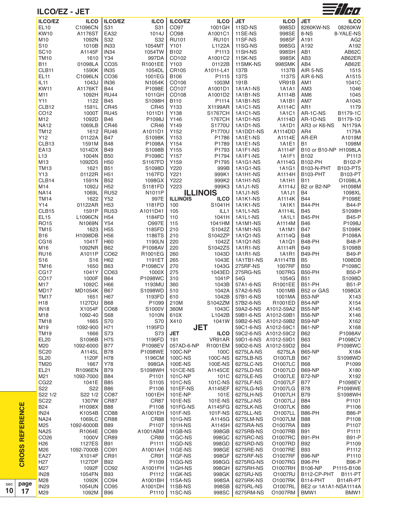

## **ILCO/EZ - JET**

 $\mathbf{c}$ **R O** <u>ທ</u>  $\boldsymbol{\varOmega}$ **R E F E R E N C E**

**page 17**

| <b>ILCO/EZ</b>    | <b>ILCO</b>     | <b>ILCO/EZ</b>   | <b>ILCO</b>       | <b>ILCO/EZ</b>  | <b>ILCO</b>     | <b>JET</b>      | <b>ILCO</b>          | <b>JET</b>            | <b>ILCO</b>     |
|-------------------|-----------------|------------------|-------------------|-----------------|-----------------|-----------------|----------------------|-----------------------|-----------------|
| EL10              | C1096CN         | S31              | S31               | CO97            | 1001GH          | 11SD-NS         | 998SD                | 8260KW-NS             | 08260KW         |
|                   |                 |                  |                   |                 |                 |                 |                      |                       |                 |
| <b>KW10</b>       | A1176ST         | <b>EA32</b>      | 1014J             | CO98            | A1001C1         | 11SE-NS         | 998SE                | 8-NS                  | 8-YALE-NS       |
| M10               | 1092N           | S32              | S32               | <b>RU101</b>    | <b>RU101</b>    | 11SF-NS         | 998SF                | A191                  | AG <sub>2</sub> |
| S <sub>10</sub>   | 1010B           | <b>IN33</b>      | 1054MT            | Y101            | L1122A          | 11SG-NS         | 998SG                | A192                  | A192            |
| <b>SC10</b>       | A1145F          | IN <sub>34</sub> | 1054TW            | B102            | P1113           | 11SH-NS         | 998SH                | AB1                   | AB62C           |
|                   |                 |                  |                   |                 |                 |                 |                      |                       |                 |
| <b>TM10</b>       | 1610            | Y34              | 997DA             | CO102           | A1001C2         | 11SK-NS         | 998SK                | AB <sub>3</sub>       | AB62ER          |
| <b>B11</b>        | 01098LA         | CO <sub>35</sub> | R1001EE           | Y103            | 01122B          | 11SMK-NS        | 998SMK               | AB4                   | AB62E           |
| CLB <sub>11</sub> | 1590K           | <b>IN35</b>      | 1054DL            | CR105           | A1011-L41       | 137B            | 1137B                | AIR 5-NS              | 1515            |
|                   |                 |                  |                   |                 |                 |                 |                      |                       |                 |
| EL11              | C1096LN         | CO <sub>36</sub> | 1001EG            | B106            | P1115           | 137S            | 1137S                | AIR 6-NS              | A1515           |
| <b>IL11</b>       | 1043J           | <b>IN36</b>      | N1054K            | CO106           | 1003M           | 191B            | VR91B                | AM1                   | 1041C           |
| <b>KW11</b>       | A1176KT         | <b>B44</b>       | P1098E            | CO107           | A1001D1         | 1A1A1-NS        | 1A1A1                | AM <sub>3</sub>       | 1046            |
| M11               | 1092H           | <b>RU44</b>      | 1011GH            | CO108           | A1001D2         | 1A1B1-NS        | A1114B               | AM6                   | 1045            |
|                   |                 |                  |                   |                 |                 |                 |                      |                       |                 |
| Y11               | 1122            | <b>B45</b>       | S1098H            | B110            | P1114           | 1A1B1-NS        | 1A1B1                | AM7                   | A1045           |
| CLB <sub>12</sub> | 1591L           | <b>CR45</b>      | <b>CR45</b>       | Y133            | X1199AR         | 1A1C1-NS        | A1114C               | AR <sub>1</sub>       | 1179            |
| CO12              | 1000T           | <b>RU45</b>      | 1011D1            | Y138            | <b>S1767CH</b>  | 1A1C1-NS        | 1A1C1                | AR-1C-NS              | B1179-1C        |
|                   |                 |                  |                   |                 |                 |                 |                      |                       |                 |
| M12               | 1092D           | <b>B46</b>       | P1098J            | Y146            | 1767CH          | 1A1D1-NS        | A1114D               | AR-1D-NS              | B1179-1D        |
| <b>NA12</b>       | 1069LB          | CR46             | CR46              | Y149            | S1770U          | 1A1D1-NS        | 1A1D1                | AR3 or K6-NS          | <b>N1179A</b>   |
| <b>TM12</b>       | 1612            | <b>RU46</b>      | A1011D1           | Y152            | P1770U          | 1A1DD1-NS       | A1114DD              | AR4                   | 1179A           |
| Y12               | 01122A          | <b>B47</b>       | S1098K            | Y153            | P1786           | 1A1E1-NS        | A1114E               | AR-ER                 | A1019M          |
|                   |                 |                  |                   |                 |                 |                 |                      |                       |                 |
| CLB <sub>13</sub> | 1591M           | <b>B48</b>       | P1098A            | Y154            | P1789           | 1A1E1-NS        | 1A1E1                | <b>B1</b>             | 1098M           |
| EA13              | 1014DX          | <b>B49</b>       | S1098B            | Y155            | P1793           | 1A1F1-NS        | A1114F               | B10 or B10-NP H1098LA |                 |
| L13               | 1004N           | <b>B50</b>       | P1098C            | Y157            | P1794           | 1A1F1-NS        | 1A1F1                | B <sub>102</sub>      | P1113           |
|                   |                 |                  |                   |                 |                 |                 | A1114G               |                       |                 |
| M13               | 1092DS          | H <sub>50</sub>  | S1167FD           | Y159            | P1795           | 1A1G1-NS        |                      | B102-PH               | B102-P          |
| <b>TM13</b>       | 1621            | <b>B51</b>       | S1098D            | Y220            | 999B            | 1A1G1-NS        | 1A1G1                | <b>B103-N-PHT</b>     | B103-PT5        |
| Y <sub>13</sub>   | 01122R          | H <sub>51</sub>  | 1167FD            | Y221            | 999K1           | 1A1H1-NS        | A1114H               | <b>B103-PHT</b>       | B103-PT         |
| CLB <sub>14</sub> | 1591N           | <b>B52</b>       |                   | Y222            | 999K2           |                 | 1A1H1                | <b>B11</b>            | O1098LA         |
|                   |                 |                  | 1098GX            |                 |                 | 1A1H1-NS        |                      |                       |                 |
| M14               | 1092J           | H <sub>52</sub>  | S1181FD           | Y223            | 999K3           | 1A1J1-NS        | A1114J               | B2 or B2-NP           | H1098M          |
| <b>NA14</b>       | 1069L           | <b>RU52</b>      | N1011P            |                 | <b>ILLINOIS</b> | 1A1J1-NS        | 1A1J1                | B4                    | 1098XL          |
| <b>TM14</b>       | 1622            | Y52              | 997E              | <b>ILLINOIS</b> | <b>ILCO</b>     | <b>1A1K1-NS</b> | A1114K               | <b>B44</b>            | P1098E          |
|                   |                 |                  |                   |                 |                 |                 |                      |                       |                 |
| Y14               | 01122AR         | H <sub>53</sub>  | 1181FD            | 100             | S1041H          | <b>1A1K1-NS</b> | 1A1K1                | <b>B44-PH</b>         | <b>B44-P</b>    |
| CLB <sub>15</sub> | 1591P           | <b>RU53</b>      | A1011D41          | 105             | ILL1            | 1A1L1-NS        | A1114L               | <b>B45</b>            | S1098H          |
| <b>EL15</b>       | L1096CN         | H <sub>54</sub>  | 1184FD            | 110             | 1041H           | 1A1L1-NS        | 1A1L1                | <b>B45-PH</b>         | <b>B45-P</b>    |
| <b>RO15</b>       | N1069N          | Y54              | <b>O997E</b>      | 115             | 1041HM          | 1A1M1-NS        | A1114M               | <b>B46</b>            | P1098J          |
|                   |                 |                  |                   |                 |                 |                 |                      |                       |                 |
| <b>TM15</b>       | 1623            | H <sub>55</sub>  | 1185FD            | 210             | S1042Z          | 1A1M1-NS        | 1A1M1                | <b>B47</b>            | S1098K          |
| <b>B16</b>        | H1098DB         | H <sub>56</sub>  | 1186TS            | 210             | S1042ZP         | 1A1Q1-NS        | A1114Q               | <b>B48</b>            | P1098A          |
| CG <sub>16</sub>  | 1041T           | H <sub>60</sub>  | 1190LN            | 220             | 1042Z           | 1A1Q1-NS        | 1A1Q1                | <b>B48-PH</b>         | <b>B48-P</b>    |
|                   |                 |                  |                   |                 |                 |                 |                      |                       |                 |
| M16               | 1092NR          | <b>B62</b>       | P1098AV           | 220             | S1042ZS         | 1A1R1-NS        | A1114R               | <b>B49</b>            | S1098B          |
| <b>RU16</b>       | A1011P          | CO62             | R1001EG           | 260             | 1043D           | 1A1R1-NS        | 1A1R1                | <b>B49-PH</b>         | <b>B49-P</b>    |
| S <sub>16</sub>   | S <sub>16</sub> | H <sub>62</sub>  | 1191ET            | 265             | 1043E           | 1A1TB1-NS       | A1114TB              | B <sub>5</sub>        | 1098DB          |
| <b>TM16</b>       | 1650            | <b>B63</b>       | P1098CV           | 270             | 1043G           | 275RF-NS        | 1007RF               | <b>B50</b>            | P1098C          |
|                   |                 |                  |                   |                 |                 |                 |                      |                       |                 |
| CG17              | 1041Y           | CO63             | 1000X             | 275             | 1043ED          | 275RG-NS        | 1007RG               | <b>B50-PH</b>         | <b>B50-P</b>    |
| CO <sub>17</sub>  | 1000F           | <b>B64</b>       | P1098WC           | 310             | 1041P           | 54G             | 1054G                | <b>B51</b>            | S1098D          |
| M17               | 1092C           | H66              | 1193MU            | 360             | 1043B           | 57A1-6-NS       | R1001EE              | <b>B51-PH</b>         | <b>B51-P</b>    |
|                   |                 |                  |                   |                 |                 | 57A2-6-NS       | 1001MB               |                       |                 |
| MD <sub>17</sub>  | <b>MD1054K</b>  | <b>B67</b>       | S1098WD           | 510             | 1042A           |                 |                      | B52 or GAS            | 1098GX          |
| <b>TM17</b>       | 1651            | H67              | 1193FD            | 610             | 1042B           | 57B1-6-NS       | 1001MA               | <b>B53-NP</b>         | X143            |
| H <sub>18</sub>   | 1127DU          | <b>B68</b>       | P1099             | 210M            | S1042ZM         | 57B2-6-NS       | R1001ED              | <b>B54-NP</b>         | X154            |
| <b>IN18</b>       | X1054F          | CO68             | S1000V            | 360M            | 1043C           | 59A2-6-NS       | A1012-59A2           | <b>B55-NP</b>         | X145            |
|                   |                 |                  |                   |                 |                 |                 |                      |                       |                 |
| M18               | 1092-40         | <b>S68</b>       | 1010N             | 610X            | L1042B          |                 | 59B1-6-NS A1012-59B1 | <b>B56-NP</b>         | X146            |
| <b>TM18</b>       | 1665            | S70              | S70               | X410            | 1041W           | 59B2-6-NS       | A1012-59B2           | <b>B59-NP</b>         | X162            |
| M19               | 1092-900        | H71              | 1195FD            |                 | <b>JET</b>      | 59C1-6-NS       | A1012-59C1           | <b>B61-NP</b>         | X168            |
|                   |                 |                  |                   |                 |                 |                 |                      |                       |                 |
| <b>TM19</b>       | 1666            | S73              | S73               | <b>JET</b>      | <b>ILCO</b>     |                 | 59C2-6-NS A1012-59C2 | B62                   | P1098AV         |
| <b>EL20</b>       | S1096B          | H75              | 1196FD            | 191             | VR91AR          |                 | 59D1-6-NS A1012-59D1 | <b>B63</b>            | P1098CV         |
| M20               | 1092-6000       | <b>B77</b>       | P1098EV           | 057AD-6-NP      | R1001EM         |                 | 59D2-6-NS A1012-59D2 | <b>B64</b>            | P1098WC         |
| <b>SC20</b>       | A1145L          | <b>B78</b>       | P1098WE           | 100C-NP         | 100C            | 6275LA-NS       | 6275LA               | <b>B65-NP</b>         | X184            |
|                   |                 |                  |                   |                 |                 |                 |                      |                       |                 |
| <b>SL20</b>       | 1120F           | H78              | 1196CM            | 100C-NS         | 100C-NS         | 6275LB-NS       | O1007LB              | <b>B67</b>            | S1098WD         |
| TM20              | 1667            | Y78              | 998GA             | 100E-NS         | 100E-NS         | 6275LC-NS       | O1007LC              | <b>B68</b>            | P1099           |
| EL21              | R1096EN         | <b>B79</b>       | S1098WH           | 101CE-NS        | A1145CE         | 6275LD-NS       | O1007LD              | <b>B69-NP</b>         | X180            |
| M21               | 1092-7000       | B84              | P <sub>1101</sub> | 101C-NP         | 101C            | 6275LE-NS       | O1007LE              | <b>B72-NP</b>         | X192            |
|                   |                 |                  |                   |                 |                 |                 |                      |                       |                 |
| CG <sub>22</sub>  | 1041E           | <b>B85</b>       | S1105             | 101C-NS         | 101C-NS         | 6275LF-NS       | O1007LF              | <b>B77</b>            | P1098EV         |
| S22               | S22             | <b>B86</b>       | P1106             | 101EF-NS        | A1145EF         | 6275LG-NS       | O1007LG              | <b>B78</b>            | P1098WE         |
| S22 1/2           | S22 1/2         | CO87             | 1001EH            | 101E-NP         | 101E            | 6275LH-NS       | O1007LH              | <b>B79</b>            | S1098WH         |
|                   |                 |                  |                   |                 |                 |                 |                      |                       |                 |
| <b>SC22</b>       | 1307W           | <b>CR87</b>      | <b>CR87</b>       | 101E-NS         | 101E-NS         | 6275LJ-NS       | O1007LJ              | <b>B84</b>            | P1101           |
| <b>B24</b>        | H1098X          | <b>B88</b>       | P1108             | 101FG-NS        | A1145FG         | 6275LK-NS       | O1007LK              | <b>B86</b>            | P1106           |
| <b>IN24</b>       | K1054B          | CO88             | A1001EH           | 101F-NS         | 101F-NS         | 6275LL-NS       | O1007LL              | <b>B86-PH</b>         | <b>B86-P</b>    |
| NA24              | 1069LC          | CR88             | CR88              | 101G-NS         | A1145G          | 6275LM-NS       | O1007LM              | <b>B88</b>            | P1108           |
|                   |                 |                  |                   |                 |                 |                 |                      |                       |                 |
| M25               | 1092-6000B      | <b>B89</b>       | P1107             | 101H-NS         | A1145H          | 6275RA-NS       | O1007RA              | <b>B89</b>            | P1107           |
| <b>NA25</b>       | R1064E          | CO89             | A1001ABM          | 11GB-NS         | 998GB           | 6275RB-NS       | O1007RB              | <b>B91</b>            | P1111           |
| CO <sub>26</sub>  | 1000V           | <b>CR89</b>      | <b>CR89</b>       | 11GC-NS         | 998GC           | 6275RC-NS       | O1007RC              | <b>B91-PH</b>         | <b>B91-P</b>    |
|                   |                 |                  |                   |                 |                 |                 |                      |                       |                 |
| H <sub>26</sub>   | 1127ES          | <b>B91</b>       | P1111             | 11GD-NS         | 998GD           | 6275RD-NS       | O1007RD              | <b>B92</b>            | P1109           |
| M26               | 1092-7000B      | CO91             | A1001AH           | 11GE-NS         | 998GE           | 6275RE-NS       | O1007RE              | <b>B93</b>            | P1112           |
| EA27              | X1014F          | <b>CR91</b>      | CR91              | 11GF-NS         | 998GF           | 6275RF-NS       | O1007RF              | <b>B96-NP</b>         | P1110           |
| H <sub>27</sub>   | 1127DP          | <b>B92</b>       | P <sub>1109</sub> | 11GG-NS         | 998GG           | 6275RG-NS       | O1007RG              | B96-PH                | <b>B96-P</b>    |
|                   |                 |                  |                   |                 |                 |                 |                      |                       |                 |
| M27               | 1092F           | CO92             | A1001FH           | 11GH-NS         | 998GH           | 6275RH-NS       | O1007RH              | <b>B106-NP</b>        | P1115-B106      |
| <b>IN28</b>       | 1054FN          | <b>B93</b>       | P1112             | 11GK-NS         | 998GK           | 6275RJ-NS       | O1007RJ              | B112-CP-PHT           | <b>B111-PT</b>  |
| M28               | 1092K           | CO <sub>94</sub> | A1001BH           | 11SA-NS         | 998SA           | 6275RK-NS       | O1007RK              | <b>B114-PHT</b>       | <b>B114R-PT</b> |
| <b>IN29</b>       | 1054UN          | CO <sub>95</sub> | A1001DH           | 11SB-NS         | 998SB           | 6275RL-NS       | 01007RL              | BE2 or 1A1A1-NSA1114A |                 |
|                   |                 |                  |                   |                 |                 |                 |                      |                       |                 |
| M29               | 1092M           | <b>B96</b>       | P1110             | 11SC-NS         | 998SC           | 6275RM-NS       | O1007RM              | BMW1                  | BMW1            |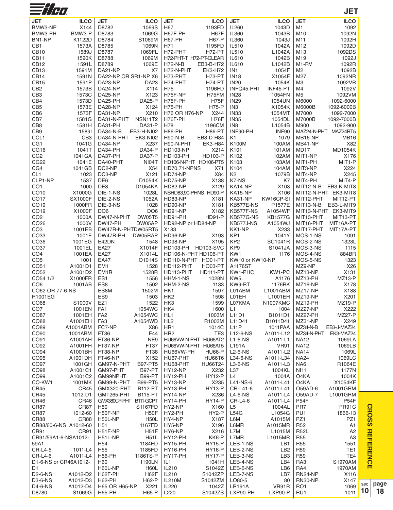| $\equiv$ //H $\alpha$               |                      |                                                                   |                                              |                                |                                    |                           |                            | <b>JET</b>                       |
|-------------------------------------|----------------------|-------------------------------------------------------------------|----------------------------------------------|--------------------------------|------------------------------------|---------------------------|----------------------------|----------------------------------|
| <b>JET</b>                          | <b>ILCO</b>          | <b>JET</b><br><b>ILCO</b>                                         | <b>JET</b>                                   | <b>ILCO</b>                    | <b>JET</b>                         | <b>ILCO</b>               | <b>JET</b>                 | <b>ILCO</b>                      |
| BMW3-NP                             | X144                 | 1069S<br>D8782                                                    | H67                                          | 1193FD                         | IL260                              | 1043D                     | M1                         | 1092                             |
| BMW3-PH                             | BMW3-P               | 1069G<br>D8783                                                    | H67F-PH                                      | <b>H67F</b>                    | IL360                              | 1043B                     | M <sub>10</sub>            | 1092N                            |
| BN1-NP                              | K1122D               | D8784<br>S1069M                                                   | <b>H67-PH</b>                                | <b>H67-P</b>                   | <b>IL360</b>                       | 1043J                     | M11                        | 1092H                            |
| CB1<br><b>CB10</b>                  | 1573A<br>1589J       | D8785<br>1069N<br>D8787<br>1069FL                                 | H71<br>H72-PHT                               | 1195FD<br><b>H72-PT</b>        | IL510<br>IL510                     | 1042A<br>L1042A           | M12<br>M13                 | 1092D<br>1092DS                  |
| CB <sub>11</sub>                    | 1590K                | D8788<br>1069M                                                    | H72-PHT-T H72-PT-CLEAR                       |                                | IL610                              | 1042B                     | M19                        | 1092J                            |
| CB <sub>12</sub>                    | 1591L                | 1069E<br>D8789                                                    | <b>H72-N-B</b>                               | EB3-B-H72                      | IL610                              | L1042B                    | M <sub>1</sub> -RV         | 1092R                            |
| CB <sub>13</sub>                    | 1591M                | DA21-NP<br>X7                                                     | H72-N-PHT                                    | EK3-H72                        | IN <sub>1</sub>                    | 1054F                     | M <sub>2</sub>             | 1092B                            |
| CB <sub>14</sub>                    | 1591N                | DA22-NP OR SR1-NP X6                                              | H73-PHT                                      | H73-PT                         | <b>IN18</b>                        | X1054F                    | M27                        | 1092NR                           |
| CB <sub>15</sub>                    | 1591P                | DA23-NP<br><b>DA23</b>                                            | H74-PHT                                      | H74-PT                         | <b>IN20</b>                        | 1054K                     | M <sub>3</sub>             | 1092VR                           |
| CB <sub>2</sub><br>CB <sub>3</sub>  | 1573B<br>1573C       | DA24-NP<br>X114<br>DA25-NP<br>X123                                | H75<br>H75F-NP                               | 1196FD<br>H75FM                | INFQ45-PHT<br><b>IN28</b>          | INF45-PT<br>1054FN        | M4<br>M <sub>5</sub>       | 1092V<br>1092VM                  |
| CB4                                 | 1573D                | <b>DA25-P</b><br>DA25-PH                                          | H75F-PH                                      | <b>H75F</b>                    | <b>IN29</b>                        | 1054UN                    | M6000                      | 1092-6000                        |
| CB <sub>5</sub>                     | 1573E                | DA28-NP<br>X124                                                   | <b>H75-PH</b>                                | <b>H75-P</b>                   | IN3                                | X1054K                    | <b>M6000B</b>              | 1092-6000B                       |
| CB <sub>6</sub>                     | 1573F                | X210<br>DA31-NP                                                   | <b>H76 OR H76-NP</b>                         | X244                           | IN <sub>33</sub>                   | 1054MT                    | M7000                      | 1092-7000                        |
| CB7                                 | 1581G                | NSN11T2<br>DA31-N-PHT                                             | H76F-PH                                      | <b>H76F</b>                    | <b>IN35</b>                        | 1054DL                    | M7000B                     | 1092-7000B                       |
| CB <sub>8</sub><br>CB <sub>9</sub>  | 1581H<br>15891       | <b>DA31-P</b><br>DA31-PH<br>DA34-N-B<br>EB3-H-NI02                | H78<br><b>H86-PH</b>                         | 1196CM<br><b>H86-PT</b>        | IN <sub>8</sub><br>INF90-PH        | L1054B<br>INF90           | M900<br>MAZ24-N-PHT        | 1092-900<br>MAZ24RT5             |
| CCL <sub>1</sub>                    | CB <sub>3</sub>      | DA34-N-PHT<br><b>EK3-NI02</b>                                     | <b>H90-N-B</b>                               | EB3-D-H84                      | K1                                 | 1079                      | MB16-NP                    | <b>MB16</b>                      |
| CG <sub>1</sub>                     | 1041G                | DA34-NP<br>X237                                                   | H90-N-PHT                                    | EK3-H84                        | K100M                              | 100AM                     | MB41-NP                    | X82                              |
| CG16                                | 1041T                | DA34-PH<br><b>DA34-P</b>                                          | <b>HD103-NP</b>                              | X214                           | K <sub>101</sub>                   | 101AM                     | MD <sub>17</sub>           | MD1054K                          |
| CG <sub>2</sub>                     | 1041GA               | <b>DA37-P</b><br>DA37-PH                                          | <b>HD103-PH</b>                              | <b>HD103-P</b>                 | K102                               | 102AM                     | MIT1-NP                    | X176                             |
| <b>CG22</b>                         | 1041E                | NI04T<br>DA40-PHT                                                 | HD106-N-PHT HD106-PT5                        |                                | K <sub>103</sub>                   | 103AM                     | MIT1-PH                    | MIT1-P                           |
| CG4<br>CL <sub>1</sub>              | 1041GB<br>1023       | DC2-NP<br>X54<br>X121<br>DC3-NP                                   | <b>HD70,71-NPNS</b><br>HD74-NP               | X71<br>X84                     | K104<br>K2                         | 104AM<br>1079B            | MIT3-NP                    | X224<br>X245                     |
| CLP1-NP                             | 1537                 | DE6<br>D1054K                                                     | HD75-NP                                      | X138                           | K7-NS                              | K7                        | MIT4-NP<br>MIT4-PH         | MIT4-P                           |
| CO <sub>1</sub>                     | 1000                 | DE8<br>D1054KA                                                    | HD82-NP                                      | X129                           | KA14-NP                            | X103                      | <b>MIT12-N-B</b>           | EB3-K-MIT8                       |
| CO10                                | X1000G               | 1028L<br>DIE-1-NS                                                 | NSHD83,90-PHNS HD90-P                        |                                | KA15-NP                            | X106                      |                            | MIT12-N-PHT EK3-MIT8             |
| CO17                                | <b>SX1000F</b>       | 1052A<br>DIE-2-NS                                                 | HD83-NP                                      | X181                           | KA31-NP                            | KW16CP-SI                 | MIT12-PHT                  | MIT12-PT                         |
| CO19                                | 1000FR               | 1028<br>DIE-3-NS                                                  | HD90-NP                                      | X181                           | KB577E-NS                          | <b>P1577E</b>             | MIT13-N-B                  | EB3-L-MIT9                       |
| CO <sub>19</sub><br>CO <sub>2</sub> | X1000F<br>1000A      | DO <sub>6</sub><br>DO <sub>6</sub><br><b>DW05T5</b><br>DW47-N-PHT | HD91-NP<br>HD91-PH                           | X182<br><b>HD91-P</b>          | KB577F-NS<br>KB577G-NS             | A1054WF<br><b>KB1577G</b> | MIT13-PHT                  | MIT13-N-PHT EK3-MIT9<br>MIT13-PT |
| CO <sub>26</sub>                    | 1000V                | DW47-PH<br>DW05AP                                                 | HD92-NP or HD84-NP                           |                                | KB577J-NS                          | A1054WJ                   | MIT16-PHT                  | MIT16A-PT                        |
| CO <sub>3</sub>                     | 1001EB               | DW47R-N-PHTDW05RT5                                                | X183                                         |                                | KK1-NP                             | X233                      | MIT17-PHT                  | MIT17A-PT                        |
| CO <sub>33</sub>                    | 1001E                | DW47R-PH<br>DW05RAP                                               | HD96-NP                                      | X193                           | KP1                                | 1041Y                     | MOS-1-NS                   | 1091                             |
| CO <sub>36</sub>                    | 1001EG               | E42DN<br>1548<br><b>EA27</b>                                      | HD98-NP                                      | X195<br><b>HD103-SVC</b>       | KP <sub>2</sub>                    | <b>SC1041R</b>            | MOS-2-NS                   | 1323L                            |
| CO <sub>37</sub><br>CO <sub>4</sub> | 1001EL<br>1001EA     | X1014F<br><b>EA27</b><br>X1014L                                   | <b>HD103-PH</b><br>HD106-N-PHT HD106-PT      |                                | KP <sub>9</sub><br>KW <sub>1</sub> | S1041JA<br>1176           | MOS-3-NS<br>MOS-4-NS       | 1115<br>884BR                    |
| CO <sub>5</sub>                     | 1001                 | <b>EA47</b><br>O1014S                                             | HD110-N-PHT HO01-PT                          |                                | KW10 or KW10-NP                    |                           | MOS-5-NS                   | 1323                             |
| CO51                                | A1001D1              | EM <sub>1</sub><br>1528                                           | HD112-PHT                                    | HO03-PT                        | A1176ST                            |                           | MZ9-NP                     | X26                              |
| CO <sub>52</sub>                    | A1001D2              | 1528R<br>EM1R                                                     | HD113-PHT                                    | <b>HD111-PT</b>                | KW1-PHC                            | KW1-PC                    | MZ13-NP                    | X131                             |
| CO54 1/2<br>CO <sub>6</sub>         | X1000FR<br>1001AB    | ES <sub>1</sub><br>1556<br>ES <sub>8</sub><br>1502                | HHM-1-NS<br>HHM-2-NS                         | 1028N<br>1133                  | KW <sub>5</sub><br>KW9-RT          | A1176<br>1176RK           | MZ13-PH<br>MZ16-NP         | $MZ13-P$<br>X178                 |
| CO62 OR 77-6-NS                     |                      | ES8M<br>1502M                                                     | HK1                                          | 1597                           | L01ABM                             | L1001ABM                  | MZ17-NP                    | X188                             |
| R1001EG                             |                      | ES <sub>9</sub><br>1503                                           | HK <sub>2</sub>                              | 1598                           | L01EH                              | L1001EH                   | MZ19-NP                    | X201                             |
| CO68                                | S1000V               | EZ1<br>1522                                                       | HK3                                          | 1599                           | L07KMA                             | <b>N1007KMC</b>           | MZ19-PH                    | <b>MZ19-P</b>                    |
| CO <sub>7</sub><br>CO87             | 1001EN<br>1001EH     | 1054WC<br>FA <sub>1</sub><br>FA <sub>2</sub><br>A1054WC           | HK4<br>HL <sub>1</sub>                       | 1600<br>1003M                  | L1<br>L11D1                        | 1004<br>B1011D1           | MZ27-NP<br>MZ27-PH         | X222<br><b>MZ27-P</b>            |
| CO88                                | A1001EH              | FA3<br>A1054WD                                                    | HL <sub>2</sub>                              | R1003M                         | L11D41                             | B1011D41                  | MZ31-NP                    | X249                             |
| CO89                                | A1001ABM             | FC7-NP<br>X86                                                     | HR1                                          | 1014C                          | L11P                               | 1011PAA                   | MZ34-N-B                   | EB3-J-MAZ24                      |
| CO90                                | 1001ABM              | FT36<br>F44                                                       | HR <sub>2</sub>                              | TE <sub>3</sub>                | L12-6-NS                           | A1011-L12                 | MZ34-N-PHT                 | EK3-MAZ24                        |
| CO91<br>CO92                        | A1001AH<br>A1001FH   | FT36-NP<br>NE9<br>FT37-NP<br>FT37                                 | HU66VW-N-PHT HU66AT2<br>HU66VW-N-PHT HU66AT5 |                                | $L1-6-NS$<br>L191A                 | A1011-L1<br><b>VR91</b>   | <b>NA12</b><br><b>NA12</b> | 1069LA<br>1069LB                 |
| CO94                                | A1001BH              | FT38-NP<br><b>FT38</b>                                            | HU66VW-PH                                    | <b>HU66-P</b>                  | $L2-6-NS$                          | A1011-L2                  | <b>NA14</b>                | 1069L                            |
| CO95                                | A1001DH              | FT46-NP<br>X152                                                   | HU67-PHT                                     | <b>HU66T6</b>                  | L34-6-NS                           | A1011-L34                 | <b>NA24</b>                | 1069LC                           |
| CO97                                | 1001GH               | <b>B97-PT5</b><br>GM97-N-PHT                                      | HU68-PHT                                     | HU66T24                        | $L3-6-NS$                          | A1011-L3                  | NA <sub>6</sub>            | R1064E                           |
| CO98                                | A1001C1              | GM97-PHT<br><b>B97-PT</b>                                         | <b>HY12-NP</b>                               | X232                           | L37                                | 1004KL                    | NH <sub>1</sub>            | 1177N                            |
| CO99<br>CO-KW1                      | A1001C2<br>1001MK    | <b>B99-PT</b><br>GM99NPHT<br>GM99-N-PHT<br><b>B99-PT5</b>         | HY12-PH<br>HY13-NP                           | <b>HY12-P</b><br>X235          | L4<br>L41-NS-6                     | 1004A<br>A1011-L41        | O4KA<br>O4KA               | 1004K<br>X1054KF                 |
| <b>CR45</b>                         | <b>CR45</b>          | GMX320-PHT<br><b>B112-PT</b>                                      | HY13-PH                                      | <b>HY13-P</b>                  | CR-L41-6                           | A1011-L41                 | O59AD-6                    | A1001GRM                         |
| <b>CR45</b>                         | 1012-D1              | GMT265-PHT<br><b>B115-PT</b>                                      | HY14-NP                                      | X236                           | $L4-6-NS$                          | A1011-L4                  | O59AD-7                    | L1001GRM                         |
| <b>CR46</b>                         | CR46                 | GMX380CP-PHT<br>B111-GCPT                                         | HY14-PH                                      | <b>HY14-P</b>                  | CR-L4-6                            | A1011-L4                  | P54F                       | P54F                             |
| <b>CR87</b><br>CR87                 | CR87<br>1012-60      | H50<br>S1167FD<br>H50F-NP<br>H <sub>50</sub> F                    | HY2-NP<br>HY2-PH                             | X160<br>HY2-P                  | L5<br>L54G                         | 1004AL<br>L1054G          | PR7<br>PU1                 | PR91C<br>1866-13                 |
| <b>CR88</b>                         | CR88                 | H50L-NP<br><b>H50L</b>                                            | HY4-NP                                       | X187                           | L6M                                | A1015M                    | PZ1                        | PZ1                              |
| CR88/60-6-NS A1012-60               |                      | H51<br>1167FD                                                     | HY5-NP                                       | X196                           | L6MR                               | A1015MR                   | R <sub>52</sub>            | A1                               |
| CR91                                | <b>CR91</b>          | H51F-NP<br><b>H51F</b>                                            | HY6-NP                                       | X216                           | L7M                                | L1015M                    | <b>R52L</b>                | A2                               |
| CR91/59A1-6-NSA1012-                |                      | H51L-NP<br><b>H51L</b>                                            | HY12-PH                                      | KK6-P                          | L7MR                               | L1015MR                   | <b>R55</b>                 | A <sub>3</sub>                   |
| 59A1<br>CR-L4-5                     | 1011-L4              | H54<br>1184FD<br>H <sub>55</sub><br>1185FD                        | HY15-PH<br>HY16-PH                           | <b>HY15-P</b><br><b>HY16-P</b> | LEB-1-NS<br>LEB-2-NS               | LB1<br>LB <sub>2</sub>    | <b>R55</b><br><b>R59</b>   | 1551<br>TE <sub>1</sub>          |
| CR-L4-6                             | A1011-L4             | <b>H56-PH</b><br>1186TS-P                                         | HY17-PH                                      | <b>HY17-P</b>                  | LEB-3-NS                           | LB3                       | R <sub>59</sub>            | TE4                              |
| D1-6-NS or CR46A1012-               |                      | H60<br>1190LN                                                     | IL1                                          | 1041H                          | LEB-4-NS                           | LB4                       | RA3                        | S1970AM                          |
| D1                                  |                      | H60L-NP<br>H60L                                                   | IL210                                        | S1042Z                         | LEB-6-NS                           | LB6                       | RA4                        | 1970AM                           |
| D2-6-NS<br>D3-6-NS                  | A1012-D2<br>A1012-D3 | H62F-PH<br>H62F<br><b>H62-PH</b><br>H62-P                         | IL210<br><b>IL210M</b>                       | S1042ZP<br>S1042ZM             | LEB-7-NS<br>LO80-5                 | LB7<br>80                 | RN24-NP<br><b>RN30-NP</b>  | X116<br>X147                     |
| D4-6-NS                             | A1012-D4             | <b>H65 OR H65-NP</b><br>X221                                      | IL220                                        | 1042Z                          | <b>LR191A</b>                      | VR91R                     | RO <sub>1</sub>            | 1069                             |
| D8780                               | S1069G               | <b>H65-PH</b><br>H65-P                                            | L220                                         | S1042ZS                        | LXP90-PH                           | LXP90-P                   | RU1                        | 1011                             |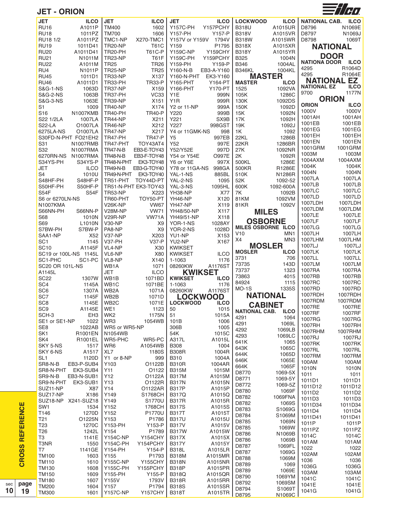**JET - ORION**



|                  | <b>JET</b>                   | <b>ILCO</b>  | <b>JET</b>              | <b>ILCO</b>          |                              | <b>ILCO</b>        | <b>LOCKWOOD</b>      | <b>ILCO</b>     | NATIONAL CAB. ILCO |                                                 |
|------------------|------------------------------|--------------|-------------------------|----------------------|------------------------------|--------------------|----------------------|-----------------|--------------------|-------------------------------------------------|
|                  |                              |              |                         |                      | <b>JET</b>                   |                    |                      |                 |                    |                                                 |
|                  | <b>RU16</b>                  | A1011P       | <b>TM400</b>            | 1602                 | <b>Y157C-PH</b>              | Y157PCHY           | <b>B318U</b>         | A1015UR         | D8796              | N1069E                                          |
|                  | <b>RU18</b>                  | 1011PZ       | <b>TM700</b>            | 1606                 | Y157-PH                      | Y157-P             | <b>B318V</b>         | A1015VR         | D8797              | N1069J                                          |
|                  | RU18 1/2                     | A1011PZ      | TMC1-NP                 | X270-TMC1            | Y157V or Y159V 1794V         |                    | <b>B318W</b>         | A1015WR         | D8798              | 1069T                                           |
|                  | <b>RU19</b>                  | 1011D41      | TR20-NP                 | <b>T61C</b>          | Y159                         | P1795              | <b>B318X</b>         | A1015XR         |                    |                                                 |
|                  |                              |              |                         |                      |                              |                    |                      |                 | <b>NATIONAL</b>    |                                                 |
|                  | <b>RU20</b>                  | A1011D41     | TR20-PH                 | <b>T61C-P</b>        | <b>Y159C-NP</b>              | <b>Y159CHY</b>     | <b>B318Y</b>         | A1015YR         | <b>DOOR</b>        |                                                 |
|                  | <b>RU21</b>                  | N1011M       | TR23-NP                 | <b>T61F</b>          | Y159C-PH                     | Y159PCHY           | <b>B325</b>          | 1004N           |                    |                                                 |
|                  | <b>RU22</b>                  | A1011M       | <b>TR25</b>             | <b>TR26</b>          | Y159-PH                      | Y159-P             | <b>B346</b>          | 1004AL          | NATIONA DOOR ILCO  |                                                 |
|                  | RU4                          | N1011P       | <b>TR25-NP</b>          | <b>TR25</b>          | Y160-N-B                     | EB3-A-Y160         | <b>B346KL</b>        | 1004KL          | 4295               | R1064D                                          |
|                  | <b>RU45</b>                  | 1011D1       | <b>TR33-NP</b>          | X137                 | Y160-N-PHT EK3-Y160          |                    | <b>MASTER</b>        |                 | 4295               | R1064E                                          |
|                  |                              |              |                         |                      |                              |                    |                      |                 | <b>NATIONAL EZ</b> |                                                 |
|                  | <b>RU46</b>                  | A1011D1      | TR33-PH                 | <b>TR33-P</b>        | Y165-PHT                     | Y164-PT            | <b>MASTER</b>        | <b>ILCO</b>     | <b>NATIONAL EZ</b> | <b>ILCO</b>                                     |
|                  | <b>S&amp;G-1-NS</b>          | 1063D        | TR37-NP                 | X159                 | Y166-PHT                     | Y170-PT            | 1525                 | 1092VA          |                    |                                                 |
|                  | S&G-2-NS                     | 1063B        | TR37-PH                 | VC33                 | Y <sub>1</sub> E             | 999N               | 105K                 | 1286C           | 9700               | 1177N                                           |
|                  | <b>S&amp;G-3-NS</b>          | 1063E        | <b>TR39-NP</b>          | X151                 | Y <sub>1</sub> R             | 999R               | 130K                 | 1092DS          | <b>ORION</b>       |                                                 |
|                  | S <sub>1</sub>               | 1009         | <b>TR40-NP</b>          | X174                 | Y2 or 11-NP                  | 999A               | 150K                 | 1092D           | <b>ORION</b>       | <b>ILCO</b>                                     |
|                  |                              |              |                         |                      |                              |                    |                      |                 | 1000V              | 1000V                                           |
|                  | S <sub>16</sub>              | N1007KMB     | TR40-PH                 | <b>TR40-P</b>        | Y220                         | 999B               | 15K                  | 1092N           | 1001AH             | 1001AH                                          |
|                  | S22 1/2LA                    | 1007LA       | TR44-NP                 | X211                 | Y221                         | SX9B               | 17K                  | 1092H           |                    |                                                 |
|                  | <b>S22-LA</b>                | O1007LA      | <b>TR46-NP</b>          | X212                 | Y227                         | 998GST             | 19K                  | 1092J           | 1001EB             | 1001EB                                          |
|                  | 6275LA-NS                    | O1007LA      | TR47-NP                 | X217                 | Y4 or 11GMK-NS               | 998                | 1K                   | 1092            | 1001EG             | 1001EG                                          |
|                  | S30FD-N-PHT FO21EH2          |              | TR47-PH                 | <b>TR47-P</b>        | Y5                           | 997EB              | <b>22KL</b>          | 1286B           | 1001EH             | 1001EH                                          |
|                  |                              |              | TR47-PHT                |                      | Y52                          | 997E               | 22KR                 |                 | 1001EN             | 1001EN                                          |
|                  | S31                          | N1007RMB     |                         | TOY43AT4             |                              |                    |                      | 1286BR          | 1001GRM            | 1001GRM                                         |
|                  | S32                          | N1007RMA     | <b>TR47-N-B</b>         | EB3-E-TOY43          | Y52/Y52E                     | 997D               | 27K                  | 1092NR          | 1003M              | 1003M                                           |
|                  | 6270RN-NS N1007RMA           |              | <b>TR48-N-B</b>         | EB3-F-TOY48          | Y54 or Y54E                  | <b>O997E</b>       | 2K                   | 1092R           |                    |                                                 |
|                  | S34YS-PH                     | S34YS-P      | TR48-N-PHT              | EK3-TOY48            | Y6 or Y6E                    | 997X               | 500KL                | 1286E           | 1004AXM            | 1004AXM                                         |
|                  | <b>JET</b>                   | <b>ILCO</b>  | <b>TR49-N-B</b>         | EB3-G-TOY40          | Y78 or 11GA-NS 998GA         |                    | 500KR                | R1286E          | 1004K              | 1004K                                           |
|                  | S <sub>4</sub>               | 1010U        | TR49-N-PHT              | EK3-TOY40            | YAL-1-NS                     | 885BL              | 510K                 | N1286R          | 1004N              | 1004N                                           |
|                  |                              |              |                         |                      |                              |                    |                      |                 | 1007LA             | 1007LA                                          |
|                  | S48HF-PH                     | S48HF-P      | TR51-PHT                | TOY44D-PT            | YAL-2-NS                     | 1095               | 52K                  | 1092-52         | 1007LB             | 1007LB                                          |
|                  | S50HF-PH                     | S50HF-P      |                         | TR51-N-PHT EK3-TOY43 | YAL-3-NS                     | 1095HL             | 600K                 | 1092-600A       |                    |                                                 |
|                  | <b>S54F</b>                  | <b>S54F</b>  | <b>TR53-NP</b>          | X223                 | YH38-NP                      | <b>X77</b>         | 7K                   | 1092B           | 1007LC             | 1007LC                                          |
|                  | S6 or 6270LN-NS              |              | TR60-PHT                | TOY50-PT             | YH46-NP                      | X120               | 81KM                 | 1092VM          | 1007LD             | 1007LD                                          |
|                  | N1007KMA                     |              | V <sub>26</sub> K-NP    | <b>VW67</b>          | YH47-NP                      | X119               | <b>81KR</b>          | 1092V           | 1007LDH            | 1007LDH                                         |
|                  | S66NN-PH                     |              | V28M-NP                 | <b>VW71</b>          |                              | X117               |                      |                 | 1007LDM            | 1007LDM                                         |
|                  |                              | S66NN-P      |                         |                      | YH48/50-NP                   |                    | <b>MILES</b>         |                 | 1007LE             | 1007LE                                          |
|                  | S68                          | 1010N        | V29R-NP                 | VW71A                | YH49/51-NP                   | X118               | <b>OSBORNE</b>       |                 | 1007LF             | 1007LF                                          |
|                  | S69                          | L1010N       | <b>V30-NP</b>           | X <sub>9</sub>       | YOR-1-NS                     | 1028AY             | MILES OSBORNE ILCO   |                 |                    |                                                 |
|                  | S7BW-PH                      | S7BW-P       | PA8-NP                  | X <sub>9</sub>       | YOR-2-NS                     | 1028D              |                      |                 | 1007LG             | 1007LG                                          |
|                  | SAA1-NP                      | X52          | <b>V37-NP</b>           | X203                 | YU1-NP                       | X153               | V10                  | MN <sub>1</sub> | 1007LH             | 1007LH                                          |
|                  | SC <sub>1</sub>              | 1145         | <b>V37-PH</b>           | <b>V37-P</b>         | YU2-NP                       | X167               | X4                   | MN <sub>3</sub> | 1007LHM            | 1007LHM                                         |
|                  | <b>SC10</b>                  | A1145F       | VL4-NP                  | X30                  | <b>KWIKSET</b>               |                    | <b>MOSLER</b>        |                 | 1007LJ             | 1007LJ                                          |
|                  | SC19 or 100L-NS 1145L        |              | VL6-NP                  | X80                  | <b>KWIKSET</b>               | <b>ILCO</b>        | <b>MOSLER</b>        | <b>ILCO</b>     | 1007LK             | 1007LK                                          |
|                  |                              |              |                         |                      |                              |                    | 3731                 | 706             | 1007LL             | 1007LL                                          |
|                  | SC1-PHC                      | SC1-PC       | VL8-NP                  | X140                 | 1-1063                       | 1176               | 73735                | 143D            | 1007LM             | 1007LM                                          |
|                  | <b>SC20 OR 101L-NS</b>       |              | WB1A                    | 1071                 | 08260KW                      | A1176ST            | 73737                | 1323            | 1007RA             | 1007RA                                          |
|                  | A1145L                       |              | <b>JET</b>              | <b>ILCO</b>          |                              | <b>KWIKSET</b>     |                      |                 |                    |                                                 |
|                  | SC <sub>22</sub>             | 1307W        | WB1B                    | 1071BD               | <b>KWIKSET</b>               | <b>ILCO</b>        | 73863                | 4015            | 1007RB             | 1007RB                                          |
|                  | SC <sub>4</sub>              | 1145A        | WB <sub>1</sub> C       | 1071BE               | 1-1063                       | 1176               | 84924                | 1115            | 1007RC             | 1007RC                                          |
|                  | SC <sub>6</sub>              | 1307A        | WB <sub>2</sub> A       | 1071A                | 08260KW                      | A1176ST            | $MO-1S$              | 1335S           | 1007RD             | 1007RD                                          |
|                  | SC7                          | 1145F        | WB <sub>2</sub> B       | 1071D                |                              | <b>LOCKWOOD</b>    | <b>NATIONAL</b>      |                 | 1007RDH            | 1007RDH                                         |
|                  | SC <sub>8</sub>              | 1145E        | WB <sub>2</sub> C       | 1071E                | <b>LOCKWOOD</b>              | <b>ILCO</b>        |                      |                 | 1007RDM            | 1007RDM                                         |
|                  |                              |              | WE1                     |                      |                              |                    | <b>CABINET</b>       |                 | 1007RE             | 1007RE                                          |
|                  | SC <sub>9</sub>              |              |                         | 1123                 | 50                           | 1015               |                      | <b>ILCO</b>     |                    |                                                 |
|                  |                              | A1145E       |                         |                      |                              |                    | <b>NATIONAL CAB.</b> |                 |                    |                                                 |
|                  | SCH-3                        | EH3          | WK <sub>2</sub>         | 1175N                | 51                           | 1015A              | 4291                 |                 | 1007RF             |                                                 |
|                  | SE1 or SE1-NP                | 1022         | WR3                     | 1054WB               | 101B                         | 1006               |                      | 1064            | 1007RG             |                                                 |
|                  |                              | 1022AB       | WR5 or WR5-NP           |                      | 306B                         | 1005               | 4291                 | 1069L           | 1007RH             |                                                 |
|                  | SE8                          |              |                         |                      |                              |                    | 4292                 | 1069LB          | 1007RHM            |                                                 |
|                  | SK <sub>1</sub>              | R1001EN      | N1054WB                 |                      | 54K                          | 1015C              | 4293                 | 1069LC          | 1007RJ             | 1007RF<br>1007RG<br>1007RH<br>1007RHM<br>1007RJ |
|                  | SK4                          | R1001EL      | WR5-PHC                 | WR5-PC               | A317L                        | A1015L             | 641K                 | 1065            |                    |                                                 |
|                  | SKY 5-NS                     | 1517         | WR6                     | A1054WB              | <b>B308</b>                  | 1004               | 643K                 | 1065C           | 1007RK             |                                                 |
|                  | SKY 6-NS                     | A1517        | XL7                     | 1180S                | <b>B308R</b>                 | 1004R              | 644K                 | 1065D           | 1007RL             | 1007RK<br>1007RL                                |
|                  | SL <sub>1</sub>              | 1120D        | Y1 or 8-NP              | 999                  | <b>B310</b>                  | 1004A              |                      |                 | 1007RM             | 1007RM                                          |
|                  | SR8-N-B                      | EB3-P-SUB4   | Y103                    | O1122B               | <b>B310R</b>                 | 1004AR             | 646K                 | 1065E           | 100AM              | 100AM                                           |
|                  | SR8-N-PHT EK3-SUB4           |              | Y11                     | O1122                | <b>B315M</b>                 | 1015M              | 664K                 | 1065F           | 1010N              | 1010N                                           |
|                  |                              |              |                         |                      |                              |                    | D8770                | 1069-5X         | 1011               | 1011                                            |
|                  | SR9-N-B                      | EB3-N-SUB1   | Y12                     | O1122A               | <b>B317M</b>                 | A1015M             | D8771                | 1069-5Y         | 1011D1             | 1011D1                                          |
|                  | SR9-N-PHT EK3-SUB1           |              | Y13                     | O1122R               | <b>B317N</b>                 | A1015N             | D8772                | 1069-5Z         | 1011D12            |                                                 |
|                  | SUZ11-NP                     | X87          | Y14                     | O1122AR              | <b>B317P</b>                 | A1015P             | D8780                | 1069F           |                    | 1011D12                                         |
|                  | SUZ17-NP                     | X186         | Y149                    | S1768CH              | <b>B317Q</b>                 | A1015Q             | D8782                | 1069FNA         | 1011D2             | 1011D2                                          |
|                  | SUZ18-NP X241-SUZ18          |              | Y149                    | S1770U               | <b>B317R</b>                 | A1015R             |                      |                 | 1011D3             | 1011D3                                          |
|                  | SW <sub>1</sub>              | 1534         | Y152                    | 1768CH               | <b>B317S</b>                 | A1015S             | D8782                | 1069S           | 1011D34            | 1011D34                                         |
|                  | T146                         | 1270D        | Y152                    | P1770U               | <b>B317T</b>                 | A1015T             | D8783                | S1069G          | 1011D4             | 1011D4                                          |
|                  |                              |              |                         |                      |                              |                    | D8784                | S1069M          | 1011D41            | 1011D41                                         |
|                  | T21                          | O1225N       | Y153                    | P1786                | <b>B317U</b>                 | A1015U             | D8785                | 1069N           | 1011P              | 1011P                                           |
|                  | T <sub>23</sub>              | 1270C        | Y153-PH                 | Y153-P               | <b>B317V</b>                 | A1015V             | D8785                | 1069W           | 1011PZ             |                                                 |
|                  | T <sub>26</sub>              | 1242L        | Y154                    | P1789                | <b>B317W</b>                 | A1015W             | D8786                | N1069B          |                    | 1011PZ                                          |
|                  | T <sub>3</sub>               | 1141E        | <b>Y154C-NP</b>         | Y154CHY              | <b>B317X</b>                 | A1015X             | D8786                | 1069B           | 1014C              | 1014C                                           |
|                  | T3NR                         | 1550         | <b>Y154C-PH</b>         | Y154PCHY             | <b>B317Y</b>                 | A1015Y             |                      |                 | 101AM              | 101AM                                           |
|                  | T7                           | 1141GE       | Y154-PH                 | Y154-P               | <b>B318L</b>                 | A1015LR            | D8787                | 1069FL          | 1022               | 1022                                            |
| <b>REFERENCE</b> | <b>TM100</b>                 | 1603         | Y155                    | P1793                | <b>B318M</b>                 | A1015MR            | D8787                | 1069G           | 102AM              | 102AM                                           |
|                  |                              |              |                         |                      |                              |                    | D8788                | 1069M           | 1036               | 1036                                            |
|                  | <b>TM110</b>                 | 1610         | <b>Y155C-NP</b>         | <b>Y155CHY</b>       | <b>B318N</b>                 | A1015NR            | D8789                | 1069            | 1036G              | 1036G                                           |
|                  | <b>TM130</b>                 | 1608         | <b>Y155C-PH</b>         | Y155PCHY             | <b>B318P</b>                 | A1015PR            | D8789                | 1069E           |                    |                                                 |
|                  | <b>TM150</b>                 | 1609         | Y155-PH                 | Y155-P               | <b>B318Q</b>                 | A1015QR            | D8790                | 1069YM          | 103AM              | 103AM                                           |
| <b>CROSS</b>     | <b>TM180</b>                 | 1607         | Y155V                   | 1793V                | <b>B318R</b>                 | A1015RR            | D8792                | 1069SM          | 1041C              | 1041C                                           |
| page<br>19       | <b>TM200</b><br><b>TM300</b> | 1604<br>1601 | Y157<br><b>Y157C-NP</b> | P1794<br>Y157CHY     | <b>B318S</b><br><b>B318T</b> | A1015SR<br>A1015TR | D8794                | S1069T          | 1041E<br>1041G     | 1041E<br>1041G                                  |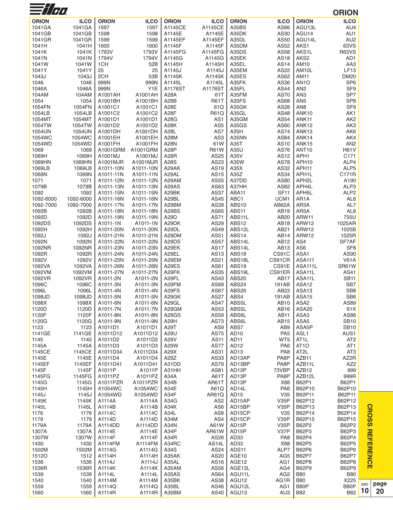| $\equiv$ //H $\prime$  |                   |                        |                        |                |                    |                                          |                        |                                         | <b>ORION</b>                        |
|------------------------|-------------------|------------------------|------------------------|----------------|--------------------|------------------------------------------|------------------------|-----------------------------------------|-------------------------------------|
| <b>ORION</b>           | <b>ILCO</b>       | <b>ORION</b>           | <b>ILCO</b>            | <b>ORION</b>   | <b>ILCO</b>        | <b>ORION</b>                             | <b>ILCO</b>            | <b>ORION</b>                            | <b>ILCO</b>                         |
| 1041GA                 | 1041GA            | 1597                   | 1597                   | A1145CE        | A1145CE            | A35BS                                    | AS66                   | AGU13L                                  | AU4                                 |
| 1041GB                 | 1041GB            | 1598                   | 1598                   | A1145E         | A1145E             | A35DK                                    | AS30                   | AGU14                                   | AU1                                 |
| 1041GR                 | 1041GR            | 1599                   | 1599                   | A1145EF        | A1145EF            | A35DL                                    | AS50                   | AGU14L                                  | AU <sub>2</sub>                     |
| 1041H                  | 1041H             | 1600                   | 1600                   | A1145F         | A1145F             | A35DM                                    | AS52                   | AKS1                                    | 63VS                                |
| 1041K                  | 1041K             | 1793V                  | 1793V                  | A1145FG        | A1145FG            | A35DS                                    | AS58                   | AKS1L                                   | <b>R63VS</b>                        |
| 1041N                  | 1041N             | 1794V                  | 1794V                  | A1145G         | A1145G             | A35EK                                    | AS18                   | AKS <sub>2</sub>                        | AD <sub>1</sub>                     |
| 1041W                  | 1041W             | 1CH                    | 52B                    | A1145H         | A1145H             | A35EL                                    | AS14                   | AM10                                    | AA3                                 |
| 1041Y                  | 1041Y             | 25                     | 25                     | A1145J         | A1145J             | A35EM                                    | AS22                   | AM10L                                   | LF13                                |
| 1043J                  | 1043J             | 2CH                    | 53B                    | A1145K         | A1145K             | A35ES                                    | AS62                   | AM11                                    | <b>DM20</b>                         |
| 1046                   | 1046              | 999N                   | 999N                   | A1145L         | A1145L             | A35FK                                    | AS36                   | AN <sub>1</sub> O                       | SP <sub>6</sub>                     |
| 1046A                  | 1046A             | 999N                   | Y <sub>1</sub> E       | A1176ST        | A1176ST            | A35FL                                    | <b>AS44</b>            | AN <sub>2</sub>                         | SF <sub>9</sub>                     |
| 104AM                  | 104AM             | A1001AH                | A1001AH                | A28A           | 61T                | A35FM                                    | <b>AS70</b>            | AN <sub>3</sub>                         | SP7                                 |
| 1054<br>1054FN         | 1054<br>1054FN    | A1001BH<br>A1001C1     | A1001BH<br>A1001C1     | A28B<br>A28E   | <b>R61T</b><br>61Q | A35FS<br>A35GK                           | AS68<br><b>AS28</b>    | AN <sub>5</sub><br>AN <sub>8</sub>      | SP <sub>8</sub><br>SF <sub>9</sub>  |
| 1054LB                 | 1054LB            | A1001C2                | A1001C2                | A28F           | R61Q               | A35GL                                    | AS48                   | ANK10                                   | AK1                                 |
| 1054MT                 | 1054MT            | A1001D1                | A1001D1                | A28G           | AS1                | A35GM                                    | AS54                   | ANK11                                   | AK <sub>2</sub>                     |
| 1054TW                 | 1054TW            | A1001D2                | A1001D2                | A28K           | AS5                | A35GS                                    | AS60                   | ANK12                                   | AK3                                 |
| 1054UN                 | 1054UN            | A1001DH                | A1001DH                | A28L           | AS7                | A35H                                     | <b>AS74</b>            | ANK13                                   | AK6                                 |
| 1054WC                 | 1054WC            | A1001EH                | A1001EH                | A28M           | AS <sub>3</sub>    | A35NN                                    | AS84                   | ANK14                                   | AK4                                 |
| 1054WD                 | 1054WD            | A1001FH                | A1001FH                | A28N           | 61W                | A35T                                     | AS10                   | ANK15                                   | AN <sub>2</sub>                     |
| 1069                   | 1069              | A1001GRM               | A1001GRM               | A28P           | <b>R61W</b>        | A35U                                     | AS76                   | ANT10                                   | <b>H61V</b>                         |
| 1069H                  | 1069H             | A1001MJ                | A1001MJ                | A28R           | AS25               | A35V                                     | AS12                   | APH1                                    | C171                                |
| 1069HN                 | 1069HN            | A1001MJR               | A1001MJR               | A28S           | AS23               | A35W                                     | <b>AS78</b>            | APH10                                   | ALP4                                |
| 1069LB                 | 1069LB            | A1011-10N              | A1011-10N              | A29AK          | AS19               | A35X                                     | AS32                   | APH11                                   | ALP5                                |
| 1069N                  | 1069N             | A1011-11N              | A1011-11N              | A29AL          | AS15               | A35Z                                     | AS34                   | APH1L                                   | C171R                               |
| 1071                   | 1071              | A1011-12N              | A1011-12N              | A29AM          | AS55               | A37DD                                    | AS80                   | APH2L                                   | A190                                |
| 1079B                  | 1079B             | A1011-13N              | A1011-13N              | A29AS          | AS63               | A37HH                                    | AS82                   | APH4L                                   | ALP3                                |
| 1092                   | 1092<br>1092-6000 | A1011-15N<br>A1011-16N | A1011-15N<br>A1011-16N | A29BK<br>A29BL | AS37<br>AS45       | ABA11<br>ABC <sub>1</sub>                | <b>SF11</b><br>UCM1    | APH <sub>5</sub> L<br>AR <sub>1</sub> A | ALP <sub>2</sub><br>AL <sub>6</sub> |
| 1092-6000<br>1092-7000 | 1092-7000         | A1011-17N              | A1011-17N              | A29BM          | AS39               | ABS10                                    | AB62A                  | AR3A                                    | AL7                                 |
| 1092B                  | 1092B             | A1011-18N              | A1011-18N              | A29BS          | AS65               | ABS11                                    | AB19                   | AR5A                                    | AL <sub>8</sub>                     |
| 1092D                  | 1092D             | A1011-19N              | A1011-19N              | A29D           | AS71               | ABS11L                                   | AB <sub>20</sub>       | ARW11                                   | 755U                                |
| 1092DS                 | 1092DS            | A1011-1N               | A1011-1N               | A29DK          | AS29               | ABS12                                    | <b>AB18</b>            | ARW12                                   | 1025AR                              |
| 1092H                  | 1092H             | A1011-20N              | A1011-20N              | A29DL          | AS49               | ABS12L                                   | AB21                   | ARW12                                   | 1025B                               |
| 1092J                  | 1092J             | A1011-21N              | A1011-21N              | A29DM          | AS51               | ABS14                                    | AB14                   | ARW12                                   | 1025R                               |
| 1092N                  | 1092N             | A1011-22N              | A1011-22N              | A29DS          | <b>AS57</b>        | ABS14L                                   | AB12                   | AS4                                     | SF7AF                               |
| 1092NR                 | 1092NR            | A1011-23N              | A1011-23N              | A29EK          | <b>AS17</b>        | ABS14L                                   | AB13                   | AS <sub>6</sub>                         | SF <sub>8</sub>                     |
| 1092R                  | 1092R             | A1011-24N              | A1011-24N              | A29EL          | AS13               | ABS18                                    | CS91C                  | ASA1                                    | AS90                                |
| 1092V                  | 1092V             | A1011-25N              | A1011-25N              | A29EM          | AS21               | ABS18L                                   | CS91CR                 | <b>ASA111</b>                           | <b>V61A</b>                         |
| 1092VA                 | 1092VA            | A1011-26N              | A1011-26N              | A29ES          | AS61               | ABS19                                    | CS91E                  | ASA111L                                 | SR61W                               |
| 1092VM                 | 1092VM            | A1011-27N              | A1011-27N              | A29FK          | AS35               | ABS19L                                   | CS91ER                 | ASA11L                                  | AS41                                |
| 1092VR                 | 1092VR            | A1011-2N               | A1011-2N               | A29FL          | AS43               | ABS20                                    | <b>AB17</b>            | ASA11L                                  | <b>SB11</b>                         |
| 1096C                  | 1096C<br>1096L    | A1011-3N               | A1011-3N<br>A1011-4N   | A29FM<br>A29FS | AS69<br>AS67       | ABS24<br>ABS26                           | 191AB<br>AB23          | ASA12<br>ASA <sub>13</sub>              | SB7<br>SB <sub>8</sub>              |
| 1096L<br>1098JD        | 1098JD            | A1011-4N<br>A1011-5N   | A1011-5N               | A29GK          | <b>AS27</b>        | ABS4                                     | 191AB                  | ASA15                                   | SB <sub>6</sub>                     |
| 1098X                  | 1098X             | A1011-6N               | A1011-6N               | A29GL          | <b>AS47</b>        | ABS5L                                    | AB10                   | ASA <sub>2</sub>                        | AS89                                |
| 1120D                  | 1120D             | A1011-7N               | A1011-7N               | A29GM          | AS53               | ABS5L                                    | AB16                   | ASA20                                   | 61X                                 |
| 1120F                  | 1120F             | A1011-8N               | A1011-8N               | A29GS          | AS59               | ABS6L                                    | AB <sub>11</sub>       | ASA3                                    | AS86                                |
| 1120G                  | 1120G             | A1011-9N               | A1011-9N               | A29H           | <b>AS73</b>        | ABS6L                                    | AB15                   | ASA <sub>5</sub>                        | <b>SB10</b>                         |
| 1123                   | 1123              | A1011D1                | A1011D1                | A29T           | AS9                | ABS7                                     | AB9                    | ASA <sub>5</sub> P                      | <b>SB10</b>                         |
| 1141GE                 | 1141GE            | A1011D12               | A1011D12               | A29U           | <b>AS75</b>        | AD <sub>10</sub>                         | PA <sub>5</sub>        | ASL1                                    | AUS1                                |
| 1145                   | 1145              | A1011D2                | A1011D2                | A29V           | <b>AS11</b>        | AD <sub>11</sub>                         | WT <sub>5</sub>        | AT <sub>1</sub> L                       | AT <sub>2</sub>                     |
| 1145A                  | 1145A             | A1011D3                | A1011D3                | A29W           | <b>AS77</b>        | AD <sub>12</sub>                         | PA <sub>6</sub>        | AT <sub>10</sub>                        | AT <sub>1</sub>                     |
| 1145CE                 | 1145CE            | A1011D34               | A1011D34               | A29X           | AS31               | AD <sub>13</sub>                         | PA <sub>8</sub>        | AT <sub>2</sub> L                       | AT <sub>3</sub>                     |
| 1145E                  | 1145E             | A1011D4                | A1011D4                | A29Z           | AS33               | AD13AP                                   | PA8P                   | AZB11                                   | AZ2R                                |
| 1145EF                 | 1145EF            | A1011D41               | A1011D41               | A31DD          | AS79               | AD13BP                                   | PA8P                   | AZB11L                                  | AZ <sub>2</sub>                     |
| 1145F<br>1145FG        | 1145F<br>1145FG   | A1011P<br>A1011PZ      | A1011P<br>A1011PZ      | A31HH<br>A34A  | AS81<br>A61T       | AD <sub>13</sub> P<br>AD <sub>13</sub> P | 73VBP<br>PA8P          | AZB12<br>AZB12L                         | 999<br>999R                         |
| 1145G                  | 1145G             | A1011PZR               | A1011PZR               | A34B           | AR61T              | AD13P                                    | X88                    | B62P1                                   | B62P1                               |
| 1145H                  | 1145H             | A1054WC                | A1054WC                | A34E           | A61Q               | AD14L                                    | PA <sub>6</sub>        | B62P10                                  | B62P10                              |
| 1145J                  | 1145J             | A1054WD                | A1054WD                | A34F           | AR61Q              | AD <sub>15</sub>                         | V35                    | B62P11                                  | B62P11                              |
| 1145K                  | 1145K             | A1114A                 | A1114A                 | A34G           | AS <sub>2</sub>    | AD15AP                                   | <b>V35P</b>            | B62P12                                  | B62P12                              |
| 1145L                  | 1145L             | A1114B                 | A1114B                 | A34K           | AS <sub>6</sub>    | AD15BP                                   | V35P                   | B62P13                                  | B62P13                              |
| 1176                   | 1176              | A1114C                 | A1114C                 | A34L           | AS <sub>8</sub>    | AD15CP                                   | V35                    | B62P14                                  | B62P14                              |
| 1179                   | 1179              | A1114D                 | A1114D                 | A34M           | AS4                | AD15CP                                   | V35P                   | B62P15                                  | B62P15                              |
| 1179A                  | 1179A             | A1114DD                | A1114DD                | A34N           | A61W               | AD <sub>15</sub> P                       | <b>V35P</b>            | B62P2                                   | B62P2                               |
| 1307A                  | 1307A             | A1114E                 | A1114E                 | A34P           | <b>AR61W</b>       | AD15P                                    | V37P                   | B62P3                                   | B62P3                               |
| 1307W                  | 1307W             | A1114F                 | A1114F                 | A34R           | AS26               | AD33                                     | PA <sub>8</sub>        | B62P4                                   | B62P4                               |
| 1430                   | 1430              | A1114FM                | A1114FM                | A34RC          | AS14L              | AD33                                     | X88                    | B62P5                                   | B62P5                               |
| 1502M                  | 1502M             | A1114G                 | A1114G                 | A34S           | AS24               | ADS <sub>11</sub>                        | ALP7                   | B62P6                                   | B62P6                               |
| 15120                  | 1512              | A1114H                 | A1114H                 | A35AK          | AS20               | AGE10                                    | AG <sub>5</sub>        | B62P7                                   | B62P7                               |
| 1536                   | 1536              | A1114J                 | A1114J                 | A35AL          | AS16               | AGE12                                    | AG1                    | B62P8                                   | <b>B62P8</b>                        |
| 1536R<br>1539          | 1536R<br>1539     | A1114K                 | A1114K                 | A35AM<br>A35AS | AS56<br>AS64       | AGE13L<br>AGU11L                         | AG4<br>AG <sub>2</sub> | <b>B62P9</b><br><b>B80</b>              | B62P9<br><b>B80</b>                 |
| 1540                   | 1540              | A1114L<br>A1114M       | A1114L<br>A1114M       | A35BK          | AS38               | AGU12                                    | AG1R                   | <b>B80</b>                              | X225                                |
| 1559                   | 1559              | A1114Q                 | A1114Q                 | A35BL          | AS46               | AGU12L                                   | AG1                    | B80P                                    | B80P                                |
| 1560                   | 1560              | A1114R                 | A1114R                 | A35BM          | AS40               | AGU <sub>13</sub>                        | AU3                    | <b>B82</b>                              | <b>B82</b>                          |
|                        |                   |                        |                        |                |                    |                                          |                        |                                         |                                     |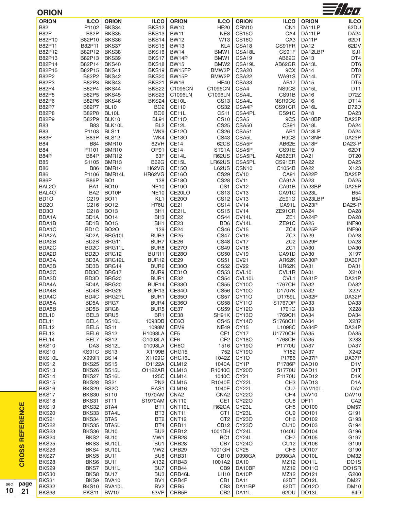| <b>ORION</b>                           |                       |                            |                                    |                              |                                      |                                 |                           |                                        | $\equiv t/\tau$                      |
|----------------------------------------|-----------------------|----------------------------|------------------------------------|------------------------------|--------------------------------------|---------------------------------|---------------------------|----------------------------------------|--------------------------------------|
| <b>ORION</b>                           | <b>ILCO</b>           | <b>ORION</b>               | <b>ILCO</b>                        | <b>ORION</b>                 | <b>ILCO</b>                          | <b>ORION</b>                    | <b>ILCO</b>               | <b>ORION</b>                           | <b>ILCO</b>                          |
| <b>B82</b>                             | P1102                 | BKS34                      | BKS12                              | <b>BW10</b>                  | <b>HF20</b>                          | CRN10                           | CN <sub>1</sub>           | DA11LP                                 | 62DU                                 |
| B82P                                   | B82P                  | BKS35                      | BKS13                              | <b>BW11</b>                  | NE8                                  | <b>CS150</b>                    | CA4                       | DA11LP                                 | <b>DA24</b>                          |
| B82P10                                 | B82P10                | BKS36                      | BKS14                              | <b>BW12</b>                  | WT3                                  | <b>CS16O</b>                    | CA <sub>3</sub>           | DA11P                                  | 62DT                                 |
| B82P11                                 | B82P11                | BKS37                      | BKS15                              | <b>BW13</b>                  | KL4                                  | CSA18                           | CS91FR                    | <b>DA12</b>                            | 62DV                                 |
| B82P12                                 | B82P12                | BKS38                      | BKS16                              | <b>BW14</b>                  | BMW1                                 | CSA18L                          | CS91F                     | DA12LBP                                | SJ1                                  |
| B82P13                                 | B82P13                | BKS39                      | BKS17                              | BW14P                        | BMW1                                 | CSA19                           | AB62G                     | <b>DA13</b>                            | DT4                                  |
| B82P14                                 | B82P14                | <b>BKS40</b><br>BKS41      | BKS18<br>BKS19                     | <b>BW15</b>                  | BMW <sub>2</sub><br>BMW3P            | CSA19L                          | AB62GR<br>9CX             | DA13L<br><b>DA14</b>                   | DT6                                  |
| B82P15<br>B82P2                        | B82P15<br>B82P2       | BKS42                      | <b>BKS20</b>                       | BW15FP<br>BW <sub>15</sub> P | BMW2P                                | CSA <sub>20</sub><br>CSA22      | <b>WA91S</b>              | DA14L                                  | DT8<br>DT7                           |
| B82P3                                  | B82P3                 | BKS43                      | BKS21                              | <b>BW16</b>                  | <b>HF40</b>                          | CSA33                           | AB17                      | <b>DA15</b>                            | DT <sub>5</sub>                      |
| <b>B82P4</b>                           | <b>B82P4</b>          | BKS44                      | BKS22                              | C1096CN                      | C1096CN                              | CSA4                            | NS9CS                     | DA <sub>15</sub> L                     | DT <sub>1</sub>                      |
| <b>B82P5</b>                           | <b>B82P5</b>          | BKS45                      | BKS23                              | C1096LN                      | C1096LN                              | CSA4L                           | CS91B                     | <b>DA16</b>                            | D72Z                                 |
| <b>B82P6</b>                           | <b>B82P6</b>          | BKS46                      | BKS24                              | CE10L                        | CS <sub>13</sub>                     | CSA4L                           | NSR9CS                    | <b>DA16</b>                            | DT14                                 |
| <b>B82P7</b>                           | <b>B82P7</b>          | <b>BL10</b>                | BO <sub>2</sub>                    | CE110                        | <b>CS32</b>                          | CSA4P                           | CS91CR                    | DA16L                                  | D72D                                 |
| <b>B82P8</b>                           | <b>B82P8</b>          | BL <sub>10</sub> L         | BO <sub>6</sub>                    | CE11L                        | CS <sub>11</sub>                     | CSA4PL                          | CS91C                     | <b>DA18</b>                            | DA <sub>23</sub>                     |
| B82P9                                  | <b>B82P9</b>          | BLK10                      | BL91                               | <b>CE110</b>                 | CS <sub>10</sub>                     | CSA <sub>5</sub>                | 9CS                       | DA18BP                                 | DA23P                                |
| <b>B83</b>                             | <b>B83</b>            | BLK10L                     | BL <sub>2</sub>                    | CE12L                        | <b>CS25</b>                          | CSA50                           | <b>CS91</b>               | DA18L                                  | <b>DA24</b>                          |
| <b>B83</b>                             | P1103                 | BLS11                      | WK9                                | <b>CE12O</b>                 | <b>CS26</b>                          | CSA51                           | AB1                       | DA18LP                                 | <b>DA24</b>                          |
| B83P                                   | B83P                  | BLS12                      | WK4                                | CE13O                        | <b>CS43</b>                          | CSA <sub>5</sub> L              | R9CS                      | DA18NP                                 | DA23P                                |
| <b>B84</b>                             | <b>B84</b>            | BMR10                      | 62VH                               | CE14                         | 62CS                                 | CSA <sub>5</sub> P              | AB62E                     | DA18P                                  | DA23-P                               |
| <b>B84</b>                             | P1101                 | BMR10                      | OP91                               | CE14                         | ST91A                                | CSA <sub>5</sub> P              | CS91E                     | <b>DA19</b>                            | 62DT                                 |
| B84P                                   | B84P                  | <b>BMR12</b>               | 63F                                | CE14L                        | <b>R62US</b>                         | CSA5PL                          | AB62ER                    | <b>DA21</b>                            | DT20                                 |
| <b>B85</b>                             | S1105                 | BMR13                      | <b>B62G</b>                        | CE15L                        | LR62US                               | CSA5PL                          | CS91ER                    | <b>DA22</b>                            | <b>DA25</b>                          |
| <b>B86</b>                             | <b>B86</b>            | BMR14                      | <b>H62VG</b>                       | <b>CE15O</b>                 | L62US                                | CSN <sub>10</sub>               | C1054B                    | <b>DA22</b>                            | X123                                 |
| <b>B86</b>                             | P1106                 | BMR14L                     | HR62VG                             | CE16O                        | <b>CS29</b>                          | <b>CV10</b>                     | CA91                      | DA22P                                  | DA25P                                |
| B86P                                   | B86P                  | BO <sub>1</sub>            | 138                                | <b>CE18O</b>                 | <b>CS28</b>                          | <b>CV11</b>                     | CA91A                     | <b>DA23</b>                            | <b>DA25</b>                          |
| BAL <sub>20</sub>                      | BA <sub>1</sub>       | <b>BO10</b>                | <b>NE10</b>                        | <b>CE19O</b>                 | CS <sub>1</sub>                      | <b>CV12</b>                     | CA91B                     | DA23BP                                 | DA25P                                |
| BAL4O                                  | BA <sub>2</sub>       | BO <sub>10</sub> P         | <b>NE10</b>                        | CE20LO                       | <b>CS13</b>                          | <b>CV13</b>                     | CA91C                     | DA23L                                  | <b>B54</b>                           |
| BD <sub>1</sub> O                      | C219                  | <b>BO11</b>                | KL <sub>1</sub>                    | CE20O                        | CS12                                 | <b>CV13</b>                     | ZE91G                     | DA23LBP                                | <b>B54</b>                           |
| BD <sub>2</sub> O<br>BD <sub>3</sub> O | C216<br>C218          | <b>BO12</b>                | <b>H76U</b>                        | <b>CE21</b><br>CE21L         | CS <sub>14</sub><br>CS <sub>15</sub> | CV <sub>14</sub><br><b>CV14</b> | CA91L                     | DA23P<br><b>DA24</b>                   | DA25-P                               |
| BDA1A                                  |                       | <b>BO13</b>                | BH <sub>1</sub>                    | CE <sub>22</sub>             | <b>CS44</b>                          | CV14L                           | ZE91CR<br>ZE <sub>1</sub> | DA24P                                  | <b>DA28</b><br><b>DA28</b>           |
| BDA1B                                  | BD1A<br>BD1B          | <b>BO14</b><br><b>BO15</b> | BH <sub>3</sub><br>BH <sub>1</sub> | <b>CE23</b>                  | BD <sub>6</sub>                      | CV14L                           | ZE91C                     | <b>DA25</b>                            | INF90                                |
| BDA1C                                  | BD1C                  | <b>BO2O</b>                | 139                                | CE24                         | CS46                                 | <b>CV15</b>                     | ZC4                       | DA25P                                  | INF90                                |
| BDA2A                                  | BD <sub>2</sub> A     | BRG10L                     | BUR3                               | <b>CE25</b>                  | <b>CS47</b>                          | CV <sub>16</sub>                | ZC <sub>3</sub>           | <b>DA29</b>                            | <b>DA28</b>                          |
| BDA2B                                  | BD <sub>2</sub> B     | BRG11                      | BUR7                               | <b>CE26</b>                  | <b>CS48</b>                          | <b>CV17</b>                     | ZC <sub>2</sub>           | DA29P                                  | <b>DA28</b>                          |
| BDA2C                                  | BD <sub>2</sub> C     | BRG11L                     | BUR8                               | <b>CE27O</b>                 | <b>CS49</b>                          | <b>CV18</b>                     | ZC <sub>1</sub>           | <b>DA30</b>                            | <b>DA30</b>                          |
| BDA2D                                  | BD <sub>2</sub> D     | BRG12                      | BUR11                              | <b>CE28O</b>                 | <b>CS50</b>                          | CV <sub>19</sub>                | CA91D                     | <b>DA30</b>                            | X197                                 |
| BDA3A                                  | BD <sub>3</sub> A     | BRG12L                     | <b>BUR12</b>                       | CE29                         | <b>CS51</b>                          | <b>CV21</b>                     | AR62K                     | DA30P                                  | DA30P                                |
| BDA3B                                  | BD3B                  | BRG14                      | BUR <sub>6</sub>                   | <b>CE30O</b>                 | <b>CS52</b>                          | <b>CV22</b>                     | UR62K                     | <b>DA31</b>                            | DA31                                 |
| BDA3C                                  | BD3C                  | BRG17                      | BUR9                               | CE31O                        | <b>CS53</b>                          | CVL10                           | CVL1R                     | <b>DA31</b>                            | X210                                 |
| BDA3D                                  | BD <sub>3</sub> D     | BRG20                      | BUR1                               | CE32                         | <b>CS54</b>                          | CVL10L                          | CVL1                      | DA31P                                  | DA31P                                |
| BDA4A                                  | BD <sub>4</sub> A     | BRG20                      | BUR14                              | <b>CE33O</b>                 | <b>CS55</b>                          | CY10O                           | 1767CH                    | <b>DA32</b>                            | DA32                                 |
| BDA4B                                  | BD4B                  | BRG26                      | <b>BUR13</b>                       | CE34O                        |                                      | CS56   CY10O                    | D1707K                    | DA32                                   | X227                                 |
| BDA4C                                  | BD4C                  | BRG27L                     | BUR1                               | <b>CE35O</b>                 | <b>CS57</b>                          | <b>CY110</b>                    | D1759L                    | DA32P                                  | DA32P                                |
| BDA5A                                  | BD5A                  | BRG7                       | BUR4                               | CE36O                        | <b>CS58</b>                          | <b>CY110</b>                    | S1767DP                   | <b>DA33</b>                            | DA33                                 |
| BDA5B                                  | BD5B                  | BRG8                       | BUR <sub>5</sub>                   | CE37                         | <b>CS59</b>                          | CY120                           | 1701G                     | <b>DA33</b>                            | X228                                 |
| BEL10                                  | BEL3                  | BRU <sub>5</sub>           | BR <sub>1</sub>                    | CE38                         | SH91K                                | CY13O                           | 1769CH                    | <b>DA34</b>                            | DA34                                 |
| BEL <sub>11</sub>                      | BEL4                  | BS <sub>10</sub> L         | 1098DB                             | CE6O                         | <b>CS45</b>                          | CY140                           | S1768CH                   | <b>DA34</b>                            | X237                                 |
| BEL12                                  | BEL5                  | <b>BS11</b>                | 1098M                              | CEM9                         | <b>NE49</b>                          | CY15                            | L1098C                    | DA34P                                  | DA34P                                |
| BEL13                                  | BEL6                  | <b>BS12</b>                | <b>H1098LA</b>                     | CF5                          | CF <sub>1</sub>                      | CY <sub>17</sub>                | <b>U1770CH</b>            | <b>DA35</b>                            | <b>DA35</b>                          |
| BEL14                                  | BEL7                  | <b>BS12</b>                | O1098LA                            | CF <sub>6</sub>              | CF <sub>2</sub>                      | <b>CY18O</b>                    | 1768CH                    | <b>DA35</b>                            | X238                                 |
| BKS10                                  | DA3                   | BS <sub>12</sub> L         | 01098LA                            | CH <sub>6</sub> O            | 1516                                 | CY19O                           | <b>P1770U</b>             | DA37                                   | DA37                                 |
| BKS10                                  | <b>KS91C</b>          | <b>BS13</b>                | X1199B                             | CHG15                        | 752                                  | CY19O                           | Y152                      | DA37                                   | X242                                 |
| BKS10L                                 | X999R                 | <b>BS14</b>                | X1199G                             | CHG16L                       | 1042Z                                | CY <sub>10</sub>                | P1786                     | DA37P                                  | DA37P                                |
| BKS12<br>BKS13                         | BKS25                 | <b>BS15</b>                | O1122A                             | CLM12<br>CLM13               | 1040A                                | CY1P                            | P1786P                    | DAD10                                  | D <sub>1</sub> V                     |
|                                        | BKS26                 | <b>BS15L</b>               | O1122AR                            |                              | R1040C<br>1040C                      | CY200                           | S1770U                    | DAD <sub>11</sub>                      | D <sub>1</sub> T                     |
| BKS14<br>BKS15                         | BKS27<br>BKS28        | BS16L<br><b>BS21</b>       | 125C<br>PN <sub>2</sub>            | CLM14<br>CLM15               | R1040E                               | CY21<br>CY22L                   | P1170U<br>CH <sub>3</sub> | DAD <sub>12</sub><br>DAD <sub>13</sub> | D <sub>1</sub> K<br>D <sub>1</sub> A |
| BKS16                                  | BKS29                 | <b>BS20</b>                | BAS1                               | CLM16                        | 1040E                                | CY22L                           | CU <sub>7</sub>           | DAM10L                                 | DA <sub>2</sub>                      |
| BKS17                                  | <b>BKS30</b>          | <b>BT10</b>                | 1970AM                             | CNA <sub>2</sub>             | CNA <sub>2</sub>                     | CY220                           | CH <sub>4</sub>           | DAV <sub>10</sub>                      | DAV10                                |
| BKS18                                  | BKS31                 | <b>BT11</b>                | S1970AM                            | CNT <sub>10</sub>            | CE1                                  | CY220                           | CU <sub>8</sub>           | <b>DF11</b>                            | CA <sub>2</sub>                      |
| BKS19                                  | BKS32                 | BTA4                       | BT <sub>1</sub>                    | CNT10L                       | R62CA                                | CY23L                           | CH <sub>5</sub>           | DO100                                  | <b>DM57</b>                          |
| <b>BKS20</b>                           | BKS33                 | BTA4L                      | BT3                                | CNT <sub>11</sub>            | CT <sub>1</sub>                      | CY23L                           | CU <sub>9</sub>           | DO101                                  | G191                                 |
| BKS21                                  | BKS34                 | BTA5                       | BT <sub>2</sub>                    | CNT <sub>12</sub>            | CT <sub>2</sub>                      | CY230                           | CH <sub>6</sub>           | DO102                                  | G193                                 |
| <b>BKS22</b>                           | BKS35                 | BTA <sub>5</sub> L         | BT4                                | CRB11                        | CB <sub>12</sub>                     | CY23O                           | <b>CU10</b>               | DO103                                  | G194                                 |
| BKS23                                  | BKS36                 | <b>BU10</b>                | BU <sub>2</sub>                    | CRB12                        | 1001DH                               | CY24L                           | 1040U                     | DO104                                  | G196                                 |
| BKS24                                  | BKS <sub>2</sub>      | <b>BU10</b>                | MW1                                | CRB <sub>28</sub>            | BC <sub>1</sub>                      | CY24L                           | CH <sub>7</sub>           | DO105                                  | G197                                 |
| <b>BKS25</b>                           | BKS3                  | BU <sub>10</sub> L         | BU <sub>1</sub>                    | CRB <sub>28</sub>            | CB7                                  | CY240                           | <b>CU12</b>               | DO106                                  | G199                                 |
| <b>BKS26</b>                           | BKS4                  | BU <sub>10</sub> L         | MW <sub>2</sub>                    | CRB <sub>29</sub>            | 1001GH                               | CY25                            | CH <sub>8</sub>           | DO107                                  | G190                                 |
| BKS27                                  | BKS5                  | <b>BU11</b>                | BU8                                | CRB31                        | <b>CB10</b>                          | <b>D998GA</b>                   | D998GA                    | DO <sub>10</sub> L                     | <b>DM32</b>                          |
| BKS28                                  | BKS6                  | <b>BU11</b>                | X132                               | CRB43                        | 1001A2                               | DA10                            | MZ12                      | DO <sub>11</sub> L                     | DO <sub>1</sub> S                    |
| BKS29                                  | BKS7                  | BU <sub>11</sub> L         | BU7                                | CRB44                        | CB <sub>9</sub>                      | DA10BP                          | MZ12                      | DO110                                  | DO1SR                                |
|                                        | BKS8                  | <b>BU17</b>                | BU <sub>3</sub>                    | CRB46L                       | <b>LH10</b>                          | DA10P                           | MZ12                      | DO121                                  | G200                                 |
| BKS30                                  |                       |                            |                                    |                              |                                      |                                 |                           |                                        |                                      |
| BKS31                                  | BKS9                  | BVA10                      | BV1                                | CRB4P                        | CB <sub>1</sub>                      | <b>DA11</b>                     | 62DT                      | DO <sub>12</sub> L                     | <b>DM27</b>                          |
| BKS32<br>BKS33                         | <b>BKS10</b><br>BKS11 | BVA10L<br><b>BW10</b>      | BV <sub>2</sub><br>63VP            | CRB <sub>5</sub><br>CRB5P    | CB <sub>3</sub><br>CB <sub>2</sub>   | DA11BP<br>DA11L                 | 62DT<br>62DU              | DO120<br>DO <sub>13</sub> L            | <b>DM10</b><br>64D                   |

**CROSS REFERENCE CROSS REFERENCE**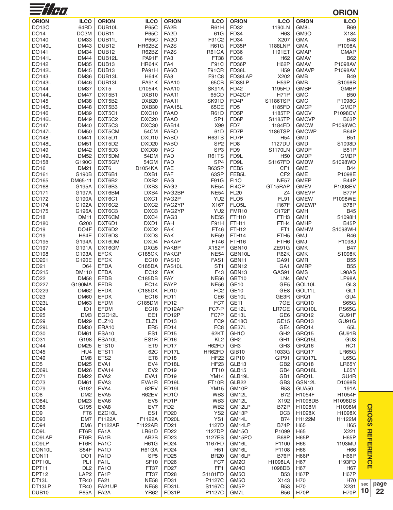| <b>ORION</b><br><b>ILCO</b><br><b>ORION</b><br><b>ILCO</b><br><b>ORION</b><br><b>ILCO</b><br><b>ORION</b><br><b>ILCO</b><br><b>ORION</b><br><b>ILCO</b><br>64RD<br>DUB <sub>10</sub> L<br><b>P65C</b><br>FA <sub>2</sub> B<br><b>R61H</b><br>FD32<br>1190LN<br>DO13O<br>GM8L<br><b>B69</b><br>DO14<br>DO3M<br>DUB <sub>11</sub><br><b>P65C</b><br>FA <sub>2</sub> D<br>61G<br>FD34<br>H63<br>GM9O<br>X184<br><b>P65C</b><br>DO140<br><b>DM33</b><br>DUB <sub>11</sub> L<br><b>FA20</b><br>F91C2<br>FD34<br>X207<br>GMA<br><b>B48</b><br><b>DO140L</b><br><b>DM43</b><br>DUB <sub>12</sub><br>HR62BZ<br>FA <sub>2</sub> S<br><b>R61G</b><br>FD35P<br>1188LNP<br><b>GMA</b><br>P1098A<br><b>DM34</b><br>DUB <sub>12</sub><br>R62BZ<br>FA <sub>2</sub> S<br>FD36<br><b>GMAP</b><br>DO141<br>R61GA<br>1191ET<br><b>GMAP</b><br><b>DM44</b><br>DUB12L<br>PA91F<br>FA <sub>3</sub><br><b>FD36</b><br>DO141L<br>FT38<br>H <sub>62</sub><br><b>GMAV</b><br><b>B62</b><br>DUB <sub>13</sub><br>F91C<br>FD36P<br>H62P<br>DO142<br><b>DM35</b><br>HR64K<br>FA4<br><b>GMAV</b><br>P1098AV<br>DUB <sub>13</sub><br>FD38L<br><b>DM45</b><br>PA91H<br><b>FA6O</b><br>F91CR<br>H <sub>59</sub><br><b>GMAVP</b><br>P1098AV<br><b>DO142L</b><br>DO143<br>DUB13L<br>FA <sub>8</sub><br>F91C8<br>FD38LAP<br><b>GMB</b><br><b>DM36</b><br>H64K<br>X202<br>B49<br><b>H59P</b><br>DO143L<br><b>DM46</b><br>DUB <sub>13</sub> L<br>PA91K<br><b>FAA10</b><br>65CB<br>FD38LP<br>GMB<br>S1098B<br>DXT5<br>SK91A<br>DO144<br><b>DM37</b><br>D1054K<br><b>FAA10</b><br><b>FD42</b><br>1195FD<br><b>GMBP</b><br><b>GMBP</b><br>DXT5B1<br>DXB10<br>FAA11<br>65CD<br>FD42CP<br><b>H71P</b><br><b>GMC</b><br>DO144L<br><b>DM47</b><br><b>B50</b><br>FD4P<br>S1186TSP<br>DO145<br><b>DM38</b><br>DXT5B2<br>DXB <sub>20</sub><br>FAA11<br>SK91D<br><b>GMC</b><br>P1098C<br>DXT5B3<br>65CE<br>FD <sub>5</sub><br>1185FD<br><b>GMCP</b><br>DO145L<br><b>DM48</b><br>DXB30<br>FAA15L<br><b>GMCP</b><br>DXT5C1<br>DXC10<br><b>FAAO</b><br><b>R61D</b><br>FD <sub>5</sub> P<br>1185TP<br><b>GMCV</b><br>DO146<br><b>DM39</b><br>P1098CV<br>SP <sub>1</sub><br>FD6P<br>DXT5C2<br>DXC20<br><b>FAAO</b><br>S1185TP<br><b>GMCVP</b><br><b>B63P</b><br><b>DO146L</b><br><b>DM49</b><br>DXT5C3<br>DXC30<br>FAB14<br>X99<br>FD7<br><b>GMCW</b><br>P1098WC<br>DO147<br><b>DM40</b><br>1184FD<br><b>DO147L</b><br><b>DM50</b><br>DXT5CM<br>54CM<br><b>FABO</b><br>61D<br>FD7P<br>1186TSP<br><b>GMCWP</b><br><b>B64P</b><br>DXD10<br><b>FABO</b><br>H <sub>54</sub><br>DO148<br><b>DM41</b><br>DXT5D1<br>R63TS<br>FD7P<br><b>GMD</b><br><b>B51</b><br>DXT5D2<br>DXD <sub>20</sub><br>FD <sub>8</sub><br>1127DU<br><b>DM51</b><br><b>FABO</b><br>SP <sub>2</sub><br><b>GMD</b><br>S1098D<br>DO148L<br>SP <sub>3</sub><br>FD <sub>9</sub><br>DXT5D3<br>DXD30<br><b>FAC</b><br><b>S1170LN</b><br><b>GMDP</b><br>DO149<br><b>DM42</b><br><b>B51P</b><br>DXT5DM<br>54DM<br><b>FAD</b><br><b>R61TS</b><br>FD9L<br><b>GMDP</b><br>DO149L<br><b>DM52</b><br>H <sub>50</sub><br><b>GMDP</b><br><b>FAD</b><br>SP <sub>4</sub><br>FD9L<br>S1167FD<br>DO158<br>G190C<br>DXT5GM<br>54GM<br><b>GMDW</b><br>S1098WD<br>R63SP<br>FEB <sub>5</sub><br>CF <sub>1</sub><br>DO16<br><b>DM21</b><br>DXT <sub>6</sub><br>D1054KA<br><b>FAE</b><br><b>GME</b><br><b>B44</b><br>DO161<br>G190B<br>DXT6B1<br>DXB1<br><b>FAF</b><br>63SP<br>FEB <sub>5</sub> L<br>CF <sub>2</sub><br><b>GME</b><br>P1098E<br>DXT6B2<br>DXB <sub>2</sub><br><b>FAG</b><br>F91G<br><b>NE57</b><br>DO165<br>DM65-11<br>FI <sub>10</sub><br><b>GMEP</b><br><b>B44P</b><br>DXT6B3<br>DXB3<br><b>NE54</b><br>FI4CP<br>P1098EV<br>DO168<br>G195A<br>FAG <sub>2</sub><br>GT15RAP<br><b>GMEV</b><br>DXT6BM<br>DXB4<br><b>NE54</b><br><b>FL20</b><br>Z <sub>4</sub><br>DO171<br>G197A<br>FAG2BP<br><b>GMEVP</b><br>B77P<br>DXC1<br>FAG2P<br>YU <sub>2</sub><br>FLO <sub>5</sub><br>DO172<br>G190A<br>DXT6C1<br><b>FL91</b><br><b>GMEW</b><br>P1098WE<br>DXC <sub>2</sub><br>X167<br>FLO <sub>5</sub> L<br>DO174<br>G192A<br>DXT6C2<br>FAG2YP<br>R67F<br><b>GMEWP</b><br><b>B78P</b><br>DXC3<br>FAG2YP<br>YU <sub>2</sub><br>FMR10<br>DO175<br>G196A<br>DXT6C3<br>C172F<br><b>GMH</b><br><b>B45</b><br>DO18<br>DXT6CM<br>DXC4<br>FAG3<br><b>NE55</b><br>FTH <sub>10</sub><br>S1098H<br><b>DM11</b><br>FTH <sub>3</sub><br>GMH<br>G200<br>F91H<br>DXT6D1<br>DXD1<br><b>FAH</b><br>FTH <sub>11</sub><br>FTH4<br><b>GMHP</b><br><b>B45P</b><br>DO180<br>DO19<br>DO <sub>4</sub> F<br>DXT6D2<br>DXD <sub>2</sub><br><b>FAK</b><br>FT46<br>FTH <sub>12</sub><br>FT <sub>1</sub><br><b>GMHW</b><br>S1098WH<br>H64E<br>DXT6D3<br>DXD3<br><b>FAK</b><br><b>NE59</b><br>FTH14<br>FTH <sub>5</sub><br>DO19<br><b>GMJ</b><br><b>B46</b><br>G194A<br>DXT6DM<br>DXD4<br><b>FAKAP</b><br>FTH16<br>DO195<br>FT46<br>FTH <sub>6</sub><br><b>GMJ</b><br>P1098J<br>DXT6GM<br>DXG5<br><b>FAKBP</b><br>X152P<br>DO197<br>G191A<br>GBN10<br>ZE91G<br><b>GMK</b><br><b>B47</b><br><b>EFCK</b><br>C185CK<br><b>FAKGP</b><br><b>NE54</b><br>DO198<br>G193A<br>GBN10L<br><b>R62K</b><br><b>GMK</b><br>S1098K<br>DO201<br><b>EFCK</b><br><b>EC10</b><br><b>FAS10</b><br>FAS1<br>GBN11<br>G190E<br>GA91<br>GMR<br>B55<br>DO21<br>D64<br><b>EFDA</b><br>C185DA<br>FAS10L<br>ST <sub>1</sub><br>GBN12<br>GA <sub>1</sub><br><b>GMRP</b><br><b>B55</b><br>DO215<br><b>DM110</b><br><b>EFDA</b><br><b>EC12</b><br><b>FAX</b><br>F43<br>GBN13<br>GAS91<br><b>GMS</b><br>L98AS<br><b>DM58</b><br><b>EFDB</b><br>C185DB<br>FAY<br>GBT10<br><b>GMV</b><br>DO22<br><b>NE56</b><br>LN4<br>LP98A<br><b>EFDB</b><br><b>FAYP</b><br>DO227<br>G190MA<br><b>EC14</b><br><b>NE56</b><br><b>GE10</b><br>GE <sub>5</sub><br>GOL10L<br>GL <sub>3</sub><br><b>EFDK</b><br>DO229<br><b>DM62</b><br>C185DK<br><b>FD10</b><br>FC <sub>2</sub><br><b>GE10</b><br>GE <sub>8</sub><br>GOL11L<br>GL <sub>1</sub><br>GE10L<br>GE3R<br>GRQ1<br>DO23<br><b>DM60</b><br><b>EFDK</b><br><b>EC16</b><br><b>FD11</b><br>CE <sub>6</sub><br>GU4<br><b>EFDM</b><br>FC7<br>GE <sub>11</sub><br>7GE<br>S65G<br>DO <sub>23</sub> L<br><b>DM63</b><br>C185DM<br><b>FD12</b><br>GRQ10<br>DO24<br>ID <sub>1</sub><br><b>EFDM</b><br><b>EC18</b><br>FC7-P<br>GE <sub>12L</sub><br>LR7GE<br>GRQ10L<br><b>RS65G</b><br>FD12AP<br>DO <sub>25</sub><br>DM <sub>3</sub><br>EGO12L<br>EE1<br>FD12P<br>FC7P<br>GE13L<br>GRQ12<br>GU91F<br>GE6<br>ELZ10<br>DO29<br><b>DM29</b><br>ELZ1<br>FD <sub>13</sub><br>FC <sub>9</sub><br><b>GE18O</b><br>GE <sub>15</sub><br>GRQ13<br>GU91G<br>ER <sub>5</sub><br>FC <sub>8</sub><br>DO29L<br><b>DM30</b><br>ERA10<br><b>FD14</b><br>GE37L<br>GE4<br>GRQ14<br>65L<br>ES <sub>1</sub><br>GH <sub>2</sub><br>DO30<br><b>DM61</b><br>ESA10<br><b>FD15</b><br>62KT<br>GH <sub>1</sub> O<br>GRQ15<br>GU91B<br>ES1R<br>DO31<br>G198<br>ESA10L<br><b>FD16</b><br>KL <sub>2</sub><br>GH <sub>2</sub><br>GH <sub>1</sub><br>GRQ15L<br>GU <sub>3</sub><br>H62FD<br>GH <sub>3</sub><br>GH <sub>3</sub><br>RC1<br>DO44<br><b>DM25</b><br><b>ETS10</b><br>ET9<br>FD <sub>17</sub><br>GRQ16<br>DO45<br>HU4<br>ETS11<br>62C<br>FD17L<br>HR62FD<br>GIB <sub>10</sub><br>1033G<br>GRQ17<br>LR65G<br>DO49<br>DM8<br>ETS <sub>2</sub><br>ET8<br>FD <sub>18</sub><br><b>HF22</b><br>GIP <sub>10</sub><br>GIP91<br>GRQ17L<br>L65G<br>EV4<br>GB <sub>2</sub><br>DO <sub>5</sub><br><b>DM25</b><br>EVA1<br>FD <sub>18</sub> L<br><b>HF23</b><br>GLB13<br>GRQ18<br>LR65Y<br>EV <sub>2</sub><br>DO69L<br><b>DM26</b><br>EVA <sub>14</sub><br><b>FD19</b><br>FT10<br>GLB15<br>GB4<br>GRQ18L<br>L65Y<br>EVA1<br>FD19<br>GU4R<br>DO71<br><b>DM22</b><br>EVA <sub>2</sub><br><b>YM14</b><br>GLB19L<br>GB1<br>GRQ1L<br>DO73<br><b>DM61</b><br>EVA <sub>3</sub><br>EVA1R<br>FD <sub>19</sub> L<br>FT10R<br>GLB <sub>22</sub><br>GB <sub>3</sub><br>GSN12L<br>D1098B<br>EVA4<br>DO79<br>G192<br>62EV<br>FD <sub>19L</sub><br><b>YM15</b><br>GM10P<br><b>B53</b><br>GUA50<br>191A<br>R62EV<br>H1054F<br>DO <sub>8</sub><br>DM <sub>2</sub><br>EVA <sub>5</sub><br>FD <sub>1</sub> O<br>WB <sub>3</sub><br>GM12L<br><b>B72</b><br>H1054F<br>DO84L<br>EVA <sub>6</sub><br>WB <sub>3</sub><br>GM12L<br>DM23<br>EV <sub>5</sub><br>FD <sub>1</sub> P<br>X192<br>H1098DB<br>H1098DB<br>B72P<br>DO86<br>G195<br>EVA8<br>EV7<br>FD <sub>2</sub><br>WB <sub>2</sub><br>GM12LP<br>H1098M<br>H1098M<br>DO <sub>9</sub><br>EZC10L<br>ES <sub>1</sub><br>FD <sub>20</sub><br>YS <sub>2</sub><br>GM13P<br>DC <sub>3</sub><br>H1098X<br>H1098X<br>FT6<br>F1122A<br>FD <sub>20</sub> L<br>YS1<br>DO93<br>DM7<br>F1122A<br>GM14L<br><b>B74</b><br>H1122M<br>H1122M<br>DO94<br>DM <sub>6</sub><br>F1122AR<br>F1122AR<br>FD21<br>1127D<br>GM14LP<br>B74P<br>H65<br>H65<br><b>FD22</b><br>DO <sub>9</sub> L<br>FT6R<br>FA <sub>1</sub> A<br>LR61D<br>1127DP<br><b>GM15O</b><br>P1099<br>H65<br>X221<br>FD23<br>B68P<br>DO9LAP<br>FT6R<br>FA <sub>1</sub> B<br>AB <sub>2</sub> B<br>1127ES<br>GM15PO<br><b>H65P</b><br><b>H65P</b><br>DO <sub>9LP</sub><br>FA <sub>1</sub> C<br><b>H61G</b><br>FD24<br>H66<br>FT6R<br>1167FD<br>GM <sub>16</sub> L<br>P1100<br>1193MU<br>DON <sub>10</sub> L<br>S54F<br>FA <sub>1</sub> D<br>R61GA<br>FD24<br>H <sub>51</sub><br>GM16L<br>P1108<br>H66<br>H66<br>DON <sub>11</sub><br>DO <sub>1</sub><br>FA <sub>1</sub> D<br>SP <sub>5</sub><br><b>FD25</b><br><b>BR20</b><br>GM16LP<br>B76P<br><b>H66P</b><br><b>H66P</b><br>PL <sub>1</sub><br><b>SF10</b><br>FC7<br>GM <sub>2</sub> O<br>DPT10L<br>FA <sub>1</sub> L<br><b>FD26</b><br><b>H1098LA</b><br>H67<br>1193FD<br>GM4O<br>DPT <sub>11</sub><br>DL <sub>2</sub><br>FA <sub>10</sub><br>FT37<br><b>FD27</b><br>FF <sub>1</sub><br>1098DB<br>H67<br>H67<br>DPT <sub>12</sub><br>LAP <sub>2</sub><br>FA <sub>1</sub> P<br>FT37<br><b>FD28</b><br>S1181FD<br>GM <sub>5</sub> O<br><b>B53</b><br><b>H67P</b><br><b>H67P</b><br><b>NE58</b><br>FD31<br>DT <sub>13</sub> L<br><b>TR40</b><br><b>FA21</b><br>P1127C<br>GM <sub>5</sub> O<br>X143<br>H70<br>H70<br>DT13LP<br><b>TR40</b><br>FA21UP<br><b>NE58</b><br>FD31L<br>GM5P<br><b>B53</b><br>H70<br>X231<br>S1167C<br>DUB <sub>10</sub><br>FA <sub>2</sub> A<br><b>YR62</b><br>FD31P<br>H70P<br>H70P<br>P65A<br>P1127C<br>GM7L<br><b>B56</b> | $\equiv$ // $\epsilon$ |  |  |  |  | <b>ORION</b> |  |
|-------------------------------------------------------------------------------------------------------------------------------------------------------------------------------------------------------------------------------------------------------------------------------------------------------------------------------------------------------------------------------------------------------------------------------------------------------------------------------------------------------------------------------------------------------------------------------------------------------------------------------------------------------------------------------------------------------------------------------------------------------------------------------------------------------------------------------------------------------------------------------------------------------------------------------------------------------------------------------------------------------------------------------------------------------------------------------------------------------------------------------------------------------------------------------------------------------------------------------------------------------------------------------------------------------------------------------------------------------------------------------------------------------------------------------------------------------------------------------------------------------------------------------------------------------------------------------------------------------------------------------------------------------------------------------------------------------------------------------------------------------------------------------------------------------------------------------------------------------------------------------------------------------------------------------------------------------------------------------------------------------------------------------------------------------------------------------------------------------------------------------------------------------------------------------------------------------------------------------------------------------------------------------------------------------------------------------------------------------------------------------------------------------------------------------------------------------------------------------------------------------------------------------------------------------------------------------------------------------------------------------------------------------------------------------------------------------------------------------------------------------------------------------------------------------------------------------------------------------------------------------------------------------------------------------------------------------------------------------------------------------------------------------------------------------------------------------------------------------------------------------------------------------------------------------------------------------------------------------------------------------------------------------------------------------------------------------------------------------------------------------------------------------------------------------------------------------------------------------------------------------------------------------------------------------------------------------------------------------------------------------------------------------------------------------------------------------------------------------------------------------------------------------------------------------------------------------------------------------------------------------------------------------------------------------------------------------------------------------------------------------------------------------------------------------------------------------------------------------------------------------------------------------------------------------------------------------------------------------------------------------------------------------------------------------------------------------------------------------------------------------------------------------------------------------------------------------------------------------------------------------------------------------------------------------------------------------------------------------------------------------------------------------------------------------------------------------------------------------------------------------------------------------------------------------------------------------------------------------------------------------------------------------------------------------------------------------------------------------------------------------------------------------------------------------------------------------------------------------------------------------------------------------------------------------------------------------------------------------------------------------------------------------------------------------------------------------------------------------------------------------------------------------------------------------------------------------------------------------------------------------------------------------------------------------------------------------------------------------------------------------------------------------------------------------------------------------------------------------------------------------------------------------------------------------------------------------------------------------------------------------------------------------------------------------------------------------------------------------------------------------------------------------------------------------------------------------------------------------------------------------------------------------------------------------------------------------------------------------------------------------------------------------------------------------------------------------------------------------------------------------------------------------------------------------------------------------------------------------------------------------------------------------------------------------------------------------------------------------------------------------------------------------------------------------------------------------------------------------------------------------------------------------------------------------------------------------------------------------------------------------------------------------------------------------------------------------------------------------------------------------------------------------------------------------------------------------------------------------------------------------------------------------------------------------------------------------------------------------------------------------------------------------------------------------------------------------------------------------------------------------------------------------------------------------------------------------------------------------------------------------------------------------------------------------------------------------------------------------------------------------------------------------------------------------------------------------------------------------------------------------------------------------------------------------------------------------------------------------------------------------------------------------------------------------------------------------------------------------------------------------------------------------------------------------------------------------------------------------------------------------------------------------------------------------------------------------------------------------------------------------------------------------------------------------------------------------------------------------------------------------------------------------------------------------------------------------------------------------------------------------------------------------------------------------------------------------------------------------------------------------------------------------------------------------------------------------------------------------------------------------------------------------------------------------------------------------------------------------------------------------------------------------------------------------------------------------------------------------------------------------------------------------------------------------------------------------------------------------------------------------------------------------------------------------------------------------------------------------------------------------------------------------------------------------------------------------------------------------------------------------------------------------------------------------------------------------------------------------------------------------------------------------------------------------------------------------------------------------------------------------------------------------------------------------------------------------------------------------------------------------------------------------------------------------------------------------------------------------------------------------------------------------------------------------------------------------------------------------------------------------------------------------------------------------------------------------------------------------------------------------------------------------------------------------------|------------------------|--|--|--|--|--------------|--|
|                                                                                                                                                                                                                                                                                                                                                                                                                                                                                                                                                                                                                                                                                                                                                                                                                                                                                                                                                                                                                                                                                                                                                                                                                                                                                                                                                                                                                                                                                                                                                                                                                                                                                                                                                                                                                                                                                                                                                                                                                                                                                                                                                                                                                                                                                                                                                                                                                                                                                                                                                                                                                                                                                                                                                                                                                                                                                                                                                                                                                                                                                                                                                                                                                                                                                                                                                                                                                                                                                                                                                                                                                                                                                                                                                                                                                                                                                                                                                                                                                                                                                                                                                                                                                                                                                                                                                                                                                                                                                                                                                                                                                                                                                                                                                                                                                                                                                                                                                                                                                                                                                                                                                                                                                                                                                                                                                                                                                                                                                                                                                                                                                                                                                                                                                                                                                                                                                                                                                                                                                                                                                                                                                                                                                                                                                                                                                                                                                                                                                                                                                                                                                                                                                                                                                                                                                                                                                                                                                                                                                                                                                                                                                                                                                                                                                                                                                                                                                                                                                                                                                                                                                                                                                                                                                                                                                                                                                                                                                                                                                                                                                                                                                                                                                                                                                                                                                                                                                                                                                                                                                                                                                                                                                                                                                                                                                                                                                                                                                                                                                                                                                                                                                                                                                                                                                                                                                                                                                                                                                                                                                                                                                                                                                                                                                                                                                                                                                                                                                                                                                                                                                                                                                                                     |                        |  |  |  |  |              |  |
|                                                                                                                                                                                                                                                                                                                                                                                                                                                                                                                                                                                                                                                                                                                                                                                                                                                                                                                                                                                                                                                                                                                                                                                                                                                                                                                                                                                                                                                                                                                                                                                                                                                                                                                                                                                                                                                                                                                                                                                                                                                                                                                                                                                                                                                                                                                                                                                                                                                                                                                                                                                                                                                                                                                                                                                                                                                                                                                                                                                                                                                                                                                                                                                                                                                                                                                                                                                                                                                                                                                                                                                                                                                                                                                                                                                                                                                                                                                                                                                                                                                                                                                                                                                                                                                                                                                                                                                                                                                                                                                                                                                                                                                                                                                                                                                                                                                                                                                                                                                                                                                                                                                                                                                                                                                                                                                                                                                                                                                                                                                                                                                                                                                                                                                                                                                                                                                                                                                                                                                                                                                                                                                                                                                                                                                                                                                                                                                                                                                                                                                                                                                                                                                                                                                                                                                                                                                                                                                                                                                                                                                                                                                                                                                                                                                                                                                                                                                                                                                                                                                                                                                                                                                                                                                                                                                                                                                                                                                                                                                                                                                                                                                                                                                                                                                                                                                                                                                                                                                                                                                                                                                                                                                                                                                                                                                                                                                                                                                                                                                                                                                                                                                                                                                                                                                                                                                                                                                                                                                                                                                                                                                                                                                                                                                                                                                                                                                                                                                                                                                                                                                                                                                                                                                     |                        |  |  |  |  |              |  |
|                                                                                                                                                                                                                                                                                                                                                                                                                                                                                                                                                                                                                                                                                                                                                                                                                                                                                                                                                                                                                                                                                                                                                                                                                                                                                                                                                                                                                                                                                                                                                                                                                                                                                                                                                                                                                                                                                                                                                                                                                                                                                                                                                                                                                                                                                                                                                                                                                                                                                                                                                                                                                                                                                                                                                                                                                                                                                                                                                                                                                                                                                                                                                                                                                                                                                                                                                                                                                                                                                                                                                                                                                                                                                                                                                                                                                                                                                                                                                                                                                                                                                                                                                                                                                                                                                                                                                                                                                                                                                                                                                                                                                                                                                                                                                                                                                                                                                                                                                                                                                                                                                                                                                                                                                                                                                                                                                                                                                                                                                                                                                                                                                                                                                                                                                                                                                                                                                                                                                                                                                                                                                                                                                                                                                                                                                                                                                                                                                                                                                                                                                                                                                                                                                                                                                                                                                                                                                                                                                                                                                                                                                                                                                                                                                                                                                                                                                                                                                                                                                                                                                                                                                                                                                                                                                                                                                                                                                                                                                                                                                                                                                                                                                                                                                                                                                                                                                                                                                                                                                                                                                                                                                                                                                                                                                                                                                                                                                                                                                                                                                                                                                                                                                                                                                                                                                                                                                                                                                                                                                                                                                                                                                                                                                                                                                                                                                                                                                                                                                                                                                                                                                                                                                                                     |                        |  |  |  |  |              |  |
|                                                                                                                                                                                                                                                                                                                                                                                                                                                                                                                                                                                                                                                                                                                                                                                                                                                                                                                                                                                                                                                                                                                                                                                                                                                                                                                                                                                                                                                                                                                                                                                                                                                                                                                                                                                                                                                                                                                                                                                                                                                                                                                                                                                                                                                                                                                                                                                                                                                                                                                                                                                                                                                                                                                                                                                                                                                                                                                                                                                                                                                                                                                                                                                                                                                                                                                                                                                                                                                                                                                                                                                                                                                                                                                                                                                                                                                                                                                                                                                                                                                                                                                                                                                                                                                                                                                                                                                                                                                                                                                                                                                                                                                                                                                                                                                                                                                                                                                                                                                                                                                                                                                                                                                                                                                                                                                                                                                                                                                                                                                                                                                                                                                                                                                                                                                                                                                                                                                                                                                                                                                                                                                                                                                                                                                                                                                                                                                                                                                                                                                                                                                                                                                                                                                                                                                                                                                                                                                                                                                                                                                                                                                                                                                                                                                                                                                                                                                                                                                                                                                                                                                                                                                                                                                                                                                                                                                                                                                                                                                                                                                                                                                                                                                                                                                                                                                                                                                                                                                                                                                                                                                                                                                                                                                                                                                                                                                                                                                                                                                                                                                                                                                                                                                                                                                                                                                                                                                                                                                                                                                                                                                                                                                                                                                                                                                                                                                                                                                                                                                                                                                                                                                                                                                     |                        |  |  |  |  |              |  |
|                                                                                                                                                                                                                                                                                                                                                                                                                                                                                                                                                                                                                                                                                                                                                                                                                                                                                                                                                                                                                                                                                                                                                                                                                                                                                                                                                                                                                                                                                                                                                                                                                                                                                                                                                                                                                                                                                                                                                                                                                                                                                                                                                                                                                                                                                                                                                                                                                                                                                                                                                                                                                                                                                                                                                                                                                                                                                                                                                                                                                                                                                                                                                                                                                                                                                                                                                                                                                                                                                                                                                                                                                                                                                                                                                                                                                                                                                                                                                                                                                                                                                                                                                                                                                                                                                                                                                                                                                                                                                                                                                                                                                                                                                                                                                                                                                                                                                                                                                                                                                                                                                                                                                                                                                                                                                                                                                                                                                                                                                                                                                                                                                                                                                                                                                                                                                                                                                                                                                                                                                                                                                                                                                                                                                                                                                                                                                                                                                                                                                                                                                                                                                                                                                                                                                                                                                                                                                                                                                                                                                                                                                                                                                                                                                                                                                                                                                                                                                                                                                                                                                                                                                                                                                                                                                                                                                                                                                                                                                                                                                                                                                                                                                                                                                                                                                                                                                                                                                                                                                                                                                                                                                                                                                                                                                                                                                                                                                                                                                                                                                                                                                                                                                                                                                                                                                                                                                                                                                                                                                                                                                                                                                                                                                                                                                                                                                                                                                                                                                                                                                                                                                                                                                                                     |                        |  |  |  |  |              |  |
|                                                                                                                                                                                                                                                                                                                                                                                                                                                                                                                                                                                                                                                                                                                                                                                                                                                                                                                                                                                                                                                                                                                                                                                                                                                                                                                                                                                                                                                                                                                                                                                                                                                                                                                                                                                                                                                                                                                                                                                                                                                                                                                                                                                                                                                                                                                                                                                                                                                                                                                                                                                                                                                                                                                                                                                                                                                                                                                                                                                                                                                                                                                                                                                                                                                                                                                                                                                                                                                                                                                                                                                                                                                                                                                                                                                                                                                                                                                                                                                                                                                                                                                                                                                                                                                                                                                                                                                                                                                                                                                                                                                                                                                                                                                                                                                                                                                                                                                                                                                                                                                                                                                                                                                                                                                                                                                                                                                                                                                                                                                                                                                                                                                                                                                                                                                                                                                                                                                                                                                                                                                                                                                                                                                                                                                                                                                                                                                                                                                                                                                                                                                                                                                                                                                                                                                                                                                                                                                                                                                                                                                                                                                                                                                                                                                                                                                                                                                                                                                                                                                                                                                                                                                                                                                                                                                                                                                                                                                                                                                                                                                                                                                                                                                                                                                                                                                                                                                                                                                                                                                                                                                                                                                                                                                                                                                                                                                                                                                                                                                                                                                                                                                                                                                                                                                                                                                                                                                                                                                                                                                                                                                                                                                                                                                                                                                                                                                                                                                                                                                                                                                                                                                                                                                     |                        |  |  |  |  |              |  |
|                                                                                                                                                                                                                                                                                                                                                                                                                                                                                                                                                                                                                                                                                                                                                                                                                                                                                                                                                                                                                                                                                                                                                                                                                                                                                                                                                                                                                                                                                                                                                                                                                                                                                                                                                                                                                                                                                                                                                                                                                                                                                                                                                                                                                                                                                                                                                                                                                                                                                                                                                                                                                                                                                                                                                                                                                                                                                                                                                                                                                                                                                                                                                                                                                                                                                                                                                                                                                                                                                                                                                                                                                                                                                                                                                                                                                                                                                                                                                                                                                                                                                                                                                                                                                                                                                                                                                                                                                                                                                                                                                                                                                                                                                                                                                                                                                                                                                                                                                                                                                                                                                                                                                                                                                                                                                                                                                                                                                                                                                                                                                                                                                                                                                                                                                                                                                                                                                                                                                                                                                                                                                                                                                                                                                                                                                                                                                                                                                                                                                                                                                                                                                                                                                                                                                                                                                                                                                                                                                                                                                                                                                                                                                                                                                                                                                                                                                                                                                                                                                                                                                                                                                                                                                                                                                                                                                                                                                                                                                                                                                                                                                                                                                                                                                                                                                                                                                                                                                                                                                                                                                                                                                                                                                                                                                                                                                                                                                                                                                                                                                                                                                                                                                                                                                                                                                                                                                                                                                                                                                                                                                                                                                                                                                                                                                                                                                                                                                                                                                                                                                                                                                                                                                                                     |                        |  |  |  |  |              |  |
|                                                                                                                                                                                                                                                                                                                                                                                                                                                                                                                                                                                                                                                                                                                                                                                                                                                                                                                                                                                                                                                                                                                                                                                                                                                                                                                                                                                                                                                                                                                                                                                                                                                                                                                                                                                                                                                                                                                                                                                                                                                                                                                                                                                                                                                                                                                                                                                                                                                                                                                                                                                                                                                                                                                                                                                                                                                                                                                                                                                                                                                                                                                                                                                                                                                                                                                                                                                                                                                                                                                                                                                                                                                                                                                                                                                                                                                                                                                                                                                                                                                                                                                                                                                                                                                                                                                                                                                                                                                                                                                                                                                                                                                                                                                                                                                                                                                                                                                                                                                                                                                                                                                                                                                                                                                                                                                                                                                                                                                                                                                                                                                                                                                                                                                                                                                                                                                                                                                                                                                                                                                                                                                                                                                                                                                                                                                                                                                                                                                                                                                                                                                                                                                                                                                                                                                                                                                                                                                                                                                                                                                                                                                                                                                                                                                                                                                                                                                                                                                                                                                                                                                                                                                                                                                                                                                                                                                                                                                                                                                                                                                                                                                                                                                                                                                                                                                                                                                                                                                                                                                                                                                                                                                                                                                                                                                                                                                                                                                                                                                                                                                                                                                                                                                                                                                                                                                                                                                                                                                                                                                                                                                                                                                                                                                                                                                                                                                                                                                                                                                                                                                                                                                                                                                     |                        |  |  |  |  |              |  |
|                                                                                                                                                                                                                                                                                                                                                                                                                                                                                                                                                                                                                                                                                                                                                                                                                                                                                                                                                                                                                                                                                                                                                                                                                                                                                                                                                                                                                                                                                                                                                                                                                                                                                                                                                                                                                                                                                                                                                                                                                                                                                                                                                                                                                                                                                                                                                                                                                                                                                                                                                                                                                                                                                                                                                                                                                                                                                                                                                                                                                                                                                                                                                                                                                                                                                                                                                                                                                                                                                                                                                                                                                                                                                                                                                                                                                                                                                                                                                                                                                                                                                                                                                                                                                                                                                                                                                                                                                                                                                                                                                                                                                                                                                                                                                                                                                                                                                                                                                                                                                                                                                                                                                                                                                                                                                                                                                                                                                                                                                                                                                                                                                                                                                                                                                                                                                                                                                                                                                                                                                                                                                                                                                                                                                                                                                                                                                                                                                                                                                                                                                                                                                                                                                                                                                                                                                                                                                                                                                                                                                                                                                                                                                                                                                                                                                                                                                                                                                                                                                                                                                                                                                                                                                                                                                                                                                                                                                                                                                                                                                                                                                                                                                                                                                                                                                                                                                                                                                                                                                                                                                                                                                                                                                                                                                                                                                                                                                                                                                                                                                                                                                                                                                                                                                                                                                                                                                                                                                                                                                                                                                                                                                                                                                                                                                                                                                                                                                                                                                                                                                                                                                                                                                                                     |                        |  |  |  |  |              |  |
|                                                                                                                                                                                                                                                                                                                                                                                                                                                                                                                                                                                                                                                                                                                                                                                                                                                                                                                                                                                                                                                                                                                                                                                                                                                                                                                                                                                                                                                                                                                                                                                                                                                                                                                                                                                                                                                                                                                                                                                                                                                                                                                                                                                                                                                                                                                                                                                                                                                                                                                                                                                                                                                                                                                                                                                                                                                                                                                                                                                                                                                                                                                                                                                                                                                                                                                                                                                                                                                                                                                                                                                                                                                                                                                                                                                                                                                                                                                                                                                                                                                                                                                                                                                                                                                                                                                                                                                                                                                                                                                                                                                                                                                                                                                                                                                                                                                                                                                                                                                                                                                                                                                                                                                                                                                                                                                                                                                                                                                                                                                                                                                                                                                                                                                                                                                                                                                                                                                                                                                                                                                                                                                                                                                                                                                                                                                                                                                                                                                                                                                                                                                                                                                                                                                                                                                                                                                                                                                                                                                                                                                                                                                                                                                                                                                                                                                                                                                                                                                                                                                                                                                                                                                                                                                                                                                                                                                                                                                                                                                                                                                                                                                                                                                                                                                                                                                                                                                                                                                                                                                                                                                                                                                                                                                                                                                                                                                                                                                                                                                                                                                                                                                                                                                                                                                                                                                                                                                                                                                                                                                                                                                                                                                                                                                                                                                                                                                                                                                                                                                                                                                                                                                                                                                     |                        |  |  |  |  |              |  |
|                                                                                                                                                                                                                                                                                                                                                                                                                                                                                                                                                                                                                                                                                                                                                                                                                                                                                                                                                                                                                                                                                                                                                                                                                                                                                                                                                                                                                                                                                                                                                                                                                                                                                                                                                                                                                                                                                                                                                                                                                                                                                                                                                                                                                                                                                                                                                                                                                                                                                                                                                                                                                                                                                                                                                                                                                                                                                                                                                                                                                                                                                                                                                                                                                                                                                                                                                                                                                                                                                                                                                                                                                                                                                                                                                                                                                                                                                                                                                                                                                                                                                                                                                                                                                                                                                                                                                                                                                                                                                                                                                                                                                                                                                                                                                                                                                                                                                                                                                                                                                                                                                                                                                                                                                                                                                                                                                                                                                                                                                                                                                                                                                                                                                                                                                                                                                                                                                                                                                                                                                                                                                                                                                                                                                                                                                                                                                                                                                                                                                                                                                                                                                                                                                                                                                                                                                                                                                                                                                                                                                                                                                                                                                                                                                                                                                                                                                                                                                                                                                                                                                                                                                                                                                                                                                                                                                                                                                                                                                                                                                                                                                                                                                                                                                                                                                                                                                                                                                                                                                                                                                                                                                                                                                                                                                                                                                                                                                                                                                                                                                                                                                                                                                                                                                                                                                                                                                                                                                                                                                                                                                                                                                                                                                                                                                                                                                                                                                                                                                                                                                                                                                                                                                                                     |                        |  |  |  |  |              |  |
|                                                                                                                                                                                                                                                                                                                                                                                                                                                                                                                                                                                                                                                                                                                                                                                                                                                                                                                                                                                                                                                                                                                                                                                                                                                                                                                                                                                                                                                                                                                                                                                                                                                                                                                                                                                                                                                                                                                                                                                                                                                                                                                                                                                                                                                                                                                                                                                                                                                                                                                                                                                                                                                                                                                                                                                                                                                                                                                                                                                                                                                                                                                                                                                                                                                                                                                                                                                                                                                                                                                                                                                                                                                                                                                                                                                                                                                                                                                                                                                                                                                                                                                                                                                                                                                                                                                                                                                                                                                                                                                                                                                                                                                                                                                                                                                                                                                                                                                                                                                                                                                                                                                                                                                                                                                                                                                                                                                                                                                                                                                                                                                                                                                                                                                                                                                                                                                                                                                                                                                                                                                                                                                                                                                                                                                                                                                                                                                                                                                                                                                                                                                                                                                                                                                                                                                                                                                                                                                                                                                                                                                                                                                                                                                                                                                                                                                                                                                                                                                                                                                                                                                                                                                                                                                                                                                                                                                                                                                                                                                                                                                                                                                                                                                                                                                                                                                                                                                                                                                                                                                                                                                                                                                                                                                                                                                                                                                                                                                                                                                                                                                                                                                                                                                                                                                                                                                                                                                                                                                                                                                                                                                                                                                                                                                                                                                                                                                                                                                                                                                                                                                                                                                                                                                     |                        |  |  |  |  |              |  |
|                                                                                                                                                                                                                                                                                                                                                                                                                                                                                                                                                                                                                                                                                                                                                                                                                                                                                                                                                                                                                                                                                                                                                                                                                                                                                                                                                                                                                                                                                                                                                                                                                                                                                                                                                                                                                                                                                                                                                                                                                                                                                                                                                                                                                                                                                                                                                                                                                                                                                                                                                                                                                                                                                                                                                                                                                                                                                                                                                                                                                                                                                                                                                                                                                                                                                                                                                                                                                                                                                                                                                                                                                                                                                                                                                                                                                                                                                                                                                                                                                                                                                                                                                                                                                                                                                                                                                                                                                                                                                                                                                                                                                                                                                                                                                                                                                                                                                                                                                                                                                                                                                                                                                                                                                                                                                                                                                                                                                                                                                                                                                                                                                                                                                                                                                                                                                                                                                                                                                                                                                                                                                                                                                                                                                                                                                                                                                                                                                                                                                                                                                                                                                                                                                                                                                                                                                                                                                                                                                                                                                                                                                                                                                                                                                                                                                                                                                                                                                                                                                                                                                                                                                                                                                                                                                                                                                                                                                                                                                                                                                                                                                                                                                                                                                                                                                                                                                                                                                                                                                                                                                                                                                                                                                                                                                                                                                                                                                                                                                                                                                                                                                                                                                                                                                                                                                                                                                                                                                                                                                                                                                                                                                                                                                                                                                                                                                                                                                                                                                                                                                                                                                                                                                                                     |                        |  |  |  |  |              |  |
|                                                                                                                                                                                                                                                                                                                                                                                                                                                                                                                                                                                                                                                                                                                                                                                                                                                                                                                                                                                                                                                                                                                                                                                                                                                                                                                                                                                                                                                                                                                                                                                                                                                                                                                                                                                                                                                                                                                                                                                                                                                                                                                                                                                                                                                                                                                                                                                                                                                                                                                                                                                                                                                                                                                                                                                                                                                                                                                                                                                                                                                                                                                                                                                                                                                                                                                                                                                                                                                                                                                                                                                                                                                                                                                                                                                                                                                                                                                                                                                                                                                                                                                                                                                                                                                                                                                                                                                                                                                                                                                                                                                                                                                                                                                                                                                                                                                                                                                                                                                                                                                                                                                                                                                                                                                                                                                                                                                                                                                                                                                                                                                                                                                                                                                                                                                                                                                                                                                                                                                                                                                                                                                                                                                                                                                                                                                                                                                                                                                                                                                                                                                                                                                                                                                                                                                                                                                                                                                                                                                                                                                                                                                                                                                                                                                                                                                                                                                                                                                                                                                                                                                                                                                                                                                                                                                                                                                                                                                                                                                                                                                                                                                                                                                                                                                                                                                                                                                                                                                                                                                                                                                                                                                                                                                                                                                                                                                                                                                                                                                                                                                                                                                                                                                                                                                                                                                                                                                                                                                                                                                                                                                                                                                                                                                                                                                                                                                                                                                                                                                                                                                                                                                                                                                     |                        |  |  |  |  |              |  |
|                                                                                                                                                                                                                                                                                                                                                                                                                                                                                                                                                                                                                                                                                                                                                                                                                                                                                                                                                                                                                                                                                                                                                                                                                                                                                                                                                                                                                                                                                                                                                                                                                                                                                                                                                                                                                                                                                                                                                                                                                                                                                                                                                                                                                                                                                                                                                                                                                                                                                                                                                                                                                                                                                                                                                                                                                                                                                                                                                                                                                                                                                                                                                                                                                                                                                                                                                                                                                                                                                                                                                                                                                                                                                                                                                                                                                                                                                                                                                                                                                                                                                                                                                                                                                                                                                                                                                                                                                                                                                                                                                                                                                                                                                                                                                                                                                                                                                                                                                                                                                                                                                                                                                                                                                                                                                                                                                                                                                                                                                                                                                                                                                                                                                                                                                                                                                                                                                                                                                                                                                                                                                                                                                                                                                                                                                                                                                                                                                                                                                                                                                                                                                                                                                                                                                                                                                                                                                                                                                                                                                                                                                                                                                                                                                                                                                                                                                                                                                                                                                                                                                                                                                                                                                                                                                                                                                                                                                                                                                                                                                                                                                                                                                                                                                                                                                                                                                                                                                                                                                                                                                                                                                                                                                                                                                                                                                                                                                                                                                                                                                                                                                                                                                                                                                                                                                                                                                                                                                                                                                                                                                                                                                                                                                                                                                                                                                                                                                                                                                                                                                                                                                                                                                                                     |                        |  |  |  |  |              |  |
|                                                                                                                                                                                                                                                                                                                                                                                                                                                                                                                                                                                                                                                                                                                                                                                                                                                                                                                                                                                                                                                                                                                                                                                                                                                                                                                                                                                                                                                                                                                                                                                                                                                                                                                                                                                                                                                                                                                                                                                                                                                                                                                                                                                                                                                                                                                                                                                                                                                                                                                                                                                                                                                                                                                                                                                                                                                                                                                                                                                                                                                                                                                                                                                                                                                                                                                                                                                                                                                                                                                                                                                                                                                                                                                                                                                                                                                                                                                                                                                                                                                                                                                                                                                                                                                                                                                                                                                                                                                                                                                                                                                                                                                                                                                                                                                                                                                                                                                                                                                                                                                                                                                                                                                                                                                                                                                                                                                                                                                                                                                                                                                                                                                                                                                                                                                                                                                                                                                                                                                                                                                                                                                                                                                                                                                                                                                                                                                                                                                                                                                                                                                                                                                                                                                                                                                                                                                                                                                                                                                                                                                                                                                                                                                                                                                                                                                                                                                                                                                                                                                                                                                                                                                                                                                                                                                                                                                                                                                                                                                                                                                                                                                                                                                                                                                                                                                                                                                                                                                                                                                                                                                                                                                                                                                                                                                                                                                                                                                                                                                                                                                                                                                                                                                                                                                                                                                                                                                                                                                                                                                                                                                                                                                                                                                                                                                                                                                                                                                                                                                                                                                                                                                                                                                     |                        |  |  |  |  |              |  |
|                                                                                                                                                                                                                                                                                                                                                                                                                                                                                                                                                                                                                                                                                                                                                                                                                                                                                                                                                                                                                                                                                                                                                                                                                                                                                                                                                                                                                                                                                                                                                                                                                                                                                                                                                                                                                                                                                                                                                                                                                                                                                                                                                                                                                                                                                                                                                                                                                                                                                                                                                                                                                                                                                                                                                                                                                                                                                                                                                                                                                                                                                                                                                                                                                                                                                                                                                                                                                                                                                                                                                                                                                                                                                                                                                                                                                                                                                                                                                                                                                                                                                                                                                                                                                                                                                                                                                                                                                                                                                                                                                                                                                                                                                                                                                                                                                                                                                                                                                                                                                                                                                                                                                                                                                                                                                                                                                                                                                                                                                                                                                                                                                                                                                                                                                                                                                                                                                                                                                                                                                                                                                                                                                                                                                                                                                                                                                                                                                                                                                                                                                                                                                                                                                                                                                                                                                                                                                                                                                                                                                                                                                                                                                                                                                                                                                                                                                                                                                                                                                                                                                                                                                                                                                                                                                                                                                                                                                                                                                                                                                                                                                                                                                                                                                                                                                                                                                                                                                                                                                                                                                                                                                                                                                                                                                                                                                                                                                                                                                                                                                                                                                                                                                                                                                                                                                                                                                                                                                                                                                                                                                                                                                                                                                                                                                                                                                                                                                                                                                                                                                                                                                                                                                                                     |                        |  |  |  |  |              |  |
|                                                                                                                                                                                                                                                                                                                                                                                                                                                                                                                                                                                                                                                                                                                                                                                                                                                                                                                                                                                                                                                                                                                                                                                                                                                                                                                                                                                                                                                                                                                                                                                                                                                                                                                                                                                                                                                                                                                                                                                                                                                                                                                                                                                                                                                                                                                                                                                                                                                                                                                                                                                                                                                                                                                                                                                                                                                                                                                                                                                                                                                                                                                                                                                                                                                                                                                                                                                                                                                                                                                                                                                                                                                                                                                                                                                                                                                                                                                                                                                                                                                                                                                                                                                                                                                                                                                                                                                                                                                                                                                                                                                                                                                                                                                                                                                                                                                                                                                                                                                                                                                                                                                                                                                                                                                                                                                                                                                                                                                                                                                                                                                                                                                                                                                                                                                                                                                                                                                                                                                                                                                                                                                                                                                                                                                                                                                                                                                                                                                                                                                                                                                                                                                                                                                                                                                                                                                                                                                                                                                                                                                                                                                                                                                                                                                                                                                                                                                                                                                                                                                                                                                                                                                                                                                                                                                                                                                                                                                                                                                                                                                                                                                                                                                                                                                                                                                                                                                                                                                                                                                                                                                                                                                                                                                                                                                                                                                                                                                                                                                                                                                                                                                                                                                                                                                                                                                                                                                                                                                                                                                                                                                                                                                                                                                                                                                                                                                                                                                                                                                                                                                                                                                                                                                     |                        |  |  |  |  |              |  |
|                                                                                                                                                                                                                                                                                                                                                                                                                                                                                                                                                                                                                                                                                                                                                                                                                                                                                                                                                                                                                                                                                                                                                                                                                                                                                                                                                                                                                                                                                                                                                                                                                                                                                                                                                                                                                                                                                                                                                                                                                                                                                                                                                                                                                                                                                                                                                                                                                                                                                                                                                                                                                                                                                                                                                                                                                                                                                                                                                                                                                                                                                                                                                                                                                                                                                                                                                                                                                                                                                                                                                                                                                                                                                                                                                                                                                                                                                                                                                                                                                                                                                                                                                                                                                                                                                                                                                                                                                                                                                                                                                                                                                                                                                                                                                                                                                                                                                                                                                                                                                                                                                                                                                                                                                                                                                                                                                                                                                                                                                                                                                                                                                                                                                                                                                                                                                                                                                                                                                                                                                                                                                                                                                                                                                                                                                                                                                                                                                                                                                                                                                                                                                                                                                                                                                                                                                                                                                                                                                                                                                                                                                                                                                                                                                                                                                                                                                                                                                                                                                                                                                                                                                                                                                                                                                                                                                                                                                                                                                                                                                                                                                                                                                                                                                                                                                                                                                                                                                                                                                                                                                                                                                                                                                                                                                                                                                                                                                                                                                                                                                                                                                                                                                                                                                                                                                                                                                                                                                                                                                                                                                                                                                                                                                                                                                                                                                                                                                                                                                                                                                                                                                                                                                                                     |                        |  |  |  |  |              |  |
|                                                                                                                                                                                                                                                                                                                                                                                                                                                                                                                                                                                                                                                                                                                                                                                                                                                                                                                                                                                                                                                                                                                                                                                                                                                                                                                                                                                                                                                                                                                                                                                                                                                                                                                                                                                                                                                                                                                                                                                                                                                                                                                                                                                                                                                                                                                                                                                                                                                                                                                                                                                                                                                                                                                                                                                                                                                                                                                                                                                                                                                                                                                                                                                                                                                                                                                                                                                                                                                                                                                                                                                                                                                                                                                                                                                                                                                                                                                                                                                                                                                                                                                                                                                                                                                                                                                                                                                                                                                                                                                                                                                                                                                                                                                                                                                                                                                                                                                                                                                                                                                                                                                                                                                                                                                                                                                                                                                                                                                                                                                                                                                                                                                                                                                                                                                                                                                                                                                                                                                                                                                                                                                                                                                                                                                                                                                                                                                                                                                                                                                                                                                                                                                                                                                                                                                                                                                                                                                                                                                                                                                                                                                                                                                                                                                                                                                                                                                                                                                                                                                                                                                                                                                                                                                                                                                                                                                                                                                                                                                                                                                                                                                                                                                                                                                                                                                                                                                                                                                                                                                                                                                                                                                                                                                                                                                                                                                                                                                                                                                                                                                                                                                                                                                                                                                                                                                                                                                                                                                                                                                                                                                                                                                                                                                                                                                                                                                                                                                                                                                                                                                                                                                                                                                     |                        |  |  |  |  |              |  |
|                                                                                                                                                                                                                                                                                                                                                                                                                                                                                                                                                                                                                                                                                                                                                                                                                                                                                                                                                                                                                                                                                                                                                                                                                                                                                                                                                                                                                                                                                                                                                                                                                                                                                                                                                                                                                                                                                                                                                                                                                                                                                                                                                                                                                                                                                                                                                                                                                                                                                                                                                                                                                                                                                                                                                                                                                                                                                                                                                                                                                                                                                                                                                                                                                                                                                                                                                                                                                                                                                                                                                                                                                                                                                                                                                                                                                                                                                                                                                                                                                                                                                                                                                                                                                                                                                                                                                                                                                                                                                                                                                                                                                                                                                                                                                                                                                                                                                                                                                                                                                                                                                                                                                                                                                                                                                                                                                                                                                                                                                                                                                                                                                                                                                                                                                                                                                                                                                                                                                                                                                                                                                                                                                                                                                                                                                                                                                                                                                                                                                                                                                                                                                                                                                                                                                                                                                                                                                                                                                                                                                                                                                                                                                                                                                                                                                                                                                                                                                                                                                                                                                                                                                                                                                                                                                                                                                                                                                                                                                                                                                                                                                                                                                                                                                                                                                                                                                                                                                                                                                                                                                                                                                                                                                                                                                                                                                                                                                                                                                                                                                                                                                                                                                                                                                                                                                                                                                                                                                                                                                                                                                                                                                                                                                                                                                                                                                                                                                                                                                                                                                                                                                                                                                                                     |                        |  |  |  |  |              |  |
|                                                                                                                                                                                                                                                                                                                                                                                                                                                                                                                                                                                                                                                                                                                                                                                                                                                                                                                                                                                                                                                                                                                                                                                                                                                                                                                                                                                                                                                                                                                                                                                                                                                                                                                                                                                                                                                                                                                                                                                                                                                                                                                                                                                                                                                                                                                                                                                                                                                                                                                                                                                                                                                                                                                                                                                                                                                                                                                                                                                                                                                                                                                                                                                                                                                                                                                                                                                                                                                                                                                                                                                                                                                                                                                                                                                                                                                                                                                                                                                                                                                                                                                                                                                                                                                                                                                                                                                                                                                                                                                                                                                                                                                                                                                                                                                                                                                                                                                                                                                                                                                                                                                                                                                                                                                                                                                                                                                                                                                                                                                                                                                                                                                                                                                                                                                                                                                                                                                                                                                                                                                                                                                                                                                                                                                                                                                                                                                                                                                                                                                                                                                                                                                                                                                                                                                                                                                                                                                                                                                                                                                                                                                                                                                                                                                                                                                                                                                                                                                                                                                                                                                                                                                                                                                                                                                                                                                                                                                                                                                                                                                                                                                                                                                                                                                                                                                                                                                                                                                                                                                                                                                                                                                                                                                                                                                                                                                                                                                                                                                                                                                                                                                                                                                                                                                                                                                                                                                                                                                                                                                                                                                                                                                                                                                                                                                                                                                                                                                                                                                                                                                                                                                                                                                     |                        |  |  |  |  |              |  |
|                                                                                                                                                                                                                                                                                                                                                                                                                                                                                                                                                                                                                                                                                                                                                                                                                                                                                                                                                                                                                                                                                                                                                                                                                                                                                                                                                                                                                                                                                                                                                                                                                                                                                                                                                                                                                                                                                                                                                                                                                                                                                                                                                                                                                                                                                                                                                                                                                                                                                                                                                                                                                                                                                                                                                                                                                                                                                                                                                                                                                                                                                                                                                                                                                                                                                                                                                                                                                                                                                                                                                                                                                                                                                                                                                                                                                                                                                                                                                                                                                                                                                                                                                                                                                                                                                                                                                                                                                                                                                                                                                                                                                                                                                                                                                                                                                                                                                                                                                                                                                                                                                                                                                                                                                                                                                                                                                                                                                                                                                                                                                                                                                                                                                                                                                                                                                                                                                                                                                                                                                                                                                                                                                                                                                                                                                                                                                                                                                                                                                                                                                                                                                                                                                                                                                                                                                                                                                                                                                                                                                                                                                                                                                                                                                                                                                                                                                                                                                                                                                                                                                                                                                                                                                                                                                                                                                                                                                                                                                                                                                                                                                                                                                                                                                                                                                                                                                                                                                                                                                                                                                                                                                                                                                                                                                                                                                                                                                                                                                                                                                                                                                                                                                                                                                                                                                                                                                                                                                                                                                                                                                                                                                                                                                                                                                                                                                                                                                                                                                                                                                                                                                                                                                                                     |                        |  |  |  |  |              |  |
|                                                                                                                                                                                                                                                                                                                                                                                                                                                                                                                                                                                                                                                                                                                                                                                                                                                                                                                                                                                                                                                                                                                                                                                                                                                                                                                                                                                                                                                                                                                                                                                                                                                                                                                                                                                                                                                                                                                                                                                                                                                                                                                                                                                                                                                                                                                                                                                                                                                                                                                                                                                                                                                                                                                                                                                                                                                                                                                                                                                                                                                                                                                                                                                                                                                                                                                                                                                                                                                                                                                                                                                                                                                                                                                                                                                                                                                                                                                                                                                                                                                                                                                                                                                                                                                                                                                                                                                                                                                                                                                                                                                                                                                                                                                                                                                                                                                                                                                                                                                                                                                                                                                                                                                                                                                                                                                                                                                                                                                                                                                                                                                                                                                                                                                                                                                                                                                                                                                                                                                                                                                                                                                                                                                                                                                                                                                                                                                                                                                                                                                                                                                                                                                                                                                                                                                                                                                                                                                                                                                                                                                                                                                                                                                                                                                                                                                                                                                                                                                                                                                                                                                                                                                                                                                                                                                                                                                                                                                                                                                                                                                                                                                                                                                                                                                                                                                                                                                                                                                                                                                                                                                                                                                                                                                                                                                                                                                                                                                                                                                                                                                                                                                                                                                                                                                                                                                                                                                                                                                                                                                                                                                                                                                                                                                                                                                                                                                                                                                                                                                                                                                                                                                                                                                     |                        |  |  |  |  |              |  |
|                                                                                                                                                                                                                                                                                                                                                                                                                                                                                                                                                                                                                                                                                                                                                                                                                                                                                                                                                                                                                                                                                                                                                                                                                                                                                                                                                                                                                                                                                                                                                                                                                                                                                                                                                                                                                                                                                                                                                                                                                                                                                                                                                                                                                                                                                                                                                                                                                                                                                                                                                                                                                                                                                                                                                                                                                                                                                                                                                                                                                                                                                                                                                                                                                                                                                                                                                                                                                                                                                                                                                                                                                                                                                                                                                                                                                                                                                                                                                                                                                                                                                                                                                                                                                                                                                                                                                                                                                                                                                                                                                                                                                                                                                                                                                                                                                                                                                                                                                                                                                                                                                                                                                                                                                                                                                                                                                                                                                                                                                                                                                                                                                                                                                                                                                                                                                                                                                                                                                                                                                                                                                                                                                                                                                                                                                                                                                                                                                                                                                                                                                                                                                                                                                                                                                                                                                                                                                                                                                                                                                                                                                                                                                                                                                                                                                                                                                                                                                                                                                                                                                                                                                                                                                                                                                                                                                                                                                                                                                                                                                                                                                                                                                                                                                                                                                                                                                                                                                                                                                                                                                                                                                                                                                                                                                                                                                                                                                                                                                                                                                                                                                                                                                                                                                                                                                                                                                                                                                                                                                                                                                                                                                                                                                                                                                                                                                                                                                                                                                                                                                                                                                                                                                                                     |                        |  |  |  |  |              |  |
|                                                                                                                                                                                                                                                                                                                                                                                                                                                                                                                                                                                                                                                                                                                                                                                                                                                                                                                                                                                                                                                                                                                                                                                                                                                                                                                                                                                                                                                                                                                                                                                                                                                                                                                                                                                                                                                                                                                                                                                                                                                                                                                                                                                                                                                                                                                                                                                                                                                                                                                                                                                                                                                                                                                                                                                                                                                                                                                                                                                                                                                                                                                                                                                                                                                                                                                                                                                                                                                                                                                                                                                                                                                                                                                                                                                                                                                                                                                                                                                                                                                                                                                                                                                                                                                                                                                                                                                                                                                                                                                                                                                                                                                                                                                                                                                                                                                                                                                                                                                                                                                                                                                                                                                                                                                                                                                                                                                                                                                                                                                                                                                                                                                                                                                                                                                                                                                                                                                                                                                                                                                                                                                                                                                                                                                                                                                                                                                                                                                                                                                                                                                                                                                                                                                                                                                                                                                                                                                                                                                                                                                                                                                                                                                                                                                                                                                                                                                                                                                                                                                                                                                                                                                                                                                                                                                                                                                                                                                                                                                                                                                                                                                                                                                                                                                                                                                                                                                                                                                                                                                                                                                                                                                                                                                                                                                                                                                                                                                                                                                                                                                                                                                                                                                                                                                                                                                                                                                                                                                                                                                                                                                                                                                                                                                                                                                                                                                                                                                                                                                                                                                                                                                                                                                     |                        |  |  |  |  |              |  |
|                                                                                                                                                                                                                                                                                                                                                                                                                                                                                                                                                                                                                                                                                                                                                                                                                                                                                                                                                                                                                                                                                                                                                                                                                                                                                                                                                                                                                                                                                                                                                                                                                                                                                                                                                                                                                                                                                                                                                                                                                                                                                                                                                                                                                                                                                                                                                                                                                                                                                                                                                                                                                                                                                                                                                                                                                                                                                                                                                                                                                                                                                                                                                                                                                                                                                                                                                                                                                                                                                                                                                                                                                                                                                                                                                                                                                                                                                                                                                                                                                                                                                                                                                                                                                                                                                                                                                                                                                                                                                                                                                                                                                                                                                                                                                                                                                                                                                                                                                                                                                                                                                                                                                                                                                                                                                                                                                                                                                                                                                                                                                                                                                                                                                                                                                                                                                                                                                                                                                                                                                                                                                                                                                                                                                                                                                                                                                                                                                                                                                                                                                                                                                                                                                                                                                                                                                                                                                                                                                                                                                                                                                                                                                                                                                                                                                                                                                                                                                                                                                                                                                                                                                                                                                                                                                                                                                                                                                                                                                                                                                                                                                                                                                                                                                                                                                                                                                                                                                                                                                                                                                                                                                                                                                                                                                                                                                                                                                                                                                                                                                                                                                                                                                                                                                                                                                                                                                                                                                                                                                                                                                                                                                                                                                                                                                                                                                                                                                                                                                                                                                                                                                                                                                                                     |                        |  |  |  |  |              |  |
|                                                                                                                                                                                                                                                                                                                                                                                                                                                                                                                                                                                                                                                                                                                                                                                                                                                                                                                                                                                                                                                                                                                                                                                                                                                                                                                                                                                                                                                                                                                                                                                                                                                                                                                                                                                                                                                                                                                                                                                                                                                                                                                                                                                                                                                                                                                                                                                                                                                                                                                                                                                                                                                                                                                                                                                                                                                                                                                                                                                                                                                                                                                                                                                                                                                                                                                                                                                                                                                                                                                                                                                                                                                                                                                                                                                                                                                                                                                                                                                                                                                                                                                                                                                                                                                                                                                                                                                                                                                                                                                                                                                                                                                                                                                                                                                                                                                                                                                                                                                                                                                                                                                                                                                                                                                                                                                                                                                                                                                                                                                                                                                                                                                                                                                                                                                                                                                                                                                                                                                                                                                                                                                                                                                                                                                                                                                                                                                                                                                                                                                                                                                                                                                                                                                                                                                                                                                                                                                                                                                                                                                                                                                                                                                                                                                                                                                                                                                                                                                                                                                                                                                                                                                                                                                                                                                                                                                                                                                                                                                                                                                                                                                                                                                                                                                                                                                                                                                                                                                                                                                                                                                                                                                                                                                                                                                                                                                                                                                                                                                                                                                                                                                                                                                                                                                                                                                                                                                                                                                                                                                                                                                                                                                                                                                                                                                                                                                                                                                                                                                                                                                                                                                                                                                     |                        |  |  |  |  |              |  |
|                                                                                                                                                                                                                                                                                                                                                                                                                                                                                                                                                                                                                                                                                                                                                                                                                                                                                                                                                                                                                                                                                                                                                                                                                                                                                                                                                                                                                                                                                                                                                                                                                                                                                                                                                                                                                                                                                                                                                                                                                                                                                                                                                                                                                                                                                                                                                                                                                                                                                                                                                                                                                                                                                                                                                                                                                                                                                                                                                                                                                                                                                                                                                                                                                                                                                                                                                                                                                                                                                                                                                                                                                                                                                                                                                                                                                                                                                                                                                                                                                                                                                                                                                                                                                                                                                                                                                                                                                                                                                                                                                                                                                                                                                                                                                                                                                                                                                                                                                                                                                                                                                                                                                                                                                                                                                                                                                                                                                                                                                                                                                                                                                                                                                                                                                                                                                                                                                                                                                                                                                                                                                                                                                                                                                                                                                                                                                                                                                                                                                                                                                                                                                                                                                                                                                                                                                                                                                                                                                                                                                                                                                                                                                                                                                                                                                                                                                                                                                                                                                                                                                                                                                                                                                                                                                                                                                                                                                                                                                                                                                                                                                                                                                                                                                                                                                                                                                                                                                                                                                                                                                                                                                                                                                                                                                                                                                                                                                                                                                                                                                                                                                                                                                                                                                                                                                                                                                                                                                                                                                                                                                                                                                                                                                                                                                                                                                                                                                                                                                                                                                                                                                                                                                                                     |                        |  |  |  |  |              |  |
|                                                                                                                                                                                                                                                                                                                                                                                                                                                                                                                                                                                                                                                                                                                                                                                                                                                                                                                                                                                                                                                                                                                                                                                                                                                                                                                                                                                                                                                                                                                                                                                                                                                                                                                                                                                                                                                                                                                                                                                                                                                                                                                                                                                                                                                                                                                                                                                                                                                                                                                                                                                                                                                                                                                                                                                                                                                                                                                                                                                                                                                                                                                                                                                                                                                                                                                                                                                                                                                                                                                                                                                                                                                                                                                                                                                                                                                                                                                                                                                                                                                                                                                                                                                                                                                                                                                                                                                                                                                                                                                                                                                                                                                                                                                                                                                                                                                                                                                                                                                                                                                                                                                                                                                                                                                                                                                                                                                                                                                                                                                                                                                                                                                                                                                                                                                                                                                                                                                                                                                                                                                                                                                                                                                                                                                                                                                                                                                                                                                                                                                                                                                                                                                                                                                                                                                                                                                                                                                                                                                                                                                                                                                                                                                                                                                                                                                                                                                                                                                                                                                                                                                                                                                                                                                                                                                                                                                                                                                                                                                                                                                                                                                                                                                                                                                                                                                                                                                                                                                                                                                                                                                                                                                                                                                                                                                                                                                                                                                                                                                                                                                                                                                                                                                                                                                                                                                                                                                                                                                                                                                                                                                                                                                                                                                                                                                                                                                                                                                                                                                                                                                                                                                                                                                     |                        |  |  |  |  |              |  |
|                                                                                                                                                                                                                                                                                                                                                                                                                                                                                                                                                                                                                                                                                                                                                                                                                                                                                                                                                                                                                                                                                                                                                                                                                                                                                                                                                                                                                                                                                                                                                                                                                                                                                                                                                                                                                                                                                                                                                                                                                                                                                                                                                                                                                                                                                                                                                                                                                                                                                                                                                                                                                                                                                                                                                                                                                                                                                                                                                                                                                                                                                                                                                                                                                                                                                                                                                                                                                                                                                                                                                                                                                                                                                                                                                                                                                                                                                                                                                                                                                                                                                                                                                                                                                                                                                                                                                                                                                                                                                                                                                                                                                                                                                                                                                                                                                                                                                                                                                                                                                                                                                                                                                                                                                                                                                                                                                                                                                                                                                                                                                                                                                                                                                                                                                                                                                                                                                                                                                                                                                                                                                                                                                                                                                                                                                                                                                                                                                                                                                                                                                                                                                                                                                                                                                                                                                                                                                                                                                                                                                                                                                                                                                                                                                                                                                                                                                                                                                                                                                                                                                                                                                                                                                                                                                                                                                                                                                                                                                                                                                                                                                                                                                                                                                                                                                                                                                                                                                                                                                                                                                                                                                                                                                                                                                                                                                                                                                                                                                                                                                                                                                                                                                                                                                                                                                                                                                                                                                                                                                                                                                                                                                                                                                                                                                                                                                                                                                                                                                                                                                                                                                                                                                                                     |                        |  |  |  |  |              |  |
|                                                                                                                                                                                                                                                                                                                                                                                                                                                                                                                                                                                                                                                                                                                                                                                                                                                                                                                                                                                                                                                                                                                                                                                                                                                                                                                                                                                                                                                                                                                                                                                                                                                                                                                                                                                                                                                                                                                                                                                                                                                                                                                                                                                                                                                                                                                                                                                                                                                                                                                                                                                                                                                                                                                                                                                                                                                                                                                                                                                                                                                                                                                                                                                                                                                                                                                                                                                                                                                                                                                                                                                                                                                                                                                                                                                                                                                                                                                                                                                                                                                                                                                                                                                                                                                                                                                                                                                                                                                                                                                                                                                                                                                                                                                                                                                                                                                                                                                                                                                                                                                                                                                                                                                                                                                                                                                                                                                                                                                                                                                                                                                                                                                                                                                                                                                                                                                                                                                                                                                                                                                                                                                                                                                                                                                                                                                                                                                                                                                                                                                                                                                                                                                                                                                                                                                                                                                                                                                                                                                                                                                                                                                                                                                                                                                                                                                                                                                                                                                                                                                                                                                                                                                                                                                                                                                                                                                                                                                                                                                                                                                                                                                                                                                                                                                                                                                                                                                                                                                                                                                                                                                                                                                                                                                                                                                                                                                                                                                                                                                                                                                                                                                                                                                                                                                                                                                                                                                                                                                                                                                                                                                                                                                                                                                                                                                                                                                                                                                                                                                                                                                                                                                                                                                     |                        |  |  |  |  |              |  |
|                                                                                                                                                                                                                                                                                                                                                                                                                                                                                                                                                                                                                                                                                                                                                                                                                                                                                                                                                                                                                                                                                                                                                                                                                                                                                                                                                                                                                                                                                                                                                                                                                                                                                                                                                                                                                                                                                                                                                                                                                                                                                                                                                                                                                                                                                                                                                                                                                                                                                                                                                                                                                                                                                                                                                                                                                                                                                                                                                                                                                                                                                                                                                                                                                                                                                                                                                                                                                                                                                                                                                                                                                                                                                                                                                                                                                                                                                                                                                                                                                                                                                                                                                                                                                                                                                                                                                                                                                                                                                                                                                                                                                                                                                                                                                                                                                                                                                                                                                                                                                                                                                                                                                                                                                                                                                                                                                                                                                                                                                                                                                                                                                                                                                                                                                                                                                                                                                                                                                                                                                                                                                                                                                                                                                                                                                                                                                                                                                                                                                                                                                                                                                                                                                                                                                                                                                                                                                                                                                                                                                                                                                                                                                                                                                                                                                                                                                                                                                                                                                                                                                                                                                                                                                                                                                                                                                                                                                                                                                                                                                                                                                                                                                                                                                                                                                                                                                                                                                                                                                                                                                                                                                                                                                                                                                                                                                                                                                                                                                                                                                                                                                                                                                                                                                                                                                                                                                                                                                                                                                                                                                                                                                                                                                                                                                                                                                                                                                                                                                                                                                                                                                                                                                                                     |                        |  |  |  |  |              |  |
|                                                                                                                                                                                                                                                                                                                                                                                                                                                                                                                                                                                                                                                                                                                                                                                                                                                                                                                                                                                                                                                                                                                                                                                                                                                                                                                                                                                                                                                                                                                                                                                                                                                                                                                                                                                                                                                                                                                                                                                                                                                                                                                                                                                                                                                                                                                                                                                                                                                                                                                                                                                                                                                                                                                                                                                                                                                                                                                                                                                                                                                                                                                                                                                                                                                                                                                                                                                                                                                                                                                                                                                                                                                                                                                                                                                                                                                                                                                                                                                                                                                                                                                                                                                                                                                                                                                                                                                                                                                                                                                                                                                                                                                                                                                                                                                                                                                                                                                                                                                                                                                                                                                                                                                                                                                                                                                                                                                                                                                                                                                                                                                                                                                                                                                                                                                                                                                                                                                                                                                                                                                                                                                                                                                                                                                                                                                                                                                                                                                                                                                                                                                                                                                                                                                                                                                                                                                                                                                                                                                                                                                                                                                                                                                                                                                                                                                                                                                                                                                                                                                                                                                                                                                                                                                                                                                                                                                                                                                                                                                                                                                                                                                                                                                                                                                                                                                                                                                                                                                                                                                                                                                                                                                                                                                                                                                                                                                                                                                                                                                                                                                                                                                                                                                                                                                                                                                                                                                                                                                                                                                                                                                                                                                                                                                                                                                                                                                                                                                                                                                                                                                                                                                                                                                     |                        |  |  |  |  |              |  |
|                                                                                                                                                                                                                                                                                                                                                                                                                                                                                                                                                                                                                                                                                                                                                                                                                                                                                                                                                                                                                                                                                                                                                                                                                                                                                                                                                                                                                                                                                                                                                                                                                                                                                                                                                                                                                                                                                                                                                                                                                                                                                                                                                                                                                                                                                                                                                                                                                                                                                                                                                                                                                                                                                                                                                                                                                                                                                                                                                                                                                                                                                                                                                                                                                                                                                                                                                                                                                                                                                                                                                                                                                                                                                                                                                                                                                                                                                                                                                                                                                                                                                                                                                                                                                                                                                                                                                                                                                                                                                                                                                                                                                                                                                                                                                                                                                                                                                                                                                                                                                                                                                                                                                                                                                                                                                                                                                                                                                                                                                                                                                                                                                                                                                                                                                                                                                                                                                                                                                                                                                                                                                                                                                                                                                                                                                                                                                                                                                                                                                                                                                                                                                                                                                                                                                                                                                                                                                                                                                                                                                                                                                                                                                                                                                                                                                                                                                                                                                                                                                                                                                                                                                                                                                                                                                                                                                                                                                                                                                                                                                                                                                                                                                                                                                                                                                                                                                                                                                                                                                                                                                                                                                                                                                                                                                                                                                                                                                                                                                                                                                                                                                                                                                                                                                                                                                                                                                                                                                                                                                                                                                                                                                                                                                                                                                                                                                                                                                                                                                                                                                                                                                                                                                                                     |                        |  |  |  |  |              |  |
|                                                                                                                                                                                                                                                                                                                                                                                                                                                                                                                                                                                                                                                                                                                                                                                                                                                                                                                                                                                                                                                                                                                                                                                                                                                                                                                                                                                                                                                                                                                                                                                                                                                                                                                                                                                                                                                                                                                                                                                                                                                                                                                                                                                                                                                                                                                                                                                                                                                                                                                                                                                                                                                                                                                                                                                                                                                                                                                                                                                                                                                                                                                                                                                                                                                                                                                                                                                                                                                                                                                                                                                                                                                                                                                                                                                                                                                                                                                                                                                                                                                                                                                                                                                                                                                                                                                                                                                                                                                                                                                                                                                                                                                                                                                                                                                                                                                                                                                                                                                                                                                                                                                                                                                                                                                                                                                                                                                                                                                                                                                                                                                                                                                                                                                                                                                                                                                                                                                                                                                                                                                                                                                                                                                                                                                                                                                                                                                                                                                                                                                                                                                                                                                                                                                                                                                                                                                                                                                                                                                                                                                                                                                                                                                                                                                                                                                                                                                                                                                                                                                                                                                                                                                                                                                                                                                                                                                                                                                                                                                                                                                                                                                                                                                                                                                                                                                                                                                                                                                                                                                                                                                                                                                                                                                                                                                                                                                                                                                                                                                                                                                                                                                                                                                                                                                                                                                                                                                                                                                                                                                                                                                                                                                                                                                                                                                                                                                                                                                                                                                                                                                                                                                                                                                     |                        |  |  |  |  |              |  |
|                                                                                                                                                                                                                                                                                                                                                                                                                                                                                                                                                                                                                                                                                                                                                                                                                                                                                                                                                                                                                                                                                                                                                                                                                                                                                                                                                                                                                                                                                                                                                                                                                                                                                                                                                                                                                                                                                                                                                                                                                                                                                                                                                                                                                                                                                                                                                                                                                                                                                                                                                                                                                                                                                                                                                                                                                                                                                                                                                                                                                                                                                                                                                                                                                                                                                                                                                                                                                                                                                                                                                                                                                                                                                                                                                                                                                                                                                                                                                                                                                                                                                                                                                                                                                                                                                                                                                                                                                                                                                                                                                                                                                                                                                                                                                                                                                                                                                                                                                                                                                                                                                                                                                                                                                                                                                                                                                                                                                                                                                                                                                                                                                                                                                                                                                                                                                                                                                                                                                                                                                                                                                                                                                                                                                                                                                                                                                                                                                                                                                                                                                                                                                                                                                                                                                                                                                                                                                                                                                                                                                                                                                                                                                                                                                                                                                                                                                                                                                                                                                                                                                                                                                                                                                                                                                                                                                                                                                                                                                                                                                                                                                                                                                                                                                                                                                                                                                                                                                                                                                                                                                                                                                                                                                                                                                                                                                                                                                                                                                                                                                                                                                                                                                                                                                                                                                                                                                                                                                                                                                                                                                                                                                                                                                                                                                                                                                                                                                                                                                                                                                                                                                                                                                                                     |                        |  |  |  |  |              |  |
|                                                                                                                                                                                                                                                                                                                                                                                                                                                                                                                                                                                                                                                                                                                                                                                                                                                                                                                                                                                                                                                                                                                                                                                                                                                                                                                                                                                                                                                                                                                                                                                                                                                                                                                                                                                                                                                                                                                                                                                                                                                                                                                                                                                                                                                                                                                                                                                                                                                                                                                                                                                                                                                                                                                                                                                                                                                                                                                                                                                                                                                                                                                                                                                                                                                                                                                                                                                                                                                                                                                                                                                                                                                                                                                                                                                                                                                                                                                                                                                                                                                                                                                                                                                                                                                                                                                                                                                                                                                                                                                                                                                                                                                                                                                                                                                                                                                                                                                                                                                                                                                                                                                                                                                                                                                                                                                                                                                                                                                                                                                                                                                                                                                                                                                                                                                                                                                                                                                                                                                                                                                                                                                                                                                                                                                                                                                                                                                                                                                                                                                                                                                                                                                                                                                                                                                                                                                                                                                                                                                                                                                                                                                                                                                                                                                                                                                                                                                                                                                                                                                                                                                                                                                                                                                                                                                                                                                                                                                                                                                                                                                                                                                                                                                                                                                                                                                                                                                                                                                                                                                                                                                                                                                                                                                                                                                                                                                                                                                                                                                                                                                                                                                                                                                                                                                                                                                                                                                                                                                                                                                                                                                                                                                                                                                                                                                                                                                                                                                                                                                                                                                                                                                                                                                     |                        |  |  |  |  |              |  |
|                                                                                                                                                                                                                                                                                                                                                                                                                                                                                                                                                                                                                                                                                                                                                                                                                                                                                                                                                                                                                                                                                                                                                                                                                                                                                                                                                                                                                                                                                                                                                                                                                                                                                                                                                                                                                                                                                                                                                                                                                                                                                                                                                                                                                                                                                                                                                                                                                                                                                                                                                                                                                                                                                                                                                                                                                                                                                                                                                                                                                                                                                                                                                                                                                                                                                                                                                                                                                                                                                                                                                                                                                                                                                                                                                                                                                                                                                                                                                                                                                                                                                                                                                                                                                                                                                                                                                                                                                                                                                                                                                                                                                                                                                                                                                                                                                                                                                                                                                                                                                                                                                                                                                                                                                                                                                                                                                                                                                                                                                                                                                                                                                                                                                                                                                                                                                                                                                                                                                                                                                                                                                                                                                                                                                                                                                                                                                                                                                                                                                                                                                                                                                                                                                                                                                                                                                                                                                                                                                                                                                                                                                                                                                                                                                                                                                                                                                                                                                                                                                                                                                                                                                                                                                                                                                                                                                                                                                                                                                                                                                                                                                                                                                                                                                                                                                                                                                                                                                                                                                                                                                                                                                                                                                                                                                                                                                                                                                                                                                                                                                                                                                                                                                                                                                                                                                                                                                                                                                                                                                                                                                                                                                                                                                                                                                                                                                                                                                                                                                                                                                                                                                                                                                                                     |                        |  |  |  |  |              |  |
|                                                                                                                                                                                                                                                                                                                                                                                                                                                                                                                                                                                                                                                                                                                                                                                                                                                                                                                                                                                                                                                                                                                                                                                                                                                                                                                                                                                                                                                                                                                                                                                                                                                                                                                                                                                                                                                                                                                                                                                                                                                                                                                                                                                                                                                                                                                                                                                                                                                                                                                                                                                                                                                                                                                                                                                                                                                                                                                                                                                                                                                                                                                                                                                                                                                                                                                                                                                                                                                                                                                                                                                                                                                                                                                                                                                                                                                                                                                                                                                                                                                                                                                                                                                                                                                                                                                                                                                                                                                                                                                                                                                                                                                                                                                                                                                                                                                                                                                                                                                                                                                                                                                                                                                                                                                                                                                                                                                                                                                                                                                                                                                                                                                                                                                                                                                                                                                                                                                                                                                                                                                                                                                                                                                                                                                                                                                                                                                                                                                                                                                                                                                                                                                                                                                                                                                                                                                                                                                                                                                                                                                                                                                                                                                                                                                                                                                                                                                                                                                                                                                                                                                                                                                                                                                                                                                                                                                                                                                                                                                                                                                                                                                                                                                                                                                                                                                                                                                                                                                                                                                                                                                                                                                                                                                                                                                                                                                                                                                                                                                                                                                                                                                                                                                                                                                                                                                                                                                                                                                                                                                                                                                                                                                                                                                                                                                                                                                                                                                                                                                                                                                                                                                                                                                     |                        |  |  |  |  |              |  |
|                                                                                                                                                                                                                                                                                                                                                                                                                                                                                                                                                                                                                                                                                                                                                                                                                                                                                                                                                                                                                                                                                                                                                                                                                                                                                                                                                                                                                                                                                                                                                                                                                                                                                                                                                                                                                                                                                                                                                                                                                                                                                                                                                                                                                                                                                                                                                                                                                                                                                                                                                                                                                                                                                                                                                                                                                                                                                                                                                                                                                                                                                                                                                                                                                                                                                                                                                                                                                                                                                                                                                                                                                                                                                                                                                                                                                                                                                                                                                                                                                                                                                                                                                                                                                                                                                                                                                                                                                                                                                                                                                                                                                                                                                                                                                                                                                                                                                                                                                                                                                                                                                                                                                                                                                                                                                                                                                                                                                                                                                                                                                                                                                                                                                                                                                                                                                                                                                                                                                                                                                                                                                                                                                                                                                                                                                                                                                                                                                                                                                                                                                                                                                                                                                                                                                                                                                                                                                                                                                                                                                                                                                                                                                                                                                                                                                                                                                                                                                                                                                                                                                                                                                                                                                                                                                                                                                                                                                                                                                                                                                                                                                                                                                                                                                                                                                                                                                                                                                                                                                                                                                                                                                                                                                                                                                                                                                                                                                                                                                                                                                                                                                                                                                                                                                                                                                                                                                                                                                                                                                                                                                                                                                                                                                                                                                                                                                                                                                                                                                                                                                                                                                                                                                                                     |                        |  |  |  |  |              |  |
|                                                                                                                                                                                                                                                                                                                                                                                                                                                                                                                                                                                                                                                                                                                                                                                                                                                                                                                                                                                                                                                                                                                                                                                                                                                                                                                                                                                                                                                                                                                                                                                                                                                                                                                                                                                                                                                                                                                                                                                                                                                                                                                                                                                                                                                                                                                                                                                                                                                                                                                                                                                                                                                                                                                                                                                                                                                                                                                                                                                                                                                                                                                                                                                                                                                                                                                                                                                                                                                                                                                                                                                                                                                                                                                                                                                                                                                                                                                                                                                                                                                                                                                                                                                                                                                                                                                                                                                                                                                                                                                                                                                                                                                                                                                                                                                                                                                                                                                                                                                                                                                                                                                                                                                                                                                                                                                                                                                                                                                                                                                                                                                                                                                                                                                                                                                                                                                                                                                                                                                                                                                                                                                                                                                                                                                                                                                                                                                                                                                                                                                                                                                                                                                                                                                                                                                                                                                                                                                                                                                                                                                                                                                                                                                                                                                                                                                                                                                                                                                                                                                                                                                                                                                                                                                                                                                                                                                                                                                                                                                                                                                                                                                                                                                                                                                                                                                                                                                                                                                                                                                                                                                                                                                                                                                                                                                                                                                                                                                                                                                                                                                                                                                                                                                                                                                                                                                                                                                                                                                                                                                                                                                                                                                                                                                                                                                                                                                                                                                                                                                                                                                                                                                                                                                     |                        |  |  |  |  |              |  |
|                                                                                                                                                                                                                                                                                                                                                                                                                                                                                                                                                                                                                                                                                                                                                                                                                                                                                                                                                                                                                                                                                                                                                                                                                                                                                                                                                                                                                                                                                                                                                                                                                                                                                                                                                                                                                                                                                                                                                                                                                                                                                                                                                                                                                                                                                                                                                                                                                                                                                                                                                                                                                                                                                                                                                                                                                                                                                                                                                                                                                                                                                                                                                                                                                                                                                                                                                                                                                                                                                                                                                                                                                                                                                                                                                                                                                                                                                                                                                                                                                                                                                                                                                                                                                                                                                                                                                                                                                                                                                                                                                                                                                                                                                                                                                                                                                                                                                                                                                                                                                                                                                                                                                                                                                                                                                                                                                                                                                                                                                                                                                                                                                                                                                                                                                                                                                                                                                                                                                                                                                                                                                                                                                                                                                                                                                                                                                                                                                                                                                                                                                                                                                                                                                                                                                                                                                                                                                                                                                                                                                                                                                                                                                                                                                                                                                                                                                                                                                                                                                                                                                                                                                                                                                                                                                                                                                                                                                                                                                                                                                                                                                                                                                                                                                                                                                                                                                                                                                                                                                                                                                                                                                                                                                                                                                                                                                                                                                                                                                                                                                                                                                                                                                                                                                                                                                                                                                                                                                                                                                                                                                                                                                                                                                                                                                                                                                                                                                                                                                                                                                                                                                                                                                                                     |                        |  |  |  |  |              |  |
|                                                                                                                                                                                                                                                                                                                                                                                                                                                                                                                                                                                                                                                                                                                                                                                                                                                                                                                                                                                                                                                                                                                                                                                                                                                                                                                                                                                                                                                                                                                                                                                                                                                                                                                                                                                                                                                                                                                                                                                                                                                                                                                                                                                                                                                                                                                                                                                                                                                                                                                                                                                                                                                                                                                                                                                                                                                                                                                                                                                                                                                                                                                                                                                                                                                                                                                                                                                                                                                                                                                                                                                                                                                                                                                                                                                                                                                                                                                                                                                                                                                                                                                                                                                                                                                                                                                                                                                                                                                                                                                                                                                                                                                                                                                                                                                                                                                                                                                                                                                                                                                                                                                                                                                                                                                                                                                                                                                                                                                                                                                                                                                                                                                                                                                                                                                                                                                                                                                                                                                                                                                                                                                                                                                                                                                                                                                                                                                                                                                                                                                                                                                                                                                                                                                                                                                                                                                                                                                                                                                                                                                                                                                                                                                                                                                                                                                                                                                                                                                                                                                                                                                                                                                                                                                                                                                                                                                                                                                                                                                                                                                                                                                                                                                                                                                                                                                                                                                                                                                                                                                                                                                                                                                                                                                                                                                                                                                                                                                                                                                                                                                                                                                                                                                                                                                                                                                                                                                                                                                                                                                                                                                                                                                                                                                                                                                                                                                                                                                                                                                                                                                                                                                                                                                     |                        |  |  |  |  |              |  |
|                                                                                                                                                                                                                                                                                                                                                                                                                                                                                                                                                                                                                                                                                                                                                                                                                                                                                                                                                                                                                                                                                                                                                                                                                                                                                                                                                                                                                                                                                                                                                                                                                                                                                                                                                                                                                                                                                                                                                                                                                                                                                                                                                                                                                                                                                                                                                                                                                                                                                                                                                                                                                                                                                                                                                                                                                                                                                                                                                                                                                                                                                                                                                                                                                                                                                                                                                                                                                                                                                                                                                                                                                                                                                                                                                                                                                                                                                                                                                                                                                                                                                                                                                                                                                                                                                                                                                                                                                                                                                                                                                                                                                                                                                                                                                                                                                                                                                                                                                                                                                                                                                                                                                                                                                                                                                                                                                                                                                                                                                                                                                                                                                                                                                                                                                                                                                                                                                                                                                                                                                                                                                                                                                                                                                                                                                                                                                                                                                                                                                                                                                                                                                                                                                                                                                                                                                                                                                                                                                                                                                                                                                                                                                                                                                                                                                                                                                                                                                                                                                                                                                                                                                                                                                                                                                                                                                                                                                                                                                                                                                                                                                                                                                                                                                                                                                                                                                                                                                                                                                                                                                                                                                                                                                                                                                                                                                                                                                                                                                                                                                                                                                                                                                                                                                                                                                                                                                                                                                                                                                                                                                                                                                                                                                                                                                                                                                                                                                                                                                                                                                                                                                                                                                                                     |                        |  |  |  |  |              |  |
|                                                                                                                                                                                                                                                                                                                                                                                                                                                                                                                                                                                                                                                                                                                                                                                                                                                                                                                                                                                                                                                                                                                                                                                                                                                                                                                                                                                                                                                                                                                                                                                                                                                                                                                                                                                                                                                                                                                                                                                                                                                                                                                                                                                                                                                                                                                                                                                                                                                                                                                                                                                                                                                                                                                                                                                                                                                                                                                                                                                                                                                                                                                                                                                                                                                                                                                                                                                                                                                                                                                                                                                                                                                                                                                                                                                                                                                                                                                                                                                                                                                                                                                                                                                                                                                                                                                                                                                                                                                                                                                                                                                                                                                                                                                                                                                                                                                                                                                                                                                                                                                                                                                                                                                                                                                                                                                                                                                                                                                                                                                                                                                                                                                                                                                                                                                                                                                                                                                                                                                                                                                                                                                                                                                                                                                                                                                                                                                                                                                                                                                                                                                                                                                                                                                                                                                                                                                                                                                                                                                                                                                                                                                                                                                                                                                                                                                                                                                                                                                                                                                                                                                                                                                                                                                                                                                                                                                                                                                                                                                                                                                                                                                                                                                                                                                                                                                                                                                                                                                                                                                                                                                                                                                                                                                                                                                                                                                                                                                                                                                                                                                                                                                                                                                                                                                                                                                                                                                                                                                                                                                                                                                                                                                                                                                                                                                                                                                                                                                                                                                                                                                                                                                                                                                     |                        |  |  |  |  |              |  |
|                                                                                                                                                                                                                                                                                                                                                                                                                                                                                                                                                                                                                                                                                                                                                                                                                                                                                                                                                                                                                                                                                                                                                                                                                                                                                                                                                                                                                                                                                                                                                                                                                                                                                                                                                                                                                                                                                                                                                                                                                                                                                                                                                                                                                                                                                                                                                                                                                                                                                                                                                                                                                                                                                                                                                                                                                                                                                                                                                                                                                                                                                                                                                                                                                                                                                                                                                                                                                                                                                                                                                                                                                                                                                                                                                                                                                                                                                                                                                                                                                                                                                                                                                                                                                                                                                                                                                                                                                                                                                                                                                                                                                                                                                                                                                                                                                                                                                                                                                                                                                                                                                                                                                                                                                                                                                                                                                                                                                                                                                                                                                                                                                                                                                                                                                                                                                                                                                                                                                                                                                                                                                                                                                                                                                                                                                                                                                                                                                                                                                                                                                                                                                                                                                                                                                                                                                                                                                                                                                                                                                                                                                                                                                                                                                                                                                                                                                                                                                                                                                                                                                                                                                                                                                                                                                                                                                                                                                                                                                                                                                                                                                                                                                                                                                                                                                                                                                                                                                                                                                                                                                                                                                                                                                                                                                                                                                                                                                                                                                                                                                                                                                                                                                                                                                                                                                                                                                                                                                                                                                                                                                                                                                                                                                                                                                                                                                                                                                                                                                                                                                                                                                                                                                                                     |                        |  |  |  |  |              |  |
|                                                                                                                                                                                                                                                                                                                                                                                                                                                                                                                                                                                                                                                                                                                                                                                                                                                                                                                                                                                                                                                                                                                                                                                                                                                                                                                                                                                                                                                                                                                                                                                                                                                                                                                                                                                                                                                                                                                                                                                                                                                                                                                                                                                                                                                                                                                                                                                                                                                                                                                                                                                                                                                                                                                                                                                                                                                                                                                                                                                                                                                                                                                                                                                                                                                                                                                                                                                                                                                                                                                                                                                                                                                                                                                                                                                                                                                                                                                                                                                                                                                                                                                                                                                                                                                                                                                                                                                                                                                                                                                                                                                                                                                                                                                                                                                                                                                                                                                                                                                                                                                                                                                                                                                                                                                                                                                                                                                                                                                                                                                                                                                                                                                                                                                                                                                                                                                                                                                                                                                                                                                                                                                                                                                                                                                                                                                                                                                                                                                                                                                                                                                                                                                                                                                                                                                                                                                                                                                                                                                                                                                                                                                                                                                                                                                                                                                                                                                                                                                                                                                                                                                                                                                                                                                                                                                                                                                                                                                                                                                                                                                                                                                                                                                                                                                                                                                                                                                                                                                                                                                                                                                                                                                                                                                                                                                                                                                                                                                                                                                                                                                                                                                                                                                                                                                                                                                                                                                                                                                                                                                                                                                                                                                                                                                                                                                                                                                                                                                                                                                                                                                                                                                                                                                     |                        |  |  |  |  |              |  |
|                                                                                                                                                                                                                                                                                                                                                                                                                                                                                                                                                                                                                                                                                                                                                                                                                                                                                                                                                                                                                                                                                                                                                                                                                                                                                                                                                                                                                                                                                                                                                                                                                                                                                                                                                                                                                                                                                                                                                                                                                                                                                                                                                                                                                                                                                                                                                                                                                                                                                                                                                                                                                                                                                                                                                                                                                                                                                                                                                                                                                                                                                                                                                                                                                                                                                                                                                                                                                                                                                                                                                                                                                                                                                                                                                                                                                                                                                                                                                                                                                                                                                                                                                                                                                                                                                                                                                                                                                                                                                                                                                                                                                                                                                                                                                                                                                                                                                                                                                                                                                                                                                                                                                                                                                                                                                                                                                                                                                                                                                                                                                                                                                                                                                                                                                                                                                                                                                                                                                                                                                                                                                                                                                                                                                                                                                                                                                                                                                                                                                                                                                                                                                                                                                                                                                                                                                                                                                                                                                                                                                                                                                                                                                                                                                                                                                                                                                                                                                                                                                                                                                                                                                                                                                                                                                                                                                                                                                                                                                                                                                                                                                                                                                                                                                                                                                                                                                                                                                                                                                                                                                                                                                                                                                                                                                                                                                                                                                                                                                                                                                                                                                                                                                                                                                                                                                                                                                                                                                                                                                                                                                                                                                                                                                                                                                                                                                                                                                                                                                                                                                                                                                                                                                                                     |                        |  |  |  |  |              |  |
|                                                                                                                                                                                                                                                                                                                                                                                                                                                                                                                                                                                                                                                                                                                                                                                                                                                                                                                                                                                                                                                                                                                                                                                                                                                                                                                                                                                                                                                                                                                                                                                                                                                                                                                                                                                                                                                                                                                                                                                                                                                                                                                                                                                                                                                                                                                                                                                                                                                                                                                                                                                                                                                                                                                                                                                                                                                                                                                                                                                                                                                                                                                                                                                                                                                                                                                                                                                                                                                                                                                                                                                                                                                                                                                                                                                                                                                                                                                                                                                                                                                                                                                                                                                                                                                                                                                                                                                                                                                                                                                                                                                                                                                                                                                                                                                                                                                                                                                                                                                                                                                                                                                                                                                                                                                                                                                                                                                                                                                                                                                                                                                                                                                                                                                                                                                                                                                                                                                                                                                                                                                                                                                                                                                                                                                                                                                                                                                                                                                                                                                                                                                                                                                                                                                                                                                                                                                                                                                                                                                                                                                                                                                                                                                                                                                                                                                                                                                                                                                                                                                                                                                                                                                                                                                                                                                                                                                                                                                                                                                                                                                                                                                                                                                                                                                                                                                                                                                                                                                                                                                                                                                                                                                                                                                                                                                                                                                                                                                                                                                                                                                                                                                                                                                                                                                                                                                                                                                                                                                                                                                                                                                                                                                                                                                                                                                                                                                                                                                                                                                                                                                                                                                                                                                     |                        |  |  |  |  |              |  |
|                                                                                                                                                                                                                                                                                                                                                                                                                                                                                                                                                                                                                                                                                                                                                                                                                                                                                                                                                                                                                                                                                                                                                                                                                                                                                                                                                                                                                                                                                                                                                                                                                                                                                                                                                                                                                                                                                                                                                                                                                                                                                                                                                                                                                                                                                                                                                                                                                                                                                                                                                                                                                                                                                                                                                                                                                                                                                                                                                                                                                                                                                                                                                                                                                                                                                                                                                                                                                                                                                                                                                                                                                                                                                                                                                                                                                                                                                                                                                                                                                                                                                                                                                                                                                                                                                                                                                                                                                                                                                                                                                                                                                                                                                                                                                                                                                                                                                                                                                                                                                                                                                                                                                                                                                                                                                                                                                                                                                                                                                                                                                                                                                                                                                                                                                                                                                                                                                                                                                                                                                                                                                                                                                                                                                                                                                                                                                                                                                                                                                                                                                                                                                                                                                                                                                                                                                                                                                                                                                                                                                                                                                                                                                                                                                                                                                                                                                                                                                                                                                                                                                                                                                                                                                                                                                                                                                                                                                                                                                                                                                                                                                                                                                                                                                                                                                                                                                                                                                                                                                                                                                                                                                                                                                                                                                                                                                                                                                                                                                                                                                                                                                                                                                                                                                                                                                                                                                                                                                                                                                                                                                                                                                                                                                                                                                                                                                                                                                                                                                                                                                                                                                                                                                                                     |                        |  |  |  |  |              |  |
|                                                                                                                                                                                                                                                                                                                                                                                                                                                                                                                                                                                                                                                                                                                                                                                                                                                                                                                                                                                                                                                                                                                                                                                                                                                                                                                                                                                                                                                                                                                                                                                                                                                                                                                                                                                                                                                                                                                                                                                                                                                                                                                                                                                                                                                                                                                                                                                                                                                                                                                                                                                                                                                                                                                                                                                                                                                                                                                                                                                                                                                                                                                                                                                                                                                                                                                                                                                                                                                                                                                                                                                                                                                                                                                                                                                                                                                                                                                                                                                                                                                                                                                                                                                                                                                                                                                                                                                                                                                                                                                                                                                                                                                                                                                                                                                                                                                                                                                                                                                                                                                                                                                                                                                                                                                                                                                                                                                                                                                                                                                                                                                                                                                                                                                                                                                                                                                                                                                                                                                                                                                                                                                                                                                                                                                                                                                                                                                                                                                                                                                                                                                                                                                                                                                                                                                                                                                                                                                                                                                                                                                                                                                                                                                                                                                                                                                                                                                                                                                                                                                                                                                                                                                                                                                                                                                                                                                                                                                                                                                                                                                                                                                                                                                                                                                                                                                                                                                                                                                                                                                                                                                                                                                                                                                                                                                                                                                                                                                                                                                                                                                                                                                                                                                                                                                                                                                                                                                                                                                                                                                                                                                                                                                                                                                                                                                                                                                                                                                                                                                                                                                                                                                                                                                     |                        |  |  |  |  |              |  |
|                                                                                                                                                                                                                                                                                                                                                                                                                                                                                                                                                                                                                                                                                                                                                                                                                                                                                                                                                                                                                                                                                                                                                                                                                                                                                                                                                                                                                                                                                                                                                                                                                                                                                                                                                                                                                                                                                                                                                                                                                                                                                                                                                                                                                                                                                                                                                                                                                                                                                                                                                                                                                                                                                                                                                                                                                                                                                                                                                                                                                                                                                                                                                                                                                                                                                                                                                                                                                                                                                                                                                                                                                                                                                                                                                                                                                                                                                                                                                                                                                                                                                                                                                                                                                                                                                                                                                                                                                                                                                                                                                                                                                                                                                                                                                                                                                                                                                                                                                                                                                                                                                                                                                                                                                                                                                                                                                                                                                                                                                                                                                                                                                                                                                                                                                                                                                                                                                                                                                                                                                                                                                                                                                                                                                                                                                                                                                                                                                                                                                                                                                                                                                                                                                                                                                                                                                                                                                                                                                                                                                                                                                                                                                                                                                                                                                                                                                                                                                                                                                                                                                                                                                                                                                                                                                                                                                                                                                                                                                                                                                                                                                                                                                                                                                                                                                                                                                                                                                                                                                                                                                                                                                                                                                                                                                                                                                                                                                                                                                                                                                                                                                                                                                                                                                                                                                                                                                                                                                                                                                                                                                                                                                                                                                                                                                                                                                                                                                                                                                                                                                                                                                                                                                                                     |                        |  |  |  |  |              |  |
|                                                                                                                                                                                                                                                                                                                                                                                                                                                                                                                                                                                                                                                                                                                                                                                                                                                                                                                                                                                                                                                                                                                                                                                                                                                                                                                                                                                                                                                                                                                                                                                                                                                                                                                                                                                                                                                                                                                                                                                                                                                                                                                                                                                                                                                                                                                                                                                                                                                                                                                                                                                                                                                                                                                                                                                                                                                                                                                                                                                                                                                                                                                                                                                                                                                                                                                                                                                                                                                                                                                                                                                                                                                                                                                                                                                                                                                                                                                                                                                                                                                                                                                                                                                                                                                                                                                                                                                                                                                                                                                                                                                                                                                                                                                                                                                                                                                                                                                                                                                                                                                                                                                                                                                                                                                                                                                                                                                                                                                                                                                                                                                                                                                                                                                                                                                                                                                                                                                                                                                                                                                                                                                                                                                                                                                                                                                                                                                                                                                                                                                                                                                                                                                                                                                                                                                                                                                                                                                                                                                                                                                                                                                                                                                                                                                                                                                                                                                                                                                                                                                                                                                                                                                                                                                                                                                                                                                                                                                                                                                                                                                                                                                                                                                                                                                                                                                                                                                                                                                                                                                                                                                                                                                                                                                                                                                                                                                                                                                                                                                                                                                                                                                                                                                                                                                                                                                                                                                                                                                                                                                                                                                                                                                                                                                                                                                                                                                                                                                                                                                                                                                                                                                                                                                     |                        |  |  |  |  |              |  |
|                                                                                                                                                                                                                                                                                                                                                                                                                                                                                                                                                                                                                                                                                                                                                                                                                                                                                                                                                                                                                                                                                                                                                                                                                                                                                                                                                                                                                                                                                                                                                                                                                                                                                                                                                                                                                                                                                                                                                                                                                                                                                                                                                                                                                                                                                                                                                                                                                                                                                                                                                                                                                                                                                                                                                                                                                                                                                                                                                                                                                                                                                                                                                                                                                                                                                                                                                                                                                                                                                                                                                                                                                                                                                                                                                                                                                                                                                                                                                                                                                                                                                                                                                                                                                                                                                                                                                                                                                                                                                                                                                                                                                                                                                                                                                                                                                                                                                                                                                                                                                                                                                                                                                                                                                                                                                                                                                                                                                                                                                                                                                                                                                                                                                                                                                                                                                                                                                                                                                                                                                                                                                                                                                                                                                                                                                                                                                                                                                                                                                                                                                                                                                                                                                                                                                                                                                                                                                                                                                                                                                                                                                                                                                                                                                                                                                                                                                                                                                                                                                                                                                                                                                                                                                                                                                                                                                                                                                                                                                                                                                                                                                                                                                                                                                                                                                                                                                                                                                                                                                                                                                                                                                                                                                                                                                                                                                                                                                                                                                                                                                                                                                                                                                                                                                                                                                                                                                                                                                                                                                                                                                                                                                                                                                                                                                                                                                                                                                                                                                                                                                                                                                                                                                                                     |                        |  |  |  |  |              |  |
|                                                                                                                                                                                                                                                                                                                                                                                                                                                                                                                                                                                                                                                                                                                                                                                                                                                                                                                                                                                                                                                                                                                                                                                                                                                                                                                                                                                                                                                                                                                                                                                                                                                                                                                                                                                                                                                                                                                                                                                                                                                                                                                                                                                                                                                                                                                                                                                                                                                                                                                                                                                                                                                                                                                                                                                                                                                                                                                                                                                                                                                                                                                                                                                                                                                                                                                                                                                                                                                                                                                                                                                                                                                                                                                                                                                                                                                                                                                                                                                                                                                                                                                                                                                                                                                                                                                                                                                                                                                                                                                                                                                                                                                                                                                                                                                                                                                                                                                                                                                                                                                                                                                                                                                                                                                                                                                                                                                                                                                                                                                                                                                                                                                                                                                                                                                                                                                                                                                                                                                                                                                                                                                                                                                                                                                                                                                                                                                                                                                                                                                                                                                                                                                                                                                                                                                                                                                                                                                                                                                                                                                                                                                                                                                                                                                                                                                                                                                                                                                                                                                                                                                                                                                                                                                                                                                                                                                                                                                                                                                                                                                                                                                                                                                                                                                                                                                                                                                                                                                                                                                                                                                                                                                                                                                                                                                                                                                                                                                                                                                                                                                                                                                                                                                                                                                                                                                                                                                                                                                                                                                                                                                                                                                                                                                                                                                                                                                                                                                                                                                                                                                                                                                                                                                     |                        |  |  |  |  |              |  |
|                                                                                                                                                                                                                                                                                                                                                                                                                                                                                                                                                                                                                                                                                                                                                                                                                                                                                                                                                                                                                                                                                                                                                                                                                                                                                                                                                                                                                                                                                                                                                                                                                                                                                                                                                                                                                                                                                                                                                                                                                                                                                                                                                                                                                                                                                                                                                                                                                                                                                                                                                                                                                                                                                                                                                                                                                                                                                                                                                                                                                                                                                                                                                                                                                                                                                                                                                                                                                                                                                                                                                                                                                                                                                                                                                                                                                                                                                                                                                                                                                                                                                                                                                                                                                                                                                                                                                                                                                                                                                                                                                                                                                                                                                                                                                                                                                                                                                                                                                                                                                                                                                                                                                                                                                                                                                                                                                                                                                                                                                                                                                                                                                                                                                                                                                                                                                                                                                                                                                                                                                                                                                                                                                                                                                                                                                                                                                                                                                                                                                                                                                                                                                                                                                                                                                                                                                                                                                                                                                                                                                                                                                                                                                                                                                                                                                                                                                                                                                                                                                                                                                                                                                                                                                                                                                                                                                                                                                                                                                                                                                                                                                                                                                                                                                                                                                                                                                                                                                                                                                                                                                                                                                                                                                                                                                                                                                                                                                                                                                                                                                                                                                                                                                                                                                                                                                                                                                                                                                                                                                                                                                                                                                                                                                                                                                                                                                                                                                                                                                                                                                                                                                                                                                                                     |                        |  |  |  |  |              |  |
|                                                                                                                                                                                                                                                                                                                                                                                                                                                                                                                                                                                                                                                                                                                                                                                                                                                                                                                                                                                                                                                                                                                                                                                                                                                                                                                                                                                                                                                                                                                                                                                                                                                                                                                                                                                                                                                                                                                                                                                                                                                                                                                                                                                                                                                                                                                                                                                                                                                                                                                                                                                                                                                                                                                                                                                                                                                                                                                                                                                                                                                                                                                                                                                                                                                                                                                                                                                                                                                                                                                                                                                                                                                                                                                                                                                                                                                                                                                                                                                                                                                                                                                                                                                                                                                                                                                                                                                                                                                                                                                                                                                                                                                                                                                                                                                                                                                                                                                                                                                                                                                                                                                                                                                                                                                                                                                                                                                                                                                                                                                                                                                                                                                                                                                                                                                                                                                                                                                                                                                                                                                                                                                                                                                                                                                                                                                                                                                                                                                                                                                                                                                                                                                                                                                                                                                                                                                                                                                                                                                                                                                                                                                                                                                                                                                                                                                                                                                                                                                                                                                                                                                                                                                                                                                                                                                                                                                                                                                                                                                                                                                                                                                                                                                                                                                                                                                                                                                                                                                                                                                                                                                                                                                                                                                                                                                                                                                                                                                                                                                                                                                                                                                                                                                                                                                                                                                                                                                                                                                                                                                                                                                                                                                                                                                                                                                                                                                                                                                                                                                                                                                                                                                                                                                     |                        |  |  |  |  |              |  |
|                                                                                                                                                                                                                                                                                                                                                                                                                                                                                                                                                                                                                                                                                                                                                                                                                                                                                                                                                                                                                                                                                                                                                                                                                                                                                                                                                                                                                                                                                                                                                                                                                                                                                                                                                                                                                                                                                                                                                                                                                                                                                                                                                                                                                                                                                                                                                                                                                                                                                                                                                                                                                                                                                                                                                                                                                                                                                                                                                                                                                                                                                                                                                                                                                                                                                                                                                                                                                                                                                                                                                                                                                                                                                                                                                                                                                                                                                                                                                                                                                                                                                                                                                                                                                                                                                                                                                                                                                                                                                                                                                                                                                                                                                                                                                                                                                                                                                                                                                                                                                                                                                                                                                                                                                                                                                                                                                                                                                                                                                                                                                                                                                                                                                                                                                                                                                                                                                                                                                                                                                                                                                                                                                                                                                                                                                                                                                                                                                                                                                                                                                                                                                                                                                                                                                                                                                                                                                                                                                                                                                                                                                                                                                                                                                                                                                                                                                                                                                                                                                                                                                                                                                                                                                                                                                                                                                                                                                                                                                                                                                                                                                                                                                                                                                                                                                                                                                                                                                                                                                                                                                                                                                                                                                                                                                                                                                                                                                                                                                                                                                                                                                                                                                                                                                                                                                                                                                                                                                                                                                                                                                                                                                                                                                                                                                                                                                                                                                                                                                                                                                                                                                                                                                                                     |                        |  |  |  |  |              |  |
|                                                                                                                                                                                                                                                                                                                                                                                                                                                                                                                                                                                                                                                                                                                                                                                                                                                                                                                                                                                                                                                                                                                                                                                                                                                                                                                                                                                                                                                                                                                                                                                                                                                                                                                                                                                                                                                                                                                                                                                                                                                                                                                                                                                                                                                                                                                                                                                                                                                                                                                                                                                                                                                                                                                                                                                                                                                                                                                                                                                                                                                                                                                                                                                                                                                                                                                                                                                                                                                                                                                                                                                                                                                                                                                                                                                                                                                                                                                                                                                                                                                                                                                                                                                                                                                                                                                                                                                                                                                                                                                                                                                                                                                                                                                                                                                                                                                                                                                                                                                                                                                                                                                                                                                                                                                                                                                                                                                                                                                                                                                                                                                                                                                                                                                                                                                                                                                                                                                                                                                                                                                                                                                                                                                                                                                                                                                                                                                                                                                                                                                                                                                                                                                                                                                                                                                                                                                                                                                                                                                                                                                                                                                                                                                                                                                                                                                                                                                                                                                                                                                                                                                                                                                                                                                                                                                                                                                                                                                                                                                                                                                                                                                                                                                                                                                                                                                                                                                                                                                                                                                                                                                                                                                                                                                                                                                                                                                                                                                                                                                                                                                                                                                                                                                                                                                                                                                                                                                                                                                                                                                                                                                                                                                                                                                                                                                                                                                                                                                                                                                                                                                                                                                                                                                     |                        |  |  |  |  |              |  |
|                                                                                                                                                                                                                                                                                                                                                                                                                                                                                                                                                                                                                                                                                                                                                                                                                                                                                                                                                                                                                                                                                                                                                                                                                                                                                                                                                                                                                                                                                                                                                                                                                                                                                                                                                                                                                                                                                                                                                                                                                                                                                                                                                                                                                                                                                                                                                                                                                                                                                                                                                                                                                                                                                                                                                                                                                                                                                                                                                                                                                                                                                                                                                                                                                                                                                                                                                                                                                                                                                                                                                                                                                                                                                                                                                                                                                                                                                                                                                                                                                                                                                                                                                                                                                                                                                                                                                                                                                                                                                                                                                                                                                                                                                                                                                                                                                                                                                                                                                                                                                                                                                                                                                                                                                                                                                                                                                                                                                                                                                                                                                                                                                                                                                                                                                                                                                                                                                                                                                                                                                                                                                                                                                                                                                                                                                                                                                                                                                                                                                                                                                                                                                                                                                                                                                                                                                                                                                                                                                                                                                                                                                                                                                                                                                                                                                                                                                                                                                                                                                                                                                                                                                                                                                                                                                                                                                                                                                                                                                                                                                                                                                                                                                                                                                                                                                                                                                                                                                                                                                                                                                                                                                                                                                                                                                                                                                                                                                                                                                                                                                                                                                                                                                                                                                                                                                                                                                                                                                                                                                                                                                                                                                                                                                                                                                                                                                                                                                                                                                                                                                                                                                                                                                                                     |                        |  |  |  |  |              |  |
|                                                                                                                                                                                                                                                                                                                                                                                                                                                                                                                                                                                                                                                                                                                                                                                                                                                                                                                                                                                                                                                                                                                                                                                                                                                                                                                                                                                                                                                                                                                                                                                                                                                                                                                                                                                                                                                                                                                                                                                                                                                                                                                                                                                                                                                                                                                                                                                                                                                                                                                                                                                                                                                                                                                                                                                                                                                                                                                                                                                                                                                                                                                                                                                                                                                                                                                                                                                                                                                                                                                                                                                                                                                                                                                                                                                                                                                                                                                                                                                                                                                                                                                                                                                                                                                                                                                                                                                                                                                                                                                                                                                                                                                                                                                                                                                                                                                                                                                                                                                                                                                                                                                                                                                                                                                                                                                                                                                                                                                                                                                                                                                                                                                                                                                                                                                                                                                                                                                                                                                                                                                                                                                                                                                                                                                                                                                                                                                                                                                                                                                                                                                                                                                                                                                                                                                                                                                                                                                                                                                                                                                                                                                                                                                                                                                                                                                                                                                                                                                                                                                                                                                                                                                                                                                                                                                                                                                                                                                                                                                                                                                                                                                                                                                                                                                                                                                                                                                                                                                                                                                                                                                                                                                                                                                                                                                                                                                                                                                                                                                                                                                                                                                                                                                                                                                                                                                                                                                                                                                                                                                                                                                                                                                                                                                                                                                                                                                                                                                                                                                                                                                                                                                                                                                     |                        |  |  |  |  |              |  |
|                                                                                                                                                                                                                                                                                                                                                                                                                                                                                                                                                                                                                                                                                                                                                                                                                                                                                                                                                                                                                                                                                                                                                                                                                                                                                                                                                                                                                                                                                                                                                                                                                                                                                                                                                                                                                                                                                                                                                                                                                                                                                                                                                                                                                                                                                                                                                                                                                                                                                                                                                                                                                                                                                                                                                                                                                                                                                                                                                                                                                                                                                                                                                                                                                                                                                                                                                                                                                                                                                                                                                                                                                                                                                                                                                                                                                                                                                                                                                                                                                                                                                                                                                                                                                                                                                                                                                                                                                                                                                                                                                                                                                                                                                                                                                                                                                                                                                                                                                                                                                                                                                                                                                                                                                                                                                                                                                                                                                                                                                                                                                                                                                                                                                                                                                                                                                                                                                                                                                                                                                                                                                                                                                                                                                                                                                                                                                                                                                                                                                                                                                                                                                                                                                                                                                                                                                                                                                                                                                                                                                                                                                                                                                                                                                                                                                                                                                                                                                                                                                                                                                                                                                                                                                                                                                                                                                                                                                                                                                                                                                                                                                                                                                                                                                                                                                                                                                                                                                                                                                                                                                                                                                                                                                                                                                                                                                                                                                                                                                                                                                                                                                                                                                                                                                                                                                                                                                                                                                                                                                                                                                                                                                                                                                                                                                                                                                                                                                                                                                                                                                                                                                                                                                                                     |                        |  |  |  |  |              |  |
|                                                                                                                                                                                                                                                                                                                                                                                                                                                                                                                                                                                                                                                                                                                                                                                                                                                                                                                                                                                                                                                                                                                                                                                                                                                                                                                                                                                                                                                                                                                                                                                                                                                                                                                                                                                                                                                                                                                                                                                                                                                                                                                                                                                                                                                                                                                                                                                                                                                                                                                                                                                                                                                                                                                                                                                                                                                                                                                                                                                                                                                                                                                                                                                                                                                                                                                                                                                                                                                                                                                                                                                                                                                                                                                                                                                                                                                                                                                                                                                                                                                                                                                                                                                                                                                                                                                                                                                                                                                                                                                                                                                                                                                                                                                                                                                                                                                                                                                                                                                                                                                                                                                                                                                                                                                                                                                                                                                                                                                                                                                                                                                                                                                                                                                                                                                                                                                                                                                                                                                                                                                                                                                                                                                                                                                                                                                                                                                                                                                                                                                                                                                                                                                                                                                                                                                                                                                                                                                                                                                                                                                                                                                                                                                                                                                                                                                                                                                                                                                                                                                                                                                                                                                                                                                                                                                                                                                                                                                                                                                                                                                                                                                                                                                                                                                                                                                                                                                                                                                                                                                                                                                                                                                                                                                                                                                                                                                                                                                                                                                                                                                                                                                                                                                                                                                                                                                                                                                                                                                                                                                                                                                                                                                                                                                                                                                                                                                                                                                                                                                                                                                                                                                                                                                     |                        |  |  |  |  |              |  |
|                                                                                                                                                                                                                                                                                                                                                                                                                                                                                                                                                                                                                                                                                                                                                                                                                                                                                                                                                                                                                                                                                                                                                                                                                                                                                                                                                                                                                                                                                                                                                                                                                                                                                                                                                                                                                                                                                                                                                                                                                                                                                                                                                                                                                                                                                                                                                                                                                                                                                                                                                                                                                                                                                                                                                                                                                                                                                                                                                                                                                                                                                                                                                                                                                                                                                                                                                                                                                                                                                                                                                                                                                                                                                                                                                                                                                                                                                                                                                                                                                                                                                                                                                                                                                                                                                                                                                                                                                                                                                                                                                                                                                                                                                                                                                                                                                                                                                                                                                                                                                                                                                                                                                                                                                                                                                                                                                                                                                                                                                                                                                                                                                                                                                                                                                                                                                                                                                                                                                                                                                                                                                                                                                                                                                                                                                                                                                                                                                                                                                                                                                                                                                                                                                                                                                                                                                                                                                                                                                                                                                                                                                                                                                                                                                                                                                                                                                                                                                                                                                                                                                                                                                                                                                                                                                                                                                                                                                                                                                                                                                                                                                                                                                                                                                                                                                                                                                                                                                                                                                                                                                                                                                                                                                                                                                                                                                                                                                                                                                                                                                                                                                                                                                                                                                                                                                                                                                                                                                                                                                                                                                                                                                                                                                                                                                                                                                                                                                                                                                                                                                                                                                                                                                                                     |                        |  |  |  |  |              |  |
|                                                                                                                                                                                                                                                                                                                                                                                                                                                                                                                                                                                                                                                                                                                                                                                                                                                                                                                                                                                                                                                                                                                                                                                                                                                                                                                                                                                                                                                                                                                                                                                                                                                                                                                                                                                                                                                                                                                                                                                                                                                                                                                                                                                                                                                                                                                                                                                                                                                                                                                                                                                                                                                                                                                                                                                                                                                                                                                                                                                                                                                                                                                                                                                                                                                                                                                                                                                                                                                                                                                                                                                                                                                                                                                                                                                                                                                                                                                                                                                                                                                                                                                                                                                                                                                                                                                                                                                                                                                                                                                                                                                                                                                                                                                                                                                                                                                                                                                                                                                                                                                                                                                                                                                                                                                                                                                                                                                                                                                                                                                                                                                                                                                                                                                                                                                                                                                                                                                                                                                                                                                                                                                                                                                                                                                                                                                                                                                                                                                                                                                                                                                                                                                                                                                                                                                                                                                                                                                                                                                                                                                                                                                                                                                                                                                                                                                                                                                                                                                                                                                                                                                                                                                                                                                                                                                                                                                                                                                                                                                                                                                                                                                                                                                                                                                                                                                                                                                                                                                                                                                                                                                                                                                                                                                                                                                                                                                                                                                                                                                                                                                                                                                                                                                                                                                                                                                                                                                                                                                                                                                                                                                                                                                                                                                                                                                                                                                                                                                                                                                                                                                                                                                                                                                     |                        |  |  |  |  |              |  |
|                                                                                                                                                                                                                                                                                                                                                                                                                                                                                                                                                                                                                                                                                                                                                                                                                                                                                                                                                                                                                                                                                                                                                                                                                                                                                                                                                                                                                                                                                                                                                                                                                                                                                                                                                                                                                                                                                                                                                                                                                                                                                                                                                                                                                                                                                                                                                                                                                                                                                                                                                                                                                                                                                                                                                                                                                                                                                                                                                                                                                                                                                                                                                                                                                                                                                                                                                                                                                                                                                                                                                                                                                                                                                                                                                                                                                                                                                                                                                                                                                                                                                                                                                                                                                                                                                                                                                                                                                                                                                                                                                                                                                                                                                                                                                                                                                                                                                                                                                                                                                                                                                                                                                                                                                                                                                                                                                                                                                                                                                                                                                                                                                                                                                                                                                                                                                                                                                                                                                                                                                                                                                                                                                                                                                                                                                                                                                                                                                                                                                                                                                                                                                                                                                                                                                                                                                                                                                                                                                                                                                                                                                                                                                                                                                                                                                                                                                                                                                                                                                                                                                                                                                                                                                                                                                                                                                                                                                                                                                                                                                                                                                                                                                                                                                                                                                                                                                                                                                                                                                                                                                                                                                                                                                                                                                                                                                                                                                                                                                                                                                                                                                                                                                                                                                                                                                                                                                                                                                                                                                                                                                                                                                                                                                                                                                                                                                                                                                                                                                                                                                                                                                                                                                                                     |                        |  |  |  |  |              |  |
|                                                                                                                                                                                                                                                                                                                                                                                                                                                                                                                                                                                                                                                                                                                                                                                                                                                                                                                                                                                                                                                                                                                                                                                                                                                                                                                                                                                                                                                                                                                                                                                                                                                                                                                                                                                                                                                                                                                                                                                                                                                                                                                                                                                                                                                                                                                                                                                                                                                                                                                                                                                                                                                                                                                                                                                                                                                                                                                                                                                                                                                                                                                                                                                                                                                                                                                                                                                                                                                                                                                                                                                                                                                                                                                                                                                                                                                                                                                                                                                                                                                                                                                                                                                                                                                                                                                                                                                                                                                                                                                                                                                                                                                                                                                                                                                                                                                                                                                                                                                                                                                                                                                                                                                                                                                                                                                                                                                                                                                                                                                                                                                                                                                                                                                                                                                                                                                                                                                                                                                                                                                                                                                                                                                                                                                                                                                                                                                                                                                                                                                                                                                                                                                                                                                                                                                                                                                                                                                                                                                                                                                                                                                                                                                                                                                                                                                                                                                                                                                                                                                                                                                                                                                                                                                                                                                                                                                                                                                                                                                                                                                                                                                                                                                                                                                                                                                                                                                                                                                                                                                                                                                                                                                                                                                                                                                                                                                                                                                                                                                                                                                                                                                                                                                                                                                                                                                                                                                                                                                                                                                                                                                                                                                                                                                                                                                                                                                                                                                                                                                                                                                                                                                                                                                     |                        |  |  |  |  |              |  |
| sec<br>10                                                                                                                                                                                                                                                                                                                                                                                                                                                                                                                                                                                                                                                                                                                                                                                                                                                                                                                                                                                                                                                                                                                                                                                                                                                                                                                                                                                                                                                                                                                                                                                                                                                                                                                                                                                                                                                                                                                                                                                                                                                                                                                                                                                                                                                                                                                                                                                                                                                                                                                                                                                                                                                                                                                                                                                                                                                                                                                                                                                                                                                                                                                                                                                                                                                                                                                                                                                                                                                                                                                                                                                                                                                                                                                                                                                                                                                                                                                                                                                                                                                                                                                                                                                                                                                                                                                                                                                                                                                                                                                                                                                                                                                                                                                                                                                                                                                                                                                                                                                                                                                                                                                                                                                                                                                                                                                                                                                                                                                                                                                                                                                                                                                                                                                                                                                                                                                                                                                                                                                                                                                                                                                                                                                                                                                                                                                                                                                                                                                                                                                                                                                                                                                                                                                                                                                                                                                                                                                                                                                                                                                                                                                                                                                                                                                                                                                                                                                                                                                                                                                                                                                                                                                                                                                                                                                                                                                                                                                                                                                                                                                                                                                                                                                                                                                                                                                                                                                                                                                                                                                                                                                                                                                                                                                                                                                                                                                                                                                                                                                                                                                                                                                                                                                                                                                                                                                                                                                                                                                                                                                                                                                                                                                                                                                                                                                                                                                                                                                                                                                                                                                                                                                                                                           |                        |  |  |  |  |              |  |
|                                                                                                                                                                                                                                                                                                                                                                                                                                                                                                                                                                                                                                                                                                                                                                                                                                                                                                                                                                                                                                                                                                                                                                                                                                                                                                                                                                                                                                                                                                                                                                                                                                                                                                                                                                                                                                                                                                                                                                                                                                                                                                                                                                                                                                                                                                                                                                                                                                                                                                                                                                                                                                                                                                                                                                                                                                                                                                                                                                                                                                                                                                                                                                                                                                                                                                                                                                                                                                                                                                                                                                                                                                                                                                                                                                                                                                                                                                                                                                                                                                                                                                                                                                                                                                                                                                                                                                                                                                                                                                                                                                                                                                                                                                                                                                                                                                                                                                                                                                                                                                                                                                                                                                                                                                                                                                                                                                                                                                                                                                                                                                                                                                                                                                                                                                                                                                                                                                                                                                                                                                                                                                                                                                                                                                                                                                                                                                                                                                                                                                                                                                                                                                                                                                                                                                                                                                                                                                                                                                                                                                                                                                                                                                                                                                                                                                                                                                                                                                                                                                                                                                                                                                                                                                                                                                                                                                                                                                                                                                                                                                                                                                                                                                                                                                                                                                                                                                                                                                                                                                                                                                                                                                                                                                                                                                                                                                                                                                                                                                                                                                                                                                                                                                                                                                                                                                                                                                                                                                                                                                                                                                                                                                                                                                                                                                                                                                                                                                                                                                                                                                                                                                                                                                                     |                        |  |  |  |  |              |  |
|                                                                                                                                                                                                                                                                                                                                                                                                                                                                                                                                                                                                                                                                                                                                                                                                                                                                                                                                                                                                                                                                                                                                                                                                                                                                                                                                                                                                                                                                                                                                                                                                                                                                                                                                                                                                                                                                                                                                                                                                                                                                                                                                                                                                                                                                                                                                                                                                                                                                                                                                                                                                                                                                                                                                                                                                                                                                                                                                                                                                                                                                                                                                                                                                                                                                                                                                                                                                                                                                                                                                                                                                                                                                                                                                                                                                                                                                                                                                                                                                                                                                                                                                                                                                                                                                                                                                                                                                                                                                                                                                                                                                                                                                                                                                                                                                                                                                                                                                                                                                                                                                                                                                                                                                                                                                                                                                                                                                                                                                                                                                                                                                                                                                                                                                                                                                                                                                                                                                                                                                                                                                                                                                                                                                                                                                                                                                                                                                                                                                                                                                                                                                                                                                                                                                                                                                                                                                                                                                                                                                                                                                                                                                                                                                                                                                                                                                                                                                                                                                                                                                                                                                                                                                                                                                                                                                                                                                                                                                                                                                                                                                                                                                                                                                                                                                                                                                                                                                                                                                                                                                                                                                                                                                                                                                                                                                                                                                                                                                                                                                                                                                                                                                                                                                                                                                                                                                                                                                                                                                                                                                                                                                                                                                                                                                                                                                                                                                                                                                                                                                                                                                                                                                                                                     |                        |  |  |  |  |              |  |
|                                                                                                                                                                                                                                                                                                                                                                                                                                                                                                                                                                                                                                                                                                                                                                                                                                                                                                                                                                                                                                                                                                                                                                                                                                                                                                                                                                                                                                                                                                                                                                                                                                                                                                                                                                                                                                                                                                                                                                                                                                                                                                                                                                                                                                                                                                                                                                                                                                                                                                                                                                                                                                                                                                                                                                                                                                                                                                                                                                                                                                                                                                                                                                                                                                                                                                                                                                                                                                                                                                                                                                                                                                                                                                                                                                                                                                                                                                                                                                                                                                                                                                                                                                                                                                                                                                                                                                                                                                                                                                                                                                                                                                                                                                                                                                                                                                                                                                                                                                                                                                                                                                                                                                                                                                                                                                                                                                                                                                                                                                                                                                                                                                                                                                                                                                                                                                                                                                                                                                                                                                                                                                                                                                                                                                                                                                                                                                                                                                                                                                                                                                                                                                                                                                                                                                                                                                                                                                                                                                                                                                                                                                                                                                                                                                                                                                                                                                                                                                                                                                                                                                                                                                                                                                                                                                                                                                                                                                                                                                                                                                                                                                                                                                                                                                                                                                                                                                                                                                                                                                                                                                                                                                                                                                                                                                                                                                                                                                                                                                                                                                                                                                                                                                                                                                                                                                                                                                                                                                                                                                                                                                                                                                                                                                                                                                                                                                                                                                                                                                                                                                                                                                                                                                                     |                        |  |  |  |  |              |  |
|                                                                                                                                                                                                                                                                                                                                                                                                                                                                                                                                                                                                                                                                                                                                                                                                                                                                                                                                                                                                                                                                                                                                                                                                                                                                                                                                                                                                                                                                                                                                                                                                                                                                                                                                                                                                                                                                                                                                                                                                                                                                                                                                                                                                                                                                                                                                                                                                                                                                                                                                                                                                                                                                                                                                                                                                                                                                                                                                                                                                                                                                                                                                                                                                                                                                                                                                                                                                                                                                                                                                                                                                                                                                                                                                                                                                                                                                                                                                                                                                                                                                                                                                                                                                                                                                                                                                                                                                                                                                                                                                                                                                                                                                                                                                                                                                                                                                                                                                                                                                                                                                                                                                                                                                                                                                                                                                                                                                                                                                                                                                                                                                                                                                                                                                                                                                                                                                                                                                                                                                                                                                                                                                                                                                                                                                                                                                                                                                                                                                                                                                                                                                                                                                                                                                                                                                                                                                                                                                                                                                                                                                                                                                                                                                                                                                                                                                                                                                                                                                                                                                                                                                                                                                                                                                                                                                                                                                                                                                                                                                                                                                                                                                                                                                                                                                                                                                                                                                                                                                                                                                                                                                                                                                                                                                                                                                                                                                                                                                                                                                                                                                                                                                                                                                                                                                                                                                                                                                                                                                                                                                                                                                                                                                                                                                                                                                                                                                                                                                                                                                                                                                                                                                                                                     |                        |  |  |  |  |              |  |
|                                                                                                                                                                                                                                                                                                                                                                                                                                                                                                                                                                                                                                                                                                                                                                                                                                                                                                                                                                                                                                                                                                                                                                                                                                                                                                                                                                                                                                                                                                                                                                                                                                                                                                                                                                                                                                                                                                                                                                                                                                                                                                                                                                                                                                                                                                                                                                                                                                                                                                                                                                                                                                                                                                                                                                                                                                                                                                                                                                                                                                                                                                                                                                                                                                                                                                                                                                                                                                                                                                                                                                                                                                                                                                                                                                                                                                                                                                                                                                                                                                                                                                                                                                                                                                                                                                                                                                                                                                                                                                                                                                                                                                                                                                                                                                                                                                                                                                                                                                                                                                                                                                                                                                                                                                                                                                                                                                                                                                                                                                                                                                                                                                                                                                                                                                                                                                                                                                                                                                                                                                                                                                                                                                                                                                                                                                                                                                                                                                                                                                                                                                                                                                                                                                                                                                                                                                                                                                                                                                                                                                                                                                                                                                                                                                                                                                                                                                                                                                                                                                                                                                                                                                                                                                                                                                                                                                                                                                                                                                                                                                                                                                                                                                                                                                                                                                                                                                                                                                                                                                                                                                                                                                                                                                                                                                                                                                                                                                                                                                                                                                                                                                                                                                                                                                                                                                                                                                                                                                                                                                                                                                                                                                                                                                                                                                                                                                                                                                                                                                                                                                                                                                                                                                                     |                        |  |  |  |  |              |  |
|                                                                                                                                                                                                                                                                                                                                                                                                                                                                                                                                                                                                                                                                                                                                                                                                                                                                                                                                                                                                                                                                                                                                                                                                                                                                                                                                                                                                                                                                                                                                                                                                                                                                                                                                                                                                                                                                                                                                                                                                                                                                                                                                                                                                                                                                                                                                                                                                                                                                                                                                                                                                                                                                                                                                                                                                                                                                                                                                                                                                                                                                                                                                                                                                                                                                                                                                                                                                                                                                                                                                                                                                                                                                                                                                                                                                                                                                                                                                                                                                                                                                                                                                                                                                                                                                                                                                                                                                                                                                                                                                                                                                                                                                                                                                                                                                                                                                                                                                                                                                                                                                                                                                                                                                                                                                                                                                                                                                                                                                                                                                                                                                                                                                                                                                                                                                                                                                                                                                                                                                                                                                                                                                                                                                                                                                                                                                                                                                                                                                                                                                                                                                                                                                                                                                                                                                                                                                                                                                                                                                                                                                                                                                                                                                                                                                                                                                                                                                                                                                                                                                                                                                                                                                                                                                                                                                                                                                                                                                                                                                                                                                                                                                                                                                                                                                                                                                                                                                                                                                                                                                                                                                                                                                                                                                                                                                                                                                                                                                                                                                                                                                                                                                                                                                                                                                                                                                                                                                                                                                                                                                                                                                                                                                                                                                                                                                                                                                                                                                                                                                                                                                                                                                                                                     |                        |  |  |  |  |              |  |
|                                                                                                                                                                                                                                                                                                                                                                                                                                                                                                                                                                                                                                                                                                                                                                                                                                                                                                                                                                                                                                                                                                                                                                                                                                                                                                                                                                                                                                                                                                                                                                                                                                                                                                                                                                                                                                                                                                                                                                                                                                                                                                                                                                                                                                                                                                                                                                                                                                                                                                                                                                                                                                                                                                                                                                                                                                                                                                                                                                                                                                                                                                                                                                                                                                                                                                                                                                                                                                                                                                                                                                                                                                                                                                                                                                                                                                                                                                                                                                                                                                                                                                                                                                                                                                                                                                                                                                                                                                                                                                                                                                                                                                                                                                                                                                                                                                                                                                                                                                                                                                                                                                                                                                                                                                                                                                                                                                                                                                                                                                                                                                                                                                                                                                                                                                                                                                                                                                                                                                                                                                                                                                                                                                                                                                                                                                                                                                                                                                                                                                                                                                                                                                                                                                                                                                                                                                                                                                                                                                                                                                                                                                                                                                                                                                                                                                                                                                                                                                                                                                                                                                                                                                                                                                                                                                                                                                                                                                                                                                                                                                                                                                                                                                                                                                                                                                                                                                                                                                                                                                                                                                                                                                                                                                                                                                                                                                                                                                                                                                                                                                                                                                                                                                                                                                                                                                                                                                                                                                                                                                                                                                                                                                                                                                                                                                                                                                                                                                                                                                                                                                                                                                                                                                                     |                        |  |  |  |  |              |  |
|                                                                                                                                                                                                                                                                                                                                                                                                                                                                                                                                                                                                                                                                                                                                                                                                                                                                                                                                                                                                                                                                                                                                                                                                                                                                                                                                                                                                                                                                                                                                                                                                                                                                                                                                                                                                                                                                                                                                                                                                                                                                                                                                                                                                                                                                                                                                                                                                                                                                                                                                                                                                                                                                                                                                                                                                                                                                                                                                                                                                                                                                                                                                                                                                                                                                                                                                                                                                                                                                                                                                                                                                                                                                                                                                                                                                                                                                                                                                                                                                                                                                                                                                                                                                                                                                                                                                                                                                                                                                                                                                                                                                                                                                                                                                                                                                                                                                                                                                                                                                                                                                                                                                                                                                                                                                                                                                                                                                                                                                                                                                                                                                                                                                                                                                                                                                                                                                                                                                                                                                                                                                                                                                                                                                                                                                                                                                                                                                                                                                                                                                                                                                                                                                                                                                                                                                                                                                                                                                                                                                                                                                                                                                                                                                                                                                                                                                                                                                                                                                                                                                                                                                                                                                                                                                                                                                                                                                                                                                                                                                                                                                                                                                                                                                                                                                                                                                                                                                                                                                                                                                                                                                                                                                                                                                                                                                                                                                                                                                                                                                                                                                                                                                                                                                                                                                                                                                                                                                                                                                                                                                                                                                                                                                                                                                                                                                                                                                                                                                                                                                                                                                                                                                                                                     |                        |  |  |  |  |              |  |
|                                                                                                                                                                                                                                                                                                                                                                                                                                                                                                                                                                                                                                                                                                                                                                                                                                                                                                                                                                                                                                                                                                                                                                                                                                                                                                                                                                                                                                                                                                                                                                                                                                                                                                                                                                                                                                                                                                                                                                                                                                                                                                                                                                                                                                                                                                                                                                                                                                                                                                                                                                                                                                                                                                                                                                                                                                                                                                                                                                                                                                                                                                                                                                                                                                                                                                                                                                                                                                                                                                                                                                                                                                                                                                                                                                                                                                                                                                                                                                                                                                                                                                                                                                                                                                                                                                                                                                                                                                                                                                                                                                                                                                                                                                                                                                                                                                                                                                                                                                                                                                                                                                                                                                                                                                                                                                                                                                                                                                                                                                                                                                                                                                                                                                                                                                                                                                                                                                                                                                                                                                                                                                                                                                                                                                                                                                                                                                                                                                                                                                                                                                                                                                                                                                                                                                                                                                                                                                                                                                                                                                                                                                                                                                                                                                                                                                                                                                                                                                                                                                                                                                                                                                                                                                                                                                                                                                                                                                                                                                                                                                                                                                                                                                                                                                                                                                                                                                                                                                                                                                                                                                                                                                                                                                                                                                                                                                                                                                                                                                                                                                                                                                                                                                                                                                                                                                                                                                                                                                                                                                                                                                                                                                                                                                                                                                                                                                                                                                                                                                                                                                                                                                                                                                                     |                        |  |  |  |  |              |  |
|                                                                                                                                                                                                                                                                                                                                                                                                                                                                                                                                                                                                                                                                                                                                                                                                                                                                                                                                                                                                                                                                                                                                                                                                                                                                                                                                                                                                                                                                                                                                                                                                                                                                                                                                                                                                                                                                                                                                                                                                                                                                                                                                                                                                                                                                                                                                                                                                                                                                                                                                                                                                                                                                                                                                                                                                                                                                                                                                                                                                                                                                                                                                                                                                                                                                                                                                                                                                                                                                                                                                                                                                                                                                                                                                                                                                                                                                                                                                                                                                                                                                                                                                                                                                                                                                                                                                                                                                                                                                                                                                                                                                                                                                                                                                                                                                                                                                                                                                                                                                                                                                                                                                                                                                                                                                                                                                                                                                                                                                                                                                                                                                                                                                                                                                                                                                                                                                                                                                                                                                                                                                                                                                                                                                                                                                                                                                                                                                                                                                                                                                                                                                                                                                                                                                                                                                                                                                                                                                                                                                                                                                                                                                                                                                                                                                                                                                                                                                                                                                                                                                                                                                                                                                                                                                                                                                                                                                                                                                                                                                                                                                                                                                                                                                                                                                                                                                                                                                                                                                                                                                                                                                                                                                                                                                                                                                                                                                                                                                                                                                                                                                                                                                                                                                                                                                                                                                                                                                                                                                                                                                                                                                                                                                                                                                                                                                                                                                                                                                                                                                                                                                                                                                                                                     |                        |  |  |  |  |              |  |

# **CROSS REFERENCE**

**p a g e 2 2**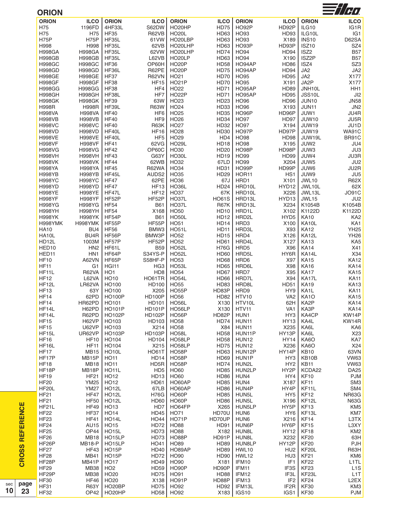| <b>ORION</b>                      |                     |                    |                     |                            |                  |                        |                           |                            | $\frac{1}{2}$ /Ho |
|-----------------------------------|---------------------|--------------------|---------------------|----------------------------|------------------|------------------------|---------------------------|----------------------------|-------------------|
| <b>ORION</b>                      | <b>ILCO</b>         | <b>ORION</b>       | <b>ILCO</b>         | <b>ORION</b>               | <b>ILCO</b>      | <b>ORION</b>           | <b>ILCO</b>               | <b>ORION</b>               | <b>ILCO</b>       |
| H75                               | 1196FD              | 4HF33L             | S62DW               | HO20HP                     | <b>HD75</b>      | HO92P                  | HD92P                     | ILG10                      | IG1R              |
| H75                               | H75                 | <b>HF35</b>        | <b>R62VB</b>        | <b>HO20L</b>               | HD63             | HO93                   | HD93                      | ILG10L                     | IG1               |
| H75P                              | H75P                | HF35L              | 61VW                | HO20LBP                    | HD63             | HO93                   | X189                      | <b>INS10</b>               | D62SA             |
| H998                              | H998                | HF35L              | 62VB                | HO20LHP                    | HD63             | HO93P                  | HD93P                     | <b>ISZ10</b>               | SZ4               |
| <b>H998GA</b>                     | <b>H998GA</b>       | HF35L              | 62VW                | HO20LHP                    | <b>HD74</b>      | <b>HO94</b>            | HD94                      | ISZ <sub>2</sub>           | <b>B57</b>        |
| <b>H998GB</b>                     | <b>H998GB</b>       | HF35L              | L62VB               | HO20LP                     | HD63             | <b>HO94</b>            | X190                      | ISZ2P                      | <b>B57</b>        |
| <b>H998GC</b>                     | <b>H998GC</b>       | <b>HF36</b>        | OP60H               | HO <sub>20</sub> P         | <b>HD58</b>      | HO94AP                 | <b>HD86</b>               | ISZ4                       | SZ3               |
| <b>H998GD</b>                     | <b>H998GD</b>       | HF36L              | R62PE               | HO <sub>20</sub> P         | <b>HD75</b>      | HO94AP                 | <b>HD94</b>               | JA <sub>2</sub>            | JA <sub>2</sub>   |
| <b>H998GE</b>                     | <b>H998GE</b>       | <b>HF37</b>        | <b>R62VN</b>        | HO21                       | <b>HD70</b>      | <b>HO95</b>            | <b>HD95</b>               | JA2                        | X177              |
| <b>H998GF</b>                     | <b>H998GF</b>       | <b>HF38</b>        | <b>HF15</b>         | <b>HO21P</b>               | <b>HD70</b>      | <b>HO95</b>            | X191                      | JA2P                       | X177              |
| <b>H998GG</b>                     | <b>H998GG</b>       | <b>HF38</b>        |                     | HO22                       | <b>HD71</b>      | HO95AP                 | <b>HD89</b>               |                            |                   |
|                                   |                     |                    | HF4                 |                            |                  | HO95AP                 | <b>HD95</b>               | JNH10L<br>JSS10L           | HH1               |
| <b>H998GH</b>                     | <b>H998GH</b>       | HF38L              | HF7                 | <b>HO22P</b>               | <b>HD71</b>      |                        |                           |                            | J <sub>12</sub>   |
| <b>H998GK</b>                     | <b>H998GK</b>       | <b>HF39</b>        | 63W                 | HO <sub>23</sub>           | HD23             | HO96                   | HD <sub>96</sub>          | <b>JUN10</b>               | <b>JN58</b>       |
| <b>H998R</b>                      | <b>H998R</b>        | HF39L              | <b>R63W</b>         | HO <sub>24</sub>           | HD33             | <b>HO96</b>            | X193                      | JUN11                      | JN <sub>2</sub>   |
| <b>H998VA</b>                     | <b>H998VA</b>       | <b>HF40</b>        | HF <sub>6</sub>     | HO <sub>25</sub>           | HD35             | HO96P                  | HD96P                     | JUW1                       | JU4R              |
| <b>H998VB</b>                     | <b>H998VB</b>       | <b>HF40</b>        | HF9                 | <b>HO26</b>                | HD34             | <b>HO97</b>            | <b>HD97</b>               | <b>JUW10</b>               | JU5R              |
| <b>H998VC</b>                     | <b>H998VC</b>       | <b>HF40</b>        | <b>R63K</b>         | <b>HO27</b>                | HD32             | <b>HO97</b>            | X194                      | <b>JUW19</b>               | JU1D              |
| <b>H998VD</b>                     | <b>H998VD</b>       | HF40L              | <b>HF16</b>         | <b>HO28</b>                | HD <sub>30</sub> | HO97P                  | HD97P                     | <b>JUW19</b>               | <b>WA91C</b>      |
| <b>H998VE</b>                     | <b>H998VE</b>       | HF40L              | HF <sub>5</sub>     | HO <sub>29</sub>           | HD4              | <b>HO98</b>            | <b>HD98</b>               | JUW19L                     | BR91C             |
| <b>H998VF</b>                     | <b>H998VF</b>       | <b>HF41</b>        | 62VG                | <b>HO29L</b>               | <b>HD18</b>      | <b>HO98</b>            | X195                      | JUW2                       | JU4               |
| <b>H998VG</b>                     | <b>H998VG</b>       | <b>HF42</b>        | OP60C               | HO30                       | HD <sub>20</sub> | HO98P                  | HD98P                     | JUW3                       | JU3               |
| <b>H998VH</b>                     | <b>H998VH</b>       | <b>HF43</b>        | G63Y                | HO30L                      | <b>HD19</b>      | <b>HO99</b>            | <b>HD99</b>               | JUW4                       | JU3R              |
| <b>H998VK</b>                     | <b>H998VK</b>       | <b>HF44</b>        | 62WB                | HO32                       | 67LD             | HO99                   | X204                      | JUW5                       | JU2               |
| <b>H998YA</b>                     | <b>H998YA</b>       | <b>HF45</b>        | <b>R62WA</b>        | HO34                       | HD31             | HO99P                  | HD99P                     | JUW6                       | JU2R              |
| <b>H998YB</b>                     | <b>H998YB</b>       | HF45L              | AUDS2               | HO35                       | HD29             | HOR11                  | HS <sub>1</sub>           | JUW9                       | JU <sub>5</sub>   |
| <b>H998YC</b>                     | <b>H998YC</b>       | <b>HF47</b>        | 62PE                | HO36                       | 67J              | HRD1                   | X101                      | <b>JWL10</b>               | <b>R62X</b>       |
| <b>H998YD</b>                     | <b>H998YD</b>       | <b>HF47</b>        | HF13                | HO36L                      | <b>HD24</b>      | HRD10L                 | HYD12                     | JWL10L                     | 62X               |
| <b>H998YE</b>                     | <b>H998YE</b>       | HF47L              | <b>HF12</b>         | <b>HO37</b>                | 67K              | HRD10L                 | X226                      | JWL13L                     | JO91C             |
| <b>H998YF</b>                     | <b>H998YF</b>       | HF52P              | HF52P               | HO37L                      | <b>HO61S</b>     | HRD13L                 | HYD13                     | JWL15                      | JU2               |
| <b>H998YG</b>                     | <b>H998YG</b>       | <b>HF54</b>        | <b>B61</b>          | HO37L                      | <b>R67K</b>      | HRD13L                 | X234                      | K1054B                     | K1054B            |
| <b>H998YH</b>                     | <b>H998YH</b>       | <b>HF54</b>        | X168                | HO50                       | <b>HD10</b>      | HRD1L                  | X102                      | K1122D                     | K1122D            |
| <b>H998YK</b>                     | <b>H998YK</b>       | HF54P              | <b>B61</b>          | HO50L                      | <b>HD12</b>      | HRD2L                  | HYD <sub>5</sub>          | <b>KA10</b>                | KA <sub>2</sub>   |
| H998YMK                           | H998YMK             | HF55P              | HF55P               | HO51                       | <b>HD14</b>      | HRD3                   | X100                      | KA10L                      | KA1               |
| <b>HA10</b>                       | BU4                 | <b>HF56</b>        | BMW3                | HO51L                      | <b>HD11</b>      | HRD3L                  | X93                       | <b>KA12</b>                | <b>YH25</b>       |
|                                   |                     |                    |                     |                            |                  |                        |                           |                            |                   |
| HA10L                             | BU4R                | HF56P              | BMW3P               | HO <sub>52</sub>           | <b>HD15</b>      | HRD4                   | X126                      | KA12L                      | <b>YH26</b>       |
| HD12L                             | 1003M               | HF57P              | HF52P               | HO52                       | HD61             | HRD4L                  | X127                      | <b>KA13</b>                | KA5               |
| HED10                             | HN <sub>2</sub>     | HF61L              | <b>B59</b>          | <b>HO52L</b>               | <b>H76G</b>      | HRD <sub>5</sub>       | X96                       | <b>KA14</b>                | X41               |
| HED11                             | HN1                 | HF64P              | S34YS-P             | <b>HO52L</b>               | <b>HD60</b>      | HRD5L                  | HY6R                      | KA14L                      | X34               |
| <b>HF10</b>                       | A62VN               | HF65P              | S58HF-P             | HO53                       | HD68             | HRD6                   | X97                       | <b>KA15</b>                | <b>KA12</b>       |
| <b>HF11</b>                       | G <sub>1</sub>      | HGI11              | HG <sub>3</sub>     | HO53L                      | <b>HD65</b>      | HRD6L                  | X98                       | <b>KA16</b>                | <b>KA14</b>       |
| HF11L                             | R62VA               | HO <sub>1</sub>    | HD <sub>8</sub>     | <b>HO54</b>                | <b>HD67</b>      | HRD7                   | X95                       | <b>KA17</b>                | <b>KA15</b>       |
| <b>HF12</b>                       | L62VA               | HO10               | HO61TR              | HO54L                      | HD66             | HRD7L                  | X94                       | KA17L                      | <b>KA11</b>       |
| HF12L                             | LR62VA              | HO100              | HD100               | <b>HO55</b>                | HD83             | HRD8L                  | <b>HD51</b>               | <b>KA19</b>                | KA13              |
| <b>HF13</b>                       | 63Y                 | HO100              | X205                | <b>HO55P</b>               | HD83P            | HRD9                   | HY9                       | KA1L                       | <b>KA11</b>       |
| <b>HF14</b>                       | 62PD                | <b>HO100P</b>      | <b>HD100P</b>       | <b>HO56</b>                | <b>HD82</b>      | <b>HTV10</b>           | VA <sub>2</sub>           | KA <sub>10</sub>           | <b>KA15</b>       |
| <b>HF14</b>                       | HR62PD              | HO101              | HD101               | <b>HO56L</b>               | X130             | HTV10L                 | 62H                       | KA <sub>2</sub> P          | <b>KA14</b>       |
| HF14L                             | H62PD               | <b>HO101P</b>      | <b>HD101P</b>       | HO56LP                     | X130             | HTV11                  | VA <sub>1</sub>           | KA3P                       | <b>KA14</b>       |
| HF14L                             | R62PD               | <b>HO102P</b>      | <b>HD102P</b>       | HO56P                      | HD82P            | HUN1                   | HY3                       | KA4CP                      | KW14P             |
| <b>HF15</b>                       | H62VP               | HO103              | HD103               | <b>HO58</b>                | HD74             | HUN11                  | <b>HY13</b>               | KA4L                       | KW14R             |
| <b>HF15</b>                       | U62VP               | HO103              | X214                | <b>HO58</b>                | X84              | HUN11                  | X235                      | KA6L                       | KA6               |
| HF15L                             | UR62VP              | <b>HO103P</b>      | <b>HD103P</b>       | <b>HO58L</b>               | <b>HD58</b>      | HUN11P                 | HY13P                     | KA6L                       | X23               |
| <b>HF16</b>                       | <b>HF10</b>         | HO104              | HD104               | HO58LP                     | <b>HD58</b>      | HUN12                  | <b>HY14</b>               | KA6O                       | KA7               |
| HF16L                             | <b>HF11</b>         | HO104              | X215                | HO58LP                     | <b>HD75</b>      | HUN12                  | X236                      | KA6O                       | X24               |
| <b>HF17</b>                       | <b>MB15</b>         | HO10L              | <b>HO61T</b>        | HO58P                      | HD63             | HUN12P                 | HY14P                     | <b>KB10</b>                | 63VN              |
|                                   |                     |                    |                     |                            |                  |                        |                           |                            |                   |
| HF17P                             | MB <sub>15</sub> P  | <b>HO11</b>        | HD <sub>14</sub>    | HO58P                      | HD69             | HUN1P                  | HY3                       | KB10B                      | <b>VW63</b>       |
| <b>HF18</b>                       | <b>MB18</b>         | <b>HO11</b>        | HD <sub>5</sub> R   | HO58P                      | HD74             | HUN2L                  | HY <sub>2</sub>           | <b>KB11</b>                | <b>VW63</b>       |
| HF18P                             | MB18P               | HO11L              | HD <sub>5</sub>     | <b>HO60</b>                | <b>HD85</b>      | HUN2LP                 | HY2P                      | KCDA22                     | <b>DA25</b>       |
| <b>HF19</b>                       | <b>HF21</b>         | HO12               | HD <sub>13</sub>    | <b>HO60</b>                | HD86             | HUN4                   | HY4                       | <b>KF10</b>                | <b>PJM</b>        |
| <b>HF20</b>                       | <b>YM25</b>         | HO12               | <b>HD61</b>         | HO60AP                     | HD85             | HUN4                   | X187                      | <b>KF11</b>                | SM <sub>3</sub>   |
| HF20L                             | <b>YM27</b>         | <b>HO12L</b>       | 67LB                | HO60AP                     | HD86             | HUN4P                  | HY4P                      | KF11L                      | SM4               |
| <b>HF21</b>                       | <b>HF47</b>         | HO <sub>12</sub> L | <b>H76G</b>         | HO60P                      | <b>HD85</b>      | HUN5L                  | HY <sub>5</sub>           | KF12                       | NR63G             |
| <b>HF21</b>                       | <b>HF50</b>         | <b>HO12L</b>       | <b>HD60</b>         | HO60P                      | HD86             | HUN5L                  | X196                      | KF <sub>12</sub> L         | <b>N63G</b>       |
| HF21L                             | <b>HF49</b>         | HO13               | HD7                 | HO64FP                     | X265             | HUN5LP                 | HY5P                      | KF <sub>13</sub>           | KM <sub>5</sub>   |
| <b>HF22</b>                       | <b>HF37</b>         | <b>HO14</b>        | <b>HD45</b>         | HO71                       | HD70U            | HUN6                   | HY <sub>6</sub>           | KF13L                      | KM7               |
| <b>HF23</b>                       | <b>HF41</b>         | <b>HO14L</b>       | <b>HO44</b>         | HO71P                      | HD70UP           | HUN6                   | X216                      | KF <sub>14</sub>           | L3TX              |
| <b>HF24</b>                       | AU15                | <b>HO15</b>        | <b>HD72</b>         | <b>HO88</b>                | HD91             | HUN6P                  | HY6P                      | <b>KF15</b>                | L3XY              |
| <b>HF25</b>                       | OP44                | <b>HO15L</b>       | <b>HD73</b>         | <b>HO88</b>                | X182             | HUN8L                  | <b>HY12</b>               | KF18                       | KM <sub>2</sub>   |
| <b>HF26</b>                       | <b>MB18</b>         | HO15LP             | HD73                | HO88P                      | HD91P            | HUN8L                  | X232                      | <b>KF20</b>                | 63H               |
| HF <sub>26</sub> P                | <b>MB18-P</b>       | HO15LP             | HO41                | HO89                       | HD89             | HUN8LP                 | HY12P                     | <b>KF20</b>                | PJH               |
| <b>HF27</b>                       | <b>HF43</b>         | <b>HO15P</b>       | <b>HD40</b>         | HO89AP                     | HD89             | HWL10                  | HU <sub>2</sub>           | KF20L                      | R63H              |
| <b>HF28</b>                       | <b>MB41</b>         | <b>HO15P</b>       | <b>HD72</b>         | <b>HO90</b>                | HD90             | HWL12                  | HU <sub>3</sub>           | <b>KF21</b>                | KM6               |
| HF28P                             | MB41P               | <b>HO17</b>        | <b>HD49</b>         | <b>HO90</b>                | X181             | IFM10                  | IF <sub>1</sub>           | <b>KF22</b>                | L <sub>1</sub> TL |
|                                   | <b>MB38</b>         | HO <sub>2</sub>    | <b>HD59</b>         | HO90P                      | HD90P            | IFM11                  | IF3S                      | <b>KF23</b>                | L <sub>1</sub> S  |
| <b>HF29</b>                       |                     |                    |                     |                            |                  |                        |                           |                            |                   |
| HF <sub>29</sub> P<br><b>HF30</b> | <b>MB38</b>         | HO <sub>20</sub>   | <b>HD75</b>         | HO91                       | HD88             | IFM12                  | IF3L                      | KF <sub>23</sub> L         | L <sub>1</sub> T  |
|                                   | HF46                | HO <sub>20</sub>   | X138                | HO91P                      | HD88P            | IFM13                  | IF <sub>2</sub>           | KF <sub>24</sub>           | L2EX              |
|                                   |                     |                    |                     |                            |                  |                        |                           |                            |                   |
| <b>HF31</b><br><b>HF32</b>        | <b>R63Y</b><br>OP42 | HO20BP<br>HO20HP   | <b>HD75</b><br>HD58 | <b>HO92</b><br><b>HO92</b> | HD92<br>X183     | IFM13L<br><b>IGS10</b> | IF <sub>2</sub> R<br>IGS1 | <b>KF30</b><br><b>KF30</b> | KM3<br><b>PJM</b> |

**CROSS REFERENCE**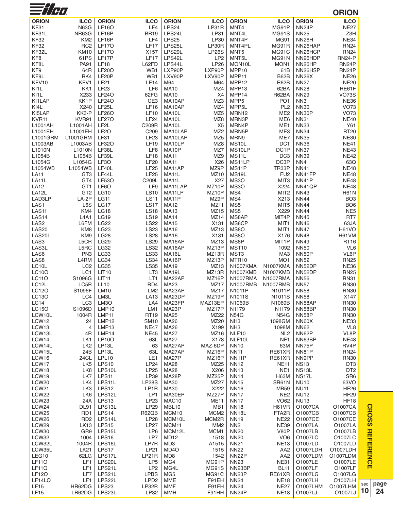| $\equiv$ //H $\alpha$       |                             |                             |                            |                                      |                    |                                   |                                    |                                    | <b>ORION</b>                   |     |
|-----------------------------|-----------------------------|-----------------------------|----------------------------|--------------------------------------|--------------------|-----------------------------------|------------------------------------|------------------------------------|--------------------------------|-----|
| <b>ORION</b>                | <b>ILCO</b>                 | <b>ORION</b>                | <b>ILCO</b>                | <b>ORION</b>                         | <b>ILCO</b>        | <b>ORION</b>                      | <b>ILCO</b>                        | <b>ORION</b>                       | <b>ILCO</b>                    |     |
| KF31                        | <b>N63G</b>                 | <b>LF16O</b>                | LF4                        | LPS24                                | LP31R              | MNT4                              | MG91P                              | NN <sub>24</sub> P                 | <b>NE27</b>                    |     |
| KF31L                       | NR63G                       | LF16P                       | <b>BR19</b>                | LPS24L                               | LP31               | MNT4L                             | MG91S                              | <b>NN25</b>                        | Z3H                            |     |
| <b>KF32</b>                 | KM <sub>2</sub>             | LF16P                       | LF4                        | LPS25                                | LP30               | MNT4P                             | <b>MG91</b>                        | NN <sub>26</sub> H                 | <b>NE34</b>                    |     |
| <b>KF32</b>                 | RC <sub>2</sub>             | <b>LF17O</b>                | <b>LF17</b>                | LPS25L                               | LP30R              | MNT4PL                            | MG91R                              | NN26HAP                            | <b>RN24</b>                    |     |
| KF32L                       | <b>KM10</b>                 | <b>LF17O</b>                | X157                       | LPS29L                               | <b>LP26S</b>       | MNT <sub>5</sub>                  | MG91C                              | NN26HCP                            | <b>RN24</b>                    |     |
| KF8                         | 61PS                        | LF17P                       | <b>LF17</b>                | LPS42L                               | LP <sub>2</sub>    | MNT5L                             | MG91N                              | NN26HDP                            | <b>RN24-P</b>                  |     |
| KF8L                        | <b>PA91</b>                 | <b>LF18</b>                 | L62FD                      | LPS44L                               | <b>LP26</b>        | MON10L                            | MON1                               | NN <sub>26</sub> HP                | RN <sub>24</sub> P             |     |
| KF9                         | 64R                         | <b>LF20O</b>                | WB1                        | LXP90P                               | LXP90P             | MPP10                             | 61B                                | NN26HSP                            | RN <sub>24</sub> P             |     |
| KF9L                        | RK4                         | LF20P                       | WB1                        | LXV90P                               | LXV90P             | MPP11                             | B62B                               | <b>NN26X</b>                       | <b>NE26</b>                    |     |
| KFV10                       | KFV1                        | <b>LF21</b>                 | LF14                       | M64                                  | M64                | MPP12                             | <b>R62B</b>                        | <b>NN27</b>                        | <b>NE20</b>                    |     |
| KI <sub>1</sub> L<br>KI1L   | KK1<br>X233                 | <b>LF23</b><br><b>LF240</b> | LF6<br>62FG                | <b>MA10</b><br><b>MA10</b>           | MZ4<br>X4          | MPP13<br>MPP14                    | 62BA<br>R62BA                      | <b>NN28</b><br><b>NN29</b>         | RE61F<br><b>VO73S</b>          |     |
| KI1LAP                      | KK1P                        | <b>LF240</b>                | CE <sub>3</sub>            | MA10AP                               | MZ3                | MPP <sub>5</sub>                  | PO <sub>1</sub>                    | NN <sub>3</sub>                    | <b>NE36</b>                    |     |
| KI4L                        | X240                        | LF <sub>25</sub> L          | LF16                       | MA10AP                               | MZ4                | MPP <sub>5</sub> L                | PL <sub>2</sub>                    | <b>NN30</b>                        | <b>VO73</b>                    |     |
| KI5LAP                      | KK3-P                       | <b>LF260</b>                | <b>LF10</b>                | MA10L                                | MZ <sub>5</sub>    | MRN12                             | ME <sub>2</sub>                    | NN30P                              | <b>VO73</b>                    |     |
| KVR11                       | KVR91                       | <b>LF270</b>                | <b>LF24</b>                | MA10L                                | MZ8                | MRN3P                             | ME <sub>6</sub>                    | <b>NN31</b>                        | <b>NE40</b>                    |     |
| L1001AH                     | L1001AH                     | LF <sub>2</sub> L           | C209R                      | MA10L                                | X <sub>5</sub>     | MRN4P                             | ME1                                | <b>NN33</b>                        | Y61                            |     |
| L1001EH                     | L1001EH                     | LF <sub>20</sub>            | C209                       | MA10LAP                              | MZ <sub>2</sub>    | MRN5P                             | ME3                                | <b>NN34</b>                        | <b>RT20</b>                    |     |
| L1001GRM                    | L1001GRM                    | <b>LF31</b>                 | <b>LF23</b>                | MA10LAP                              | MZ <sub>5</sub>    | MRN9                              | ME7                                | <b>NN35</b>                        | <b>NE30</b>                    |     |
| L1003AB                     | L1003AB                     | <b>LF320</b>                | <b>LF19</b>                | MA10LP                               | MZ8                | MS <sub>10</sub> L                | DC1                                | <b>NN36</b>                        | <b>NE41</b>                    |     |
| L1010N                      | L1010N                      | LF38L                       | LF8                        | MA10P                                | MZ7                | MS10LP                            | DC1P                               | <b>NN37</b>                        | <b>NE43</b>                    |     |
| L1054B                      | L1054B                      | LF39L                       | <b>LF18</b>                | <b>MA11</b>                          | MZ9                | MS11L                             | DC <sub>3</sub>                    | <b>NN39</b>                        | <b>NE42</b>                    |     |
| L1054G                      | L1054G<br>L1054WB           | LF3O<br>LF40L               | <b>LF20</b>                | <b>MA11</b>                          | X26<br>MZ9P        | MS11LP                            | DC3P<br>TR33P                      | NN4                                | 63Q                            |     |
| L1054WB<br><b>LA11</b>      | GT <sub>3</sub>             | LF44L                       | <b>LF25</b><br><b>LF25</b> | MA11AP<br>MA11L                      | MZ10               | MS11P<br>MS <sub>19</sub> L       | FU <sub>2</sub>                    | <b>NN41</b><br>NN41FP              | <b>NE48</b><br><b>NE48</b>     |     |
| LA <sub>11</sub> L          | GT4                         | <b>LF530</b>                | C209L                      | MA11L                                | X27                | MS3O                              | MIT <sub>3</sub>                   | NN41P                              | <b>NE48</b>                    |     |
| <b>LA12</b>                 | GT1                         | LF6O                        | LF9                        | MA11LAP                              | MZ10P              | MS <sub>3</sub> O                 | X224                               | NN41QP                             | <b>NE48</b>                    |     |
| LA <sub>12</sub> L          | GT <sub>2</sub>             | <b>LG10</b>                 | <b>LS10</b>                | MA11LP                               | MZ <sub>10</sub> P | MS4                               | MIT <sub>2</sub>                   | <b>NN43</b>                        | <b>H61N</b>                    |     |
| LAD3LP                      | LA-2P                       | <b>LG11</b>                 | <b>LS11</b>                | MA11P                                | MZ9P               | MS4                               | X213                               | <b>NN44</b>                        | BO <sub>3</sub>                |     |
| LAS1                        | L6S                         | <b>LG17</b>                 | <b>LS17</b>                | <b>MA12</b>                          | MZ11               | MS <sub>5</sub>                   | MIT <sub>5</sub>                   | <b>NN44</b>                        | BO <sub>6</sub>                |     |
| LAS11                       | KM4                         | <b>LG18</b>                 | <b>LS18</b>                | <b>MA13</b>                          | MZ15               | MS5                               | X229                               | <b>NN44</b>                        | NE <sub>5</sub>                |     |
| LAS <sub>14</sub>           | <b>L4A1</b>                 | <b>LG19</b>                 | <b>LS19</b>                | <b>MA14</b>                          | MZ14               | MS8AP                             | MIT4P                              | <b>NN45</b>                        | RT7                            |     |
| LAS <sub>2</sub>            | L6FM                        | <b>LG22</b>                 | <b>LS22</b>                | <b>MA15</b>                          | X131               | MS8CP                             | MIT <sub>1</sub>                   | <b>NN46</b>                        | 63JA                           |     |
| LAS <sub>20</sub>           | KM <sub>8</sub>             | <b>LG23</b>                 | <b>LS23</b>                | MA16                                 | MZ <sub>13</sub>   | MS8O                              | MIT <sub>1</sub>                   | <b>NN47</b>                        | <b>H61VO</b>                   |     |
| LAS20L                      | KM9                         | <b>LG28</b>                 | <b>LS28</b>                | <b>MA16</b>                          | X131               | MS8O                              | X176                               | <b>NN48</b>                        | H61VM                          |     |
| LAS3<br>LAS3L               | L5CR<br>L5RC                | <b>LG29</b><br><b>LG32</b>  | <b>LS29</b><br><b>LS32</b> | MA16AP<br>MA16AP                     | MZ13<br>MZ13P      | MS8P<br>MST10                     | MIT <sub>1</sub> P<br>1092         | <b>NN49</b><br><b>NN50</b>         | <b>RT16</b><br>VL <sub>6</sub> |     |
| LAS6                        | PN <sub>3</sub>             | LG33                        | <b>LS33</b>                | MA16L                                | MZ13R              | MST3                              | MA3                                | NN50P                              | VL6P                           |     |
| LAS8                        | L4RM                        | <b>LG34</b>                 | <b>LS34</b>                | MA16P                                | MZ13P              | MTR <sub>10</sub>                 | MO <sub>1</sub>                    | <b>NN52</b>                        | <b>RN25</b>                    |     |
| LC10L                       | LC <sub>2</sub>             | <b>LG35</b>                 | <b>LS35</b>                | <b>MA19</b>                          | MZ13               | N1007KMA                          | N1007KMA                           | NN52DP                             | <b>NE36</b>                    |     |
| LC10O                       | LC1                         | <b>LIT10</b>                | LT <sub>3</sub>            | MA19L                                | MZ13R              | <b>N1007KMB</b>                   | <b>N1007KMB</b>                    | NN52DP                             | <b>RN25</b>                    |     |
| <b>LC11O</b>                | S1096G                      | LIT <sub>11</sub>           | LT <sub>1</sub>            | MA22AP                               | MZ16P              | <b>N1007RMA</b>                   | <b>N1007RMA</b>                    | <b>NN56</b>                        | <b>RN31</b>                    |     |
| LC12L                       | LC5R                        | <b>LL10</b>                 | RD4                        | <b>MA23</b>                          | MZ17               | <b>N1007RMB</b>                   | N1007RMB                           | <b>NN57</b>                        | <b>RN30</b>                    |     |
| LC120                       | S1096F                      | <b>LM10</b>                 | LM <sub>2</sub>            | MA23AP                               | MZ17               | N1011P                            | N1011P                             | <b>NN58</b>                        | <b>RN30</b>                    |     |
| LC13O                       | LC4                         | LM3L                        | <b>LA13</b>                | MA23DP                               | MZ19P              | N1011S                            | N1011S                             | <b>NN58</b>                        | X147                           |     |
| LC14<br><b>LC15O</b>        | LC <sub>3</sub>             | LM <sub>3</sub> O           | LA4                        | MA23FP                               | MAZ13EP            | N1069B                            | N1069B                             | NN58AP                             | <b>RN30</b>                    |     |
| LCW10L                      | S1096D<br>1004R             | LMP10<br>LMP11              | LM1<br><b>RT19</b>         | MA23P<br>MA25                        | MZ17P<br>MZ22      | N1179<br><b>N54G</b>              | N1179<br><b>N54G</b>               | NN58BP<br>NN58P                    | <b>RN30</b><br><b>RN30</b>     |     |
| LCW12                       | 24                          | LMP12                       | <b>SM10</b>                | MA26                                 | MZ20               | NH <sub>3</sub>                   | 1098GM                             | NN60X                              | <b>NE33</b>                    |     |
| LCW13                       | $\overline{4}$              | LMP13                       | <b>NE47</b>                | <b>MA26</b>                          | X199               | NH <sub>3</sub>                   | 1098M                              | <b>NN62</b>                        | VL8                            |     |
| LCW13L                      | 4R                          | LMP14                       | <b>NE45</b>                | <b>MA27</b>                          | MZ16               | NLF10                             | NL <sub>2</sub>                    | NN62P                              | VL8P                           |     |
| LCW14                       | LK1                         | <b>LP10O</b>                | 63L                        | <b>MA27</b>                          | X178               | NLF10L                            | NF <sub>1</sub>                    | NN63BP                             | <b>NE48</b>                    |     |
| LCW14L                      | LK <sub>2</sub>             | LP13L                       | 63                         | MA27AP                               | MAZ-6DP            | <b>NN10</b>                       | 63M                                | NN75P                              | RV4P                           |     |
| LCW15L                      | 24B                         | LP <sub>13L</sub>           | 63L                        | MA27AP                               | MZ16P              | <b>NN11</b>                       | RE61XR                             | NN81P                              | <b>RN24</b>                    |     |
| LCW16                       | 24CL                        | LPL10                       | LE1                        | MA27P                                | MZ16P              | NN <sub>11</sub> P                | RE61XR                             | NN9PP                              | <b>RN30</b>                    |     |
| LCW17                       | LK <sub>5</sub>             | LPS10                       | <b>LP24</b>                | <b>MA28</b>                          | MZ25               | <b>NN12</b>                       | <b>NE11</b>                        | <b>NS13</b>                        | DT <sub>3</sub>                |     |
| LCW18<br>LCW19              | LK <sub>8</sub>             | LPS10L                      | LP25                       | <b>MA28</b>                          | X206               | <b>NN13</b>                       | NE <sub>1</sub>                    | NS <sub>13</sub> L<br><b>NS17L</b> | DT <sub>2</sub>                |     |
| LCW20                       | LK7<br>LK4                  | LPS11<br>LPS11L             | LP39<br><b>LP28S</b>       | MA28P<br>MA30                        | MZ25P<br>MZ27      | <b>NN14</b><br><b>NN15</b>        | <b>H63M</b><br>SR61N               | <b>NU10</b>                        | SR <sub>6</sub><br>63VO        |     |
| LCW <sub>21</sub>           | LK <sub>3</sub>             | LPS12                       | LP1R                       | MA30                                 | X222               | <b>NN16</b>                       | <b>MB59</b>                        | <b>NU11</b>                        | <b>HF26</b>                    |     |
| LCW22                       | LK <sub>6</sub>             | LPS12L                      | LP1                        | MA30EP                               | MZ27P              | <b>NN17</b>                       | NE <sub>2</sub>                    | <b>NU12</b>                        | <b>HF29</b>                    |     |
| LCW23                       | 24A                         | LPS13                       | LP23                       | MAC10                                | <b>ME11</b>        | <b>NN17</b>                       | <b>VO62</b>                        | <b>NU13</b>                        | <b>HF18</b>                    |     |
| LCW24                       | <b>DL91</b>                 | LPS13L                      | <b>LP29</b>                | MBL10                                | MB1                | <b>NN18</b>                       | H61VR                              | O1007CA                            | O1007CA                        |     |
| LCW25                       | RD <sub>1</sub>             | LPS14                       | R62QB                      | MCM10                                | MCM <sub>2</sub>   | NN <sub>18</sub> L                | FTA <sub>2</sub> R                 | O1007CB                            | O1007CB                        |     |
| LCW26                       | R <sub>D</sub> <sub>2</sub> | LPS14L                      | <b>LP28</b>                | MCM10L                               | MCM2R              | <b>NN19</b>                       | <b>NE22</b>                        | O1007CE                            | O1007CE                        |     |
| LCW29                       | <b>LK13</b>                 | <b>LPS15</b>                | <b>LP27</b>                | MCM11                                | MM <sub>2</sub>    | NN <sub>2</sub>                   | <b>NE39</b>                        | O1007LA                            | O1007LA                        |     |
| LCW30                       | GR9                         | LPS15L                      | LP6                        | MCM12L                               | MCM1               | <b>NN20</b>                       | <b>V80P</b>                        | O1007LB                            | O1007LB                        |     |
| LCW32                       | 1004                        | <b>LPS16</b>                | LP7                        | <b>MD12</b>                          | 1518               | <b>NN20</b>                       | VO <sub>6</sub>                    | O1007LC                            | O1007LC                        |     |
| LCW32L                      | 1004R                       | LPS16L                      | LP7R                       | MD <sub>3</sub>                      | A1515              | <b>NN21</b>                       | <b>NE13</b>                        | O1007LD                            | O1007LD                        |     |
| LCW35L<br>LEG <sub>10</sub> | <b>LK21</b><br>62LG         | LPS17<br>LPS17L             | LP21<br>LP21R              | MD <sub>4</sub> O<br>MD <sub>8</sub> | 1515<br>1542       | <b>NN22</b><br>NN <sub>22</sub> P | AA <sub>2</sub><br>AA <sub>2</sub> | O1007LDH<br>O1007LDM               | O1007LDH<br>O1007LDM           |     |
| <b>LF110</b>                | LF1                         | LPS20L                      | LP <sub>5</sub>            | MG4                                  | MG91P              | <b>NN23</b>                       | <b>NE31</b>                        | O1007LE                            | O1007LE                        |     |
| <b>LF11Q</b>                | LF1                         | LPS21L                      | LP <sub>2</sub>            | MG4L                                 | <b>MG91S</b>       | NN23BP                            | <b>BL11</b>                        | O1007LF                            | O1007LF                        |     |
| <b>LF120</b>                | LF7                         | LPS21L                      | <b>LPBS</b>                | MG5                                  | MG91C              | NN <sub>23</sub> P                | RE61XR                             | O1007LG                            | O1007LG                        |     |
| LF14LQ                      | LF1                         | LPS22L                      | LPD <sub>2</sub>           | MME                                  | F91EH              | <b>NN24</b>                       | <b>NE18</b>                        | O1007LH                            | O1007LH                        |     |
| LF15                        | HR62DG                      | LPS23                       | LP32R                      | <b>MMF</b>                           | F91FH              | <b>NN24</b>                       | <b>NE27</b>                        | O1007LHM                           | O1007LHM                       | sec |
| <b>LF15</b>                 | LR62DG                      | LPS23L                      | LP32                       | <b>MMH</b>                           | F91HH              | NN <sub>24</sub> P                | <b>NE18</b>                        | O1007LJ                            | O1007LJ                        | 10  |

**page 24**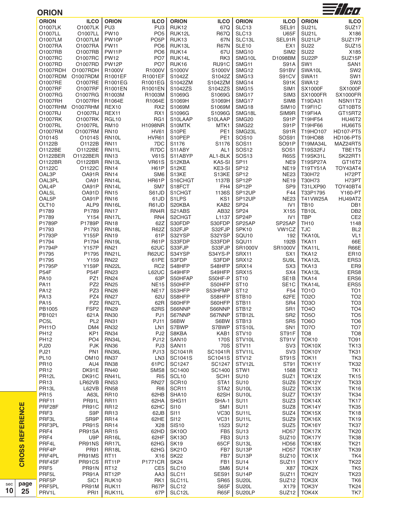| <b>ORION</b><br><b>ILCO</b><br><b>ORION</b><br><b>ILCO</b><br><b>ORION</b><br><b>ILCO</b><br>O1007LK<br>PU3<br>O1007LK<br>PU <sub>3</sub><br><b>RUK12</b><br>67Q<br>O1007LL<br>PO <sub>5</sub><br>O1007LL<br><b>PW10</b><br>RUK12L<br><b>R67Q</b><br>O1007LM<br>O1007LM<br>PW10P<br>PO <sub>5</sub> P<br><b>RUK13</b><br>67N<br>O1007RA<br><b>PW11</b><br>O1007RA<br>PO <sub>6</sub><br>RUK13L<br><b>R67N</b><br>O1007RB<br>PW11P<br>PO <sub>6</sub><br>67U<br>O1007RB<br>RUK14<br>O1007RC<br><b>PW12</b><br>RUK14L<br>RK3<br>O1007RC<br>PO <sub>7</sub><br>O1007RD<br>PO <sub>7</sub><br>O1007RD<br>PW12P<br>RUK16<br><b>RU91C</b><br>O1007RDH<br>R1000V<br>R1000V<br>S1000V<br>S1000V<br>01007RDH<br>R1001EF<br>O1007RDM<br>O1007RDM<br>R1001EF<br>S1042Z<br>S1042Z<br>O1007RE<br>O1007RE<br>R1001EG<br>R1001EG<br>S1042ZM<br>S1042ZM<br>O1007RF<br>S1042ZS<br>O1007RF<br>R1001EN<br>R1001EN<br>S1042ZS<br>O1007RG<br>R1003M<br>S1069G<br>S1069G<br>O1007RG<br>R1003M<br>O1007RH<br>O1007RH<br>R1064E<br>R1064E<br>S1069H<br>S1069H<br>O1007RHM O1007RHM<br>REX10<br>RX <sub>2</sub><br>S1069M<br>S1069M<br>O1007RJ<br>O1007RJ<br>REX11<br>S1096G<br>S1096G<br>RX1<br>01007RK<br>01007RK<br>RGL <sub>10</sub><br>RG1<br>S10LAAP<br>S10LAAP<br>O1007RL<br>O1007RL<br><b>RM10</b><br>H1098NR<br>S10MTK<br>MTK1<br>O1007RM<br><b>RN10</b><br><b>HV61</b><br>S10PE<br>PE <sub>1</sub><br>O1007RM<br>O1014S<br>O1014S<br>S10PEP<br>PE <sub>1</sub><br>RN <sub>10</sub> L<br>HVR61<br>O1122B<br>O1122B<br><b>RN11</b><br>7DC<br>S1176<br>S1176<br>O1122BE<br>R7DC<br>O1122BE<br>RN11L<br>S11ABY<br>AL <sub>1</sub><br>AL1-BLK<br>O1122BER<br><b>RN13</b><br><b>V61S</b><br>S11ABYP<br>01122BER<br>KA5-SI<br>O1122BR<br>O1122BR<br>RN13L<br><b>VR61S</b><br>S12KBA<br>O1122C<br>KE3-SI<br>O1122C<br><b>RN14</b><br><b>H61P</b><br>S12KE<br>OAL3P<br>OA91R<br><b>RN14</b><br>SM <sub>6</sub><br>S13KE<br>S13KE<br>OAL3PL<br><b>OA91</b><br>RN14L<br>HR61P<br>1137B<br>S16CHGT<br>OAL4P<br>OA91P<br>RN <sub>14</sub> L<br>FH4<br>SM7<br>S18FCT<br>OAL5L<br>OA91D<br><b>RN15</b><br>S61JD<br>S1CHGT<br>1136S<br>OAL5P<br>OA91P<br><b>RN16</b><br>61JD<br>S1LPS<br>KS1<br>OLT10<br>ALP9<br>RN16L<br>R61JD<br>S20KBA<br>KAB <sub>2</sub><br>P1789<br>P1789<br><b>RN17</b><br>RN4R<br>S21ABS<br>AB32<br>P1789<br>Y154<br>RN17L<br>RN4<br>S2CHGT<br>L1137<br>P1789P<br>S30FDP<br>S30FDP<br>P1789P<br><b>RN18</b><br>62Z<br>S32FJP<br>P1793<br>S32FJP<br>P1793<br>RN18L<br><b>R62Z</b><br>P1793P<br>Y155P<br><b>RN19</b><br>61P<br>S32YSP<br>S32YSP<br>P1794<br>S33FDP<br>S33FDP<br>P1794<br>RN <sub>19</sub> L<br>R61P<br><b>Y157P</b><br><b>RN21</b><br>S33FJP<br>S33FJP<br>P1794P<br>62UC<br>P1795<br>S34YS-P<br>P1795<br><b>RN21L</b><br><b>R62UC</b><br>S34YSP<br>S3FDP<br>P1795<br>Y159<br><b>RN22</b><br>61PE<br>S3FDP<br>Y159P<br><b>RN22L</b><br>S48HFP<br>P1795P<br>RC <sub>2</sub><br>S48HFP<br>P54F<br><b>P54F</b><br><b>RN23</b><br>S49HFP<br>L62UC<br>S49HFP<br>63P<br><b>PA10</b><br>PZ1<br><b>RN24</b><br>S50HF-P<br>S50HFAP<br><b>PA11</b><br>PZ <sub>2</sub><br><b>RN25</b><br><b>NE15</b><br>S50HFP<br>S50HFP<br>PZ3<br>NE <sub>17</sub><br><b>PA12</b><br><b>RN26</b><br>S53HFP<br>S53HFMP<br>S58HFP<br><b>PA13</b><br>PZ4<br><b>RN27</b><br>62U<br>S58HFP<br><b>PA15</b><br>PZ <sub>2</sub><br>S60HFP<br><b>RN27L</b><br>62R<br>S60HFP<br>FSP <sub>2</sub><br>62RS<br>S66NNP<br>PB1005<br><b>RN29</b><br>S66NNP<br>PJ1<br>PB1021<br>621A<br><b>RN30</b><br>S67NNP<br>S67NNP<br>PC5L<br>PL <sub>2</sub><br><b>RN31</b><br><b>PJ11</b><br>S6BW<br>S6BW<br><b>PH110</b><br>DM4<br><b>RN32</b><br>S7BWP<br>S7BWP<br>LN1 | <b>ORION</b><br>SLC13<br>SLC13<br>SLC13L<br><b>SLE10</b><br>SMG10<br>SMG10L<br>SMG11<br>SMG12<br>SMG13<br>SMG14<br>SMG15<br>SMG17<br>SMG17<br>SMG18<br>SMG18L<br>SMG <sub>20</sub><br>SMG22<br>SMG23L<br><b>SOS10</b><br><b>SOS11</b><br><b>SOS12</b><br><b>SOS13</b><br>SP <sub>11</sub><br><b>SP12</b><br>SP <sub>12</sub><br>SP <sub>12</sub> P<br>SP <sub>12</sub> P<br>SP12UP<br>SP12UP<br><b>SP24</b><br>SP <sub>24</sub><br>SP <sub>24</sub> P<br>SP25AP<br>SPK10<br>SQU <sub>10</sub> | <b>ILCO</b><br>SEL91<br><b>U65F</b><br>SEL91R<br>EX <sub>1</sub><br>SIM <sub>2</sub><br>D1098BM<br><b>S91A</b><br>S91BV<br>S91CV<br>S91K<br>SIM <sub>1</sub><br>SIM <sub>3</sub><br>SIM <sub>8</sub><br><b>SIM10</b><br>SIM9R<br>S91P<br>S91P<br><b>S91R</b><br><b>SOS91</b><br>SO91P<br>SOS1<br><b>R65S</b><br>NE9<br><b>NE19</b><br><b>NE23</b><br><b>NE19</b><br>SP <sub>9</sub><br>F44<br><b>NE23</b><br>IV <sub>1</sub><br>X155<br>IV <sub>1</sub><br>SP25AP<br>VW1CZ | <b>ORION</b><br>SU <sub>21</sub> L<br>SU <sub>21</sub> L<br>SU21LP<br><b>SU22</b><br><b>SU22</b><br>SU <sub>2</sub> 2P<br>SW1<br>SWA10L<br>SWA11<br><b>SWA12</b><br><b>SX1000F</b><br><b>SX1000FR</b><br>T19DA31<br><b>T19FI1C</b><br><b>T19FI4A</b><br>T19HF54<br>T19HF66<br>T19HO107<br>T19HO88<br>T19MA34L<br>T19S32FJ<br>T19SK31L<br>T19SP27A<br>T19TY51A<br>T30H72<br>T30H73<br>T31LXP90<br>T33P1795<br>T41VW25A<br><b>TB10</b><br><b>TB10L</b><br><b>TBP</b><br><b>TH10</b> | <b>ILCO</b><br>SUZ17<br>X186<br>SUZ17P<br>SUZ <sub>15</sub><br>X185<br>SUZ15P<br>SAN1<br>SW <sub>2</sub><br>SW1<br>SW <sub>3</sub><br><b>SX1000F</b><br><b>SX1000FR</b><br>NSN11T2<br>GT10BT5<br>GT15RT2<br><b>HU46T2</b><br><b>HU66T5</b><br>HD107-PT5<br>HD106-PT5<br>MAZ24RT5<br>TBE1T5<br>SK22RT1<br>GT16T2<br>TOY43AT4<br>H72PT<br>H73PT<br><b>TOY40BT4</b><br>Y160-PT<br>HU49AT2<br>DB1<br>DB <sub>2</sub> |
|-----------------------------------------------------------------------------------------------------------------------------------------------------------------------------------------------------------------------------------------------------------------------------------------------------------------------------------------------------------------------------------------------------------------------------------------------------------------------------------------------------------------------------------------------------------------------------------------------------------------------------------------------------------------------------------------------------------------------------------------------------------------------------------------------------------------------------------------------------------------------------------------------------------------------------------------------------------------------------------------------------------------------------------------------------------------------------------------------------------------------------------------------------------------------------------------------------------------------------------------------------------------------------------------------------------------------------------------------------------------------------------------------------------------------------------------------------------------------------------------------------------------------------------------------------------------------------------------------------------------------------------------------------------------------------------------------------------------------------------------------------------------------------------------------------------------------------------------------------------------------------------------------------------------------------------------------------------------------------------------------------------------------------------------------------------------------------------------------------------------------------------------------------------------------------------------------------------------------------------------------------------------------------------------------------------------------------------------------------------------------------------------------------------------------------------------------------------------------------------------------------------------------------------------------------------------------------------------------------------------------------------------------------------------------------------------------------------------------------------------------------------------------------------------------------------------------------------------------------------------------------------------------------------------------------------------------------------------------------------------------------------------------------------------------------------------------------------------------------------------------------------------------------------------------------------------------------------------------------------------------------------------------------------------------------------------------------------------------------------------------------------------------------------------------------------------------------------------------------------------------------------------------------------------------------------------------------------------------------------------------------|-----------------------------------------------------------------------------------------------------------------------------------------------------------------------------------------------------------------------------------------------------------------------------------------------------------------------------------------------------------------------------------------------------------------------------------------------------------------------------------------------|----------------------------------------------------------------------------------------------------------------------------------------------------------------------------------------------------------------------------------------------------------------------------------------------------------------------------------------------------------------------------------------------------------------------------------------------------------------------------|-----------------------------------------------------------------------------------------------------------------------------------------------------------------------------------------------------------------------------------------------------------------------------------------------------------------------------------------------------------------------------------------------------------------------------------------------------------------------------------|------------------------------------------------------------------------------------------------------------------------------------------------------------------------------------------------------------------------------------------------------------------------------------------------------------------------------------------------------------------------------------------------------------------|
|                                                                                                                                                                                                                                                                                                                                                                                                                                                                                                                                                                                                                                                                                                                                                                                                                                                                                                                                                                                                                                                                                                                                                                                                                                                                                                                                                                                                                                                                                                                                                                                                                                                                                                                                                                                                                                                                                                                                                                                                                                                                                                                                                                                                                                                                                                                                                                                                                                                                                                                                                                                                                                                                                                                                                                                                                                                                                                                                                                                                                                                                                                                                                                                                                                                                                                                                                                                                                                                                                                                                                                                                                             |                                                                                                                                                                                                                                                                                                                                                                                                                                                                                               |                                                                                                                                                                                                                                                                                                                                                                                                                                                                            |                                                                                                                                                                                                                                                                                                                                                                                                                                                                                   |                                                                                                                                                                                                                                                                                                                                                                                                                  |
|                                                                                                                                                                                                                                                                                                                                                                                                                                                                                                                                                                                                                                                                                                                                                                                                                                                                                                                                                                                                                                                                                                                                                                                                                                                                                                                                                                                                                                                                                                                                                                                                                                                                                                                                                                                                                                                                                                                                                                                                                                                                                                                                                                                                                                                                                                                                                                                                                                                                                                                                                                                                                                                                                                                                                                                                                                                                                                                                                                                                                                                                                                                                                                                                                                                                                                                                                                                                                                                                                                                                                                                                                             |                                                                                                                                                                                                                                                                                                                                                                                                                                                                                               |                                                                                                                                                                                                                                                                                                                                                                                                                                                                            |                                                                                                                                                                                                                                                                                                                                                                                                                                                                                   |                                                                                                                                                                                                                                                                                                                                                                                                                  |
|                                                                                                                                                                                                                                                                                                                                                                                                                                                                                                                                                                                                                                                                                                                                                                                                                                                                                                                                                                                                                                                                                                                                                                                                                                                                                                                                                                                                                                                                                                                                                                                                                                                                                                                                                                                                                                                                                                                                                                                                                                                                                                                                                                                                                                                                                                                                                                                                                                                                                                                                                                                                                                                                                                                                                                                                                                                                                                                                                                                                                                                                                                                                                                                                                                                                                                                                                                                                                                                                                                                                                                                                                             |                                                                                                                                                                                                                                                                                                                                                                                                                                                                                               |                                                                                                                                                                                                                                                                                                                                                                                                                                                                            |                                                                                                                                                                                                                                                                                                                                                                                                                                                                                   |                                                                                                                                                                                                                                                                                                                                                                                                                  |
|                                                                                                                                                                                                                                                                                                                                                                                                                                                                                                                                                                                                                                                                                                                                                                                                                                                                                                                                                                                                                                                                                                                                                                                                                                                                                                                                                                                                                                                                                                                                                                                                                                                                                                                                                                                                                                                                                                                                                                                                                                                                                                                                                                                                                                                                                                                                                                                                                                                                                                                                                                                                                                                                                                                                                                                                                                                                                                                                                                                                                                                                                                                                                                                                                                                                                                                                                                                                                                                                                                                                                                                                                             |                                                                                                                                                                                                                                                                                                                                                                                                                                                                                               |                                                                                                                                                                                                                                                                                                                                                                                                                                                                            |                                                                                                                                                                                                                                                                                                                                                                                                                                                                                   |                                                                                                                                                                                                                                                                                                                                                                                                                  |
|                                                                                                                                                                                                                                                                                                                                                                                                                                                                                                                                                                                                                                                                                                                                                                                                                                                                                                                                                                                                                                                                                                                                                                                                                                                                                                                                                                                                                                                                                                                                                                                                                                                                                                                                                                                                                                                                                                                                                                                                                                                                                                                                                                                                                                                                                                                                                                                                                                                                                                                                                                                                                                                                                                                                                                                                                                                                                                                                                                                                                                                                                                                                                                                                                                                                                                                                                                                                                                                                                                                                                                                                                             |                                                                                                                                                                                                                                                                                                                                                                                                                                                                                               |                                                                                                                                                                                                                                                                                                                                                                                                                                                                            |                                                                                                                                                                                                                                                                                                                                                                                                                                                                                   |                                                                                                                                                                                                                                                                                                                                                                                                                  |
|                                                                                                                                                                                                                                                                                                                                                                                                                                                                                                                                                                                                                                                                                                                                                                                                                                                                                                                                                                                                                                                                                                                                                                                                                                                                                                                                                                                                                                                                                                                                                                                                                                                                                                                                                                                                                                                                                                                                                                                                                                                                                                                                                                                                                                                                                                                                                                                                                                                                                                                                                                                                                                                                                                                                                                                                                                                                                                                                                                                                                                                                                                                                                                                                                                                                                                                                                                                                                                                                                                                                                                                                                             |                                                                                                                                                                                                                                                                                                                                                                                                                                                                                               |                                                                                                                                                                                                                                                                                                                                                                                                                                                                            |                                                                                                                                                                                                                                                                                                                                                                                                                                                                                   |                                                                                                                                                                                                                                                                                                                                                                                                                  |
|                                                                                                                                                                                                                                                                                                                                                                                                                                                                                                                                                                                                                                                                                                                                                                                                                                                                                                                                                                                                                                                                                                                                                                                                                                                                                                                                                                                                                                                                                                                                                                                                                                                                                                                                                                                                                                                                                                                                                                                                                                                                                                                                                                                                                                                                                                                                                                                                                                                                                                                                                                                                                                                                                                                                                                                                                                                                                                                                                                                                                                                                                                                                                                                                                                                                                                                                                                                                                                                                                                                                                                                                                             |                                                                                                                                                                                                                                                                                                                                                                                                                                                                                               |                                                                                                                                                                                                                                                                                                                                                                                                                                                                            |                                                                                                                                                                                                                                                                                                                                                                                                                                                                                   |                                                                                                                                                                                                                                                                                                                                                                                                                  |
|                                                                                                                                                                                                                                                                                                                                                                                                                                                                                                                                                                                                                                                                                                                                                                                                                                                                                                                                                                                                                                                                                                                                                                                                                                                                                                                                                                                                                                                                                                                                                                                                                                                                                                                                                                                                                                                                                                                                                                                                                                                                                                                                                                                                                                                                                                                                                                                                                                                                                                                                                                                                                                                                                                                                                                                                                                                                                                                                                                                                                                                                                                                                                                                                                                                                                                                                                                                                                                                                                                                                                                                                                             |                                                                                                                                                                                                                                                                                                                                                                                                                                                                                               |                                                                                                                                                                                                                                                                                                                                                                                                                                                                            |                                                                                                                                                                                                                                                                                                                                                                                                                                                                                   |                                                                                                                                                                                                                                                                                                                                                                                                                  |
|                                                                                                                                                                                                                                                                                                                                                                                                                                                                                                                                                                                                                                                                                                                                                                                                                                                                                                                                                                                                                                                                                                                                                                                                                                                                                                                                                                                                                                                                                                                                                                                                                                                                                                                                                                                                                                                                                                                                                                                                                                                                                                                                                                                                                                                                                                                                                                                                                                                                                                                                                                                                                                                                                                                                                                                                                                                                                                                                                                                                                                                                                                                                                                                                                                                                                                                                                                                                                                                                                                                                                                                                                             |                                                                                                                                                                                                                                                                                                                                                                                                                                                                                               |                                                                                                                                                                                                                                                                                                                                                                                                                                                                            |                                                                                                                                                                                                                                                                                                                                                                                                                                                                                   |                                                                                                                                                                                                                                                                                                                                                                                                                  |
|                                                                                                                                                                                                                                                                                                                                                                                                                                                                                                                                                                                                                                                                                                                                                                                                                                                                                                                                                                                                                                                                                                                                                                                                                                                                                                                                                                                                                                                                                                                                                                                                                                                                                                                                                                                                                                                                                                                                                                                                                                                                                                                                                                                                                                                                                                                                                                                                                                                                                                                                                                                                                                                                                                                                                                                                                                                                                                                                                                                                                                                                                                                                                                                                                                                                                                                                                                                                                                                                                                                                                                                                                             |                                                                                                                                                                                                                                                                                                                                                                                                                                                                                               |                                                                                                                                                                                                                                                                                                                                                                                                                                                                            |                                                                                                                                                                                                                                                                                                                                                                                                                                                                                   |                                                                                                                                                                                                                                                                                                                                                                                                                  |
|                                                                                                                                                                                                                                                                                                                                                                                                                                                                                                                                                                                                                                                                                                                                                                                                                                                                                                                                                                                                                                                                                                                                                                                                                                                                                                                                                                                                                                                                                                                                                                                                                                                                                                                                                                                                                                                                                                                                                                                                                                                                                                                                                                                                                                                                                                                                                                                                                                                                                                                                                                                                                                                                                                                                                                                                                                                                                                                                                                                                                                                                                                                                                                                                                                                                                                                                                                                                                                                                                                                                                                                                                             |                                                                                                                                                                                                                                                                                                                                                                                                                                                                                               |                                                                                                                                                                                                                                                                                                                                                                                                                                                                            |                                                                                                                                                                                                                                                                                                                                                                                                                                                                                   |                                                                                                                                                                                                                                                                                                                                                                                                                  |
|                                                                                                                                                                                                                                                                                                                                                                                                                                                                                                                                                                                                                                                                                                                                                                                                                                                                                                                                                                                                                                                                                                                                                                                                                                                                                                                                                                                                                                                                                                                                                                                                                                                                                                                                                                                                                                                                                                                                                                                                                                                                                                                                                                                                                                                                                                                                                                                                                                                                                                                                                                                                                                                                                                                                                                                                                                                                                                                                                                                                                                                                                                                                                                                                                                                                                                                                                                                                                                                                                                                                                                                                                             |                                                                                                                                                                                                                                                                                                                                                                                                                                                                                               |                                                                                                                                                                                                                                                                                                                                                                                                                                                                            |                                                                                                                                                                                                                                                                                                                                                                                                                                                                                   |                                                                                                                                                                                                                                                                                                                                                                                                                  |
|                                                                                                                                                                                                                                                                                                                                                                                                                                                                                                                                                                                                                                                                                                                                                                                                                                                                                                                                                                                                                                                                                                                                                                                                                                                                                                                                                                                                                                                                                                                                                                                                                                                                                                                                                                                                                                                                                                                                                                                                                                                                                                                                                                                                                                                                                                                                                                                                                                                                                                                                                                                                                                                                                                                                                                                                                                                                                                                                                                                                                                                                                                                                                                                                                                                                                                                                                                                                                                                                                                                                                                                                                             |                                                                                                                                                                                                                                                                                                                                                                                                                                                                                               |                                                                                                                                                                                                                                                                                                                                                                                                                                                                            |                                                                                                                                                                                                                                                                                                                                                                                                                                                                                   |                                                                                                                                                                                                                                                                                                                                                                                                                  |
|                                                                                                                                                                                                                                                                                                                                                                                                                                                                                                                                                                                                                                                                                                                                                                                                                                                                                                                                                                                                                                                                                                                                                                                                                                                                                                                                                                                                                                                                                                                                                                                                                                                                                                                                                                                                                                                                                                                                                                                                                                                                                                                                                                                                                                                                                                                                                                                                                                                                                                                                                                                                                                                                                                                                                                                                                                                                                                                                                                                                                                                                                                                                                                                                                                                                                                                                                                                                                                                                                                                                                                                                                             |                                                                                                                                                                                                                                                                                                                                                                                                                                                                                               |                                                                                                                                                                                                                                                                                                                                                                                                                                                                            |                                                                                                                                                                                                                                                                                                                                                                                                                                                                                   |                                                                                                                                                                                                                                                                                                                                                                                                                  |
|                                                                                                                                                                                                                                                                                                                                                                                                                                                                                                                                                                                                                                                                                                                                                                                                                                                                                                                                                                                                                                                                                                                                                                                                                                                                                                                                                                                                                                                                                                                                                                                                                                                                                                                                                                                                                                                                                                                                                                                                                                                                                                                                                                                                                                                                                                                                                                                                                                                                                                                                                                                                                                                                                                                                                                                                                                                                                                                                                                                                                                                                                                                                                                                                                                                                                                                                                                                                                                                                                                                                                                                                                             |                                                                                                                                                                                                                                                                                                                                                                                                                                                                                               |                                                                                                                                                                                                                                                                                                                                                                                                                                                                            |                                                                                                                                                                                                                                                                                                                                                                                                                                                                                   |                                                                                                                                                                                                                                                                                                                                                                                                                  |
|                                                                                                                                                                                                                                                                                                                                                                                                                                                                                                                                                                                                                                                                                                                                                                                                                                                                                                                                                                                                                                                                                                                                                                                                                                                                                                                                                                                                                                                                                                                                                                                                                                                                                                                                                                                                                                                                                                                                                                                                                                                                                                                                                                                                                                                                                                                                                                                                                                                                                                                                                                                                                                                                                                                                                                                                                                                                                                                                                                                                                                                                                                                                                                                                                                                                                                                                                                                                                                                                                                                                                                                                                             |                                                                                                                                                                                                                                                                                                                                                                                                                                                                                               |                                                                                                                                                                                                                                                                                                                                                                                                                                                                            |                                                                                                                                                                                                                                                                                                                                                                                                                                                                                   |                                                                                                                                                                                                                                                                                                                                                                                                                  |
|                                                                                                                                                                                                                                                                                                                                                                                                                                                                                                                                                                                                                                                                                                                                                                                                                                                                                                                                                                                                                                                                                                                                                                                                                                                                                                                                                                                                                                                                                                                                                                                                                                                                                                                                                                                                                                                                                                                                                                                                                                                                                                                                                                                                                                                                                                                                                                                                                                                                                                                                                                                                                                                                                                                                                                                                                                                                                                                                                                                                                                                                                                                                                                                                                                                                                                                                                                                                                                                                                                                                                                                                                             |                                                                                                                                                                                                                                                                                                                                                                                                                                                                                               |                                                                                                                                                                                                                                                                                                                                                                                                                                                                            |                                                                                                                                                                                                                                                                                                                                                                                                                                                                                   |                                                                                                                                                                                                                                                                                                                                                                                                                  |
|                                                                                                                                                                                                                                                                                                                                                                                                                                                                                                                                                                                                                                                                                                                                                                                                                                                                                                                                                                                                                                                                                                                                                                                                                                                                                                                                                                                                                                                                                                                                                                                                                                                                                                                                                                                                                                                                                                                                                                                                                                                                                                                                                                                                                                                                                                                                                                                                                                                                                                                                                                                                                                                                                                                                                                                                                                                                                                                                                                                                                                                                                                                                                                                                                                                                                                                                                                                                                                                                                                                                                                                                                             |                                                                                                                                                                                                                                                                                                                                                                                                                                                                                               |                                                                                                                                                                                                                                                                                                                                                                                                                                                                            |                                                                                                                                                                                                                                                                                                                                                                                                                                                                                   |                                                                                                                                                                                                                                                                                                                                                                                                                  |
|                                                                                                                                                                                                                                                                                                                                                                                                                                                                                                                                                                                                                                                                                                                                                                                                                                                                                                                                                                                                                                                                                                                                                                                                                                                                                                                                                                                                                                                                                                                                                                                                                                                                                                                                                                                                                                                                                                                                                                                                                                                                                                                                                                                                                                                                                                                                                                                                                                                                                                                                                                                                                                                                                                                                                                                                                                                                                                                                                                                                                                                                                                                                                                                                                                                                                                                                                                                                                                                                                                                                                                                                                             |                                                                                                                                                                                                                                                                                                                                                                                                                                                                                               |                                                                                                                                                                                                                                                                                                                                                                                                                                                                            |                                                                                                                                                                                                                                                                                                                                                                                                                                                                                   |                                                                                                                                                                                                                                                                                                                                                                                                                  |
|                                                                                                                                                                                                                                                                                                                                                                                                                                                                                                                                                                                                                                                                                                                                                                                                                                                                                                                                                                                                                                                                                                                                                                                                                                                                                                                                                                                                                                                                                                                                                                                                                                                                                                                                                                                                                                                                                                                                                                                                                                                                                                                                                                                                                                                                                                                                                                                                                                                                                                                                                                                                                                                                                                                                                                                                                                                                                                                                                                                                                                                                                                                                                                                                                                                                                                                                                                                                                                                                                                                                                                                                                             |                                                                                                                                                                                                                                                                                                                                                                                                                                                                                               |                                                                                                                                                                                                                                                                                                                                                                                                                                                                            |                                                                                                                                                                                                                                                                                                                                                                                                                                                                                   |                                                                                                                                                                                                                                                                                                                                                                                                                  |
|                                                                                                                                                                                                                                                                                                                                                                                                                                                                                                                                                                                                                                                                                                                                                                                                                                                                                                                                                                                                                                                                                                                                                                                                                                                                                                                                                                                                                                                                                                                                                                                                                                                                                                                                                                                                                                                                                                                                                                                                                                                                                                                                                                                                                                                                                                                                                                                                                                                                                                                                                                                                                                                                                                                                                                                                                                                                                                                                                                                                                                                                                                                                                                                                                                                                                                                                                                                                                                                                                                                                                                                                                             |                                                                                                                                                                                                                                                                                                                                                                                                                                                                                               |                                                                                                                                                                                                                                                                                                                                                                                                                                                                            |                                                                                                                                                                                                                                                                                                                                                                                                                                                                                   |                                                                                                                                                                                                                                                                                                                                                                                                                  |
|                                                                                                                                                                                                                                                                                                                                                                                                                                                                                                                                                                                                                                                                                                                                                                                                                                                                                                                                                                                                                                                                                                                                                                                                                                                                                                                                                                                                                                                                                                                                                                                                                                                                                                                                                                                                                                                                                                                                                                                                                                                                                                                                                                                                                                                                                                                                                                                                                                                                                                                                                                                                                                                                                                                                                                                                                                                                                                                                                                                                                                                                                                                                                                                                                                                                                                                                                                                                                                                                                                                                                                                                                             |                                                                                                                                                                                                                                                                                                                                                                                                                                                                                               |                                                                                                                                                                                                                                                                                                                                                                                                                                                                            |                                                                                                                                                                                                                                                                                                                                                                                                                                                                                   |                                                                                                                                                                                                                                                                                                                                                                                                                  |
|                                                                                                                                                                                                                                                                                                                                                                                                                                                                                                                                                                                                                                                                                                                                                                                                                                                                                                                                                                                                                                                                                                                                                                                                                                                                                                                                                                                                                                                                                                                                                                                                                                                                                                                                                                                                                                                                                                                                                                                                                                                                                                                                                                                                                                                                                                                                                                                                                                                                                                                                                                                                                                                                                                                                                                                                                                                                                                                                                                                                                                                                                                                                                                                                                                                                                                                                                                                                                                                                                                                                                                                                                             |                                                                                                                                                                                                                                                                                                                                                                                                                                                                                               |                                                                                                                                                                                                                                                                                                                                                                                                                                                                            |                                                                                                                                                                                                                                                                                                                                                                                                                                                                                   |                                                                                                                                                                                                                                                                                                                                                                                                                  |
|                                                                                                                                                                                                                                                                                                                                                                                                                                                                                                                                                                                                                                                                                                                                                                                                                                                                                                                                                                                                                                                                                                                                                                                                                                                                                                                                                                                                                                                                                                                                                                                                                                                                                                                                                                                                                                                                                                                                                                                                                                                                                                                                                                                                                                                                                                                                                                                                                                                                                                                                                                                                                                                                                                                                                                                                                                                                                                                                                                                                                                                                                                                                                                                                                                                                                                                                                                                                                                                                                                                                                                                                                             |                                                                                                                                                                                                                                                                                                                                                                                                                                                                                               |                                                                                                                                                                                                                                                                                                                                                                                                                                                                            |                                                                                                                                                                                                                                                                                                                                                                                                                                                                                   |                                                                                                                                                                                                                                                                                                                                                                                                                  |
|                                                                                                                                                                                                                                                                                                                                                                                                                                                                                                                                                                                                                                                                                                                                                                                                                                                                                                                                                                                                                                                                                                                                                                                                                                                                                                                                                                                                                                                                                                                                                                                                                                                                                                                                                                                                                                                                                                                                                                                                                                                                                                                                                                                                                                                                                                                                                                                                                                                                                                                                                                                                                                                                                                                                                                                                                                                                                                                                                                                                                                                                                                                                                                                                                                                                                                                                                                                                                                                                                                                                                                                                                             |                                                                                                                                                                                                                                                                                                                                                                                                                                                                                               |                                                                                                                                                                                                                                                                                                                                                                                                                                                                            |                                                                                                                                                                                                                                                                                                                                                                                                                                                                                   |                                                                                                                                                                                                                                                                                                                                                                                                                  |
|                                                                                                                                                                                                                                                                                                                                                                                                                                                                                                                                                                                                                                                                                                                                                                                                                                                                                                                                                                                                                                                                                                                                                                                                                                                                                                                                                                                                                                                                                                                                                                                                                                                                                                                                                                                                                                                                                                                                                                                                                                                                                                                                                                                                                                                                                                                                                                                                                                                                                                                                                                                                                                                                                                                                                                                                                                                                                                                                                                                                                                                                                                                                                                                                                                                                                                                                                                                                                                                                                                                                                                                                                             |                                                                                                                                                                                                                                                                                                                                                                                                                                                                                               |                                                                                                                                                                                                                                                                                                                                                                                                                                                                            |                                                                                                                                                                                                                                                                                                                                                                                                                                                                                   |                                                                                                                                                                                                                                                                                                                                                                                                                  |
|                                                                                                                                                                                                                                                                                                                                                                                                                                                                                                                                                                                                                                                                                                                                                                                                                                                                                                                                                                                                                                                                                                                                                                                                                                                                                                                                                                                                                                                                                                                                                                                                                                                                                                                                                                                                                                                                                                                                                                                                                                                                                                                                                                                                                                                                                                                                                                                                                                                                                                                                                                                                                                                                                                                                                                                                                                                                                                                                                                                                                                                                                                                                                                                                                                                                                                                                                                                                                                                                                                                                                                                                                             |                                                                                                                                                                                                                                                                                                                                                                                                                                                                                               |                                                                                                                                                                                                                                                                                                                                                                                                                                                                            |                                                                                                                                                                                                                                                                                                                                                                                                                                                                                   |                                                                                                                                                                                                                                                                                                                                                                                                                  |
|                                                                                                                                                                                                                                                                                                                                                                                                                                                                                                                                                                                                                                                                                                                                                                                                                                                                                                                                                                                                                                                                                                                                                                                                                                                                                                                                                                                                                                                                                                                                                                                                                                                                                                                                                                                                                                                                                                                                                                                                                                                                                                                                                                                                                                                                                                                                                                                                                                                                                                                                                                                                                                                                                                                                                                                                                                                                                                                                                                                                                                                                                                                                                                                                                                                                                                                                                                                                                                                                                                                                                                                                                             |                                                                                                                                                                                                                                                                                                                                                                                                                                                                                               |                                                                                                                                                                                                                                                                                                                                                                                                                                                                            |                                                                                                                                                                                                                                                                                                                                                                                                                                                                                   |                                                                                                                                                                                                                                                                                                                                                                                                                  |
|                                                                                                                                                                                                                                                                                                                                                                                                                                                                                                                                                                                                                                                                                                                                                                                                                                                                                                                                                                                                                                                                                                                                                                                                                                                                                                                                                                                                                                                                                                                                                                                                                                                                                                                                                                                                                                                                                                                                                                                                                                                                                                                                                                                                                                                                                                                                                                                                                                                                                                                                                                                                                                                                                                                                                                                                                                                                                                                                                                                                                                                                                                                                                                                                                                                                                                                                                                                                                                                                                                                                                                                                                             |                                                                                                                                                                                                                                                                                                                                                                                                                                                                                               |                                                                                                                                                                                                                                                                                                                                                                                                                                                                            |                                                                                                                                                                                                                                                                                                                                                                                                                                                                                   |                                                                                                                                                                                                                                                                                                                                                                                                                  |
|                                                                                                                                                                                                                                                                                                                                                                                                                                                                                                                                                                                                                                                                                                                                                                                                                                                                                                                                                                                                                                                                                                                                                                                                                                                                                                                                                                                                                                                                                                                                                                                                                                                                                                                                                                                                                                                                                                                                                                                                                                                                                                                                                                                                                                                                                                                                                                                                                                                                                                                                                                                                                                                                                                                                                                                                                                                                                                                                                                                                                                                                                                                                                                                                                                                                                                                                                                                                                                                                                                                                                                                                                             |                                                                                                                                                                                                                                                                                                                                                                                                                                                                                               |                                                                                                                                                                                                                                                                                                                                                                                                                                                                            |                                                                                                                                                                                                                                                                                                                                                                                                                                                                                   |                                                                                                                                                                                                                                                                                                                                                                                                                  |
|                                                                                                                                                                                                                                                                                                                                                                                                                                                                                                                                                                                                                                                                                                                                                                                                                                                                                                                                                                                                                                                                                                                                                                                                                                                                                                                                                                                                                                                                                                                                                                                                                                                                                                                                                                                                                                                                                                                                                                                                                                                                                                                                                                                                                                                                                                                                                                                                                                                                                                                                                                                                                                                                                                                                                                                                                                                                                                                                                                                                                                                                                                                                                                                                                                                                                                                                                                                                                                                                                                                                                                                                                             |                                                                                                                                                                                                                                                                                                                                                                                                                                                                                               |                                                                                                                                                                                                                                                                                                                                                                                                                                                                            |                                                                                                                                                                                                                                                                                                                                                                                                                                                                                   |                                                                                                                                                                                                                                                                                                                                                                                                                  |
|                                                                                                                                                                                                                                                                                                                                                                                                                                                                                                                                                                                                                                                                                                                                                                                                                                                                                                                                                                                                                                                                                                                                                                                                                                                                                                                                                                                                                                                                                                                                                                                                                                                                                                                                                                                                                                                                                                                                                                                                                                                                                                                                                                                                                                                                                                                                                                                                                                                                                                                                                                                                                                                                                                                                                                                                                                                                                                                                                                                                                                                                                                                                                                                                                                                                                                                                                                                                                                                                                                                                                                                                                             |                                                                                                                                                                                                                                                                                                                                                                                                                                                                                               |                                                                                                                                                                                                                                                                                                                                                                                                                                                                            |                                                                                                                                                                                                                                                                                                                                                                                                                                                                                   |                                                                                                                                                                                                                                                                                                                                                                                                                  |
|                                                                                                                                                                                                                                                                                                                                                                                                                                                                                                                                                                                                                                                                                                                                                                                                                                                                                                                                                                                                                                                                                                                                                                                                                                                                                                                                                                                                                                                                                                                                                                                                                                                                                                                                                                                                                                                                                                                                                                                                                                                                                                                                                                                                                                                                                                                                                                                                                                                                                                                                                                                                                                                                                                                                                                                                                                                                                                                                                                                                                                                                                                                                                                                                                                                                                                                                                                                                                                                                                                                                                                                                                             |                                                                                                                                                                                                                                                                                                                                                                                                                                                                                               |                                                                                                                                                                                                                                                                                                                                                                                                                                                                            |                                                                                                                                                                                                                                                                                                                                                                                                                                                                                   | CE <sub>2</sub>                                                                                                                                                                                                                                                                                                                                                                                                  |
|                                                                                                                                                                                                                                                                                                                                                                                                                                                                                                                                                                                                                                                                                                                                                                                                                                                                                                                                                                                                                                                                                                                                                                                                                                                                                                                                                                                                                                                                                                                                                                                                                                                                                                                                                                                                                                                                                                                                                                                                                                                                                                                                                                                                                                                                                                                                                                                                                                                                                                                                                                                                                                                                                                                                                                                                                                                                                                                                                                                                                                                                                                                                                                                                                                                                                                                                                                                                                                                                                                                                                                                                                             |                                                                                                                                                                                                                                                                                                                                                                                                                                                                                               |                                                                                                                                                                                                                                                                                                                                                                                                                                                                            |                                                                                                                                                                                                                                                                                                                                                                                                                                                                                   | 1148                                                                                                                                                                                                                                                                                                                                                                                                             |
|                                                                                                                                                                                                                                                                                                                                                                                                                                                                                                                                                                                                                                                                                                                                                                                                                                                                                                                                                                                                                                                                                                                                                                                                                                                                                                                                                                                                                                                                                                                                                                                                                                                                                                                                                                                                                                                                                                                                                                                                                                                                                                                                                                                                                                                                                                                                                                                                                                                                                                                                                                                                                                                                                                                                                                                                                                                                                                                                                                                                                                                                                                                                                                                                                                                                                                                                                                                                                                                                                                                                                                                                                             |                                                                                                                                                                                                                                                                                                                                                                                                                                                                                               |                                                                                                                                                                                                                                                                                                                                                                                                                                                                            | <b>TJC</b>                                                                                                                                                                                                                                                                                                                                                                                                                                                                        | BL <sub>2</sub>                                                                                                                                                                                                                                                                                                                                                                                                  |
|                                                                                                                                                                                                                                                                                                                                                                                                                                                                                                                                                                                                                                                                                                                                                                                                                                                                                                                                                                                                                                                                                                                                                                                                                                                                                                                                                                                                                                                                                                                                                                                                                                                                                                                                                                                                                                                                                                                                                                                                                                                                                                                                                                                                                                                                                                                                                                                                                                                                                                                                                                                                                                                                                                                                                                                                                                                                                                                                                                                                                                                                                                                                                                                                                                                                                                                                                                                                                                                                                                                                                                                                                             |                                                                                                                                                                                                                                                                                                                                                                                                                                                                                               | 192                                                                                                                                                                                                                                                                                                                                                                                                                                                                        | TKA10L                                                                                                                                                                                                                                                                                                                                                                                                                                                                            | VL <sub>1</sub>                                                                                                                                                                                                                                                                                                                                                                                                  |
|                                                                                                                                                                                                                                                                                                                                                                                                                                                                                                                                                                                                                                                                                                                                                                                                                                                                                                                                                                                                                                                                                                                                                                                                                                                                                                                                                                                                                                                                                                                                                                                                                                                                                                                                                                                                                                                                                                                                                                                                                                                                                                                                                                                                                                                                                                                                                                                                                                                                                                                                                                                                                                                                                                                                                                                                                                                                                                                                                                                                                                                                                                                                                                                                                                                                                                                                                                                                                                                                                                                                                                                                                             | SQU11                                                                                                                                                                                                                                                                                                                                                                                                                                                                                         | 192B                                                                                                                                                                                                                                                                                                                                                                                                                                                                       | <b>TKA11</b>                                                                                                                                                                                                                                                                                                                                                                                                                                                                      | 66E                                                                                                                                                                                                                                                                                                                                                                                                              |
|                                                                                                                                                                                                                                                                                                                                                                                                                                                                                                                                                                                                                                                                                                                                                                                                                                                                                                                                                                                                                                                                                                                                                                                                                                                                                                                                                                                                                                                                                                                                                                                                                                                                                                                                                                                                                                                                                                                                                                                                                                                                                                                                                                                                                                                                                                                                                                                                                                                                                                                                                                                                                                                                                                                                                                                                                                                                                                                                                                                                                                                                                                                                                                                                                                                                                                                                                                                                                                                                                                                                                                                                                             | SR1000V                                                                                                                                                                                                                                                                                                                                                                                                                                                                                       | SR1000V                                                                                                                                                                                                                                                                                                                                                                                                                                                                    | TKA11L                                                                                                                                                                                                                                                                                                                                                                                                                                                                            | R66E                                                                                                                                                                                                                                                                                                                                                                                                             |
|                                                                                                                                                                                                                                                                                                                                                                                                                                                                                                                                                                                                                                                                                                                                                                                                                                                                                                                                                                                                                                                                                                                                                                                                                                                                                                                                                                                                                                                                                                                                                                                                                                                                                                                                                                                                                                                                                                                                                                                                                                                                                                                                                                                                                                                                                                                                                                                                                                                                                                                                                                                                                                                                                                                                                                                                                                                                                                                                                                                                                                                                                                                                                                                                                                                                                                                                                                                                                                                                                                                                                                                                                             | SRX11                                                                                                                                                                                                                                                                                                                                                                                                                                                                                         | SX <sub>1</sub>                                                                                                                                                                                                                                                                                                                                                                                                                                                            | <b>TKA12</b>                                                                                                                                                                                                                                                                                                                                                                                                                                                                      | <b>ER10</b>                                                                                                                                                                                                                                                                                                                                                                                                      |
|                                                                                                                                                                                                                                                                                                                                                                                                                                                                                                                                                                                                                                                                                                                                                                                                                                                                                                                                                                                                                                                                                                                                                                                                                                                                                                                                                                                                                                                                                                                                                                                                                                                                                                                                                                                                                                                                                                                                                                                                                                                                                                                                                                                                                                                                                                                                                                                                                                                                                                                                                                                                                                                                                                                                                                                                                                                                                                                                                                                                                                                                                                                                                                                                                                                                                                                                                                                                                                                                                                                                                                                                                             | SRX12                                                                                                                                                                                                                                                                                                                                                                                                                                                                                         | SU9L                                                                                                                                                                                                                                                                                                                                                                                                                                                                       | TKA12L                                                                                                                                                                                                                                                                                                                                                                                                                                                                            | ERS3                                                                                                                                                                                                                                                                                                                                                                                                             |
|                                                                                                                                                                                                                                                                                                                                                                                                                                                                                                                                                                                                                                                                                                                                                                                                                                                                                                                                                                                                                                                                                                                                                                                                                                                                                                                                                                                                                                                                                                                                                                                                                                                                                                                                                                                                                                                                                                                                                                                                                                                                                                                                                                                                                                                                                                                                                                                                                                                                                                                                                                                                                                                                                                                                                                                                                                                                                                                                                                                                                                                                                                                                                                                                                                                                                                                                                                                                                                                                                                                                                                                                                             | SRX14                                                                                                                                                                                                                                                                                                                                                                                                                                                                                         | SX <sub>3</sub>                                                                                                                                                                                                                                                                                                                                                                                                                                                            | TKA13                                                                                                                                                                                                                                                                                                                                                                                                                                                                             | ER9                                                                                                                                                                                                                                                                                                                                                                                                              |
|                                                                                                                                                                                                                                                                                                                                                                                                                                                                                                                                                                                                                                                                                                                                                                                                                                                                                                                                                                                                                                                                                                                                                                                                                                                                                                                                                                                                                                                                                                                                                                                                                                                                                                                                                                                                                                                                                                                                                                                                                                                                                                                                                                                                                                                                                                                                                                                                                                                                                                                                                                                                                                                                                                                                                                                                                                                                                                                                                                                                                                                                                                                                                                                                                                                                                                                                                                                                                                                                                                                                                                                                                             | SRX15                                                                                                                                                                                                                                                                                                                                                                                                                                                                                         | SX4                                                                                                                                                                                                                                                                                                                                                                                                                                                                        | TKA13L                                                                                                                                                                                                                                                                                                                                                                                                                                                                            | ERS8                                                                                                                                                                                                                                                                                                                                                                                                             |
|                                                                                                                                                                                                                                                                                                                                                                                                                                                                                                                                                                                                                                                                                                                                                                                                                                                                                                                                                                                                                                                                                                                                                                                                                                                                                                                                                                                                                                                                                                                                                                                                                                                                                                                                                                                                                                                                                                                                                                                                                                                                                                                                                                                                                                                                                                                                                                                                                                                                                                                                                                                                                                                                                                                                                                                                                                                                                                                                                                                                                                                                                                                                                                                                                                                                                                                                                                                                                                                                                                                                                                                                                             | <b>ST10</b>                                                                                                                                                                                                                                                                                                                                                                                                                                                                                   | SE <sub>1</sub> B                                                                                                                                                                                                                                                                                                                                                                                                                                                          | TKA14                                                                                                                                                                                                                                                                                                                                                                                                                                                                             | ERS6                                                                                                                                                                                                                                                                                                                                                                                                             |
|                                                                                                                                                                                                                                                                                                                                                                                                                                                                                                                                                                                                                                                                                                                                                                                                                                                                                                                                                                                                                                                                                                                                                                                                                                                                                                                                                                                                                                                                                                                                                                                                                                                                                                                                                                                                                                                                                                                                                                                                                                                                                                                                                                                                                                                                                                                                                                                                                                                                                                                                                                                                                                                                                                                                                                                                                                                                                                                                                                                                                                                                                                                                                                                                                                                                                                                                                                                                                                                                                                                                                                                                                             | ST10                                                                                                                                                                                                                                                                                                                                                                                                                                                                                          | SE <sub>1</sub> C                                                                                                                                                                                                                                                                                                                                                                                                                                                          | TKA14L                                                                                                                                                                                                                                                                                                                                                                                                                                                                            | ERS5                                                                                                                                                                                                                                                                                                                                                                                                             |
|                                                                                                                                                                                                                                                                                                                                                                                                                                                                                                                                                                                                                                                                                                                                                                                                                                                                                                                                                                                                                                                                                                                                                                                                                                                                                                                                                                                                                                                                                                                                                                                                                                                                                                                                                                                                                                                                                                                                                                                                                                                                                                                                                                                                                                                                                                                                                                                                                                                                                                                                                                                                                                                                                                                                                                                                                                                                                                                                                                                                                                                                                                                                                                                                                                                                                                                                                                                                                                                                                                                                                                                                                             | <b>ST12</b>                                                                                                                                                                                                                                                                                                                                                                                                                                                                                   | F54                                                                                                                                                                                                                                                                                                                                                                                                                                                                        | <b>TO10</b>                                                                                                                                                                                                                                                                                                                                                                                                                                                                       | TO <sub>1</sub>                                                                                                                                                                                                                                                                                                                                                                                                  |
|                                                                                                                                                                                                                                                                                                                                                                                                                                                                                                                                                                                                                                                                                                                                                                                                                                                                                                                                                                                                                                                                                                                                                                                                                                                                                                                                                                                                                                                                                                                                                                                                                                                                                                                                                                                                                                                                                                                                                                                                                                                                                                                                                                                                                                                                                                                                                                                                                                                                                                                                                                                                                                                                                                                                                                                                                                                                                                                                                                                                                                                                                                                                                                                                                                                                                                                                                                                                                                                                                                                                                                                                                             | STB <sub>10</sub>                                                                                                                                                                                                                                                                                                                                                                                                                                                                             | 62FE                                                                                                                                                                                                                                                                                                                                                                                                                                                                       | <b>TO20</b>                                                                                                                                                                                                                                                                                                                                                                                                                                                                       | TO <sub>2</sub>                                                                                                                                                                                                                                                                                                                                                                                                  |
|                                                                                                                                                                                                                                                                                                                                                                                                                                                                                                                                                                                                                                                                                                                                                                                                                                                                                                                                                                                                                                                                                                                                                                                                                                                                                                                                                                                                                                                                                                                                                                                                                                                                                                                                                                                                                                                                                                                                                                                                                                                                                                                                                                                                                                                                                                                                                                                                                                                                                                                                                                                                                                                                                                                                                                                                                                                                                                                                                                                                                                                                                                                                                                                                                                                                                                                                                                                                                                                                                                                                                                                                                             | STB <sub>11</sub>                                                                                                                                                                                                                                                                                                                                                                                                                                                                             | SR4                                                                                                                                                                                                                                                                                                                                                                                                                                                                        | <b>TO30</b>                                                                                                                                                                                                                                                                                                                                                                                                                                                                       | TO <sub>3</sub>                                                                                                                                                                                                                                                                                                                                                                                                  |
|                                                                                                                                                                                                                                                                                                                                                                                                                                                                                                                                                                                                                                                                                                                                                                                                                                                                                                                                                                                                                                                                                                                                                                                                                                                                                                                                                                                                                                                                                                                                                                                                                                                                                                                                                                                                                                                                                                                                                                                                                                                                                                                                                                                                                                                                                                                                                                                                                                                                                                                                                                                                                                                                                                                                                                                                                                                                                                                                                                                                                                                                                                                                                                                                                                                                                                                                                                                                                                                                                                                                                                                                                             | STB <sub>12</sub>                                                                                                                                                                                                                                                                                                                                                                                                                                                                             | SR <sub>1</sub>                                                                                                                                                                                                                                                                                                                                                                                                                                                            | <b>TO40</b>                                                                                                                                                                                                                                                                                                                                                                                                                                                                       | TO <sub>4</sub>                                                                                                                                                                                                                                                                                                                                                                                                  |
|                                                                                                                                                                                                                                                                                                                                                                                                                                                                                                                                                                                                                                                                                                                                                                                                                                                                                                                                                                                                                                                                                                                                                                                                                                                                                                                                                                                                                                                                                                                                                                                                                                                                                                                                                                                                                                                                                                                                                                                                                                                                                                                                                                                                                                                                                                                                                                                                                                                                                                                                                                                                                                                                                                                                                                                                                                                                                                                                                                                                                                                                                                                                                                                                                                                                                                                                                                                                                                                                                                                                                                                                                             | STB12L                                                                                                                                                                                                                                                                                                                                                                                                                                                                                        | SR <sub>2</sub>                                                                                                                                                                                                                                                                                                                                                                                                                                                            | <b>TO50</b>                                                                                                                                                                                                                                                                                                                                                                                                                                                                       | TO <sub>5</sub>                                                                                                                                                                                                                                                                                                                                                                                                  |
|                                                                                                                                                                                                                                                                                                                                                                                                                                                                                                                                                                                                                                                                                                                                                                                                                                                                                                                                                                                                                                                                                                                                                                                                                                                                                                                                                                                                                                                                                                                                                                                                                                                                                                                                                                                                                                                                                                                                                                                                                                                                                                                                                                                                                                                                                                                                                                                                                                                                                                                                                                                                                                                                                                                                                                                                                                                                                                                                                                                                                                                                                                                                                                                                                                                                                                                                                                                                                                                                                                                                                                                                                             | STB <sub>13</sub>                                                                                                                                                                                                                                                                                                                                                                                                                                                                             | SR <sub>5</sub>                                                                                                                                                                                                                                                                                                                                                                                                                                                            | TO <sub>6</sub> O                                                                                                                                                                                                                                                                                                                                                                                                                                                                 | TO <sub>6</sub>                                                                                                                                                                                                                                                                                                                                                                                                  |
|                                                                                                                                                                                                                                                                                                                                                                                                                                                                                                                                                                                                                                                                                                                                                                                                                                                                                                                                                                                                                                                                                                                                                                                                                                                                                                                                                                                                                                                                                                                                                                                                                                                                                                                                                                                                                                                                                                                                                                                                                                                                                                                                                                                                                                                                                                                                                                                                                                                                                                                                                                                                                                                                                                                                                                                                                                                                                                                                                                                                                                                                                                                                                                                                                                                                                                                                                                                                                                                                                                                                                                                                                             | STS10L                                                                                                                                                                                                                                                                                                                                                                                                                                                                                        | SN <sub>1</sub>                                                                                                                                                                                                                                                                                                                                                                                                                                                            | <b>TO70</b>                                                                                                                                                                                                                                                                                                                                                                                                                                                                       | TO7                                                                                                                                                                                                                                                                                                                                                                                                              |
| <b>PH12</b><br>KP <sub>1</sub><br><b>RN34</b><br>PJ <sub>2</sub><br>S8KBA<br>KAB1                                                                                                                                                                                                                                                                                                                                                                                                                                                                                                                                                                                                                                                                                                                                                                                                                                                                                                                                                                                                                                                                                                                                                                                                                                                                                                                                                                                                                                                                                                                                                                                                                                                                                                                                                                                                                                                                                                                                                                                                                                                                                                                                                                                                                                                                                                                                                                                                                                                                                                                                                                                                                                                                                                                                                                                                                                                                                                                                                                                                                                                                                                                                                                                                                                                                                                                                                                                                                                                                                                                                           | STV <sub>10</sub>                                                                                                                                                                                                                                                                                                                                                                                                                                                                             | ST91F                                                                                                                                                                                                                                                                                                                                                                                                                                                                      | TO <sub>8</sub>                                                                                                                                                                                                                                                                                                                                                                                                                                                                   | TO <sub>8</sub>                                                                                                                                                                                                                                                                                                                                                                                                  |
| <b>PH12</b><br>PO <sub>4</sub><br>RN34L<br><b>PJ12</b><br><b>SAN10</b><br>170S                                                                                                                                                                                                                                                                                                                                                                                                                                                                                                                                                                                                                                                                                                                                                                                                                                                                                                                                                                                                                                                                                                                                                                                                                                                                                                                                                                                                                                                                                                                                                                                                                                                                                                                                                                                                                                                                                                                                                                                                                                                                                                                                                                                                                                                                                                                                                                                                                                                                                                                                                                                                                                                                                                                                                                                                                                                                                                                                                                                                                                                                                                                                                                                                                                                                                                                                                                                                                                                                                                                                              | STV10L                                                                                                                                                                                                                                                                                                                                                                                                                                                                                        | ST91V                                                                                                                                                                                                                                                                                                                                                                                                                                                                      | <b>TOK10</b>                                                                                                                                                                                                                                                                                                                                                                                                                                                                      | <b>TO91</b>                                                                                                                                                                                                                                                                                                                                                                                                      |
| <b>PJ20</b><br><b>PJK</b><br><b>RN36</b><br>PJ3<br>70S<br>SAN <sub>11</sub>                                                                                                                                                                                                                                                                                                                                                                                                                                                                                                                                                                                                                                                                                                                                                                                                                                                                                                                                                                                                                                                                                                                                                                                                                                                                                                                                                                                                                                                                                                                                                                                                                                                                                                                                                                                                                                                                                                                                                                                                                                                                                                                                                                                                                                                                                                                                                                                                                                                                                                                                                                                                                                                                                                                                                                                                                                                                                                                                                                                                                                                                                                                                                                                                                                                                                                                                                                                                                                                                                                                                                 | STV <sub>11</sub>                                                                                                                                                                                                                                                                                                                                                                                                                                                                             | SV <sub>3</sub>                                                                                                                                                                                                                                                                                                                                                                                                                                                            | TOK10X                                                                                                                                                                                                                                                                                                                                                                                                                                                                            | <b>TK13</b>                                                                                                                                                                                                                                                                                                                                                                                                      |
| PJ21<br><b>RN36L</b><br>SC1041R<br>PN <sub>1</sub><br><b>PJ13</b><br>SC1041R                                                                                                                                                                                                                                                                                                                                                                                                                                                                                                                                                                                                                                                                                                                                                                                                                                                                                                                                                                                                                                                                                                                                                                                                                                                                                                                                                                                                                                                                                                                                                                                                                                                                                                                                                                                                                                                                                                                                                                                                                                                                                                                                                                                                                                                                                                                                                                                                                                                                                                                                                                                                                                                                                                                                                                                                                                                                                                                                                                                                                                                                                                                                                                                                                                                                                                                                                                                                                                                                                                                                                | STV11L                                                                                                                                                                                                                                                                                                                                                                                                                                                                                        | SV <sub>3</sub>                                                                                                                                                                                                                                                                                                                                                                                                                                                            | TOK10Y                                                                                                                                                                                                                                                                                                                                                                                                                                                                            | <b>TK31</b>                                                                                                                                                                                                                                                                                                                                                                                                      |
| <b>PL10</b><br>SC1041S<br>OM <sub>10</sub><br><b>RN37</b><br>LN <sub>3</sub><br>SC1041S                                                                                                                                                                                                                                                                                                                                                                                                                                                                                                                                                                                                                                                                                                                                                                                                                                                                                                                                                                                                                                                                                                                                                                                                                                                                                                                                                                                                                                                                                                                                                                                                                                                                                                                                                                                                                                                                                                                                                                                                                                                                                                                                                                                                                                                                                                                                                                                                                                                                                                                                                                                                                                                                                                                                                                                                                                                                                                                                                                                                                                                                                                                                                                                                                                                                                                                                                                                                                                                                                                                                     | STV <sub>12</sub>                                                                                                                                                                                                                                                                                                                                                                                                                                                                             | ST91S                                                                                                                                                                                                                                                                                                                                                                                                                                                                      | TOK <sub>11</sub>                                                                                                                                                                                                                                                                                                                                                                                                                                                                 | TK3                                                                                                                                                                                                                                                                                                                                                                                                              |
| <b>PR10</b><br>AU4<br><b>RN38</b><br>61PC<br>SC1247<br>SC1247                                                                                                                                                                                                                                                                                                                                                                                                                                                                                                                                                                                                                                                                                                                                                                                                                                                                                                                                                                                                                                                                                                                                                                                                                                                                                                                                                                                                                                                                                                                                                                                                                                                                                                                                                                                                                                                                                                                                                                                                                                                                                                                                                                                                                                                                                                                                                                                                                                                                                                                                                                                                                                                                                                                                                                                                                                                                                                                                                                                                                                                                                                                                                                                                                                                                                                                                                                                                                                                                                                                                                               | STV <sub>12L</sub>                                                                                                                                                                                                                                                                                                                                                                                                                                                                            | ST91                                                                                                                                                                                                                                                                                                                                                                                                                                                                       | TOK11Y                                                                                                                                                                                                                                                                                                                                                                                                                                                                            | <b>TK32</b>                                                                                                                                                                                                                                                                                                                                                                                                      |
| <b>PR12</b><br>DK91E<br><b>RN40</b><br>SMS8<br>SC1400<br>SC1400                                                                                                                                                                                                                                                                                                                                                                                                                                                                                                                                                                                                                                                                                                                                                                                                                                                                                                                                                                                                                                                                                                                                                                                                                                                                                                                                                                                                                                                                                                                                                                                                                                                                                                                                                                                                                                                                                                                                                                                                                                                                                                                                                                                                                                                                                                                                                                                                                                                                                                                                                                                                                                                                                                                                                                                                                                                                                                                                                                                                                                                                                                                                                                                                                                                                                                                                                                                                                                                                                                                                                             | STW1                                                                                                                                                                                                                                                                                                                                                                                                                                                                                          | 1568                                                                                                                                                                                                                                                                                                                                                                                                                                                                       | <b>TOK12</b>                                                                                                                                                                                                                                                                                                                                                                                                                                                                      | TK1                                                                                                                                                                                                                                                                                                                                                                                                              |
| PR <sub>12</sub> L<br>DK91C<br>RN41L<br>SCL <sub>10</sub><br>SCH <sub>1</sub><br>RI <sub>5</sub>                                                                                                                                                                                                                                                                                                                                                                                                                                                                                                                                                                                                                                                                                                                                                                                                                                                                                                                                                                                                                                                                                                                                                                                                                                                                                                                                                                                                                                                                                                                                                                                                                                                                                                                                                                                                                                                                                                                                                                                                                                                                                                                                                                                                                                                                                                                                                                                                                                                                                                                                                                                                                                                                                                                                                                                                                                                                                                                                                                                                                                                                                                                                                                                                                                                                                                                                                                                                                                                                                                                            | <b>SU10</b>                                                                                                                                                                                                                                                                                                                                                                                                                                                                                   | SUZ <sub>1</sub>                                                                                                                                                                                                                                                                                                                                                                                                                                                           | TOK12X                                                                                                                                                                                                                                                                                                                                                                                                                                                                            | <b>TK15</b>                                                                                                                                                                                                                                                                                                                                                                                                      |
| <b>PR13</b><br>SCR <sub>10</sub><br>STA1<br>LR62VB<br><b>RN53</b><br><b>RN27</b>                                                                                                                                                                                                                                                                                                                                                                                                                                                                                                                                                                                                                                                                                                                                                                                                                                                                                                                                                                                                                                                                                                                                                                                                                                                                                                                                                                                                                                                                                                                                                                                                                                                                                                                                                                                                                                                                                                                                                                                                                                                                                                                                                                                                                                                                                                                                                                                                                                                                                                                                                                                                                                                                                                                                                                                                                                                                                                                                                                                                                                                                                                                                                                                                                                                                                                                                                                                                                                                                                                                                            | <b>SU10</b>                                                                                                                                                                                                                                                                                                                                                                                                                                                                                   | SUZ <sub>6</sub>                                                                                                                                                                                                                                                                                                                                                                                                                                                           | TOK12Y                                                                                                                                                                                                                                                                                                                                                                                                                                                                            | <b>TK33</b>                                                                                                                                                                                                                                                                                                                                                                                                      |
| PR13L<br><b>RN58</b><br>SCR11<br>STA <sub>2</sub><br>L62VB<br>RI <sub>6</sub>                                                                                                                                                                                                                                                                                                                                                                                                                                                                                                                                                                                                                                                                                                                                                                                                                                                                                                                                                                                                                                                                                                                                                                                                                                                                                                                                                                                                                                                                                                                                                                                                                                                                                                                                                                                                                                                                                                                                                                                                                                                                                                                                                                                                                                                                                                                                                                                                                                                                                                                                                                                                                                                                                                                                                                                                                                                                                                                                                                                                                                                                                                                                                                                                                                                                                                                                                                                                                                                                                                                                               | SU <sub>10</sub> L                                                                                                                                                                                                                                                                                                                                                                                                                                                                            | SUZ <sub>2</sub>                                                                                                                                                                                                                                                                                                                                                                                                                                                           | TOK13X                                                                                                                                                                                                                                                                                                                                                                                                                                                                            | <b>TK16</b>                                                                                                                                                                                                                                                                                                                                                                                                      |
| 62SH<br><b>PR15</b><br>A63L<br><b>RR10</b><br>62HB<br>SHA10                                                                                                                                                                                                                                                                                                                                                                                                                                                                                                                                                                                                                                                                                                                                                                                                                                                                                                                                                                                                                                                                                                                                                                                                                                                                                                                                                                                                                                                                                                                                                                                                                                                                                                                                                                                                                                                                                                                                                                                                                                                                                                                                                                                                                                                                                                                                                                                                                                                                                                                                                                                                                                                                                                                                                                                                                                                                                                                                                                                                                                                                                                                                                                                                                                                                                                                                                                                                                                                                                                                                                                 | SU <sub>10</sub> L                                                                                                                                                                                                                                                                                                                                                                                                                                                                            | SUZ7                                                                                                                                                                                                                                                                                                                                                                                                                                                                       | TOK13Y                                                                                                                                                                                                                                                                                                                                                                                                                                                                            | <b>TK34</b>                                                                                                                                                                                                                                                                                                                                                                                                      |
| PRF11<br>PR91L<br>SHA-1<br><b>RR11</b><br>62HA<br>SHG11                                                                                                                                                                                                                                                                                                                                                                                                                                                                                                                                                                                                                                                                                                                                                                                                                                                                                                                                                                                                                                                                                                                                                                                                                                                                                                                                                                                                                                                                                                                                                                                                                                                                                                                                                                                                                                                                                                                                                                                                                                                                                                                                                                                                                                                                                                                                                                                                                                                                                                                                                                                                                                                                                                                                                                                                                                                                                                                                                                                                                                                                                                                                                                                                                                                                                                                                                                                                                                                                                                                                                                     | <b>SU11</b>                                                                                                                                                                                                                                                                                                                                                                                                                                                                                   | SUZ3                                                                                                                                                                                                                                                                                                                                                                                                                                                                       | TOK14X                                                                                                                                                                                                                                                                                                                                                                                                                                                                            | <b>TK17</b>                                                                                                                                                                                                                                                                                                                                                                                                      |
| PRF28F<br>62HC<br>SM <sub>1</sub><br>PR91C<br><b>RR12</b><br><b>SI10</b>                                                                                                                                                                                                                                                                                                                                                                                                                                                                                                                                                                                                                                                                                                                                                                                                                                                                                                                                                                                                                                                                                                                                                                                                                                                                                                                                                                                                                                                                                                                                                                                                                                                                                                                                                                                                                                                                                                                                                                                                                                                                                                                                                                                                                                                                                                                                                                                                                                                                                                                                                                                                                                                                                                                                                                                                                                                                                                                                                                                                                                                                                                                                                                                                                                                                                                                                                                                                                                                                                                                                                    | <b>SU11</b>                                                                                                                                                                                                                                                                                                                                                                                                                                                                                   | SUZ8                                                                                                                                                                                                                                                                                                                                                                                                                                                                       | TOK14Y                                                                                                                                                                                                                                                                                                                                                                                                                                                                            | <b>TK35</b>                                                                                                                                                                                                                                                                                                                                                                                                      |
| PRF3<br>S <sub>9</sub> P<br><b>VC30</b><br><b>RR13</b><br>62JB<br><b>SI11</b>                                                                                                                                                                                                                                                                                                                                                                                                                                                                                                                                                                                                                                                                                                                                                                                                                                                                                                                                                                                                                                                                                                                                                                                                                                                                                                                                                                                                                                                                                                                                                                                                                                                                                                                                                                                                                                                                                                                                                                                                                                                                                                                                                                                                                                                                                                                                                                                                                                                                                                                                                                                                                                                                                                                                                                                                                                                                                                                                                                                                                                                                                                                                                                                                                                                                                                                                                                                                                                                                                                                                               | SU <sub>11</sub> L                                                                                                                                                                                                                                                                                                                                                                                                                                                                            | SUZ4                                                                                                                                                                                                                                                                                                                                                                                                                                                                       | TOK15X                                                                                                                                                                                                                                                                                                                                                                                                                                                                            | <b>TK18</b>                                                                                                                                                                                                                                                                                                                                                                                                      |
| PRF3L<br>SR9P<br><b>RR14</b><br>62HE<br><b>SI12</b><br>VC31                                                                                                                                                                                                                                                                                                                                                                                                                                                                                                                                                                                                                                                                                                                                                                                                                                                                                                                                                                                                                                                                                                                                                                                                                                                                                                                                                                                                                                                                                                                                                                                                                                                                                                                                                                                                                                                                                                                                                                                                                                                                                                                                                                                                                                                                                                                                                                                                                                                                                                                                                                                                                                                                                                                                                                                                                                                                                                                                                                                                                                                                                                                                                                                                                                                                                                                                                                                                                                                                                                                                                                 | SU <sub>11</sub> L                                                                                                                                                                                                                                                                                                                                                                                                                                                                            | SUZ9                                                                                                                                                                                                                                                                                                                                                                                                                                                                       | TOK16X                                                                                                                                                                                                                                                                                                                                                                                                                                                                            | <b>TK19</b>                                                                                                                                                                                                                                                                                                                                                                                                      |
| PRF3PL<br><b>PR91S</b><br>1523<br><b>RR14</b><br>X28<br><b>SIS10</b>                                                                                                                                                                                                                                                                                                                                                                                                                                                                                                                                                                                                                                                                                                                                                                                                                                                                                                                                                                                                                                                                                                                                                                                                                                                                                                                                                                                                                                                                                                                                                                                                                                                                                                                                                                                                                                                                                                                                                                                                                                                                                                                                                                                                                                                                                                                                                                                                                                                                                                                                                                                                                                                                                                                                                                                                                                                                                                                                                                                                                                                                                                                                                                                                                                                                                                                                                                                                                                                                                                                                                        | <b>SU12</b>                                                                                                                                                                                                                                                                                                                                                                                                                                                                                   | SUZ <sub>5</sub>                                                                                                                                                                                                                                                                                                                                                                                                                                                           | TOK16Y                                                                                                                                                                                                                                                                                                                                                                                                                                                                            | <b>TK37</b>                                                                                                                                                                                                                                                                                                                                                                                                      |
| 62HD<br>FB <sub>5</sub><br>PRF4<br>PR91SA<br><b>RR15</b><br><b>SK10O</b>                                                                                                                                                                                                                                                                                                                                                                                                                                                                                                                                                                                                                                                                                                                                                                                                                                                                                                                                                                                                                                                                                                                                                                                                                                                                                                                                                                                                                                                                                                                                                                                                                                                                                                                                                                                                                                                                                                                                                                                                                                                                                                                                                                                                                                                                                                                                                                                                                                                                                                                                                                                                                                                                                                                                                                                                                                                                                                                                                                                                                                                                                                                                                                                                                                                                                                                                                                                                                                                                                                                                                    | <b>SU13</b>                                                                                                                                                                                                                                                                                                                                                                                                                                                                                   | <b>HD57</b>                                                                                                                                                                                                                                                                                                                                                                                                                                                                | TOK17X                                                                                                                                                                                                                                                                                                                                                                                                                                                                            | <b>TK20</b>                                                                                                                                                                                                                                                                                                                                                                                                      |
| PRF4<br>62HF<br>U9P<br>RR16L<br><b>SK13O</b><br>FB <sub>3</sub>                                                                                                                                                                                                                                                                                                                                                                                                                                                                                                                                                                                                                                                                                                                                                                                                                                                                                                                                                                                                                                                                                                                                                                                                                                                                                                                                                                                                                                                                                                                                                                                                                                                                                                                                                                                                                                                                                                                                                                                                                                                                                                                                                                                                                                                                                                                                                                                                                                                                                                                                                                                                                                                                                                                                                                                                                                                                                                                                                                                                                                                                                                                                                                                                                                                                                                                                                                                                                                                                                                                                                             | <b>SU13</b>                                                                                                                                                                                                                                                                                                                                                                                                                                                                                   | SUZ <sub>10</sub>                                                                                                                                                                                                                                                                                                                                                                                                                                                          | TOK17Y                                                                                                                                                                                                                                                                                                                                                                                                                                                                            | <b>TK38</b>                                                                                                                                                                                                                                                                                                                                                                                                      |
| PR91NS<br>65CF<br>PRF4L<br>RR17L<br>62HG<br><b>SK19</b>                                                                                                                                                                                                                                                                                                                                                                                                                                                                                                                                                                                                                                                                                                                                                                                                                                                                                                                                                                                                                                                                                                                                                                                                                                                                                                                                                                                                                                                                                                                                                                                                                                                                                                                                                                                                                                                                                                                                                                                                                                                                                                                                                                                                                                                                                                                                                                                                                                                                                                                                                                                                                                                                                                                                                                                                                                                                                                                                                                                                                                                                                                                                                                                                                                                                                                                                                                                                                                                                                                                                                                     | SU <sub>13</sub> L                                                                                                                                                                                                                                                                                                                                                                                                                                                                            | <b>HD56</b>                                                                                                                                                                                                                                                                                                                                                                                                                                                                | TOK18X                                                                                                                                                                                                                                                                                                                                                                                                                                                                            | <b>TK21</b>                                                                                                                                                                                                                                                                                                                                                                                                      |
| PRF4P<br>PR91<br>FB7<br>RR18L<br>62HG<br><b>SK210</b>                                                                                                                                                                                                                                                                                                                                                                                                                                                                                                                                                                                                                                                                                                                                                                                                                                                                                                                                                                                                                                                                                                                                                                                                                                                                                                                                                                                                                                                                                                                                                                                                                                                                                                                                                                                                                                                                                                                                                                                                                                                                                                                                                                                                                                                                                                                                                                                                                                                                                                                                                                                                                                                                                                                                                                                                                                                                                                                                                                                                                                                                                                                                                                                                                                                                                                                                                                                                                                                                                                                                                                       | SU <sub>13</sub> P                                                                                                                                                                                                                                                                                                                                                                                                                                                                            | <b>HD57</b>                                                                                                                                                                                                                                                                                                                                                                                                                                                                | TOK18Y                                                                                                                                                                                                                                                                                                                                                                                                                                                                            | <b>TK39</b>                                                                                                                                                                                                                                                                                                                                                                                                      |
| PRF4PL<br>PR91MS<br><b>RT11</b><br><b>SK22</b><br>FB7<br>X16                                                                                                                                                                                                                                                                                                                                                                                                                                                                                                                                                                                                                                                                                                                                                                                                                                                                                                                                                                                                                                                                                                                                                                                                                                                                                                                                                                                                                                                                                                                                                                                                                                                                                                                                                                                                                                                                                                                                                                                                                                                                                                                                                                                                                                                                                                                                                                                                                                                                                                                                                                                                                                                                                                                                                                                                                                                                                                                                                                                                                                                                                                                                                                                                                                                                                                                                                                                                                                                                                                                                                                |                                                                                                                                                                                                                                                                                                                                                                                                                                                                                               | SUZ <sub>10</sub>                                                                                                                                                                                                                                                                                                                                                                                                                                                          | TOK1X                                                                                                                                                                                                                                                                                                                                                                                                                                                                             | TK4                                                                                                                                                                                                                                                                                                                                                                                                              |
| <b>SK24</b><br>PRF4SF<br>PR91CS<br>RT11P<br>P1771CR<br>FB1                                                                                                                                                                                                                                                                                                                                                                                                                                                                                                                                                                                                                                                                                                                                                                                                                                                                                                                                                                                                                                                                                                                                                                                                                                                                                                                                                                                                                                                                                                                                                                                                                                                                                                                                                                                                                                                                                                                                                                                                                                                                                                                                                                                                                                                                                                                                                                                                                                                                                                                                                                                                                                                                                                                                                                                                                                                                                                                                                                                                                                                                                                                                                                                                                                                                                                                                                                                                                                                                                                                                                                  | SU <sub>13</sub> P                                                                                                                                                                                                                                                                                                                                                                                                                                                                            | SUZ <sub>11</sub>                                                                                                                                                                                                                                                                                                                                                                                                                                                          | TOK1Y                                                                                                                                                                                                                                                                                                                                                                                                                                                                             | <b>TK22</b>                                                                                                                                                                                                                                                                                                                                                                                                      |
| PRF <sub>5</sub><br>PR91N<br>RT12<br>CE <sub>5</sub><br>SLC10<br>SM <sub>6</sub>                                                                                                                                                                                                                                                                                                                                                                                                                                                                                                                                                                                                                                                                                                                                                                                                                                                                                                                                                                                                                                                                                                                                                                                                                                                                                                                                                                                                                                                                                                                                                                                                                                                                                                                                                                                                                                                                                                                                                                                                                                                                                                                                                                                                                                                                                                                                                                                                                                                                                                                                                                                                                                                                                                                                                                                                                                                                                                                                                                                                                                                                                                                                                                                                                                                                                                                                                                                                                                                                                                                                            | <b>SU14</b>                                                                                                                                                                                                                                                                                                                                                                                                                                                                                   | X87                                                                                                                                                                                                                                                                                                                                                                                                                                                                        | TOK2X                                                                                                                                                                                                                                                                                                                                                                                                                                                                             | TK <sub>5</sub>                                                                                                                                                                                                                                                                                                                                                                                                  |
| PRF5L<br>RT12P<br>PR91A<br>AA3<br>SLC11<br>SES91                                                                                                                                                                                                                                                                                                                                                                                                                                                                                                                                                                                                                                                                                                                                                                                                                                                                                                                                                                                                                                                                                                                                                                                                                                                                                                                                                                                                                                                                                                                                                                                                                                                                                                                                                                                                                                                                                                                                                                                                                                                                                                                                                                                                                                                                                                                                                                                                                                                                                                                                                                                                                                                                                                                                                                                                                                                                                                                                                                                                                                                                                                                                                                                                                                                                                                                                                                                                                                                                                                                                                                            | <b>SU14</b>                                                                                                                                                                                                                                                                                                                                                                                                                                                                                   |                                                                                                                                                                                                                                                                                                                                                                                                                                                                            | TOK2Y                                                                                                                                                                                                                                                                                                                                                                                                                                                                             | <b>TK23</b>                                                                                                                                                                                                                                                                                                                                                                                                      |
| PRF5P<br>SIC <sub>1</sub><br><b>RUK10</b><br>RK1<br>SLC11L<br><b>SR65</b>                                                                                                                                                                                                                                                                                                                                                                                                                                                                                                                                                                                                                                                                                                                                                                                                                                                                                                                                                                                                                                                                                                                                                                                                                                                                                                                                                                                                                                                                                                                                                                                                                                                                                                                                                                                                                                                                                                                                                                                                                                                                                                                                                                                                                                                                                                                                                                                                                                                                                                                                                                                                                                                                                                                                                                                                                                                                                                                                                                                                                                                                                                                                                                                                                                                                                                                                                                                                                                                                                                                                                   | SU <sub>14</sub> P                                                                                                                                                                                                                                                                                                                                                                                                                                                                            | SUZ11                                                                                                                                                                                                                                                                                                                                                                                                                                                                      | TOK3X                                                                                                                                                                                                                                                                                                                                                                                                                                                                             | TK6                                                                                                                                                                                                                                                                                                                                                                                                              |
| PRF5PL<br>PR91M<br>RUK11<br>R67P<br>SLC <sub>12</sub><br>S65F                                                                                                                                                                                                                                                                                                                                                                                                                                                                                                                                                                                                                                                                                                                                                                                                                                                                                                                                                                                                                                                                                                                                                                                                                                                                                                                                                                                                                                                                                                                                                                                                                                                                                                                                                                                                                                                                                                                                                                                                                                                                                                                                                                                                                                                                                                                                                                                                                                                                                                                                                                                                                                                                                                                                                                                                                                                                                                                                                                                                                                                                                                                                                                                                                                                                                                                                                                                                                                                                                                                                                               | SU <sub>20</sub> L                                                                                                                                                                                                                                                                                                                                                                                                                                                                            | SUZ <sub>12</sub>                                                                                                                                                                                                                                                                                                                                                                                                                                                          | TOK3Y                                                                                                                                                                                                                                                                                                                                                                                                                                                                             | <b>TK24</b>                                                                                                                                                                                                                                                                                                                                                                                                      |
| PRV1L<br>PRI1<br>RUK11L<br>67P<br>SLC12L<br>R65F                                                                                                                                                                                                                                                                                                                                                                                                                                                                                                                                                                                                                                                                                                                                                                                                                                                                                                                                                                                                                                                                                                                                                                                                                                                                                                                                                                                                                                                                                                                                                                                                                                                                                                                                                                                                                                                                                                                                                                                                                                                                                                                                                                                                                                                                                                                                                                                                                                                                                                                                                                                                                                                                                                                                                                                                                                                                                                                                                                                                                                                                                                                                                                                                                                                                                                                                                                                                                                                                                                                                                                            | SU <sub>20</sub> L<br>SU <sub>20LP</sub>                                                                                                                                                                                                                                                                                                                                                                                                                                                      | X179                                                                                                                                                                                                                                                                                                                                                                                                                                                                       |                                                                                                                                                                                                                                                                                                                                                                                                                                                                                   | TK7                                                                                                                                                                                                                                                                                                                                                                                                              |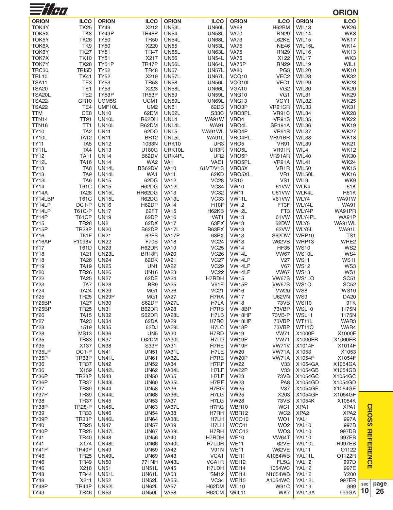| $\equiv$ //H $\bm{\theta}$ |                                    |                                   |                              |                             |                             |                            |                                |                                      | <b>ORION</b>               |
|----------------------------|------------------------------------|-----------------------------------|------------------------------|-----------------------------|-----------------------------|----------------------------|--------------------------------|--------------------------------------|----------------------------|
| <b>ORION</b>               | <b>ILCO</b>                        | <b>ORION</b>                      | <b>ILCO</b>                  | <b>ORION</b>                | <b>ILCO</b>                 | <b>ORION</b>               | <b>ILCO</b>                    | <b>ORION</b>                         | <b>ILCO</b>                |
| TOK4Y                      | <b>TK25</b>                        | <b>TY49</b>                       | X212                         | <b>UN53L</b>                | UN60L                       | <b>VA68</b>                | H62BM                          | WIL13                                | <b>WK26</b>                |
| TOK5X                      | TK8                                | TY49P                             | TR46P                        | <b>UN54</b>                 | <b>UN58L</b>                | <b>VA70</b>                | <b>RN29</b>                    | WIL14                                | WK3                        |
| TOK5Y                      | <b>TK26</b>                        | <b>TY50</b>                       | <b>TR50</b>                  | <b>UN54L</b>                | <b>UN68L</b>                | <b>VA73</b>                | L62KE                          | WIL15                                | <b>WK17</b>                |
| TOK6X                      | TK <sub>9</sub>                    | <b>TY50</b>                       | X220                         | <b>UN55</b>                 | <b>UN53L</b>                | <b>VA75</b>                | <b>NE46</b>                    | WIL15L                               | <b>WK14</b>                |
| <b>TOK6Y</b>               | <b>TK27</b>                        | <b>TY51</b>                       | <b>TR47</b>                  | <b>UN55L</b>                | UN63L                       | <b>VA75</b>                | <b>RN29</b>                    | WIL16                                | <b>WK13</b>                |
| TOK7X                      | <b>TK10</b>                        | <b>TY51</b>                       | X217                         | <b>UN56</b>                 | <b>UN54L</b>                | <b>VA75</b>                | X122                           | WIL17                                | WK3                        |
| <b>TOK7Y</b><br>TRC30      | <b>TK28</b><br>TRI5D               | TY51P<br><b>TY52</b>              | TR47P<br><b>TR48</b>         | <b>UN56L</b><br><b>UN57</b> | UN64L<br><b>UN57L</b>       | VA75P<br><b>VA80</b>       | <b>RN29</b><br>PG <sub>5</sub> | WIL19<br>WIL20                       | WIL1<br><b>WK10</b>        |
| <b>TRL10</b>               | <b>TK41</b>                        | <b>TY52</b>                       | X219                         | <b>UN57L</b>                | UN67L                       | VCO <sub>10</sub>          | VEC <sub>2</sub>               | WIL28                                | <b>WK32</b>                |
| <b>TSA11</b>               | TE <sub>3</sub>                    | <b>TY53</b>                       | <b>TR53</b>                  | <b>UN58</b>                 | <b>UN56L</b>                | VCO <sub>10</sub> L        | VEC1                           | WIL29                                | <b>WK23</b>                |
| <b>TSA20</b>               | TE <sub>1</sub>                    | <b>TY53</b>                       | X223                         | <b>UN58L</b>                | UN66L                       | VGA10                      | VG <sub>2</sub>                | WIL30                                | <b>WK20</b>                |
| TSA20L                     | TE <sub>2</sub>                    | TY53P                             | TR53P                        | <b>UN59</b>                 | <b>UN59L</b>                | <b>VNG10</b>               | VG1                            | WIL31                                | <b>WK29</b>                |
| <b>TSA22</b>               | <b>GR10</b>                        | UCM5S                             | UCM <sub>1</sub>             | <b>UN59L</b>                | UN69L                       | VNG <sub>13</sub>          | VGY1                           | WIL32                                | <b>WK25</b>                |
| <b>TSA22</b>               | TE4                                | UMF10L                            | UM <sub>2</sub>              | <b>UN61</b>                 | 62DB                        | VRO3P                      | VR91CR                         | WIL33                                | <b>WK31</b>                |
| <b>TTM</b>                 | CE8                                | <b>UN10</b>                       | 62DM                         | <b>UN62L</b>                | S33C                        | VRO3PL                     | VR91C                          | WIL34                                | <b>WK28</b>                |
| TTN14<br>TTN <sub>16</sub> | <b>TT91</b><br>TT1                 | UN10L<br>UN <sub>10</sub> L       | R62DH<br>R62DM               | UNL4<br>UNL4L               | <b>WA91W</b><br><b>WA91</b> | VRO4<br>VRO4L              | <b>VR91S</b><br><b>SR191A</b>  | WIL35<br>WIL36                       | <b>WK22</b><br><b>WK19</b> |
| <b>TY10</b>                | TA <sub>2</sub>                    | <b>UN11</b>                       | 62DO                         | UNL5                        | WA91WL                      | VRO4P                      | VR91B                          | WIL37                                | <b>WK27</b>                |
| TY10L                      | <b>TA12</b>                        | <b>UN11</b>                       | <b>BR12</b>                  | UNL5L                       | WA91L                       | VRO4PL                     | VR91BR                         | WIL38                                | <b>WK18</b>                |
| <b>TY11</b>                | TA <sub>5</sub>                    | <b>UN12</b>                       | 1033N                        | URK10                       | UR <sub>3</sub>             | VRO <sub>5</sub>           | <b>VR91</b>                    | WIL39                                | <b>WK21</b>                |
| TY11L                      | TA4                                | <b>UN13</b>                       | U180G                        | URK10L                      | UR3R                        | VRO <sub>5</sub> L         | VR91R                          | WIL4                                 | <b>WK12</b>                |
| <b>TY12</b>                | <b>TA11</b>                        | <b>UN14</b>                       | B62DV                        | URK4PL                      | UR <sub>2</sub>             | VRO <sub>5</sub> P         | VR91AR                         | WIL40                                | <b>WK30</b>                |
| TY12L                      | <b>TA16</b>                        | <b>UN14</b>                       | WA <sub>2</sub>              | VA1                         | VAE1                        | VRO5PL                     | VR91A                          | WIL41                                | <b>WK24</b>                |
| <b>TY13</b>                | TA <sub>8</sub>                    | UN14L                             | BS62DV                       | <b>VA10</b>                 | 61VT/V1S                    | VRO5X                      | VR <sub>1</sub> R              | WIL50                                | <b>WK15</b>                |
| <b>TY13</b>                | TA <sub>9</sub><br>TA <sub>6</sub> | UN <sub>14</sub> L<br><b>UN15</b> | WA1                          | <b>VA11</b><br><b>VA12</b>  | 62KD                        | VRO5XL                     | VR <sub>1</sub>                | WIL50L<br>WIL9                       | <b>WK16</b><br>WK9         |
| TY13L<br><b>TY14</b>       | <b>T61C</b>                        | <b>UN15</b>                       | 62DG<br>H62DG                | VA <sub>12</sub> L          | <b>VC28</b><br>VC34         | <b>VS10</b><br><b>VW10</b> | VS1<br>61VW                    | WLK4                                 | 61K                        |
| <b>TY14A</b>               | <b>TA28</b>                        | <b>UN15L</b>                      | HR62DG                       | <b>VA13</b>                 | <b>VC32</b>                 | <b>VW11</b>                | U61VW                          | WLK4L                                | <b>R61K</b>                |
| TY14LBP                    | <b>T61C</b>                        | <b>UN15L</b>                      | R62DG                        | VA <sub>13</sub> L          | <b>VC33</b>                 | VW11L                      | V61VW                          | WLY4                                 | <b>WA91W</b>               |
| TY14LP                     | DC1-P                              | <b>UN16</b>                       | H62DP                        | <b>VA14</b>                 | H <sub>10</sub> F           | <b>VW12</b>                | FT3F                           | WLY4L                                | <b>WA91</b>                |
| TY14LP                     | <b>T61C-P</b>                      | <b>UN17</b>                       | 62FT                         | <b>VA15</b>                 | H62KB                       | VW <sub>12L</sub>          | FT <sub>3</sub>                | WLY4P                                | WA91PR                     |
| TY14P                      | T61CP                              | <b>UN19</b>                       | 62DP                         | VA16                        | VAT <sub>1</sub>            | <b>VW13</b>                | 61VW                           | WLY4PL                               | <b>WA91P</b>               |
| <b>TY15</b>                | <b>TR28</b>                        | UN <sub>2</sub>                   | 62DX                         | <b>VA17</b>                 | 63PX                        | <b>VW13</b>                | 62DW                           | WLY5                                 | WA91WL                     |
| TY15P                      | TR <sub>28</sub> P                 | <b>UN20</b>                       | B62DP                        | VA17L                       | R63PX                       | <b>VW13</b>                | 62VW                           | WLY5L                                | WA91L                      |
| <b>TY16</b>                | <b>T61F</b><br>P1098V              | <b>UN21</b>                       | 62FS<br><b>F70S</b>          | VA17P<br><b>VA18</b>        | 63PX<br><b>VC24</b>         | <b>VW13</b>                | S62DW                          | WRP10<br>WRP13                       | TS <sub>1</sub><br>WRE2    |
| TY16AP<br><b>TY17</b>      | <b>T61D</b>                        | <b>UN22</b><br><b>UN23</b>        | H62DR                        | <b>VA19</b>                 | <b>VC25</b>                 | <b>VW13</b><br><b>VW14</b> | W62VB<br><b>HF35</b>           | <b>WS10</b>                          | WS <sub>2</sub>            |
| <b>TY18</b>                | <b>TA21</b>                        | <b>UN23L</b>                      | BR18R                        | <b>VA20</b>                 | <b>VC26</b>                 | VW14L                      | <b>VW67</b>                    | WS10L                                | WS4                        |
| <b>TY18</b>                | <b>TA26</b>                        | <b>UN24</b>                       | 62DK                         | VA21                        | <b>VC27</b>                 | VW14LP                     | V27                            | <b>WS11</b>                          | <b>WS11</b>                |
| <b>TY19</b>                | <b>TA19</b>                        | <b>UN25</b>                       | UN <sub>1</sub>              | <b>VA22</b>                 | <b>VC29</b>                 | VW14LP                     | V67                            | <b>WS12</b>                          | WS3                        |
| <b>TY20</b>                | <b>TR26</b>                        | <b>UN26</b>                       | <b>UN16</b>                  | <b>VA23</b>                 | <b>VC22</b>                 | VW14LP                     | <b>VW67</b>                    | <b>WS13</b>                          | WS1                        |
| <b>TY22</b>                | <b>TA25</b>                        | <b>UN27</b>                       | 62DE                         | <b>VA24</b>                 | H7RDH                       | <b>VW15</b>                | <b>VW67S</b>                   | WS1LO                                | <b>SC51</b>                |
| <b>TY23</b>                | TA7                                | <b>UN28</b>                       | BR <sub>9</sub>              | <b>VA25</b>                 | <b>V91E</b>                 | VW15P                      | <b>VW67S</b>                   | <b>WS10</b>                          | <b>SC52</b>                |
| <b>TY24</b>                | <b>TA24</b>                        | <b>UN29</b>                       | MG1                          | <b>VA26</b>                 | <b>VC21</b>                 | <b>VW16</b>                | <b>VW20</b>                    | WS8                                  | <b>WS10</b>                |
| <b>TY25</b><br>TY25BP      | <b>TR25</b><br><b>TA27</b>         | <b>UN29P</b><br><b>UN30</b>       | MG1<br>S62DP                 | <b>VA27</b><br>VA27L        | H7RA<br>H7LA                | <b>VW17</b><br><b>VW18</b> | <b>U62VN</b><br>73VB           | WS9<br>WSI10                         | <b>DA20</b><br>9TK         |
| TY25BP                     | <b>TR25</b>                        | <b>UN31</b>                       | B62DR                        | <b>VA28</b>                 | H7RB                        | VW18BP                     | 73VBP                          | WSL10                                | 1175N                      |
| <b>TY26</b>                | <b>TA15</b>                        | <b>UN32</b>                       | S62DR                        | <b>VA28L</b>                | H7LB                        | VW18HP                     | 73VB-P                         | WSL11                                | 1175N                      |
| <b>TY27</b>                | <b>TA23</b>                        | <b>UN34</b>                       | 62DA                         | <b>VA29</b>                 | H7RC                        | VW18HP                     | 73VBP                          | WT11L                                | WAR3                       |
| <b>TY28</b>                | 1519                               | <b>UN35</b>                       | 62DJ                         | <b>VA29L</b>                | H <sub>7</sub> LC           | VW18P                      | 73VBP                          | <b>WT11O</b>                         | WAR4                       |
| <b>TY28</b>                | <b>MS13</b>                        | <b>UN36</b>                       | UN <sub>5</sub>              | <b>VA30</b>                 | H7RD                        | <b>VW19</b>                | <b>VW71</b>                    | X1000F                               | X1000F                     |
| <b>TY35</b>                | <b>TR33</b>                        | <b>UN37</b>                       | L62DM                        | VA30L                       | H7LD                        | VW <sub>19</sub> P         | <b>VW71</b>                    | X1000FR                              | X1000FR                    |
| <b>TY35</b>                | X137                               | <b>UN38</b>                       | S33P                         | <b>VA31</b>                 | H7RE                        | VW <sub>19</sub> P         | VW71V                          | X1014F                               | X1014F                     |
| TY35LP<br>TY35P            | DC <sub>1-P</sub><br>TR33P         | <b>UN41</b><br>UN41L              | <b>UN51</b><br><b>UN61</b>   | VA31L<br>VA32L              | H7LE<br>H7RE                | <b>VW20</b><br>VW20P       | VW71A<br>VW71A                 | X1053<br>X1054F                      | X1053<br>X1054F            |
| <b>TY36</b>                | <b>TR37</b>                        | <b>UN42</b>                       | <b>UN52</b>                  | <b>VA34</b>                 | H7RF                        | <b>VW22</b>                | V33                            | X1054GA                              | X1054GA                    |
| <b>TY36</b>                | X159                               | <b>UN42L</b>                      | <b>UN62</b>                  | VA34L                       | H7LF                        | VW22P                      | V33                            | X1054GB                              | X1054GB                    |
| TY36P                      | TR <sub>28</sub> P                 | <b>UN43</b>                       | <b>UN50</b>                  | <b>VA35</b>                 | H7LF                        | <b>VW23</b>                | 73VB                           | X1054GC                              | X1054GC                    |
| TY36P                      | <b>TR37</b>                        | <b>UN43L</b>                      | <b>UN60</b>                  | VA35L                       | H7RF                        | <b>VW23</b>                | PA <sub>8</sub>                | X1054GD                              | X1054GD                    |
| <b>TY37</b>                | <b>TR39</b>                        | <b>UN44</b>                       | <b>UN58</b>                  | <b>VA36</b>                 | H7RG                        | <b>VW25</b>                | V37                            | X1054GE                              | X1054GE                    |
| TY37P                      | <b>TR39</b>                        | UN44L                             | <b>UN68</b>                  | VA36L                       | H7LG                        | <b>VW25</b>                | X203                           | X1054GF                              | X1054GF                    |
| <b>TY38</b>                | <b>TR37</b>                        | <b>UN45</b>                       | <b>UN53</b>                  | VA37                        | H7LG                        | <b>VW28</b>                | 73VB                           | X1054K                               | X1054K                     |
| TY38P<br><b>TY39</b>       | <b>TR28-P</b><br><b>TR33</b>       | <b>UN45L</b><br><b>UN46</b>       | <b>UN63</b><br><b>UN54</b>   | VA37L<br><b>VA38</b>        | H7RG<br>H7RH                | WBR10<br>WBR12             | WC1<br>WC <sub>2</sub>         | XPA <sub>1</sub><br>XPA <sub>2</sub> | XPA1<br>XPA <sub>2</sub>   |
| TY39P                      | TR33P                              | <b>UN46L</b>                      | <b>UN64</b>                  | VA38L                       | H7LH                        | WCO10                      | WO1                            | YAL1                                 | 997A                       |
| TY40                       | <b>TR25</b>                        | <b>UN47</b>                       | <b>UN57</b>                  | <b>VA39</b>                 | H7LH                        | WCO11                      | WO <sub>2</sub>                | YAL10                                | 997B                       |
| TY40P                      | <b>TR25</b>                        | UN47L                             | <b>UN67</b>                  | VA39L                       | H7RH                        | WCO12                      | WO <sub>3</sub>                | YAL10                                | 997DB                      |
| <b>TY41</b>                | <b>TR40</b>                        | <b>UN48</b>                       | <b>UN56</b>                  | <b>VA40</b>                 | H7RDH                       | <b>WE10</b>                | VW64T                          | YAL10                                | 997EB                      |
| <b>TY41</b>                | X174                               | UN48L                             | <b>UN66</b>                  | VA40L                       | H7LDH                       | <b>WE11</b>                | 62VE                           | YAL10L                               | <b>R997EB</b>              |
| TY41P                      | TR40P                              | <b>UN49</b>                       | <b>UN59</b>                  | <b>VA42</b>                 | <b>V91N</b>                 | <b>WE11</b>                | W62VE                          | YAL <sub>11</sub>                    | O1122                      |
| TY45                       | <b>TR25</b>                        | UN49L                             | <b>UN69</b>                  | <b>VA43</b>                 | VCA1                        | WEI11                      | A1054WB                        | YAL11L                               | O1122R                     |
| <b>TY46</b>                | <b>TR49</b>                        | <b>UN50</b>                       | 771NH                        | VA43L                       | VCA1R                       | WEI12                      | FL <sub>5</sub> G              | YAL12                                | 997D                       |
| TY46<br><b>TY48</b>        | X218<br><b>TR44</b>                | <b>UN51</b><br><b>UN51L</b>       | <b>UN51L</b><br><b>UN61L</b> | <b>VA45</b><br><b>VA53</b>  | H7LDH<br><b>SM12</b>        | <b>WEI14</b><br>WEI14      | 1054WC<br>N1054WB              | YAL12<br>YAL <sub>12</sub>           | 997E<br>Y200               |
| <b>TY48</b>                | X211                               | <b>UN52</b>                       | <b>UN52L</b>                 | VA55L                       | VC34                        | WEI15                      | A1054WC                        | YAL12L                               | 997ER                      |
| TY48P                      | TR44P                              | <b>UN52L</b>                      | UN62L                        | <b>VA57</b>                 | H62DM                       | WIL10                      | W91C                           | YAL <sub>13</sub>                    | 999                        |
| <b>TY49</b>                | TR46                               | <b>UN53</b>                       | UN50L                        | VA58                        | H62CM                       | WIL <sub>11</sub>          | WK7                            | YAL13A                               | 999GA                      |
|                            |                                    |                                   |                              |                             |                             |                            |                                |                                      |                            |

**CROSS REFERENCE**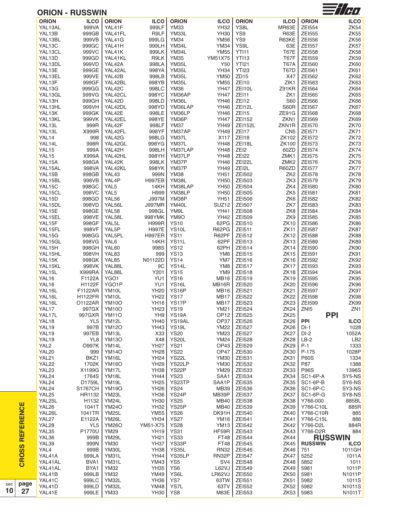|                   | <b>ORION - RUSSWIN</b> |                    |                       |                    |                            |                           |                  |                                | $\frac{1}{2}$ / $\frac{1}{2}$ |
|-------------------|------------------------|--------------------|-----------------------|--------------------|----------------------------|---------------------------|------------------|--------------------------------|-------------------------------|
| <b>ORION</b>      | ICO                    | <b>ORION</b>       | <b>ILCO</b>           | <b>ORION</b>       | <b>ILCO</b>                | <b>ORION</b>              | <b>ILCO</b>      | <b>ORION</b>                   | <b>ILCO</b>                   |
| YAL13AL           | 999VA                  | YAL41F             | 999LF                 | <b>YM33</b>        | <b>YH32</b>                | YS8L                      | MR63E            | ZEI554                         | <b>ZK54</b>                   |
| YAL13B            | 999GB                  | YAL41FL            | R9LF                  | YM33L              | <b>YH30</b>                | YS9                       | R63E             | ZEI555                         | <b>ZK55</b>                   |
| YAL13BL           | 999VB                  | YAL41G             | 999LG                 | <b>YM34</b>        | <b>YM56</b>                | YS9                       | R63KE            | ZEI556                         | <b>ZK56</b>                   |
| YAL13C            | 999GC                  | YAL41H             | 999LH                 | YM34L              | <b>YM34</b>                | YS9L                      | 63E              | <b>ZEI557</b>                  | ZK57                          |
| YAL13CL           | 999VC                  | YAL41K             | 999LK                 | YM34L              | <b>YM55</b>                | YTI11                     | <b>T67E</b>      | <b>ZEI558</b>                  | ZK58                          |
| YAL13D            | 999GD                  | YAL41KL            | R9LK                  | <b>YM35</b>        | YM51X75                    | YTI13                     | <b>T67F</b>      | ZEI559                         | ZK59                          |
| YAL13DL           | 999VD                  | YAL42A             | 998LA                 | YM35L              | Y50                        | <b>YTI21</b>              | <b>T67A</b>      | ZEI560                         | <b>ZK60</b>                   |
| YAL13E            | 999GE                  | YAL42AL            | 998YA                 | YM35L              | <b>YH34</b>                | <b>YTI23</b>              | T67D             | ZEI561                         | <b>ZK61</b>                   |
| YAL13EL           | 999VE                  | YAL42B             | 998LB                 | YM35L              | <b>YM50</b>                | ZD <sub>15</sub>          | X47              | ZEI562                         | ZK62                          |
| YAL13F            | 999GF                  | YAL42BL            | 998YB                 | YM35L              | <b>YM55</b>                | <b>ZEI10</b>              | ZIK1             | ZEI563                         | ZK63                          |
| YAL13G            | 999GG                  | YAL42C             | 998LC                 | <b>YM36</b>        | <b>YH47</b>                | ZEI10L                    | Z91KR            | <b>ZEI564</b>                  | <b>ZK64</b>                   |
| YAL13GL           | 999VG                  | YAL42CL            | 998YC                 | YM36AP             | <b>YH47</b>                | ZEI11                     | ZK1              | ZEI565                         | ZK65                          |
| YAL13H            | 999GH                  | YAL42D             | 998LD                 | YM36L              | <b>YH46</b>                | ZEI12                     | <b>S60</b>       | ZEI566                         | ZK66                          |
| YAL13HL           | 999VH                  | YAL42DL            | 998YD                 | YM36LAP            | <b>YH46</b>                | ZEI12L                    | S60R             | <b>ZEI567</b>                  | ZK67                          |
| YAL13K            | 999GK                  | YAL42E             | 998LE                 | YM36LP             | YH46                       | ZEI15                     | ZE91G            | <b>ZEI568</b>                  | ZK68                          |
| YAL13KL           | 999VK                  | YAL42EL            | 998YE                 | YM36P              | <b>YH47</b>                | ZEI152                    | ZKN1             | ZEI569                         | ZK69                          |
| YAL13L            | 999R                   | YAL42F             | 998LF                 | YM37               | <b>YH49</b>                | <b>ZEI152L</b>            | ZKN1R            | ZEI570                         | <b>ZK70</b>                   |
| YAL13L            | X999R                  | YAL42FL            | 998YF                 | YM37AP             | <b>YH49</b>                | ZEI17                     | CN <sub>5</sub>  | ZEI571                         | <b>ZK71</b>                   |
| YAL14             | 998                    | YAL42G             | 998LG                 | YM37L              | X117                       | ZEI18                     | <b>ZK102</b>     | <b>ZEI572</b>                  | ZK72                          |
| YAL14L            | 998R                   | YAL42GL            | 998YG                 | YM37L              | <b>YH48</b>                | ZEI18L                    | ZK100            | <b>ZEI573</b>                  | ZK73                          |
| YAL15             | 999A                   | YAL42H             | 998LH                 | YM37LAP            | <b>YH48</b>                | ZEI2                      | 60ZD             | <b>ZEI574</b>                  | <b>ZK74</b>                   |
| YAL15             | X999A                  | YAL42HL            | 998YH                 | YM37LP             | <b>YH48</b>                | <b>ZEI22</b>              | ZMK1             | <b>ZEI575</b>                  | ZK75                          |
| YAL15A            | 998GA                  | YAL42K             | 998LK                 | YM37P              | YH46                       | ZEI22L                    | ZMK <sub>2</sub> | <b>ZEI576</b>                  | ZK76                          |
| YAL15AL           | 998VA                  | YAL42KL            | 998YK                 | YM37P              | <b>YH49</b>                | ZEI2L                     | R60ZD            | <b>ZEI577</b>                  | ZK77                          |
| YAL15B            | 998GB                  | YAL43<br>YAL4P     | 999N                  | <b>YM38</b>        | <b>YH51</b>                | ZE1502                    | ZK <sub>2</sub>  | <b>ZEI578</b>                  | ZK78                          |
| YAL15BL           | 998VB<br>998GC         | YAL <sub>5</sub>   | <b>H997EB</b><br>14KH | YM38L<br>YM38LAP   | <b>YH50</b><br><b>YH50</b> | ZE1503<br><b>ZEI504</b>   | ZK3<br>ZK4       | <b>ZEI579</b><br><b>ZEI580</b> | ZK79<br><b>ZK80</b>           |
| YAL15C<br>YAL15CL | 998VC                  | YAL <sub>5</sub>   | H999                  | YM38LP             | <b>YH50</b>                | ZEI505                    | ZK <sub>5</sub>  | ZEI581                         | ZK81                          |
| YAL15D            | 998GD                  | YAL56              | J997M                 | YM38P              | <b>YH51</b>                | ZEI506                    | ZK <sub>6</sub>  | ZEI582                         | <b>ZK82</b>                   |
| YAL15DL           | 998VD                  | YAL56L             | <b>J997MR</b>         | YM40L              | SUZ <sub>12</sub>          | ZEI507                    | ZK7              | ZEI583                         | ZK83                          |
| YAL15E            | 998GE                  | YAL58              | 998GL                 | YM9L               | <b>YH41</b>                | <b>ZEI508</b>             | ZK8              | ZEI584                         | ZK84                          |
| YAL15EL           | 998VE                  | YAL58L             | 998YMK                | YM9O               | <b>YH42</b>                | ZEI509                    | ZK9              | ZEI585                         | ZK85                          |
| YAL15F            | 998GF                  | YAL5L              | H999R                 | <b>YS10</b>        | 62PG                       | ZEI510                    | <b>ZK10</b>      | <b>ZEI586</b>                  | <b>ZK86</b>                   |
| YAL15FL           | 998VF                  | YAL5P              | <b>H997E</b>          | YS10L              | R62PG                      | ZEI511                    | <b>ZK11</b>      | <b>ZEI587</b>                  | ZK87                          |
| YAL15G            | 998GG                  | YAL5PL             | <b>H997ER</b>         | <b>YS11</b>        | R62PF                      | ZEI512                    | <b>ZK12</b>      | <b>ZEI588</b>                  | ZK88                          |
| YAL15GL           | 998VG                  | YAL6               | 14KH                  | YS <sub>11</sub> L | 62PF                       | ZEI513                    | <b>ZK13</b>      | ZEI589                         | <b>ZK89</b>                   |
| YAL15H            | 998GH                  | YAL60              | 998S                  | <b>YS12</b>        | 62PH                       | ZEI514                    | ZK14             | ZEI590                         | <b>ZK90</b>                   |
| YAL15HL           | 998VH                  | YAL83              | 999                   | <b>YS13</b>        | YM6                        | ZEI515                    | ZK15             | ZEI591                         | <b>ZK91</b>                   |
| YAL15K            | 998GK                  | YAL85              | N01122D               | <b>YS14</b>        | YM7                        | ZEI516                    | <b>ZK16</b>      | ZEI592                         | ZK92                          |
| YAL15KL           | 998VK                  | YAL88L             | 9C                    | YS14L              | YM8                        | <b>ZEI517</b>             | ZK17             | ZEI593                         | ZK93                          |
| YAL15L            | X999RA                 | YAL88L             | Y201                  | <b>YS15</b>        | YM9                        | ZEI518                    | <b>ZK18</b>      | <b>ZEI594</b>                  | ZK94                          |
| YAL16             | F1122A                 | YGO1               | YU1                   | <b>YS16</b>        | <b>MB16</b>                | ZEI519                    | <b>ZK19</b>      | <b>ZEI595</b>                  | ZK95                          |
| YAL16             | H1122F                 | YGO1P              | YU1                   | <b>YS16L</b>       | MB16R                      | ZEI520                    | <b>ZK20</b>      | <b>ZEI596</b>                  | ZK96                          |
| YAL16L            | F1122AR                | YM10L              | <b>YH20</b>           | <b>YS16P</b>       |                            | MB <sub>16</sub>   ZEI521 | <b>ZK21</b>      | ZE1597                         | ZK97                          |
| YAL16L            | <b>H1122FR</b>         | YM10L              | <b>YH22</b>           | <b>YS17</b>        | <b>MB17</b>                | <b>ZEI522</b>             | <b>ZK22</b>      | <b>ZEI598</b>                  | ZK98                          |
| YAL16L            | O1122AR                | <b>YM10O</b>       | <b>YH16</b>           | YS17P              | <b>MB17</b>                | ZEI523                    | <b>ZK23</b>      | <b>ZEI599</b>                  | ZK99                          |
| YAL17             | 997GX                  | <b>YM10O</b>       | <b>YH23</b>           | <b>YS19</b>        | <b>YM21</b>                | <b>ZEI524</b>             | <b>ZK24</b>      | ZN <sub>15</sub>               | ZN <sub>1</sub>               |
| YAL17L            | 997GXR                 | <b>YM11O</b>       | YH <sub>9</sub>       | YS <sub>19</sub> A | OP <sub>12</sub>           | ZE1525                    | ZK <sub>25</sub> |                                | <b>PPI</b>                    |
| YAL18             | YL <sub>5</sub>        | YM <sub>12</sub> L | <b>YH40</b>           | YS19AL             | OP37                       | <b>ZEI526</b>             | <b>ZK26</b>      | PPI                            | <b>ILCO</b>                   |
| YAL19             | 997B                   | <b>YM12O</b>       | <b>YH43</b>           | <b>YS19L</b>       | <b>YM22</b>                | <b>ZEI527</b>             | <b>ZK26</b>      | DI-1                           | 1028                          |
| YAL19             | 997EB                  | YM13L              | X33                   | <b>YS20</b>        | <b>YM23</b>                | <b>ZEI527</b>             | <b>ZK27</b>      | $DI-2$                         | 1052A                         |
| YAL19             | YL8                    | <b>YM13O</b>       | X48                   | <b>YS20L</b>       | <b>YM24</b>                | <b>ZEI528</b>             | <b>ZK28</b>      | $LB-2$                         | LB2                           |
| YAL <sub>2</sub>  | <b>O997K</b>           | YM14L              | <b>YH27</b>           | <b>YS21</b>        | OP43                       | ZEI529                    | <b>ZK29</b>      | P-1                            | 1333                          |
| YAL <sub>20</sub> | 999                    | <b>YM14O</b>       | <b>YH28</b>           | <b>YS22</b>        | OP47                       | ZEI530                    | <b>ZK30</b>      | P-175                          | 1028P                         |
| YAL21             | BKZ1                   | YM16L              | <b>YH24</b>           | <b>YS22L</b>       | <b>YM30</b>                | ZEI531                    | <b>ZK31</b>      | <b>P60S</b>                    | 1334                          |
| YAL22             | 1702K                  | <b>YM16O</b>       | <b>YH29</b>           | YS22LP             | <b>YM30</b>                | ZEI532                    | <b>ZK32</b>      | P87                            | 1388                          |
| YAL <sub>23</sub> | X1199G                 | YM17L              | <b>YH38</b>           | YS22P              | <b>YM29</b>                | ZEI533                    | ZK33             | <b>P96S</b>                    | 1396S                         |
| YAL24             | 1764S                  | YM18L              | <b>YH44</b>           | <b>YS23</b>        | SAA1                       | ZEI534                    | ZK34             | SC1-6P-A                       | SY5-NS                        |
| YAL24             | D1759L                 | YM <sub>19</sub> L | <b>YH25</b>           | YS23TP             | SAA1P                      | ZEI535                    | <b>ZK35</b>      | SC1-6P-B                       | SY6-NS                        |
| YAL24             | S1767CH                | <b>YM19O</b>       | <b>YH26</b>           | <b>YS24</b>        | MB39                       | ZEI536                    | ZK36             | SC1-6P-C                       | SY3-NS                        |
| YAL <sub>25</sub> | HR1132                 | YM23L              | <b>YH36</b>           | YS24P              | MB39P                      | <b>ZEI537</b>             | ZK37             | SC1-6P-G                       | SY8-NS                        |
| YAL25L            | H1132                  | YM24L              | <b>YH30</b>           | <b>YS25</b>        | <b>MB40</b>                | <b>ZEI538</b>             | ZK38             | Y766-000                       | 885BL                         |
| YAL <sub>26</sub> | 1041T                  | <b>YM24O</b>       | <b>YH32</b>           | YS25P              | <b>MB40</b>                | ZE1539                    | <b>ZK39</b>      | Y766-C10L                      | 885R                          |
| YAL26L            | 1041TR                 | YM25L              | <b>YM55</b>           | <b>YS26</b>        | DK91H                      | ZEI540                    | <b>ZK40</b>      | Y766-C10R                      | 885                           |
| YAL27             | E1122A                 | YM26L              | YH34                  | <b>YS27</b>        | <b>YM16</b>                | ZEI541                    | <b>ZK41</b>      | Y766-C15L                      | 886                           |
| YAL28             | YL <sub>5</sub>        | <b>YM26O</b>       | YM51-X75              | <b>YS28</b>        | <b>YM13</b>                | ZEI542                    | <b>ZK42</b>      | Y766-D2L                       | 884R                          |
| YAL35             | P1770U                 | YM29               | <b>YH19</b>           | YS31               | HF59R                      | ZEI543                    | ZK43             | Y766-D2R                       | 884                           |
| YAL36             | 999B                   | YM29L              | <b>YH21</b>           | <b>YS33</b>        | <b>FT48</b>                | <b>ZEI544</b>             | <b>ZK44</b>      |                                | <b>RUSSWIN</b>                |
| YAL39             | 999N                   | <b>YM30</b>        | <b>YH37</b>           | YS33P              | FT48                       | <b>ZEI545</b>             | <b>ZK45</b>      | <b>RUSSWIN</b>                 | <b>ILCO</b>                   |
| YAL4              | 999B                   | YM30L              | <b>YH38</b>           | YS35L              | <b>RN32</b>                | <b>ZEI546</b>             | <b>ZK46</b>      | 751                            | 1011GH                        |
| YAL41A            | 999LA                  | YM31L              | <b>YH44</b>           | YS35LP             | RN32P                      | <b>ZEI547</b>             | <b>ZK47</b>      | 5252                           | 1011A                         |
| YAL41AL           | BVA1                   | YM31L              | <b>YM43</b>           | YS <sub>5</sub>    | SV4                        | <b>ZEI548</b>             | <b>ZK48</b>      | 5852                           | 1011                          |
| YAL41AL           | BYA1                   | <b>YM32</b>        | <b>YH35</b>           | YS <sub>6</sub>    | <b>L62VJ</b>               | <b>ZEI549</b>             | <b>ZK49</b>      | 5981                           | 1011P                         |
| YAL41B            | 999LB                  | <b>YM32</b>        | <b>YM49</b>           | YS6L               | LR62VJ                     | ZEI550                    | <b>ZK50</b>      | 5981                           | N1011P                        |
| YAL41C            | 999LC                  | YM32L              | YH36                  | YS7                | 63TW                       | ZEI551                    | ZK <sub>51</sub> | 5982                           | 1011S                         |
| YAL41D            | 999LD                  | YM32L              | <b>YM48</b>           | YS7L               | 63TV                       | ZEI552                    | <b>ZK52</b>      | 5982                           | N1011S                        |
| YAL41E            | 999LE                  | <b>YM33</b>        | <b>YH30</b>           | YS8                | M63E                       | ZEI553                    | <b>ZK53</b>      | 5983                           | N1011T                        |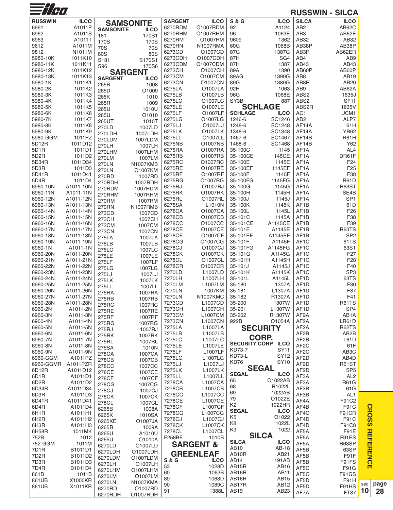| $\equiv t/\sigma$  |                       |                  |                   |                  |                      |                      |                          |                                        | <b>RUSSWIN - SILCA</b> |     |
|--------------------|-----------------------|------------------|-------------------|------------------|----------------------|----------------------|--------------------------|----------------------------------------|------------------------|-----|
| <b>RUSSWIN</b>     |                       |                  |                   | <b>SARGENT</b>   | <b>ILCO</b>          | <b>S &amp; G</b>     | <b>ILCO</b>              | <b>SILCA</b>                           | <b>ILCO</b>            |     |
|                    | <b>ILCO</b><br>A1011P |                  | <b>SAMSONITE</b>  |                  | O1007RDM             | 92                   |                          | AB <sub>2</sub>                        | AB62C                  |     |
| 6961               |                       | <b>SAMSONITE</b> | <b>ILCO</b>       | 6270RDM          |                      |                      | A1124<br>1063E           | AB <sub>3</sub>                        |                        |     |
| 6962               | A1011S                | 181              | 170S1             | 6270RHM          | O1007RHM             | 96                   |                          |                                        | AB62E                  |     |
| 6963               | A1011T                | 170S             | 170S              | 6270RM           | O1007RM              | 9609                 | 1362                     | AB32                                   | AB32                   |     |
| 9612               | A1011M                | 70S              | 70S               | 6270RN           | N1007RMA             | 60G                  | 1068B                    | AB38P                                  | AB38P                  |     |
| 9812               | N1011M                | 80S              | 80S               | 6273CD           | O1007CD              | 87G                  | 1387G                    | AB3R                                   | AB62ER                 |     |
| 5980-10K           | 1011K10               | S181             | S170S1            | 6273CDH          | 01007CDH             | 87H                  | SG4                      | AB4                                    | AB <sub>9</sub>        |     |
| 5980-11K           | 1011K11               | S96              | 170S6             | 6273CDM          | O1007CDM             | 87H                  | 1387                     | AB43                                   | AB43                   |     |
| 5980-12K           | 1011K12               |                  | <b>SARGENT</b>    | 6273CH           | O1007CH              | 89A                  | 1390                     | AB60P                                  | AB60P                  |     |
| 5980-13K           | 1011K13               | <b>SARGENT</b>   | <b>ILCO</b>       | 6273CM           | O1007CM              | 89AG                 | 1390G                    | AB8                                    | AB19                   |     |
| 5980-1K            | 1011K1                | 265B             | 1008              | 6273CN           | O1007CN              | 89G                  | 1389G                    | AB8R                                   | AB20                   |     |
| 5980-2K<br>5980-3K | 1011K2<br>1011K3      | 265D             | O1009             | 6275LA<br>6275LB | O1007LA<br>O1007LB   | 92H<br>96G           | 1063<br>1068E            | AB9<br>ABS2                            | AB62A<br>1635J         |     |
| 5980-4K            | 1011K4                | 265K             | 1010              | 6275LC           | O1007LC              | SY3B                 | 887                      | ABS2                                   | <b>SF11</b>            |     |
| 5980-5K            | 1011K5                | 265R             | 1009              | 6275LE           | O1007LE              |                      | <b>SCHLAGE</b>           | ABS2R                                  | 1635V                  |     |
| 5980-6K            | 1011K6                | 265U             | 1010U             | 6275LF           | O1007LF              | <b>SCHLAGE</b>       | <b>ILCO</b>              | AC <sub>1</sub>                        | UCM1                   |     |
| 5980-7K            | 1011K7                | 265U             | O1010             | 6275LG           | O1007LG              | 1246-6               | SC1246                   | AD <sub>2</sub>                        | ALP7                   |     |
| 5980-8K            | 1011K8                | 265UT            | 1010T             | 6275LJ           | O1007LJ              | 1248-6               | SC1248                   | AF14A                                  | 61H                    |     |
| 5980-9K            | 1011K9                | 270LD            | 1007LD            | 6275LK           | O1007LK              | 1348-6               | SC1348                   | AF14A                                  | <b>YR62</b>            |     |
| 5980-GGM           | 1011PZ                | 270LDH           | 1007LDH           | 6275LL           | O1007LL              | 1467-6               | SC1467                   | AF14B                                  | R61H                   |     |
| 5D12R              | 1011D12               | 270LDM           | 1007LDM           | 6275NB           | O1007NB              | 1468-6               | SC1468                   | AF14B                                  | Y62                    |     |
| 5D1R               | 1011D1                | 270LH            | 1007LH            | 6275RA           | O1007RA              | 35-100C              | 1145                     | AF <sub>1</sub> A                      | AL <sub>4</sub>        |     |
| 5D <sub>2</sub> R  | 1011D2                | 270LHM           | 1007LHM           | 6275RB           | O1007RB              | 35-100CE             | 1145CE                   | AF1A                                   | DR61F                  |     |
| 5D34R              | 1011D34               | 270LM            | 1007LM            | 6275RC           | O1007RC              | 35-100E              | 1145E                    | AF1A                                   | F <sub>24</sub>        |     |
| 5D3R               | 1011D3                | 270LN            | <b>N1007KMB</b>   | 6275RE           | O1007RE              | 35-100EF             | 1145EF                   | AF <sub>1</sub> A                      | F <sub>25</sub>        |     |
| 5D41R              | 1011D41               | 270LN            | O1007KM           | 6275RF           | O1007RF              | 35-100F              | 1145F                    | AF1A                                   | F38                    |     |
| 5D4R               | 1011D4                | 270RD            | 1007RD            | 6275RG           | O1007RG              | 35-100FG             | 1145FG                   | AF1A                                   | <b>R61D</b>            |     |
| 6960-10N           | A1011-10N             | 270RDH           | 1007RDH           | 6275RJ           | O1007RJ              | 35-100G              | 1145G                    | AF1A                                   | <b>R63ST</b>           |     |
| 6960-11N           | A1011-11N             | 270RDM<br>270RHM | 1007RDM           | 6275RK           | 01007RK              | 35-100H              | 1145H                    | AF1A                                   | SE4B                   |     |
| 6960-12N           | A1011-12N             | 270RM            | 1007RHM<br>1007RM | 6275RL           | O1007RL              | 35-100J              | 1145J                    | AF1A                                   | SP <sub>1</sub>        |     |
| 6960-13N           | A1011-13N             | <b>270RN</b>     | <b>N1007RMB</b>   | 6275SA           | L1010N               | 35-100K              | 1145K                    | AF <sub>1</sub> B                      | 61D                    |     |
| 6960-14N           | A1011-14N             | 273CD            | 1007CD            | 6278CA           | O1007CA              | 35-100L              | 1145L                    | AF <sub>1</sub> B                      | F <sub>26</sub>        |     |
| 6960-15N           | A1011-15N             | 273CH            | 1007CH            | 6278CB           | O1007CB              | 35-101C              | 1145A                    | AF <sub>1</sub> B                      | F38                    |     |
| 6960-16N           | A1011-16N             | 273CM            | 1007CM            | 6278CC           | O1007CC              | 35-101CE             | A1145CE                  | AF <sub>1</sub> B                      | F39                    |     |
| 6960-17N           | A1011-17N             | 273CN            | 1007CN            | 6278CE           | O1007CE              | 35-101E              | A1145E                   | AF <sub>1</sub> B                      | R63TS                  |     |
| 6960-18N           | A1011-18N             | 275LA            | 1007LA            | 6278CF           | O1007CF              | 35-101EF             | A1145EF                  | AF <sub>1</sub> B                      | SP <sub>2</sub>        |     |
| 6960-19N           | A1011-19N             | 275LB            | 1007LB            | 6278CG           | O1007CG              | 35-101F              | A1145F                   | AF <sub>1</sub> C                      | 61TS                   |     |
| 6960-1N            | A1011-1N              | 275LC            | 1007LC            | 6278CJ           | O1007CJ              | 35-101FG             | A1145FG                  | AF <sub>1</sub> C                      | 63ST                   |     |
| 6960-20N           | A1011-20N             | 275LE            | 1007LE            | 6278CK           | O1007CK              | 35-101G              | A1145G                   | AF <sub>1</sub> C                      | F <sub>27</sub>        |     |
| 6960-21N           | A1011-21N             | 275LF            | 1007LF            | 6278CL           | O1007CL              | 35-101H              | A1145H                   | AF <sub>1</sub> C                      | F <sub>28</sub>        |     |
| 6960-22N           | A1011-22N             | 275LG            | 1007LG            | 6278CR           | O1007CR              | 35-101J              | A1145J                   | AF <sub>1</sub> C                      | F40                    |     |
| 6960-23N           | A1011-23N             | 275LJ            | 1007LJ            | 7270LD           | L1007LD              | 35-101K              | A1145K                   | AF <sub>1</sub> C                      | SP <sub>3</sub>        |     |
| 6960-24N           | A1011-24N             | 275LK            | 1007LK            | 7270LH           | L1007LH              | 35-101L              | A1145L                   | AF <sub>1</sub> D                      | 63TS                   |     |
| 6960-25N           | A1011-25N             | 275LL            | 1007LL            | 7270LM           | L1007LM              | 35-180               | 1307A                    | AF <sub>1</sub> D                      | F30                    |     |
| 6960-26N           | A1011-26N             | 275RA            | 1007RA            | 7270LN           | 1007KM               | 35-181               | L1307A                   | AF <sub>1</sub> D                      | F37                    |     |
| 6960-27N           | A1011-27N             | 275RB            | 1007RB            | 7270LN           | N1007KMC             | 35-182               | R1307A                   | AF <sub>1</sub> D                      | F41                    |     |
| 6960-28N           | A1011-28N             | 275RC            | 1007RC            | 7273CD           | L1007CD              | 35-200               | 1307W                    | AF <sub>1</sub> D                      | <b>R61TS</b>           |     |
| 6960-2N            | A1011-2N              | 275RE            | 1007RE            | 7273CH           | L1007CH              | 35-201               | L1307W                   | AF <sub>1</sub> D                      | SP <sub>4</sub>        |     |
| 6960-3N            | A1011-3N              | 275RF            | 1007RF            | 7273CM           | L1007CM              | 35-202               | R1307W<br>O1054A         | AF <sub>2</sub> A                      | AB <sub>1</sub> A      |     |
| 6960-4N<br>6960-5N | A1011-4N              | 275RG            | 1007RG            | 7273CN<br>7275LA | <b>L1007CN</b>       | 922B                 |                          | AF <sub>2</sub> A<br>AF <sub>2</sub> A | LR61D<br>R62TS         |     |
|                    | A1011-5N              | 275RJ            | 1007RJ            |                  | L1007LA              |                      | <b>SECURITY</b>          |                                        |                        |     |
| 6960-6N            | A1011-6N              | 275RK            | 1007RK            | 7275LB           | L1007LB              |                      | <b>CORP.</b>             | AF <sub>2</sub> B                      | AB <sub>2</sub> B      |     |
| 6960-7N<br>6960-8N | A1011-7N              | 275RL            | 1007RL            | 7275LC<br>7275LE | L1007LC<br>L1007LE   | <b>SECURITY CORP</b> | <b>ILCO</b>              | AF <sub>2</sub> B<br>AF <sub>2</sub> C | L61D<br>61F            |     |
| 6960-9N            | A1011-8N<br>A1011-9N  | 275SA            | 1010N             | 7275LF           | L1007LF              | <b>KD73-7</b>        | <b>SY11</b>              | AF <sub>2</sub> C                      | AB <sub>3</sub> C      |     |
| 6960-GGM           | A1011PZ               | 278CA            | 1007CA            | 7275LG           | L1007LG              | KD73-L               | SY12                     | AF <sub>2</sub> D                      | AB4D                   |     |
| 6960-GGMR          | A1011PZR              | 278CB            | 1007CB            | 7275LJ           | L1007LJ              | KD76                 | SY <sub>10</sub>         | AF <sub>2</sub> D                      | <b>R61ST</b>           |     |
| 6D12R              | A1011D12              | 278CC            | 1007CC            | 7275LK           | L1007LK              |                      | <b>SEGAL</b>             | AF <sub>2</sub> D                      | SP <sub>5</sub>        |     |
| 6D1R               | A1011D1               | 278CE            | 1007CE            | 7275LL           | L1007LL              | <b>SEGAL</b>         | <b>ILCO</b>              | AF3A                                   | AL <sub>2</sub>        |     |
| 6D <sub>2</sub> R  | A1011D2               | 278CF            | 1007CF            | 7278CA           | L1007CA              | 65                   | O1022AB                  | AF3A                                   | <b>R61G</b>            |     |
| 6D34R              | A1011D34              | 278CG            | 1007CG            | 7278CB           | L1007CB              | 68                   | R1022L                   | AF3B                                   | 61G                    |     |
| 6D3R               | A1011D3               | 278CJ            | 1007CJ            | 7278CC           | L1007CC              | 69                   | 1022AB                   | AF3B                                   | AL <sub>1</sub>        |     |
| 6D41R              | A1011D41              | 278CK            | 1007CK            | 7278CE           | L1007CE              | 79                   | O1022E                   | AF4A                                   | F91C2                  |     |
| 6D4R               | A1011D4               | 278CL            | 1007CL            | 7278CF           | L1007CF              | K <sub>2</sub>       | 1022HR                   | AF4B                                   | F91C                   |     |
| 6H1R               | A1011H1               | 6265B            | 1008A             | 7278CG           | L1007CG              | <b>SEGAL</b>         | <b>ILCO</b>              | AF4C                                   | F91CR                  |     |
| 6H <sub>2</sub> R  | A1011H2               | 6265K            | 1010SA            | 7278CJ           | L1007CJ              | K5                   | O1022                    | AF4D                                   | <b>F91C</b>            |     |
| 6H3R               | A1011H3               | 6265KE           | O1007JA           | 7278CK           | L1007CK              | K <sub>8</sub>       | 1022L                    | AF4D                                   | F91C8                  |     |
| 6H58R              | 1011MK                | 6265R<br>6265U   | 1009A<br>A1010U   | 7278CL           | L1007CL              | K9                   | 1022                     | AF5A                                   | F91E                   |     |
| 752B               | 1012                  | 6265U            |                   | <b>F258BF</b>    | 1010B                |                      | <b>SILCA</b>             | AF5A                                   | F91ES                  |     |
| 752-GGM            | 1011M                 | 6270LD           | O1010A<br>O1007LD |                  | <b>SARGENT &amp;</b> | <b>SILCA</b>         | <b>ILCO</b>              | AF5A                                   | R63SP                  |     |
| 7D <sub>1</sub> R  | B1011D1               | 6270LDH          | 01007LDH          |                  |                      | AB10                 | AB-18                    | AF5B                                   | 63SP                   |     |
| 7D <sub>2</sub> R  | B1011D2               | 6270LDM          | O1007LDM          |                  | <b>GREENLEAF</b>     | AB <sub>10</sub> R   | AB21                     | AF5B                                   | F91F                   |     |
| 7D3R               | B1011D3               | 6270LH           | O1007LH           | <b>S &amp; G</b> | <b>ILCO</b>          | AB14                 | 191AB                    | AF5B                                   | F91FS                  |     |
| 7D4R               | B1011D4               | 6270LHM          | O1007LHM          | 53               | 1028D                | AB15R                | AB16                     | AF5C                                   | F91G                   |     |
| 861B               | 1011B                 | 6270LM           | O1007LM           | 60               | 1063B                | AB16R                | <b>AB11</b>              | AF5C                                   | <b>F91GS</b>           |     |
| 861UB              | X1000KR               | 6270LN           | N1007KMA          | 89<br>90         | 1063D<br>1089C       | AB16R<br>AB17R       | AB <sub>15</sub><br>AB12 | AF5D                                   | F91H                   | sec |
| 861UB              | X1011KR               | 6270RD           | O1007RD           | 91               | 1388L                | AB19                 | AB <sub>23</sub>         | AF5D                                   | F91HS                  | 10  |
|                    |                       | 6270RDH          | <b>O1007RDH</b>   |                  |                      |                      |                          | AF7A                                   | <b>FT37</b>            |     |

**page 28**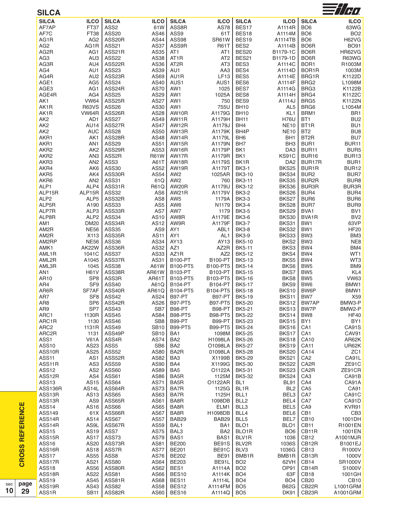| <b>SILCA</b>        |                    |                  |                  |                   |                 |                   |                  |                    | $\equiv$ //H $\eta$ |
|---------------------|--------------------|------------------|------------------|-------------------|-----------------|-------------------|------------------|--------------------|---------------------|
| <b>SILCA</b>        | <b>ILCO</b>        | <b>SILCA</b>     | <b>ILCO</b>      | <b>SILCA</b>      | <b>ILCO</b>     | <b>SILCA</b>      | <b>ILCO</b>      | <b>SILCA</b>       | <b>ILCO</b>         |
| AF7AP               | FT37               | ASS2             | 61W              | ASS8R             | <b>AS78</b>     | BES17             | A1114R           | BO <sub>6</sub>    | 63WG                |
| AF7C                | FT38               | <b>ASS20</b>     | AS46             | ASS9              | 61T             | BES18             | A1114M           | BO <sub>6</sub>    | BO <sub>2</sub>     |
| AG1R                | AG <sub>2</sub>    | ASS20R           | AS44             | ASS98             | SR61W           | BES19             | A1114TB          | BO <sub>6</sub>    | <b>H62VG</b>        |
| AG <sub>2</sub>     | AG1R               | <b>ASS21</b>     | AS37             | ASS9R             | <b>R61T</b>     | BES2              | A1114B           | BO6R               | <b>BO91</b>         |
| AG2R                | AG1                | ASS21R           | AS35             | AT1               | AT <sub>1</sub> | BES20             | B1179-1C         | BO6R               | HR62VG              |
| AG3                 | AU3                | <b>ASS22</b>     | AS38             | AT <sub>1</sub> R | AT <sub>2</sub> | BES21             | B1179-1D         | BO6R               | R63WG               |
| AG3R                | AU4                | ASS22R           | AS36             | AT <sub>2</sub> R | AT <sub>3</sub> | BES3              | A1114C           | BOR1               | R1003M              |
| AG4                 | AU1                | <b>ASS23</b>     | AS39             | AU1               | AA3             | BES4              | A1114D           | BOR1R              | 1003M               |
| AG4R                | AU <sub>2</sub>    | ASS23R           | AS69             | AU1R              | LF13            | BES5              | A1114E           | BRG1R              | K1122D              |
|                     | AG5                | <b>ASS24</b>     | AS40             | AUS1              | AUS1            | BES6              | A1114F           | BRG <sub>2</sub>   | L1098M              |
| AGE1                |                    | ASS24R           |                  |                   | 1025            | BES7              |                  |                    |                     |
| AGE3                | AG1                |                  | <b>AS70</b>      | AW1               |                 |                   | A1114G           | BRG3               | K1122B              |
| AGE4R               | AG4                | <b>ASS25</b>     | AS29             | AW1               | 1025A           | BES8              | A1114H           | BRG4               | K1122C              |
| AK1                 | <b>VW64</b>        | ASS25R           | <b>AS27</b>      | AW1               | 750             | BES9              | A1114J           | BRG5               | K1122N              |
| AK1R                | <b>R63VS</b>       | <b>ASS26</b>     | AS30             | AW1               | 755U            | <b>BH10</b>       | AL <sub>5</sub>  | BRG6               | L1054M              |
| AK1R                | VW64R              | ASS26R           | AS28             | AW10R             | A1179G          | <b>BH10</b>       | KL <sub>1</sub>  | BRM1               | BR <sub>1</sub>     |
| AK <sub>2</sub>     | AD1                | ASS27            | AS49             | AW11R             | A1179H          | <b>BH11</b>       | <b>H76U</b>      | BT <sub>1</sub>    | BU <sub>2</sub>     |
| AK <sub>2</sub>     | AU14               | ASS27R           | <b>AS47</b>      | AW12R             | A1179J          | BH4               | <b>NE10</b>      | BT <sub>1</sub> R  | BU <sub>1</sub>     |
| AK <sub>2</sub>     | <b>AUC</b>         | <b>ASS28</b>     | AS50             | AW13R             | A1179K          | BH4P              | <b>NE10</b>      | BT <sub>2</sub>    | BU8                 |
| AKR1                | AK1                | ASS28R           | AS48             | AW14R             | A1179L          | BH <sub>6</sub>   | BH <sub>1</sub>  | BT <sub>2R</sub>   | BU7                 |
| AKR1                | AN <sub>1</sub>    | <b>ASS29</b>     | AS51             | AW15R             | A1179N          | BH <sub>7</sub>   | BH <sub>3</sub>  | BUR1               | BUR11               |
| AKR2                | AK <sub>2</sub>    | ASS29R           | AS53             | AW16R             | A1179P          | BK1               | DA3              | BUR <sub>11</sub>  | BUR5                |
| AKR2                | AN <sub>3</sub>    | ASS2R            | <b>R61W</b>      | AW17R             | A1179R          | BK1               | KS91C            | <b>BUR16</b>       | BUR13               |
| AKR3                | AN <sub>2</sub>    | ASS3             | A61T             | AW18R             | A1179S          | BK1R              | DA <sub>2</sub>  | BUR17R             | BUR1                |
| AKR4                | AK6                | ASS30            | AS52             | AW19R             | A1179T          | <b>BK3-1</b>      | <b>BKS25</b>     | BUR1R              | <b>BUR12</b>        |
| AKR5                | AK4                | ASS30R           | AS54             | AW <sub>2</sub>   | 1025AR          | <b>BK3-10</b>     | BKS34            | BUR <sub>2</sub>   | BUR7                |
| AKR6                | AN <sub>2</sub>    | <b>ASS31</b>     | 61Q              | AW <sub>2</sub>   | 760             | <b>BK3-11</b>     | BKS35            | BUR2R              | BUR8                |
| ALP1                | ALP4               | ASS31R           | <b>R61Q</b>      | AW20R             | A1179U          | <b>BK3-12</b>     | BKS36            | BUR3R              | BUR3R               |
| ALP15R              | ALP15R             | <b>ASS32</b>     | AS6              | AW21R             | A1179V          | <b>BK3-2</b>      | BKS26            | BUR4               | BUR4                |
| ALP <sub>2</sub>    | ALP5               | ASS32R           | AS8              | AW <sub>5</sub>   | 1179A           | <b>BK3-3</b>      | BKS27            | BUR <sub>6</sub>   | BUR <sub>6</sub>    |
| ALP5R               | A190               | ASS33            | AS <sub>5</sub>  | AW6               | N1179           | <b>BK3-4</b>      | BKS28            | BUR7               | BUR9                |
| ALP7R               | ALP3               | ASS33R           | AS7              | AW7               | 1179            | <b>BK3-5</b>      | BKS29            | BVA1               | BV1                 |
| ALP8R               | ALP <sub>2</sub>   | ASS34            | AS10             | AW8R              | A1179E          | <b>BK3-6</b>      | <b>BKS30</b>     | BVA1R              | BV <sub>2</sub>     |
| AM1                 | <b>DM20</b>        | ASS34R           | AS12             | AW9R              | A1179F          | <b>BK3-7</b>      | BKS31            | BW <sub>1</sub>    | 63VP                |
|                     |                    | <b>ASS35</b>     |                  |                   |                 |                   |                  | BW1                |                     |
| AM2R                | <b>NE56</b>        |                  | AS9              | AY1               | ABL1            | <b>BK3-8</b>      | BKS32            |                    | <b>HF20</b>         |
| AM2R                | X113               | ASS35R           | <b>AS11</b>      | AY1               | AL <sub>1</sub> | <b>BK3-9</b>      | BKS33            | BW <sub>3</sub>    | BM3                 |
| AM2RP               | <b>NE56</b>        | <b>ASS36</b>     | AS34             | AY13              | AY13            | <b>BK5-10</b>     | BKS2             | BW <sub>3</sub>    | NE8                 |
| AMK1                | AK22W              | ASS36R           | AS32             | AZ1               | AZ2R            | <b>BK5-11</b>     | BKS3             | BW4                | BM4                 |
| AML1R               | 1041C              | <b>ASS37</b>     | AS33             | AZ1R              | AZ <sub>2</sub> | <b>BK5-12</b>     | BKS4             | BW4                | WT1                 |
| AML2R               | A1045              | ASS37R           | AS31             | <b>B100-PT</b>    | <b>B100-PT</b>  | <b>BK5-13</b>     | BKS5             | BW4                | WT3                 |
| AML3R               | 1045               | <b>ASS38</b>     | A61W             | B100-PT5          | B100-PT5        | <b>BK5-14</b>     | BKS6             | BW <sub>5</sub>    | BM9                 |
| AN1                 | <b>H61V</b>        | ASS38R           | AR61W            | B103-PT           | B103-PT         | <b>BK5-15</b>     | BKS7             | BW <sub>5</sub>    | KL4                 |
| AR10                | SP <sub>8</sub>    | ASS3R            | AR61T            | B103-PT5          | B103-PT5        | <b>BK5-16</b>     | BKS8             | BW <sub>5</sub>    | <b>VW63</b>         |
| AR4                 | SF9                | <b>ASS40</b>     | A61Q             | B104-PT           | <b>B104-PT</b>  | <b>BK5-17</b>     | BKS9             | BW6                | BMW1                |
| AR6R                | SF7AF              | ASS40R           | AR61Q            | B104-PT5          | B104-PT5        | <b>BK5-18</b>     | BKS10            | BW6P               | BMW1                |
| AR7                 | SF <sub>8</sub>    | ASS42            | AS24             | <b>B97-PT</b>     | <b>B97-PT</b>   | <b>BK5-19</b>     | BKS11            | BW7                | X59                 |
| AR8                 | SP <sub>6</sub>    | ASS42R           | AS <sub>26</sub> | <b>B97-PT5</b>    | <b>B97-PT5</b>  | <b>BK5-20</b>     | BKS12            | BW7AP              | BMW3-P              |
| AR9                 | SP7                | ASS43            | SB7              | B98-PT            | B98-PT          | <b>BK5-21</b>     | BKS13            | BW7P               | BMW2-P              |
| ARC1                | 1130R              | <b>ASS45</b>     | AS84             | <b>B98-PT5</b>    | <b>B98-PT5</b>  | <b>BK5-22</b>     | BKS14            | BW <sub>8</sub>    | <b>HF40</b>         |
| ARC1R               | 1130               | ASS46            | SB <sub>8</sub>  | <b>B99-PT</b>     | B99-PT          | <b>BK5-23</b>     | BKS15            | BY <sub>1</sub>    | BY1                 |
| ARC <sub>2</sub>    | 1131R              | <b>ASS49</b>     | <b>SB10</b>      | <b>B99-PT5</b>    | <b>B99-PT5</b>  | <b>BK5-24</b>     | BKS16            | CA <sub>1</sub>    | CA91S               |
| ARC2R               | 1131               | ASS49P           | <b>SB10</b>      | BA1               | 1098M           | <b>BK5-25</b>     | BKS17            | CA <sub>1</sub>    | CAV91               |
| ASS1                | V61A               | ASS4R            | AS74             | BA <sub>2</sub>   | H1098LA         | <b>BK5-26</b>     | BKS18            | <b>CA10</b>        | AR62K               |
| <b>ASS10</b>        | AS23               | ASS <sub>5</sub> | SB6              | BA <sub>2</sub>   | O1098LA         | <b>BK5-27</b>     | BKS19            | <b>CA11</b>        | UR62K               |
| ASS10R              | AS25               | <b>ASS52</b>     | AS80             | BA <sub>2</sub> R | 01098LA         | <b>BK5-28</b>     | <b>BKS20</b>     | <b>CA14</b>        | ZC <sub>1</sub>     |
| ASS <sub>11</sub>   | AS1                | ASS52R           | AS82             | BA <sub>3</sub>   | X1199B          | <b>BK5-29</b>     | BKS21            | CA <sub>2</sub>    | CA91L               |
|                     |                    |                  |                  |                   |                 | <b>BK5-30</b>     |                  |                    |                     |
| ASS11R              | AS3                | <b>ASS59</b>     | AS90             | BA4               | X1199G          |                   | <b>BKS22</b>     | CA <sub>2</sub> R  | ZE91C               |
| ASS <sub>12</sub>   | AS <sub>2</sub>    | <b>ASS60</b>     | AS89             | BA <sub>5</sub>   | O1122A          | <b>BK5-31</b>     | BKS23            | CA <sub>2</sub> R  | ZE91CR              |
| ASS12R              | AS4                | <b>ASS61</b>     | AS86             | BA <sub>5</sub> R | 1125M           | BK5-32            | BKS24            | CA <sub>3</sub>    | CA91B               |
| ASS <sub>13</sub>   | AS15               | ASS64            | AS71             | BA <sub>5</sub> R | O1122AR         | BL <sub>1</sub>   | <b>BL91</b>      | CA4                | CA91A               |
| ASS136R             | AS <sub>14</sub> L | ASS64R           | AS73             | BA7R              | 1125G           | BL <sub>1</sub> R | BL <sub>2</sub>  | CA <sub>5</sub>    | CA91                |
| ASS13R              | AS13               | ASS65            | AS63             | BA7R              | 1125H           | BLL1              | BEL3             | CA7                | CA91C               |
| ASS <sub>13</sub> R | AS9                | ASS65R           | AS61             | BA8R              | 1098DB          | BLL <sub>2</sub>  | BEL4             | CA7                | CA91D               |
| ASS14               | AS16               | ASS66            | AS65             | BA8R              | ELM1            | BLL3              | BEL5             | CA <sub>9</sub>    | KVR91               |
| ASS149              | 61X                | ASS66R           | <b>AS67</b>      | BA8R              | H1098DB         | BLL4              | BEL6             | CB1                | CB <sub>3</sub>     |
| ASS14R              | AS14               | ASS67            | <b>AS57</b>      | BAB29             | BAB29           | BLL5              | BEL7             | <b>CB10</b>        | 1001DH              |
| ASS14R              | AS9L               | ASS67R           | AS59             | BAL1              | BA1             | BLO1              | BLO <sub>1</sub> | CB11               | R1001EN             |
| <b>ASS15</b>        | AS19               | ASS7             | <b>AS75</b>      | BAL3              | BA <sub>2</sub> | BLO1R             | BO <sub>6</sub>  | CB11R              | 1001EN              |
| ASS15R              | <b>AS17</b>        | ASS73            | <b>AS79</b>      | BAS1              | BAS1            | BLV1R             | 1036             | CB <sub>12</sub>   | A1001MJR            |
| <b>ASS16</b>        | AS20               | ASS73R           | AS81             | <b>BE200</b>      | BE91S           | BLV2R             | 1036S            | CB12R              | <b>B1001EJ</b>      |
| ASS16R              | AS18               | ASS7R            | <b>AS77</b>      | <b>BE201</b>      | BE91C           | BLV3              | 1036G            | CB <sub>13</sub>   | R1000V              |
| ASS17               | AS55               | ASS8             | AS76             | <b>BE202</b>      | <b>BE91</b>     | BMB1R             | BMB1R            | CB13R              | 1000V               |
|                     |                    |                  |                  |                   |                 |                   |                  |                    |                     |
| ASS17R              | AS21               | <b>ASS80</b>     | AS64             | <b>BE203</b>      | BE91L           | BO <sub>2</sub>   | 62VH             | CB <sub>14</sub>   | SR1000V             |
| <b>ASS18</b>        | AS56               | ASS80R           | AS62             | BES1              | A1114A          | BO <sub>2</sub>   | OP91             | CB14R              | S1000V              |
| ASS18R              | AS22               | <b>ASS81</b>     | AS66             | BES10             | A1114K          | BO <sub>4</sub>   | 63F              | CB <sub>18</sub>   | 1001GH              |
| ASS19               | AS45               | ASS81R           | AS68             | BES11             | A1114L          | BO <sub>4</sub>   | BO <sub>4</sub>  | CB20               | <b>CB10</b>         |
| ASS19R              | AS43               | <b>ASS82</b>     | AS58             | BES12             | A1114FM         | BO <sub>5</sub>   | <b>B62G</b>      | CB22R              | L1001GRM            |
| ASS1R               | <b>SB11</b>        | ASS82R           | AS60             | BES16             | A1114Q          | BO <sub>5</sub>   | DK91             | CB <sub>23</sub> R | A1001GRM            |
|                     |                    |                  |                  |                   |                 |                   |                  |                    |                     |

**CROSS REFERENCE CROSS REFERENCE**

s e c **1 0**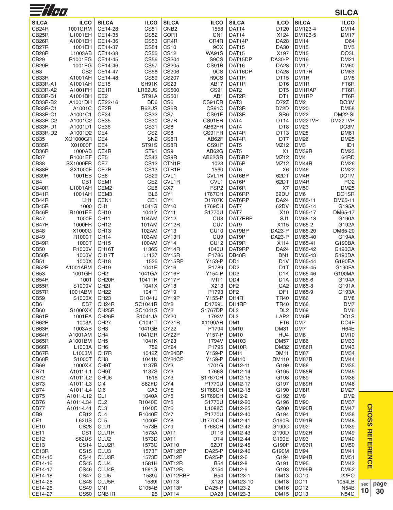| $\equiv$ //H $\alpha$          |                                |                                        |                                    |                                    |                                |                                                |                                      |                            | <b>SILCA</b>                     |
|--------------------------------|--------------------------------|----------------------------------------|------------------------------------|------------------------------------|--------------------------------|------------------------------------------------|--------------------------------------|----------------------------|----------------------------------|
| <b>SILCA</b>                   | <b>ILCO</b>                    | <b>SILCA</b>                           | <b>ILCO</b>                        | <b>SILCA</b>                       | <b>ILCO</b>                    | <b>SILCA</b>                                   | <b>ILCO</b>                          | <b>SILCA</b>               | <b>ILCO</b>                      |
| CB <sub>24</sub> R             | 1001GRM                        | CE14-28                                | <b>CS51</b>                        | CNB <sub>2</sub>                   | 1558                           | DAT14                                          | DT20                                 | DM123-4                    | <b>DM14</b>                      |
| CB <sub>25</sub> R             | L1001EH                        | CE14-35                                | <b>CS52</b>                        | COR1                               | CN <sub>1</sub>                | DAT14                                          | X124                                 | DM123-5                    | <b>DM17</b>                      |
| CB <sub>26</sub> R             | A1001EH                        | CE14-36                                | <b>CS53</b>                        | CR4R                               | CR4R                           | DAT14P                                         | <b>DA28</b>                          | <b>DM14</b>                | D64                              |
| CB <sub>27</sub> R             | 1001EH                         | CE14-37                                | <b>CS54</b>                        | <b>CS10</b>                        | 9CX                            | DAT <sub>15</sub>                              | <b>DA30</b>                          | <b>DM15</b>                | DM <sub>3</sub>                  |
| CB28R<br>CB29                  | L1003AB<br>R1001EG             | CE14-38<br>CE14-45                     | <b>CS55</b><br><b>CS56</b>         | <b>CS12</b><br>CS204               | <b>WA91S</b><br>S9CS           | DAT <sub>15</sub><br>DAT15DP                   | X197<br><b>DA30-P</b>                | <b>DM15</b><br><b>DM16</b> | DO3L<br><b>DM21</b>              |
| CB <sub>29</sub> R             | 1001EG                         | CE14-46                                | <b>CS57</b>                        | <b>CS205</b>                       | CS91B                          | DAT <sub>16</sub>                              | <b>DA28</b>                          | <b>DM17</b>                | <b>DM60</b>                      |
| CB <sub>3</sub>                | CB <sub>2</sub>                | CE14-47                                | <b>CS58</b>                        | <b>CS206</b>                       | 9CS                            | DAT16DP                                        | <b>DA28</b>                          | DM17R                      | <b>DM63</b>                      |
| CB33R                          | A1001AH                        | CE14-48                                | <b>CS59</b>                        | <b>CS207</b>                       | R <sub>9</sub> C <sub>S</sub>  | DAT <sub>1</sub> R                             | DT15                                 | DM <sub>1</sub> R          | DM <sub>5</sub>                  |
| CB33R-A1                       | A1001AH                        | <b>CE15</b>                            | SH91K                              | <b>CS23</b>                        | AB17                           | DAT1R                                          | DT <sub>6</sub>                      | DM <sub>1</sub> R          | FT6R                             |
| CB33R-A2                       | A1001FH                        | CE1R                                   | LR62US                             | <b>CS500</b>                       | <b>CS91</b>                    | DAT <sub>2</sub>                               | DT <sub>5</sub>                      | DM1RAP                     | FT6R                             |
| CB33R-B1<br>CB33R-B2           | A1001BH<br>A1001DH             | CE <sub>2</sub><br>CE22-16             | ST91A<br>BD <sub>6</sub>           | CS501<br>CS <sub>6</sub>           | AB1<br>CS91CR                  | DAT2R<br>DAT3                                  | DT <sub>1</sub><br>D72Z              | DM1RP<br>DM <sub>2</sub>   | FT6R<br>DO3M                     |
| CB33R-C1                       | A1001C                         | CE2R                                   | <b>R62US</b>                       | CS6R                               | CS91C                          | DAT3R                                          | D72D                                 | <b>DM20</b>                | <b>DM58</b>                      |
| CB33R-C1                       | A1001C1                        | <b>CE34</b>                            | <b>CS32</b>                        | CS7                                | CS91E                          | DAT3R                                          | SR <sub>6</sub>                      | <b>DM22</b>                | <b>DM22-SI</b>                   |
| CB33R-C2                       | A1001C2                        | <b>CE35</b>                            | <b>CS30</b>                        | CS7R                               | CS91ER                         | DAT4                                           | DT14                                 | DM22TVP                    | DM22TVP                          |
| CB33R-D1                       | A1001D1                        | <b>CE36</b>                            | <b>CS31</b>                        | CS8                                | AB62FR                         | DAT4                                           | DT <sub>8</sub>                      | <b>DM23</b>                | DO3M                             |
| CB33R-D2<br>CB35               | A1001D2<br>XO1000GR            | CE4<br>CE4                             | CS <sub>2</sub><br>SN <sub>2</sub> | CS8<br>CS8R                        | CS91FR<br>AB62F                | DAT4R<br>DAT4R                                 | DT <sub>13</sub><br>DT7              | <b>DM25</b><br><b>DM26</b> | <b>DM61</b><br><b>DM25</b>       |
| CB35R                          | X01000F                        | CE4                                    | ST91S                              | CS8R                               | CS91F                          | DAT <sub>5</sub>                               | MZ12                                 | DM3                        | ID <sub>1</sub>                  |
| CB36R                          | 1000AB                         | CE4R                                   | ST91                               | CS9                                | AB62G                          | DAT <sub>5</sub>                               | X1                                   | DM39R                      | <b>DM23</b>                      |
| <b>CB37</b>                    | R1001EF                        | CE <sub>5</sub>                        | <b>CS43</b>                        | CS9R                               | AB62GR                         | DAT5BP                                         | MZ12                                 | DM4                        | 64RD                             |
| <b>CB38</b>                    | SX1000FR                       | CE7                                    | <b>CS12</b>                        | CTN1R                              | 1023                           | DAT5P                                          | MZ12                                 | DM44R                      | <b>DM26</b>                      |
| CB38R<br>CB39R                 | <b>SX1000F</b><br>1001EB       | CE7R<br>CE8                            | CS <sub>13</sub><br><b>CS29</b>    | CTR1R<br>CVL1                      | 1560<br>CVL1R                  | DAT6<br>DAT6BP                                 | X <sub>6</sub><br>62DT               | <b>DM46</b><br>DM4R        | <b>DM22</b><br>DO <sub>1</sub> M |
| CB4                            | CB <sub>1</sub>                | CEM1                                   | CE <sub>2</sub>                    | CVL1R                              | CVL1                           | DAT6P                                          | 62DT                                 | DM4R                       | PO <sub>2</sub>                  |
| CB40R                          | L1001AH                        | CEM <sub>2</sub>                       | CE8                                | CX7                                | FSP <sub>2</sub>               | DAT6R                                          | X7                                   | <b>DM50</b>                | <b>DM25</b>                      |
| CB41R                          | 1001AH                         | CEM <sub>3</sub>                       | BL <sub>6</sub>                    | CY <sub>1</sub>                    | 1767CH                         | DAT6RP                                         | 62DU                                 | DM6                        | DO1SR                            |
| CB44R                          | LH1                            | CEN1                                   | CE <sub>1</sub>                    | CY <sub>1</sub>                    | D1707K                         | DAT6RP                                         | DA24                                 | DM65-11                    | DM65-11                          |
| CB45R<br>CB46R                 | 1000<br>R1001EE                | CH <sub>1</sub><br><b>CH10</b>         | 1041G<br>1041Y                     | <b>CY10</b><br>CY11                | 1769CH<br>S1770U               | DAT7<br>DAT7                                   | 62DV<br>X10                          | DM65-14<br>DM65-17         | G195A<br>DM65-17                 |
| CB47                           | 1000F                          | <b>CH11</b>                            | 104AM                              | <b>CY12</b>                        | CU <sub>8</sub>                | DAT7RBP                                        | SJ1                                  | DM65-18                    | G190A                            |
| CB47R                          | 1000FR                         | <b>CH12</b>                            | 101AM                              | CY12R                              | CU7                            | DAT <sub>9</sub>                               | X115                                 | DM65-2                     | G192A                            |
| CB48                           | X1000G                         | CH <sub>13</sub>                       | 102AM                              | CY13                               | <b>CU10</b>                    | DAT9BP                                         | <b>DA23-P</b>                        | DM65-20                    | DM65-20                          |
| CB49<br>CB49R                  | R1000T<br>1000T                | <b>CH14</b><br>CH <sub>15</sub>        | 103AM<br>100AM                     | CY13R<br>CY <sub>14</sub>          | CU <sub>9</sub><br><b>CU12</b> | DAT9P<br>DAT9R                                 | <b>DA23-P</b><br>X114                | DM65-40<br>DM65-41         | G194A<br>G190BA                  |
| <b>CB50</b>                    | R1000V                         | CH <sub>16</sub> T                     | 1136S                              | CY14R                              | 1040U                          | DAT9RP                                         | <b>DA24</b>                          | DM65-42                    | G190CA                           |
| CB50R                          | 1000V                          | CH <sub>17</sub> T                     | L <sub>1137</sub>                  | CY15R                              | P1786                          | DB48R                                          | DN <sub>1</sub>                      | DM65-43                    | G190DA                           |
| <b>CB51</b>                    | 1000X                          | CH <sub>18</sub>                       | 1525                               | CY15RP                             | Y153-P                         | DD <sub>1</sub>                                | D <sub>1</sub> V                     | DM65-44                    | G190EA                           |
| CB52R<br>CB53                  | A1001ABM<br>1001GH             | <b>CH19</b><br>CH <sub>2</sub>         | 1041E<br>1041GA                    | CY16<br>CY16P                      | P1789<br>$Y154-P$              | D <sub>D</sub> <sub>2</sub><br>DD <sub>3</sub> | D <sub>1</sub> T<br>D <sub>1</sub> K | DM65-45<br>DM65-46         | G190FA<br>G190MA                 |
| CB54R                          | 1001                           | CH <sub>20</sub> R                     | 1041TR                             | CY17P                              | MIT <sub>1</sub>               | D <sub>D</sub> 4                               | D <sub>1</sub> A                     | DM65-6                     | G194A                            |
| CB55R                          | S1000V                         | CH <sub>21</sub>                       | 1041X                              | <b>CY18</b>                        | X213                           | DF <sub>2</sub>                                | CA <sub>2</sub>                      | <b>DM65-8</b>              | G191A                            |
| CB57R                          | 1001ABM                        | <b>CH22</b>                            | 1041T                              | CY <sub>19</sub>                   | P1793                          | DF <sub>2</sub>                                | DF <sub>1</sub>                      | DM65-9                     | G193A                            |
| <b>CB59</b><br>CB <sub>6</sub> | S1000X<br>CB7                  | CH <sub>23</sub><br>CH <sub>24</sub> R | C1041J<br>SC1041R                  | CY19P<br>CY <sub>2</sub>           | Y155-P<br>D1759L               | DH4R<br>DH4RP                                  | <b>TR40</b><br><b>TR40</b>           | <b>DM66</b><br><b>DM68</b> | DM8<br>DM7                       |
| <b>CB60</b>                    | S1000XK                        | CH <sub>25</sub> R                     | SC1041S                            | CY <sub>2</sub>                    | S1767DP                        | DL <sub>2</sub>                                | DL <sub>2</sub>                      | <b>DM69</b>                | DM <sub>6</sub>                  |
| CB61R                          | 1001EA                         | CH <sub>26</sub> R                     | S1041JA                            | CY20                               | 1793V                          | DL <sub>3</sub>                                | LAP <sub>2</sub>                     | DM6R                       | DO <sub>1</sub> S                |
| CB62R                          | 1003A                          | <b>CH27</b>                            | C1041T                             | CY21R                              | X1199AR                        | DM1                                            | FT <sub>6</sub>                      | DM7                        | DO4F                             |
| CB63R                          | 1003AB<br>A1001AM              | CH <sub>3</sub>                        | 1041GB                             | CY22                               | P1794                          | <b>DM10</b>                                    | <b>DM31</b>                          | DM7                        | <b>H64E</b>                      |
| CB64R<br>CB65R                 | A1001BM                        | CH <sub>4</sub><br>CH <sub>5</sub>     | 1041GR<br>1041K                    | CY22P<br>CY23                      | Y157-P<br>1794V                | <b>DM10</b><br>DM103                           | HU4<br><b>DM57</b>                   | DM8<br><b>DM86</b>         | <b>DM10</b><br><b>DM33</b>       |
| CB66R                          | L1003A                         | CH <sub>6</sub>                        | 752                                | CY24                               | P1795                          | DM <sub>10R</sub>                              | DM32                                 | DM86R                      | <b>DM43</b>                      |
| CB67R                          | L1003M                         | CH7R                                   | 1042Z                              | CY24BP                             | $Y159-P$                       | <b>DM11</b>                                    | <b>DM11</b>                          | <b>DM87</b>                | <b>DM34</b>                      |
| CB68R<br>CB69                  | S1000T<br>1000XK               | CH <sub>8</sub><br>CH <sub>9</sub> T   | 1041N<br>1137B                     | CY24CP<br>CY3                      | $Y159-P$<br>1701G              | <b>DM110</b><br>DM12-11                        | <b>DM110</b><br>G199                 | DM87R<br><b>DM88</b>       | <b>DM44</b><br><b>DM35</b>       |
| <b>CB71</b>                    | A1011-L1                       | CH <sub>9</sub> T                      | 1137S                              | CY <sub>3</sub>                    | 1766S                          | DM12-14                                        | G195                                 | DM88R                      | <b>DM45</b>                      |
| <b>CB72</b>                    | A1011-L2                       | CHU <sub>6</sub>                       | 1516                               | CY <sub>3</sub>                    | S1767CH                        | DM12-15                                        | G198                                 | <b>DM89</b>                | DM36                             |
| CB73                           | A1011-L3                       | C <sub>14</sub>                        | S62FD                              | CY4                                | P1770U                         | DM12-17                                        | G197                                 | DM89R                      | <b>DM46</b>                      |
| <b>CB74</b>                    | A1011-L4                       | CI <sub>6</sub>                        | CA <sub>3</sub>                    | CY <sub>5</sub>                    | S1768CH                        | DM12-18                                        | G190                                 | DM8R                       | <b>DM27</b>                      |
| CB75<br><b>CB76</b>            | A1011-L12<br>A1011-L34         | CL <sub>1</sub><br>CL <sub>2</sub>     | 1040A<br>R1040C                    | CY <sub>5</sub><br>CY <sub>5</sub> | S1769CH<br>S1770U              | DM12-2<br>DM12-20                              | G192<br>G196                         | DM9<br><b>DM90</b>         | DM <sub>2</sub><br><b>DM37</b>   |
| CB77                           | A1011-L41                      | CL <sub>3</sub>                        | 1040C                              | CY <sub>6</sub>                    | L1098C                         | DM12-25                                        | G200                                 | DM90R                      | <b>DM47</b>                      |
| CB <sub>9</sub>                | CB <sub>12</sub>               | CL <sub>4</sub>                        | R1040E                             | CY7                                | P1770U                         | DM12-40                                        | G194                                 | <b>DM91</b>                | <b>DM38</b>                      |
| CE1                            | L62US                          | CL <sub>5</sub>                        | 1040E                              | CY <sub>8</sub>                    | <b>U1770CH</b>                 | DM12-41                                        | G190B                                | DM91R                      | <b>DM48</b>                      |
| CE10<br><b>CE11</b>            | <b>CS28</b><br>CS <sub>1</sub> | CLU1<br>CLU1R                          | 1573B<br>1573A                     | CY <sub>9</sub><br>DAT1            | 1768CH<br>DT16                 | DM12-42<br>DM12-43                             | G190C<br>G190D                       | <b>DM92</b><br>DM92R       | <b>DM39</b><br><b>DM49</b>       |
| <b>CE12</b>                    | <b>S62US</b>                   | CLU <sub>2</sub>                       | 1573D                              | DAT1                               | DT4                            | DM12-44                                        | G190E                                | <b>DM93</b>                | <b>DM40</b>                      |
| CE <sub>13</sub>               | <b>CS14</b>                    | CLU2R                                  | 1573C                              | DAT <sub>10</sub>                  | 62DT                           | DM12-45                                        | G190F                                | DM93R                      | <b>DM50</b>                      |
| CE13R                          | <b>CS15</b>                    | CLU <sub>3</sub>                       | 1573F                              | DAT12BP                            | <b>DA25-P</b>                  | DM12-46                                        | G190M                                | <b>DM94</b>                | <b>DM41</b>                      |
| CE14-15                        | <b>CS44</b><br><b>CS45</b>     | CLU3R<br>CLU4                          | 1573E                              | DAT12P                             | <b>DA25-P</b>                  | DM12-6                                         | G194                                 | DM94R                      | <b>DM51</b>                      |
| CE14-16<br>CE14-17             | CS46                           | CLU4R                                  | 1581H<br>1581G                     | DAT12R<br>DAT12R                   | <b>B54</b><br>X154             | DM12-8<br>DM12-9                               | G191<br>G193                         | <b>DM95</b><br>DM95R       | <b>DM42</b><br><b>DM52</b>       |
| CE14-18                        | <b>CS47</b>                    | CLU <sub>5</sub>                       | 1589J                              | DAT12RBP                           | <b>B54</b>                     | DM123-1                                        | <b>DM13</b>                          | <b>DO10</b>                | 22PO                             |
| CE14-25                        | <b>CS48</b>                    | CLU5R                                  | 15891                              | DAT <sub>13</sub>                  | X123                           | DM123-10                                       | <b>DM18</b>                          | <b>DO11</b>                | 1054LB                           |
| CE14-26                        | <b>CS49</b>                    | CN <sub>1</sub>                        | C1054B                             | DAT13P                             | <b>DA25-P</b>                  | DM123-2                                        | DM <sub>16</sub>                     | DO12                       | N54B                             |
| CE14-27                        | CS50                           | CNB <sub>1</sub> R                     |                                    | 25   DAT14                         | DA28                           | DM123-3                                        | <b>DM15</b>                          | DO13                       | <b>N54G</b>                      |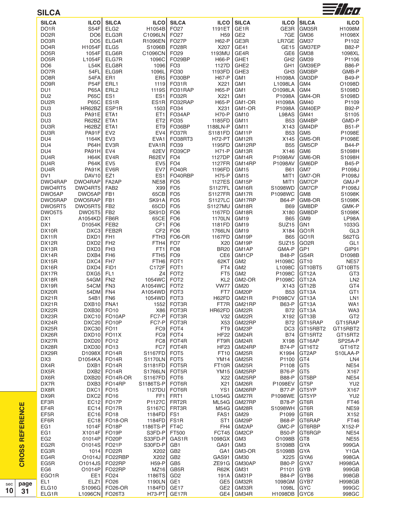| <b>SILCA</b>             |                                     |                             |                                    |                                      |                         |                                    |                           |                               | $\equiv$ //H $\eta$        |
|--------------------------|-------------------------------------|-----------------------------|------------------------------------|--------------------------------------|-------------------------|------------------------------------|---------------------------|-------------------------------|----------------------------|
| <b>SILCA</b>             | <b>ILCO</b>                         | <b>SILCA</b>                | <b>ILCO</b>                        | <b>SILCA</b>                         | <b>ILCO</b>             | <b>SILCA</b>                       | <b>ILCO</b>               | <b>SILCA</b>                  | <b>ILCO</b>                |
| DO <sub>1</sub> R        | <b>S54F</b>                         | ELG <sub>2</sub>            | H1054B                             | FO <sub>27</sub>                     | 1191ET                  | GE1R                               | GE3R                      | GM35R                         | H1098M                     |
| DO <sub>2</sub> R        | DO <sub>6</sub>                     | ELG3R                       | C1096LN                            | FO <sub>27</sub>                     | H <sub>59</sub>         | GE <sub>2</sub>                    | 7GE                       | GM <sub>36</sub>              | H1098X                     |
| DO3R                     | DO <sub>5</sub>                     | ELG4R                       | R1096EN                            | FO <sub>27</sub> P                   | H62-P                   | GE3R                               | LR7GE                     | GM37                          | P1102                      |
| DO <sub>4</sub> R        | H1054F                              | ELG5                        | S1096B                             | <b>FO28R</b>                         | X207                    | GE41                               | GE <sub>15</sub>          | GM37EP                        | <b>B82-P</b>               |
| DO <sub>5</sub> R        | 1054F                               | ELG6R                       | C1096CN                            | FO <sub>29</sub>                     | 1193MU                  | GE4R                               | GE <sub>6</sub>           | GM38                          | 1098XL                     |
| DO <sub>5</sub> R        | L1054F                              | ELG7R                       | 1096C                              | FO29BP                               | H66-P                   | GHE1                               | GH <sub>2</sub>           | GM39                          | P1106                      |
| DO <sub>6</sub>          | L54K                                | ELG8R                       | 1096                               | FO <sub>3</sub>                      | 1127D                   | GHE <sub>2</sub>                   | GH <sub>1</sub>           | GM39EP                        | <b>B86-P</b>               |
| DO7R<br>DO8R             | 54FL                                | ELG9R<br>ER1                | 1096L                              | FO30<br>FO30BP                       | 1193FD<br><b>H67-P</b>  | GHE3                               | GH <sub>3</sub><br>H1098A | <b>GM3BP</b><br><b>GM3DP</b>  | GMB-P                      |
| DO <sub>9</sub> R        | 54FA<br>P54F                        | ERL1                        | ER <sub>5</sub><br>1119            | <b>FO31R</b>                         | X221                    | GM <sub>1</sub><br>GM1             | L1098LA                   | GM4                           | <b>B49-P</b><br>O1098D     |
| DU <sub>1</sub>          | <b>P65A</b>                         | ERL <sub>2</sub>            | 1119S                              | FO31RAP                              | H65-P                   | GM1                                | O1098LA                   | GM4                           | S1098D                     |
| DU <sub>2</sub>          | <b>P65C</b>                         | ES1                         | ES <sub>1</sub>                    | FO32R                                | X221                    | GM <sub>1</sub>                    | P1098A                    | GM4-OR                        | S1098D                     |
| DU2R                     | <b>P65C</b>                         | ES <sub>1</sub> R           | ES1R                               | FO32RAP                              | H65-P                   | GM1-OR                             | H1098A                    | GM40                          | P1109                      |
| DU <sub>3</sub>          | HR62BZ                              | ESP1R                       | 1503                               | FO34                                 | X231                    | GM1-OR                             | P1098A                    | GM40EP                        | <b>B92-P</b>               |
| DU <sub>3</sub>          | PA91E                               | ETA1                        | ET1                                | FO34AP                               | <b>H70-P</b>            | <b>GM10</b>                        | L98AS                     | GM41                          | S1105                      |
| DU <sub>3</sub>          | R62BZ                               | ETA1<br>ETA1                | ET <sub>2</sub>                    | FO35                                 | 1185FD                  | GM <sub>11</sub>                   | <b>B53</b>                | GM4BP<br>GM4DP                | GMD-P<br><b>B51-P</b>      |
| DU3R<br>DU3R             | H62BZ<br>PA91F                      | EV <sub>2</sub>             | ET9<br>EV4                         | FO36BP<br>FO37R                      | 1188LN-P<br>S1181FD     | GM11<br>GM11P                      | X143<br><b>B53</b>        | GM <sub>5</sub>               | P1098E                     |
| DU <sub>4</sub>          | 1164K                               | EV <sub>3</sub>             | EVA1                               | FO38RT3                              | <b>H72-PT</b>           | GM12R                              | X145                      | <b>GM5-OR</b>                 | P1098E                     |
| DU <sub>4</sub>          | <b>P64H</b>                         | EV3R                        | EVA1R                              | FO39                                 | 1195FD                  | GM12RP                             | <b>B55</b>                | <b>GM5CP</b>                  | <b>B44-P</b>               |
| DU <sub>4</sub>          | PA91H                               | EV4                         | 62EV                               | FO39CP                               | <b>H71-P</b>            | GM13R                              | X146                      | GM <sub>6</sub>               | S1098H                     |
| DU4R                     | <b>H64K</b>                         | EV4R                        | R62EV                              | FO <sub>4</sub>                      | 1127DP                  | GM14R                              | P1098AV                   | <b>GM6-OR</b>                 | S1098H                     |
| DU4R                     | <b>P64K</b>                         | EV <sub>5</sub>             | EV <sub>5</sub>                    | FO <sub>4</sub>                      | 1127FR                  | GM14RP                             | P1098AV                   | GM6DP                         | <b>B45-P</b>               |
| DU4R<br>DV <sub>1</sub>  | <b>PA91K</b><br>DAV <sub>10</sub>   | EV6R<br>EZ1                 | EV7                                | FO <sub>40</sub> R<br>FO40RBP        | 1196FD                  | GM15                               | <b>B61</b>                | GM7<br>GM7-OR                 | P1098J                     |
| DWO4RAP                  | DWO4RAP                             | FA <sub>2</sub> AP          | ES <sub>1</sub><br><b>NE58</b>     | FO <sub>5</sub>                      | <b>H75-P</b><br>1127ES  | GM15<br>GM15P                      | MIT <sub>1</sub><br>MIT1  | GM7CP                         | P1098J<br>GMJ-P            |
| DWO4RT5                  | DWO4RT5                             | FAB <sub>2</sub>            | X99                                | FO <sub>5</sub>                      | S1127FL                 | GM16R                              | S1098WD                   | <b>GM7CP</b>                  | P1098J                     |
| DWO5AP                   | DWO5AP                              | FB1                         | 65CB                               | FO <sub>5</sub>                      | <b>S1127FR</b>          | GM17R                              | P1098WC                   | GM8                           | S1098K                     |
| DWO5RAP                  | DWO5RAP                             | FB1                         | SK91A                              | FO <sub>5</sub>                      | S1127LC                 | GM17RP                             | <b>B64-P</b>              | GM8-OR                        | S1098K                     |
| DWO5RT5                  | DWO5RT5                             | FB <sub>2</sub>             | 65CD                               | FO <sub>5</sub>                      | <b>S1127MU</b>          | GM18R                              | <b>B69</b>                | GM8DP                         | GMK-P                      |
| DWO5T5                   | DWO5T5                              | FB <sub>2</sub>             | SK91D                              | FO <sub>6</sub>                      | 1167FD                  | GM18R                              | X180                      | GM8DP                         | S1098K                     |
| DX1<br>DX1               | A1054KD                             | FB6R<br>FEB <sub>2</sub>    | 65CE                               | FO <sub>6</sub>                      | 1170LN<br>1181FD        | <b>GM19</b><br>GM <sub>19</sub>    | <b>B65</b>                | GM9<br>GN <sub>1</sub>        | LP98A                      |
| DX10R                    | D1054K<br>DXC3                      | FEB2R                       | CF <sub>1</sub><br>CF <sub>2</sub> | FO <sub>6</sub><br>FO <sub>6</sub>   | 1766LN                  | <b>GM19</b>                        | SUZ <sub>15</sub><br>X184 | GO <sub>1R</sub>              | 1033G<br>GL <sub>3</sub>   |
| DX11R                    | DXD1                                | FH <sub>1</sub>             | FTH <sub>3</sub>                   | FO6-OR                               | 1167FD                  | GM19P                              | <b>B65</b>                | GO <sub>1</sub> R             | S62TG                      |
| DX12R                    | DXD <sub>2</sub>                    | FH <sub>2</sub>             | FTH4                               | FO <sub>7</sub>                      | X20                     | GM19P                              | SUZ <sub>15</sub>         | GO <sub>2R</sub>              | GL <sub>1</sub>            |
| DX13R                    | DXD3                                | FH <sub>3</sub>             | FT <sub>1</sub>                    | FO <sub>8</sub>                      | <b>BR20</b>             | GM1AP                              | GMA-P                     | GP1                           | GIP91                      |
| DX14R                    | DXB4                                | FH <sub>6</sub>             | FTH <sub>5</sub>                   | FO <sub>9</sub>                      | CE <sub>6</sub>         | GM <sub>1</sub> CP                 | <b>B48-P</b>              | IGS4R                         | D1098B                     |
| <b>DX15R</b>             | DXC4                                | FH <sub>7</sub>             | FTH <sub>6</sub>                   | FOT <sub>1</sub>                     | 62KT                    | GM <sub>2</sub>                    | H1098C                    | GT <sub>10</sub>              | <b>NE57</b>                |
| DX16R<br>DX17R           | DXD4<br>DXG5                        | FID1<br>FL <sub>1</sub>     | C172F<br>Z4                        | FOT <sub>1</sub><br>FOT <sub>2</sub> | FT4<br>FT <sub>5</sub>  | GM <sub>2</sub><br>GM <sub>2</sub> | L1098C<br>P1098C          | GT10BT5<br>GT <sub>12</sub> A | GT10BT5<br>GT <sub>3</sub> |
| DX18R                    | 54GM                                | FN <sub>2</sub>             | 1054WC                             | FOT <sub>2</sub>                     | KL <sub>2</sub>         | GM2-OR                             | P1098C                    | GT <sub>12</sub> A            | LN <sub>2</sub>            |
| DX19R                    | 54CM                                | FN <sub>3</sub>             | A1054WC                            | FOT <sub>2</sub>                     | <b>VW77</b>             | <b>GM20</b>                        | X143                      | GT <sub>12B</sub>             | GT4                        |
| DX20R                    | 54DM FN4                            |                             | A1054WD                            | FOT <sub>3</sub>                     | FT7                     | GM20P                              |                           | B53 GT13A                     | GT1                        |
| DX21R                    | 54B1 FN6                            |                             | 1054WD FOT3                        |                                      | H62FD                   | GM21R                              | P1098CV GT13A             |                               | LN1                        |
| DX21R                    | DXB <sub>10</sub> FNA <sub>1</sub>  |                             |                                    | 1552 FOT3R                           |                         | FT7R GM21RP                        |                           | <b>B63-P GT13A</b>            | WA1                        |
| DX22R                    | DXB30 FO10                          |                             |                                    | X86 FOT3R                            | HR62FD                  | GM22R                              |                           | B72 GT13A                     | WA3                        |
| DX23R<br>DX24R           | DXC <sub>20</sub>                   | DXC10 FO10AP<br>FO10P       |                                    | FC7-P FOT3R<br>FC7-P FOT3R           | V32 l<br>X53            | GM22R<br>GM22RP                    |                           | X192 GT13B<br>B72 GT15RAP     | GT <sub>2</sub><br>GT15RAP |
| DX25R                    | DXC30 FO11                          |                             |                                    | FC9 FOT4                             | FT9                     | GM23P                              |                           | DC3 GT15RBT2                  | GT15RBT2                   |
| DX26R                    | DXD10 FO11X                         |                             |                                    | FC9 FOT4                             | HF22                    | GM24R                              |                           | B74 GT15RT2                   | GT15RT2                    |
| DX27R                    | $DXD20$ FO12                        |                             |                                    | FC8 FOT4R                            | FT9R                    | GM24R                              |                           | X198 GT16AP                   | SP25A-P                    |
| DX28R                    | DXD30 FO13                          |                             |                                    | FC7 FOT4R                            |                         | HF23 GM24RP                        |                           | <b>B74-P IGT16T2</b>          | GT16T2                     |
| DX29R                    | D <sub>1098</sub> X                 | FO14R                       | S1167FD FOT5                       |                                      |                         | FT10   GM25R                       |                           | K1994 GT2AP                   | S10LAA-P                   |
| DX3<br>DX4R              | $D1054KA$ FO14R<br>DXB <sub>1</sub> | FO14R                       | $S1170LN$ FOT5<br>S1181FD FOT5R    |                                      | YM14<br>FT10R           | GM25R<br>GM25R                     | P1100 GT4<br>P1108        | GT5                           | LN4<br><b>NE54</b>         |
| DX5R                     |                                     | DXB2 FO14R                  | $S1766LN$ FOT5R                    |                                      | YM <sub>15</sub>        | GM25RP                             | <b>B76-P</b>              | IGT5                          | X167                       |
| DX6R                     |                                     | DXB20 FO14R-OR              | S1167FD FOT6                       |                                      |                         | X22   GM25RP                       | <b>B88-P</b>              | <b>IGT5BP</b>                 | <b>NE54</b>                |
| DX7R                     |                                     | DXB3 FO14RP                 | S1186TS-P FOT6R                    |                                      | X21                     | GM26R                              | P1098EV                   | GT5P                          | YU <sub>2</sub>            |
| DX8R                     | $DXC1$ FO15                         |                             | 1127DU FOT6R                       |                                      | YS1                     | GM26RP                             | <b>B77-P</b>              | GT5YP                         | X167                       |
| DX9R                     | $DXC2$ FO16                         |                             | FF <sub>1</sub>                    | FRT1                                 | L1054G                  | GM27R                              | P1098WE GT5YP             |                               | YU <sub>2</sub>            |
| EF3R                     |                                     | $EC12$ FO17P                | P1127C FRT2R                       |                                      |                         | ML54G   GM27RP                     | <b>B78-P</b>              | GT6R                          | FT46                       |
| EF4R                     |                                     | $EC14$ FO17R                | S1167C                             | FRT3R                                | M54G                    | GM28R                              | S1098WH GT6R              |                               | <b>NE59</b>                |
| EF5R<br>EF6R             |                                     | $EC16$ FO18<br>EC18 FO18-OR | 1184FD FS1<br>1184FD FS1R          |                                      | FAS1<br>ST <sub>1</sub> | GM29<br>GM29P                      | P1099<br><b>B68-P</b>     | <b>IGT6R</b><br>GT6RAP        | X152<br><b>FT46</b>        |
| EG1                      |                                     | 1014F FO18P                 | 1186TS-P FT4C                      |                                      | FH4                     | GM2AP                              |                           | GMC-P GT6RBP                  | X152-P                     |
| EG1                      | X1014F FO19P                        |                             | S3FD-P FT500                       |                                      | FCT45                   | GM2CP                              |                           | B50-P GT6RGP                  | <b>NE54</b>                |
| EG <sub>2</sub>          | 01014P FO20P                        |                             | S33FD-P                            | GAS1R                                | 1098GX                  | GM3                                | O1098B GT8                |                               | <b>NE55</b>                |
| EG2R                     | 01014S FO21P                        |                             | S30FD-P                            | GB1                                  | GA91                    | GM3                                | S1098B GYA                |                               | 999GA                      |
| EG3R                     |                                     | 1014 FO22R                  | X202                               | GB <sub>2</sub>                      | GA1                     | GM3-OR                             | S1098B                    | GYA                           | Y1GA                       |
| EG4R                     |                                     | 01014J FO22RBP              | X202                               | GB <sub>2</sub>                      | GAS91                   | GM30                               | X225                      | GYA6                          | 998GA                      |
| EG5R                     | 01014JS FO22RP                      |                             | $H59-PI$                           | GB5                                  | ZE91G                   | GM30AP                             | <b>B80-P</b>              | IGYA7                         | <b>H998GA</b>              |
| EG <sub>6</sub><br>EGO1R |                                     | 01014P FO22RP<br>EE1 FO24   | 1186TS GD2                         | $MZ16$ GB5R                          | R62K<br>191A            | GM31<br>GM31P                      | P1101 GYB<br>B84-P GYB6   |                               | 999GB<br>998GB             |
| EL <sub>1</sub>          | ELZ1 FO26                           |                             | 1190LN GE1                         |                                      |                         | GE5   GM32R                        | 1098GM GYB7               |                               | <b>H998GB</b>              |
| ELG10                    | S1096G FO26-OR                      |                             | 1184FD GE17                        |                                      |                         | GE2   GM33R                        | 1098L GYC                 |                               | 999GC                      |
| ELG1R                    | L1096CN FO26T3                      |                             |                                    | $H73-PT$ GE17R                       |                         | GE4   GM34R                        | H1098DB GYC6              |                               | 998GC                      |
|                          |                                     |                             |                                    |                                      |                         |                                    |                           |                               |                            |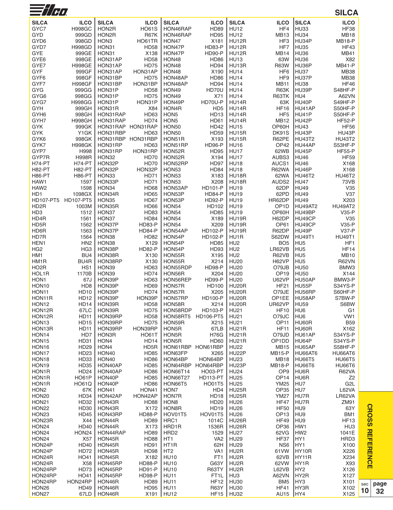| <b>SILCA</b><br><b>SILCA</b><br><b>SILCA</b><br><b>SILCA</b><br><b>ILCO</b><br><b>SILCA</b><br><b>ILCO</b><br><b>ILCO</b><br><b>ILCO</b><br><b>ILCO</b><br>GYC7<br><b>HO61S</b><br><b>HD89</b><br>HF4<br>HU33<br><b>HF38</b><br><b>H998GC</b><br>HON2R<br>HON46RAP<br><b>HU12</b><br><b>HU34</b><br>GYD<br>999GD<br>HON2R<br><b>R67K</b><br>HON46RAP<br><b>HD95</b><br><b>HU12</b><br><b>MB13</b><br><b>MB18</b><br>HF <sub>3</sub><br>HU34P<br><b>MB18-P</b><br>GYD <sub>6</sub><br>998GD<br>HON <sub>3</sub><br>HO61TR<br>HON47<br>X181<br>HU12R<br>GYD7<br><b>H998GD</b><br>HON31<br><b>HD58</b><br>HON47P<br><b>HD83-P</b><br>HU12R<br>HF7<br><b>HU35</b><br><b>HF43</b><br><b>GYE</b><br>999GE<br>X138<br>HON31<br>HON47P<br>HD90-P<br>HU12R<br><b>MB14</b><br><b>HU36</b><br>MB41<br>998GE<br><b>HD58</b><br>HON48<br>63W<br>HU36<br>X82<br>GYE <sub>6</sub><br>HON31AP<br><b>HD86</b><br><b>HU13</b><br><b>HD75</b><br><b>MB41-P</b><br>GYE7<br><b>H998GE</b><br>HON31AP<br>HON48<br><b>HD94</b><br>HU13R<br><b>R63W</b><br>HU36P<br>GYF<br>999GF<br>HON31AP<br>HON31AP<br>HON48<br>X190<br><b>HU14</b><br>HF <sub>6</sub><br><b>HU37</b><br><b>MB38</b><br>GYF <sub>6</sub><br>998GF<br>HON31BP<br><b>HD75</b><br>HON48AP<br><b>HU14</b><br>HF9<br>HU37P<br><b>MB38</b><br>HD86<br><b>HU38</b><br><b>HF46</b><br>GYF7<br><b>H998GF</b><br>HON31BP<br>HON31BP<br>HON48AP<br>HD94<br><b>HU14</b><br><b>MB11</b><br>HON49<br>HU39P<br>S48HF-P<br>GYG<br>999GG<br>HON31P<br><b>HD58</b><br>HD70U<br><b>HU14</b><br><b>R63K</b><br>998GG<br><b>HD75</b><br>HU4<br>GYG6<br>HON31P<br>HON49<br>X71<br><b>HU14</b><br>R63TK<br>A62VN<br>HD70U-P<br>HU40P<br>GYG7<br><b>H998GG</b><br>HON31P<br>HON31P<br>HON49P<br>HU14R<br>63K<br>S49HF-P<br>GYH<br>999GH<br>HON31R<br>X84<br>HON4R<br>HD <sub>5</sub><br>HU14R<br><b>HF16</b><br>HU41AP<br>S50HF-P<br>HD63<br>HON <sub>5</sub><br>HF <sub>5</sub><br>HU41P<br>GYH <sub>6</sub><br>998GH<br>HON31RAP<br>HD <sub>13</sub><br>HU14R<br>S50HF-P<br>GYH7<br><b>H998GH</b><br>HON31RAP<br><b>HD74</b><br>HON <sub>5</sub><br>HU14R<br><b>MB12</b><br>HU42P<br><b>HF52-P</b><br>HD61<br>HON31RAP HON31RAP<br><b>GYK</b><br>999GK<br><b>HON50</b><br><b>HD42</b><br><b>HU15</b><br>OP60H<br><b>HU43</b><br><b>HF56</b><br>HU43P<br>HU43P<br><b>GYK</b><br>Y1GK<br>HON31RBP<br>HD63<br><b>HON50</b><br><b>HD59</b><br>HU15R<br>DK91S<br>998GK<br>HON31RBP HON31RBP<br>R62PE<br><b>HU43T2</b><br><b>HU43T2</b><br>GYK6<br>HON51R<br>X193<br>HU15R<br>HU44AP<br>GYK7<br><b>H998GK</b><br>HON31RP<br>HD63<br>HON51RP<br>HD96-P<br><b>HU16</b><br>OP42<br>S53HF-P<br>HON31RP<br>GYP7<br>H998<br>HON31RP<br>HON52R<br>HD95<br><b>HU17</b><br>62WB<br>HU45P<br><b>HF55-P</b><br><b>HU46</b><br>GYP7R<br><b>H998R</b><br>HON32<br><b>HD70</b><br>HON52R<br>X194<br><b>HU17</b><br>AUBS3<br><b>HF59</b><br>H74-PT<br>HON32P<br><b>HD70</b><br>HON52RP<br><b>HU46</b><br><b>H74-PT</b><br>HD97<br>HU <sub>18</sub><br>AUCS <sub>1</sub><br>X168<br>HON32P<br><b>H82-PT</b><br><b>H82-PT</b><br>HON32P<br>HON <sub>53</sub><br><b>HD84</b><br><b>HU18</b><br><b>R62WA</b><br>HU46P<br>X168<br><b>H86-PT</b><br><b>H86-PT</b><br>HON33<br><b>HD71</b><br>HON <sub>53</sub><br>X183<br>HU18R<br>62WA<br><b>HU46T2</b><br><b>HU46T2</b><br><b>HD71</b><br><b>HU47</b><br>HAW1<br>1597<br>HON33P<br>HON <sub>53</sub><br>X208<br>HU18R<br>AUDS2<br>73VB<br><b>HU49</b><br>HAW <sub>2</sub><br>1598<br>HON34<br><b>HD68</b><br>HON53AP<br><b>HD101-P</b><br><b>HU19</b><br>62DP<br>V35<br>1098GX<br>62PD<br><b>HU49</b><br>H <sub>D</sub> 1<br>HON34R<br><b>HD65</b><br>HON53P<br><b>HD84-P</b><br><b>HU19</b><br>V37<br>HD107-PT5<br>HR62DP<br><b>HU49</b><br>HD107-PT5<br>HON35<br><b>HD67</b><br>HON53P<br>HD92-P<br><b>HU19</b><br>X203<br>HD <sub>2</sub> R<br>HON35R<br><b>HD66</b><br>HON54<br><b>HU19</b><br>OP <sub>1</sub> D<br>HU49AT2<br><b>HU49AT2</b><br>1003M<br>HD102<br>V35-P<br>HD <sub>3</sub><br>1512<br>HON37<br>HD83<br>HON <sub>54</sub><br><b>HD85</b><br><b>HU19</b><br>OP60H<br>HU49BP<br>HD4R<br>1561<br>HON37<br><b>HD84</b><br>HON54<br>X189<br>HU19R<br>H62DP<br>HU49CP<br>V35<br><b>HD83-P</b><br>HON54<br>X209<br>OP61<br>HU49CP<br>$V35-P$<br>HD5R<br>1562<br>HON37P<br>HU19R<br>HU49P<br><b>V37-P</b><br>HD6R<br>1563<br>HON37P<br><b>HD84-P</b><br>HON54AP<br><b>HD102-P</b><br>HU19R<br>R62DP<br><b>HU49T1</b><br>HD7R<br>1564<br>HON38<br><b>HD82</b><br>HON54P<br><b>HD102-P</b><br>HU1R<br>S62DW<br><b>HU49T1</b><br>X129<br>HEN1<br>HN <sub>2</sub><br>HON38<br>HON54P<br><b>HD85</b><br>HU <sub>2</sub><br>BO <sub>5</sub><br>HU <sub>5</sub><br>HF <sub>1</sub><br>LR62VB<br>HU <sub>5</sub><br><b>HF14</b><br>HG <sub>2</sub><br>HG <sub>3</sub><br>HON38P<br><b>HD82-P</b><br>HON54P<br>HD93<br>HU <sub>2</sub><br>HU <sub>5</sub><br>HM <sub>1</sub><br>BU4<br>HON38R<br>X130<br>HON55R<br>X195<br>HU <sub>2</sub><br>R62VB<br><b>MB10</b><br>BU <sub>4</sub> R<br>HON38RP<br>X130<br>HON55R<br>X214<br><b>HU20</b><br>H62VP<br>HU <sub>5</sub><br><b>R62VN</b><br>HM1R<br>HO <sub>2</sub> R<br>HS <sub>1</sub><br>HON39<br>HD63<br>HON55RDP<br>HD98-P<br><b>HU20</b><br>O79JB<br><b>HU50</b><br>BMW3<br>HOL1R<br>1170B<br>HON39<br><b>HD74</b><br>HON56R<br>X204<br><b>HU20</b><br>OP <sub>19</sub><br><b>HU50</b><br>X144<br><b>U62VP</b><br>HON <sub>1</sub><br>67J<br>HON39P<br>HD63<br>HON56REP<br><b>HD99-P</b><br><b>HU20</b><br>HU50AP<br>BMW3-P<br>HU55P<br>HON10<br>HD <sub>8</sub><br>HON39P<br><b>HD69</b><br>HON57R<br><b>HD100</b><br>HU20R<br><b>HF21</b><br>S34YS-P<br>HON <sub>11</sub><br><b>HD10</b><br>HON39P<br><b>HD74</b><br>X205<br>HU20R<br>O79JE<br>HU56RP<br>S60HF-P<br>HON57R<br><b>HD100-P</b><br>OP1EE<br><b>HD12</b><br>HON39P<br>HON39P<br>HU20R<br>HU58AP<br>S7BW-P<br>HON11R<br>HON57RP<br>HON <sub>12</sub><br><b>HD14</b><br>HON39R<br><b>HD58</b><br>HON58R<br>X214<br>HU20R<br>UR62VP<br><b>HU59</b><br>S6BW<br><b>HD75</b><br>HD103-P<br>HON12R<br>67LC<br>HON39R<br>HON58RDP<br><b>HU21</b><br><b>HF10</b><br>HU <sub>6</sub><br>G <sub>1</sub><br>VW1<br><b>HD11</b><br>HON39RP<br><b>HD58</b><br>HD106-PT5<br><b>HU21</b><br>O79JC<br>HU <sub>6</sub><br>HON12R<br>HON58RT5<br><b>HD75</b><br><b>B59</b><br>HON <sub>13</sub><br><b>HD15</b><br>HON39RP<br>HON59R<br>X215<br><b>HU21</b><br>OP <sub>11</sub><br>HU60R<br>HU60R<br>HON13R<br><b>HD11</b><br>HON39RP<br>HON39RP<br>HON5R<br>67LB<br>HU21R<br><b>HF11</b><br>X162<br>S34YS-P<br>HON14<br>HD7<br>HON3R<br><b>HO61T</b><br>HON5R<br><b>H76G</b><br>HU21R<br>O79JD<br>HU61AP<br>HU64P<br>HON <sub>15</sub><br><b>HD31</b><br>HON4<br><b>HD14</b><br>HON5R<br><b>HD60</b><br><b>HU21R</b><br>OP1DD<br>S34YS-P<br>HON4<br>HON <sub>16</sub><br>HD <sub>29</sub><br>HD5R<br>HON61RBP<br>HON61RBP<br>HU22<br><b>MB15</b><br>HU65AP<br>S58HF-P<br>HON <sub>17</sub><br>HD <sub>23</sub><br>HON40<br><b>HD85</b><br>HON63FP<br>X265<br>HU22P<br><b>MB15-P</b><br>HU66AT6<br>HU66AT6<br>HON <sub>18</sub><br>HD33<br>HON40<br><b>HD86</b><br>HON64BP<br>HON64BP<br><b>HU23</b><br><b>MB18</b><br><b>HU66T5</b><br><b>HU66T5</b><br><b>HU66T6</b><br>HON <sub>19</sub><br><b>HD35</b><br>HON40AP<br><b>HD85</b><br>HON64RBP HON64RBP<br>HU23P<br><b>MB18-P</b><br><b>HU66T6</b><br>HON1R<br>HD24<br>HON40AP<br><b>HD86</b><br><b>HO03-PT</b><br><b>HU24</b><br>OP <sub>9</sub><br>HU6R<br><b>R62VA</b><br><b>HON66T14</b><br>HON1R<br><b>HO61P</b><br>HON40P<br><b>HD85</b><br><b>HON66T27</b><br><b>HD113-PT</b><br><b>HU25</b><br>OP <sub>14</sub><br>HU6R<br>Z2<br><b>YM25</b><br>HU7<br>G <sub>2</sub> L<br>HON1R<br><b>HO61Q</b><br>HON40P<br><b>HD86</b><br>HON66T5<br><b>HO01T5</b><br><b>HU25</b><br>L62VA<br>HON <sub>2</sub><br><b>OP35</b><br>HU7<br>67K<br>HON41<br>HON41<br>HON7<br>HD4<br>HU25R<br>HON <sub>20</sub><br>HD34<br>HON42AP<br>HON42AP<br>HON7R<br><b>HD18</b><br><b>HU25R</b><br><b>YM27</b><br>HU7R<br>LR62VA<br>HON21<br><b>HD32</b><br>HON43R<br>HON <sub>8</sub><br><b>HD20</b><br><b>HU26</b><br><b>HF47</b><br>HU7R<br>ZM91<br>HD88<br>X172<br>HD19<br><b>HU26</b><br><b>HF50</b><br>HU9<br><b>HON22</b><br>HD30<br>HON43R<br>HON8R<br>63Y<br>HU9<br>HON <sub>23</sub><br><b>HD45</b><br>HON43RP<br><b>HD88-P</b><br>HOV01T5<br>HOV01T5<br><b>HU26</b><br>OP <sub>13</sub><br>BM1<br>HU9<br><b>HF13</b><br>HON23R<br>X44<br>HON44R<br><b>HD89</b><br>HRC1<br>HU26R<br><b>HF49</b><br>1014C<br>HON <sub>24</sub><br>HD40<br>HON44R<br>X173<br>HRD1R<br>1536R<br>HU26R<br>OP36<br>HW1<br>HU <sub>3</sub><br>HON24<br>HON24<br>HON44RAP<br>HRD <sub>2</sub><br>62VG<br>HW <sub>2</sub><br>1041E<br>HD89<br>1529<br>HU27<br>HON24<br>X57<br>HON45R<br><b>HD88</b><br>VA <sub>2</sub><br><b>HU29</b><br>HF37<br>HY1<br>HRD3<br>HT <sub>1</sub><br>HON24P<br>HD40<br>HON45R<br>HT1R<br>62H<br><b>HU29</b><br>NS <sub>6</sub><br>HY1<br>X100<br>HD91<br>HON24P<br><b>HD72</b><br>HON45R<br><b>HD98</b><br>HT <sub>2</sub><br>VA <sub>1</sub><br>HU2R<br>61 VW<br>HY10R<br>X226<br><b>HU10</b><br>HO41<br>HON45R<br>X182<br>FT <sub>1</sub><br>HU2R<br>62VB<br>HY11R<br>X234<br>HON24R<br>X58<br>X93<br>HON24R<br>HON45RP<br><b>HD88-P</b><br><b>HU10</b><br>G63Y<br>HU2R<br>62VW<br>HY1R<br>HON24RP<br>HD73<br>HON45RP<br><b>HD91-P</b><br><b>HU10</b><br>R63TY<br>HU2R<br>L62VB<br>HY <sub>2</sub><br>X126<br>HO41<br>HON45RP<br><b>HD98-P</b><br><b>HU11</b><br>FT <sub>1</sub> L<br>HU <sub>3</sub><br>A62VN<br>HY2R<br>X127<br>HON24RP<br>HON24RP<br>HON46R<br><b>HD89</b><br><b>HU11</b><br><b>HU30</b><br>BM <sub>5</sub><br>HY3<br>HON24RP<br><b>HF12</b><br>X101<br>HON26<br>HON46R<br><b>HU11</b><br><b>R63Y</b><br><b>HU30</b><br><b>HF41</b><br>HY3R<br>X102<br>HD49<br>HD <sub>95</sub><br>HON <sub>27</sub><br>67LD   HON46R<br>X191<br>$ $ HU12<br>HF15   HU32<br>AU15<br>HY4<br>X125 | $\equiv$ //H) |  |  |  |  | <b>SILCA</b> |
|--------------------------------------------------------------------------------------------------------------------------------------------------------------------------------------------------------------------------------------------------------------------------------------------------------------------------------------------------------------------------------------------------------------------------------------------------------------------------------------------------------------------------------------------------------------------------------------------------------------------------------------------------------------------------------------------------------------------------------------------------------------------------------------------------------------------------------------------------------------------------------------------------------------------------------------------------------------------------------------------------------------------------------------------------------------------------------------------------------------------------------------------------------------------------------------------------------------------------------------------------------------------------------------------------------------------------------------------------------------------------------------------------------------------------------------------------------------------------------------------------------------------------------------------------------------------------------------------------------------------------------------------------------------------------------------------------------------------------------------------------------------------------------------------------------------------------------------------------------------------------------------------------------------------------------------------------------------------------------------------------------------------------------------------------------------------------------------------------------------------------------------------------------------------------------------------------------------------------------------------------------------------------------------------------------------------------------------------------------------------------------------------------------------------------------------------------------------------------------------------------------------------------------------------------------------------------------------------------------------------------------------------------------------------------------------------------------------------------------------------------------------------------------------------------------------------------------------------------------------------------------------------------------------------------------------------------------------------------------------------------------------------------------------------------------------------------------------------------------------------------------------------------------------------------------------------------------------------------------------------------------------------------------------------------------------------------------------------------------------------------------------------------------------------------------------------------------------------------------------------------------------------------------------------------------------------------------------------------------------------------------------------------------------------------------------------------------------------------------------------------------------------------------------------------------------------------------------------------------------------------------------------------------------------------------------------------------------------------------------------------------------------------------------------------------------------------------------------------------------------------------------------------------------------------------------------------------------------------------------------------------------------------------------------------------------------------------------------------------------------------------------------------------------------------------------------------------------------------------------------------------------------------------------------------------------------------------------------------------------------------------------------------------------------------------------------------------------------------------------------------------------------------------------------------------------------------------------------------------------------------------------------------------------------------------------------------------------------------------------------------------------------------------------------------------------------------------------------------------------------------------------------------------------------------------------------------------------------------------------------------------------------------------------------------------------------------------------------------------------------------------------------------------------------------------------------------------------------------------------------------------------------------------------------------------------------------------------------------------------------------------------------------------------------------------------------------------------------------------------------------------------------------------------------------------------------------------------------------------------------------------------------------------------------------------------------------------------------------------------------------------------------------------------------------------------------------------------------------------------------------------------------------------------------------------------------------------------------------------------------------------------------------------------------------------------------------------------------------------------------------------------------------------------------------------------------------------------------------------------------------------------------------------------------------------------------------------------------------------------------------------------------------------------------------------------------------------------------------------------------------------------------------------------------------------------------------------------------------------------------------------------------------------------------------------------------------------------------------------------------------------------------------------------------------------------------------------------------------------------------------------------------------------------------------------------------------------------------------------------------------------------------------------------------------------------------------------------------------------------------------------------------------------------------------------------------------------------------------------------------------------------------------------------------------------------------------------------------------------------------------------------------------------------------------------------------------------------------------------------------------------------------------------------------------------------------------------------------------------------------------------------------------------------------------------------------------------------------------------------------------------------------------------------------------------------------------------------------------------------------------------------------------------------------------------------------------------------------------------------------------------------------------------------------------------------------------------------------------------------------------------------------------------------------------------------------------------------------------------------------------------------------------------------------------------------------------------------------------------------------------------------------------------------------------------------------------------------------------------------------------------------------------------------------------------------------------------------------------------------------------------------------------------------------------------------------------------------------------------------------------------------------------------------------------------------------------------------------------------------------------------------------------------------------------------------------------------------------------------------------------------------------------------------------------------------------------------------------------------------------------------------------------------------------------------------------------------------------------------------------------------------------------------------------------------------------------------------------------------------------------------------------------------------------------------------------------------------------------------------------------------------------------------------------------|---------------|--|--|--|--|--------------|
|                                                                                                                                                                                                                                                                                                                                                                                                                                                                                                                                                                                                                                                                                                                                                                                                                                                                                                                                                                                                                                                                                                                                                                                                                                                                                                                                                                                                                                                                                                                                                                                                                                                                                                                                                                                                                                                                                                                                                                                                                                                                                                                                                                                                                                                                                                                                                                                                                                                                                                                                                                                                                                                                                                                                                                                                                                                                                                                                                                                                                                                                                                                                                                                                                                                                                                                                                                                                                                                                                                                                                                                                                                                                                                                                                                                                                                                                                                                                                                                                                                                                                                                                                                                                                                                                                                                                                                                                                                                                                                                                                                                                                                                                                                                                                                                                                                                                                                                                                                                                                                                                                                                                                                                                                                                                                                                                                                                                                                                                                                                                                                                                                                                                                                                                                                                                                                                                                                                                                                                                                                                                                                                                                                                                                                                                                                                                                                                                                                                                                                                                                                                                                                                                                                                                                                                                                                                                                                                                                                                                                                                                                                                                                                                                                                                                                                                                                                                                                                                                                                                                                                                                                                                                                                                                                                                                                                                                                                                                                                                                                                                                                                                                                                                                                                                                                                                                                                                                                                                                                                                                                                                                                                                                                                                                                                                                                                                                                                                                                                                                                                                                                                                                                                                                                                                                                                                                                                                                                                                                                                                                                                                                                                                                                                                                                                                                  |               |  |  |  |  |              |
|                                                                                                                                                                                                                                                                                                                                                                                                                                                                                                                                                                                                                                                                                                                                                                                                                                                                                                                                                                                                                                                                                                                                                                                                                                                                                                                                                                                                                                                                                                                                                                                                                                                                                                                                                                                                                                                                                                                                                                                                                                                                                                                                                                                                                                                                                                                                                                                                                                                                                                                                                                                                                                                                                                                                                                                                                                                                                                                                                                                                                                                                                                                                                                                                                                                                                                                                                                                                                                                                                                                                                                                                                                                                                                                                                                                                                                                                                                                                                                                                                                                                                                                                                                                                                                                                                                                                                                                                                                                                                                                                                                                                                                                                                                                                                                                                                                                                                                                                                                                                                                                                                                                                                                                                                                                                                                                                                                                                                                                                                                                                                                                                                                                                                                                                                                                                                                                                                                                                                                                                                                                                                                                                                                                                                                                                                                                                                                                                                                                                                                                                                                                                                                                                                                                                                                                                                                                                                                                                                                                                                                                                                                                                                                                                                                                                                                                                                                                                                                                                                                                                                                                                                                                                                                                                                                                                                                                                                                                                                                                                                                                                                                                                                                                                                                                                                                                                                                                                                                                                                                                                                                                                                                                                                                                                                                                                                                                                                                                                                                                                                                                                                                                                                                                                                                                                                                                                                                                                                                                                                                                                                                                                                                                                                                                                                                                                  |               |  |  |  |  |              |
|                                                                                                                                                                                                                                                                                                                                                                                                                                                                                                                                                                                                                                                                                                                                                                                                                                                                                                                                                                                                                                                                                                                                                                                                                                                                                                                                                                                                                                                                                                                                                                                                                                                                                                                                                                                                                                                                                                                                                                                                                                                                                                                                                                                                                                                                                                                                                                                                                                                                                                                                                                                                                                                                                                                                                                                                                                                                                                                                                                                                                                                                                                                                                                                                                                                                                                                                                                                                                                                                                                                                                                                                                                                                                                                                                                                                                                                                                                                                                                                                                                                                                                                                                                                                                                                                                                                                                                                                                                                                                                                                                                                                                                                                                                                                                                                                                                                                                                                                                                                                                                                                                                                                                                                                                                                                                                                                                                                                                                                                                                                                                                                                                                                                                                                                                                                                                                                                                                                                                                                                                                                                                                                                                                                                                                                                                                                                                                                                                                                                                                                                                                                                                                                                                                                                                                                                                                                                                                                                                                                                                                                                                                                                                                                                                                                                                                                                                                                                                                                                                                                                                                                                                                                                                                                                                                                                                                                                                                                                                                                                                                                                                                                                                                                                                                                                                                                                                                                                                                                                                                                                                                                                                                                                                                                                                                                                                                                                                                                                                                                                                                                                                                                                                                                                                                                                                                                                                                                                                                                                                                                                                                                                                                                                                                                                                                                                  |               |  |  |  |  |              |
|                                                                                                                                                                                                                                                                                                                                                                                                                                                                                                                                                                                                                                                                                                                                                                                                                                                                                                                                                                                                                                                                                                                                                                                                                                                                                                                                                                                                                                                                                                                                                                                                                                                                                                                                                                                                                                                                                                                                                                                                                                                                                                                                                                                                                                                                                                                                                                                                                                                                                                                                                                                                                                                                                                                                                                                                                                                                                                                                                                                                                                                                                                                                                                                                                                                                                                                                                                                                                                                                                                                                                                                                                                                                                                                                                                                                                                                                                                                                                                                                                                                                                                                                                                                                                                                                                                                                                                                                                                                                                                                                                                                                                                                                                                                                                                                                                                                                                                                                                                                                                                                                                                                                                                                                                                                                                                                                                                                                                                                                                                                                                                                                                                                                                                                                                                                                                                                                                                                                                                                                                                                                                                                                                                                                                                                                                                                                                                                                                                                                                                                                                                                                                                                                                                                                                                                                                                                                                                                                                                                                                                                                                                                                                                                                                                                                                                                                                                                                                                                                                                                                                                                                                                                                                                                                                                                                                                                                                                                                                                                                                                                                                                                                                                                                                                                                                                                                                                                                                                                                                                                                                                                                                                                                                                                                                                                                                                                                                                                                                                                                                                                                                                                                                                                                                                                                                                                                                                                                                                                                                                                                                                                                                                                                                                                                                                                                  |               |  |  |  |  |              |
|                                                                                                                                                                                                                                                                                                                                                                                                                                                                                                                                                                                                                                                                                                                                                                                                                                                                                                                                                                                                                                                                                                                                                                                                                                                                                                                                                                                                                                                                                                                                                                                                                                                                                                                                                                                                                                                                                                                                                                                                                                                                                                                                                                                                                                                                                                                                                                                                                                                                                                                                                                                                                                                                                                                                                                                                                                                                                                                                                                                                                                                                                                                                                                                                                                                                                                                                                                                                                                                                                                                                                                                                                                                                                                                                                                                                                                                                                                                                                                                                                                                                                                                                                                                                                                                                                                                                                                                                                                                                                                                                                                                                                                                                                                                                                                                                                                                                                                                                                                                                                                                                                                                                                                                                                                                                                                                                                                                                                                                                                                                                                                                                                                                                                                                                                                                                                                                                                                                                                                                                                                                                                                                                                                                                                                                                                                                                                                                                                                                                                                                                                                                                                                                                                                                                                                                                                                                                                                                                                                                                                                                                                                                                                                                                                                                                                                                                                                                                                                                                                                                                                                                                                                                                                                                                                                                                                                                                                                                                                                                                                                                                                                                                                                                                                                                                                                                                                                                                                                                                                                                                                                                                                                                                                                                                                                                                                                                                                                                                                                                                                                                                                                                                                                                                                                                                                                                                                                                                                                                                                                                                                                                                                                                                                                                                                                                                  |               |  |  |  |  |              |
|                                                                                                                                                                                                                                                                                                                                                                                                                                                                                                                                                                                                                                                                                                                                                                                                                                                                                                                                                                                                                                                                                                                                                                                                                                                                                                                                                                                                                                                                                                                                                                                                                                                                                                                                                                                                                                                                                                                                                                                                                                                                                                                                                                                                                                                                                                                                                                                                                                                                                                                                                                                                                                                                                                                                                                                                                                                                                                                                                                                                                                                                                                                                                                                                                                                                                                                                                                                                                                                                                                                                                                                                                                                                                                                                                                                                                                                                                                                                                                                                                                                                                                                                                                                                                                                                                                                                                                                                                                                                                                                                                                                                                                                                                                                                                                                                                                                                                                                                                                                                                                                                                                                                                                                                                                                                                                                                                                                                                                                                                                                                                                                                                                                                                                                                                                                                                                                                                                                                                                                                                                                                                                                                                                                                                                                                                                                                                                                                                                                                                                                                                                                                                                                                                                                                                                                                                                                                                                                                                                                                                                                                                                                                                                                                                                                                                                                                                                                                                                                                                                                                                                                                                                                                                                                                                                                                                                                                                                                                                                                                                                                                                                                                                                                                                                                                                                                                                                                                                                                                                                                                                                                                                                                                                                                                                                                                                                                                                                                                                                                                                                                                                                                                                                                                                                                                                                                                                                                                                                                                                                                                                                                                                                                                                                                                                                                                  |               |  |  |  |  |              |
|                                                                                                                                                                                                                                                                                                                                                                                                                                                                                                                                                                                                                                                                                                                                                                                                                                                                                                                                                                                                                                                                                                                                                                                                                                                                                                                                                                                                                                                                                                                                                                                                                                                                                                                                                                                                                                                                                                                                                                                                                                                                                                                                                                                                                                                                                                                                                                                                                                                                                                                                                                                                                                                                                                                                                                                                                                                                                                                                                                                                                                                                                                                                                                                                                                                                                                                                                                                                                                                                                                                                                                                                                                                                                                                                                                                                                                                                                                                                                                                                                                                                                                                                                                                                                                                                                                                                                                                                                                                                                                                                                                                                                                                                                                                                                                                                                                                                                                                                                                                                                                                                                                                                                                                                                                                                                                                                                                                                                                                                                                                                                                                                                                                                                                                                                                                                                                                                                                                                                                                                                                                                                                                                                                                                                                                                                                                                                                                                                                                                                                                                                                                                                                                                                                                                                                                                                                                                                                                                                                                                                                                                                                                                                                                                                                                                                                                                                                                                                                                                                                                                                                                                                                                                                                                                                                                                                                                                                                                                                                                                                                                                                                                                                                                                                                                                                                                                                                                                                                                                                                                                                                                                                                                                                                                                                                                                                                                                                                                                                                                                                                                                                                                                                                                                                                                                                                                                                                                                                                                                                                                                                                                                                                                                                                                                                                                                  |               |  |  |  |  |              |
|                                                                                                                                                                                                                                                                                                                                                                                                                                                                                                                                                                                                                                                                                                                                                                                                                                                                                                                                                                                                                                                                                                                                                                                                                                                                                                                                                                                                                                                                                                                                                                                                                                                                                                                                                                                                                                                                                                                                                                                                                                                                                                                                                                                                                                                                                                                                                                                                                                                                                                                                                                                                                                                                                                                                                                                                                                                                                                                                                                                                                                                                                                                                                                                                                                                                                                                                                                                                                                                                                                                                                                                                                                                                                                                                                                                                                                                                                                                                                                                                                                                                                                                                                                                                                                                                                                                                                                                                                                                                                                                                                                                                                                                                                                                                                                                                                                                                                                                                                                                                                                                                                                                                                                                                                                                                                                                                                                                                                                                                                                                                                                                                                                                                                                                                                                                                                                                                                                                                                                                                                                                                                                                                                                                                                                                                                                                                                                                                                                                                                                                                                                                                                                                                                                                                                                                                                                                                                                                                                                                                                                                                                                                                                                                                                                                                                                                                                                                                                                                                                                                                                                                                                                                                                                                                                                                                                                                                                                                                                                                                                                                                                                                                                                                                                                                                                                                                                                                                                                                                                                                                                                                                                                                                                                                                                                                                                                                                                                                                                                                                                                                                                                                                                                                                                                                                                                                                                                                                                                                                                                                                                                                                                                                                                                                                                                                                  |               |  |  |  |  |              |
|                                                                                                                                                                                                                                                                                                                                                                                                                                                                                                                                                                                                                                                                                                                                                                                                                                                                                                                                                                                                                                                                                                                                                                                                                                                                                                                                                                                                                                                                                                                                                                                                                                                                                                                                                                                                                                                                                                                                                                                                                                                                                                                                                                                                                                                                                                                                                                                                                                                                                                                                                                                                                                                                                                                                                                                                                                                                                                                                                                                                                                                                                                                                                                                                                                                                                                                                                                                                                                                                                                                                                                                                                                                                                                                                                                                                                                                                                                                                                                                                                                                                                                                                                                                                                                                                                                                                                                                                                                                                                                                                                                                                                                                                                                                                                                                                                                                                                                                                                                                                                                                                                                                                                                                                                                                                                                                                                                                                                                                                                                                                                                                                                                                                                                                                                                                                                                                                                                                                                                                                                                                                                                                                                                                                                                                                                                                                                                                                                                                                                                                                                                                                                                                                                                                                                                                                                                                                                                                                                                                                                                                                                                                                                                                                                                                                                                                                                                                                                                                                                                                                                                                                                                                                                                                                                                                                                                                                                                                                                                                                                                                                                                                                                                                                                                                                                                                                                                                                                                                                                                                                                                                                                                                                                                                                                                                                                                                                                                                                                                                                                                                                                                                                                                                                                                                                                                                                                                                                                                                                                                                                                                                                                                                                                                                                                                                                  |               |  |  |  |  |              |
|                                                                                                                                                                                                                                                                                                                                                                                                                                                                                                                                                                                                                                                                                                                                                                                                                                                                                                                                                                                                                                                                                                                                                                                                                                                                                                                                                                                                                                                                                                                                                                                                                                                                                                                                                                                                                                                                                                                                                                                                                                                                                                                                                                                                                                                                                                                                                                                                                                                                                                                                                                                                                                                                                                                                                                                                                                                                                                                                                                                                                                                                                                                                                                                                                                                                                                                                                                                                                                                                                                                                                                                                                                                                                                                                                                                                                                                                                                                                                                                                                                                                                                                                                                                                                                                                                                                                                                                                                                                                                                                                                                                                                                                                                                                                                                                                                                                                                                                                                                                                                                                                                                                                                                                                                                                                                                                                                                                                                                                                                                                                                                                                                                                                                                                                                                                                                                                                                                                                                                                                                                                                                                                                                                                                                                                                                                                                                                                                                                                                                                                                                                                                                                                                                                                                                                                                                                                                                                                                                                                                                                                                                                                                                                                                                                                                                                                                                                                                                                                                                                                                                                                                                                                                                                                                                                                                                                                                                                                                                                                                                                                                                                                                                                                                                                                                                                                                                                                                                                                                                                                                                                                                                                                                                                                                                                                                                                                                                                                                                                                                                                                                                                                                                                                                                                                                                                                                                                                                                                                                                                                                                                                                                                                                                                                                                                                                  |               |  |  |  |  |              |
|                                                                                                                                                                                                                                                                                                                                                                                                                                                                                                                                                                                                                                                                                                                                                                                                                                                                                                                                                                                                                                                                                                                                                                                                                                                                                                                                                                                                                                                                                                                                                                                                                                                                                                                                                                                                                                                                                                                                                                                                                                                                                                                                                                                                                                                                                                                                                                                                                                                                                                                                                                                                                                                                                                                                                                                                                                                                                                                                                                                                                                                                                                                                                                                                                                                                                                                                                                                                                                                                                                                                                                                                                                                                                                                                                                                                                                                                                                                                                                                                                                                                                                                                                                                                                                                                                                                                                                                                                                                                                                                                                                                                                                                                                                                                                                                                                                                                                                                                                                                                                                                                                                                                                                                                                                                                                                                                                                                                                                                                                                                                                                                                                                                                                                                                                                                                                                                                                                                                                                                                                                                                                                                                                                                                                                                                                                                                                                                                                                                                                                                                                                                                                                                                                                                                                                                                                                                                                                                                                                                                                                                                                                                                                                                                                                                                                                                                                                                                                                                                                                                                                                                                                                                                                                                                                                                                                                                                                                                                                                                                                                                                                                                                                                                                                                                                                                                                                                                                                                                                                                                                                                                                                                                                                                                                                                                                                                                                                                                                                                                                                                                                                                                                                                                                                                                                                                                                                                                                                                                                                                                                                                                                                                                                                                                                                                                                  |               |  |  |  |  |              |
|                                                                                                                                                                                                                                                                                                                                                                                                                                                                                                                                                                                                                                                                                                                                                                                                                                                                                                                                                                                                                                                                                                                                                                                                                                                                                                                                                                                                                                                                                                                                                                                                                                                                                                                                                                                                                                                                                                                                                                                                                                                                                                                                                                                                                                                                                                                                                                                                                                                                                                                                                                                                                                                                                                                                                                                                                                                                                                                                                                                                                                                                                                                                                                                                                                                                                                                                                                                                                                                                                                                                                                                                                                                                                                                                                                                                                                                                                                                                                                                                                                                                                                                                                                                                                                                                                                                                                                                                                                                                                                                                                                                                                                                                                                                                                                                                                                                                                                                                                                                                                                                                                                                                                                                                                                                                                                                                                                                                                                                                                                                                                                                                                                                                                                                                                                                                                                                                                                                                                                                                                                                                                                                                                                                                                                                                                                                                                                                                                                                                                                                                                                                                                                                                                                                                                                                                                                                                                                                                                                                                                                                                                                                                                                                                                                                                                                                                                                                                                                                                                                                                                                                                                                                                                                                                                                                                                                                                                                                                                                                                                                                                                                                                                                                                                                                                                                                                                                                                                                                                                                                                                                                                                                                                                                                                                                                                                                                                                                                                                                                                                                                                                                                                                                                                                                                                                                                                                                                                                                                                                                                                                                                                                                                                                                                                                                                                  |               |  |  |  |  |              |
|                                                                                                                                                                                                                                                                                                                                                                                                                                                                                                                                                                                                                                                                                                                                                                                                                                                                                                                                                                                                                                                                                                                                                                                                                                                                                                                                                                                                                                                                                                                                                                                                                                                                                                                                                                                                                                                                                                                                                                                                                                                                                                                                                                                                                                                                                                                                                                                                                                                                                                                                                                                                                                                                                                                                                                                                                                                                                                                                                                                                                                                                                                                                                                                                                                                                                                                                                                                                                                                                                                                                                                                                                                                                                                                                                                                                                                                                                                                                                                                                                                                                                                                                                                                                                                                                                                                                                                                                                                                                                                                                                                                                                                                                                                                                                                                                                                                                                                                                                                                                                                                                                                                                                                                                                                                                                                                                                                                                                                                                                                                                                                                                                                                                                                                                                                                                                                                                                                                                                                                                                                                                                                                                                                                                                                                                                                                                                                                                                                                                                                                                                                                                                                                                                                                                                                                                                                                                                                                                                                                                                                                                                                                                                                                                                                                                                                                                                                                                                                                                                                                                                                                                                                                                                                                                                                                                                                                                                                                                                                                                                                                                                                                                                                                                                                                                                                                                                                                                                                                                                                                                                                                                                                                                                                                                                                                                                                                                                                                                                                                                                                                                                                                                                                                                                                                                                                                                                                                                                                                                                                                                                                                                                                                                                                                                                                                                  |               |  |  |  |  |              |
|                                                                                                                                                                                                                                                                                                                                                                                                                                                                                                                                                                                                                                                                                                                                                                                                                                                                                                                                                                                                                                                                                                                                                                                                                                                                                                                                                                                                                                                                                                                                                                                                                                                                                                                                                                                                                                                                                                                                                                                                                                                                                                                                                                                                                                                                                                                                                                                                                                                                                                                                                                                                                                                                                                                                                                                                                                                                                                                                                                                                                                                                                                                                                                                                                                                                                                                                                                                                                                                                                                                                                                                                                                                                                                                                                                                                                                                                                                                                                                                                                                                                                                                                                                                                                                                                                                                                                                                                                                                                                                                                                                                                                                                                                                                                                                                                                                                                                                                                                                                                                                                                                                                                                                                                                                                                                                                                                                                                                                                                                                                                                                                                                                                                                                                                                                                                                                                                                                                                                                                                                                                                                                                                                                                                                                                                                                                                                                                                                                                                                                                                                                                                                                                                                                                                                                                                                                                                                                                                                                                                                                                                                                                                                                                                                                                                                                                                                                                                                                                                                                                                                                                                                                                                                                                                                                                                                                                                                                                                                                                                                                                                                                                                                                                                                                                                                                                                                                                                                                                                                                                                                                                                                                                                                                                                                                                                                                                                                                                                                                                                                                                                                                                                                                                                                                                                                                                                                                                                                                                                                                                                                                                                                                                                                                                                                                                                  |               |  |  |  |  |              |
|                                                                                                                                                                                                                                                                                                                                                                                                                                                                                                                                                                                                                                                                                                                                                                                                                                                                                                                                                                                                                                                                                                                                                                                                                                                                                                                                                                                                                                                                                                                                                                                                                                                                                                                                                                                                                                                                                                                                                                                                                                                                                                                                                                                                                                                                                                                                                                                                                                                                                                                                                                                                                                                                                                                                                                                                                                                                                                                                                                                                                                                                                                                                                                                                                                                                                                                                                                                                                                                                                                                                                                                                                                                                                                                                                                                                                                                                                                                                                                                                                                                                                                                                                                                                                                                                                                                                                                                                                                                                                                                                                                                                                                                                                                                                                                                                                                                                                                                                                                                                                                                                                                                                                                                                                                                                                                                                                                                                                                                                                                                                                                                                                                                                                                                                                                                                                                                                                                                                                                                                                                                                                                                                                                                                                                                                                                                                                                                                                                                                                                                                                                                                                                                                                                                                                                                                                                                                                                                                                                                                                                                                                                                                                                                                                                                                                                                                                                                                                                                                                                                                                                                                                                                                                                                                                                                                                                                                                                                                                                                                                                                                                                                                                                                                                                                                                                                                                                                                                                                                                                                                                                                                                                                                                                                                                                                                                                                                                                                                                                                                                                                                                                                                                                                                                                                                                                                                                                                                                                                                                                                                                                                                                                                                                                                                                                                                  |               |  |  |  |  |              |
|                                                                                                                                                                                                                                                                                                                                                                                                                                                                                                                                                                                                                                                                                                                                                                                                                                                                                                                                                                                                                                                                                                                                                                                                                                                                                                                                                                                                                                                                                                                                                                                                                                                                                                                                                                                                                                                                                                                                                                                                                                                                                                                                                                                                                                                                                                                                                                                                                                                                                                                                                                                                                                                                                                                                                                                                                                                                                                                                                                                                                                                                                                                                                                                                                                                                                                                                                                                                                                                                                                                                                                                                                                                                                                                                                                                                                                                                                                                                                                                                                                                                                                                                                                                                                                                                                                                                                                                                                                                                                                                                                                                                                                                                                                                                                                                                                                                                                                                                                                                                                                                                                                                                                                                                                                                                                                                                                                                                                                                                                                                                                                                                                                                                                                                                                                                                                                                                                                                                                                                                                                                                                                                                                                                                                                                                                                                                                                                                                                                                                                                                                                                                                                                                                                                                                                                                                                                                                                                                                                                                                                                                                                                                                                                                                                                                                                                                                                                                                                                                                                                                                                                                                                                                                                                                                                                                                                                                                                                                                                                                                                                                                                                                                                                                                                                                                                                                                                                                                                                                                                                                                                                                                                                                                                                                                                                                                                                                                                                                                                                                                                                                                                                                                                                                                                                                                                                                                                                                                                                                                                                                                                                                                                                                                                                                                                                                  |               |  |  |  |  |              |
|                                                                                                                                                                                                                                                                                                                                                                                                                                                                                                                                                                                                                                                                                                                                                                                                                                                                                                                                                                                                                                                                                                                                                                                                                                                                                                                                                                                                                                                                                                                                                                                                                                                                                                                                                                                                                                                                                                                                                                                                                                                                                                                                                                                                                                                                                                                                                                                                                                                                                                                                                                                                                                                                                                                                                                                                                                                                                                                                                                                                                                                                                                                                                                                                                                                                                                                                                                                                                                                                                                                                                                                                                                                                                                                                                                                                                                                                                                                                                                                                                                                                                                                                                                                                                                                                                                                                                                                                                                                                                                                                                                                                                                                                                                                                                                                                                                                                                                                                                                                                                                                                                                                                                                                                                                                                                                                                                                                                                                                                                                                                                                                                                                                                                                                                                                                                                                                                                                                                                                                                                                                                                                                                                                                                                                                                                                                                                                                                                                                                                                                                                                                                                                                                                                                                                                                                                                                                                                                                                                                                                                                                                                                                                                                                                                                                                                                                                                                                                                                                                                                                                                                                                                                                                                                                                                                                                                                                                                                                                                                                                                                                                                                                                                                                                                                                                                                                                                                                                                                                                                                                                                                                                                                                                                                                                                                                                                                                                                                                                                                                                                                                                                                                                                                                                                                                                                                                                                                                                                                                                                                                                                                                                                                                                                                                                                                                  |               |  |  |  |  |              |
|                                                                                                                                                                                                                                                                                                                                                                                                                                                                                                                                                                                                                                                                                                                                                                                                                                                                                                                                                                                                                                                                                                                                                                                                                                                                                                                                                                                                                                                                                                                                                                                                                                                                                                                                                                                                                                                                                                                                                                                                                                                                                                                                                                                                                                                                                                                                                                                                                                                                                                                                                                                                                                                                                                                                                                                                                                                                                                                                                                                                                                                                                                                                                                                                                                                                                                                                                                                                                                                                                                                                                                                                                                                                                                                                                                                                                                                                                                                                                                                                                                                                                                                                                                                                                                                                                                                                                                                                                                                                                                                                                                                                                                                                                                                                                                                                                                                                                                                                                                                                                                                                                                                                                                                                                                                                                                                                                                                                                                                                                                                                                                                                                                                                                                                                                                                                                                                                                                                                                                                                                                                                                                                                                                                                                                                                                                                                                                                                                                                                                                                                                                                                                                                                                                                                                                                                                                                                                                                                                                                                                                                                                                                                                                                                                                                                                                                                                                                                                                                                                                                                                                                                                                                                                                                                                                                                                                                                                                                                                                                                                                                                                                                                                                                                                                                                                                                                                                                                                                                                                                                                                                                                                                                                                                                                                                                                                                                                                                                                                                                                                                                                                                                                                                                                                                                                                                                                                                                                                                                                                                                                                                                                                                                                                                                                                                                                  |               |  |  |  |  |              |
|                                                                                                                                                                                                                                                                                                                                                                                                                                                                                                                                                                                                                                                                                                                                                                                                                                                                                                                                                                                                                                                                                                                                                                                                                                                                                                                                                                                                                                                                                                                                                                                                                                                                                                                                                                                                                                                                                                                                                                                                                                                                                                                                                                                                                                                                                                                                                                                                                                                                                                                                                                                                                                                                                                                                                                                                                                                                                                                                                                                                                                                                                                                                                                                                                                                                                                                                                                                                                                                                                                                                                                                                                                                                                                                                                                                                                                                                                                                                                                                                                                                                                                                                                                                                                                                                                                                                                                                                                                                                                                                                                                                                                                                                                                                                                                                                                                                                                                                                                                                                                                                                                                                                                                                                                                                                                                                                                                                                                                                                                                                                                                                                                                                                                                                                                                                                                                                                                                                                                                                                                                                                                                                                                                                                                                                                                                                                                                                                                                                                                                                                                                                                                                                                                                                                                                                                                                                                                                                                                                                                                                                                                                                                                                                                                                                                                                                                                                                                                                                                                                                                                                                                                                                                                                                                                                                                                                                                                                                                                                                                                                                                                                                                                                                                                                                                                                                                                                                                                                                                                                                                                                                                                                                                                                                                                                                                                                                                                                                                                                                                                                                                                                                                                                                                                                                                                                                                                                                                                                                                                                                                                                                                                                                                                                                                                                                                  |               |  |  |  |  |              |
|                                                                                                                                                                                                                                                                                                                                                                                                                                                                                                                                                                                                                                                                                                                                                                                                                                                                                                                                                                                                                                                                                                                                                                                                                                                                                                                                                                                                                                                                                                                                                                                                                                                                                                                                                                                                                                                                                                                                                                                                                                                                                                                                                                                                                                                                                                                                                                                                                                                                                                                                                                                                                                                                                                                                                                                                                                                                                                                                                                                                                                                                                                                                                                                                                                                                                                                                                                                                                                                                                                                                                                                                                                                                                                                                                                                                                                                                                                                                                                                                                                                                                                                                                                                                                                                                                                                                                                                                                                                                                                                                                                                                                                                                                                                                                                                                                                                                                                                                                                                                                                                                                                                                                                                                                                                                                                                                                                                                                                                                                                                                                                                                                                                                                                                                                                                                                                                                                                                                                                                                                                                                                                                                                                                                                                                                                                                                                                                                                                                                                                                                                                                                                                                                                                                                                                                                                                                                                                                                                                                                                                                                                                                                                                                                                                                                                                                                                                                                                                                                                                                                                                                                                                                                                                                                                                                                                                                                                                                                                                                                                                                                                                                                                                                                                                                                                                                                                                                                                                                                                                                                                                                                                                                                                                                                                                                                                                                                                                                                                                                                                                                                                                                                                                                                                                                                                                                                                                                                                                                                                                                                                                                                                                                                                                                                                                                                  |               |  |  |  |  |              |
|                                                                                                                                                                                                                                                                                                                                                                                                                                                                                                                                                                                                                                                                                                                                                                                                                                                                                                                                                                                                                                                                                                                                                                                                                                                                                                                                                                                                                                                                                                                                                                                                                                                                                                                                                                                                                                                                                                                                                                                                                                                                                                                                                                                                                                                                                                                                                                                                                                                                                                                                                                                                                                                                                                                                                                                                                                                                                                                                                                                                                                                                                                                                                                                                                                                                                                                                                                                                                                                                                                                                                                                                                                                                                                                                                                                                                                                                                                                                                                                                                                                                                                                                                                                                                                                                                                                                                                                                                                                                                                                                                                                                                                                                                                                                                                                                                                                                                                                                                                                                                                                                                                                                                                                                                                                                                                                                                                                                                                                                                                                                                                                                                                                                                                                                                                                                                                                                                                                                                                                                                                                                                                                                                                                                                                                                                                                                                                                                                                                                                                                                                                                                                                                                                                                                                                                                                                                                                                                                                                                                                                                                                                                                                                                                                                                                                                                                                                                                                                                                                                                                                                                                                                                                                                                                                                                                                                                                                                                                                                                                                                                                                                                                                                                                                                                                                                                                                                                                                                                                                                                                                                                                                                                                                                                                                                                                                                                                                                                                                                                                                                                                                                                                                                                                                                                                                                                                                                                                                                                                                                                                                                                                                                                                                                                                                                                                  |               |  |  |  |  |              |
|                                                                                                                                                                                                                                                                                                                                                                                                                                                                                                                                                                                                                                                                                                                                                                                                                                                                                                                                                                                                                                                                                                                                                                                                                                                                                                                                                                                                                                                                                                                                                                                                                                                                                                                                                                                                                                                                                                                                                                                                                                                                                                                                                                                                                                                                                                                                                                                                                                                                                                                                                                                                                                                                                                                                                                                                                                                                                                                                                                                                                                                                                                                                                                                                                                                                                                                                                                                                                                                                                                                                                                                                                                                                                                                                                                                                                                                                                                                                                                                                                                                                                                                                                                                                                                                                                                                                                                                                                                                                                                                                                                                                                                                                                                                                                                                                                                                                                                                                                                                                                                                                                                                                                                                                                                                                                                                                                                                                                                                                                                                                                                                                                                                                                                                                                                                                                                                                                                                                                                                                                                                                                                                                                                                                                                                                                                                                                                                                                                                                                                                                                                                                                                                                                                                                                                                                                                                                                                                                                                                                                                                                                                                                                                                                                                                                                                                                                                                                                                                                                                                                                                                                                                                                                                                                                                                                                                                                                                                                                                                                                                                                                                                                                                                                                                                                                                                                                                                                                                                                                                                                                                                                                                                                                                                                                                                                                                                                                                                                                                                                                                                                                                                                                                                                                                                                                                                                                                                                                                                                                                                                                                                                                                                                                                                                                                                                  |               |  |  |  |  |              |
|                                                                                                                                                                                                                                                                                                                                                                                                                                                                                                                                                                                                                                                                                                                                                                                                                                                                                                                                                                                                                                                                                                                                                                                                                                                                                                                                                                                                                                                                                                                                                                                                                                                                                                                                                                                                                                                                                                                                                                                                                                                                                                                                                                                                                                                                                                                                                                                                                                                                                                                                                                                                                                                                                                                                                                                                                                                                                                                                                                                                                                                                                                                                                                                                                                                                                                                                                                                                                                                                                                                                                                                                                                                                                                                                                                                                                                                                                                                                                                                                                                                                                                                                                                                                                                                                                                                                                                                                                                                                                                                                                                                                                                                                                                                                                                                                                                                                                                                                                                                                                                                                                                                                                                                                                                                                                                                                                                                                                                                                                                                                                                                                                                                                                                                                                                                                                                                                                                                                                                                                                                                                                                                                                                                                                                                                                                                                                                                                                                                                                                                                                                                                                                                                                                                                                                                                                                                                                                                                                                                                                                                                                                                                                                                                                                                                                                                                                                                                                                                                                                                                                                                                                                                                                                                                                                                                                                                                                                                                                                                                                                                                                                                                                                                                                                                                                                                                                                                                                                                                                                                                                                                                                                                                                                                                                                                                                                                                                                                                                                                                                                                                                                                                                                                                                                                                                                                                                                                                                                                                                                                                                                                                                                                                                                                                                                                                  |               |  |  |  |  |              |
|                                                                                                                                                                                                                                                                                                                                                                                                                                                                                                                                                                                                                                                                                                                                                                                                                                                                                                                                                                                                                                                                                                                                                                                                                                                                                                                                                                                                                                                                                                                                                                                                                                                                                                                                                                                                                                                                                                                                                                                                                                                                                                                                                                                                                                                                                                                                                                                                                                                                                                                                                                                                                                                                                                                                                                                                                                                                                                                                                                                                                                                                                                                                                                                                                                                                                                                                                                                                                                                                                                                                                                                                                                                                                                                                                                                                                                                                                                                                                                                                                                                                                                                                                                                                                                                                                                                                                                                                                                                                                                                                                                                                                                                                                                                                                                                                                                                                                                                                                                                                                                                                                                                                                                                                                                                                                                                                                                                                                                                                                                                                                                                                                                                                                                                                                                                                                                                                                                                                                                                                                                                                                                                                                                                                                                                                                                                                                                                                                                                                                                                                                                                                                                                                                                                                                                                                                                                                                                                                                                                                                                                                                                                                                                                                                                                                                                                                                                                                                                                                                                                                                                                                                                                                                                                                                                                                                                                                                                                                                                                                                                                                                                                                                                                                                                                                                                                                                                                                                                                                                                                                                                                                                                                                                                                                                                                                                                                                                                                                                                                                                                                                                                                                                                                                                                                                                                                                                                                                                                                                                                                                                                                                                                                                                                                                                                                                  |               |  |  |  |  |              |
|                                                                                                                                                                                                                                                                                                                                                                                                                                                                                                                                                                                                                                                                                                                                                                                                                                                                                                                                                                                                                                                                                                                                                                                                                                                                                                                                                                                                                                                                                                                                                                                                                                                                                                                                                                                                                                                                                                                                                                                                                                                                                                                                                                                                                                                                                                                                                                                                                                                                                                                                                                                                                                                                                                                                                                                                                                                                                                                                                                                                                                                                                                                                                                                                                                                                                                                                                                                                                                                                                                                                                                                                                                                                                                                                                                                                                                                                                                                                                                                                                                                                                                                                                                                                                                                                                                                                                                                                                                                                                                                                                                                                                                                                                                                                                                                                                                                                                                                                                                                                                                                                                                                                                                                                                                                                                                                                                                                                                                                                                                                                                                                                                                                                                                                                                                                                                                                                                                                                                                                                                                                                                                                                                                                                                                                                                                                                                                                                                                                                                                                                                                                                                                                                                                                                                                                                                                                                                                                                                                                                                                                                                                                                                                                                                                                                                                                                                                                                                                                                                                                                                                                                                                                                                                                                                                                                                                                                                                                                                                                                                                                                                                                                                                                                                                                                                                                                                                                                                                                                                                                                                                                                                                                                                                                                                                                                                                                                                                                                                                                                                                                                                                                                                                                                                                                                                                                                                                                                                                                                                                                                                                                                                                                                                                                                                                                                  |               |  |  |  |  |              |
|                                                                                                                                                                                                                                                                                                                                                                                                                                                                                                                                                                                                                                                                                                                                                                                                                                                                                                                                                                                                                                                                                                                                                                                                                                                                                                                                                                                                                                                                                                                                                                                                                                                                                                                                                                                                                                                                                                                                                                                                                                                                                                                                                                                                                                                                                                                                                                                                                                                                                                                                                                                                                                                                                                                                                                                                                                                                                                                                                                                                                                                                                                                                                                                                                                                                                                                                                                                                                                                                                                                                                                                                                                                                                                                                                                                                                                                                                                                                                                                                                                                                                                                                                                                                                                                                                                                                                                                                                                                                                                                                                                                                                                                                                                                                                                                                                                                                                                                                                                                                                                                                                                                                                                                                                                                                                                                                                                                                                                                                                                                                                                                                                                                                                                                                                                                                                                                                                                                                                                                                                                                                                                                                                                                                                                                                                                                                                                                                                                                                                                                                                                                                                                                                                                                                                                                                                                                                                                                                                                                                                                                                                                                                                                                                                                                                                                                                                                                                                                                                                                                                                                                                                                                                                                                                                                                                                                                                                                                                                                                                                                                                                                                                                                                                                                                                                                                                                                                                                                                                                                                                                                                                                                                                                                                                                                                                                                                                                                                                                                                                                                                                                                                                                                                                                                                                                                                                                                                                                                                                                                                                                                                                                                                                                                                                                                                                  |               |  |  |  |  |              |
|                                                                                                                                                                                                                                                                                                                                                                                                                                                                                                                                                                                                                                                                                                                                                                                                                                                                                                                                                                                                                                                                                                                                                                                                                                                                                                                                                                                                                                                                                                                                                                                                                                                                                                                                                                                                                                                                                                                                                                                                                                                                                                                                                                                                                                                                                                                                                                                                                                                                                                                                                                                                                                                                                                                                                                                                                                                                                                                                                                                                                                                                                                                                                                                                                                                                                                                                                                                                                                                                                                                                                                                                                                                                                                                                                                                                                                                                                                                                                                                                                                                                                                                                                                                                                                                                                                                                                                                                                                                                                                                                                                                                                                                                                                                                                                                                                                                                                                                                                                                                                                                                                                                                                                                                                                                                                                                                                                                                                                                                                                                                                                                                                                                                                                                                                                                                                                                                                                                                                                                                                                                                                                                                                                                                                                                                                                                                                                                                                                                                                                                                                                                                                                                                                                                                                                                                                                                                                                                                                                                                                                                                                                                                                                                                                                                                                                                                                                                                                                                                                                                                                                                                                                                                                                                                                                                                                                                                                                                                                                                                                                                                                                                                                                                                                                                                                                                                                                                                                                                                                                                                                                                                                                                                                                                                                                                                                                                                                                                                                                                                                                                                                                                                                                                                                                                                                                                                                                                                                                                                                                                                                                                                                                                                                                                                                                                                  |               |  |  |  |  |              |
|                                                                                                                                                                                                                                                                                                                                                                                                                                                                                                                                                                                                                                                                                                                                                                                                                                                                                                                                                                                                                                                                                                                                                                                                                                                                                                                                                                                                                                                                                                                                                                                                                                                                                                                                                                                                                                                                                                                                                                                                                                                                                                                                                                                                                                                                                                                                                                                                                                                                                                                                                                                                                                                                                                                                                                                                                                                                                                                                                                                                                                                                                                                                                                                                                                                                                                                                                                                                                                                                                                                                                                                                                                                                                                                                                                                                                                                                                                                                                                                                                                                                                                                                                                                                                                                                                                                                                                                                                                                                                                                                                                                                                                                                                                                                                                                                                                                                                                                                                                                                                                                                                                                                                                                                                                                                                                                                                                                                                                                                                                                                                                                                                                                                                                                                                                                                                                                                                                                                                                                                                                                                                                                                                                                                                                                                                                                                                                                                                                                                                                                                                                                                                                                                                                                                                                                                                                                                                                                                                                                                                                                                                                                                                                                                                                                                                                                                                                                                                                                                                                                                                                                                                                                                                                                                                                                                                                                                                                                                                                                                                                                                                                                                                                                                                                                                                                                                                                                                                                                                                                                                                                                                                                                                                                                                                                                                                                                                                                                                                                                                                                                                                                                                                                                                                                                                                                                                                                                                                                                                                                                                                                                                                                                                                                                                                                                                  |               |  |  |  |  |              |
|                                                                                                                                                                                                                                                                                                                                                                                                                                                                                                                                                                                                                                                                                                                                                                                                                                                                                                                                                                                                                                                                                                                                                                                                                                                                                                                                                                                                                                                                                                                                                                                                                                                                                                                                                                                                                                                                                                                                                                                                                                                                                                                                                                                                                                                                                                                                                                                                                                                                                                                                                                                                                                                                                                                                                                                                                                                                                                                                                                                                                                                                                                                                                                                                                                                                                                                                                                                                                                                                                                                                                                                                                                                                                                                                                                                                                                                                                                                                                                                                                                                                                                                                                                                                                                                                                                                                                                                                                                                                                                                                                                                                                                                                                                                                                                                                                                                                                                                                                                                                                                                                                                                                                                                                                                                                                                                                                                                                                                                                                                                                                                                                                                                                                                                                                                                                                                                                                                                                                                                                                                                                                                                                                                                                                                                                                                                                                                                                                                                                                                                                                                                                                                                                                                                                                                                                                                                                                                                                                                                                                                                                                                                                                                                                                                                                                                                                                                                                                                                                                                                                                                                                                                                                                                                                                                                                                                                                                                                                                                                                                                                                                                                                                                                                                                                                                                                                                                                                                                                                                                                                                                                                                                                                                                                                                                                                                                                                                                                                                                                                                                                                                                                                                                                                                                                                                                                                                                                                                                                                                                                                                                                                                                                                                                                                                                                                  |               |  |  |  |  |              |
|                                                                                                                                                                                                                                                                                                                                                                                                                                                                                                                                                                                                                                                                                                                                                                                                                                                                                                                                                                                                                                                                                                                                                                                                                                                                                                                                                                                                                                                                                                                                                                                                                                                                                                                                                                                                                                                                                                                                                                                                                                                                                                                                                                                                                                                                                                                                                                                                                                                                                                                                                                                                                                                                                                                                                                                                                                                                                                                                                                                                                                                                                                                                                                                                                                                                                                                                                                                                                                                                                                                                                                                                                                                                                                                                                                                                                                                                                                                                                                                                                                                                                                                                                                                                                                                                                                                                                                                                                                                                                                                                                                                                                                                                                                                                                                                                                                                                                                                                                                                                                                                                                                                                                                                                                                                                                                                                                                                                                                                                                                                                                                                                                                                                                                                                                                                                                                                                                                                                                                                                                                                                                                                                                                                                                                                                                                                                                                                                                                                                                                                                                                                                                                                                                                                                                                                                                                                                                                                                                                                                                                                                                                                                                                                                                                                                                                                                                                                                                                                                                                                                                                                                                                                                                                                                                                                                                                                                                                                                                                                                                                                                                                                                                                                                                                                                                                                                                                                                                                                                                                                                                                                                                                                                                                                                                                                                                                                                                                                                                                                                                                                                                                                                                                                                                                                                                                                                                                                                                                                                                                                                                                                                                                                                                                                                                                                                  |               |  |  |  |  |              |
|                                                                                                                                                                                                                                                                                                                                                                                                                                                                                                                                                                                                                                                                                                                                                                                                                                                                                                                                                                                                                                                                                                                                                                                                                                                                                                                                                                                                                                                                                                                                                                                                                                                                                                                                                                                                                                                                                                                                                                                                                                                                                                                                                                                                                                                                                                                                                                                                                                                                                                                                                                                                                                                                                                                                                                                                                                                                                                                                                                                                                                                                                                                                                                                                                                                                                                                                                                                                                                                                                                                                                                                                                                                                                                                                                                                                                                                                                                                                                                                                                                                                                                                                                                                                                                                                                                                                                                                                                                                                                                                                                                                                                                                                                                                                                                                                                                                                                                                                                                                                                                                                                                                                                                                                                                                                                                                                                                                                                                                                                                                                                                                                                                                                                                                                                                                                                                                                                                                                                                                                                                                                                                                                                                                                                                                                                                                                                                                                                                                                                                                                                                                                                                                                                                                                                                                                                                                                                                                                                                                                                                                                                                                                                                                                                                                                                                                                                                                                                                                                                                                                                                                                                                                                                                                                                                                                                                                                                                                                                                                                                                                                                                                                                                                                                                                                                                                                                                                                                                                                                                                                                                                                                                                                                                                                                                                                                                                                                                                                                                                                                                                                                                                                                                                                                                                                                                                                                                                                                                                                                                                                                                                                                                                                                                                                                                                                  |               |  |  |  |  |              |
|                                                                                                                                                                                                                                                                                                                                                                                                                                                                                                                                                                                                                                                                                                                                                                                                                                                                                                                                                                                                                                                                                                                                                                                                                                                                                                                                                                                                                                                                                                                                                                                                                                                                                                                                                                                                                                                                                                                                                                                                                                                                                                                                                                                                                                                                                                                                                                                                                                                                                                                                                                                                                                                                                                                                                                                                                                                                                                                                                                                                                                                                                                                                                                                                                                                                                                                                                                                                                                                                                                                                                                                                                                                                                                                                                                                                                                                                                                                                                                                                                                                                                                                                                                                                                                                                                                                                                                                                                                                                                                                                                                                                                                                                                                                                                                                                                                                                                                                                                                                                                                                                                                                                                                                                                                                                                                                                                                                                                                                                                                                                                                                                                                                                                                                                                                                                                                                                                                                                                                                                                                                                                                                                                                                                                                                                                                                                                                                                                                                                                                                                                                                                                                                                                                                                                                                                                                                                                                                                                                                                                                                                                                                                                                                                                                                                                                                                                                                                                                                                                                                                                                                                                                                                                                                                                                                                                                                                                                                                                                                                                                                                                                                                                                                                                                                                                                                                                                                                                                                                                                                                                                                                                                                                                                                                                                                                                                                                                                                                                                                                                                                                                                                                                                                                                                                                                                                                                                                                                                                                                                                                                                                                                                                                                                                                                                                                  |               |  |  |  |  |              |
|                                                                                                                                                                                                                                                                                                                                                                                                                                                                                                                                                                                                                                                                                                                                                                                                                                                                                                                                                                                                                                                                                                                                                                                                                                                                                                                                                                                                                                                                                                                                                                                                                                                                                                                                                                                                                                                                                                                                                                                                                                                                                                                                                                                                                                                                                                                                                                                                                                                                                                                                                                                                                                                                                                                                                                                                                                                                                                                                                                                                                                                                                                                                                                                                                                                                                                                                                                                                                                                                                                                                                                                                                                                                                                                                                                                                                                                                                                                                                                                                                                                                                                                                                                                                                                                                                                                                                                                                                                                                                                                                                                                                                                                                                                                                                                                                                                                                                                                                                                                                                                                                                                                                                                                                                                                                                                                                                                                                                                                                                                                                                                                                                                                                                                                                                                                                                                                                                                                                                                                                                                                                                                                                                                                                                                                                                                                                                                                                                                                                                                                                                                                                                                                                                                                                                                                                                                                                                                                                                                                                                                                                                                                                                                                                                                                                                                                                                                                                                                                                                                                                                                                                                                                                                                                                                                                                                                                                                                                                                                                                                                                                                                                                                                                                                                                                                                                                                                                                                                                                                                                                                                                                                                                                                                                                                                                                                                                                                                                                                                                                                                                                                                                                                                                                                                                                                                                                                                                                                                                                                                                                                                                                                                                                                                                                                                                                  |               |  |  |  |  |              |
|                                                                                                                                                                                                                                                                                                                                                                                                                                                                                                                                                                                                                                                                                                                                                                                                                                                                                                                                                                                                                                                                                                                                                                                                                                                                                                                                                                                                                                                                                                                                                                                                                                                                                                                                                                                                                                                                                                                                                                                                                                                                                                                                                                                                                                                                                                                                                                                                                                                                                                                                                                                                                                                                                                                                                                                                                                                                                                                                                                                                                                                                                                                                                                                                                                                                                                                                                                                                                                                                                                                                                                                                                                                                                                                                                                                                                                                                                                                                                                                                                                                                                                                                                                                                                                                                                                                                                                                                                                                                                                                                                                                                                                                                                                                                                                                                                                                                                                                                                                                                                                                                                                                                                                                                                                                                                                                                                                                                                                                                                                                                                                                                                                                                                                                                                                                                                                                                                                                                                                                                                                                                                                                                                                                                                                                                                                                                                                                                                                                                                                                                                                                                                                                                                                                                                                                                                                                                                                                                                                                                                                                                                                                                                                                                                                                                                                                                                                                                                                                                                                                                                                                                                                                                                                                                                                                                                                                                                                                                                                                                                                                                                                                                                                                                                                                                                                                                                                                                                                                                                                                                                                                                                                                                                                                                                                                                                                                                                                                                                                                                                                                                                                                                                                                                                                                                                                                                                                                                                                                                                                                                                                                                                                                                                                                                                                                                  |               |  |  |  |  |              |
|                                                                                                                                                                                                                                                                                                                                                                                                                                                                                                                                                                                                                                                                                                                                                                                                                                                                                                                                                                                                                                                                                                                                                                                                                                                                                                                                                                                                                                                                                                                                                                                                                                                                                                                                                                                                                                                                                                                                                                                                                                                                                                                                                                                                                                                                                                                                                                                                                                                                                                                                                                                                                                                                                                                                                                                                                                                                                                                                                                                                                                                                                                                                                                                                                                                                                                                                                                                                                                                                                                                                                                                                                                                                                                                                                                                                                                                                                                                                                                                                                                                                                                                                                                                                                                                                                                                                                                                                                                                                                                                                                                                                                                                                                                                                                                                                                                                                                                                                                                                                                                                                                                                                                                                                                                                                                                                                                                                                                                                                                                                                                                                                                                                                                                                                                                                                                                                                                                                                                                                                                                                                                                                                                                                                                                                                                                                                                                                                                                                                                                                                                                                                                                                                                                                                                                                                                                                                                                                                                                                                                                                                                                                                                                                                                                                                                                                                                                                                                                                                                                                                                                                                                                                                                                                                                                                                                                                                                                                                                                                                                                                                                                                                                                                                                                                                                                                                                                                                                                                                                                                                                                                                                                                                                                                                                                                                                                                                                                                                                                                                                                                                                                                                                                                                                                                                                                                                                                                                                                                                                                                                                                                                                                                                                                                                                                                                  |               |  |  |  |  |              |
|                                                                                                                                                                                                                                                                                                                                                                                                                                                                                                                                                                                                                                                                                                                                                                                                                                                                                                                                                                                                                                                                                                                                                                                                                                                                                                                                                                                                                                                                                                                                                                                                                                                                                                                                                                                                                                                                                                                                                                                                                                                                                                                                                                                                                                                                                                                                                                                                                                                                                                                                                                                                                                                                                                                                                                                                                                                                                                                                                                                                                                                                                                                                                                                                                                                                                                                                                                                                                                                                                                                                                                                                                                                                                                                                                                                                                                                                                                                                                                                                                                                                                                                                                                                                                                                                                                                                                                                                                                                                                                                                                                                                                                                                                                                                                                                                                                                                                                                                                                                                                                                                                                                                                                                                                                                                                                                                                                                                                                                                                                                                                                                                                                                                                                                                                                                                                                                                                                                                                                                                                                                                                                                                                                                                                                                                                                                                                                                                                                                                                                                                                                                                                                                                                                                                                                                                                                                                                                                                                                                                                                                                                                                                                                                                                                                                                                                                                                                                                                                                                                                                                                                                                                                                                                                                                                                                                                                                                                                                                                                                                                                                                                                                                                                                                                                                                                                                                                                                                                                                                                                                                                                                                                                                                                                                                                                                                                                                                                                                                                                                                                                                                                                                                                                                                                                                                                                                                                                                                                                                                                                                                                                                                                                                                                                                                                                                  |               |  |  |  |  |              |
|                                                                                                                                                                                                                                                                                                                                                                                                                                                                                                                                                                                                                                                                                                                                                                                                                                                                                                                                                                                                                                                                                                                                                                                                                                                                                                                                                                                                                                                                                                                                                                                                                                                                                                                                                                                                                                                                                                                                                                                                                                                                                                                                                                                                                                                                                                                                                                                                                                                                                                                                                                                                                                                                                                                                                                                                                                                                                                                                                                                                                                                                                                                                                                                                                                                                                                                                                                                                                                                                                                                                                                                                                                                                                                                                                                                                                                                                                                                                                                                                                                                                                                                                                                                                                                                                                                                                                                                                                                                                                                                                                                                                                                                                                                                                                                                                                                                                                                                                                                                                                                                                                                                                                                                                                                                                                                                                                                                                                                                                                                                                                                                                                                                                                                                                                                                                                                                                                                                                                                                                                                                                                                                                                                                                                                                                                                                                                                                                                                                                                                                                                                                                                                                                                                                                                                                                                                                                                                                                                                                                                                                                                                                                                                                                                                                                                                                                                                                                                                                                                                                                                                                                                                                                                                                                                                                                                                                                                                                                                                                                                                                                                                                                                                                                                                                                                                                                                                                                                                                                                                                                                                                                                                                                                                                                                                                                                                                                                                                                                                                                                                                                                                                                                                                                                                                                                                                                                                                                                                                                                                                                                                                                                                                                                                                                                                                                  |               |  |  |  |  |              |
|                                                                                                                                                                                                                                                                                                                                                                                                                                                                                                                                                                                                                                                                                                                                                                                                                                                                                                                                                                                                                                                                                                                                                                                                                                                                                                                                                                                                                                                                                                                                                                                                                                                                                                                                                                                                                                                                                                                                                                                                                                                                                                                                                                                                                                                                                                                                                                                                                                                                                                                                                                                                                                                                                                                                                                                                                                                                                                                                                                                                                                                                                                                                                                                                                                                                                                                                                                                                                                                                                                                                                                                                                                                                                                                                                                                                                                                                                                                                                                                                                                                                                                                                                                                                                                                                                                                                                                                                                                                                                                                                                                                                                                                                                                                                                                                                                                                                                                                                                                                                                                                                                                                                                                                                                                                                                                                                                                                                                                                                                                                                                                                                                                                                                                                                                                                                                                                                                                                                                                                                                                                                                                                                                                                                                                                                                                                                                                                                                                                                                                                                                                                                                                                                                                                                                                                                                                                                                                                                                                                                                                                                                                                                                                                                                                                                                                                                                                                                                                                                                                                                                                                                                                                                                                                                                                                                                                                                                                                                                                                                                                                                                                                                                                                                                                                                                                                                                                                                                                                                                                                                                                                                                                                                                                                                                                                                                                                                                                                                                                                                                                                                                                                                                                                                                                                                                                                                                                                                                                                                                                                                                                                                                                                                                                                                                                                                  |               |  |  |  |  |              |
|                                                                                                                                                                                                                                                                                                                                                                                                                                                                                                                                                                                                                                                                                                                                                                                                                                                                                                                                                                                                                                                                                                                                                                                                                                                                                                                                                                                                                                                                                                                                                                                                                                                                                                                                                                                                                                                                                                                                                                                                                                                                                                                                                                                                                                                                                                                                                                                                                                                                                                                                                                                                                                                                                                                                                                                                                                                                                                                                                                                                                                                                                                                                                                                                                                                                                                                                                                                                                                                                                                                                                                                                                                                                                                                                                                                                                                                                                                                                                                                                                                                                                                                                                                                                                                                                                                                                                                                                                                                                                                                                                                                                                                                                                                                                                                                                                                                                                                                                                                                                                                                                                                                                                                                                                                                                                                                                                                                                                                                                                                                                                                                                                                                                                                                                                                                                                                                                                                                                                                                                                                                                                                                                                                                                                                                                                                                                                                                                                                                                                                                                                                                                                                                                                                                                                                                                                                                                                                                                                                                                                                                                                                                                                                                                                                                                                                                                                                                                                                                                                                                                                                                                                                                                                                                                                                                                                                                                                                                                                                                                                                                                                                                                                                                                                                                                                                                                                                                                                                                                                                                                                                                                                                                                                                                                                                                                                                                                                                                                                                                                                                                                                                                                                                                                                                                                                                                                                                                                                                                                                                                                                                                                                                                                                                                                                                                                  |               |  |  |  |  |              |
|                                                                                                                                                                                                                                                                                                                                                                                                                                                                                                                                                                                                                                                                                                                                                                                                                                                                                                                                                                                                                                                                                                                                                                                                                                                                                                                                                                                                                                                                                                                                                                                                                                                                                                                                                                                                                                                                                                                                                                                                                                                                                                                                                                                                                                                                                                                                                                                                                                                                                                                                                                                                                                                                                                                                                                                                                                                                                                                                                                                                                                                                                                                                                                                                                                                                                                                                                                                                                                                                                                                                                                                                                                                                                                                                                                                                                                                                                                                                                                                                                                                                                                                                                                                                                                                                                                                                                                                                                                                                                                                                                                                                                                                                                                                                                                                                                                                                                                                                                                                                                                                                                                                                                                                                                                                                                                                                                                                                                                                                                                                                                                                                                                                                                                                                                                                                                                                                                                                                                                                                                                                                                                                                                                                                                                                                                                                                                                                                                                                                                                                                                                                                                                                                                                                                                                                                                                                                                                                                                                                                                                                                                                                                                                                                                                                                                                                                                                                                                                                                                                                                                                                                                                                                                                                                                                                                                                                                                                                                                                                                                                                                                                                                                                                                                                                                                                                                                                                                                                                                                                                                                                                                                                                                                                                                                                                                                                                                                                                                                                                                                                                                                                                                                                                                                                                                                                                                                                                                                                                                                                                                                                                                                                                                                                                                                                                                  |               |  |  |  |  |              |
|                                                                                                                                                                                                                                                                                                                                                                                                                                                                                                                                                                                                                                                                                                                                                                                                                                                                                                                                                                                                                                                                                                                                                                                                                                                                                                                                                                                                                                                                                                                                                                                                                                                                                                                                                                                                                                                                                                                                                                                                                                                                                                                                                                                                                                                                                                                                                                                                                                                                                                                                                                                                                                                                                                                                                                                                                                                                                                                                                                                                                                                                                                                                                                                                                                                                                                                                                                                                                                                                                                                                                                                                                                                                                                                                                                                                                                                                                                                                                                                                                                                                                                                                                                                                                                                                                                                                                                                                                                                                                                                                                                                                                                                                                                                                                                                                                                                                                                                                                                                                                                                                                                                                                                                                                                                                                                                                                                                                                                                                                                                                                                                                                                                                                                                                                                                                                                                                                                                                                                                                                                                                                                                                                                                                                                                                                                                                                                                                                                                                                                                                                                                                                                                                                                                                                                                                                                                                                                                                                                                                                                                                                                                                                                                                                                                                                                                                                                                                                                                                                                                                                                                                                                                                                                                                                                                                                                                                                                                                                                                                                                                                                                                                                                                                                                                                                                                                                                                                                                                                                                                                                                                                                                                                                                                                                                                                                                                                                                                                                                                                                                                                                                                                                                                                                                                                                                                                                                                                                                                                                                                                                                                                                                                                                                                                                                                                  |               |  |  |  |  |              |
|                                                                                                                                                                                                                                                                                                                                                                                                                                                                                                                                                                                                                                                                                                                                                                                                                                                                                                                                                                                                                                                                                                                                                                                                                                                                                                                                                                                                                                                                                                                                                                                                                                                                                                                                                                                                                                                                                                                                                                                                                                                                                                                                                                                                                                                                                                                                                                                                                                                                                                                                                                                                                                                                                                                                                                                                                                                                                                                                                                                                                                                                                                                                                                                                                                                                                                                                                                                                                                                                                                                                                                                                                                                                                                                                                                                                                                                                                                                                                                                                                                                                                                                                                                                                                                                                                                                                                                                                                                                                                                                                                                                                                                                                                                                                                                                                                                                                                                                                                                                                                                                                                                                                                                                                                                                                                                                                                                                                                                                                                                                                                                                                                                                                                                                                                                                                                                                                                                                                                                                                                                                                                                                                                                                                                                                                                                                                                                                                                                                                                                                                                                                                                                                                                                                                                                                                                                                                                                                                                                                                                                                                                                                                                                                                                                                                                                                                                                                                                                                                                                                                                                                                                                                                                                                                                                                                                                                                                                                                                                                                                                                                                                                                                                                                                                                                                                                                                                                                                                                                                                                                                                                                                                                                                                                                                                                                                                                                                                                                                                                                                                                                                                                                                                                                                                                                                                                                                                                                                                                                                                                                                                                                                                                                                                                                                                                                  |               |  |  |  |  |              |
|                                                                                                                                                                                                                                                                                                                                                                                                                                                                                                                                                                                                                                                                                                                                                                                                                                                                                                                                                                                                                                                                                                                                                                                                                                                                                                                                                                                                                                                                                                                                                                                                                                                                                                                                                                                                                                                                                                                                                                                                                                                                                                                                                                                                                                                                                                                                                                                                                                                                                                                                                                                                                                                                                                                                                                                                                                                                                                                                                                                                                                                                                                                                                                                                                                                                                                                                                                                                                                                                                                                                                                                                                                                                                                                                                                                                                                                                                                                                                                                                                                                                                                                                                                                                                                                                                                                                                                                                                                                                                                                                                                                                                                                                                                                                                                                                                                                                                                                                                                                                                                                                                                                                                                                                                                                                                                                                                                                                                                                                                                                                                                                                                                                                                                                                                                                                                                                                                                                                                                                                                                                                                                                                                                                                                                                                                                                                                                                                                                                                                                                                                                                                                                                                                                                                                                                                                                                                                                                                                                                                                                                                                                                                                                                                                                                                                                                                                                                                                                                                                                                                                                                                                                                                                                                                                                                                                                                                                                                                                                                                                                                                                                                                                                                                                                                                                                                                                                                                                                                                                                                                                                                                                                                                                                                                                                                                                                                                                                                                                                                                                                                                                                                                                                                                                                                                                                                                                                                                                                                                                                                                                                                                                                                                                                                                                                                                  |               |  |  |  |  |              |
|                                                                                                                                                                                                                                                                                                                                                                                                                                                                                                                                                                                                                                                                                                                                                                                                                                                                                                                                                                                                                                                                                                                                                                                                                                                                                                                                                                                                                                                                                                                                                                                                                                                                                                                                                                                                                                                                                                                                                                                                                                                                                                                                                                                                                                                                                                                                                                                                                                                                                                                                                                                                                                                                                                                                                                                                                                                                                                                                                                                                                                                                                                                                                                                                                                                                                                                                                                                                                                                                                                                                                                                                                                                                                                                                                                                                                                                                                                                                                                                                                                                                                                                                                                                                                                                                                                                                                                                                                                                                                                                                                                                                                                                                                                                                                                                                                                                                                                                                                                                                                                                                                                                                                                                                                                                                                                                                                                                                                                                                                                                                                                                                                                                                                                                                                                                                                                                                                                                                                                                                                                                                                                                                                                                                                                                                                                                                                                                                                                                                                                                                                                                                                                                                                                                                                                                                                                                                                                                                                                                                                                                                                                                                                                                                                                                                                                                                                                                                                                                                                                                                                                                                                                                                                                                                                                                                                                                                                                                                                                                                                                                                                                                                                                                                                                                                                                                                                                                                                                                                                                                                                                                                                                                                                                                                                                                                                                                                                                                                                                                                                                                                                                                                                                                                                                                                                                                                                                                                                                                                                                                                                                                                                                                                                                                                                                                                  |               |  |  |  |  |              |
|                                                                                                                                                                                                                                                                                                                                                                                                                                                                                                                                                                                                                                                                                                                                                                                                                                                                                                                                                                                                                                                                                                                                                                                                                                                                                                                                                                                                                                                                                                                                                                                                                                                                                                                                                                                                                                                                                                                                                                                                                                                                                                                                                                                                                                                                                                                                                                                                                                                                                                                                                                                                                                                                                                                                                                                                                                                                                                                                                                                                                                                                                                                                                                                                                                                                                                                                                                                                                                                                                                                                                                                                                                                                                                                                                                                                                                                                                                                                                                                                                                                                                                                                                                                                                                                                                                                                                                                                                                                                                                                                                                                                                                                                                                                                                                                                                                                                                                                                                                                                                                                                                                                                                                                                                                                                                                                                                                                                                                                                                                                                                                                                                                                                                                                                                                                                                                                                                                                                                                                                                                                                                                                                                                                                                                                                                                                                                                                                                                                                                                                                                                                                                                                                                                                                                                                                                                                                                                                                                                                                                                                                                                                                                                                                                                                                                                                                                                                                                                                                                                                                                                                                                                                                                                                                                                                                                                                                                                                                                                                                                                                                                                                                                                                                                                                                                                                                                                                                                                                                                                                                                                                                                                                                                                                                                                                                                                                                                                                                                                                                                                                                                                                                                                                                                                                                                                                                                                                                                                                                                                                                                                                                                                                                                                                                                                                                  |               |  |  |  |  |              |
|                                                                                                                                                                                                                                                                                                                                                                                                                                                                                                                                                                                                                                                                                                                                                                                                                                                                                                                                                                                                                                                                                                                                                                                                                                                                                                                                                                                                                                                                                                                                                                                                                                                                                                                                                                                                                                                                                                                                                                                                                                                                                                                                                                                                                                                                                                                                                                                                                                                                                                                                                                                                                                                                                                                                                                                                                                                                                                                                                                                                                                                                                                                                                                                                                                                                                                                                                                                                                                                                                                                                                                                                                                                                                                                                                                                                                                                                                                                                                                                                                                                                                                                                                                                                                                                                                                                                                                                                                                                                                                                                                                                                                                                                                                                                                                                                                                                                                                                                                                                                                                                                                                                                                                                                                                                                                                                                                                                                                                                                                                                                                                                                                                                                                                                                                                                                                                                                                                                                                                                                                                                                                                                                                                                                                                                                                                                                                                                                                                                                                                                                                                                                                                                                                                                                                                                                                                                                                                                                                                                                                                                                                                                                                                                                                                                                                                                                                                                                                                                                                                                                                                                                                                                                                                                                                                                                                                                                                                                                                                                                                                                                                                                                                                                                                                                                                                                                                                                                                                                                                                                                                                                                                                                                                                                                                                                                                                                                                                                                                                                                                                                                                                                                                                                                                                                                                                                                                                                                                                                                                                                                                                                                                                                                                                                                                                                                  |               |  |  |  |  |              |
|                                                                                                                                                                                                                                                                                                                                                                                                                                                                                                                                                                                                                                                                                                                                                                                                                                                                                                                                                                                                                                                                                                                                                                                                                                                                                                                                                                                                                                                                                                                                                                                                                                                                                                                                                                                                                                                                                                                                                                                                                                                                                                                                                                                                                                                                                                                                                                                                                                                                                                                                                                                                                                                                                                                                                                                                                                                                                                                                                                                                                                                                                                                                                                                                                                                                                                                                                                                                                                                                                                                                                                                                                                                                                                                                                                                                                                                                                                                                                                                                                                                                                                                                                                                                                                                                                                                                                                                                                                                                                                                                                                                                                                                                                                                                                                                                                                                                                                                                                                                                                                                                                                                                                                                                                                                                                                                                                                                                                                                                                                                                                                                                                                                                                                                                                                                                                                                                                                                                                                                                                                                                                                                                                                                                                                                                                                                                                                                                                                                                                                                                                                                                                                                                                                                                                                                                                                                                                                                                                                                                                                                                                                                                                                                                                                                                                                                                                                                                                                                                                                                                                                                                                                                                                                                                                                                                                                                                                                                                                                                                                                                                                                                                                                                                                                                                                                                                                                                                                                                                                                                                                                                                                                                                                                                                                                                                                                                                                                                                                                                                                                                                                                                                                                                                                                                                                                                                                                                                                                                                                                                                                                                                                                                                                                                                                                                                  |               |  |  |  |  |              |
|                                                                                                                                                                                                                                                                                                                                                                                                                                                                                                                                                                                                                                                                                                                                                                                                                                                                                                                                                                                                                                                                                                                                                                                                                                                                                                                                                                                                                                                                                                                                                                                                                                                                                                                                                                                                                                                                                                                                                                                                                                                                                                                                                                                                                                                                                                                                                                                                                                                                                                                                                                                                                                                                                                                                                                                                                                                                                                                                                                                                                                                                                                                                                                                                                                                                                                                                                                                                                                                                                                                                                                                                                                                                                                                                                                                                                                                                                                                                                                                                                                                                                                                                                                                                                                                                                                                                                                                                                                                                                                                                                                                                                                                                                                                                                                                                                                                                                                                                                                                                                                                                                                                                                                                                                                                                                                                                                                                                                                                                                                                                                                                                                                                                                                                                                                                                                                                                                                                                                                                                                                                                                                                                                                                                                                                                                                                                                                                                                                                                                                                                                                                                                                                                                                                                                                                                                                                                                                                                                                                                                                                                                                                                                                                                                                                                                                                                                                                                                                                                                                                                                                                                                                                                                                                                                                                                                                                                                                                                                                                                                                                                                                                                                                                                                                                                                                                                                                                                                                                                                                                                                                                                                                                                                                                                                                                                                                                                                                                                                                                                                                                                                                                                                                                                                                                                                                                                                                                                                                                                                                                                                                                                                                                                                                                                                                                                  |               |  |  |  |  |              |
|                                                                                                                                                                                                                                                                                                                                                                                                                                                                                                                                                                                                                                                                                                                                                                                                                                                                                                                                                                                                                                                                                                                                                                                                                                                                                                                                                                                                                                                                                                                                                                                                                                                                                                                                                                                                                                                                                                                                                                                                                                                                                                                                                                                                                                                                                                                                                                                                                                                                                                                                                                                                                                                                                                                                                                                                                                                                                                                                                                                                                                                                                                                                                                                                                                                                                                                                                                                                                                                                                                                                                                                                                                                                                                                                                                                                                                                                                                                                                                                                                                                                                                                                                                                                                                                                                                                                                                                                                                                                                                                                                                                                                                                                                                                                                                                                                                                                                                                                                                                                                                                                                                                                                                                                                                                                                                                                                                                                                                                                                                                                                                                                                                                                                                                                                                                                                                                                                                                                                                                                                                                                                                                                                                                                                                                                                                                                                                                                                                                                                                                                                                                                                                                                                                                                                                                                                                                                                                                                                                                                                                                                                                                                                                                                                                                                                                                                                                                                                                                                                                                                                                                                                                                                                                                                                                                                                                                                                                                                                                                                                                                                                                                                                                                                                                                                                                                                                                                                                                                                                                                                                                                                                                                                                                                                                                                                                                                                                                                                                                                                                                                                                                                                                                                                                                                                                                                                                                                                                                                                                                                                                                                                                                                                                                                                                                                                  |               |  |  |  |  |              |
|                                                                                                                                                                                                                                                                                                                                                                                                                                                                                                                                                                                                                                                                                                                                                                                                                                                                                                                                                                                                                                                                                                                                                                                                                                                                                                                                                                                                                                                                                                                                                                                                                                                                                                                                                                                                                                                                                                                                                                                                                                                                                                                                                                                                                                                                                                                                                                                                                                                                                                                                                                                                                                                                                                                                                                                                                                                                                                                                                                                                                                                                                                                                                                                                                                                                                                                                                                                                                                                                                                                                                                                                                                                                                                                                                                                                                                                                                                                                                                                                                                                                                                                                                                                                                                                                                                                                                                                                                                                                                                                                                                                                                                                                                                                                                                                                                                                                                                                                                                                                                                                                                                                                                                                                                                                                                                                                                                                                                                                                                                                                                                                                                                                                                                                                                                                                                                                                                                                                                                                                                                                                                                                                                                                                                                                                                                                                                                                                                                                                                                                                                                                                                                                                                                                                                                                                                                                                                                                                                                                                                                                                                                                                                                                                                                                                                                                                                                                                                                                                                                                                                                                                                                                                                                                                                                                                                                                                                                                                                                                                                                                                                                                                                                                                                                                                                                                                                                                                                                                                                                                                                                                                                                                                                                                                                                                                                                                                                                                                                                                                                                                                                                                                                                                                                                                                                                                                                                                                                                                                                                                                                                                                                                                                                                                                                                                                  |               |  |  |  |  |              |
|                                                                                                                                                                                                                                                                                                                                                                                                                                                                                                                                                                                                                                                                                                                                                                                                                                                                                                                                                                                                                                                                                                                                                                                                                                                                                                                                                                                                                                                                                                                                                                                                                                                                                                                                                                                                                                                                                                                                                                                                                                                                                                                                                                                                                                                                                                                                                                                                                                                                                                                                                                                                                                                                                                                                                                                                                                                                                                                                                                                                                                                                                                                                                                                                                                                                                                                                                                                                                                                                                                                                                                                                                                                                                                                                                                                                                                                                                                                                                                                                                                                                                                                                                                                                                                                                                                                                                                                                                                                                                                                                                                                                                                                                                                                                                                                                                                                                                                                                                                                                                                                                                                                                                                                                                                                                                                                                                                                                                                                                                                                                                                                                                                                                                                                                                                                                                                                                                                                                                                                                                                                                                                                                                                                                                                                                                                                                                                                                                                                                                                                                                                                                                                                                                                                                                                                                                                                                                                                                                                                                                                                                                                                                                                                                                                                                                                                                                                                                                                                                                                                                                                                                                                                                                                                                                                                                                                                                                                                                                                                                                                                                                                                                                                                                                                                                                                                                                                                                                                                                                                                                                                                                                                                                                                                                                                                                                                                                                                                                                                                                                                                                                                                                                                                                                                                                                                                                                                                                                                                                                                                                                                                                                                                                                                                                                                                                  |               |  |  |  |  |              |
|                                                                                                                                                                                                                                                                                                                                                                                                                                                                                                                                                                                                                                                                                                                                                                                                                                                                                                                                                                                                                                                                                                                                                                                                                                                                                                                                                                                                                                                                                                                                                                                                                                                                                                                                                                                                                                                                                                                                                                                                                                                                                                                                                                                                                                                                                                                                                                                                                                                                                                                                                                                                                                                                                                                                                                                                                                                                                                                                                                                                                                                                                                                                                                                                                                                                                                                                                                                                                                                                                                                                                                                                                                                                                                                                                                                                                                                                                                                                                                                                                                                                                                                                                                                                                                                                                                                                                                                                                                                                                                                                                                                                                                                                                                                                                                                                                                                                                                                                                                                                                                                                                                                                                                                                                                                                                                                                                                                                                                                                                                                                                                                                                                                                                                                                                                                                                                                                                                                                                                                                                                                                                                                                                                                                                                                                                                                                                                                                                                                                                                                                                                                                                                                                                                                                                                                                                                                                                                                                                                                                                                                                                                                                                                                                                                                                                                                                                                                                                                                                                                                                                                                                                                                                                                                                                                                                                                                                                                                                                                                                                                                                                                                                                                                                                                                                                                                                                                                                                                                                                                                                                                                                                                                                                                                                                                                                                                                                                                                                                                                                                                                                                                                                                                                                                                                                                                                                                                                                                                                                                                                                                                                                                                                                                                                                                                                                  |               |  |  |  |  |              |
|                                                                                                                                                                                                                                                                                                                                                                                                                                                                                                                                                                                                                                                                                                                                                                                                                                                                                                                                                                                                                                                                                                                                                                                                                                                                                                                                                                                                                                                                                                                                                                                                                                                                                                                                                                                                                                                                                                                                                                                                                                                                                                                                                                                                                                                                                                                                                                                                                                                                                                                                                                                                                                                                                                                                                                                                                                                                                                                                                                                                                                                                                                                                                                                                                                                                                                                                                                                                                                                                                                                                                                                                                                                                                                                                                                                                                                                                                                                                                                                                                                                                                                                                                                                                                                                                                                                                                                                                                                                                                                                                                                                                                                                                                                                                                                                                                                                                                                                                                                                                                                                                                                                                                                                                                                                                                                                                                                                                                                                                                                                                                                                                                                                                                                                                                                                                                                                                                                                                                                                                                                                                                                                                                                                                                                                                                                                                                                                                                                                                                                                                                                                                                                                                                                                                                                                                                                                                                                                                                                                                                                                                                                                                                                                                                                                                                                                                                                                                                                                                                                                                                                                                                                                                                                                                                                                                                                                                                                                                                                                                                                                                                                                                                                                                                                                                                                                                                                                                                                                                                                                                                                                                                                                                                                                                                                                                                                                                                                                                                                                                                                                                                                                                                                                                                                                                                                                                                                                                                                                                                                                                                                                                                                                                                                                                                                                                  |               |  |  |  |  |              |
|                                                                                                                                                                                                                                                                                                                                                                                                                                                                                                                                                                                                                                                                                                                                                                                                                                                                                                                                                                                                                                                                                                                                                                                                                                                                                                                                                                                                                                                                                                                                                                                                                                                                                                                                                                                                                                                                                                                                                                                                                                                                                                                                                                                                                                                                                                                                                                                                                                                                                                                                                                                                                                                                                                                                                                                                                                                                                                                                                                                                                                                                                                                                                                                                                                                                                                                                                                                                                                                                                                                                                                                                                                                                                                                                                                                                                                                                                                                                                                                                                                                                                                                                                                                                                                                                                                                                                                                                                                                                                                                                                                                                                                                                                                                                                                                                                                                                                                                                                                                                                                                                                                                                                                                                                                                                                                                                                                                                                                                                                                                                                                                                                                                                                                                                                                                                                                                                                                                                                                                                                                                                                                                                                                                                                                                                                                                                                                                                                                                                                                                                                                                                                                                                                                                                                                                                                                                                                                                                                                                                                                                                                                                                                                                                                                                                                                                                                                                                                                                                                                                                                                                                                                                                                                                                                                                                                                                                                                                                                                                                                                                                                                                                                                                                                                                                                                                                                                                                                                                                                                                                                                                                                                                                                                                                                                                                                                                                                                                                                                                                                                                                                                                                                                                                                                                                                                                                                                                                                                                                                                                                                                                                                                                                                                                                                                                                  |               |  |  |  |  |              |
|                                                                                                                                                                                                                                                                                                                                                                                                                                                                                                                                                                                                                                                                                                                                                                                                                                                                                                                                                                                                                                                                                                                                                                                                                                                                                                                                                                                                                                                                                                                                                                                                                                                                                                                                                                                                                                                                                                                                                                                                                                                                                                                                                                                                                                                                                                                                                                                                                                                                                                                                                                                                                                                                                                                                                                                                                                                                                                                                                                                                                                                                                                                                                                                                                                                                                                                                                                                                                                                                                                                                                                                                                                                                                                                                                                                                                                                                                                                                                                                                                                                                                                                                                                                                                                                                                                                                                                                                                                                                                                                                                                                                                                                                                                                                                                                                                                                                                                                                                                                                                                                                                                                                                                                                                                                                                                                                                                                                                                                                                                                                                                                                                                                                                                                                                                                                                                                                                                                                                                                                                                                                                                                                                                                                                                                                                                                                                                                                                                                                                                                                                                                                                                                                                                                                                                                                                                                                                                                                                                                                                                                                                                                                                                                                                                                                                                                                                                                                                                                                                                                                                                                                                                                                                                                                                                                                                                                                                                                                                                                                                                                                                                                                                                                                                                                                                                                                                                                                                                                                                                                                                                                                                                                                                                                                                                                                                                                                                                                                                                                                                                                                                                                                                                                                                                                                                                                                                                                                                                                                                                                                                                                                                                                                                                                                                                                                  |               |  |  |  |  |              |
|                                                                                                                                                                                                                                                                                                                                                                                                                                                                                                                                                                                                                                                                                                                                                                                                                                                                                                                                                                                                                                                                                                                                                                                                                                                                                                                                                                                                                                                                                                                                                                                                                                                                                                                                                                                                                                                                                                                                                                                                                                                                                                                                                                                                                                                                                                                                                                                                                                                                                                                                                                                                                                                                                                                                                                                                                                                                                                                                                                                                                                                                                                                                                                                                                                                                                                                                                                                                                                                                                                                                                                                                                                                                                                                                                                                                                                                                                                                                                                                                                                                                                                                                                                                                                                                                                                                                                                                                                                                                                                                                                                                                                                                                                                                                                                                                                                                                                                                                                                                                                                                                                                                                                                                                                                                                                                                                                                                                                                                                                                                                                                                                                                                                                                                                                                                                                                                                                                                                                                                                                                                                                                                                                                                                                                                                                                                                                                                                                                                                                                                                                                                                                                                                                                                                                                                                                                                                                                                                                                                                                                                                                                                                                                                                                                                                                                                                                                                                                                                                                                                                                                                                                                                                                                                                                                                                                                                                                                                                                                                                                                                                                                                                                                                                                                                                                                                                                                                                                                                                                                                                                                                                                                                                                                                                                                                                                                                                                                                                                                                                                                                                                                                                                                                                                                                                                                                                                                                                                                                                                                                                                                                                                                                                                                                                                                                                  |               |  |  |  |  |              |
|                                                                                                                                                                                                                                                                                                                                                                                                                                                                                                                                                                                                                                                                                                                                                                                                                                                                                                                                                                                                                                                                                                                                                                                                                                                                                                                                                                                                                                                                                                                                                                                                                                                                                                                                                                                                                                                                                                                                                                                                                                                                                                                                                                                                                                                                                                                                                                                                                                                                                                                                                                                                                                                                                                                                                                                                                                                                                                                                                                                                                                                                                                                                                                                                                                                                                                                                                                                                                                                                                                                                                                                                                                                                                                                                                                                                                                                                                                                                                                                                                                                                                                                                                                                                                                                                                                                                                                                                                                                                                                                                                                                                                                                                                                                                                                                                                                                                                                                                                                                                                                                                                                                                                                                                                                                                                                                                                                                                                                                                                                                                                                                                                                                                                                                                                                                                                                                                                                                                                                                                                                                                                                                                                                                                                                                                                                                                                                                                                                                                                                                                                                                                                                                                                                                                                                                                                                                                                                                                                                                                                                                                                                                                                                                                                                                                                                                                                                                                                                                                                                                                                                                                                                                                                                                                                                                                                                                                                                                                                                                                                                                                                                                                                                                                                                                                                                                                                                                                                                                                                                                                                                                                                                                                                                                                                                                                                                                                                                                                                                                                                                                                                                                                                                                                                                                                                                                                                                                                                                                                                                                                                                                                                                                                                                                                                                                                  |               |  |  |  |  |              |
|                                                                                                                                                                                                                                                                                                                                                                                                                                                                                                                                                                                                                                                                                                                                                                                                                                                                                                                                                                                                                                                                                                                                                                                                                                                                                                                                                                                                                                                                                                                                                                                                                                                                                                                                                                                                                                                                                                                                                                                                                                                                                                                                                                                                                                                                                                                                                                                                                                                                                                                                                                                                                                                                                                                                                                                                                                                                                                                                                                                                                                                                                                                                                                                                                                                                                                                                                                                                                                                                                                                                                                                                                                                                                                                                                                                                                                                                                                                                                                                                                                                                                                                                                                                                                                                                                                                                                                                                                                                                                                                                                                                                                                                                                                                                                                                                                                                                                                                                                                                                                                                                                                                                                                                                                                                                                                                                                                                                                                                                                                                                                                                                                                                                                                                                                                                                                                                                                                                                                                                                                                                                                                                                                                                                                                                                                                                                                                                                                                                                                                                                                                                                                                                                                                                                                                                                                                                                                                                                                                                                                                                                                                                                                                                                                                                                                                                                                                                                                                                                                                                                                                                                                                                                                                                                                                                                                                                                                                                                                                                                                                                                                                                                                                                                                                                                                                                                                                                                                                                                                                                                                                                                                                                                                                                                                                                                                                                                                                                                                                                                                                                                                                                                                                                                                                                                                                                                                                                                                                                                                                                                                                                                                                                                                                                                                                                                  |               |  |  |  |  |              |
|                                                                                                                                                                                                                                                                                                                                                                                                                                                                                                                                                                                                                                                                                                                                                                                                                                                                                                                                                                                                                                                                                                                                                                                                                                                                                                                                                                                                                                                                                                                                                                                                                                                                                                                                                                                                                                                                                                                                                                                                                                                                                                                                                                                                                                                                                                                                                                                                                                                                                                                                                                                                                                                                                                                                                                                                                                                                                                                                                                                                                                                                                                                                                                                                                                                                                                                                                                                                                                                                                                                                                                                                                                                                                                                                                                                                                                                                                                                                                                                                                                                                                                                                                                                                                                                                                                                                                                                                                                                                                                                                                                                                                                                                                                                                                                                                                                                                                                                                                                                                                                                                                                                                                                                                                                                                                                                                                                                                                                                                                                                                                                                                                                                                                                                                                                                                                                                                                                                                                                                                                                                                                                                                                                                                                                                                                                                                                                                                                                                                                                                                                                                                                                                                                                                                                                                                                                                                                                                                                                                                                                                                                                                                                                                                                                                                                                                                                                                                                                                                                                                                                                                                                                                                                                                                                                                                                                                                                                                                                                                                                                                                                                                                                                                                                                                                                                                                                                                                                                                                                                                                                                                                                                                                                                                                                                                                                                                                                                                                                                                                                                                                                                                                                                                                                                                                                                                                                                                                                                                                                                                                                                                                                                                                                                                                                                                                  |               |  |  |  |  |              |
|                                                                                                                                                                                                                                                                                                                                                                                                                                                                                                                                                                                                                                                                                                                                                                                                                                                                                                                                                                                                                                                                                                                                                                                                                                                                                                                                                                                                                                                                                                                                                                                                                                                                                                                                                                                                                                                                                                                                                                                                                                                                                                                                                                                                                                                                                                                                                                                                                                                                                                                                                                                                                                                                                                                                                                                                                                                                                                                                                                                                                                                                                                                                                                                                                                                                                                                                                                                                                                                                                                                                                                                                                                                                                                                                                                                                                                                                                                                                                                                                                                                                                                                                                                                                                                                                                                                                                                                                                                                                                                                                                                                                                                                                                                                                                                                                                                                                                                                                                                                                                                                                                                                                                                                                                                                                                                                                                                                                                                                                                                                                                                                                                                                                                                                                                                                                                                                                                                                                                                                                                                                                                                                                                                                                                                                                                                                                                                                                                                                                                                                                                                                                                                                                                                                                                                                                                                                                                                                                                                                                                                                                                                                                                                                                                                                                                                                                                                                                                                                                                                                                                                                                                                                                                                                                                                                                                                                                                                                                                                                                                                                                                                                                                                                                                                                                                                                                                                                                                                                                                                                                                                                                                                                                                                                                                                                                                                                                                                                                                                                                                                                                                                                                                                                                                                                                                                                                                                                                                                                                                                                                                                                                                                                                                                                                                                                                  |               |  |  |  |  |              |
|                                                                                                                                                                                                                                                                                                                                                                                                                                                                                                                                                                                                                                                                                                                                                                                                                                                                                                                                                                                                                                                                                                                                                                                                                                                                                                                                                                                                                                                                                                                                                                                                                                                                                                                                                                                                                                                                                                                                                                                                                                                                                                                                                                                                                                                                                                                                                                                                                                                                                                                                                                                                                                                                                                                                                                                                                                                                                                                                                                                                                                                                                                                                                                                                                                                                                                                                                                                                                                                                                                                                                                                                                                                                                                                                                                                                                                                                                                                                                                                                                                                                                                                                                                                                                                                                                                                                                                                                                                                                                                                                                                                                                                                                                                                                                                                                                                                                                                                                                                                                                                                                                                                                                                                                                                                                                                                                                                                                                                                                                                                                                                                                                                                                                                                                                                                                                                                                                                                                                                                                                                                                                                                                                                                                                                                                                                                                                                                                                                                                                                                                                                                                                                                                                                                                                                                                                                                                                                                                                                                                                                                                                                                                                                                                                                                                                                                                                                                                                                                                                                                                                                                                                                                                                                                                                                                                                                                                                                                                                                                                                                                                                                                                                                                                                                                                                                                                                                                                                                                                                                                                                                                                                                                                                                                                                                                                                                                                                                                                                                                                                                                                                                                                                                                                                                                                                                                                                                                                                                                                                                                                                                                                                                                                                                                                                                                                  |               |  |  |  |  |              |
|                                                                                                                                                                                                                                                                                                                                                                                                                                                                                                                                                                                                                                                                                                                                                                                                                                                                                                                                                                                                                                                                                                                                                                                                                                                                                                                                                                                                                                                                                                                                                                                                                                                                                                                                                                                                                                                                                                                                                                                                                                                                                                                                                                                                                                                                                                                                                                                                                                                                                                                                                                                                                                                                                                                                                                                                                                                                                                                                                                                                                                                                                                                                                                                                                                                                                                                                                                                                                                                                                                                                                                                                                                                                                                                                                                                                                                                                                                                                                                                                                                                                                                                                                                                                                                                                                                                                                                                                                                                                                                                                                                                                                                                                                                                                                                                                                                                                                                                                                                                                                                                                                                                                                                                                                                                                                                                                                                                                                                                                                                                                                                                                                                                                                                                                                                                                                                                                                                                                                                                                                                                                                                                                                                                                                                                                                                                                                                                                                                                                                                                                                                                                                                                                                                                                                                                                                                                                                                                                                                                                                                                                                                                                                                                                                                                                                                                                                                                                                                                                                                                                                                                                                                                                                                                                                                                                                                                                                                                                                                                                                                                                                                                                                                                                                                                                                                                                                                                                                                                                                                                                                                                                                                                                                                                                                                                                                                                                                                                                                                                                                                                                                                                                                                                                                                                                                                                                                                                                                                                                                                                                                                                                                                                                                                                                                                                                  |               |  |  |  |  |              |
|                                                                                                                                                                                                                                                                                                                                                                                                                                                                                                                                                                                                                                                                                                                                                                                                                                                                                                                                                                                                                                                                                                                                                                                                                                                                                                                                                                                                                                                                                                                                                                                                                                                                                                                                                                                                                                                                                                                                                                                                                                                                                                                                                                                                                                                                                                                                                                                                                                                                                                                                                                                                                                                                                                                                                                                                                                                                                                                                                                                                                                                                                                                                                                                                                                                                                                                                                                                                                                                                                                                                                                                                                                                                                                                                                                                                                                                                                                                                                                                                                                                                                                                                                                                                                                                                                                                                                                                                                                                                                                                                                                                                                                                                                                                                                                                                                                                                                                                                                                                                                                                                                                                                                                                                                                                                                                                                                                                                                                                                                                                                                                                                                                                                                                                                                                                                                                                                                                                                                                                                                                                                                                                                                                                                                                                                                                                                                                                                                                                                                                                                                                                                                                                                                                                                                                                                                                                                                                                                                                                                                                                                                                                                                                                                                                                                                                                                                                                                                                                                                                                                                                                                                                                                                                                                                                                                                                                                                                                                                                                                                                                                                                                                                                                                                                                                                                                                                                                                                                                                                                                                                                                                                                                                                                                                                                                                                                                                                                                                                                                                                                                                                                                                                                                                                                                                                                                                                                                                                                                                                                                                                                                                                                                                                                                                                                                                  |               |  |  |  |  |              |
|                                                                                                                                                                                                                                                                                                                                                                                                                                                                                                                                                                                                                                                                                                                                                                                                                                                                                                                                                                                                                                                                                                                                                                                                                                                                                                                                                                                                                                                                                                                                                                                                                                                                                                                                                                                                                                                                                                                                                                                                                                                                                                                                                                                                                                                                                                                                                                                                                                                                                                                                                                                                                                                                                                                                                                                                                                                                                                                                                                                                                                                                                                                                                                                                                                                                                                                                                                                                                                                                                                                                                                                                                                                                                                                                                                                                                                                                                                                                                                                                                                                                                                                                                                                                                                                                                                                                                                                                                                                                                                                                                                                                                                                                                                                                                                                                                                                                                                                                                                                                                                                                                                                                                                                                                                                                                                                                                                                                                                                                                                                                                                                                                                                                                                                                                                                                                                                                                                                                                                                                                                                                                                                                                                                                                                                                                                                                                                                                                                                                                                                                                                                                                                                                                                                                                                                                                                                                                                                                                                                                                                                                                                                                                                                                                                                                                                                                                                                                                                                                                                                                                                                                                                                                                                                                                                                                                                                                                                                                                                                                                                                                                                                                                                                                                                                                                                                                                                                                                                                                                                                                                                                                                                                                                                                                                                                                                                                                                                                                                                                                                                                                                                                                                                                                                                                                                                                                                                                                                                                                                                                                                                                                                                                                                                                                                                                                  |               |  |  |  |  |              |
|                                                                                                                                                                                                                                                                                                                                                                                                                                                                                                                                                                                                                                                                                                                                                                                                                                                                                                                                                                                                                                                                                                                                                                                                                                                                                                                                                                                                                                                                                                                                                                                                                                                                                                                                                                                                                                                                                                                                                                                                                                                                                                                                                                                                                                                                                                                                                                                                                                                                                                                                                                                                                                                                                                                                                                                                                                                                                                                                                                                                                                                                                                                                                                                                                                                                                                                                                                                                                                                                                                                                                                                                                                                                                                                                                                                                                                                                                                                                                                                                                                                                                                                                                                                                                                                                                                                                                                                                                                                                                                                                                                                                                                                                                                                                                                                                                                                                                                                                                                                                                                                                                                                                                                                                                                                                                                                                                                                                                                                                                                                                                                                                                                                                                                                                                                                                                                                                                                                                                                                                                                                                                                                                                                                                                                                                                                                                                                                                                                                                                                                                                                                                                                                                                                                                                                                                                                                                                                                                                                                                                                                                                                                                                                                                                                                                                                                                                                                                                                                                                                                                                                                                                                                                                                                                                                                                                                                                                                                                                                                                                                                                                                                                                                                                                                                                                                                                                                                                                                                                                                                                                                                                                                                                                                                                                                                                                                                                                                                                                                                                                                                                                                                                                                                                                                                                                                                                                                                                                                                                                                                                                                                                                                                                                                                                                                                                  |               |  |  |  |  |              |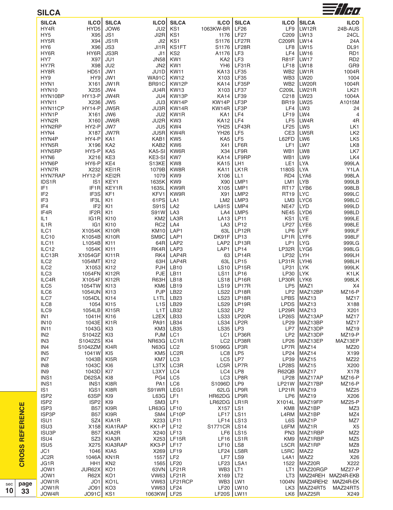| <b>SILCA</b>            |                       |                           |                     |                           |                     |                              |                                |                                     | $\equiv t/\tau$           |
|-------------------------|-----------------------|---------------------------|---------------------|---------------------------|---------------------|------------------------------|--------------------------------|-------------------------------------|---------------------------|
| <b>SILCA</b>            | <b>ILCO</b>           | <b>SILCA</b>              | <b>ILCO</b>         | <b>SILCA</b>              | <b>ILCO</b>         | <b>SILCA</b>                 | <b>ILCO</b>                    | <b>SILCA</b>                        | <b>ILCO</b>               |
| HY4R                    | HYD <sub>5</sub>      | JOW6                      | JU2                 | KS1                       | 1063KW-BR           | <b>LF26</b>                  | LF9                            | LW12R                               | 24B-AUS                   |
| HY <sub>5</sub>         | X95                   | JS1                       | J <sub>2R</sub>     | KS1                       | 1176                | LF27                         | C209                           | LW <sub>13</sub>                    | 24CL                      |
| HY5R                    | X94<br>X96            | JS <sub>1</sub> R<br>JS3  | J <sub>12</sub>     | KS1                       | S1176<br>S1176      | LF <sub>27</sub> R<br>LF28R  | C209R                          | LW <sub>14</sub>                    | 24A                       |
| HY <sub>6</sub><br>HY6R | HY6R                  | JS3R                      | JI1R<br>JI1         | KS1FT<br>KS <sub>2</sub>  | A1176               | LF3                          | LF8<br>LF4                     | LW <sub>15</sub><br>LW16            | <b>DL91</b><br>RD1        |
| HY7                     | X97                   | JU1                       | <b>JN58</b>         | KW1                       | KA <sub>2</sub>     | LF <sub>3</sub>              | <b>R81F</b>                    | LW17                                | RD <sub>2</sub>           |
| HY7R                    | X98                   | JU <sub>2</sub>           | JN <sub>2</sub>     | KW1                       | YH <sub>6</sub>     | LF31R                        | LF18                           | LW <sub>18</sub>                    | GR9                       |
| HY8R                    | HD51                  | JW1                       | JU1D                | <b>KW11</b>               | <b>KA13</b>         | <b>LF35</b>                  | WB <sub>2</sub>                | LW <sub>1</sub> R                   | 1004R                     |
| HY9                     | HY9                   | JW1                       | <b>WA91C</b>        | <b>KW12</b>               | X103                | <b>LF35</b>                  | WB3                            | LW <sub>20</sub>                    | 1004                      |
| HYN1                    | X161                  | JW1R                      | BR91C               | KW12P                     | <b>KA14</b>         | LF35P                        | WB <sub>2</sub>                | LW <sub>20R</sub>                   | 1004R                     |
| HYN10                   | X235                  | JW4                       | JU4R                | <b>KW13</b>               | X103                | LF37                         | C209L                          | LW <sub>21</sub> R                  | <b>LK21</b>               |
| HYN10BP                 | <b>HY13-P</b>         | JW4R                      | JU4                 | KW13P                     | <b>KA14</b>         | LF39                         | C <sub>218</sub>               | LW <sub>23</sub>                    | 1004A                     |
| HYN11<br>HYN11CP        | X236<br><b>HY14-P</b> | JW <sub>5</sub><br>JW5R   | JU3<br>JU3R         | KW14P<br>KW14R            | KW14P<br>KW14R      | LF3P<br>LF3P                 | <b>BR19</b><br>LF4             | LW <sub>25</sub><br>LW <sub>3</sub> | A1015M<br>24              |
| HYN1P                   | X161                  | JW6                       | JU <sub>2</sub>     | KW1R                      | KA1                 | LF4                          | <b>LF19</b>                    | LW4                                 | $\overline{4}$            |
| HYN2R                   | X160                  | JW6R                      | JU2R                | KW <sub>3</sub>           | <b>KA12</b>         | LF4                          | LF <sub>5</sub>                | LW4R                                | 4R                        |
| HYN2RP                  | HY2-P                 | JW7                       | JU <sub>5</sub>     | KW4                       | <b>YH25</b>         | LF43R                        | <b>LF25</b>                    | LW <sub>5</sub>                     | LK1                       |
| HYN4                    | X187                  | JW7R                      | JU5R                | KW4R                      | <b>YH26</b>         | LF <sub>5</sub>              | CE3                            | LW <sub>5R</sub>                    | LK <sub>2</sub>           |
| HYN4P                   | HY4-P                 | KA <sub>1</sub>           | KAB1                | KW <sub>5</sub>           | KA <sub>5</sub>     | LF <sub>5</sub>              | L62FD                          | LW6                                 | LK <sub>5</sub>           |
| HYN5R                   | X196                  | KA <sub>2</sub>           | KAB <sub>2</sub>    | KW6                       | X41                 | LF6R                         | LF1                            | LW7                                 | LK8                       |
| HYN5RP                  | HY5-P                 | KA <sub>5</sub>           | KA5-SI              | KW6R                      | X34                 | LF9R                         | WB1                            | LW8                                 | LK7                       |
| HYN <sub>6</sub>        | X216                  | KE3                       | KE3-SI              | KW7                       | <b>KA14</b>         | LF9RP                        | WB1                            | LW9                                 | LK4                       |
| HYN6P<br>HYN7R          | HY6-P                 | KE4                       | S <sub>13</sub> KE  | KW <sub>8</sub>           | <b>KA15</b>         | LH <sub>1</sub>              | LE <sub>1</sub>                | <b>LYA</b>                          | 999LA                     |
| HYN7RAP                 | X232<br><b>HY12-P</b> | KEI1R<br>KEI2R            | 1079B<br>1079       | KW8R<br>KW <sub>9</sub>   | <b>KA11</b><br>X106 | LK <sub>1</sub> R<br>LL1     | 1180S<br>RD4                   | <b>LYA</b><br>LYA6                  | Y1LA<br>998LA             |
| IDS1R                   | IS <sub>1</sub>       | KEY1                      | 1635K               | KW9                       | X90                 | LMP1                         | LM1                            | <b>LYB</b>                          | 999LB                     |
| IF <sub>1</sub>         | IF <sub>1</sub> R     | KEY1R                     | 1635L               | KW9R                      | X105                | LMP1                         | <b>RT17</b>                    | LYB <sub>6</sub>                    | 998LB                     |
| IF <sub>2</sub>         | IF3S                  | KF1                       | KFV1                | KW9R                      | X91                 | LMP <sub>2</sub>             | <b>RT19</b>                    | ILYC                                | 999LC                     |
| IF <sub>3</sub>         | IF3L                  | KI <sub>1</sub>           | 61PS                | LA <sub>1</sub>           | LM <sub>2</sub>     | LMP3                         | LM3                            | LYC <sub>6</sub>                    | 998LC                     |
| IF4                     | IF <sub>2</sub>       | KI <sub>1</sub>           | S91S                | LA <sub>2</sub>           | <b>LA91S</b>        | LMP4                         | <b>NE47</b>                    | <b>LYD</b>                          | 999LD                     |
| IF4R                    | IF <sub>2</sub> R     | KI <sub>1</sub>           | <b>S91W</b>         | LA <sub>3</sub>           | LA4                 | LMP <sub>5</sub>             | <b>NE45</b>                    | LYD6                                | 998LD                     |
| IL1                     | IG1R                  | <b>KI10</b>               | KM <sub>2</sub>     | LA3R                      | <b>LA13</b>         | <b>LP11</b>                  | KS1                            | <b>ILYE</b>                         | 999LE                     |
| IL1R<br>ILC1            | IG <sub>1</sub>       | <b>KI10</b>               | RC <sub>2</sub>     | LA4<br>LAP1               | LA <sub>3</sub>     | <b>LP12</b>                  | <b>LP27</b><br>LP <sub>6</sub> | LYE <sub>6</sub><br>LYF             | 998LE<br>999LF            |
| ILC10                   | X1054K<br>K1054B      | KI10R<br>KI10R            | <b>KM10</b><br>SM9C | LAP1                      | 63L<br>DK91F        | LP12R<br>LP <sub>13</sub>    | LP1R                           | LYF <sub>6</sub>                    | 998LF                     |
| ILC11                   | L1054B                | KI11                      | 64R                 | LAP <sub>2</sub>          | LAP <sub>2</sub>    | LP13R                        | LP1                            | LYG                                 | 999LG                     |
| ILC12                   | 1054K                 | KI11                      | RK4R                | LAP3                      | LAP1                | <b>LP14</b>                  | LP32R                          | ILYG6                               | 998LG                     |
| ILC13R                  | X1054GF               | KI11R                     | RK4                 | LAP4R                     | 63                  | LP14R                        | LP32                           | <b>I</b> LYH                        | 999LH                     |
| ILC <sub>2</sub>        | 1054MT                | KI12                      | 63H                 | LAP4R                     | 63L                 | LP <sub>15</sub>             | LP31R                          | LYH <sub>6</sub>                    | 998LH                     |
| ILC <sub>2</sub>        | X1053                 | <b>KI12</b>               | <b>PJH</b>          | LB10                      | <b>LS10</b>         | LP15R                        | <b>LP31</b>                    | <b>LYK</b>                          | 999LK                     |
| ILC <sub>3</sub>        | 1054FN                | KI12R                     | <b>PJE</b>          | LB <sub>11</sub>          | <b>LS11</b>         | <b>LP16</b>                  | LP30                           | <b>LYK</b>                          | K1LK                      |
| ILC4R                   | X1054F                | KI12R                     | <b>R63H</b>         | <b>LB18</b>               | <b>LS18</b>         | LP16R                        | LP30R                          | LYK6                                | 998LK                     |
| ILC5                    | 1054TW                | <b>KI13</b>               | KM <sub>6</sub>     | <b>LB19</b>               |                     | $LS19$ LP17R                 | LP <sub>5</sub>                | MAZ1                                | X4                        |
| ILC6<br>ILC7            | 1054UN<br>1054DL KI14 | <b>KI13</b>               | L <sub>1</sub> TL   | PJP LB22<br>LB23          |                     | LS22   LP18R<br>$LS23$ LP18R | LP <sub>2</sub>                | MAZ12BP<br>LPBS MAZ13               | <b>MZ16-P</b><br>MZ17     |
| ILC8                    |                       | 1054 KI15                 |                     | $L1S$ $LB29$              |                     | $LS29$ LP19R                 |                                | LPDS MAZ13                          | X188                      |
| ILC9                    | 1054LB KI15R          |                           |                     | $L1T$ LB32                | $LS32$ $LP2$        |                              |                                | $LP29R$ MAZ13                       | X201                      |
| IN <sub>1</sub>         | 1041H KI16            |                           |                     | $L2EX$ LB33               |                     | LS33   LP20R                 |                                | LP26S MAZ13AP                       | MZ17                      |
| <b>IN10</b>             | 1043E KI1R            |                           |                     | PA91 LB34                 |                     | $LS34$ LP2R                  |                                | LP29 MAZ13BP                        | MZ17                      |
| <b>IN11</b>             | 1043G KI3             |                           |                     | KM3 LB35                  | $LS35$ $LP3$        |                              |                                | LP7 MAZ13DP                         | MZ19                      |
| IN <sub>2</sub>         | S <sub>1042</sub> Z   | KI3                       |                     | PJM LC1                   |                     | $LC1$ LP36R                  |                                | LP2 MAZ13DP                         | MZ19-P                    |
| IN <sub>3</sub>         | S1042ZS KI4           |                           | NR63G               | LC1R                      |                     | $LC2$ LP38R                  |                                | LP26 MAZ13EP                        | MAZ13EP                   |
| IN4<br>IN <sub>5</sub>  | S1042ZM KI4R<br>1041W |                           | $N63G$ LC2          |                           | S1096G   LP3R       |                              |                                | LP7R MAZ14                          | MZ20                      |
| IN7                     | 1043B KI5R            | KI5                       | KM5                 | LC2R<br>KM7 LC3           |                     | $LC8$   $LP5$<br>$LC5$ $LP7$ |                                | $LP24$ MAZ14<br>$LP39$ MAZ15        | X199<br>MZ22              |
| IN8                     | 1043C                 | KI6                       | L3TX                | LC3R                      |                     | $LC5R$ LP7R                  |                                | LP28S MAZ15                         | X200                      |
| IN9                     | 1043D KI7             |                           | L3XY                | LC4                       | $LC4$ LP8           |                              |                                | R62QB MAZ17                         | X178                      |
| INS1                    | D62SA KI8             |                           |                     | PG4 LC5                   |                     | LC3 LP8R                     |                                | LP28 MAZ17AP                        | <b>MZ16-P</b>             |
| INS1                    | INS <sub>1</sub>      | KI8R                      | PA <sub>1</sub>     | LC6                       | S1096D   LP9        |                              |                                | LP21W MAZ17BP                       | MZ16-P                    |
| IS <sub>1</sub>         |                       | IGS1 KI8R                 | S91WR LEG1          |                           |                     | $62LG$ LP9R                  | $LP21R$ MAZ19                  |                                     | MZ25                      |
| ISP <sub>2</sub>        | 63SPI                 | KI9                       | $LSG$ LF1           |                           | HR62DG   LP9R       |                              |                                | LP6 MAZ19                           | X206                      |
| ISP <sub>2</sub>        | $ISP2$ KI9            |                           |                     | $SM3$ LF1                 | LR62DG   LR1R       |                              |                                | X1014L  MAZ19FP                     | <b>MZ25-P</b>             |
| ISP3                    |                       | <b>B57 KI9R</b>           | $LR63G$ $LF10$      |                           | X157   LS1          |                              |                                | KM8 MAZ1BP                          | MZ3                       |
| ISP3P                   |                       | <b>B57 KI9R</b>           |                     | $SM4$ LF10P               | $LF17$ LS11         |                              |                                | L4RM MAZ1BP                         | MZ4                       |
| ISU1<br>ISU3            |                       | SZ4 KIA1R<br>X158 KIA1RAP |                     | X233 LF11<br>$KK1-P$ LF12 | S1771CR   LS14      | $LF14$ $LS13$                |                                | L6S MAZ1P<br>L6FM MAZ1R             | MZ7<br>X5                 |
| ISU3P                   |                       | B57 KIA2R                 |                     | X240 LF13                 |                     | $LF6$   LS15                 |                                | PN3 MAZ1RBP                         | MZ <sub>2</sub>           |
| ISU4                    |                       | SZ3 KIA3R                 |                     | X253 LF15R                |                     | $LF16$ LS1R                  |                                | KM9 MAZ1RBP                         | MZ <sub>5</sub>           |
| ISU <sub>5</sub>        |                       | X275 KIA3RAP              | KK3-P LF17          |                           | $LF10$ LS8          |                              |                                | L5CR MAZ1RP                         | MZ8                       |
| JC1                     |                       | 1046 KIA5                 |                     | X269 LF19                 |                     | $LF24$ LS8R                  | L5RC                           | MAZ <sub>2</sub>                    | MZ9                       |
| JC2R                    |                       | 1046A KN1R                | 1557                | LF <sub>2</sub>           |                     | $LF7$ LS9                    |                                | L4A1 $MAZ2$                         | X26                       |
| JG1R                    | HH <sub>1</sub>       | KN <sub>2</sub>           |                     | 1565 LF20                 |                     | LF23   LSA1                  |                                | 1522 MAZ20R                         | X222                      |
| JOW1                    | JUR62X                | KO <sub>1</sub>           |                     | 63VN LF21R                | $WB3$ $LT1$         |                              |                                | LT1 MAZ20RGP                        | <b>MZ27-P</b>             |
| JOW1                    | R62X KO1              |                           |                     | VW63 LF21R                | $X169$ LT2          |                              |                                |                                     | LT3 MAZ24REH MAZ24R-EKB   |
| JOW1R                   |                       | JO1 KO1L                  |                     | VW63 LF21RCP              | WB3   LW1           |                              |                                |                                     | 1004N MAZ24REH2 MAZ24R-EK |
| JOW1R                   |                       | JO91 KO3                  |                     | VW63 LF24                 |                     | LF20   LW10                  |                                |                                     | LK3 MAZ24RT5 MAZ24RT5     |
| JOW4R                   | JO91C KS1             |                           | 1063KW LF25         |                           | LF20S   LW11        |                              |                                | LK6 MAZ25R                          | X249                      |

**CROSS REFERENCE**

**CROSS REFERENCE** 

**p a g e 3 3**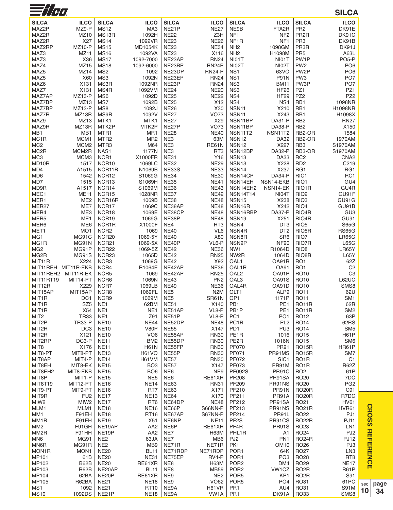| $\equiv$ // $\epsilon$  |                          |                                       |                                    |                            |                                     |                                        |                                     |                                      | <b>SILCA</b>                       |
|-------------------------|--------------------------|---------------------------------------|------------------------------------|----------------------------|-------------------------------------|----------------------------------------|-------------------------------------|--------------------------------------|------------------------------------|
| <b>SILCA</b>            | <b>ILCO</b>              | <b>SILCA</b>                          | <b>ILCO</b>                        | <b>SILCA</b>               | <b>ILCO</b>                         | <b>SILCA</b>                           | <b>ILCO</b>                         | <b>SILCA</b>                         | <b>ILCO</b>                        |
| MAZ2P                   | MZ9-P                    | <b>MS12</b>                           | MA3                                | NE21P                      | <b>NE27</b>                         | NE9B                                   | FTA <sub>2</sub> R                  | PR <sub>2</sub>                      | DK91E                              |
| MAZ2R                   | MZ10                     | MS <sub>13</sub> R                    | 1092H                              | <b>NE22</b>                | Z3H                                 | NF <sub>1</sub>                        | NF <sub>2</sub>                     | PR <sub>2R</sub>                     | DK91C                              |
| MAZ2R                   | X27                      | <b>MS14</b>                           | 1092VR                             | <b>NE23</b>                | <b>NE26</b>                         | NF <sub>1</sub> R                      | NF <sub>1</sub>                     | PR <sub>3</sub>                      | DK91B                              |
| MAZ2RP                  | <b>MZ10-P</b>            | <b>MS15</b>                           | <b>MD1054K</b>                     | <b>NE23</b>                | <b>NE34</b>                         | NH <sub>2</sub>                        | 1098GM                              | PR3R                                 | DK91J                              |
| MAZ3                    | MZ <sub>11</sub>         | <b>MS16</b>                           | 1092VA                             | <b>NE23</b>                | X116                                | NH <sub>2</sub>                        | H1098M                              | PR <sub>5</sub>                      | A63L                               |
| MAZ3                    | X36                      | <b>MS17</b>                           | 1092-7000                          | NE23AP                     | <b>RN24</b>                         | NI01T                                  | NI01T                               | PW1P                                 | PO <sub>5-P</sub>                  |
| MAZ4<br>MAZ5            | MZ15<br>MZ14             | <b>MS18</b><br>MS <sub>2</sub>        | 1092-6000<br>1092                  | NE23BP<br>NE23DP           | RN <sub>24</sub> P<br><b>RN24-P</b> | NI02T<br>NS <sub>1</sub>               | NI02T<br>63VO                       | PW <sub>2</sub><br>PW <sub>2</sub> P | PO <sub>6</sub><br>PO <sub>6</sub> |
| MAZ5                    | X60                      | MS3                                   | 1092N                              | NE23EP                     | <b>RN24</b>                         | NS <sub>1</sub>                        | <b>P91N</b>                         | PW <sub>3</sub>                      | PO <sub>7</sub>                    |
| MAZ6                    | X131                     | MS3R                                  | 1092NR                             | NE23P                      | <b>RN24</b>                         | NS <sub>3</sub>                        | <b>BM11</b>                         | PW3P                                 | PO <sub>7</sub>                    |
| MAZ7                    | X131                     | MS4R                                  | 1092VM                             | <b>NE24</b>                | <b>NE20</b>                         | NS <sub>3</sub>                        | <b>HF26</b>                         | PZ1                                  | PZ1                                |
| MAZ7AP                  | <b>MZ13-P</b>            | MS <sub>6</sub>                       | 1092D                              | <b>NE25</b>                | <b>NE22</b>                         | NS4                                    | <b>HF29</b>                         | PZ <sub>2</sub>                      | PZ <sub>2</sub>                    |
| MAZ7BP                  | MZ <sub>13</sub>         | MS7                                   | 1092B                              | <b>NE25</b>                | X12                                 | NS4                                    | NS4                                 | RB1                                  | 1098NR                             |
| MAZ7BP                  | <b>MZ13-P</b>            | MS8                                   | 1092J                              | <b>NE26</b>                | X30                                 | NSN <sub>11</sub>                      | X210                                | RB1                                  | H1098NR                            |
| MAZ7R<br>MAZ9           | MZ13R<br>MZ13            | MS9R                                  | 1092V                              | <b>NE27</b><br><b>NE27</b> | <b>VO73</b>                         | NSN <sub>11</sub>                      | X243<br><b>DA31-P</b>               | RB1<br>RB <sub>2</sub>               | H1098X                             |
| MAZ9R                   | MZ13R                    | MTK1<br>MTK2P                         | MTK1<br>MTK2P                      | NE27P                      | X29<br><b>VO73</b>                  | NSN11BP<br>NSN11BP                     | <b>DA38-P</b>                       | RB <sub>2</sub>                      | <b>RN27</b><br>X150                |
| MB1                     | MB1                      | MTR <sub>1</sub>                      | MR <sub>1</sub>                    | <b>NE28</b>                | <b>NE40</b>                         | NSN11T2                                | NSN11T2                             | RB2-OR                               | 1584                               |
| MC <sub>1</sub> R       | MCM <sub>1</sub>         | MTR <sub>2</sub>                      | MR <sub>2</sub>                    | NE3                        | 63M                                 | NSN <sub>12</sub>                      | DA32                                | RB2-OR                               | 1970AM                             |
| MC <sub>2</sub>         | MCM <sub>2</sub>         | MTR <sub>3</sub>                      | M64                                | NE3                        | <b>RE61N</b>                        | NSN <sub>12</sub>                      | X227                                | RB <sub>3</sub>                      | S1970AM                            |
| MC <sub>2</sub> R       | MCM2R                    | NAS1                                  | 1177N                              | NE3                        | RT <sub>3</sub>                     | NSN12BP                                | <b>DA32-P</b>                       | RB3-OR                               | S1970AM                            |
| MC <sub>3</sub>         | MCM3                     | NCR1                                  | X1000FR                            | <b>NE31</b>                | Y16                                 | NSN <sub>13</sub>                      | <b>DA33</b>                         | RC <sub>2</sub>                      | CNA <sub>2</sub>                   |
| MD10R                   | 1517                     | NCR <sub>10</sub>                     | 1069LC                             | <b>NE32</b>                | <b>NE29</b>                         | NSN <sub>13</sub>                      | X228                                | RD <sub>2</sub>                      | C219                               |
| MD4                     | A1515                    | NCR11R                                | N1069B                             | <b>NE33S</b>               | <b>NE33</b>                         | NSN <sub>14</sub>                      | X237                                | RG1                                  | RG1                                |
| MD <sub>6</sub><br>MD7  | 1542<br>1515             | NCR12<br>NCR <sub>13</sub>            | S1069G<br>S1069H                   | <b>NE34</b><br><b>NE35</b> | <b>NE30</b><br><b>NE41</b>          | NSN14CP<br>NSN14EH                     | <b>DA34-P</b><br>NSN14-EKB          | RIC1<br>RIQ1                         | RC1<br>GU4                         |
| MD9R                    | A1517                    | NCR14                                 | S1069M                             | <b>NE36</b>                | <b>NE43</b>                         | NSN14EH <sub>2</sub>                   | NSN <sub>14-EK</sub>                | RIQ1R                                | GU4R                               |
| MEC1                    | <b>ME11</b>              | NCR <sub>15</sub>                     | 1028NR                             | <b>NE37</b>                | <b>NE42</b>                         | <b>NSN14T14</b>                        | NI04T                               | RIQ <sub>2</sub>                     | GU91F                              |
| MER1                    | ME <sub>2</sub>          | NCR16R                                | 1069B                              | <b>NE38</b>                | <b>NE48</b>                         | <b>NSN15</b>                           | X238                                | RIQ3                                 | GU91G                              |
| MER27                   | ME7                      | NCR17                                 | 1069C                              | NE38AP                     | <b>NE48</b>                         | NSN16R                                 | X242                                | RIQ4                                 | GU91B                              |
| MER4                    | ME3                      | NCR18                                 | 1069E                              | NE38CP                     | <b>NE48</b>                         | NSN16RBP                               | DA37-P                              | RIQ4R                                | GU <sub>3</sub>                    |
| MER <sub>5</sub>        | ME1                      | NCR19                                 | 1069G                              | NE38P                      | <b>NE48</b>                         | NSN <sub>19</sub>                      | X251                                | RIQ4R                                | GU91                               |
| MER6                    | ME <sub>6</sub>          | NCR1R                                 | X1000F                             | NE4                        | RT <sub>3</sub>                     | NSN4                                   | DT <sub>3</sub>                     | RIQ <sub>5</sub>                     | <b>S65G</b>                        |
| MET <sub>1</sub><br>MG1 | MO <sub>1</sub><br>MG91C | NCR <sub>2</sub><br>NCR <sub>20</sub> | 1069<br>1069-5Y                    | <b>NE40</b><br><b>NE40</b> | VL6<br>X80                          | NSN4R<br>NSN8R                         | DT <sub>2</sub><br>SR <sub>6</sub>  | RIQ <sub>5</sub> R<br>RIQ7           | <b>RS65G</b><br><b>LR65G</b>       |
| MG1R                    | MG91N                    | NCR <sub>21</sub>                     | 1069-5X                            | NE40P                      | VL6-P                               | NSN9P                                  | INF90                               | RIQ7R                                | L65G                               |
| MG <sub>2</sub>         | MG91P                    | NCR <sub>22</sub>                     | 1069-5Z                            | <b>NE42</b>                | <b>NE36</b>                         | NW <sub>1</sub>                        | R1064D                              | RIQ8                                 | LR65Y                              |
| MG <sub>2</sub> R       | <b>MG91S</b>             | NCR <sub>23</sub>                     | 1065D                              | <b>NE42</b>                | <b>RN25</b>                         | NW <sub>2</sub> R                      | 1064D                               | RIQ8R                                | <b>L65Y</b>                        |
| MIT11R                  | X224                     | NCR <sub>3</sub>                      | 1069G                              | <b>NE42</b>                | X92                                 | OAL <sub>1</sub>                       | OA91R                               | RO <sub>1</sub>                      | 62Z                                |
|                         | MIT11REH MIT11R-EKB      | NCR4                                  | R1064E                             | NE42AP                     | <b>NE36</b>                         | OAL1R                                  | <b>OA91</b>                         | RO <sub>1</sub>                      | C <sub>2</sub>                     |
|                         | MIT11REH2 MIT11R-EK      | NCR <sub>5</sub>                      | 1069                               | NE42AP                     | <b>RN25</b>                         | OAL <sub>2</sub>                       | OA91P                               | RO <sub>10</sub>                     | C <sub>3</sub>                     |
| MIT11RT19<br>MIT12R     | MIT14-PT<br>X229         | NCR6<br>NCR7                          | 1069N<br>1069LB                    | <b>NE43</b><br><b>NE49</b> | PN <sub>2</sub><br><b>NE36</b>      | OAL <sub>3</sub><br>OAL4R              | OA91S<br>OA91D                      | <b>RO10</b><br><b>RO10</b>           | L62UC<br>SMS8                      |
| MIT15AP                 | MIT15AP                  | NCR8                                  | 1069FL                             | NE <sub>5</sub>            | N <sub>2</sub> M                    | OLT <sub>1</sub>                       | ALP9                                | <b>RO11</b>                          | 62U                                |
| MIT <sub>1</sub> R      | DC <sub>1</sub>          | NCR9                                  | 1069M                              | NE <sub>5</sub>            | SR61N                               | OP <sub>1</sub>                        | 1171P                               | <b>RO11</b>                          | SM <sub>1</sub>                    |
| MIT <sub>1</sub> R      | SZ <sub>5</sub>          | NE <sub>1</sub>                       | 62BM                               | <b>NE51</b>                | X140                                | PB1                                    | PE <sub>1</sub>                     | <b>RO11R</b>                         | 62R                                |
| MIT <sub>1</sub> R      | X54                      | NE <sub>1</sub>                       | NE <sub>1</sub>                    | NE51AP                     | VL8-P                               | PB <sub>1</sub> P                      | PE <sub>1</sub>                     | <b>RO11R</b>                         | SM <sub>2</sub>                    |
| MIT <sub>2</sub>        | <b>TR33</b>              | NE <sub>1</sub>                       | Z91                                | NE51P                      | VL8-P                               | PC <sub>1</sub>                        | PO <sub>1</sub>                     | <b>RO12</b>                          | 63P                                |
| MIT <sub>2</sub> P      | <b>TR33-P</b>            | <b>NE10</b>                           | <b>NE44</b>                        | NE52DP                     | <b>NE48</b>                         | PC <sub>1</sub> R                      | PL <sub>2</sub>                     | <b>RO14</b>                          | 62RS                               |
| MIT2R                   | DC <sub>3</sub>          | <b>NE10</b>                           | <b>V80P</b>                        | <b>NE55</b>                | X147                                | PD <sub>1</sub>                        | PU <sub>3</sub>                     | <b>RO14</b>                          | SM <sub>5</sub>                    |
| MIT2R<br>MIT2RP         | X121<br>DC3-P            | <b>NE10</b><br><b>NE11</b>            | VO <sub>6</sub><br>BM <sub>2</sub> | NE55AP<br>NE55DP           | <b>RN30</b><br><b>RN30</b>          | PE <sub>1</sub> R<br>PE <sub>2</sub> R | 1016<br>1016N                       | <b>RO15</b><br><b>RO15</b>           | <b>H61P</b><br>SM <sub>6</sub>     |
| MIT8                    | X176                     | <b>NE11</b>                           | <b>H61N</b>                        | NE55FP                     | <b>RN30</b>                         | <b>PF070</b>                           | <b>PR91</b>                         | <b>RO15R</b>                         | HR61P                              |
| MIT8-PT                 | MIT8-PT                  | <b>NE13</b>                           | <b>H61VO</b>                       | NE55P                      | <b>RN30</b>                         | PF071                                  | PR91MS                              | <b>RO15R</b>                         | SM7                                |
| MIT8AP                  | MIT4-P                   | <b>NE14</b>                           | H61VM                              | <b>NE57</b>                | <b>RN30</b>                         | PF072                                  | SIC <sub>1</sub>                    | RO <sub>1</sub> R                    | C <sub>1</sub>                     |
| MIT8EH                  | MIT8-EK                  | <b>NE15</b>                           | BO <sub>3</sub>                    | <b>NE57</b>                | X147                                | PF073                                  | PR91M                               | RO <sub>1</sub> R                    | <b>R62Z</b>                        |
| MIT8EH2                 | MIT8-EKB                 | <b>NE15</b>                           | BO <sub>6</sub>                    | NE6                        | NE9                                 | <b>PF092S</b>                          | PR91C                               | RO <sub>2</sub>                      | 61P                                |
| MIT8P                   | MIT1-P                   | <b>NE15</b>                           | NE <sub>5</sub>                    | NE <sub>6</sub>            | RE61XR                              | PF208                                  | PR91SA                              | <b>RO20</b>                          | 7DC                                |
| MIT8T19                 | MIT12-PT<br>MIT9-PT      | <b>NE16</b><br><b>NE16</b>            | <b>NE14</b><br>RT7                 | <b>NE63</b><br><b>NE63</b> | <b>RN31</b><br>X171                 | PF209<br>PF210                         | PR91NS<br>PR91N                     | <b>RO20</b><br><b>RO20R</b>          | PG <sub>2</sub><br>C91             |
| MIT9-PT<br>MIT9R        | FU <sub>2</sub>          | <b>NE17</b>                           | <b>NE13</b>                        | <b>NE64</b>                | X170                                | PF211                                  | PR91A                               | <b>RO20R</b>                         | R7DC                               |
| MIW <sub>2</sub>        | MIW <sub>2</sub>         | <b>NE17</b>                           | RT <sub>6</sub>                    | NE64DP                     | <b>NE48</b>                         | PF212                                  | PR91SA                              | RO21                                 | <b>HV61</b>                        |
| MLM1                    | MLM1                     | <b>NE18</b>                           | <b>NE16</b>                        | NE66P                      | S66NN-P                             | PF213                                  | PR91NS                              | <b>RO21R</b>                         | <b>HVR61</b>                       |
| MM1                     | F91EH                    | <b>NE18</b>                           | <b>RT16</b>                        | NE67AP                     | S67NN-P                             | PF214                                  | PR91L                               | <b>RO22</b>                          | PJ1                                |
| MM <sub>1</sub> R       | F91FH                    | <b>NE19</b>                           | X51                                | NE6NP                      | <b>NE11</b>                         | PF <sub>2</sub> S                      | PR91CS                              | RO <sub>22</sub> R                   | <b>PJ11</b>                        |
| MM <sub>2</sub>         | F91GH                    | NE19AP                                | AA <sub>2</sub>                    | NE6P                       | RE61XR                              | PF4R                                   | <b>PR91S</b>                        | <b>RO23</b>                          | LN1                                |
| MM <sub>2</sub> R       | F91HH                    | NE <sub>19</sub> P                    | AA <sub>2</sub>                    | NE7                        | <b>H63M</b>                         | PHL1R                                  | A1                                  | <b>RO24</b>                          | PJ <sub>2</sub>                    |
| MN <sub>6</sub><br>MN6R | MG91<br>MG91R            | NE <sub>2</sub><br>NE <sub>2</sub>    | 63JA<br>MB <sub>9</sub>            | NE7<br>NE71R               | MB <sub>6</sub><br>NE71R            | PJ <sub>2</sub><br>PK1                 | PN <sub>1</sub><br>OM <sub>10</sub> | <b>RO24R</b><br><b>RO26</b>          | <b>PJ12</b><br>PJ3                 |
| MON1R                   | MON <sub>1</sub>         | <b>NE20</b>                           | <b>BL11</b>                        | NE71RDP                    | NE71RDP                             | POR <sub>1</sub>                       | 64K                                 | <b>RO27</b>                          | LN <sub>3</sub>                    |
| MP101                   | 61B                      | <b>NE20</b>                           | <b>NE31</b>                        | NE75EP                     | RV4-P                               | POR <sub>1</sub>                       | PO <sub>3</sub>                     | <b>RO28</b>                          | RT <sub>8</sub>                    |
| MP102                   | <b>B62B</b>              | <b>NE20</b>                           | RE61XR                             | NE8                        | <b>H63M</b>                         | POR <sub>2</sub>                       | DM4                                 | <b>RO29</b>                          | NE17                               |
| MP103                   | <b>R62B</b>              | NE20AP                                | <b>BL11</b>                        | NE8                        | <b>MB59</b>                         | POR <sub>2</sub>                       | VW1CZ                               | RO <sub>2</sub> R                    | <b>R61P</b>                        |
| MP104                   | 62BA                     | NE20P                                 | RE61XR                             | NE9                        | NE <sub>2</sub>                     | POR <sub>5</sub>                       | KP <sub>1</sub>                     | RO <sub>2</sub> R                    | S91                                |
| MP105                   | R62BA                    | <b>NE21</b>                           | <b>NE18</b>                        | NE9                        | VO62                                | POR <sub>5</sub>                       | PO <sub>4</sub>                     | RO31                                 | 61PC                               |
| MS <sub>1</sub>         | 1092                     | <b>NE21</b>                           | <b>RT10</b>                        | NE9A                       | H61VR                               | PR <sub>1</sub>                        | AU4                                 | RO31                                 | <b>S91M</b>                        |
| <b>MS10</b>             | 1092DS                   | NE21P                                 | NE <sub>18</sub>                   | NE9A                       | VW <sub>1</sub> A   PR <sub>1</sub> |                                        | DK91A                               | <b>RO33</b>                          | SMS8                               |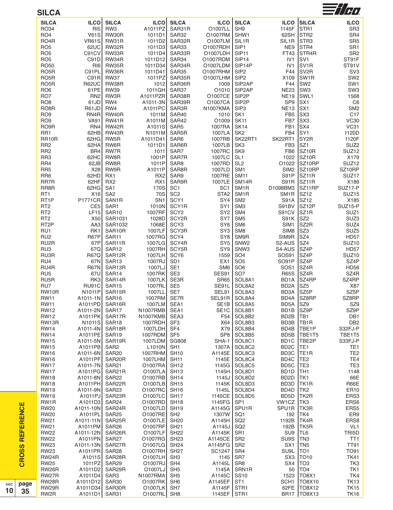| <b>SILCA</b>                         |                                  |                                    |                              |                          |                            |                                        |                                                 |                                    | $\equiv$ //H $\eta$                |
|--------------------------------------|----------------------------------|------------------------------------|------------------------------|--------------------------|----------------------------|----------------------------------------|-------------------------------------------------|------------------------------------|------------------------------------|
| <b>SILCA</b>                         | <b>ILCO</b>                      | <b>SILCA</b>                       | <b>ILCO</b>                  | <b>SILCA</b>             | <b>ILCO</b>                | <b>SILCA</b>                           | <b>ILCO</b>                                     | <b>SILCA</b>                       | <b>ILCO</b>                        |
| RO34                                 | R <sub>I5</sub>                  | RW <sub>3</sub>                    | A1011PZ                      | SAR31R                   | O1007LL                    | SH <sub>9</sub>                        | 1145F                                           | STR <sub>1</sub>                   | SR <sub>3</sub>                    |
| RO <sub>4</sub>                      | <b>V61S</b>                      | RW30R                              | 1011D1                       | SAR32                    | O1007RM                    | SHW1                                   | 62SH                                            | STR <sub>2</sub>                   | SR4                                |
| RO <sub>4</sub> R                    | <b>VR61S</b>                     | RW31R                              | 1011D <sub>2</sub>           | SAR32R                   | O1007LM                    | SIL <sub>1</sub> R                     | SIL <sub>1</sub> R                              | STR <sub>3</sub>                   | SR <sub>5</sub>                    |
| RO <sub>5</sub>                      | 62UC                             | RW32R                              | 1011D3                       | SAR33                    | O1007RDH                   | SIP1                                   | NE9                                             | STR <sub>4</sub>                   | SR <sub>1</sub>                    |
| RO <sub>5</sub>                      | C91CV                            | RW33R                              | 1011D4                       | SAR33R                   | O1007LDH                   | SIP <sub>11</sub>                      | FT43                                            | STR <sub>4</sub> R                 | SR <sub>2</sub>                    |
| RO <sub>5</sub>                      | C91D                             | RW34R                              | 1011D12                      | SAR34                    | O1007RDM                   | SIP <sub>14</sub>                      | IV <sub>1</sub>                                 | SV <sub>1</sub>                    | ST91F                              |
| <b>RO50</b>                          | RIG                              | RW35R                              | 1011D34                      | SAR34R                   | O1007LDM                   | SIP14P                                 | IV <sub>1</sub>                                 | SV <sub>1</sub> R                  | ST91V                              |
| RO <sub>5</sub> R                    | C91PL                            | RW36R                              | 1011D41                      | SAR35                    | O1007RHM                   | SIP <sub>2</sub>                       | F44                                             | SV <sub>2R</sub>                   | SV <sub>3</sub>                    |
| RO <sub>5</sub> R                    | C91R                             | <b>RW37</b>                        | 1011PZ                       | SAR35R                   | O1007LHM                   | SIP <sub>2</sub>                       | X109                                            | SW <sub>1</sub> R                  | SW <sub>2</sub>                    |
| RO <sub>5</sub> R<br>RO <sub>6</sub> | <b>R62UC</b><br>61PE             | RW38R<br><b>RW39</b>               | 1012<br>1011GH               | SAR36R<br>SAR37          | 1009<br>O1010              | SIP2AP<br>SIP2AP                       | F44<br><b>NE23</b>                              | SW <sub>2</sub><br>SW <sub>3</sub> | SW <sub>1</sub><br>SW <sub>3</sub> |
| RO7                                  | RN <sub>2</sub>                  | RW3R                               | A1011PZR                     | SAR38R                   | 01007CE                    | SIP <sub>2</sub> P                     | <b>NE19</b>                                     | SWL <sub>1</sub>                   | 1568                               |
| RO <sub>8</sub>                      | 61JD                             | RW4                                | A1011-3N                     | SAR39R                   | O1007CA                    | SIP <sub>2</sub> P                     | SP <sub>9</sub>                                 | SX <sub>1</sub>                    | C <sub>6</sub>                     |
| RO <sub>8</sub> R                    | R61JD                            | RW4                                | A1011PC                      | SAR3R                    | N1007KMA                   | SIP <sub>3</sub>                       | <b>NE13</b>                                     | SX <sub>1</sub>                    | SM <sub>2</sub>                    |
| RO <sub>9</sub>                      | RN4R                             | RW40R                              | 1011M                        | SAR40                    | 1010                       | SK <sub>1</sub>                        | FB <sub>5</sub>                                 | SX <sub>3</sub>                    | C17                                |
| RO <sub>9</sub>                      | <b>VA91</b>                      | RW41R                              | A1011M                       | SAR42                    | O1009                      | <b>SK11</b>                            | FB7                                             | SX3                                | <b>VC30</b>                        |
| RO <sub>9</sub> R                    | RN4                              | RW42R                              | A1011S                       | SAR <sub>5</sub>         | 1007RA                     | <b>SK14</b>                            | FB1                                             | SX4                                | VC31                               |
| RR1                                  | 62HB                             | RW43R                              | N1011M                       | SAR5R                    | 1007LA                     | SK <sub>2</sub>                        | FB4                                             | SY1                                | 1120D                              |
| RR <sub>10</sub> R                   | 62HG                             | RW5R                               | A1011D41                     | SAR6                     | 1007RB                     | SK22RT1                                | SK22RT1                                         | SY <sub>2</sub> R                  | 1120F                              |
| RR <sub>2</sub>                      | 62HA                             | RW6R                               | 1011D1                       | SAR6R                    | 1007LB                     | SK <sub>3</sub>                        | FB <sub>3</sub>                                 | SZ <sub>1</sub>                    | SUZ <sub>2</sub>                   |
| RR <sub>2</sub>                      | BR4                              | RW7R                               | 1011                         | SAR7                     | 1007RC                     | SK9                                    | FB <sub>6</sub>                                 | SZ <sub>10R</sub>                  | SUZ <sub>12</sub>                  |
| RR <sub>3</sub>                      | 62HC                             | RW8R                               | 1001P                        | SAR7R                    | 1007LC                     | SL <sub>1</sub>                        | 1022                                            | SZ <sub>10R</sub>                  | X179                               |
| RR4                                  | 62JB                             | RW8R                               | 1011P                        | SAR <sub>8</sub>         | 1007RD                     | SL <sub>2</sub>                        | O1022                                           | SZ10RP                             | SUZ <sub>12</sub>                  |
| RR <sub>5</sub>                      | X28                              | RW9R                               | A1011P                       | SAR8R                    | 1007LD                     | SM <sub>1</sub>                        | SIM <sub>2</sub>                                | SZ10RP                             | SZ10RP                             |
| RR <sub>6</sub>                      | 62HD                             | RX <sub>1</sub>                    | RX <sub>2</sub>              | SAR9                     | 1007RE                     | <b>SM11</b>                            | S91P                                            | SZ <sub>11</sub> R                 | SUZ17                              |
| RR7R<br>RR8R                         | 62HF<br>62HG                     | RX <sub>2</sub><br>SA <sub>1</sub> | RX1<br>170S                  | SAR9R<br>SC <sub>1</sub> | 1007LE<br>SC <sub>1</sub>  | SM <sub>14R</sub><br>SM <sub>1</sub> R | <b>S91R</b><br>D1098BM3                         | SZ11R<br>SZ11RP                    | X186<br>SUZ17-P                    |
| RT <sub>1</sub>                      | X16                              | SA <sub>2</sub>                    | 70S                          | SC <sub>2</sub>          | STA <sub>2</sub>           | SM <sub>1</sub> R                      | SM <sub>1</sub> R                               | <b>SZ12</b>                        | SUZ <sub>15</sub>                  |
| RT <sub>1</sub> P                    | <b>P1771CR</b>                   | SAN <sub>1</sub> R                 | SN <sub>1</sub>              | SCY <sub>1</sub>         | SY4                        | SM <sub>2</sub>                        | <b>S91A</b>                                     | SZ12                               | X185                               |
| RT <sub>2</sub>                      | CE5                              | SAR1                               | 1010N                        | SCY1R                    | SY <sub>1</sub>            | SM <sub>3</sub>                        | S91BV                                           | SZ12P                              | SUZ15-P                            |
| RT <sub>2</sub>                      | <b>LF15</b>                      | SAR10                              | 1007RF                       | SCY <sub>2</sub>         | SY <sub>2</sub>            | SM4                                    | S91CV                                           | SZ <sub>1</sub> R                  | SUZ1                               |
| RT <sub>2</sub>                      | X50                              | SAR1031                            | 1028D                        | SCY2R                    | SY7                        | SM <sub>5</sub>                        | S91K                                            | SZ <sub>2</sub>                    | SUZ3                               |
| RT <sub>2</sub> P                    | AA3                              | SAR1032                            | 1068E                        | SCY <sub>3</sub>         | SY <sub>6</sub>            | SM <sub>6</sub>                        | SIM <sub>1</sub>                                | SZ2R                               | SUZ4                               |
| RU1                                  | RK1                              | SAR10R                             | 1007LF                       | SCY3R                    | SY <sub>3</sub>            | SM <sub>8</sub>                        | SIM <sub>8</sub>                                | SZ3                                | SUZ <sub>5</sub>                   |
| RU <sub>2</sub>                      | <b>R67P</b>                      | SAR11                              | 1007RG                       | SCY4                     | SY <sub>8</sub>            | SM9R                                   | SIM9R                                           | SZ4                                | <b>HD57</b>                        |
| RU <sub>2</sub> R                    | 67P                              | SAR11R                             | 1007LG                       | SCY4R                    | SY <sub>5</sub>            | SNW <sub>2</sub>                       | S2-AUS                                          | SZ4                                | SUZ <sub>10</sub>                  |
| RU <sub>3</sub>                      | 67Q                              | SAR <sub>12</sub>                  | 1007RH                       | SCY5R                    | SY9                        | SNW <sub>3</sub>                       | S4-AUS                                          | SZ4P                               | <b>HD57</b>                        |
| RU3R                                 | R67Q                             | SAR12R                             | 1007LH                       | SCY <sub>6</sub>         | 1559                       | SO <sub>4</sub>                        | SOS91                                           | SZ4P                               | SUZ <sub>10</sub>                  |
| RU4                                  | 67N                              | SAR <sub>13</sub>                  | 1007RJ                       | SD <sub>1</sub>          | EX <sub>1</sub>            | SO <sub>5</sub>                        | SO91P                                           | SZ4P                               | SZ4P                               |
| RU4R                                 | <b>R67N</b>                      | SAR13R                             | 1007LJ                       | SE <sub>1</sub>          | SM <sub>6</sub>            | SO <sub>6</sub>                        | SOS <sub>1</sub>                                | SZ4R                               | <b>HD56</b>                        |
| RU <sub>5</sub><br>RU5R              | 67U<br>RK3                       | SAR14<br>SAR14R                    | 1007RK<br>1007LK             | SE <sub>3</sub><br>SE3R  | SES91<br><b>SR65</b>       | SO <sub>7</sub><br>SOL8A1              | <b>R65S</b><br>BD <sub>1</sub> A                | SZ4R<br>SZ4RP                      | SZ4R<br>SZ4RP                      |
| RU7                                  | RU91C                            | SAR <sub>15</sub>                  | 1007RL                       | SE <sub>5</sub>          | SE91L                      | SOL8A2                                 | BD <sub>2</sub> A                               | SZ5                                | X87                                |
| RW10R                                | N1011P                           | SAR15R                             | 1007LL                       | SE7                      | SEL91                      | SOL8A3                                 | BD3A                                            | SZ5P                               | SZ5P                               |
| <b>RW11</b>                          | A1011-1N SAR16                   |                                    | 1007RM                       | SE7R                     |                            | SEL91R   SOL8A4                        |                                                 | BD4A SZ8RP                         | SZ8RP                              |
| <b>RW11</b>                          | A1011PD SAR16R                   |                                    | 1007LM SEA1                  |                          |                            | SE1B SOL8A5                            | BD5A SZ9                                        |                                    | SZ9                                |
| <b>RW12</b>                          | A1011-2N SAR17                   |                                    | N1007RMB SEA1                |                          |                            | SE1C   SOL8B1                          | BD <sub>1</sub> B SZ9P                          |                                    | SZ9P                               |
| <b>RW12</b>                          | A1011PK SAR17R                   |                                    | N1007KMB SEA3                |                          |                            | F54 SOL8B2                             | BD2B TB1                                        |                                    | DB1                                |
| RW13R                                |                                  |                                    | 1007RDH SF3                  |                          |                            | X64 SOL8B3                             | BD3B                                            | TB <sub>1R</sub>                   | DB <sub>2</sub>                    |
| <b>RW14</b>                          | A1011-4N SAR18R                  |                                    | 1007LDH SF4                  |                          |                            | X79 SOL8B4                             | BD4B                                            | TBE <sub>1P</sub>                  | S32FJ-P                            |
| <b>RW14</b>                          | A1011PE SAR19                    |                                    | 1007RDM SF5                  |                          |                            | SP8 SOL8B5                             |                                                 | BD5B  TBE1T5                       | TBE1T5                             |
| <b>RW15</b>                          | A1011-5N SAR19R                  |                                    | 1007LDM SG808                |                          |                            | SHA-1 SOL8C1                           |                                                 | BD1C  TBE2P                        | S33FJ-P                            |
| <b>RW15</b>                          | A1011PB SAR2                     |                                    | $L1010N$ SH1                 |                          |                            | 1307A SOL8C2                           | BD <sub>2</sub> C   TE <sub>1</sub>             |                                    | TE <sub>1</sub>                    |
| <b>RW16</b>                          | A1011-6N SAR20                   |                                    | 1007RHM SH10                 |                          |                            | A1145E SOL8C3                          | BD3C                                            | TE <sub>1R</sub>                   | TE <sub>2</sub>                    |
| <b>RW16</b>                          | A1011PF SAR20R                   |                                    | 1007LHM SH11                 |                          |                            | 1145E   SOL8C4                         | BD4C                                            | TE <sub>2</sub>                    | TE4                                |
| <b>RW17</b>                          | A1011-7N SAR21                   |                                    | O1007RA SH12                 |                          |                            | 1145G   SOL8C5                         | BD5C   TE3<br>BD <sub>1</sub> D TH <sub>1</sub> |                                    | TE3<br>1148                        |
| <b>RW17</b><br><b>RW18</b>           | A1011PG SAR21R<br>A1011-8N SAR22 |                                    | O1007LA SH13<br>O1007RB SH14 |                          |                            | 1145H SOL8D1<br>1145J   SOL8D2         | BD2D                                            | TK1                                | 66E                                |
| <b>RW18</b>                          | A1011PH SAR22R                   |                                    | O1007LB SH15                 |                          |                            | 1145K   SOL8D3                         | BD3D                                            | TK <sub>1</sub> R                  | R66E                               |
| <b>RW19</b>                          | A1011-9N SAR23                   |                                    | O1007RC SH16                 |                          |                            | 1145L   SOL8D4                         | BD4D                                            | TK <sub>2</sub>                    | ER10                               |
| <b>RW19</b>                          | A1011PJ SAR23R                   |                                    | O1007LC SH17                 |                          |                            | 1145CE SOL8D5                          | BD5D                                            | TK2R                               | ERS3                               |
| RW1R                                 | A1011D3 SAR24                    |                                    | 01007RD SH18                 |                          | 1145FG SP1                 |                                        | VW1CZ TK3                                       |                                    | ERS6                               |
| <b>RW20</b>                          | A1011-10N SAR24R                 |                                    | O1007LD SH19                 |                          | A1145G SPU1R               |                                        | SPU1R TK3R                                      |                                    | ERS5                               |
| <b>RW20</b>                          | A1011PL SAR25                    |                                    | 01007RE SH2                  |                          | 1307W                      | SQ1                                    |                                                 | 192 TK4                            | ER9                                |
| <b>RW21</b>                          | A1011-11N SAR25R                 |                                    | 01007LE SH20                 |                          | A1145H                     | SQ <sub>2</sub>                        | 1192B TK4R                                      |                                    | ERS8                               |
| RW21                                 | A1011PM SAR26                    |                                    | O1007RF                      | <b>SH21</b>              | A1145J                     | SQ <sub>2</sub>                        |                                                 | 192B TK5R                          | VL <sub>1</sub>                    |
| <b>RW22</b>                          | A1011-12N SAR26R                 |                                    | O1007LF SH22                 |                          | A1145K SR1                 |                                        | SU9 TL6                                         |                                    | TRI5D                              |
| <b>RW22</b>                          | A1011PN SAR27                    |                                    | 01007RG SH23                 |                          | A1145CE SR2                |                                        | SU9S   TN3                                      |                                    | TT <sub>1</sub>                    |
| <b>RW23</b>                          | A1011-13N SAR27R                 |                                    | O1007LG SH24                 |                          | A1145FG SR2                |                                        |                                                 | $SX1$ TN5                          | <b>TT91</b>                        |
| <b>RW23</b>                          | A1011PR SAR28                    |                                    | 01007RH SH27                 |                          | SC1247                     | SR4                                    | SU9L                                            | TO <sub>1</sub>                    | TO91                               |
| RW24R                                |                                  | A1011S SAR28R                      | $O1007LH$ SH3                |                          | 1145   SR7                 |                                        |                                                 | SX3   TO <sub>10</sub>             | <b>TK41</b>                        |
| <b>RW25</b>                          | 1011PZ SAR29                     |                                    | 01007RJ SH4                  |                          | A1145L SR8                 |                                        | SX4                                             | ITO <sub>3</sub>                   | TK3                                |
| RW26R                                |                                  | A1011D2 SAR29R                     | O1007LJ SH5                  |                          |                            | 1145A   SRN1R                          |                                                 | 50 TO4                             | TK1                                |
| RW27R<br>RW28R                       | A1011D4 SAR3<br>A1011D12 SAR30   |                                    | N1007RMA SH5<br>O1007RK SH6  |                          | A1145C SS10<br>A1145EF ST1 |                                        |                                                 | 1523 TO8X1<br>SCH1  TO8X10         | TK4<br><b>TK13</b>                 |
| RW29R                                | A1011D34 SAR30R                  |                                    | 01007LK SH7                  |                          | A1145F STR1                |                                        |                                                 | 62FE TO8X12                        | <b>TK15</b>                        |
| RW2R                                 | A1011D1 SAR31                    |                                    | 01007RL SH8                  |                          | 1145EF STR1                |                                        |                                                 | BR17   TO8X13                      | <b>TK16</b>                        |
|                                      |                                  |                                    |                              |                          |                            |                                        |                                                 |                                    |                                    |

**CROSS REFERENCE**

**CROSS REFERENCE** 

**p a g e 3 5**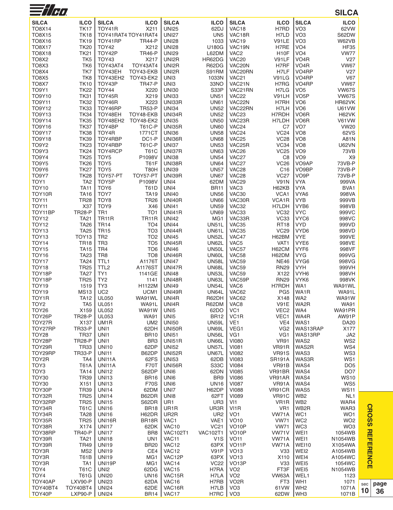| $\equiv$ //H)           |                            |                           |                         |                               |                            |                                        |                   |                         | <b>SILCA</b>         |     |
|-------------------------|----------------------------|---------------------------|-------------------------|-------------------------------|----------------------------|----------------------------------------|-------------------|-------------------------|----------------------|-----|
| <b>SILCA</b>            | <b>ILCO</b>                | <b>SILCA</b>              | <b>ILCO</b>             | <b>SILCA</b>                  | <b>ILCO</b>                | <b>SILCA</b>                           | <b>ILCO</b>       | <b>SILCA</b>            | <b>ILCO</b>          |     |
| <b>TO8X14</b>           | <b>TK17</b>                | TOY41R                    | X211                    | <b>UNI25</b>                  | 62DJ                       | VAC18                                  | H7RD              | VO <sub>3</sub>         | 62VW                 |     |
| <b>TO8X15</b>           | <b>TK18</b>                |                           | TOY41RAT4 TOY41RAT4     | <b>UNI27</b>                  | UN <sub>5</sub>            | VAC18R                                 | H7LD              | VO <sub>3</sub>         | S62DW                |     |
| TO8X16                  | <b>TK19</b>                | TOY41RP                   | <b>TR44-P</b>           | <b>UNI28</b>                  | 1033                       | VAC19                                  | V91LE             | VO <sub>3</sub>         | W62VB                |     |
| <b>TO8X17</b>           | <b>TK20</b>                | <b>TOY42</b>              | X212                    | <b>UNI28</b>                  | U180G                      | VAC19N                                 | H7RE              | VO <sub>4</sub>         | <b>HF35</b>          |     |
| <b>TO8X18</b>           | <b>TK21</b>                | TOY42P                    | <b>TR46-P</b>           | <b>UNI29</b>                  | L62DM                      | VAC <sub>2</sub>                       | H <sub>10</sub> F | VO <sub>4</sub>         | <b>VW77</b>          |     |
| <b>TO8X2</b>            | TK <sub>5</sub>            | TOY43                     | X217                    | UNI2R                         | HR62DG                     | VAC <sub>20</sub>                      | V91LF             | VO <sub>4</sub> R       | V27                  |     |
| TO8X3                   | TK6                        | TOY43AT4                  | TOY43AT4                | UNI2R                         | R62DG                      | VAC20N                                 | H7RF              | VO <sub>4</sub> R       | <b>VW67</b>          |     |
| TO8X4                   | TK7                        | TOY43EH                   | TOY43-EKB               | UNI2R                         | S91RM                      | VAC20RN                                | H7LF              | VO <sub>4</sub> RP      | V27                  |     |
| <b>TO8X5</b>            | TK8                        | TOY43EH2                  | <b>TOY43-EK2</b>        | UNI3                          | 1033N                      | VAC <sub>21</sub>                      | V91LG             | VO <sub>4</sub> RP      | V67                  |     |
| <b>TO8X7</b>            | <b>TK10</b>                | TOY43P                    | <b>TR47-P</b>           | UNI3                          | 33NO                       | VAC21N                                 | H7RG              | VO <sub>4</sub> RP      | <b>VW67</b>          |     |
| <b>TO9Y1</b>            | <b>TK22</b>                | TOY44                     | X220                    | <b>UNI30</b>                  | S33P                       | VAC21RN                                | H7LG              | VO <sub>5</sub>         | <b>VW67S</b>         |     |
| TO9Y10                  | <b>TK31</b>                | TOY45R                    | X219                    | <b>UNI33</b>                  | <b>UN51</b>                | VAC <sub>22</sub>                      | V91LH             | VO <sub>5</sub> P       | <b>VW67S</b>         |     |
| <b>TO9Y11</b>           | <b>TK32</b>                | TOY46R                    | X223                    | UNI33R                        | <b>UN61</b>                | VAC22N                                 | H7RH              | VO6                     | HR62VK               |     |
| TO9Y12                  | <b>TK33</b>                | TOY46RP                   | <b>TR53-P</b>           | <b>UNI34</b>                  | <b>UN52</b>                | VAC22RN                                | H7LH              | VO <sub>6</sub>         | <b>U61VW</b>         |     |
| <b>TO9Y13</b>           | <b>TK34</b>                | TOY48EH                   | TOY48-EKB               | UNI34R                        | <b>UN52</b>                | VAC <sub>23</sub>                      | H7RDH             | VO <sub>6</sub> R       | H62VK                |     |
| <b>TO9Y14</b>           | <b>TK35</b>                | TOY48EH2                  | TOY48-EK2               | <b>UNI35</b>                  | <b>UN50</b><br><b>UN60</b> | VAC23R                                 | H7LDH             | VO6R<br>VO <sub>7</sub> | V61VW<br><b>VW20</b> |     |
| TO9Y16<br><b>TO9Y17</b> | <b>TK37</b><br><b>TK38</b> | TOY4BP<br>TOY4R           | <b>T61C-P</b><br>1771CT | <b>UNI35R</b><br><b>UNI36</b> | <b>UN58</b>                | VAC <sub>24</sub><br>VAC <sub>24</sub> | C7<br><b>VC24</b> | VO <sub>8</sub>         | 62VS                 |     |
| <b>TO9Y18</b>           | <b>TK39</b>                | TOY4RBP                   | DC1-P                   | UNI36R                        | <b>UN68</b>                | VAC <sub>25</sub>                      | <b>VC28</b>       | VO <sub>8</sub>         | A81N                 |     |
| <b>TO9Y2</b>            | <b>TK23</b>                | TOY4RBP                   | <b>T61C-P</b>           | <b>UNI37</b>                  | <b>UN53</b>                | VAC25R                                 | VC34              | VO8                     | <b>U62VN</b>         |     |
| TO9Y3                   | <b>TK24</b>                | TOY4RCP                   | <b>T61C</b>             | UNI37R                        | <b>UN63</b>                | VAC <sub>26</sub>                      | <b>VC25</b>       | VO <sub>9</sub>         | 73VB                 |     |
| TO9Y4                   | <b>TK25</b>                | TOY <sub>5</sub>          | P1098V                  | <b>UNI38</b>                  | <b>UN54</b>                | VAC27                                  | C <sub>8</sub>    | VO <sub>9</sub>         | X <sub>9</sub>       |     |
| TO9Y5                   | <b>TK26</b>                | TOY <sub>5</sub>          | <b>T61F</b>             | UNI38R                        | <b>UN64</b>                | VAC27                                  | <b>VC26</b>       | VO9AP                   | 73VB-P               |     |
| TO9Y6                   | <b>TK27</b>                | TOY <sub>5</sub>          | <b>T80H</b>             | <b>UNI39</b>                  | <b>UN57</b>                | VAC <sub>28</sub>                      | C <sub>16</sub>   | VO9BP                   | 73VB-P               |     |
| TO9Y7                   | <b>TK28</b>                | TOY57-PT                  | TOY57-PT                | UNI39R                        | <b>UN67</b>                | VAC <sub>28</sub>                      | <b>VC27</b>       | VO <sub>9</sub> P       | 73VB-P               |     |
| TOY1                    | TA <sub>2</sub>            | TOY5P                     | P1098V                  | UNI4                          | 62DM                       | VAC <sub>29</sub>                      | <b>V91N</b>       | <b>VYA</b>              | 999VA                |     |
| <b>TOY10</b>            | <b>TA11</b>                | TOY <sub>6</sub>          | <b>T61D</b>             | UNI4                          | <b>BR11</b>                | VAC <sub>3</sub>                       | H62KB             | <b>VYA</b>              | BVA1                 |     |
| TOY10R                  | TA16                       | TOY7                      | <b>TA19</b>             | <b>UNI40</b>                  | <b>UN56</b>                | VAC30                                  | VCA1              | VYA6                    | 998VA                |     |
| TOY <sub>11</sub>       | <b>TR28</b>                | TOY <sub>8</sub>          | <b>TR26</b>             | <b>UNI40R</b>                 | <b>UN66</b>                | VAC30R                                 | VCA1R             | <b>VYB</b>              | 999VB                |     |
| <b>TOY11</b>            | X37                        | TOY <sub>9</sub>          | X46                     | <b>UNI41</b>                  | <b>UN59</b>                | VAC32                                  | H7LDH             | VYB6                    | 998VB                |     |
| TOY11BP                 | <b>TR28-P</b>              | TR <sub>1</sub>           | TO <sub>1</sub>         | <b>UNI41R</b>                 | <b>UN69</b>                | VAC33                                  | <b>VC32</b>       | <b>VYC</b>              | 999VC                |     |
| <b>TOY12</b>            | <b>TA21</b>                | <b>TR11R</b>              | <b>TR11R</b>            | <b>UNI42</b>                  | MG <sub>1</sub>            | VAC33R                                 | VC33              | VYC6                    | 998VC                |     |
| <b>TOY12</b>            | <b>TA26</b>                | <b>TR14</b>               | TO <sub>4</sub>         | <b>UNI44</b>                  | <b>UN51L</b>               | VAC35                                  | <b>RT18</b>       | <b>VYD</b>              | 999VD                |     |
| TOY <sub>13</sub>       | <b>TA25</b>                | <b>TR15</b>               | TO <sub>3</sub>         | <b>UNI44R</b>                 | UN61L                      | VAC35                                  | <b>VC29</b>       | VYD6                    | 998VD                |     |
| TOY <sub>13</sub>       | TOY <sub>13</sub>          | TR <sub>2</sub>           | TO <sub>2</sub>         | <b>UNI45</b>                  | <b>UN52L</b>               | VAC47                                  | H62BM             | VYE                     | 999VE                |     |
| <b>TOY14</b>            | <b>TR18</b>                | TR <sub>3</sub>           | TO <sub>5</sub>         | <b>UNI45R</b>                 | <b>UN62L</b>               | VAC <sub>5</sub>                       | VAT1              | VYE6                    | 998VE                |     |
| TOY15                   | <b>TA15</b>                | TR4                       | TO <sub>6</sub>         | <b>UNI46</b>                  | UN50L                      | VAC57                                  | H62CM             | VYF <sub>6</sub>        | 998VF                |     |
| TOY <sub>16</sub>       | <b>TA23</b>                | TR8                       | TO <sub>8</sub>         | <b>UNI46R</b>                 | UN60L                      | VAC58                                  | H62DM             | <b>VYG</b>              | 999VG                |     |
| TOY <sub>17</sub>       | <b>TA24</b>                | TTL <sub>1</sub>          | A1176T                  | <b>UNI47</b>                  | <b>UN58L</b>               | VAC59                                  | <b>NE46</b>       | VYG6                    | 998VG                |     |
| TOY <sub>18</sub>       | <b>TR25</b>                | TTL <sub>2</sub>          | A1176ST                 | <b>UNI47R</b>                 | <b>UN68L</b>               | VAC59                                  | <b>RN29</b>       | <b>VYH</b>              | 999VH                |     |
| TOY18P                  | <b>TA27</b>                | TY1                       | 1141GE                  | <b>UNI48</b>                  | <b>UN53L</b>               | VAC59                                  | X122              | VYH <sub>6</sub>        | 998VH                |     |
| TOY18P                  | <b>TR25</b>                | TY <sub>2</sub>           | 1141                    | <b>UNI48R</b>                 | UN63L                      | VAC59P                                 | <b>RN29</b>       | VYK6                    | 998VK                |     |
| <b>TOY19</b>            | 1519                       | TY3                       | H1122M                  | <b>UNI49</b>                  | <b>UN54L</b>               | VAC <sub>6</sub>                       | H7RDH             | WA1                     | WA91WL               |     |
| TOY <sub>19</sub>       | <b>MS13</b>                | UC <sub>2</sub>           | UCM1                    | <b>UNI49R</b>                 | UN64L                      | VAC62                                  | PG <sub>5</sub>   | WA1R                    | WA91L                |     |
| TOY1R                   | <b>TA12</b>                | <b>UL050</b>              | WA91WL                  | UNI4R                         | R62DH                      | VAC62                                  | X148              | WA2                     | <b>WA91W</b>         |     |
| TOY <sub>2</sub>        | TA <sub>5</sub>            | <b>UL051</b>              | WA91L                   | UNI4R                         | R62DM                      | VAC <sub>8</sub>                       | <b>V91E</b>       | WA2R                    | <b>WA91</b>          |     |
| TOY26                   | X159                       | <b>UL052</b>              | <b>WA91W</b>            | UNI <sub>5</sub>              | 62DO                       | VC <sub>1</sub>                        | VEC <sub>2</sub>  | WA4                     | WA91PR               |     |
| TOY26P                  | <b>TR28-P</b><br>X137      | <b>UL053</b>              | <b>WA91</b>             | UN <sub>15</sub>              | <b>BR12</b>                | VC <sub>1</sub> R<br>VE <sub>1</sub>   | VEC1<br>VE4       | WA4R<br>WAS1            | AW91P                |     |
| TOY27R<br>TOY27RP       | <b>TR33-P</b>              | UM <sub>1</sub> R<br>UNI1 | UM <sub>2</sub><br>62DH | <b>UNI50</b><br><b>UNI50R</b> | <b>UN59L</b><br>UN69L      | VEG1                                   | VG <sub>2</sub>   | WAS13RAP                | DA20<br>X177         |     |
| TOY28                   | <b>TR37</b>                | UNI1                      | <b>BR10</b>             | <b>UNI51</b>                  | <b>UN56L</b>               | VG1                                    | VG <sub>1</sub>   | WAS13RP                 | JA2                  |     |
| TOY28P                  | <b>TR28-P</b>              | UNI1                      | BR <sub>3</sub>         | <b>UNI51R</b>                 | UN66L                      | <b>VI080</b>                           | <b>VR91</b>       | WAS2                    | WS <sub>2</sub>      |     |
| TOY29R                  | <b>TR33</b>                | UNI10                     | 62DP                    | <b>UNI52</b>                  | UN57L                      | <b>VI081</b>                           | VR91R             | WAS2R                   | WS4                  |     |
| TOY29RP                 | <b>TR33-P</b>              | <b>UNI11</b>              | B62DP                   | <b>UNI52R</b>                 | UN67L                      | <b>VI082</b>                           | <b>VR91S</b>      | WAS3                    | WS3                  |     |
| TOY2R                   | TA4                        | UNI11A                    | 62FS                    | <b>UNI53</b>                  | 62DB                       | <b>VI083</b>                           | <b>SR191A</b>     | WAS3R                   | WS1                  |     |
| TOY3                    | <b>T61A</b>                | UNI11A                    | <b>F70T</b>             | <b>UNI56R</b>                 | S33C                       | <b>VI084</b>                           | VR91B             | WAS4                    | DO <sub>5</sub>      |     |
| TOY <sub>3</sub>        | <b>TA14</b>                | <b>UNI12</b>              | S62DP                   | UNI6                          | 62DN                       | <b>VI085</b>                           | VR91BR            | WAS4                    | DO <sub>7</sub>      |     |
| <b>TOY30</b>            | <b>TR39</b>                | <b>UNI13</b>              | <b>BR16</b>             | UNI6                          | BR <sub>9</sub>            | <b>VI086</b>                           | VR91AR            | WAS4                    | <b>WS10</b>          |     |
| <b>TOY30</b>            | X151                       | <b>UNI13</b>              | <b>F70S</b>             | UNI6                          | <b>UN16</b>                | <b>VI087</b>                           | VR91A             | WAS4                    | WS5                  |     |
| TOY30P                  | <b>TR39</b>                | <b>UNI14</b>              | 62DM                    | UNI7                          | H62DP                      | <b>VI088</b>                           | VR91CR            | WAS5                    | <b>WS11</b>          |     |
| TOY32R                  | <b>TR25</b>                | <b>UNI14</b>              | B62DR                   | UN <sub>18</sub>              | 62FT                       | <b>VI089</b>                           | VR91C             | WB <sub>2</sub>         | NL <sub>1</sub>      |     |
| TOY32RP                 | <b>TR25</b>                | <b>UNI15</b>              | S62DR                   | UR1                           | UR <sub>3</sub>            | VI1                                    | VR <sub>1</sub> R | WB <sub>2</sub>         | WAR4                 |     |
| TOY34R                  | <b>T61C</b>                | <b>UNI16</b>              | <b>BR18</b>             | UR1R                          | UR3R                       | VI1R                                   | VR <sub>1</sub>   | WB <sub>2R</sub>        | WAR3                 |     |
| TOY34R                  | <b>TA28</b>                | <b>UNI16</b>              | H62DR                   | UR <sub>2</sub> R             | UR <sub>2</sub>            | VO <sub>1</sub>                        | VW71A             | WC1                     | WO <sub>1</sub>      |     |
| TOY35R                  | <b>TR25</b>                | UNI16R                    | BR18R                   | VAC1                          | VAE1                       | <b>VO10</b>                            | <b>VW71</b>       | WC <sub>2</sub>         | WO <sub>2</sub>      |     |
| TOY38R                  | X174                       | <b>UNI17</b>              | 62DK                    | <b>VAC10</b>                  | <b>VC21</b>                | VO <sub>10</sub> P                     | <b>VW71</b>       | WC3                     | WO <sub>3</sub>      |     |
| TOY38RP                 | <b>TR40-P</b>              | <b>UNI17</b>              | BR8                     | <b>VAC102T1</b>               | <b>VAC102T1</b>            | VO <sub>10</sub> P                     | VW71V             | WEI1                    | 1054WB               |     |
| TOY39R                  | <b>TA21</b>                | <b>UNI18</b>              | UN <sub>1</sub>         | VAC11                         | V <sub>1</sub> S           | <b>VO11</b>                            | VW71A             | WEI1                    | N1054WB              |     |
| TOY39R                  | <b>TR49</b>                | <b>UNI19</b>              | <b>BR20</b>             | VAC12                         | 63PX                       | VO <sub>11</sub> P                     | VW71A             | <b>WEI10</b>            | X1054WA              |     |
| TOY3R                   | MS <sub>2</sub>            | <b>UNI19</b>              | CE4                     | VAC12                         | <b>V91P</b>                | <b>VO<sub>13</sub></b>                 | V33               | WEI2                    | A1054WB              |     |
| TOY3R                   | <b>T61B</b>                | <b>UNI19</b>              | MG <sub>1</sub>         | VAC12P                        | 63PX                       | <b>VO<sub>13</sub></b>                 | X110              | WEI4                    | A1054WC              |     |
| TOY3R                   | TA <sub>1</sub>            | <b>UNI19P</b>             | MG1                     | VAC14                         | <b>VC22</b>                | VO <sub>13</sub> P                     | V33               | WEI5                    | 1054WC               |     |
| TOY4                    | <b>T61C</b>                | UNI <sub>2</sub>          | 62DG                    | VAC15                         | H7RA                       | VO <sub>2</sub>                        | FT3F              | WEI5                    | N1054WB              |     |
| TOY4                    | T61G                       | <b>UNI20</b>              | <b>UN16</b>             | VAC15R                        | H7LA                       | VO <sub>2</sub>                        | VW63A             | WEL1                    | 1123                 |     |
| TOY40AP                 | LXV90-P                    | <b>UNI23</b>              | 62DA                    | VAC16                         | H7RB                       | VO <sub>2</sub> R                      | FT <sub>3</sub>   | WH1                     | 1071                 | sec |
| TOY40BT4                | TOY40BT4                   | <b>UNI24</b>              | 62DE                    | VAC16R                        | H7LB                       | VO <sub>3</sub>                        | 61 VW             | WH <sub>2</sub>         | 1071A                | 10  |
| TOY40P                  | LXP90-P                    | UNI24                     |                         | <b>BR14   VAC17</b>           | H7RC   VO3                 |                                        | 62DW              | WH <sub>3</sub>         | 1071B                |     |

**10 page 36**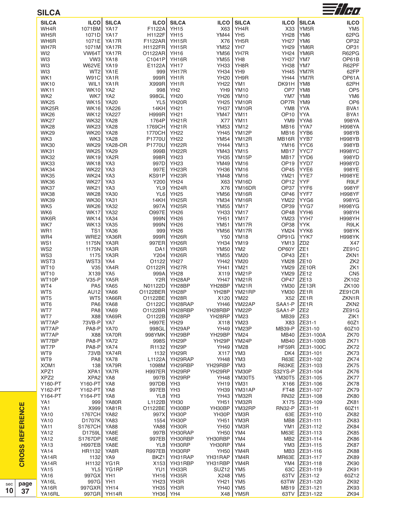| <b>SILCA</b>                |                                |                            |                          |                                   |                            |                                   |                            |                                  | $\equiv$ //H $\eta$      |
|-----------------------------|--------------------------------|----------------------------|--------------------------|-----------------------------------|----------------------------|-----------------------------------|----------------------------|----------------------------------|--------------------------|
| <b>SILCA</b>                | <b>ILCO</b>                    | <b>SILCA</b>               | <b>ILCO</b>              | <b>SILCA</b>                      | <b>ILCO</b>                | <b>SILCA</b>                      | <b>ILCO</b>                | <b>SILCA</b>                     | <b>ILCO</b>              |
| WH4R                        | 1071BM                         | <b>YA17</b>                | F1122A                   | <b>YH15</b>                       | X63                        | YH4R                              | X33                        | YM <sub>5</sub> R                | YM <sub>5</sub>          |
| WH5R                        | 1071D                          | <b>YA17</b>                | H1122F                   | <b>YH15</b>                       | <b>YM44</b>                | YH <sub>5</sub>                   | <b>YH28</b>                | YM <sub>6</sub>                  | 62PG                     |
| WH6R                        | 1071E                          | YA17R                      | F1122AR                  | YH15R                             | X76                        | YH <sub>5</sub> R                 | <b>YH27</b>                | YM <sub>6</sub>                  | OP32                     |
| WH7R                        | 1071M                          | YA17R                      | <b>H1122FR</b>           | YH15R                             | <b>YM52</b>                | YH7                               | <b>YH29</b>                | YM6R                             | OP31                     |
| WI <sub>2</sub>             | VW64T                          | YA17R                      | O1122AR                  | <b>YH16</b>                       | <b>YM56</b>                | YH7R                              | <b>YH24</b>                | YM6R                             | R62PG                    |
| WI3<br>WI3                  | VW <sub>3</sub><br>W62VE       | <b>YA18</b><br><b>YA19</b> | C1041P<br>E1122A         | YH16R<br><b>YH17</b>              | <b>YM55</b><br><b>YH33</b> | YH <sub>8</sub><br>YH8R           | <b>YH37</b><br><b>YH38</b> | YM7<br>YM7                       | OP61B<br>R62PF           |
| WI3                         | WT <sub>2</sub>                | YA1E                       | 999                      | YH17R                             | <b>YH34</b>                | YH9                               | <b>YH45</b>                | YM7R                             | 62FP                     |
| WK1                         | <b>W91C</b>                    | YA <sub>1</sub> R          | 999R                     | YH <sub>1</sub> R                 | <b>YH20</b>                | YH9R                              | <b>YH44</b>                | YM7R                             | OP61A                    |
| <b>WK10</b>                 | WIL1                           | YA1R                       | X999R                    | YH <sub>1</sub> R                 | <b>YH22</b>                | YM1                               | DK91H                      | YM8                              | 62PH                     |
| <b>WK11</b>                 | <b>WK10</b>                    | YA <sub>2</sub>            | 998                      | YH <sub>2</sub>                   | YH9                        | <b>YM10</b>                       | OP7                        | YM8                              | OP <sub>5</sub>          |
| WK <sub>2</sub>             | WK7                            | YA <sub>2</sub>            | 998GL                    | <b>YH20</b>                       | <b>YH26</b>                | <b>YM10</b>                       | YM7                        | YM8                              | YM <sub>6</sub>          |
| <b>WK25</b>                 | <b>WK15</b>                    | <b>YA20</b>                | YL <sub>5</sub>          | YH <sub>20</sub> R                | <b>YH25</b>                | YM10R                             | OP7R                       | YM9                              | OP <sub>6</sub>          |
| <b>WK25R</b><br><b>WK26</b> | <b>WK16</b><br><b>WK12</b>     | YA226<br><b>YA227</b>      | 14KH<br><b>H999R</b>     | <b>YH21</b><br><b>YH21</b>        | <b>YH37</b><br><b>YM47</b> | YM <sub>10</sub> R<br><b>YM11</b> | YM8<br>OP <sub>10</sub>    | YYA<br><b>YYA</b>                | BVA1<br>BYA1             |
| <b>WK27</b>                 | <b>WK32</b>                    | <b>YA28</b>                | 1764P                    | YH <sub>21</sub> R                | X77                        | <b>YM11</b>                       | YM9                        | YYA6                             | 998YA                    |
| <b>WK28</b>                 | <b>WK23</b>                    | <b>YA28</b>                | 1769CH                   | YH <sub>21</sub> R                | <b>YM53</b>                | <b>YM12</b>                       | <b>MB16</b>                | YYA7                             | <b>H998YA</b>            |
| <b>WK29</b>                 | <b>WK20</b>                    | <b>YA28</b>                | 1770CH                   | <b>YH22</b>                       | <b>YH45</b>                | YM12P                             | <b>MB16</b>                | YYB6                             | 998YB                    |
| WK3                         | WK3                            | <b>YA28</b>                | P1770U                   | <b>YH22</b>                       | <b>YM54</b>                | YM12R                             | MB16R                      | YYB7                             | <b>H998YB</b>            |
| <b>WK30</b>                 | <b>WK29</b>                    | <b>YA28-OR</b>             | P1770U                   | YH <sub>22</sub> R                | <b>YH44</b>                | <b>YM13</b>                       | <b>YM16</b>                | YYC6                             | 998YB                    |
| <b>WK31</b>                 | <b>WK25</b>                    | <b>YA29</b>                | 999B                     | YH <sub>22</sub> R                | <b>YM43</b>                | <b>YM15</b>                       | <b>MB17</b>                | YYC7                             | <b>H998YC</b>            |
| <b>WK32</b>                 | <b>WK19</b>                    | YA2R                       | 998R                     | <b>YH23</b>                       | <b>YH35</b>                | YM15P                             | MB17                       | YYD6                             | 998YD                    |
| <b>WK33</b><br><b>WK34</b>  | <b>WK18</b><br><b>WK22</b>     | YA3<br>YA3                 | 997D<br>997E             | <b>YH23</b><br>YH <sub>23</sub> R | <b>YM49</b><br><b>YH36</b> | <b>YM16</b><br><b>YM16</b>        | OP <sub>19</sub><br>OP45   | YYD7<br>YYE <sub>6</sub>         | <b>H998YD</b><br>998YE   |
| <b>WK35</b>                 | <b>WK24</b>                    | YA3                        | KS91P                    | YH <sub>23</sub> R                | <b>YM48</b>                | <b>YM16</b>                       | <b>YM21</b>                | YYE7                             | <b>H998YE</b>            |
| <b>WK36</b>                 | <b>WK27</b>                    | YA3                        | Y200                     | <b>YH24</b>                       | X63                        | YM16D                             | OP <sub>12</sub>           | <b>YYF</b>                       | R9LF                     |
| <b>WK37</b>                 | <b>WK21</b>                    | YA3                        | YL9                      | YH <sub>24</sub> R                | X76                        | YM16DR                            | OP37                       | YYF <sub>6</sub>                 | 998YF                    |
| <b>WK38</b>                 | <b>WK28</b>                    | <b>YA30</b>                | YL <sub>6</sub>          | <b>YH25</b>                       | <b>YM56</b>                | YM16R                             | OP46                       | YYF7                             | <b>H998YF</b>            |
| <b>WK39</b>                 | <b>WK30</b>                    | <b>YA31</b>                | 14KH                     | YH <sub>25</sub> R                | <b>YM34</b>                | YM16R                             | <b>YM22</b>                | YYG6                             | 998YG                    |
| WK <sub>5</sub>             | <b>WK26</b>                    | <b>YA32</b>                | 997A                     | YH <sub>25</sub> R                | <b>YM55</b>                | YM17                              | OP39                       | YYG7                             | <b>H998YG</b>            |
| WK6                         | <b>WK17</b>                    | <b>YA32</b>                | <b>O997E</b>             | <b>YH26</b>                       | <b>YH33</b>                | <b>YM17</b>                       | OP48                       | YYH <sub>6</sub>                 | 998YH                    |
| WK6R                        | <b>WK14</b>                    | <b>YA34</b>                | 999N                     | <b>YH26</b>                       | <b>YH51</b>                | <b>YM17</b>                       | <b>YM23</b>                | YYH7                             | <b>H998YH</b>            |
| WK7<br>WR1                  | <b>WK13</b><br>TS <sub>1</sub> | <b>YA35</b><br><b>YA36</b> | 999N<br>999              | <b>YH26</b><br><b>YH26</b>        | <b>YM51</b><br><b>YM56</b> | YM17R<br>YM17R                    | <b>OP38</b><br><b>YM24</b> | <b>YYK</b><br>YYK6               | R9LK<br>998YK            |
| WR4                         | WRE2                           | YA36R                      | 999R                     | YH <sub>26</sub> R                | Y50                        | <b>YM18</b>                       | OP91G                      | YYK7                             | <b>H998YK</b>            |
| WS1                         | 1175N                          | YA3R                       | 997ER                    | YH <sub>26</sub> R                | <b>YH34</b>                | <b>YM19</b>                       | <b>YM13</b>                | ZD <sub>2</sub>                  | X47                      |
| WS <sub>2</sub>             | 1175N                          | YA3R                       | DA1                      | YH <sub>26</sub> R                | <b>YM50</b>                | YM <sub>2</sub>                   | OP60Y                      | ZE <sub>1</sub>                  | ZE91C                    |
| WS3                         | 1175                           | YA3R                       | Y204                     | YH <sub>26</sub> R                | <b>YM55</b>                | <b>YM20</b>                       | OP43                       | ZE <sub>1</sub>                  | ZKN1                     |
| WST3                        | WST3                           | YA4                        | 01122                    | <b>YH27</b>                       | <b>YH42</b>                | <b>YM20</b>                       | <b>YM28</b>                | ZE10                             | ZK <sub>2</sub>          |
| <b>WT10</b>                 | V35                            | YA4R                       | O1122R                   | YH <sub>27</sub> R                | <b>YH41</b>                | <b>YM21</b>                       | <b>YM29</b>                | ZE <sub>10R</sub>                | ZK1                      |
| <b>WT10</b><br>WT10P        | X139<br>$V35-P$                | YA <sub>5</sub><br>YA5R    | 999A<br>Y <sub>2</sub> R | <b>YH28</b><br>YH28AP             | X119<br><b>YH47</b>        | YM21P<br>YM21R                    | <b>YM29</b><br>OP47        | ZE12<br>ZE <sub>13</sub>         | CN <sub>5</sub><br>ZK102 |
| WT4                         | PA <sub>5</sub>                | <b>YA65</b>                | N01122D                  | YH28BP                            | YH28BP                     | <b>YM21R</b>                      | <b>YM30</b>                | ZE13R                            | ZK100                    |
| WT5                         | AU12                           | <b>YA66</b>                | 01122BER                 | YH <sub>28</sub> P                |                            | YH28P   YM21RP                    |                            | YM30 ZE1R                        | ZE91CR                   |
| WT5                         |                                | WT5 YA66R                  | O1122BE                  | YH28R                             | X120                       | <b>YM22</b>                       |                            | $X52$ ZE1R                       | ZKN1R                    |
| WT6                         |                                | PA6 YA68                   | O1122CI                  | YH28RAP                           | YH46                       | YM22AP                            | SAA1-P ZE1R                |                                  | ZKN <sub>2</sub>         |
| WT7                         | PA8                            | <b>YA69</b>                |                          | O1122BR YH28RBP                   | YH28RBP                    | YM22P                             | SAA1-P                     | ZE <sub>2</sub>                  | ZE91G                    |
| WT7                         | X88                            | YA69R                      | O1122B                   | YH28RP                            | YH28RP                     | <b>YM23</b>                       | MB39 ZE3                   |                                  | ZIK1                     |
| WT7AP                       | 73VB-PI                        | YA7                        | <b>H997E</b>             | <b>YH29</b><br>YH29AP             | X118                       | <b>YM23</b><br>YM23P              |                            | X83 ZE31-1<br>MB39-P ZE31-10     | 60Z1<br>60Z10            |
| WT7AP<br>WT7AP              | PA8-P<br>X881                  | <b>YA70</b><br>YA70R       | 998GL                    | 998YMK YH29BP                     | <b>YH49</b><br>YH29BP      | <b>YM24</b>                       |                            | MB40 ZE31-100A                   | <b>ZK70</b>              |
| WT7BP                       | PA8-P                          | <b>YA72</b>                | 998S                     | YH29P                             | YH <sub>29</sub> P         | YM24P                             |                            | MB40 ZE31-100B                   | <b>ZK71</b>              |
| WT7P                        | PA8-PI                         | YA74                       |                          | R1132 YH29P                       | YH49                       | <b>YM28</b>                       |                            | HF59R ZE31-100C                  | ZK72                     |
| WT9                         | 73VB                           | YA74R                      | 1132                     | YH29R                             | X117                       | YM <sub>3</sub>                   |                            | DK4 ZE31-101                     | ZK73                     |
| WT9                         | PA8                            | <b>YA78</b>                | L1122A                   | YH29RAP                           | <b>YH48</b>                | YM3                               |                            | R63E ZE31-102                    | <b>ZK74</b>              |
| XOM1                        | 138                            | YA79R                      |                          | 1098M YH29RBP                     | YH29RBP                    | YM <sub>3</sub>                   |                            | R63KE ZE31-103                   | ZK75                     |
| XPZ1                        | XPA <sub>1</sub>               | YA7R                       | H997ER                   | YH29RP                            | YH29RP                     | YM30P                             |                            | S32YS-P ZE31-104                 | <b>ZK76</b>              |
| XPZ <sub>2</sub><br>Y160-PT | XPA2<br>Y160-PT                | YA8<br>YA8                 | 997B<br>997DB            | YH29RP<br>YH3                     | YH48<br><b>YH19</b>        | <b>YM30T5</b><br>YM31             |                            | YM30T5 ZE31-105<br>X166 ZE31-106 | ZK77                     |
| Y162-PT                     | Y162-PT                        | YA8                        | 997EB                    | YH3                               | <b>YH39</b>                | YM31AP                            |                            | FT48 ZE31-107                    | ZK78<br>ZK79             |
| Y164-PT                     | Y164-PT                        | YA8                        | YL8                      | YH3                               | <b>YH43</b>                | YM32R                             |                            | RN32 ZE31-108                    | <b>ZK80</b>              |
| YA1                         | 9991                           | YA80R                      | L1122B                   | <b>YH30</b>                       | <b>YH51</b>                | YM32R                             |                            | X175 ZE31-109                    | ZK81                     |
| YA1                         | X999                           | YA81R                      | O1122BE                  | YH30BP                            | YH30BP                     | YM32RP                            |                            | RN32-P ZE31-11                   | 60Z11                    |
| <b>YA10</b>                 | 1767CH                         | <b>YA82</b>                | 997X                     | YH30P                             | YH30P                      | YM3R                              |                            | 63E ZE31-110                     | ZK82                     |
| <b>YA10</b>                 | D1707K                         | YA83                       |                          | 1554 YH30P                        | <b>YH51</b>                | YM3R                              |                            | MB8 ZE31-111                     | ZK83                     |
| <b>YA11</b>                 | S1767CH YA88                   |                            |                          | YA88 YH30R                        | <b>YH50</b>                | YM3R                              |                            | YM1 ZE31-112                     | ZK84                     |
| <b>YA12</b>                 | D1759L YA8E                    |                            |                          | 997B YH30RAP                      | <b>YH50</b>                | YM4                               |                            | M63E ZE31-113                    | <b>ZK85</b>              |
| <b>YA12</b><br><b>YA13</b>  | S1767DP YA8E<br>H997EB YA8E    |                            | 997EB                    | YH30RBP<br>YL8 YH30RP             | YH30RBP<br>YH30RP          | YM4<br>YM4                        |                            | MB2 ZE31-114<br>YM3 ZE31-115     | ZK86<br>ZK87             |
| <b>YA14</b>                 | HR1132                         | YA8R                       | <b>R997EB</b>            | YH30RP                            | <b>YH50</b>                | YM4R                              |                            | MB3 ZE31-116                     | ZK88                     |
| YA14R                       |                                | 1132 YA9                   | BKZ1                     | YH31RAP                           | YH31RAP                    | YM4R                              |                            | MR63E ZE31-117                   | <b>ZK89</b>              |
| YA14R                       |                                | H1132 YG1R                 |                          | $X153$ YH31RBP                    | YH31RBP                    | YM4R                              |                            | YM4   ZE31-118                   | <b>ZK90</b>              |
| <b>YA15</b>                 |                                | YL5 YG1RP                  |                          | YU1 YH33R                         | SUZ <sub>12</sub>          | YM <sub>5</sub>                   |                            | 63C ZE31-119                     | ZK91                     |
| <b>YA16</b>                 | 997GX YH1                      |                            |                          | YH16 YH35R                        | X248                       | YM <sub>5</sub>                   |                            | 63TV ZE31-12                     | 60Z12                    |
| YA16L                       | 997G YH1                       |                            | <b>YH23</b>              | YH3R                              | <b>YH21</b>                | YM <sub>5</sub>                   |                            | 63TW ZE31-120                    | <b>ZK92</b>              |
| YA16R                       | 997GXR YH14                    |                            |                          | YH35 YH3R                         | YH40   YM5                 |                                   |                            | MB19 ZE31-121                    | ZK93                     |
| YA16RL                      |                                | 997GR YH14R                | YH36 YH4                 |                                   |                            | X48   YM5R                        |                            | 63TV ZE31-122                    | ZK94                     |

**CROSS REFERENCE**

**CROSS REFERENCE** 

**p a g e 3 7**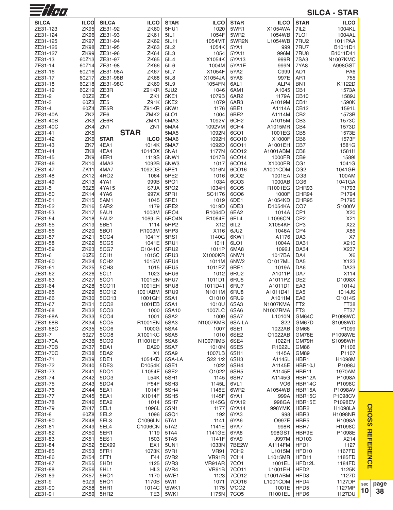| $\nexists$ /Ho       |                         |                          |                            |                           |                      |                                      |                           |                                    | <b>SILCA - STAR</b>          |
|----------------------|-------------------------|--------------------------|----------------------------|---------------------------|----------------------|--------------------------------------|---------------------------|------------------------------------|------------------------------|
| <b>SILCA</b>         | <b>ILCO</b>             | <b>SILCA</b>             | <b>ILCO</b>                | <b>STAR</b>               | <b>ILCO</b>          | <b>STAR</b>                          | <b>ILCO</b>               | <b>STAR</b>                        | <b>ILCO</b>                  |
| ZE31-123             | <b>ZK95</b>             | ZE31-92                  | <b>ZK60</b>                | 5HU1                      | 1020                 | 5WR1                                 | X1054WA                   | 7IL <sub>2</sub>                   | 1004KL                       |
| ZE31-124             | <b>ZK96</b>             | ZE31-93                  | <b>ZK61</b>                | 5IL1                      | 1054F                | 5WR2                                 | 1054WB                    | 7LO1                               | 1004AL                       |
| ZE31-125<br>ZE31-126 | ZK97<br><b>ZK98</b>     | ZE31-94<br>ZE31-95       | <b>ZK62</b><br><b>ZK63</b> | 5IL11<br>5IL <sub>2</sub> | 1054MT<br>1054K      | 5WR2N<br>5YA1                        | L1054WB<br>999            | 7RU2<br><b>7RU7</b>                | 1011PAA<br>B1011D1           |
| ZE31-127             | <b>ZK99</b>             | ZE31-96                  | <b>ZK64</b>                | 5IL3                      | 1054                 | 5YA11                                | 996M                      | 7RU8                               | B1011D41                     |
| ZE31-13              | 60Z13                   | ZE31-97                  | <b>ZK65</b>                | 5IL4                      | X1054K               | 5YA13                                | 999R                      | 7SA3                               | N1007KMC                     |
| ZE31-14              | 60Z14                   | ZE31-98                  | <b>ZK66</b>                | 5IL6                      | 1004M                | 5YA1E                                | 999N                      | 7YA8                               | A998GST                      |
| ZE31-16              | 60Z16                   | ZE31-98A                 | ZK67                       | 5IL7                      | X1054F               | 5YA2                                 | C999                      | AD <sub>1</sub>                    | PA <sub>6</sub>              |
| ZE31-17<br>ZE31-18   | 60Z17<br>60Z18          | ZE31-98B<br>ZE31-98C     | ZK68<br>ZK69               | 5IL8<br>5IL9              | X1054JA<br>1054FN    | 5YA6<br>6AL1                         | 997E<br>ALP4              | AR1<br>BN <sub>1</sub>             | 755<br>K1122D                |
| ZE31-19              | 60Z19                   | ZE3R                     | Z91KR                      | 5JU2                      | 1046                 | 6AM1                                 | A1045                     | CB1                                | 1573A                        |
| ZE31-2               | 60Z2                    | ZE4                      | ZK1                        | 5KE1                      | 1079B                | 6AR2                                 | 1179A                     | CB <sub>10</sub>                   | 1589J                        |
| ZE31-3               | 60Z3                    | ZE <sub>5</sub>          | Z91K                       | 5KE <sub>2</sub>          | 1079                 | 6AR3                                 | A1019M                    | CB <sub>11</sub>                   | 1590K                        |
| ZE31-4<br>ZE31-40A   | 60Z4<br>ZK <sub>2</sub> | ZE5R<br>ZE <sub>6</sub>  | Z91KR<br>ZMK <sub>2</sub>  | 5KW1<br>5LO1              | 1176<br>1004         | 6BE1<br>6BE2                         | A1114A<br>A1114M          | <b>CB12</b><br>CB <sub>2</sub>     | 1591L<br>1573B               |
| ZE31-40B             | ZK3                     | ZE6R                     | ZMK1                       | 5MA3                      | 1092V                | 6CH <sub>2</sub>                     | A1015M                    | CB <sub>3</sub>                    | 1573C                        |
| ZE31-40C             | ZK4                     | ZN <sub>1</sub>          | ZN <sub>1</sub>            | 5MA4                      | 1092VM               | 6CH4                                 | A1015MR                   | CB4                                | 1573D                        |
| ZE31-41              | ZK <sub>5</sub>         |                          | <b>STAR</b>                | 5MA5                      | 1092N                | 6CO1                                 | 1001EG                    | CB <sub>5</sub>                    | 1573E                        |
| ZE31-42              | ZK <sub>6</sub>         | <b>STAR</b>              | <b>ILCO</b>                | 5MA6                      | 1092H                | 6CO10                                | X1000F                    | C <sub>B6</sub>                    | 1573F                        |
| ZE31-43<br>ZE31-44   | ZK7<br>ZK8              | 4EA1<br>4EA4             | 1014K<br>1014DX            | 5MA7<br>5NA1              | 1092D<br>1177N       | 6CO11<br>6CO12                       | A1001EH<br>A1001ABM       | CB7<br>CB8                         | 1581G<br>1581H               |
| ZE31-45              | ZK9                     | 4ER1                     | 1119S                      | 5NW1                      | 1017B                | 6CO14                                | 1000FR                    | CB <sub>9</sub>                    | 15891                        |
| ZE31-46              | <b>ZK10</b>             | 4MA2                     | 1092B                      | 5NW3                      | 1017                 | 6CO14                                | X1000FR                   | CG <sub>1</sub>                    | 1041G                        |
| ZE31-47              | <b>ZK11</b>             | 4MA7                     | 1092DS                     | 5PE1                      | 1016N                | 6CO16                                | A1001CDM                  | CG <sub>2</sub>                    | 1041GR                       |
| ZE31-48              | <b>ZK12</b>             | 4RO <sub>2</sub>         | 1064                       | 5PE <sub>2</sub>          | 1016                 | 6CO <sub>2</sub>                     | 1001EA<br>1000AB          | CG <sub>3</sub>                    | 100AM                        |
| ZE31-49<br>ZE31-5    | ZK13<br>60Z5            | 4YA1<br>4YA15            | 999B<br>S7JA               | 5PO1<br>5PO <sub>2</sub>  | 1034<br>1034H        | 6CO <sub>3</sub><br>6CO <sub>5</sub> | R1001EG                   | CG <sub>6</sub><br>CHR93           | 1041GA<br>P1793              |
| ZE31-50              | ZK14                    | 4YA6                     | 997X                       | 5PR1                      | SC1176               | 6CO <sub>6</sub>                     | 1000F                     | CHR94                              | P1794                        |
| ZE31-51              | <b>ZK15</b>             | 5AM1                     | 1045                       | 5RE1                      | 1019                 | 6DE1                                 | A1054KD                   | CHR95                              | P1795                        |
| ZE31-52              | ZK16                    | 5AR2                     | 1179                       | 5RE2                      | 1019D                | 6DE3                                 | D1054KA                   | CO <sub>7</sub>                    | S1000V                       |
| ZE31-53<br>ZE31-54   | ZK17<br>ZK18            | 5AU1<br>5AU2             | 1003M<br>1069LB            | 5RO4<br>5RO4N             | R1064D<br>R1064E     | 6EA2<br>6EL4                         | 1014A<br>L1096CN          | CP <sub>1</sub><br>CP <sub>2</sub> | X <sub>20</sub><br>X21       |
| ZE31-55              | <b>ZK19</b>             | 5BE1                     | 1114                       | 5RP <sub>2</sub>          | X <sub>12</sub>      | 6IL <sub>2</sub>                     | X1054KF                   | CP <sub>3</sub>                    | X22                          |
| ZE31-56              | <b>ZK20</b>             | 5BO1                     | R1003M                     | 5RP3                      | X116                 | 6JU2                                 | 1046A                     | CP4                                | X86                          |
| ZE31-57              | ZK21                    | 5CG4                     | 1041Y                      | 5RS1                      | 1140G                | 6KW1                                 | A1176                     | DA <sub>3</sub>                    | X7                           |
| ZE31-58              | <b>ZK22</b>             | 5CG5                     | 1041E                      | 5RU1                      | 1011                 | 6LO1                                 | 1004A                     | <b>DA31</b>                        | X210                         |
| ZE31-59<br>ZE31-6    | ZK23<br>60Z6            | 5CG7<br>5CH <sub>1</sub> | C1041C<br>1015C            | 5RU2<br>5RU3              | 1011P<br>X1000KR     | 6MA8<br>6NW1                         | 1092J<br>1017BA           | <b>DA34</b><br>DA4                 | X237<br>X6                   |
| ZE31-60              | <b>ZK24</b>             | 5CH <sub>2</sub>         | 1015M                      | 5RU4                      | 1011M                | 6NW <sub>2</sub>                     | O1017ML                   | DA <sub>5</sub>                    | X123                         |
| ZE31-61              | <b>ZK25</b>             | 5CH <sub>3</sub>         | 1015                       | 5RU5                      | 1011PZ               | 6RE1                                 | 1019A                     | DA6                                | <b>DA23</b>                  |
| ZE31-62              | <b>ZK26</b>             | 5CL1                     | 1023                       | 5RU6                      | 1012                 | 6RU <sub>2</sub>                     | A1011P                    | DA7                                | X114                         |
| ZE31-63<br>ZE31-64   | ZK27<br><b>ZK28</b>     | 5CO1<br>5CO11            | 1001EN<br>1001EH           | 5RU7<br>5RU8              | 1011D1<br>1011D41    | 6RU5<br>6RU7                         | A1011PZ<br>A1011D1        | DE <sub>2</sub><br>EA <sub>3</sub> | D1098X<br>1014J              |
| ZE31-65              | ZK29                    | 5CO12                    | 1001ABM                    | 5RU9                      | N1011M               | 6RU8                                 | A1011D41                  | EA <sub>5</sub>                    | 1014JS                       |
| ZE31-66              | ZK30J                   | 5CO13                    | 1001GH                     | 5SA1                      | O <sub>1010</sub>    | 6RU9                                 | A1011M                    | EA6                                | O1014S                       |
| ZE31-67              | ZK31                    | 5CO <sub>2</sub>         | 1001EB                     | 5SA1                      | 1010U                | 6SA3                                 | N1007KMA                  | FT <sub>2</sub>                    | FT38                         |
| ZE31-68<br>ZE31-68A  | ZK32<br>ZK33            | <b>5CO3</b><br>5CO4      | 1000<br>1001               | 5SA10<br>5SA <sub>2</sub> | 1007LC<br>1009       | 6SA6<br>6SA7                         | N1007RMA<br>L1010N        | FT <sub>3</sub><br>GM64C           | FT37<br>P1098WC              |
| ZE31-68B             | ZK34                    | 5CO <sub>5</sub>         | R1001EN                    | 5SA3                      | <b>N1007KMB</b>      | 6SA-LA                               | S <sub>22</sub>           | GM67D                              | S1098WD                      |
| ZE31-68C             | <b>ZK35</b>             | <b>5CO6</b>              | 1000G                      | 5SA4                      | 1007                 | 6SE1                                 | 1022AB                    | GM68                               | P1099                        |
| ZE31-7               | 60Z7                    | <b>5CO8</b>              | X1001KC                    | 5SA5                      | 1010                 | 6SE <sub>2</sub>                     | O1022AB                   | GM78E                              | P1098WE                      |
| ZE31-70A<br>ZE31-70B | ZK36<br><b>ZK37</b>     | 5CO <sub>9</sub><br>5DA1 | R1001EF<br><b>DA20</b>     | 5SA6<br><b>5SA7</b>       | N1007RMB<br>1010N    | 6SE4<br>6SE5                         | 1022H                     | GM79H                              | S1098WH<br>P <sub>1106</sub> |
| ZE31-70C             | ZK38                    | 5DA2                     | X1                         | 5SA9                      | 1007LB               | 6SH <sub>1</sub>                     | R1022L<br>1145A           | GM86<br>GM89                       | P1107                        |
| ZE31-71              | ZK39                    | 5DE1                     | 1054KD                     | 5SA-LA                    | S22 1/2              | 6SH3                                 | A1145L                    | HBR1                               | H1098M                       |
| ZE31-72              | <b>ZK40</b>             | 5DE3                     | D1054K                     | 5SE1                      | 1022                 | 6SH4                                 | A1145E                    | HBR10J                             | P1098J                       |
| ZE31-73<br>ZE31-74   | ZK41                    | 5DO1                     | L1054F                     | 5SE <sub>2</sub>          | O1022                | 6SH <sub>5</sub>                     | A1145F                    | HBR11                              | 1970AM                       |
| ZE31-75              | ZK42<br>ZK43            | 5DO <sub>3</sub><br>5DO4 | L54K<br><b>P54F</b>        | 5SH1<br>5SH <sub>3</sub>  | 1145<br>1145L        | 6SH7<br>6VL1                         | A1145G<br>VO <sub>6</sub> | HBR12A<br>HBR14C                   | P1098A<br>P1098C             |
| ZE31-76              | ZK44                    | 5EA1                     | 1014F                      | 5SH4                      | 1145E                | 6WR2                                 | A1054WB                   | HBR15A                             | P1098AV                      |
| ZE31-77              | ZK45                    | 5EA1                     | X1014F                     | 5SH <sub>5</sub>          | 1145F                | 6YA1                                 | 999A                      | HBR15C                             | P1098CV                      |
| ZE31-78              | <b>ZK46</b>             | 5EA2                     | 1014                       | 5SH7                      | 1145G                | 6YA12                                | 998GA                     | HBR15E                             | P1098EV                      |
| ZE31-79<br>ZE31-8    | <b>ZK47</b><br>60Z8     | 5EL1<br>5EL <sub>2</sub> | 1096L<br>1096              | <b>5SN1</b><br>5SQ1       | 1177<br>192          | 6YA14<br>6YA3                        | 998YMK<br>998             | HBR <sub>2</sub><br>HBR3           | H1098LA<br>H1098NR           |
| ZE31-80              | <b>ZK48</b>             | 5EL3                     | C1096LN                    | 5TA1                      | 1141                 | 6YA6                                 | <b>O997E</b>              | HBR <sub>5</sub>                   | H1098A                       |
| ZE31-81              | <b>ZK49</b>             | 5EL4                     | C1096CN                    | 5TA <sub>2</sub>          | 1141E                | 6YA7                                 | 998R                      | HBR7                               | H1098C                       |
| ZE31-82              | <b>ZK50</b>             | 5ER1                     | 1119                       | 5TA4                      | 1141GE               | 6YA8                                 | 998GST                    | HBR9E                              | P1098E                       |
| ZE31-83              | <b>ZK51</b>             | 5ES1                     | 1503                       | 5TA <sub>5</sub>          | 1141F                | 6YA9                                 | <b>J997M</b>              | HD103                              | X214                         |
| ZE31-84<br>ZE31-85   | ZK52<br>ZK53            | 5EX99<br>5FR1            | EX <sub>1</sub><br>1073K   | <b>5UN1</b><br>5VR1       | 1033N<br><b>VR91</b> | 7BE2W<br>7CH <sub>2</sub>            | A1114FM<br>L1015M         | HFD1<br>HFD10                      | 1127<br>1167FD               |
| ZE31-86              | ZK54                    | 5FT1                     | F44                        | 5VR <sub>2</sub>          | VR91R                | 7CH4                                 | L1015MR                   | HFD11                              | 1185FD                       |
| ZE31-87              | <b>ZK55</b>             | 5HD1                     | 1125                       | 5VR3                      | VR91AR               | <b>7CO1</b>                          | 1001EL                    | HFD12L                             | 1184FD                       |
| ZE31-88              | <b>ZK56</b>             | 5HL1                     | HL3                        | 5VR4                      | VR91B                | 7CO11                                | L1001EH                   | HFD <sub>2</sub>                   | 1125K                        |
| ZE31-89<br>ZE31-9    | <b>ZK57</b><br>60Z9     | 5HO1<br>5HO <sub>1</sub> | 1170<br>1170B              | 5WE1<br>5W11              | 1123<br>1071         | 7CO12<br>7CO16                       | L1001ABM<br>L1001CDM      | HFD <sub>3</sub><br>HFD4           | 1127D<br>1127DP              |
| ZE31-90              | ZK58                    | 5HR1                     | 1014C                      | \5WK1                     | 1175                 | <b>\7CO2</b>                         | 1001E                     | HFD <sub>5</sub>                   | 1127MP                       |
| ZE31-91              | ZK59                    | 5HR <sub>2</sub>         | TE3                        | 5WK1                      |                      | 1175N 7CO5                           | R1001EL HFD6              |                                    | 1127DU                       |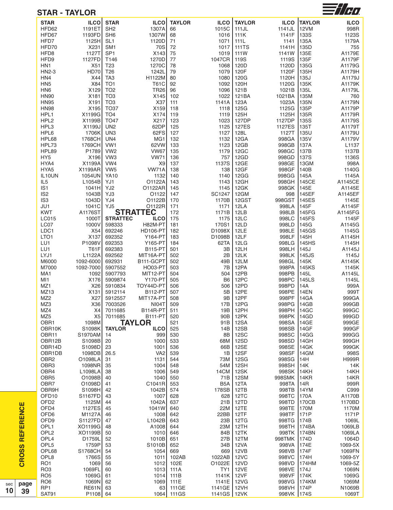|                                     | <b>STAR - TAYLOR</b>  |                                    |                                 |               |                        |                      |                |                | $\equiv$ //H $\eta$  |
|-------------------------------------|-----------------------|------------------------------------|---------------------------------|---------------|------------------------|----------------------|----------------|----------------|----------------------|
| <b>STAR</b>                         | <b>ILCO</b>           | <b>STAR</b>                        | <b>ILCO</b>                     | <b>TAYLOR</b> | <b>ILCO</b>            | <b>TAYLOR</b>        | <b>ILCO</b>    | <b>TAYLOR</b>  | <b>ILCO</b>          |
| HFD62                               | 1191ET                | SH <sub>2</sub>                    | 1307A                           | 66            | 1015C                  | 111JL                | 1141JL         | 12VM           | 998R                 |
| HFD67                               | 1193FD                | SH <sub>6</sub>                    | 1307W                           | 68            | 1016                   | 111K                 | 1141F          | <b>133S</b>    | 1123S                |
| HFD7<br>HFD70                       | 1125H<br>X231         | SL <sub>1</sub><br>SM <sub>1</sub> | 1120D<br>70S                    | 71<br>72      | 1071<br>1017           | 111L<br><b>111TS</b> | 1141<br>1141H  | 135A<br>135D   | 1179A<br>755         |
| HFD8                                | 1127T                 | SP <sub>1</sub>                    | X143                            | 75            | 1019                   | 111W                 | 1141W          | 135E           | A1179E               |
| HFD9                                | 1127FD                | T146                               | 1270D                           | 77            | 1047CR                 | 119S                 | 1119S          | 135F           | A1179F               |
| HN <sub>1</sub>                     | X51                   | T <sub>23</sub>                    | 1270C                           | 78            | 1068                   | 120D                 | 1120D          | 135G           | A1179G               |
| HN2-3                               | <b>HD70</b>           | T <sub>26</sub>                    | 1242L<br>H1122M                 | 79            | 1079                   | 120F                 | 1120F          | 135H           | A1179H               |
| HN4<br>HN <sub>5</sub>              | X44<br>X84            | TA <sub>3</sub><br>TO <sub>1</sub> | <b>T61C</b>                     | 80<br>92      | 1080<br>1092           | 120G<br>120H         | 1120H<br>1120G | 135J<br>135K   | A1179J<br>A1179K     |
| HN <sub>6</sub>                     | X129                  | TO <sub>2</sub>                    | <b>TR26</b>                     | 96            | 1096                   | 121B                 | 1021B          | 135L           | A1179L               |
| <b>HN90</b>                         | X181                  | TO <sub>3</sub>                    | X145                            | 102           | 1022                   | 121BA                | 1021BA         | 135M           | 760                  |
| <b>HN95</b>                         | X191                  | TO <sub>3</sub>                    | X37                             | 111           | 1141A                  | 123A                 | 1023A          | 135N           | A1179N               |
| <b>HN98</b><br>HPL1                 | X195<br>X1199G        | <b>TO37</b><br>TO <sub>4</sub>     | X159<br>X174                    | 118<br>119    | 1118<br>1119           | 125G<br>125H         | 1125G<br>1125H | 135P<br>135R   | A1179P<br>A1179R     |
| HPL2                                | X1199B                | <b>TO47</b>                        | X217                            | 123           | 1023                   | 127DP                | 1127DP         | 135S           | A1179S               |
| HPL3                                | X1199J                | UN <sub>2</sub>                    | 62DP                            | 125           | 1125                   | <b>127ES</b>         | 1127ES         | 135T           | A1179T               |
| HPL6                                | 1706K                 | UN <sub>3</sub>                    | 62FS                            | 127           | 1127                   | 128L                 | 1127T          | 135U           | A1179U               |
| HPL68                               | 1768CH                | UN4                                | MG1                             | 132           | 1132                   | 12GA                 | 998GA          | 135V           | A1179V               |
| HPL73<br>HPL89                      | 1769CH<br>P1789       | VW <sub>1</sub><br>VW <sub>2</sub> | 62VW<br><b>VW67</b>             | 133<br>135    | 1123<br>1179           | 12GB<br>12GC         | 998GB<br>998GC | 137A<br>137B   | L1137<br>1137B       |
| HY <sub>5</sub>                     | X196                  | VW <sub>3</sub>                    | <b>VW71</b>                     | 136           | 757                    | 12GD                 | 998GD          | 137S           | 1136S                |
| HYA4                                | X1199A                | VW4                                | X <sub>9</sub>                  | 137           | 1137S                  | 12GE                 | 998GE          | 13GM           | 998A                 |
| HYA <sub>5</sub>                    | X1199AR               | VW <sub>5</sub>                    | VW71A                           | 138           | 138                    | 12GF                 | 998GF          | 140B           | 1140G                |
| IL10UN                              | 1054UN                | <b>YA10</b>                        | 1132                            | 140           | 1140                   | 12GG                 | 998GG          | 145A           | 1145A                |
| IL <sub>5</sub><br>IS <sub>1</sub>  | L1054B<br>1041H       | YJ1<br>YJ2                         | O1122A<br>O1122AR               | 143<br>145    | 1143<br>1145           | 12GH<br>12GK         | 998GH<br>998GK | 145CE<br>145E  | A1145CE<br>A1145E    |
| IS <sub>2</sub>                     | 1043B                 | YJ3                                | O1122                           | 147           | SC1247                 | 12GM                 | 998            | 145EF          | A1145EF              |
| IS <sub>3</sub>                     | 1043D                 | YJ4                                | O1122B                          | 170           | 1170B                  | 12GST                | 998GST         | 145ES          | 1145E                |
| JU1                                 | 1041C                 | YJ5                                | 01122R                          | 171           | 1171                   | 12LA                 | 998LA          | 145F           | A1145F               |
| <b>KWT</b>                          | A1176ST               |                                    | <b>STRATTEC</b><br><b>ILCO</b>  | 172           | 1171B                  | 12LB<br>12LC         | 998LB          | 145FG          | A1145FG              |
| LC015<br>LC07                       | 1000T<br>1000V        | <b>STRATTEC</b><br>598333          | H82M-PT                         | 175<br>181    | 1175<br>170S1          | 12LD                 | 998LC<br>998LD | 145FS<br>145G  | 1145F<br>A1145G      |
| LDC1                                | X54                   | 692246                             | <b>HD106-PT</b>                 | 182           | D1098X                 | 12LE                 | 998LE          | 145GS          | 1145G                |
| LTO <sub>1</sub>                    | X137                  | 692352                             | Y164-PT                         | 183           | D1098B                 | 12LF                 | 998LF          | 145H           | A1145H               |
| LU1                                 | P1098V                | 692353                             | Y165-PT                         | 184           | 62TA                   | 12LG                 | 998LG          | 145HS          | 1145H                |
| LU1<br>LYJ1                         | <b>T61F</b><br>L1122A | 692383<br>692562                   | <b>B115-PT</b><br>MIT16A-PT     | 501<br>502    | 3B<br>2B               | 12LH<br>12LK         | 998LH<br>998LK | 145J<br>145JS  | A1145J<br>1145J      |
| M6000                               | 1092-6000             | 692931                             | B111-GCPT                       | 502           | 49B                    | 12LM                 | 998GL          | 145K           | A1145K               |
| M7000                               | 1092-7000             | 5907552                            | <b>HO03-PT</b>                  | 503           | 7B                     | 12PA                 | 998PA          | 145KS          | 1145K                |
| MA1                                 | 1092                  | 5907793                            | MIT12-PT                        | 504           | 504                    | 12PB                 | 998PB          | 145L           | A1145L               |
| MI1<br>MZ1                          | X176<br>X26           | 5909874<br>5910834                 | Y170-PT<br>TOY44D-PT            | 505<br>506    | B <sub>6</sub><br>506  | 12PC<br>12PD         | 998PC<br>998PD | 145LS<br>14A   | 1145L<br>999A        |
| MZ13                                | X131                  | 5912114                            | <b>B112-PT</b>                  | 507           | 5B                     | 12PE                 | 998PE          | 14EN           | 999T                 |
| MZ <sub>2</sub>                     | X27                   | 5912557                            | MIT17A-PT                       | 508           | 9B                     | 12PF                 | 998PF          | 14GA           | 999GA                |
| MZ3                                 |                       | X36 7003526                        | NI04T                           | 509           | 17B                    | 12PG                 | 998PG          | 14GB           | 999GB                |
| MZ4                                 | X4                    | 7011685                            | <b>B114R-PT</b>                 | 511           | 19B                    | 12PH                 | 998PH          | 14GC           | 999GC                |
| MZ <sub>5</sub><br>OBR <sub>1</sub> | X5<br>1098M           | 7011685                            | <b>B111-PT</b><br><b>TAYLOR</b> | 520<br>521    | 90 <sub>B</sub><br>91B | 12PK<br>12SA         | 998PK<br>998SA | 14GD<br>14GE   | 999GD<br>999GE       |
| OBR10K                              | S1098K                | <b>TAYLOR</b>                      | <b>ILCO</b>                     | 525           | 14B                    | 12SB                 | 998SB          | 14GF           | 999GF                |
| OBR11                               | S1970AM               | 14                                 | 999                             | 530           | 8B                     | 12SC                 | 998SC          | 14G            | 999GG                |
| OBR12B                              | S1098B                | 20                                 | 1000                            | 533           | 68M                    | 12SD                 | 998SD          | 14GH           | 999GH                |
| OBR <sub>14</sub> D                 | S1098D                | 23                                 | 1001                            | 536           | 66B                    | 12SE                 | 998SE          | 14GK           | 999GK                |
| OBR1DB<br>OBR <sub>2</sub>          | 1098DB<br>O1098LA     | 26.5<br>31                         | VA <sub>2</sub><br>1131         | 539<br>544    | 1B<br>73M              | 12SF<br><b>12SG</b>  | 998SF<br>998SG | 14GM<br>14H    | 998S<br><b>H999R</b> |
| OBR <sub>3</sub>                    | 1098NR                | 35                                 | 1004                            | 548           | 54M                    | 12SH                 | 998SH          | 14K            | 14K                  |
| OBR4                                | L1098LA               | 38                                 | 1006                            | 549           | 14CM                   | 12SK                 | 998SK          | 14KH           | 14KH                 |
| OBR <sub>5</sub>                    | O1098B 40             |                                    | 1040                            | 550           | 71B                    | 12SM                 | 998SMK         | 14KR           | 14KR                 |
| OBR7                                | O1098D                | 41                                 | C1041R                          | 553           | B <sub>5</sub> A       | 12TA                 | 998TA          | 14R            | 999R                 |
| OBR9H<br>OFD <sub>10</sub>          | S1098H<br>S1167FD     | 42<br>43                           | 1042B<br>1007                   | 574<br>628    | 178SB<br>628           | 12TB<br>12TC         | 998TB<br>998TC | 14YM<br>170A   | C999<br>A1170B       |
| OFD <sub>2</sub>                    | 1125M                 | 44                                 | 1042A                           | 637           | 21B                    | 12TD                 | 998TD          | 170CB          | 1170BD               |
| OFD4                                | 1127ES                | 45                                 | 1041W                           | 640           | 22M                    | 12TE                 | 998TE          | 170M           | 1170M                |
| OFD <sub>6</sub>                    | M1127A                | 46                                 | 1008                            | 642           | 22BB                   | 12TF                 | 998TF          | 171P           | 1171P                |
| OFD <sub>9</sub>                    | S1127FD               | 47                                 | L1042B                          | 643           | 23B                    | 12TG                 | 998TG          | 174B           | 1069L                |
| OPL1<br>OPL <sub>2</sub>            | XO1199G<br>XO1199B    | 48<br>50                           | A1008<br>1010                   | 644<br>646    | 23M<br>84B             | 12TH<br>12TK         | 998TH<br>998TK | 174BA<br>174BN | 1069LB<br>1069LA     |
| OPL4                                | D1759L                | 52                                 | 1010B                           | 651           | 27B                    | 12TM                 | 998TMK         | 174D           | 1064D                |
| OPL <sub>5</sub>                    | 1759P                 | 53                                 | S1010B                          | 652           | 34B                    | 12VA                 | 998VA          | 174E           | 1069-5X              |
| OPL68                               | S1768CH               | 54                                 | 1054                            | 669           | 669                    | 12VB                 | 998VB          | 174F           | 1069FN               |
| OPL8<br>RO <sub>1</sub>             | 1766S<br>1069         | 55<br>56                           | 1011<br>1012                    | 102AB<br>102E | 1022AB<br>O1022E       | 12VC<br>12VD         | 998VC<br>998VD | 174H<br>174HM  | 1069-5Y<br>1069-5Z   |
| RO <sub>3</sub>                     | 1069FL                | 60                                 | 1013                            | 111A          | TY1                    | 12VE                 | 998VE          | 174J           | 1069N                |
| RO <sub>5</sub>                     | 1069G                 | 61                                 | 1014                            | 111B          | 1141K 12VF             |                      | 998VF          | 174K           | 1069G                |
| RO <sub>6</sub>                     | 1069N                 | 62                                 | 1069                            | 111E          | 1141E 12VG             |                      | 998VG          | 174KM          | 1069M                |
| RP <sub>1</sub>                     | RE61N                 | 63                                 |                                 | 63 111 GE     | 1141GE   12VH          |                      | 998VH 174P     |                | N1069B               |
| SAT91                               | P1108 64              |                                    |                                 | 1064 111GS    | 1141GS   12VK          |                      | 998VK 174S     |                | 1069T                |

 $\mathbf{c}$ **R O** <u>ທ</u>  $\boldsymbol{\varOmega}$ **R E F E R E N C E**

**page 39**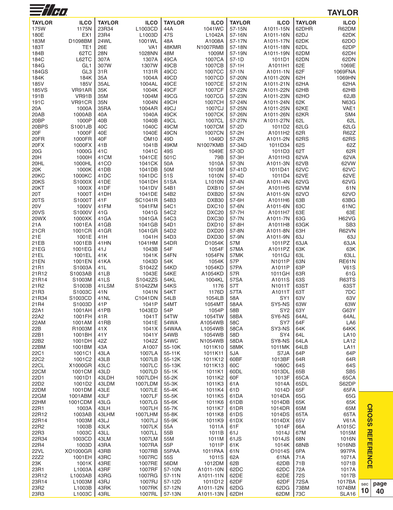| $\equiv$ //H) |                  |                         |                   |                |                   |                  |                           |               | <b>TAYLOR</b>           |     |
|---------------|------------------|-------------------------|-------------------|----------------|-------------------|------------------|---------------------------|---------------|-------------------------|-----|
| <b>TAYLOR</b> | <b>ILCO</b>      | <b>TAYLOR</b>           | <b>ILCO</b>       | <b>TAYLOR</b>  | <b>ILCO</b>       | <b>TAYLOR</b>    | <b>ILCO</b>               | <b>TAYLOR</b> | <b>ILCO</b>             |     |
| 175W          | 1175N            | 23R34                   | L1003CD           | 44A            | 1041WC            | 57-15N           | A1011-15N                 | 62DHR         | R62DM                   |     |
| 180E          | EX <sub>1</sub>  | 23R4                    | L1003D            | 47S            | L1042A            | 57-16N           | A1011-16N                 | 62DJ          | 62DK                    |     |
| 183M          | D1098BM          | 24WL                    | 1001WL            | 48A            | A1008A            | 57-17N           | A1011-17N                 | 62DK          | 62DO                    |     |
| 183T          | TE1              | 26E                     | VA <sub>1</sub>   | 48KMR          | N1007RMB          | 57-18N           | A1011-18N                 | 62DL          | 62DP                    |     |
| 184B          | 62TC             | 28N                     | 1028NN            | 48M            | 1009M             | 57-19N           | A1011-19N                 | 62DM          | 62DH                    |     |
| 184C          | L62TC            | 307A                    | 1307A             | 49CA           | 1007CA            | $57-1D$          | 1011D1                    | 62DN          | 62DN                    |     |
| 184G          | GL <sub>1</sub>  | 307W                    | 1307W             | 49CB           | 1007CB            | $57-1H$          | A1011H1                   | 62E           | 1069E                   |     |
| 184GS         | GL <sub>3</sub>  | 31R                     | 1131R             | 49CC           | 1007CC            | 57-1N            | A1011-1N                  | 62F           | 1069FNA                 |     |
| 184K          | 184K             | 35A                     | 1004A             | 49CD           | 1007CD            | 57-20N           | A1011-20N                 | 62H           | 1069HN                  |     |
| 185V          | 185V             | 35AL                    | 1004AL            | 49CE           | 1007CE            | 57-21N           | A1011-21N                 | 62HA          | 62HA                    |     |
| <b>185VS</b>  | VR91AR<br>VR91B  | 35K<br>35M              | 1004K             | 49CF<br>49CG   | 1007CF<br>1007CG  | 57-22N<br>57-23N | A1011-22N                 | 62HB          | 62HB                    |     |
| 191B<br>191C  | VR91CR           | 35N                     | 1004M<br>1004N    | 49CH           | 1007CH            | 57-24N           | A1011-23N<br>A1011-24N    | 62HO<br>62K   | 62JB<br><b>N63G</b>     |     |
| 20A           | 1000A            | 35RA                    | 1004AR            | 49CJ           | 1007CJ            | 57-25N           | A1011-25N                 | 62KE          | VAE1                    |     |
| 20AB          | 1000AB           | 40A                     | 1040A             | 49CK           | 1007CK            | 57-26N           | A1011-26N                 | 62KR          | SM4                     |     |
| 20BP          | 1000P            | 40 <sub>B</sub>         | 1040B             | 49CL           | 1007CL            | 57-27N           | A1011-27N                 | 62L           | 62L                     |     |
| 20BPS         | S1001JB          | 40C                     | 1040C             | 49CM           | 1007CM            | 57-2D            | 1011D2                    | 62LG          | 62LG                    |     |
| 20F           | 1000F            | 40E                     | 1040E             | 49CN           | 1007CN            | 57-2H            | A1011H2                   | 62R           | <b>R62Z</b>             |     |
| 20FR          | 1000FR           | 40F                     | OM <sub>10</sub>  | 49D            | 1049D             | 57-2N            | A1011-2N                  | 62RS          | 62RS                    |     |
| 20FX          | 1000FX           | 41 <sub>B</sub>         | 1041B             | 49KM           | N1007KMB          | 57-34D           | 1011D34                   | 62S           | 62Z                     |     |
| 20G           | 1000G            | 41 <sub>C</sub>         | 1041C             | 49S            | 1049E             | 57-3D            | 1011D3                    | 62T           | 62R                     |     |
| 20H           | 1000H            | 41CM                    | 1041CE            | 501C           | 79B               | 57-3H            | A1011H3                   | 62VA          | 62VA                    |     |
| 20HL          | 1000HL           | 41CO                    | 1041CK<br>1041DB  | 50A            | 1010A             | 57-3N            | A1011-3N                  | 62VB          | 62VW                    |     |
| 20K<br>20KC   | 1000K<br>1000KC  | 41DB<br>41DC            | 1041DC            | 50M<br>51S     | 1010M<br>1010N    | 57-41D<br>57-4D  | 1011D41<br>1011D4         | 62VC<br>62VE  | 62VC<br>62VE            |     |
| 20KS          | S1000X           | 41 <sub>DE</sub>        | 1041DH            | 51SA           | L1010N            | 57-4N            | A1011-4N                  | 62VG          | 62VG                    |     |
| 20KT          | 1000X            | 41DF                    | 1041DV            | 54B1           | DXB <sub>10</sub> | 57-5H            | A1011H5                   | 62VM          | 61N                     |     |
| 20T           | 1000T            | 41DH                    | 1041DE            | 54B2           | DXB <sub>20</sub> | 57-5N            | A1011-5N                  | 62VO          | 62VO                    |     |
| 20TS          | S1000T           | 41F                     | SC1041R           | 54B3           | DXB30             | 57-6H            | A1011H6                   | 63B           | 63BG                    |     |
| 20V           | 1000V            | 41FM                    | 1041FM            | 54C1           | DXC10             | 57-6N            | A1011-6N                  | 63C           | 61NC                    |     |
| <b>20VS</b>   | S1000V           | 41G                     | 1041G             | 54C2           | DXC <sub>20</sub> | 57-7H            | A1011H7                   | 63E           | 63E                     |     |
| 20WX          | 1000XK           | 41GA                    | 1041GA            | 54C3           | DXC30             | 57-7N            | A1011-7N                  | 63G           | <b>H62VG</b>            |     |
| 21A           | 1001EA           | 41GB                    | 1041GB            | 54D1           | DXD <sub>10</sub> | 57-8H            | A1011H8                   | 63GK          | SB <sub>3</sub>         |     |
| 21 C R        | 1001CR           | 41GR                    | 1041GR            | 54D2           | DXD <sub>20</sub> | 57-8N            | A1011-8N                  | 63H           | <b>R62VN</b>            |     |
| 21E<br>21EB   | 1001E<br>1001EB  | 41H<br>41HN             | 1041H<br>1041HM   | 54D3<br>54DR   | DXD30<br>D1054K   | 57-9N<br>57M     | A1011-9N<br>1011PZ        | 63J<br>63JA   | 63J<br>63JA             |     |
| 21EG          | 1001EG           | 41J                     | 1043B             | 54F            | 1054F             | 57MA             | A1011PZ                   | 63K           | 63K                     |     |
| 21EL          | 1001EL           | 41K                     | 1041K             | 54FN           | 1054FN            | 57MK             | 1011GJ                    | 63L           | 63LL                    |     |
| <b>21EN</b>   | 1001EN           | 41KA                    | 1043D             | 54K            | 1054K             | 57P              | N1011P                    | 63N           | <b>RE61N</b>            |     |
| 21R1          | S1003A           | 41L                     | S1042Z            | 54KD           | 1054KD            | 57PA             | A1011P                    | 63P           | <b>V61S</b>             |     |
| 21R12         | S1003AB          | 41LB                    | 1043E             | <b>54KE</b>    | A1054KD           | 57R              | 1011GH                    | 63R           | 61G                     |     |
| 21R14         | S1003M           | 41LS                    | S1042ZS           | 54KL           | 1004KL            | 57SA             | A1011S                    | 63S           | <b>R63TS</b>            |     |
| 21R2          | S1003B           | 41LSM                   | S1042ZM           | 54KS           | 1176              | 57T              | N1011T                    | 63ST          | 63ST                    |     |
| 21R3          | S1003C           | 41N                     | 1041N             | 54KT           | 1176D             | 57TA             | A1011T                    | 63T           | 7DC                     |     |
| 21R34         | S1003CD          | 41NL                    | C1041DN           | 54LB           | 1054LB            | 58A              | SY <sub>1</sub>           | 63V           | 63V                     |     |
| 21R4          | S1003D           | 41P                     | 1041P             | 54MT           | 1054MT            | 58AA             | SY5-NS                    | 63W           | 63W                     |     |
| 22A1<br>22A2  | 1001AH<br>1001FH | 41PB<br>41 <sub>R</sub> | 1043ED<br>1041T   | 54P<br>54TW    | 1054P<br>1054TW   | 58B<br>58BA      | SY <sub>2</sub><br>SY6-NS | 63Y<br>64AL   | G63Y<br>64AL            |     |
| 22AM          | 1001AM           | 41RB                    | 1041E             | 54WA           | A1054WB           | 58C              | SY7                       | 64F           | LA6                     |     |
| 22B           | R1003M           | 41X                     | 1041X             | 54WAA          | L1054WB           | 58CA             | SY3-NS                    | 64K           | 64KK                    |     |
| 22B1          | 1001BH           | 41Y                     | 1041Y             | 54WB           | 1054WB            | 58D              | SY4                       | 64L           | <b>LA10</b>             |     |
| 22B2          | 1001DH           | 42Z                     | 1042Z             | 54WC           | N1054WB           | 58DA             | SY8-NS                    | 64LA          | <b>LA12</b>             |     |
| 22BM          | 1001BM           | 43A                     | A1007             | 55-10K         | 1011K10           | 58MK             | 1011MK                    | 64LB          | LA11                    |     |
| 22C1          | 1001C1           | 43LA                    | 1007LA            | 55-11K         | 1011K11           | 5JA              | S7JA                      | 64P           | 64P                     |     |
| 22C2          | 1001C2           | 43LB                    | 1007LB            | 55-12K         | 1011K12           | 60BF             | 1013BF                    | 64R           | 64R                     |     |
| 22CL          | X1000GR          | 43LC                    | 1007LC            | 55-13K         | 1011K13           | 60C              | 1060C                     | 64S           | 64S                     |     |
| 22CM<br>22D1  | 1001CM<br>1001D1 | 43LD<br>43LDH           | 1007LD<br>1007LDH | 55-1K<br>55-2K | 1011K1<br>1011K2  | 60DL<br>60F      | 1013DL<br>1013F           | 65B<br>65CA   | SB <sub>5</sub><br>65CA |     |
| 22D2          | 1001D2           | 43LDM                   | 1007LDM           | 55-3K          | 1011K3            | 61A              | 1014A                     | 65DL          | S62DP                   |     |
| 22DM          | 1001DM           | 43LE                    | 1007LE            | 55-4K          | 1011K4            | 61D              | 1014D                     | 65F           | 65FA                    |     |
| 22GM          | 1001ABM          | 43LF                    | 1007LF            | 55-5K          | 1011K5            | 61DA             | 1014DA                    | 65G           | 65G                     |     |
| 22HM          | 1001CDM          | 43LG                    | 1007LG            | 55-6K          | 1011K6            | 61DB             | 1014DB                    | 65K           | 65K                     |     |
| 22R1          | 1003A            | 43LH                    | 1007LH            | 55-7K          | 1011K7            | 61DR             | 1014DR                    | 65M           | 65M                     |     |
| 22R12         | 1003AB           | 43LHM                   | 1007LHM           | 55-8K          | 1011K8            | 61DS             | 1014DS                    | 65TA          | 65TA                    |     |
| 22R14         | 1003M            | 43LJ                    | 1007LJ            | 55-9K          | 1011K9            | 61DX             | 1014DX                    | 65V           | <b>V61A</b>             |     |
| 22R2          | 1003B            | 43LK                    | 1007LK            | 55A            | 1011A             | 61F              | 1014F                     | 66A           | A1015C                  |     |
| 22R3          | 1003C            | 43LL                    | 1007LL            | 55B            | 1011B             | 61J              | 1014J                     | 67M           | 1015M                   |     |
| 22R34<br>22R4 | 1003CD<br>1003D  | 43LM<br>43RA            | 1007LM<br>1007RA  | 55M<br>55P     | 1011M<br>1011P    | 61JS<br>61K      | 1014JS<br>1014K           | 68N<br>68NB   | 1016N<br>1016NB         |     |
| <b>22VL</b>   | XO1000GR         | 43RB                    | 1007RB            | 55PAA          | 1011PAA           | 61N              | O1014S                    | 6PA           | 997PA                   |     |
| 22Z2          | 1001EH           | 43RC                    | 1007RC            | 55S            | 1011S             | 62A              | 61NA                      | 71A           | 1071A                   |     |
| 23K           | 1001K            | 43RE                    | 1007RE            | 56DM           | 1012DM            | 62B              | 62DB                      | 71B           | 1071B                   |     |
| 23R1          | L1003A           | 43RF                    | 1007RF            | 57-10N         | A1011-10N         | 62DC             | 62DC                      | 72A           | 1017A                   |     |
| 23R12         | L1003AB          | 43RG                    | 1007RG            | 57-11N         | A1011-11N         | 62DE             | 62DE                      | 72S           | 1017B                   |     |
| 23R14         | L1003M           | 43RJ                    | 1007RJ            | 57-12D         | 1011D12           | 62DF             | 62DF                      | <b>72SA</b>   | 1017BA                  | sec |
| 23R2          | L1003B           | 43RK                    | 1007RK            | 57-12N         | A1011-12N         | 62DG             | 62DG                      | 73BM          | 1074BM                  | 10  |
| 23R3          | L1003C           | 43RL                    | 1007RL            | 57-13N         | A1011-13N         | 62DH             | 62DM                      | 73C           | <b>SLA16</b>            |     |

> **page 40**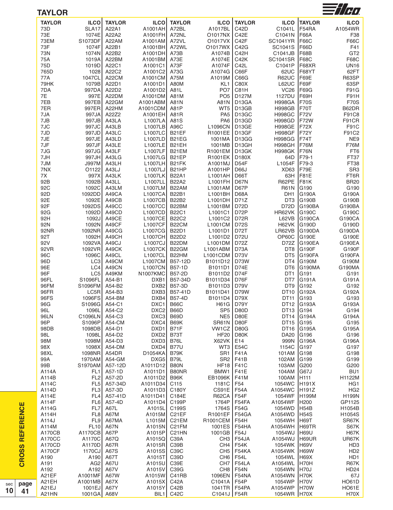| <b>TAYLOR</b>           | <b>ILCO</b>                          | <b>TAYLOR</b>                 | <b>ILCO</b>             | <b>TAYLOR</b>                            | <b>ILCO</b>                                         | <b>TAYLOR</b>              | <b>ILCO</b>                    | <b>TAYLOR</b>          | <b>ILCO</b>                                    |
|-------------------------|--------------------------------------|-------------------------------|-------------------------|------------------------------------------|-----------------------------------------------------|----------------------------|--------------------------------|------------------------|------------------------------------------------|
| 73D                     | SLA <sub>17</sub>                    | A22A1                         | A1001AH                 | A72BL                                    | A1017BL                                             | C42D                       | C1041L                         | F54RA                  | A1054WR                                        |
| 73E                     | 1074E                                | A22A2                         | A1001FH                 | A72NL                                    | O1017NX                                             | C42E                       | C1041N                         | <b>F66A</b>            | F38                                            |
| 73EM                    | S1073DF                              | A22AM                         | A1001AM                 | A72VL                                    | O1017VX                                             | C42F                       | <b>SC1041YR</b>                | <b>F66C</b>            | F66C                                           |
| 73F                     | 1074F                                | A22B1                         | A1001BH                 | A72WL                                    | O1017WX                                             | C42G                       | SC1041S                        | <b>F66D</b>            | F41                                            |
| 73N                     | 1074N                                | A22B2                         | A1001DH                 | A73B                                     | A1074B                                              | C42H                       | C1041JB                        | F68B                   | GT <sub>2</sub>                                |
| 75A<br>75D              | 1019A<br>1019D                       | A22BM<br>A22C1                | A1001BM<br>A1001C1      | A73E<br>A73F                             | A1074E<br>A1074F                                    | C42K<br>C42L               | <b>SC1041SR</b><br>C1041P      | <b>F68C</b><br>F68XR   | F68C<br><b>UN16</b>                            |
| 765D                    | 1028                                 | A22C2                         | A1001C2                 | A73G                                     | A1074G                                              | C66F                       | 62UC                           | IF68YT                 | 62FT                                           |
| 77A                     | 1047CL                               | A22CM                         | A1001CM                 | A75M                                     | A1019M                                              | C66G                       | <b>R62UC</b>                   | F69E                   | R63SP                                          |
| 79HK                    | 1079B                                | A22D1                         | A1001D1                 | A80M                                     | KL <sub>1</sub>                                     | C80X                       | L62UC                          | F69F                   | 63SP                                           |
| 7DA                     | 997DA                                | A22D2                         | A1001D2                 | A81L                                     | PO <sub>7</sub>                                     | C81H                       | VC26                           | F69G                   | F91G                                           |
| 7E<br>7EB               | 997E<br>997EB                        | A22DM<br>A22GM                | A1001DM<br>A1001ABM     | A81M<br>A81N                             | PO <sub>5</sub><br>A81N                             | D127M<br>D13GA             | 1127DU<br><b>H998GA</b>        | F69H<br>F70S           | F91H<br><b>F70S</b>                            |
| 7ER                     | 997ER                                | A22HM                         | A1001CDM                | A81P                                     | WT5                                                 | D13GB                      | <b>H998GB</b>                  | F70T                   | B62DR                                          |
| 7JA                     | 997JA                                | A22Z2                         | A1001EH                 | A81R                                     | PA <sub>5</sub>                                     | D <sub>13</sub> GC         | <b>H998GC</b>                  | F72V                   | F91C8                                          |
| 7JB                     | 997JB                                | A43LA                         | L1007LA                 | A81S                                     | PA <sub>6</sub>                                     | D <sub>13</sub> GD         | <b>H998GD</b>                  | F72W                   | F91CR                                          |
| 7JC                     | 997JC                                | A43LB                         | L1007LB                 | A96C                                     | L1096CN                                             | D13GE                      | <b>H998GE</b>                  | F72X                   | F91C                                           |
| 7JD                     | 997JD                                | A43LC                         | L1007LC                 | B <sub>21</sub> EF                       | R1001EE                                             | D13GF                      | <b>H998GF</b>                  | F72Y                   | F91C2                                          |
| 7JE<br>7JF              | 997JE<br>997JF                       | A43LD<br>A43LE                | L1007LD<br>L1007LE      | B <sub>21</sub> EG<br>B <sub>21</sub> EH | 1001MA<br>1001MB                                    | D13GG<br>D13GH             | <b>H998GG</b><br><b>H998GH</b> | F74T<br>F76M           | NE9<br><b>F76M</b>                             |
| 7JG                     | 997JG                                | A43LF                         | L1007LF                 | B <sub>21</sub> EM                       | R1001EM                                             | D13GK                      | <b>H998GK</b>                  | F76N                   | FT6                                            |
| 7JH                     | 997JH                                | A43LG                         | L1007LG                 | B <sub>21</sub> EP                       | R1001EK                                             | D180X                      | 64D                            | F79-1                  | FT37                                           |
| 7JM                     | J997M                                | A43LH                         | L1007LH                 | B21FK                                    | A1001MJ                                             | D54F                       | L1054F                         | <b>F79-3</b>           | FT38                                           |
| 7NX                     | O1122                                | A43LJ                         | L1007LJ                 | B <sub>21</sub> HP                       | A1001HP                                             | D66J                       | XD <sub>63</sub>               | F79E<br>IF81E          | SR <sub>3</sub>                                |
| 7X<br>92B               | 997X<br>1092B                        | A43LK<br>A43LL                | L1007LK<br>L1007LL      | <b>B22A1</b><br><b>B22A2</b>             | L1001AH<br>L1001FH                                  | <b>D66T</b><br><b>D67N</b> | 63H<br>R62PE                   | F81K                   | FT6R<br><b>BR20</b>                            |
| 92C                     | 1092C                                | A43LM                         | L1007LM                 | B22AM                                    | L1001AM                                             | D67P                       | <b>R61N</b>                    | G190                   | G190                                           |
| 92D                     | 1092DD                               | A49CA                         | L1007CA                 | <b>B22B1</b>                             | L1001BH                                             | D68A                       | DH1                            | G190A                  | G190A                                          |
| 92E                     | 1092E                                | A49CB                         | L1007CB                 | B22B2                                    | L1001DH                                             | D71Z                       | DT <sub>3</sub>                | G190B                  | G190B                                          |
| 92F                     | 1092DS                               | A49CC                         | L1007CC                 | B22BM                                    | L1001BM                                             | D72D                       | D72D                           | G190BA                 | G190BA                                         |
| 92G<br>92H              | 1092D<br>1092J                       | A49CD<br>A49CE                | L1007CD<br>L1007CE      | <b>B22C1</b><br><b>B22C2</b>             | L1001C1<br>L1001C2                                  | D72P<br>D72R               | HR62VK<br>L62VB                | G190C<br><b>G190CA</b> | G190C<br>G190CA                                |
| 92N                     | 1092N                                | A49CF                         | L1007CF                 | B22CM                                    | L1001CM                                             | <b>D72S</b>                | H62VK                          | G190D                  | G190D                                          |
| <b>92NR</b>             | 1092NR                               | A49CG                         | L1007CG                 | <b>B22D1</b>                             | L1001D1                                             | D72T                       | LR62VB                         | G190DA                 | G190DA                                         |
| 92T                     | 1092H                                | A49CH                         | L <sub>1007</sub> CH    | <b>B22D2</b>                             | L1001D2                                             | <b>D72U</b>                | OP60C                          | G190E                  | G190E                                          |
| 92V                     | 1092VA                               | A49CJ                         | L1007CJ                 | B22DM                                    | L1001DM                                             | D72Z                       | D72Z                           | <b>G190EA</b>          | G190EA                                         |
| 92VR<br>96C             | 1092VR<br>1096C                      | A49CK<br>A49CL                | L1007CK<br>L1007CL      | B22GM<br>B22HM                           | L1001ABM<br>L1001CDM                                | D73A<br>D73V               | DT8<br>DT <sub>5</sub>         | <b>G190F</b><br>G190FA | G190F<br>G190FA                                |
| 96D                     | LC <sub>3</sub>                      | A49CM                         | L1007CM                 | B57-12D                                  | B1011D12                                            | D73W                       | DT4                            | <b>G190M</b>           | G190M                                          |
| 96E                     | LC4                                  | A49CN                         | L1007CN                 | B57-1D                                   | B1011D1                                             | D74E                       | DT <sub>6</sub>                | G190MA                 | G190MA                                         |
| 96F                     | LC5                                  | A49KM                         | <b>N1007KMC</b>         | B57-2D                                   | B1011D2                                             | D74F                       | DT <sub>1</sub>                | G191                   | G191                                           |
| 96FL                    | S1096FL                              | A54-B1                        | DXB1                    | B57-34D                                  | B1011D34                                            | D76F                       | DT7                            | G191A<br>IG192         | G191A                                          |
| 96FM<br>96FR            | S1096FM                              | A54-B2<br>$LC5R$ A54-B3       |                         | DXB2 B57-3D<br>DXB3 B57-41D              | B <sub>1011</sub> D <sub>3</sub><br>B1011D41   D79W | <b>D79V</b>                | DT <sub>9</sub>                | DT10 G192A             | G192<br>G192A                                  |
| 96FS                    | 1096FS                               | A54-BM                        | DXB4                    | <b>B57-4D</b>                            | B1011D4                                             | D79X                       | DT11 G193                      |                        | G193                                           |
| 96G                     | S1096G A54-C1                        |                               | DXC1                    | <b>B66C</b>                              | H61G   D79Y                                         |                            |                                | DT12 G193A             | G193A                                          |
| 96L                     | 1096L                                | A54-C2                        | DXC2                    | B66D                                     | SP <sub>5</sub>                                     | D80D                       | DT13 G194                      |                        | G194                                           |
| 96LN                    | C1096LN A54-C3                       |                               | DXC3                    | B69D                                     | NE5                                                 | D80E                       |                                | DT14 G194A             | G194A                                          |
| 96P<br>98DB             | S <sub>1096</sub> P<br>1098DB A54-D1 | A54-CM                        | DXC4<br>DXD1            | B69K<br>B71F                             | <b>SR61N</b><br>VW1CZ                               | D80F<br>D80G               | DT15 G195                      | DT16 G195A             | G195<br>G195A                                  |
| 98L                     | 1098Ll                               | A54-D2                        | DXD <sub>2</sub>        | B73T                                     | HF20                                                | D80K                       | <b>DA20</b>                    | G196                   | G196                                           |
| 98M                     |                                      | 1098M A54-D3                  | DXD3 B76L               |                                          | X62VK                                               | E14                        | 999N                           | <b>G196A</b>           | G196A                                          |
| 98X                     |                                      | 1098X A54-DM                  | DXD4                    | <b>B77U</b>                              |                                                     | <b>WT3   E54C</b>          | 1154C G197                     |                        | G197                                           |
| 98XL                    | 1098NR A54DR                         |                               | D1054KA                 | B79K                                     |                                                     | SR1   F41A                 | 101AM                          | <b>G198</b>            | G198                                           |
| 99A<br>99B              | S1970AM                              | 1970AM A54-GM<br>A57-12D      | DXG5<br>A1011D12        | B79L<br>B80N                             | HF18   F41C                                         | SR2   F41B                 | 102AM<br>103AM G200            | G199                   | G199<br>G200                                   |
| A114A                   |                                      | FL1 A57-1D                    | A1011D1                 | B80NR                                    | BMW <sub>1</sub>                                    | <b>F41E</b>                | 104AM                          | <b>G67J</b>            | BU1                                            |
| A114B                   |                                      | FL2 A57-2D                    | A1011D2 B96K            |                                          | EB1096K   F41M                                      |                            | 100AM                          | H <sub>111</sub>       | H1122M                                         |
| A114C                   |                                      | FL5 A57-34D                   | A1011D34                | C115                                     | 1181C                                               | F54                        | 1054WC                         | H191X                  | HG <sub>1</sub>                                |
| A114D                   |                                      | FL3 A57-3D                    | A1011D3 C180Y           |                                          | CS91E                                               | <b>F54A</b>                | A1054WC H191Z                  |                        | HG <sub>2</sub>                                |
| A114E                   |                                      | FL4 A57-41D                   | A1011D41                | C184E                                    | <b>R62CA</b>                                        | F54F                       | 1054WF  H199M                  |                        | <b>H199N</b>                                   |
| A114F<br>A114G          |                                      | FL6 A57-4D<br><b>FL7</b> A67L | A1011D4 C199P<br>A1015L | C199S                                    | 1764P  <br>1764S                                    | F54FA<br><b>F54G</b>       | A1054WF H200<br>1054WD         | H54B                   | GP1125<br>H1054B                               |
| A114H                   |                                      | <b>FL8</b> A67M               | A1015M C21EF            |                                          | R <sub>1001</sub> EF                                | F54GA                      | A1054WD                        | <b>H54S</b>            | H1054S                                         |
| A114J                   |                                      | FL9 A67MA                     | L1015M C21EM            |                                          | R1001CEM   F54H                                     |                            | 1054WH                         | H69T                   | SR67K                                          |
| A114M                   |                                      | FL10 A67N                     | A1015N C21FM            |                                          | 1001ES                                              | F54HA                      | A1054WH                        | H69TR                  | S67K                                           |
| <b>A170CB</b>           | A1170CB   A67P                       |                               | A1015P                  | C21HN                                    | 1001GB   F54J                                       |                            | 1054WJ  H69U                   |                        | <b>H67K</b>                                    |
| A170CC                  | A1170C                               | A67Q                          | A1015Q                  | C39A                                     | CH <sub>3</sub>                                     | F54JA                      | A1054WJ H69UR                  |                        | UR67K                                          |
| A170CD<br><b>A170CF</b> | A1170D<br>1170CJ                     | A67R<br>A67S                  | A1015R C39B<br>A1015S   | C39C                                     |                                                     | CH4   F54K<br>CH5   F54KA  | 1054WK H69V<br>A1054WK H69W    |                        | HD <sub>3</sub><br>H <sub>D</sub> <sub>2</sub> |
| A190                    | A190                                 | A67T                          | A1015T                  | C39D                                     |                                                     | CH6   F54L                 | 1054WL                         | H69X                   | HD1                                            |
| A191                    | AG2                                  | A67U                          | A1015U                  | C39E                                     | CH <sub>7</sub>                                     | F54LA                      | A1054WL                        | H70H                   | <b>R67K</b>                                    |
| A192                    |                                      | A192 A67V                     | A1015V                  | C39G                                     | CH8                                                 | <b>F54N</b>                | 1054WN                         | H70J                   | <b>HD24</b>                                    |
| A21EF                   | A1001MF                              | A67W                          | A1015W                  | C41RB                                    | 1096EN   F54NA                                      |                            | A1054WN                        | H70K                   | 67J                                            |
| A21EH<br>A21EJ          | A1001MB A67X<br>1001EJ  A67Y         |                               | A1015X<br>A1015Y        | C42A<br>C42B                             | C1041A   F54P<br>1041TR   F54PA                     |                            | 1054WP<br>A1054WP              | H70V<br>H70W           | HO61D<br><b>HO61E</b>                          |
| A21HN                   | 1001GA A68V                          |                               |                         | <b>BIL1</b> C42C                         | C1041J   F54R                                       |                            | 1054WR H70X                    |                        | <b>H70X</b>                                    |

 $\mathbf{c}$ **R O** <u>ທ</u>  $\boldsymbol{\varOmega}$ **R E F E R E N**

sec **10**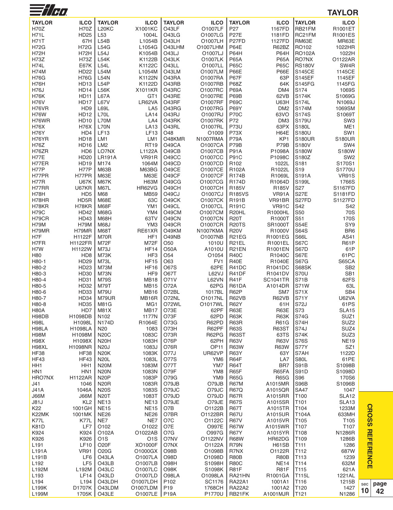| $\equiv$ //HI              |                                            |                            |                           |                            |                            |                             |                            |                        | <b>TAYLOR</b>                      |
|----------------------------|--------------------------------------------|----------------------------|---------------------------|----------------------------|----------------------------|-----------------------------|----------------------------|------------------------|------------------------------------|
| <b>TAYLOR</b>              | <b>ILCO</b>                                | <b>TAYLOR</b>              | <b>ILCO</b>               | <b>TAYLOR</b>              | <b>ILCO</b>                | <b>TAYLOR</b>               | <b>ILCO</b>                | <b>TAYLOR</b>          | <b>ILCO</b>                        |
| <b>H70Z</b>                | <b>H70Z</b>                                | L20KC                      | X1001KC                   | O43LF                      | O1007LF                    | P <sub>27</sub>             | 1167FD                     | RB21FM                 | R1001ET                            |
| <b>H71L</b>                | <b>HD25</b>                                | L <sub>53</sub>            | 1004L                     | O43LG                      | O1007LG                    | <b>P27E</b>                 | 1181FD                     | RC21FM                 | R1001ES                            |
| <b>H71T</b>                | 67H                                        | L54B                       | L1054B                    | O43LH                      | O1007LH                    | P <sub>27FD</sub>           | 1127FD                     | RM63E                  | MR63E                              |
| H72G                       | <b>H72G</b>                                | L54G                       | L1054G                    | O43LHM                     | O1007LHM                   | <b>P64E</b>                 | R62BZ                      | RO102                  | 1022HR                             |
| H72H                       | H72H                                       | L54J                       | K1054B                    | O43LJ<br>O43LK             | O1007LJ                    | <b>P64H</b>                 | <b>P64H</b>                | <b>RO102A</b>          | 1022H                              |
| <b>H73Z</b><br><b>H74L</b> | <b>H73Z</b><br><b>E67K</b>                 | L54K<br>L54L               | K1122B<br>K1122C          | O43LL                      | O1007LK<br>O1007LL         | <b>P65A</b><br><b>P65C</b>  | <b>P65A</b><br><b>P65C</b> | RO7NX<br><b>RS180V</b> | 01122AR<br>SW <sub>4</sub> R       |
| <b>H74M</b>                | <b>HD22</b>                                | <b>L54M</b>                | L1054M                    | O43LM                      | O1007LM                    | <b>P66E</b>                 | P66E                       | <b>S145CE</b>          | 1145CE                             |
| <b>H76G</b>                | <b>H76G</b>                                | <b>L54N</b>                | K1122N                    | O43RA                      | O1007RA                    | <b>P67F</b>                 | 63P                        | S145EF                 | 1145EF                             |
| H76H                       | HD <sub>13</sub>                           | L54P                       | K1122D                    | O43RB                      | O1007RB                    | <b>P68Z</b>                 | 64K                        | <b>S145FG</b>          | 1145FG                             |
| <b>H76J</b>                | <b>HD14</b>                                | L56K                       | X1011KR                   | O43RC                      | O1007RC                    | <b>P69A</b>                 | DM4                        | S174                   | 1069S                              |
| H76K                       | <b>HD11</b>                                | L67A                       | GT1                       | O43RE                      | O1007RE                    | P69B                        | 62VB                       | S174K                  | S1069G                             |
| <b>H76V</b><br>H76VR       | <b>HD17</b><br>H <sub>D</sub> <sub>9</sub> | <b>L67V</b><br>L69L        | LR62VA<br>LA <sub>5</sub> | O43RF<br>O43RG             | O1007RF<br>O1007RG         | <b>P69C</b><br><b>P69Y</b>  | U63H<br>DM <sub>2</sub>    | S174L<br>S174M         | N1069J<br>1069SM                   |
| <b>H76W</b>                | <b>HD12</b>                                | L70L                       | <b>LA14</b>               | O43RJ                      | O1007RJ                    | <b>P70C</b>                 | 63VO                       | S174S                  | S1069T                             |
| H76WR                      | <b>HD10</b>                                | L70M                       | LA4                       | O43RK                      | 01007RK                    | P72                         | DM <sub>3</sub>            | S179U                  | SW <sub>3</sub>                    |
| <b>H76X</b>                | <b>H76X</b>                                | <b>L70N</b>                | <b>LA13</b>               | O43RL                      | O1007RL                    | <b>P73U</b>                 | 63PX                       | S180L                  | ME <sub>1</sub>                    |
| <b>H76Y</b>                | HD4                                        | <b>LF13</b>                | <b>LF13</b>               | O48                        | O1009                      | P73X                        | <b>H64E</b>                | S180U                  | SW <sub>1</sub>                    |
| H76YR                      | <b>HD18</b>                                | LM1                        | LM <sub>1</sub>           | O48KMR<br>O49CA            | N1007RMA                   | <b>P79A</b><br>P79B         | KP <sub>1</sub><br>P79B    | <b>S180UR</b>          | <b>S180UR</b>                      |
| H76Z<br>H76ZR              | <b>HD16</b><br>H <sub>D</sub> <sub>6</sub> | LM <sub>2</sub><br>LO7NX   | <b>RT19</b><br>L1122A     | O49CB                      | O1007CA<br>O1007CB         | <b>P91A</b>                 | P1098A                     | S180V<br>S180W         | SW4<br>S180W                       |
| <b>H77E</b>                | <b>HD20</b>                                | <b>LR191A</b>              | VR91R                     | O49CC                      | O1007CC                    | <b>P91C</b>                 | P1098C                     | S180Z                  | SW <sub>2</sub>                    |
| H77ER                      | <b>HD19</b>                                | M174                       | 1064M                     | O49CD                      | O1007CD                    | R <sub>102</sub>            | 1022L                      | S181                   | S170S1                             |
| H77P                       | H77P                                       | <b>M63B</b>                | M63BG                     | O49CE                      | O1007CE                    | R102A                       | R1022L                     | S <sub>19</sub>        | S1770U                             |
| H77PR                      | H77PR                                      | <b>M63E</b>                | <b>M63E</b>               | O49CF                      | O1007CF                    | <b>R174B</b>                | R1069L                     | S191A                  | <b>VR91S</b>                       |
| H77R                       | <b>U67K</b>                                | <b>M67K</b>                | <b>H63M</b>               | O49CG                      | O1007CG                    | <b>R174D</b>                | R1064D                     | S199L                  | 1766S                              |
| H77RR<br>H78H              | U67KR<br>HD <sub>5</sub>                   | M67L<br>M68                | HR62VG<br><b>MB59</b>     | O49CH<br>O49CJ             | O1007CH<br>O1007CJ         | R185V<br><b>R185VS</b>      | R185V<br>VR91A             | S27<br><b>S27E</b>     | S1167FD<br>S1181FD                 |
| H78HR                      | HD5R                                       | <b>M68E</b>                | 63C                       | O49CK                      | 01007CK                    | R191B                       | VR91BR                     | S27FD                  | S1127FD                            |
| H78KR                      | H78KR                                      | M68F                       | YM <sub>1</sub>           | O49CL                      | O1007CL                    | R191C                       | <b>VR91C</b>               | S42                    | S42                                |
| <b>H79C</b>                | <b>HD42</b>                                | <b>M68G</b>                | YM4                       | O49CM                      | O1007CM                    | R <sub>20</sub> HL          | <b>R1000HL</b>             | <b>S50</b>             | 70S                                |
| H79CR                      | HD43                                       | M68H                       | 63TV                      | O49CN                      | <b>O1007CN</b>             | <b>R20T</b>                 | R1000T                     | S51                    | 170S                               |
| <b>H79M</b>                | <b>H79M</b>                                | M68J                       | YM <sub>3</sub>           | O49CR                      | O1007CR                    | <b>R20TS</b>                | SR1000T                    | S54E                   | SY9                                |
| H79MR<br>H7F               | H79MR<br>H1122F                            | <b>M68T</b><br>M70R        | RE61XR<br>HF <sub>1</sub> | O49KM<br>O49NB             | N1007KMA<br>O1007NB        | <b>R20V</b><br><b>R21EG</b> | R1000V<br>R1001EG          | <b>S64S</b><br>S66L    | BR <sub>6</sub><br>AS41            |
| H7FR                       | <b>H1122FR</b>                             | M72F                       | M72F                      | O50                        | 1010U                      | R <sub>21</sub> EL          | R1001EL                    | <b>S67C</b>            | <b>R61P</b>                        |
| H7W                        | H1122W                                     | M73J                       | <b>HF14</b>               | <b>O50A</b>                | A1010U                     | R <sub>21</sub> EN          | R1001EN                    | S67D                   | 61P                                |
| H80                        | HD <sub>8</sub>                            | M73K                       | HF <sub>3</sub>           | O54                        | O1054                      | <b>R40C</b>                 | R1040C                     | S67E                   | 61PC                               |
| H80-1                      | <b>HD29</b>                                | M73L                       | <b>HF15</b>               | O63                        | FV <sub>1</sub>            | <b>R40E</b>                 | R1040E                     | <b>S67G</b>            | S65CA                              |
| H80-2<br>H80-3             | HD23<br>HD30                               | <b>M73M</b><br>M73N        | <b>HF16</b><br>HF9        | <b>O67S</b><br><b>O67T</b> | 62PE<br>L62VJ              | R41DC<br>R41DF              | R1041DC<br>R1041DV         | S68SK<br><b>S70U</b>   | SB <sub>2</sub><br>SB <sub>1</sub> |
| H80-4                      | HD31                                       | <b>M79S</b>                | <b>MB18</b>               | O71V                       | <b>L62VN</b>               | R41F                        | <b>SC1041TR</b>            | <b>S71B</b>            | 62FS                               |
| H80-5                      | HD32                                       | M79T                       | <b>MB15</b>               | O72A                       | 62PG                       | R61DA                       | A1014DR                    | <b>S71W</b>            | 63L                                |
| H80-6                      | HD33                                       | <b>M79U</b>                | <b>MB16</b>               | O72BL                      | 1017BL                     | <b>R62P</b>                 | SM7                        | S71X                   | SB4                                |
| H80-7                      | HD34                                       | M79UR                      | MB16R                     | O72NL                      | O1017NL                    | R62VB                       | R62VB                      | <b>S71Y</b>            | <b>U62VA</b>                       |
| H80-8                      | <b>HD35</b>                                | <b>M81G</b>                | MG <sub>1</sub>           | O72WL                      | O1017WL                    | <b>R62Y</b>                 | 61H                        | <b>S72J</b>            | 61PS                               |
| <b>H80A</b><br>H98DB       | HD7<br>H1098DB                             | M81X<br>N <sub>102</sub>   | <b>MB17</b><br>1177N      | O73E<br>O73F               | 62PF<br>62PD               | <b>R63E</b><br><b>R63K</b>  | <b>R63E</b><br><b>R63K</b> | S73<br><b>S74G</b>     | <b>SLA15</b><br>SUZ1               |
| <b>H98L</b>                | H1098L                                     | <b>N174D</b>               | R1064E                    | O73G                       | R62PD                      | R63R                        | R61G                       | S74H                   | SUZ <sub>2</sub>                   |
| H98LA                      | <b>H1098LA</b>                             | N <sub>20</sub>            | 1083                      | O73H                       | R62PF                      | <b>R63S</b>                 | <b>R63ST</b>               | <b>S74J</b>            | SUZ4                               |
| <b>H98M</b>                | H1098M                                     | <b>N20C</b>                | 1083C                     | O73R                       | R62PG                      | <b>R63ST</b>                | 63TS                       | <b>S74K</b>            | SUZ3                               |
| <b>H98X</b>                | H1098X                                     | <b>N20H</b>                | 1083H                     | O76P                       | 62PH                       | <b>R63V</b>                 | <b>R63V</b>                | <b>S76S</b>            | <b>NE19</b>                        |
| H98XL<br><b>HF38</b>       | H1098NR<br><b>HF38</b>                     | <b>N20J</b><br><b>N20K</b> | 1083J<br>1083K            | <b>O76R</b><br>O77J        | OP <sub>11</sub><br>UR62VP | <b>R63W</b><br><b>R63Y</b>  | <b>R63W</b><br>63Y         | S77Y<br>S7AH           | SZ <sub>1</sub><br>1122D           |
| <b>HF43</b>                | <b>HF43</b>                                | <b>N20L</b>                | 1083L                     | <b>O77S</b>                | YM <sub>6</sub>            | R64F                        | LA7                        | S80L                   | 61PE                               |
| HH <sub>1</sub>            | HH <sub>1</sub>                            | N20M                       | 1083M                     | O77T                       | YM7                        | <b>R64T</b>                 | BR7                        | S91B                   | S1098B                             |
| HN1                        | HN <sub>1</sub>                            | <b>N20N</b>                | 1083N                     | O79F                       | YM8                        | R65F                        | R65FA                      | <b>S91D</b>            | S1098D                             |
| HRO7NX                     | <b>H1122AR</b>                             | <b>N20P</b>                | 1083P                     | O79G                       | YM9                        | <b>R65G</b>                 | <b>R65G</b>                | S96                    | 170S6                              |
| J41                        | 1046                                       | <b>N20R</b>                | 1083R                     | O79JB                      | O79JB                      | <b>R67M</b>                 | A1015MR                    | S96B                   | S1096B                             |
| <b>J41A</b><br><b>J66M</b> | 1046A<br><b>J66M</b>                       | <b>N20S</b><br><b>N20T</b> | 1083S<br>1083T            | O79JC<br>O79JD             | O79JC<br>O79JD             | <b>R67Q</b><br><b>R67R</b>  | A1015QR<br>A1015RR         | <b>SA47</b><br>T100    | 1047<br><b>SLA12</b>               |
| <b>J81J</b>                | KL <sub>2</sub>                            | <b>NE13</b>                | <b>NE13</b>               | O79JE                      | O79JE                      | <b>R67S</b>                 | A1015SR                    | T101                   | <b>SLA13</b>                       |
| K22                        | 1001GH                                     | <b>NE15</b>                | <b>NE15</b>               | O7B                        | O1122B                     | <b>R67T</b>                 | A1015TR                    | T104                   | 1233M                              |
| K22MK                      | 1001MK                                     | <b>NE26</b>                | <b>NE26</b>               | O7BR                       | O1122BR                    | <b>R67U</b>                 | A1015UR                    | T104A                  | 633MH                              |
| K77L                       | K77L                                       | NE7                        | NE7                       | O7C                        | O1122C                     | <b>R67V</b>                 | A1015VR                    | T105                   | T105                               |
| <b>K81D</b><br>K924        | LF7<br>K924                                | O102<br>O102A              | O1022<br>O1022AB          | O7E<br>O7G                 | <b>O997E</b><br>O997G      | <b>R67W</b><br><b>R67Y</b>  | A1015WR<br>A1015YR         | T107<br>T108           | T107<br>N1286R                     |
| K926                       | K926                                       | O <sub>1</sub> S           | O <sub>1</sub> S          | O7NV                       | O1122NV                    | <b>R68W</b>                 | HR62DG                     | T109                   | 1286B                              |
| L <sub>191</sub>           | <b>LF10</b>                                | O <sub>20</sub> F          | XO1000F                   | O7NX                       | O1122A                     | <b>R79N</b>                 | H61SB                      | T111                   | 1286                               |
| L191A                      | <b>VR91</b>                                | <b>O20G</b>                | O1000GX                   | <b>O98B</b>                | O1098B                     | R7NX                        | O1122R                     | T112                   | 687W                               |
| L191B                      | LF6                                        | O43LA                      | O1007LA                   | <b>O98D</b>                | O1098D                     | R80B                        | <b>R80B</b>                | T113                   | 1239                               |
| L192                       | LF <sub>5</sub>                            | O43LB                      | O1007LB                   | O98H                       | S1098H                     | <b>R80C</b>                 | <b>NE14</b>                | T114                   | 632M                               |
| L192M<br>L193              | L192M<br>LF14                              | O43LC<br>O43LD             | O1007LC<br>O1007LD        | O98K<br>O98LA              | S1098K<br>O1098LA          | <b>R81F</b><br>RA21HN       | <b>R81F</b><br>R1001GA     | T115<br>T115L          | 621A<br>1221AL                     |
| L194                       | L194                                       | O43LDH                     | O1007LDH                  | P102                       | SC1176                     | <b>RA22A1</b>               | 1001A1                     | T116                   | 1215B                              |
| L199K                      | D1707K                                     | O43LDM                     | O1007LDM                  | P <sub>19</sub>            | 1768CH                     | <b>RA22A2</b>               | 1001A2                     | T120                   | 1427                               |
| L199M                      | 1705K                                      | O43LE                      | O1007LE   P19A            |                            |                            | P1770U   RB21FK             | A1001MJR                   | T <sub>121</sub>       | N1286                              |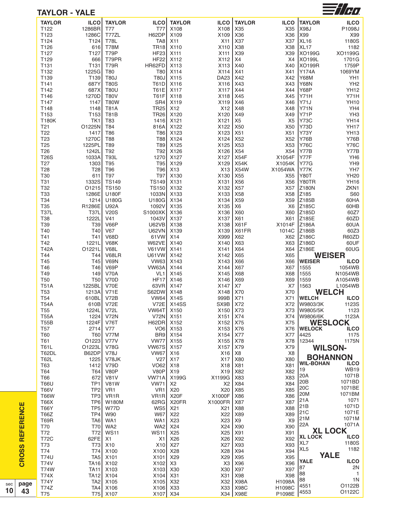| <b>TAYLOR - YALE</b>          |                        |                            |                            |                  |                         |                     |                  |                       | $\equiv t/\sigma$             |
|-------------------------------|------------------------|----------------------------|----------------------------|------------------|-------------------------|---------------------|------------------|-----------------------|-------------------------------|
| <b>TAYLOR</b>                 | <b>ILCO</b>            | <b>TAYLOR</b>              | <b>ILCO</b>                | <b>TAYLOR</b>    | <b>ILCO</b>             | <b>TAYLOR</b>       | <b>ILCO</b>      | <b>TAYLOR</b>         | <b>ILCO</b>                   |
| T122                          | 1286BR                 | T77                        | T77                        | X108             | X108                    | X35                 | X35              | X98J                  | P1098J                        |
| T123                          | 1286C                  | T77ZL                      | H62DP                      | X109             | X109                    | X36                 | X36              | X99                   | X99                           |
| T124                          | T124                   | <b>T78L</b>                | TA8                        | X11              | X11                     | X37                 | X37              | <b>XL16</b>           | 1180S                         |
| T126<br>T127                  | 616<br>T127            | <b>T78M</b><br>T79P        | <b>TR18</b><br><b>HF23</b> | X110<br>X111     | X110<br>X111            | X38<br>X39          | X38<br>X39       | <b>XL17</b><br>XO199G | 1182<br>XO1199G               |
| T129                          | 666                    | T79PR                      | <b>HF22</b>                | X112             | X112                    | X4                  | X4               | XO199L                | 1701G                         |
| T131                          | T131                   | <b>T79R</b>                | HR62FD                     | X113             | X113                    | X40                 | X40              | XO199R                | 1759P                         |
| T132                          | 1225G                  | T80                        | T80                        | X114             | X114                    | X41                 | X41              | Y174A                 | 1069YM                        |
| T139                          | T139                   | <b>T80J</b>                | T80J                       | X115             | DA23                    | X42                 | X42              | Y68M                  | YH1                           |
| T141                          | 687Y                   | <b>T80S</b>                | T61D                       | X116             | X116                    | X43                 | X43              | <b>Y68N</b>           | YH <sub>2</sub>               |
| T142                          | 687X                   | <b>T80U</b>                | T61E                       | X117             | X117                    | X44                 | X44              | Y68P                  | <b>YH12</b>                   |
| T146                          | 1270D                  | <b>T80V</b>                | T61F                       | X118             | X118                    | X45                 | X45              | Y71H                  | <b>Y71H</b>                   |
| T147                          | 1147                   | <b>T80W</b>                | SR4                        | X119             | X119                    | X46                 | X46              | Y71J                  | <b>YH10</b>                   |
| T148<br>T153                  | 1148<br>T153           | <b>T81A</b><br><b>T81B</b> | <b>TR25</b><br><b>TR26</b> | X12<br>X120      | X12<br>X120             | X48<br>X49          | X48<br>X49       | Y71N<br>Y71P          | YH4<br>YH <sub>3</sub>        |
| <b>T180K</b>                  | TK1                    | T83                        | 1416                       | X121             | X121                    | X <sub>5</sub>      | X <sub>5</sub>   | Y73C                  | <b>YH14</b>                   |
| T <sub>21</sub>               | O1225N                 | T84                        | 816A                       | X122             | X122                    | X50                 | X50              | Y73D                  | <b>YH17</b>                   |
| T22                           | 1417                   | T86                        | T86                        | X123             | X123                    | X51                 | X51              | Y73Y                  | <b>YH13</b>                   |
| T <sub>23</sub>               | 1270C                  | <b>T88</b>                 | T88                        | X124             | X124                    | X52                 | X52              | Y76B                  | <b>Y76B</b>                   |
| T <sub>25</sub>               | 1225PL                 | T89                        | T89                        | X125             | X125                    | X53                 | X53              | <b>Y76C</b>           | <b>Y76C</b>                   |
| T <sub>26</sub>               | 1242L                  | T92                        | T92                        | X126             | X126                    | X54                 | X54              | Y77B                  | Y77B                          |
| <b>T26S</b>                   | 1033A                  | <b>T93L</b>                | 1270                       | X127             | X127                    | X54F                | X1054F           | Y77F                  | YH <sub>6</sub>               |
| T <sub>27</sub>               | 1303                   | T95                        | T95                        | X129             | X129                    | <b>X54K</b>         | X1054K           | <b>Y77G</b>           | YH9                           |
| T <sub>28</sub><br>T30        | T <sub>28</sub><br>611 | T96<br>T97                 | T96<br>T97                 | X13<br>X130      | X <sub>13</sub><br>X130 | <b>X54W</b><br>X55  | X1054WA<br>X55   | Y77K<br>Y80T          | YH7<br><b>YH20</b>            |
| T31                           | 1332S                  | <b>TS149</b>               | <b>TS149</b>               | X131             | X131                    | X56                 | X56              | Y80TR                 | <b>YH16</b>                   |
| T32                           | O1215                  | <b>TS150</b>               | <b>TS150</b>               | X132             | X132                    | X57                 | X57              | Z180N                 | ZKN1                          |
| T <sub>33</sub>               | 1286E                  | U180F                      | 1033N                      | X133             | X133                    | X58                 | X58              | Z185                  | S60                           |
| T34                           | 1214                   | U180G                      | U180G                      | X134             | X134                    | X59                 | X59              | Z185B                 | 60HA                          |
| T35                           | R1286E                 | <b>U92A</b>                | 1092V                      | X135             | X135                    | X <sub>6</sub>      | X6               | Z185C                 | 60HB                          |
| <b>T37L</b>                   | <b>T37L</b>            | <b>V20S</b>                | S1000XK                    | X136             | X136                    | X60                 | X60              | Z185D                 | 60Z7                          |
| <b>T38</b>                    | 1222L                  | V41                        | 1043V                      | X137             | X137                    | X61                 | X61              | Z185E                 | 60ZD                          |
| T39                           | T39                    | <b>V66P</b>                | U62VB                      | X138             | X138                    | X61F                | X1014F           | Z186A                 | 60UA                          |
| T40<br>T41                    | T40<br>T41             | <b>V67</b><br><b>V68D</b>  | <b>U62VN</b><br>61 VW      | X139<br>X14      | X139<br>X999            | X61FR<br>X62        | 1014C<br>X62     | Z186B<br>Z186C        | 60Z3<br>R60ZD                 |
| T42                           | 1221L                  | <b>V68K</b>                | W62VE                      | X140             | X140                    | X63                 | X63              | Z186D                 | 60UF                          |
| <b>T42A</b>                   | O1221L                 | <b>V68L</b>                | V61VW                      | X141             | X141                    | X64                 | X64              | Z186E                 | 60UG                          |
| T44                           | T44                    | V68LR                      | <b>U61VW</b>               | X142             | X142                    | X65                 | X65              |                       | <b>WEISER</b>                 |
| T45                           | T45                    | <b>V69N</b>                | <b>VW63</b>                | X143             | X143                    | X66                 | X66              | <b>WEISER</b>         | <b>ILCO</b>                   |
| T46                           | T46                    | V69P                       | VW63A                      | X144             | X144                    | X67                 | X67              | 1555                  | 1054WB                        |
| T49                           | 149                    | <b>V70A</b>                | VL <sub>1</sub>            | X145             | X145                    | X68                 | X68              | 1555                  | N1054WB                       |
| <b>T50</b>                    | T50                    | V70D                       | <b>HF17</b>                | X146             | X146                    | X69                 | X69              | 1559                  | A1054WB                       |
| <b>T51A</b>                   | 1225BL                 | <b>V70E</b>                |                            | 63VR X147        | X147                    | X7                  | X7               | 1563                  | L1054WB                       |
| <b>T53</b><br>T <sub>54</sub> | 1213A V71E<br>610BL    | <b>V72B</b>                | S62DW X148<br><b>VW64</b>  | <b>X14S</b>      | X148   X70<br>999B      | <b>X71</b>          | X70<br>X71       | <b>WELCH</b>          | <b>WELCH</b>                  |
| <b>T54A</b>                   | 610B                   | <b>V72E</b>                | V72E                       | X14SS            | SX9B                    | X72                 | X72              | W9803/3K              | <b>ILCO</b><br>1123S          |
| T <sub>55</sub>               | 1224L                  | <b>V72L</b>                | VW64T                      | X150             | X150                    | <b>X73</b>          | X73              | W9805/5K              | 1123                          |
| <b>T55A</b>                   | 1224                   | <b>V72N</b>                | <b>V72N</b>                | X151             | X151                    | X74                 | X74              | W9806/6K              | 1123A                         |
| <b>T55B</b>                   | 1224F                  | <b>V76T</b>                | H62DR                      | X152             | X152                    | X75                 | X75              |                       | <b>WESLOCK</b>                |
| T57                           | 2714                   | <b>V77</b>                 | VO <sub>6</sub>            | X153             | X153                    | X76                 | X76              | <b>WELOCK</b>         | <b>ILCO</b>                   |
| <b>T60</b>                    | <b>T60</b>             | <b>V77M</b>                | BR9                        | X154             | X154                    | <b>X77</b>          | X77              | 4425                  | 1175                          |
| T61                           | O1223                  | <b>V77V</b>                | <b>VW77</b>                | X <sub>155</sub> | X155                    | X78                 | X78              | 12344                 | 1175N                         |
| <b>T61L</b>                   | O1223L                 | <b>V78G</b>                | VW67S                      | X <sub>157</sub> | X157                    | X79                 | X79              |                       | <b>WILSON-</b>                |
| T62DL<br><b>T62L</b>          | B62DP<br>1225          | <b>V78J</b><br>V78JK       | <b>VW67</b><br>V27         | X16<br>X17       | X16<br>X17              | X8<br>X80           | X8<br>X80        |                       | <b>BOHANNON</b>               |
| T63                           | 1412                   | <b>V79D</b>                | <b>VO62</b>                | X18              | X18                     | X81                 | X81              | <b>WIL-BOHAN</b>      | <b>ILCO</b>                   |
| T64                           | T64                    | V80P                       | V80P                       | X19              | X19                     | X82                 | X82              | 19                    | <b>WB19</b>                   |
| T66                           | 672                    | <b>V81V</b>                | <b>VW71A</b>               | X199G            | X1199G                  | X83                 | X83              | 20A                   | 1071B                         |
| <b>T66U</b>                   | TP <sub>1</sub>        | <b>V81W</b>                | <b>VW71</b>                | X <sub>2</sub>   | X <sub>2</sub>          | X84                 | X84              | 20B                   | 1071BD                        |
| <b>T66V</b>                   | TP <sub>2</sub>        | VR <sub>1</sub>            | VR <sub>1</sub>            | X20              | X20                     | X85                 | X85              | 20C                   | 1071BE                        |
| <b>T66W</b>                   | TP3                    | VR <sub>1</sub> R          | VR <sub>1</sub> R          | X20F             | X1000F                  | X86                 | X86              | 20M                   | 1071BM                        |
|                               | TP <sub>6</sub>        | <b>W180M</b>               | 62RG                       | X20FR            | X1000FR                 | X87                 | X87              | 21A                   | 1071                          |
|                               | TP <sub>5</sub>        | <b>W77D</b>                | WS5                        | X21              | X21                     | X88                 | X88              | 21B<br> 21C           | 1071D<br>1071E                |
| <b>T66X</b>                   |                        |                            |                            | X22              | X22                     | <b>X89</b>          | X89              | 21M                   | 1071M                         |
| <b>T66Z</b>                   | TP4                    | <b>W90</b>                 | W67                        |                  |                         |                     |                  |                       |                               |
| <b>T66Y</b><br>T69R           | TA6                    | WA1                        | WA1                        | X23              | X23                     | X <sub>9</sub>      | X <sub>9</sub>   |                       |                               |
| <b>T70</b>                    | T70                    | WA2                        | WA <sub>2</sub>            | X24              | X24                     | X90                 | X90              | 22A                   | 1071A                         |
| T72                           | T72                    | <b>WS11</b>                | <b>WS11</b>                | X25              | X25                     | <b>X91</b>          | X91              | <b>XL LOCK</b>        | <b>XL LOCK</b><br><b>ILCO</b> |
| <b>T72C</b>                   | 62FE                   | X1                         | X1                         | X26              | X26                     | X92                 | X92              | XL7                   | 1180S                         |
| T73<br>T74                    | <b>T73</b><br>T74      | X10<br>X100                | X10<br>X100                | X27<br>X28       | X27<br>X28              | X93<br>X94          | X93<br>X94       | XL <sub>5</sub>       | 1182                          |
| <b>T74U</b>                   | TA <sub>5</sub>        | X101                       | X101                       | X29              | X29                     | X95                 | X95              |                       | <b>YALE</b>                   |
| <b>T74V</b>                   | <b>TA16</b>            | X102                       | X102                       | X3               | X <sub>3</sub>          | X96                 | X96              | YALE                  | <b>ILCO</b>                   |
| <b>T74W</b>                   | <b>TA11</b>            | X103                       | X103                       | X30              | X30                     | X97                 | X97              | 87                    | 2N                            |
| <b>T74X</b>                   | <b>TA12</b>            | X104                       | X104                       | X31              | X31                     | X98                 | X98              | 88                    | $\overline{1}$                |
| <b>T74Y</b><br>T74Z           | TA <sub>2</sub>        | X105<br>TA4 X106           | X105<br>X106 X33           | X32              | X32<br>X33              | X98A<br><b>X98C</b> | H1098A<br>H1098C | 88<br>4551            | 1 <sub>N</sub><br>O1122B      |

**CROSS REFERENCE**